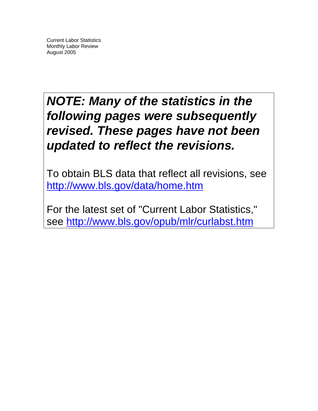*NOTE: Many of the statistics in the following pages were subsequently revised. These pages have not been updated to reflect the revisions.* 

To obtain BLS data that reflect all revisions, see <http://www.bls.gov/data/home.htm>

For the latest set of "Current Labor Statistics," see <http://www.bls.gov/opub/mlr/curlabst.htm>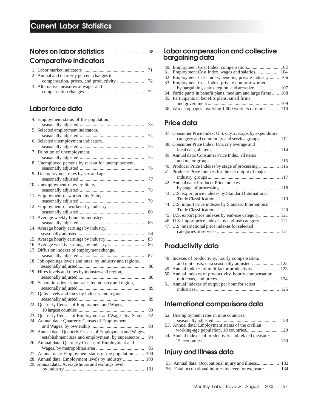# **Current Labor Statistics Current Labor Statistics**

| Notes on labor statistics <b>manually service on labor statistics</b> |  |
|-----------------------------------------------------------------------|--|
| <b>Comparative indicators</b>                                         |  |
|                                                                       |  |

| 2. Annual and quarterly percent changes in |  |
|--------------------------------------------|--|
|                                            |  |
| 3. Alternative measures of wages and       |  |
|                                            |  |

# **Labor force data**

|     | 4. Employment status of the population,                     |     |
|-----|-------------------------------------------------------------|-----|
|     |                                                             | 73  |
|     | 5. Selected employment indicators,                          |     |
|     |                                                             | 74  |
|     | 6. Selected unemployment indicators,                        |     |
|     |                                                             | 75  |
|     | 7. Duration of unemployment,                                |     |
|     |                                                             | 75  |
|     | 8. Unemployed persons by reason for unemployment,           |     |
|     |                                                             | 76  |
|     | 9. Unemployment rates by sex and age,                       |     |
|     |                                                             | 77  |
|     | 10. Unemployment rates by State,                            |     |
|     |                                                             | 78  |
|     | 11. Employment of workers by State,                         |     |
|     |                                                             | 79  |
|     | 12. Employment of workers by industry,                      |     |
|     |                                                             | 80  |
|     | 13. Average weekly hours by industry,                       |     |
|     |                                                             | 83  |
|     | 14. Average hourly earnings by industry,                    |     |
|     |                                                             | 84  |
|     |                                                             | 85  |
|     |                                                             | 86  |
|     | 17. Diffusion indexes of employment change,                 |     |
|     |                                                             | 87  |
|     | 18. Job openings levels and rates, by industry and regions, |     |
|     |                                                             | 88  |
|     | 19. Hires levels and rates by industry and region,          |     |
|     |                                                             | 88  |
|     | 20. Separations levels and rates by industry and region,    |     |
|     |                                                             | 89  |
| 21. | Quits levels and rates by industry and region,              |     |
|     |                                                             | 89  |
|     | 22. Quarterly Census of Employment and Wages,               |     |
|     |                                                             | 90  |
|     | 23. Quarterly Census of Employment and Wages, by State      | 92  |
|     | 24. Annual data: Quarterly Census of Employment             |     |
|     |                                                             | 93  |
|     | 25. Annual data: Quarterly Census of Employment and Wages,  |     |
|     | establishment size and employment, by supersector           | 94  |
|     | 26. Annual data: Quarterly Census of Employment and         |     |
|     |                                                             | 95  |
|     | 27. Annual data: Employment status of the population        | 100 |
|     | 28. Annual data: Employment levels by industry              | 100 |
|     | 29. Annual data: Average hours and earnings level,          |     |
|     |                                                             | 101 |
|     |                                                             |     |

# **Labor compensation and collective bargaining data**

| 32. Employment Cost Index, benefits, private industry  106     |  |
|----------------------------------------------------------------|--|
| 33. Employment Cost Index, private nonfarm workers,            |  |
|                                                                |  |
| 34. Participants in benefit plans, medium and large firms  108 |  |
| 35. Participants in benefits plans, small firms                |  |
|                                                                |  |
| 36. Work stoppages involving 1,000 workers or more  110        |  |

# **Price data**

| 37. Consumer Price Index: U.S. city average, by expenditure |  |
|-------------------------------------------------------------|--|
|                                                             |  |
| 38. Consumer Price Index: U.S. city average and             |  |
|                                                             |  |
| 39. Annual data: Consumer Price Index, all items            |  |
|                                                             |  |
| 40. Producer Price Indexes by stage of processing  116      |  |
| 41. Producer Price Indexes for the net output of major      |  |
|                                                             |  |
| 42. Annual data: Producer Price Indexes                     |  |
|                                                             |  |
| 43. U.S. export price indexes by Standard International     |  |
|                                                             |  |
| 44. U.S. import price indexes by Standard International     |  |
|                                                             |  |
|                                                             |  |
|                                                             |  |
| 47. U.S. international price indexes for selected           |  |
|                                                             |  |

# **Productivity data**

| 48. Indexes of productivity, hourly compensation,        |  |
|----------------------------------------------------------|--|
|                                                          |  |
|                                                          |  |
| 50. Annual indexes of productivity, hourly compensation, |  |
|                                                          |  |
| 51. Annual indexes of output per hour for select         |  |
|                                                          |  |

# **International comparisons data**

| 52. Unemployment rates in nine countries,                |  |
|----------------------------------------------------------|--|
|                                                          |  |
| 53. Annual data: Employment status of the civilian       |  |
|                                                          |  |
| 54. Annual indexes of productivity and related measures, |  |
|                                                          |  |
|                                                          |  |

# **Injury and Illness data**

| 56. Fatal occupational injuries by event or exposure 134 |  |
|----------------------------------------------------------|--|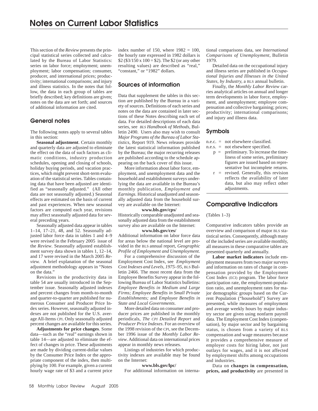This section of the *Review* presents the principal statistical series collected and calculated by the Bureau of Labor Statistics: series on labor force; employment; unemployment; labor compensation; consumer, producer, and international prices; productivity; international comparisons; and injury and illness statistics. In the notes that follow, the data in each group of tables are briefly described; key definitions are given; notes on the data are set forth; and sources of additional information are cited.

# **General notes**

The following notes apply to several tables in this section:

**Seasonal adjustment**. Certain monthly and quarterly data are adjusted to eliminate the effect on the data of such factors as climatic conditions, industry production schedules, opening and closing of schools, holiday buying periods, and vacation practices, which might prevent short-term evaluation of the statistical series. Tables containing data that have been adjusted are identified as "seasonally adjusted." (All other data are not seasonally adjusted.) Seasonal effects are estimated on the basis of current and past experiences. When new seasonal factors are computed each year, revisions may affect seasonally adjusted data for several preceding years.

Seasonally adjusted data appear in tables 1–14, 17–21, 48, and 52. Seasonally adjusted labor force data in tables 1 and 4–9 were revised in the February 2005 issue of the *Review*. Seasonally adjusted establishment survey data shown in tables 1, 12–14, and 17 were revised in the March 2005 *Review.* A brief explanation of the seasonal adjustment methodology appears in "Notes on the data."

Revisions in the productivity data in table 54 are usually introduced in the September issue. Seasonally adjusted indexes and percent changes from month-to-month and quarter-to-quarter are published for numerous Consumer and Producer Price Index series. However, seasonally adjusted indexes are not published for the U.S. average All-Items CPI. Only seasonally adjusted percent changes are available for this series.

**Adjustments for price changes**. Some data—such as the "real" earnings shown in table 14—are adjusted to eliminate the effect of changes in price. These adjustments are made by dividing current-dollar values by the Consumer Price Index or the appropriate component of the index, then multiplying by 100. For example, given a current hourly wage rate of \$3 and a current price

index number of 150, where  $1982 = 100$ , the hourly rate expressed in 1982 dollars is \$2 (\$3/150 x 100 = \$2). The \$2 (or any other resulting values) are described as "real," "constant," or "1982" dollars.

# **Sources of information**

Data that supplement the tables in this section are published by the Bureau in a variety of sources. Definitions of each series and notes on the data are contained in later sections of these Notes describing each set of data. For detailed descriptions of each data series, see *BLS Handbook of Methods*, Bulletin 2490. Users also may wish to consult *Major Programs of the Bureau of Labor Statistics*, Report 919. News releases provide the latest statistical information published by the Bureau; the major recurring releases are published according to the schedule appearing on the back cover of this issue.

More information about labor force, employment, and unemployment data and the household and establishment surveys underlying the data are available in the Bureau's monthly publication, *Employment and Earnings.* Historical unadjusted and seasonally adjusted data from the household survey are available on the Internet:

#### **www.bls.gov/cps/**

Historically comparable unadjusted and seasonally adjusted data from the establishment survey also are available on the Internet:

### **www.bls.gov/ces/**

Additional information on labor force data for areas below the national level are provided in the BLS annual report, *Geographic Profile of Employment and Unemployment.*

For a comprehensive discussion of the Employment Cost Index*,* see *Employment Cost Indexes and Levels, 1975–95,* BLS Bulletin 2466. The most recent data from the Employee Benefits Survey appear in the following Bureau of Labor Statistics bulletins: *Employee Benefits in Medium and Large Firms; Employee Benefits in Small Private Establishments;* and *Employee Benefits in State and Local Governments*.

More detailed data on consumer and producer prices are published in the monthly periodicals, *The CPI Detailed Report* and *Producer Price Indexes*. For an overview of the 1998 revision of the CPI, see the December 1996 issue of the *Monthly Labor Review*. Additional data on international prices appear in monthly news releases.

Listings of industries for which productivity indexes are available may be found on the Internet:

### **www.bls.gov/lpc/**

For additional information on interna-

tional comparisons data, see *International Comparisons of Unemployment,* Bulletin 1979.

Detailed data on the occupational injury and illness series are published in *Occupational Injuries and Illnesses in the United States, by Industry,* a BLS annual bulletin.

Finally, the *Monthly Labor Review* carries analytical articles on annual and longer term developments in labor force, employment, and unemployment; employee compensation and collective bargaining; prices; productivity; international comparisons; and injury and illness data.

# **Symbols**

- n.e.c. = not elsewhere classified.
- $n.e.s. = not elsewhere specified.$ 
	- p = preliminary. To increase the timeliness of some series, preliminary figures are issued based on representative but incomplete returns.
	- $r =$  revised. Generally, this revision reflects the availability of later data, but also may reflect other adjustments.

# **Comparative Indicators**

#### (Tables 1–3)

Comparative indicators tables provide an overview and comparison of major BLS statistical series. Consequently, although many of the included series are available monthly, all measures in these comparative tables are presented quarterly and annually.

**Labor market indicators** include employment measures from two major surveys and information on rates of change in compensation provided by the Employment Cost Index (ECI) program. The labor force participation rate, the employment-population ratio, and unemployment rates for major demographic groups based on the Current Population ("household") Survey are presented, while measures of employment and average weekly hours by major industry sector are given using nonfarm payroll data. The Employment Cost Index (compensation), by major sector and by bargaining status, is chosen from a variety of BLS compensation and wage measures because it provides a comprehensive measure of employer costs for hiring labor, not just outlays for wages, and it is not affected by employment shifts among occupations and industries.

Data on **changes in compensation, prices, and productivity** are presented in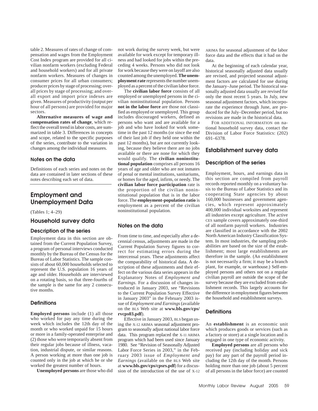table 2. Measures of rates of change of compensation and wages from the Employment Cost Index program are provided for all civilian nonfarm workers (excluding Federal and household workers) and for all private nonfarm workers. Measures of changes in consumer prices for all urban consumers; producer prices by stage of processing; overall prices by stage of processing; and overall export and import price indexes are given. Measures of productivity (output per hour of all persons) are provided for major sectors.

**Alternative measures of wage and compensation rates of change**, which reflect the overall trend in labor costs, are summarized in table 3. Differences in concepts and scope, related to the specific purposes of the series, contribute to the variation in changes among the individual measures.

### **Notes on the data**

Definitions of each series and notes on the data are contained in later sections of these notes describing each set of data.

# **Employment and Unemployment Data**

(Tables 1; 4–29)

### **Household survey data**

#### **Description of the series**

Employment data in this section are obtained from the Current Population Survey, a program of personal interviews conducted monthly by the Bureau of the Census for the Bureau of Labor Statistics. The sample consists of about 60,000 households selected to represent the U.S. population 16 years of age and older. Households are interviewed on a rotating basis, so that three-fourths of the sample is the same for any 2 consecutive months.

## **Definitions**

**Employed persons** include (1) all those who worked for pay any time during the week which includes the 12th day of the month or who worked unpaid for 15 hours or more in a family-operated enterprise and (2) those who were temporarily absent from their regular jobs because of illness, vacation, industrial dispute, or similar reasons. A person working at more than one job is counted only in the job at which he or she worked the greatest number of hours.

**Unemployed persons** are those who did

not work during the survey week, but were available for work except for temporary illness and had looked for jobs within the preceding 4 weeks. Persons who did not look for work because they were on layoff are also counted among the unemployed. **The unemployment rate** represents the number unemployed as a percent of the civilian labor force.

The **civilian labor force** consists of all employed or unemployed persons in the civilian noninstitutional population. Persons **not in the labor force** are those not classified as employed or unemployed. This group includes discouraged workers, defined as persons who want and are available for a job and who have looked for work sometime in the past 12 months (or since the end of their last job if they held one within the past 12 months), but are not currently looking, because they believe there are no jobs available or there are none for which they would qualify. The **civilian noninstitutional population** comprises all persons 16 years of age and older who are not inmates of penal or mental institutions, sanitariums, or homes for the aged, infirm, or needy. The **civilian labor force participation** rate is the proportion of the civilian noninstitutional population that is in the labor force. The **employment-population ratio** is employment as a percent of the civilian noninstitutional population.

### **Notes on the data**

From time to time, and especially after a decennial census, adjustments are made in the Current Population Survey figures to correct for estimating errors during the intercensal years. These adjustments affect the comparability of historical data. A description of these adjustments and their effect on the various data series appears in the Explanatory Notes of *Employment and Earnings.* For a discussion of changes introduced in January 2003, see "Revisions to the Current Population Survey Effective in January 2003" in the February 2003 issue of *Employment and Earnings* (available on the BLS Web site at **www.bls.gov/cps/ rvcps03.pdf**).

Effective in January 2003, BLS began using the X-12 ARIMA seasonal adjustment program to seasonally adjust national labor force data. This program replaced the X-11 ARIMA program which had been used since January 1980. See "Revision of Seasonally Adjusted Labor Force Series in 2003," in the February 2003 issue of *Employment and Earnings* (available on the BLS Web site at **www.bls.gov/cps/cpsrs.pdf**) for a discussion of the introduction of the use of X-12 ARIMA for seasonal adjustment of the labor force data and the effects that it had on the data.

At the beginning of each calendar year, historical seasonally adjusted data usually are revised, and projected seasonal adjustment factors are calculated for use during the January–June period. The historical seasonally adjusted data usually are revised for only the most recent 5 years. In July, new seasonal adjustment factors, which incorporate the experience through June, are produced for the July–December period, but no revisions are made in the historical data.

FOR ADDITIONAL INFORMATION on national household survey data, contact the Division of Labor Force Statistics: (202) 691–6378.

### **Establishment survey data**

### **Description of the series**

Employment, hours, and earnings data in this section are compiled from payroll records reported monthly on a voluntary basis to the Bureau of Labor Statistics and its cooperating State agencies by about 160,000 businesses and government agencies, which represent approximately 400,000 individual worksites and represent all industries except agriculture. The active CES sample covers approximately one-third of all nonfarm payroll workers. Industries are classified in accordance with the 2002 North American Industry Classification System. In most industries, the sampling probabilities are based on the size of the establishment; most large establishments are therefore in the sample. (An establishment is not necessarily a firm; it may be a branch plant, for example, or warehouse.) Self-employed persons and others not on a regular civilian payroll are outside the scope of the survey because they are excluded from establishment records. This largely accounts for the difference in employment figures between the household and establishment surveys.

### **Definitions**

An **establishment** is an economic unit which produces goods or services (such as a factory or store) at a single location and is engaged in one type of economic activity.

**Employed persons** are all persons who received pay (including holiday and sick pay) for any part of the payroll period including the 12th day of the month. Persons holding more than one job (about 5 percent of all persons in the labor force) are counted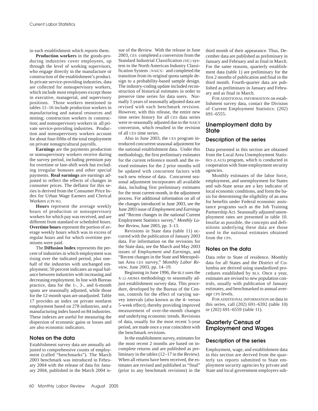in each establishment which reports them.

**Production workers** in the goods-producing industries cover employees, up through the level of working supervisors, who engage directly in the manufacture or construction of the establishment's product. In private service-providing industries, data are collected for nonsupervisory workers, which include most employees except those in executive, managerial, and supervisory positions. Those workers mentioned in tables 11–16 include production workers in manufacturing and natural resources and mining; construction workers in construction; and nonsupervisory workers in all private service-providing industries. Production and nonsupervisory workers account for about four-fifths of the total employment on private nonagricultural payrolls.

**Earnings** are the payments production or nonsupervisory workers receive during the survey period, including premium pay for overtime or late-shift work but excluding irregular bonuses and other special payments. **Real earnings** are earnings adjusted to reflect the effects of changes in consumer prices. The deflator for this series is derived from the Consumer Price Index for Urban Wage Earners and Clerical Workers (CPI-W).

**Hours** represent the average weekly hours of production or nonsupervisory workers for which pay was received, and are different from standard or scheduled hours. **Overtime hours** represent the portion of average weekly hours which was in excess of regular hours and for which overtime premiums were paid.

The **Diffusion Index** represents the percent of industries in which employment was rising over the indicated period, plus onehalf of the industries with unchanged employment; 50 percent indicates an equal balance between industries with increasing and decreasing employment. In line with Bureau practice, data for the 1-, 3-, and 6-month spans are seasonally adjusted, while those for the 12-month span are unadjusted. Table 17 provides an index on private nonfarm employment based on 278 industries, and a manufacturing index based on 84 industries. These indexes are useful for measuring the dispersion of economic gains or losses and are also economic indicators.

### **Notes on the data**

Establishment survey data are annually adjusted to comprehensive counts of employment (called "benchmarks"). The March 2003 benchmark was introduced in February 2004 with the release of data for January 2004, published in the March 2004 is-

sue of the *Review.* With the release in June 2003, CES completed a conversion from the Standard Industrial Classification (SIC) system to the North American Industry Classification System (NAICS) and completed the transition from its original quota sample design to a probability-based sample design. The industry-coding update included reconstruction of historical estimates in order to preserve time series for data users. Normally 5 years of seasonally adjusted data are revised with each benchmark revision. However, with this release, the entire new time series history for all CES data series were re-seasonally adjusted due to the NAICS conversion, which resulted in the revision of all CES time series.

Also in June 2003, the CES program introduced concurrent seasonal adjustment for the national establishment data. Under this methodology, the first preliminary estimates for the current reference month and the revised estimates for the 2 prior months will be updated with concurrent factors with each new release of data. Concurrent seasonal adjustment incorporates all available data, including first preliminary estimates for the most current month, in the adjustment process. For additional information on all of the changes introduced in June 2003, see the June 2003 issue of *Employment and Earnings* and "Recent changes in the national Current Employment Statistics survey," *Monthly Labor Review,* June 2003, pp. 3–13.

Revisions in State data (table 11) occurred with the publication of January 2003 data. For information on the revisions for the State data, see the March and May 2003 issues of *Employment and Earnings*, and "Recent changes in the State and Metropolitan Area CES survey," *Monthly Labor Review*, June 2003, pp. 14–19.

Beginning in June 1996, the BLS uses the X-12-ARIMA methodology to seasonally adjust establishment survey data. This procedure, developed by the Bureau of the Census, controls for the effect of varying survey intervals (also known as the 4- versus 5-week effect), thereby providing improved measurement of over-the-month changes and underlying economic trends. Revisions of data, usually for the most recent 5-year period, are made once a year coincident with the benchmark revisions.

In the establishment survey, estimates for the most recent 2 months are based on incomplete returns and are published as preliminary in the tables (12–17 in the *Review).* When all returns have been received, the estimates are revised and published as "final" (prior to any benchmark revisions) in the

third month of their appearance. Thus, December data are published as preliminary in January and February and as final in March. For the same reasons, quarterly establishment data (table 1) are preliminary for the first 2 months of publication and final in the third month. Fourth-quarter data are published as preliminary in January and February and as final in March.

FOR ADDITIONAL INFORMATION on establishment survey data, contact the Division of Current Employment Statistics: (202) 691–6555.

# **Unemployment data by State**

### **Description of the series**

Data presented in this section are obtained from the Local Area Unemployment Statistics (LAUS) program, which is conducted in cooperation with State employment security agencies.

Monthly estimates of the labor force, employment, and unemployment for States and sub-State areas are a key indicator of local economic conditions, and form the basis for determining the eligibility of an area for benefits under Federal economic assistance programs such as the Job Training Partnership Act. Seasonally adjusted unemployment rates are presented in table 10. Insofar as possible, the concepts and definitions underlying these data are those used in the national estimates obtained from the CPS.

### **Notes on the data**

Data refer to State of residence. Monthly data for all States and the District of Columbia are derived using standardized procedures established by BLS. Once a year, estimates are revised to new population controls, usually with publication of January estimates, and benchmarked to annual average CPS levels.

FOR ADDITIONAL INFORMATION on data in this series, call (202) 691–6392 (table 10) or (202) 691–6559 (table 11).

# **Quarterly Census of Employment and Wages**

### **Description of the series**

Employment, wage, and establishment data in this section are derived from the quarterly tax reports submitted to State employment security agencies by private and State and local government employers sub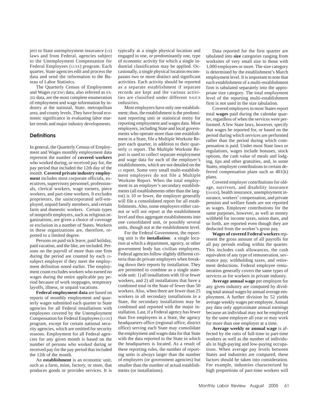ject to State unemployment insurance (UI) laws and from Federal, agencies subject to the Unemployment Compensation for Federal Employees (UCFE) program. Each quarter, State agencies edit and process the data and send the information to the Bureau of Labor Statistics.

The Quarterly Census of Employment and Wages (QCEW) data, also referred as ES-202 data, are the most complete enumeration of employment and wage information by industry at the national, State, metropolitan area, and county levels. They have broad economic significance in evaluating labor market trends and major industry developments.

### **Definitions**

In general, the Quarterly Census of Employment and Wages monthly employment data represent the number of **covered workers** who worked during, or received pay for, the pay period that included the 12th day of the month. **Covered private industry employment** includes most corporate officials, executives, supervisory personnel, professionals, clerical workers, wage earners, piece workers, and part-time workers. It excludes proprietors, the unincorporated self-employed, unpaid family members, and certain farm and domestic workers. Certain types of nonprofit employers, such as religious organizations, are given a choice of coverage or exclusion in a number of States. Workers in these organizations are, therefore, reported to a limited degree.

Persons on paid sick leave, paid holiday, paid vacation, and the like, are included. Persons on the payroll of more than one firm during the period are counted by each UIsubject employer if they meet the employment definition noted earlier. The employment count excludes workers who earned no wages during the entire applicable pay period because of work stoppages, temporary layoffs, illness, or unpaid vacations.

**Federal employment data** are based on reports of monthly employment and quarterly wages submitted each quarter to State agencies for all Federal installations with employees covered by the Unemployment Compensation for Federal Employees (UCFE) program, except for certain national security agencies, which are omitted for security reasons. Employment for all Federal agencies for any given month is based on the number of persons who worked during or received pay for the pay period that included the 12th of the month.

An **establishment** is an economic unit, such as a farm, mine, factory, or store, that produces goods or provides services. It is typically at a single physical location and engaged in one, or predominantly one, type of economic activity for which a single industrial classification may be applied. Occasionally, a single physical location encompasses two or more distinct and significant activities. Each activity should be reported as a separate establishment if separate records are kept and the various activities are classified under different NAICS industries.

Most employers have only one establishment; thus, the establishment is the predominant reporting unit or statistical entity for reporting employment and wages data. Most employers, including State and local governments who operate more than one establishment in a State, file a Multiple Worksite Report each quarter, in addition to their quarterly UI report. The Multiple Worksite Report is used to collect separate employment and wage data for each of the employer's establishments, which are not detailed on the UI report. Some very small multi-establishment employers do not file a Multiple Worksite Report. When the total employment in an employer's secondary establishments (all establishments other than the largest) is 10 or fewer, the employer generally will file a consolidated report for all establishments. Also, some employers either cannot or will not report at the establishment level and thus aggregate establishments into one consolidated unit, or possibly several units, though not at the establishment level.

For the Federal Government, the reporting unit is the **installation**: a single location at which a department, agency, or other government body has civilian employees. Federal agencies follow slightly different criteria than do private employers when breaking down their reports by installation. They are permitted to combine as a single statewide unit: 1) all installations with 10 or fewer workers, and 2) all installations that have a combined total in the State of fewer than 50 workers. Also, when there are fewer than 25 workers in all secondary installations in a State, the secondary installations may be combined and reported with the major installation. Last, if a Federal agency has fewer than five employees in a State, the agency headquarters office (regional office, district office) serving each State may consolidate the employment and wages data for that State with the data reported to the State in which the headquarters is located. As a result of these reporting rules, the number of reporting units is always larger than the number of employers (or government agencies) but smaller than the number of actual establishments (or installations).

Data reported for the first quarter are tabulated into **size** categories ranging from worksites of very small size to those with 1,000 employees or more. The size category is determined by the establishment's March employment level. It is important to note that each establishment of a multi-establishment firm is tabulated separately into the appropriate size category. The total employment level of the reporting multi-establishment firm is not used in the size tabulation.

Covered employers in most States report total **wages** paid during the calendar quarter, regardless of when the services were performed. A few State laws, however, specify that wages be reported for, or based on the period during which services are performed rather than the period during which compensation is paid. Under most State laws or regulations, wages include bonuses, stock options, the cash value of meals and lodging, tips and other gratuities, and, in some States, employer contributions to certain deferred compensation plans such as 401(k) plans.

Covered employer contributions for oldage, survivors, and disability insurance (OASDI), health insurance, unemployment insurance, workers' compensation, and private pension and welfare funds are not reported as wages. Employee contributions for the same purposes, however, as well as money withheld for income taxes, union dues, and so forth, are reported even though they are deducted from the worker's gross pay.

**Wages of covered Federal workers** represent the gross amount of all payrolls for all pay periods ending within the quarter. This includes cash allowances, the cash equivalent of any type of remuneration, severance pay, withholding taxes, and retirement deductions. Federal employee remuneration generally covers the same types of services as for workers in private industry.

**Average annual wage** per employee for any given industry are computed by dividing total annual wages by annual average employment. A further division by 52 yields average weekly wages per employee. Annual pay data only approximate annual earnings because an individual may not be employed by the same employer all year or may work for more than one employer at a time.

**Average weekly or annual wage** is affected by the ratio of full-time to part-time workers as well as the number of individuals in high-paying and low-paying occupations. When average pay levels between States and industries are compared, these factors should be taken into consideration. For example, industries characterized by high proportions of part-time workers will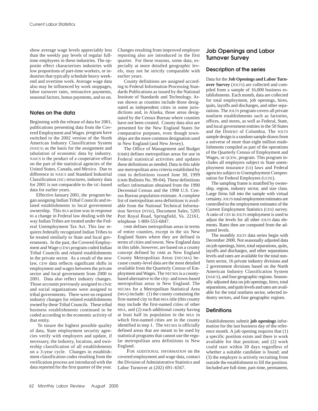show average wage levels appreciably less than the weekly pay levels of regular fulltime employees in these industries. The opposite effect characterizes industries with low proportions of part-time workers, or industries that typically schedule heavy weekend and overtime work. Average wage data also may be influenced by work stoppages, labor turnover rates, retroactive payments, seasonal factors, bonus payments, and so on.

### **Notes on the data**

Beginning with the release of data for 2001, publications presenting data from the Covered Employment and Wages program have switched to the 2002 version of the North American Industry Classification System (NAICS) as the basis for the assignment and tabulation of economic data by industry. NAICS is the product of a cooperative effort on the part of the statistical agencies of the United States, Canada, and Mexico. Due to difference in NAICS and Standard Industrial Classification (SIC) structures, industry data for 2001 is not comparable to the SIC-based data for earlier years.

Effective January 2001, the program began assigning Indian Tribal Councils and related establishments to local government ownership. This BLS action was in response to a change in Federal law dealing with the way Indian Tribes are treated under the Federal Unemployment Tax Act. This law requires federally recognized Indian Tribes to be treated similarly to State and local governments. In the past, the Covered Employment and Wage (CEW) program coded Indian Tribal Councils and related establishments in the private sector. As a result of the new law, CEW data reflects significant shifts in employment and wages between the private sector and local government from 2000 to 2001. Data also reflect industry changes. Those accounts previously assigned to civic and social organizations were assigned to tribal governments. There were no required industry changes for related establishments owned by these Tribal Councils. These tribal business establishments continued to be coded according to the economic activity of that entity.

 To insure the highest possible quality of data, State employment security agencies verify with employers and update, if necessary, the industry, location, and ownership classification of all establishments on a 3-year cycle. Changes in establishment classification codes resulting from the verification process are introduced with the data reported for the first quarter of the year. Changes resulting from improved employer reporting also are introduced in the first quarter. For these reasons, some data, especially at more detailed geographic levels, may not be strictly comparable with earlier years.

County definitions are assigned according to Federal Information Processing Standards Publications as issued by the National Institute of Standards and Technology. Areas shown as counties include those designated as independent cities in some jurisdictions and, in Alaska, those areas designated by the Census Bureau where counties have not been created. County data also are presented for the New England States for comparative purposes, even though townships are the more common designation used in New England (and New Jersey).

The Office of Management and Budget (OMB) defines metropolitan areas for use in Federal statistical activities and updates these definitions as needed. Data in this table use metropolitan area criteria established by OMB in definitions issued June 30, 1999 (OMB Bulletin No. 99-04). These definitions reflect information obtained from the 1990 Decennial Census and the 1998 U.S. Census Bureau population estimate. A complete list of metropolitan area definitions is available from the National Technical Information Service (NTIS), Document Sales, 5205 Port Royal Road, Springfield, Va. 22161, telephone 1-800-553-6847.

OMB defines metropolitan areas in terms of entire counties, except in the six New England States where they are defined in terms of cities and towns. New England data in this table, however, are based on a county concept defined by OMB as New England County Metropolitan Areas (NECMA) because county-level data are the most detailed available from the Quarterly Census of Employment and Wages. The NECMA is a countybased alternative to the city- and town-based metropolitan areas in New England. The NECMA for a Metropolitan Statistical Area (MSA) include: (1) the county containing the first-named city in that MSA title (this county may include the first-named cities of other MSA, and (2) each additional county having at least half its population in the MSA in which first-named cities are in the county identified in step 1. The NECMA is officially defined areas that are meant to be used by statistical programs that cannot use the regular metropolitan area definitions in New England.

 FOR ADDITIONAL INFORMATION on the covered employment and wage data, contact the Division of Administrative Statistics and Labor Turnover at (202) 691–6567.

# **Job Openings and Labor Turnover Survey**

### **Description of the series**

Data for the **Job Openings and Labor Turnover Survey** (JOLTS) are collected and compiled from a sample of 16,000 business establishments. Each month, data are collected for total employment, job openings, hires, quits, layoffs and discharges, and other separations. The JOLTS program covers all private nonfarm establishments such as factories, offices, and stores, as well as Federal, State, and local government entities in the 50 States and the District of Columbia. The JOLTS sample design is a random sample drawn from a universe of more than eight million establishments compiled as part of the operations of the Quarterly Census of Employment and Wages, or QCEW, program. This program includes all employers subject to State unemployment insurance (UI) laws and Federal agencies subject to Unemployment Compensation for Federal Employees (UCFE).

The sampling frame is stratified by ownership, region, industry sector, and size class. Large firms fall into the sample with virtual certainty. JOLTS total employment estimates are controlled to the employment estimates of the Current Employment Statistics (CES) survey. A ratio of CES to JOLTS employment is used to adjust the levels for all other JOLTS data elements. Rates then are computed from the adjusted levels.

The monthly JOLTS data series begin with December 2000. Not seasonally adjusted data on job openings, hires, total separations, quits, layoffs and discharges, and other separations levels and rates are available for the total nonfarm sector, 16 private industry divisions and 2 government divisions based on the North American Industry Classification System (NAICS), and four geographic regions. Seasonally adjusted data on job openings, hires, total separations, and quits levels and rates are available for the total nonfarm sector, selected industry sectors, and four geographic regions.

### **Definitions**

Establishments submit **job openings** information for the last business day of the reference month. A job opening requires that (1) a specific position exists and there is work available for that position; and (2) work could start within 30 days regardless of whether a suitable candidate is found; and (3) the employer is actively recruiting from outside the establishment to fill the position. Included are full-time, part-time, permanent,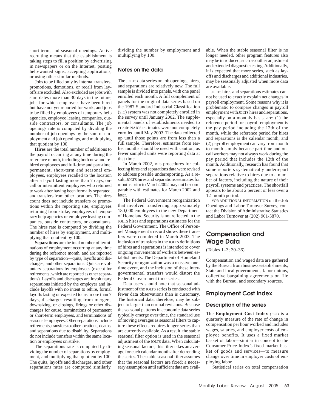short-term, and seasonal openings. Active recruiting means that the establishment is taking steps to fill a position by advertising in newspapers or on the Internet, posting help-wanted signs, accepting applications, or using other similar methods.

Jobs to be filled only by internal transfers, promotions, demotions, or recall from layoffs are excluded. Also excluded are jobs with start dates more than 30 days in the future, jobs for which employees have been hired but have not yet reported for work, and jobs to be filled by employees of temporary help agencies, employee leasing companies, outside contractors, or consultants. The job openings rate is computed by dividing the number of job openings by the sum of employment and job openings, and multiplying that quotient by 100.

**Hires** are the total number of additions to the payroll occurring at any time during the reference month, including both new and rehired employees and full-time and part-time, permanent, short-term and seasonal employees, employees recalled to the location after a layoff lasting more than 7 days, oncall or intermittent employees who returned to work after having been formally separated, and transfers from other locations. The hires count does not include transfers or promotions within the reporting site, employees returning from strike, employees of temporary help agencies or employee leasing companies, outside contractors, or consultants. The hires rate is computed by dividing the number of hires by employment, and multiplying that quotient by 100.

**Separations** are the total number of terminations of employment occurring at any time during the reference month, and are reported by type of separation—quits, layoffs and discharges, and other separations. Quits are voluntary separations by employees (except for retirements, which are reported as other separations). Layoffs and discharges are involuntary separations initiated by the employer and include layoffs with no intent to rehire, formal layoffs lasting or expected to last more than 7 days, discharges resulting from mergers, downsizing, or closings, firings or other discharges for cause, terminations of permanent or short-term employees, and terminations of seasonal employees. Other separations include retirements, transfers to other locations, deaths, and separations due to disability. Separations do not include transfers within the same location or employees on strike.

The separations rate is computed by dividing the number of separations by employment, and multiplying that quotient by 100. The quits, layoffs and discharges, and other separations rates are computed similarly, dividing the number by employment and multiplying by 100.

### **Notes on the data**

The JOLTS data series on job openings, hires, and separations are relatively new. The full sample is divided into panels, with one panel enrolled each month. A full complement of panels for the original data series based on the 1987 Standard Industrial Classification (SIC) system was not completely enrolled in the survey until January 2002. The supplemental panels of establishments needed to create NAICS estimates were not completely enrolled until May 2003. The data collected up until those points are from less than a full sample. Therefore, estimates from earlier months should be used with caution, as fewer sampled units were reporting data at that time.

In March 2002, BLS procedures for collecting hires and separations data were revised to address possible underreporting. As a result, JOLTS hires and separations estimates for months prior to March 2002 may not be comparable with estimates for March 2002 and later.

The Federal Government reorganization that involved transferring approximately 180,000 employees to the new Department of Homeland Security is not reflected in the JOLTS hires and separations estimates for the Federal Government. The Office of Personnel Management's record shows these transfers were completed in March 2003. The inclusion of transfers in the JOLTS definitions of hires and separations is intended to cover ongoing movements of workers between establishments. The Department of Homeland Security reorganization was a massive onetime event, and the inclusion of these intergovernmental transfers would distort the Federal Government time series.

Data users should note that seasonal adjustment of the JOLTS series is conducted with fewer data observations than is customary. The historical data, therefore, may be subject to larger than normal revisions. Because the seasonal patterns in economic data series typically emerge over time, the standard use of moving averages as seasonal filters to capture these effects requires longer series than are currently available. As a result, the stable seasonal filter option is used in the seasonal adjustment of the JOLTS data. When calculating seasonal factors, this filter takes an average for each calendar month after detrending the series. The stable seasonal filter assumes that the seasonal factors are fixed; a necessary assumption until sufficient data are available. When the stable seasonal filter is no longer needed, other program features also may be introduced, such as outlier adjustment and extended diagnostic testing. Additionally, it is expected that more series, such as layoffs and discharges and additional industries, may be seasonally adjusted when more data are available.

JOLTS hires and separations estimates cannot be used to exactly explain net changes in payroll employment. Some reasons why it is problematic to compare changes in payroll employment with JOLTS hires and separations, especially on a monthly basis, are: (1) the reference period for payroll employment is the pay period including the 12th of the month, while the reference period for hires and separations is the calendar month; and (2) payroll employment can vary from month to month simply because part-time and oncall workers may not always work during the pay period that includes the 12th of the month. Additionally, research has found that some reporters systematically underreport separations relative to hires due to a number of factors, including the nature of their payroll systems and practices. The shortfall appears to be about 2 percent or less over a 12-month period.

FOR ADDITIONAL INFORMATION on the Job Openings and Labor Turnover Survey, contact the Division of Administrative Statistics and Labor Turnover at (202) 961-5870.

# **Compensation and Wage Data**

(Tables 1–3; 30–36)

Compensation and waged data are gathered by the Bureau from business establishments, State and local governments, labor unions, collective bargaining agreements on file with the Bureau, and secondary sources.

# **Employment Cost Index**

### **Description of the series**

The **Employment Cost Index** (ECI) is a quarterly measure of the rate of change in compensation per hour worked and includes wages, salaries, and employer costs of employee benefits. It uses a fixed market basket of labor—similar in concept to the Consumer Price Index's fixed market basket of goods and services—to measure change over time in employer costs of employing labor.

Statistical series on total compensation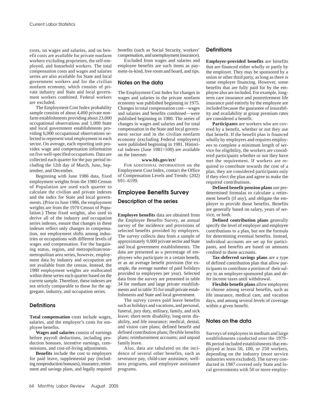costs, on wages and salaries, and on benefit costs are available for private nonfarm workers excluding proprietors, the self-employed, and household workers. The total compensation costs and wages and salaries series are also available for State and local government workers and for the civilian nonfarm economy, which consists of private industry and State and local government workers combined. Federal workers are excluded.

The Employment Cost Index probability sample consists of about 4,400 private nonfarm establishments providing about 23,000 occupational observations and 1,000 State and local government establishments providing 6,000 occupational observations selected to represent total employment in each sector. On average, each reporting unit provides wage and compensation information on five well-specified occupations. Data are collected each quarter for the pay period including the 12th day of March, June, September, and December.

Beginning with June 1986 data, fixed employment weights from the 1980 Census of Population are used each quarter to calculate the civilian and private indexes and the index for State and local governments. (Prior to June 1986, the employment weights are from the 1970 Census of Population.) These fixed weights, also used to derive all of the industry and occupation series indexes, ensure that changes in these indexes reflect only changes in compensation, not employment shifts among industries or occupations with different levels of wages and compensation. For the bargaining status, region, and metropolitan/nonmetropolitan area series, however, employment data by industry and occupation are not available from the census. Instead, the 1980 employment weights are reallocated within these series each quarter based on the current sample. Therefore, these indexes are not strictly comparable to those for the aggregate, industry, and occupation series.

### **Definitions**

**Total compensation** costs include wages, salaries, and the employer's costs for employee benefits.

**Wages and salaries** consist of earnings before payroll deductions, including production bonuses, incentive earnings, commissions, and cost-of-living adjustments.

**Benefits** include the cost to employers for paid leave, supplemental pay (including nonproduction bonuses), insurance, retirement and savings plans, and legally required benefits (such as Social Security, workers' compensation, and unemployment insurance).

Excluded from wages and salaries and employee benefits are such items as payment-in-kind, free room and board, and tips.

### **Notes on the data**

The Employment Cost Index for changes in wages and salaries in the private nonfarm economy was published beginning in 1975. Changes in total compensation cost—wages and salaries and benefits combined—were published beginning in 1980. The series of changes in wages and salaries and for total compensation in the State and local government sector and in the civilian nonfarm economy (excluding Federal employees) were published beginning in 1981. Historical indexes (June 1981=100) are available on the Internet:

### **www.bls.gov/ect/**

FOR ADDITIONAL INFORMATION on the Employment Cost Index, contact the Office of Compensation Levels and Trends: (202) 691–6199.

# **Employee Benefits Survey Description of the series**

**Employee benefits** data are obtained from the Employee Benefits Survey, an annual survey of the incidence and provisions of selected benefits provided by employers. The survey collects data from a sample of approximately 9,000 private sector and State and local government establishments. The data are presented as a percentage of employees who participate in a certain benefit, or as an average benefit provision (for example, the average number of paid holidays provided to employees per year). Selected data from the survey are presented in table 34 for medium and large private establishments and in table 35 for small private establishments and State and local government.

The survey covers paid leave benefits such as holidays and vacations, and personal, funeral, jury duty, military, family, and sick leave; short-term disability, long-term disability, and life insurance; medical, dental, and vision care plans; defined benefit and defined contribution plans; flexible benefits plans; reimbursement accounts; and unpaid family leave.

Also, data are tabulated on the incidence of several other benefits, such as severance pay, child-care assistance, wellness programs, and employee assistance programs.

### **Definitions**

**Employer-provided benefits** are benefits that are financed either wholly or partly by the employer. They may be sponsored by a union or other third party, as long as there is some employer financing. However, some benefits that are fully paid for by the employee also are included. For example, longterm care insurance and postretirement life insurance paid entirely by the employee are included because the guarantee of insurability and availability at group premium rates are considered a benefit.

**Participants** are workers who are covered by a benefit, whether or not they use that benefit. If the benefit plan is financed wholly by employers and requires employees to complete a minimum length of service for eligibility, the workers are considered participants whether or not they have met the requirement. If workers are required to contribute towards the cost of a plan, they are considered participants only if they elect the plan and agree to make the required contributions.

**Defined benefit pension plans** use predetermined formulas to calculate a retirement benefit (if any), and obligate the employer to provide those benefits. Benefits are generally based on salary, years of service, or both.

**Defined contribution plans** generally specify the level of employer and employee contributions to a plan, but not the formula for determining eventual benefits. Instead, individual accounts are set up for participants, and benefits are based on amounts credited to these accounts.

**Tax-deferred savings plans** are a type of defined contribution plan that allow participants to contribute a portion of their salary to an employer-sponsored plan and defer income taxes until withdrawal.

**Flexible benefit plans** allow employees to choose among several benefits, such as life insurance, medical care, and vacation days, and among several levels of coverage within a given benefit.

# **Notes on the data**

Surveys of employees in medium and large establishments conducted over the 1979– 86 period included establishments that employed at least 50, 100, or 250 workers, depending on the industry (most service industries were excluded). The survey conducted in 1987 covered only State and local governments with 50 or more employ-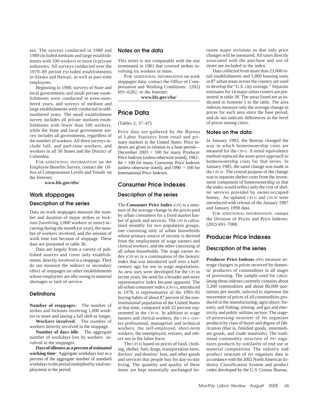ees. The surveys conducted in 1988 and 1989 included medium and large establishments with 100 workers or more in private industries. All surveys conducted over the 1979–89 period excluded establishments in Alaska and Hawaii, as well as part-time employees.

Beginning in 1990, surveys of State and local governments and small private establishments were conducted in even-numbered years, and surveys of medium and large establishments were conducted in oddnumbered years. The small establishment survey includes all private nonfarm establishments with fewer than 100 workers, while the State and local government survey includes all governments, regardless of the number of workers. All three surveys include full- and part-time workers, and workers in all 50 States and the District of Columbia.

FOR ADDITIONAL INFORMATION on the Employee Benefits Survey, contact the Office of Compensation Levels and Trends on the Internet:

 **www.bls.gov/ebs/**

# **Work stoppages Description of the series**

Data on work stoppages measure the number and duration of major strikes or lockouts (involving 1,000 workers or more) occurring during the month (or year), the number of workers involved, and the amount of work time lost because of stoppage. These data are presented in table 36.

Data are largely from a variety of published sources and cover only establishments directly involved in a stoppage. They do not measure the indirect or secondary effect of stoppages on other establishments whose employees are idle owing to material shortages or lack of service.

# **Definitions**

**Number of stoppages**: The number of strikes and lockouts involving 1,000 workers or more and lasting a full shift or longer.

**Workers involved**: The number of workers directly involved in the stoppage.

**Number of days idle**: The aggregate number of workdays lost by workers involved in the stoppages.

**Days of idleness as a percent of estimated working time**: Aggregate workdays lost as a percent of the aggregate number of standard workdays in the period multiplied by total employment in the period.

## **Notes on the data**

This series is not comparable with the one terminated in 1981 that covered strikes involving six workers or more.

FOR ADDITIONAL INFORMATION on work stoppages data, contact the Office of Compensation and Working Conditions: (202) 691–6282, or the Internet:

**www.bls.gov/cba/**

# **Price Data**

### (Tables 2; 37–47)

Price data are gathered by the Bureau of Labor Statistics from retail and primary markets in the United States. Price indexes are given in relation to a base period— December  $2003 = 100$  for many Producer Price Indexes (unless otherwise noted), 1982– 84 = 100 for many Consumer Price Indexes (unless otherwise noted), and  $1990 = 100$  for International Price Indexes.

## **Consumer Price Indexes**

### **Description of the series**

The **Consumer Price Index** (CPI) is a measure of the average change in the prices paid by urban consumers for a fixed market basket of goods and services. The CPI is calculated monthly for two population groups, one consisting only of urban households whose primary source of income is derived from the employment of wage earners and clerical workers, and the other consisting of all urban households. The wage earner index (CPI-W) is a continuation of the historic index that was introduced well over a halfcentury ago for use in wage negotiations. As new uses were developed for the CPI in recent years, the need for a broader and more representative index became apparent. The all-urban consumer index (CPI-U), introduced in 1978, is representative of the 1993–95 buying habits of about 87 percent of the noninstitutional population of the United States at that time, compared with 32 percent represented in the CPI-W. In addition to wage earners and clerical workers, the CPI-U covers professional, managerial, and technical workers, the self-employed, short-term workers, the unemployed, retirees, and others not in the labor force.

The CPI is based on prices of food, clothing, shelter, fuel, drugs, transportation fares, doctors' and dentists' fees, and other goods and services that people buy for day-to-day living. The quantity and quality of these items are kept essentially unchanged between major revisions so that only price changes will be measured. All taxes directly associated with the purchase and use of items are included in the index.

Data collected from more than 23,000 retail establishments and 5,800 housing units in 87 urban areas across the country are used to develop the "U.S. city average." Separate estimates for 14 major urban centers are presented in table 38. The areas listed are as indicated in footnote 1 to the table. The area indexes measure only the average change in prices for each area since the base period, and do not indicate differences in the level of prices among cities.

### **Notes on the data**

In January 1983, the Bureau changed the way in which homeownership costs are meaured for the CPI-U. A rental equivalence method replaced the asset-price approach to homeownership costs for that series. In January 1985, the same change was made in the CPI-W. The central purpose of the change was to separate shelter costs from the investment component of homeownership so that the index would reflect only the cost of shelter services provided by owner-occupied homes. An updated CPI-U and CPI-W were introduced with release of the January 1987 and January 1998 data.

FOR ADDITIONAL INFORMATION, contact the Division of Prices and Price Indexes: (202) 691–7000.

# **Producer Price Indexes**

## **Description of the series**

**Producer Price Indexes** (PPI) measure average changes in prices received by domestic producers of commodities in all stages of processing. The sample used for calculating these indexes currently contains about 3,200 commodities and about 80,000 quotations per month, selected to represent the movement of prices of all commodities produced in the manufacturing; agriculture, forestry, and fishing; mining; and gas and electricity and public utilities sectors. The stageof-processing structure of PPI organizes products by class of buyer and degree of fabrication (that is, finished goods, intermediate goods, and crude materials). The traditional commodity structure of PPI organizes products by similarity of end use or material composition. The industry and product structure of PPI organizes data in accordance with the 2002 North American Industry Classification System and product codes developed by the U.S. Census Bureau.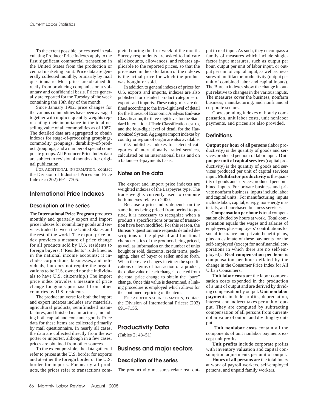To the extent possible, prices used in calculating Producer Price Indexes apply to the first significant commercial transaction in the United States from the production or central marketing point. Price data are generally collected monthly, primarily by mail questionnaire. Most prices are obtained directly from producing companies on a voluntary and confidential basis. Prices generally are reported for the Tuesday of the week containing the 13th day of the month.

Since January 1992, price changes for the various commodities have been averaged together with implicit quantity weights representing their importance in the total net selling value of all commodities as of 1987. The detailed data are aggregated to obtain indexes for stage-of-processing groupings, commodity groupings, durability-of-product groupings, and a number of special composite groups. All Producer Price Index data are subject to revision 4 months after original publication.

FOR ADDITIONAL INFORMATION, contact the Division of Industrial Prices and Price Indexes: (202) 691–7705.

# **International Price Indexes**

### **Description of the series**

The **International Price Program** produces monthly and quarterly export and import price indexes for nonmilitary goods and services traded between the United States and the rest of the world. The export price index provides a measure of price change for all products sold by U.S. residents to foreign buyers. ("Residents" is defined as in the national income accounts; it includes corporations, businesses, and individuals, but does not require the organizations to be U.S. owned nor the individuals to have U.S. citizenship.) The import price index provides a measure of price change for goods purchased from other countries by U.S. residents.

The product universe for both the import and export indexes includes raw materials, agricultural products, semifinished manufactures, and finished manufactures, including both capital and consumer goods. Price data for these items are collected primarily by mail questionnaire. In nearly all cases, the data are collected directly from the exporter or importer, although in a few cases, prices are obtained from other sources.

To the extent possible, the data gathered refer to prices at the U.S. border for exports and at either the foreign border or the U.S. border for imports. For nearly all products, the prices refer to transactions completed during the first week of the month. Survey respondents are asked to indicate all discounts, allowances, and rebates applicable to the reported prices, so that the price used in the calculation of the indexes is the actual price for which the product was bought or sold.

In addition to general indexes of prices for U.S. exports and imports, indexes are also published for detailed product categories of exports and imports. These categories are defined according to the five-digit level of detail for the Bureau of Economic Analysis End-use Classification, the three-digit level for the Standard International Trade Classification (SITC), and the four-digit level of detail for the Harmonized System. Aggregate import indexes by country or region of origin are also available.

BLS publishes indexes for selected categories of internationally traded services, calculated on an international basis and on a balance-of-payments basis.

### **Notes on the data**

The export and import price indexes are weighted indexes of the Laspeyres type. The trade weights currently used to compute both indexes relate to 2000.

Because a price index depends on the same items being priced from period to period, it is necessary to recognize when a product's specifications or terms of transaction have been modified. For this reason, the Bureau's questionnaire requests detailed descriptions of the physical and functional characteristics of the products being priced, as well as information on the number of units bought or sold, discounts, credit terms, packaging, class of buyer or seller, and so forth. When there are changes in either the specifications or terms of transaction of a product, the dollar value of each change is deleted from the total price change to obtain the "pure" change. Once this value is determined, a linking procedure is employed which allows for the continued repricing of the item.

FOR ADDITIONAL INFORMATION, contact the Division of International Prices: (202) 691–7155.

# **Productivity Data**

(Tables 2; 48–51)

### **Business and major sectors**

### **Description of the series**

The productivity measures relate real out-

put to real input. As such, they encompass a family of measures which include singlefactor input measures, such as output per hour, output per unit of labor input, or output per unit of capital input, as well as measures of multifactor productivity (output per unit of combined labor and capital inputs). The Bureau indexes show the change in output relative to changes in the various inputs. The measures cover the business, nonfarm business, manufacturing, and nonfinancial corporate sectors.

Corresponding indexes of hourly compensation, unit labor costs, unit nonlabor payments, and prices are also provided.

### **Definitions**

**Output per hour of all persons** (labor productivity) is the quantity of goods and services produced per hour of labor input. **Output per unit of capital services** (capital productivity) is the quantity of goods and services produced per unit of capital services input. **Multifactor productivity** is the quantity of goods and services produced per combined inputs. For private business and private nonfarm business, inputs include labor and capital units. For manufacturing, inputs include labor, capital, energy, nonenergy materials, and purchased business services.

**Compensation per hour** is total compensation divided by hours at work. Total compensation equals the wages and salaries of employees plus employers' contributions for social insurance and private benefit plans, plus an estimate of these payments for the self-employed (except for nonfinancial corporations in which there are no self-employed). **Real compensation per hour** is compensation per hour deflated by the change in the Consumer Price Index for All Urban Consumers.

**Unit labor costs** are the labor compensation costs expended in the production of a unit of output and are derived by dividing compensation by output. **Unit nonlabor payments** include profits, depreciation, interest, and indirect taxes per unit of output. They are computed by subtracting compensation of all persons from currentdollar value of output and dividing by output.

**Unit nonlabor costs** contain all the components of unit nonlabor payments except unit profits.

**Unit profits** include corporate profits with inventory valuation and capital consumption adjustments per unit of output.

**Hours of all persons** are the total hours at work of payroll workers, self-employed persons, and unpaid family workers.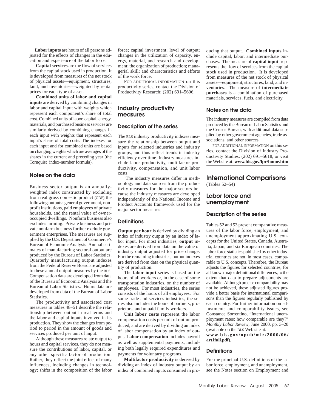**Labor inputs** are hours of all persons adjusted for the effects of changes in the education and experience of the labor force.

**Capital services** are the flow of services from the capital stock used in production. It is developed from measures of the net stock of physical assets—equipment, structures, land, and inventories—weighted by rental prices for each type of asset.

**Combined units of labor and capital inputs** are derived by combining changes in labor and capital input with weights which represent each component's share of total cost. Combined units of labor, capital, energy, materials, and purchased business services are similarly derived by combining changes in each input with weights that represent each input's share of total costs. The indexes for each input and for combined units are based on changing weights which are averages of the shares in the current and preceding year (the Tornquist index-number formula).

### **Notes on the data**

Business sector output is an annuallyweighted index constructed by excluding from real gross domestic product (GDP) the following outputs: general government, nonprofit institutions, paid employees of private households, and the rental value of owneroccupied dwellings. Nonfarm business also excludes farming. Private business and private nonfarm business further exclude government enterprises. The measures are supplied by the U.S. Department of Commerce's Bureau of Economic Analysis. Annual estimates of manufacturing sectoral output are produced by the Bureau of Labor Statistics. Quarterly manufacturing output indexes from the Federal Reserve Board are adjusted to these annual output measures by the BLS. Compensation data are developed from data of the Bureau of Economic Analysis and the Bureau of Labor Statistics. Hours data are developed from data of the Bureau of Labor Statistics.

The productivity and associated cost measures in tables 48–51 describe the relationship between output in real terms and the labor and capital inputs involved in its production. They show the changes from period to period in the amount of goods and services produced per unit of input.

Although these measures relate output to hours and capital services, they do not measure the contributions of labor, capital, or any other specific factor of production. Rather, they reflect the joint effect of many influences, including changes in technology; shifts in the composition of the labor force; capital investment; level of output; changes in the utilization of capacity, energy, material, and research and development; the organization of production; managerial skill; and characteristics and efforts of the work force.

FOR ADDITIONAL INFORMATION on this productivity series, contact the Division of Productivity Research: (202) 691–5606.

## **Industry productivity measures**

### **Description of the series**

The BLS industry productivity indexes measure the relationship between output and inputs for selected industries and industry groups, and thus reflect trends in industry efficiency over time. Industry measures include labor productivity, multifactor productivity, compensation, and unit labor costs.

 The industry measures differ in methodology and data sources from the productivity measures for the major sectors because the industry measures are developed independently of the National Income and Product Accounts framework used for the major sector measures.

### **Definitions**

**Output per hour** is derived by dividing an index of industry output by an index of labor input. For most industries, **output** indexes are derived from data on the value of industry output adjusted for price change. For the remaining industries, output indexes are derived from data on the physical quantity of production.

The **labor input** series is based on the hours of all workers or, in the case of some transportation industries, on the number of employees. For most industries, the series consists of the hours of all employees. For some trade and services industries, the series also includes the hours of partners, proprietors, and unpaid family workers.

**Unit labor costs** represent the labor compensation costs per unit of output produced, and are derived by dividing an index of labor compensation by an index of output. **Labor compensation** includes payroll as well as supplemental payments, including both legally required expenditures and payments for voluntary programs.

**Multifactor productivity** is derived by dividing an index of industry output by an index of combined inputs consumed in pro-

ducing that output. **Combined inputs** include capital, labor, and intermediate purchases. The measure of **capital input** represents the flow of services from the capital stock used in production. It is developed from measures of the net stock of physical assets—equipment, structures, land, and inventories. The measure of **intermediate purchases** is a combination of purchased materials, services, fuels, and electricity.

### **Notes on the data**

The industry measures are compiled from data produced by the Bureau of Labor Statistics and the Census Bureau, with additional data supplied by other government agencies, trade associations, and other sources.

FOR ADDITIONAL INFORMATION on this series, contact the Division of Industry Productivity Studies: (202) 691–5618, or visit the Website at: **www.bls.gov/lpc/home.htm**

# **International Comparisons**

(Tables 52–54)

# **Labor force and unemployment**

### **Description of the series**

Tables 52 and 53 present comparative measures of the labor force, employment, and unemployment approximating U.S. concepts for the United States, Canada, Australia, Japan, and six European countries. The labor force statistics published by other industrial countries are not, in most cases, comparable to U.S. concepts. Therefore, the Bureau adjusts the figures for selected countries, for all known major definitional differences, to the extent that data to prepare adjustments are available. Although precise comparability may not be achieved, these adjusted figures provide a better basis for international comparisons than the figures regularly published by each country. For further information on adjustments and comparability issues, see Constance Sorrentino, "International unemployment rates: how comparable are they?" *Monthly Labor Review*, June 2000, pp. 3–20 (available on the BLS Web site at:

**www.bls.gov/opub/mlr/2000/06/ art1full.pdf**).

### **Definitions**

For the principal U.S. definitions of the labor force, employment, and unemployment, see the Notes section on Employment and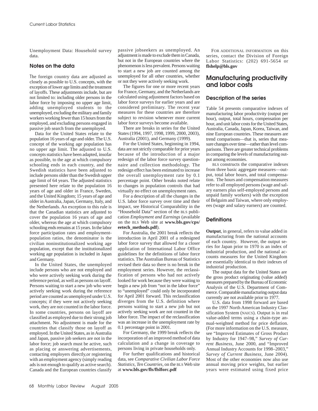Unemployment Data: Household survey data.

## **Notes on the data**

The foreign country data are adjusted as closely as possible to U.S. concepts, with the exception of lower age limits and the treatment of layoffs. These adjustments include, but are not limited to: including older persons in the labor force by imposing no upper age limit, adding unemployed students to the unemployed, excluding the military and family workers working fewer than 15 hours from the employed, and excluding persons engaged in passive job search from the unemployed.

Data for the United States relate to the population 16 years of age and older. The U.S. concept of the working age population has no upper age limit. The adjusted to U.S. concepts statistics have been adapted, insofar as possible, to the age at which compulsory schooling ends in each country, and the Swedish statistics have been adjusted to include persons older than the Swedish upper age limit of 64 years. The adjusted statistics presented here relate to the population 16 years of age and older in France, Sweden, and the United Kingdom; 15 years of age and older in Australia, Japan, Germany, Italy, and the Netherlands. An exception to this rule is that the Canadian statistics are adjusted to cover the population 16 years of age and older, whereas the age at which compulsory schooling ends remains at 15 years. In the labor force participation rates and employmentpopulation ratios, the denominator is the civilian noninstitutionalized working age population, except that the institutionalized working age population is included in Japan and Germany.

In the United States, the unemployed include persons who are not employed and who were actively seeking work during the reference period, as well as persons on layoff. Persons waiting to start a new job who were actively seeking work during the reference period are counted as unemployed under U.S. concepts; if they were not actively seeking work, they are not counted in the labor force. In some countries, persons on layoff are classified as employed due to their strong job attachment. No adjustment is made for the countries that classify those on layoff as employed. In the United States, as in Australia and Japan, passive job seekers are not in the labor force; job search must be active, such as placing or answering advertisements, contacting employers directly,or registering with an employment agency (simply reading ads is not enough to qualify as active search). Canada and the European countries classify

passive jobseekers as unemployed. An adjustment is made to exclude them in Canada, but not in the European countries where the phenomenon is less prevalent. Persons waiting to start a new job are counted among the unemployed for all other countries, whether or not they were actively seeking work.

The figures for one or more recent years for France, Germany, and the Netherlands are calculated using adjustment factors based on labor force surveys for earlier years and are considered preliminary. The recent year measures for these countries are therefore subject to revision whenever more current labor force surveys become available.

There are breaks in series for the United States (1994, 1997, 1998, 1999, 2000, 2003), Australia (2001), and Germany (1999).

For the United States, beginning in 1994, data are not strictly comparable for prior years because of the introduction of a major redesign of the labor force survey questionnaire and collection methodology. The redesign effect has been estimated to increase the overall unemployment rate by 0.1 percentage point. Other breaks noted relate to changes in population controls that had virtually no effect on unemployment rates.

For a description of all the changes in the U.S. labor force survey over time and their impact, see Historical Comparability in the "Household Data" section of the BLS publication *Employment and Earnings* (available on the BLS Web site at **www.bls.gov/cps/ eetech\_methods.pdf**).

For Australia, the 2001 break reflects the introduction in April 2001 of a redesigned labor force survey that allowed for a closer application of International Labor Office guidelines for the definitions of labor force statistics. The Australian Bureau of Statistics revised their data so there is no break in the employment series. However, the reclassification of persons who had not actively looked for work because they were waiting to begin a new job from "not in the labor force" to "unemployed" could only be incorporated for April 2001 forward. This reclassification diverges from the U.S. definition where persons waiting to start a new job but not actively seeking work are not counted in the labor force. The impact of the reclassification was an increase in the unemployment rate by 0.1 percentage point in 2001.

For Germany, the 1999 break reflects the incorporation of an improved method of data calculation and a change in coverage to persons living in private households only.

For further qualifications and historical data, see *Comparative Civilian Labor Force Statistics, Ten Countries,* on the BLS Web site at **www.bls.gov/fls/flslforc.pdf**

FOR ADDITIONAL INFORMATION on this series, contact the Division of Foreign Labor Statistics: (202) 691-5654 or **flshelp@bls.gov**

# **Manufacturing productivity and labor costs**

### **Description of the series**

Table 54 presents comparative indexes of manufacturing labor productivity (output per hour), output, total hours, compensation per hour, and unit labor costs for the United States, Australia, Canada, Japan, Korea, Taiwan, and nine European countries. These measures are trend comparisons—that is, series that measure changes over time—rather than level comparisons. There are greater technical problems in comparing the levels of manufacturing output among economies.

BLS constructs the comparative indexes from three basic aggregate measures—output, total labor hours, and total compensation. The hours and compensation measures refer to all employed persons (wage and salary earners plus self-employed persons and unpaid family workers) with the exception of Belguim and Taiwan, where only employees (wage and salary earners) are counted.

## **Definitions**

**Output**, in general, refers to value added in manufacturing from the national accounts of each country. However, the output series for Japan prior to 1970 is an index of industrial production, and the national accounts measures for the United Kingdom are essentially identical to their indexes of industrial production.

The output data for the United States are the gross product originating (value added) measures prepared by the Bureau of Economic Analysis of the U.S. Department of Commerce. Comparable manufacturing output data currently are not available prior to 1977.

U.S. data from 1998 forward are based on the 1997 North American Industry Classification System (NAICS). Output is in real value-added terms using a chain-type annual-weighted method for price deflation. (For more information on the U.S. measure, see "Improved Estimates of Gross Product by Industry for 1947–98," *Survey of Current Business*, June 2000, and "Improved Annual Industry Accounts for 1998–2003," *Survey of Current Business*, June 2004). Most of the other economies now also use annual moving price weights, but earlier years were estimated using fixed price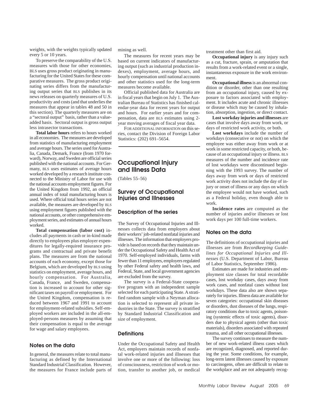weights, with the weights typically updated every 5 or 10 years.

To preserve the comparability of the U.S. measures with those for other economies, BLS uses gross product originating in manufacturing for the United States for these comparative measures. The gross product originating series differs from the manufacturing output series that BLS publishes in its news releases on quarterly measures of U.S. productivity and costs (and that underlies the measures that appear in tables 48 and 50 in this section). The quarterly measures are on a "sectoral output" basis, rather than a valueadded basis. Sectoral output is gross output less intrasector transactions.

**Total labor hours** refers to hours worked in all economies. The measures are developed from statistics of manufacturing employment and average hours. The series used for Australia, Canada, Demark, France (from 1970 forward), Norway, and Sweden are official series published with the national accounts. For Germany, BLS uses estimates of average hours worked developed by a research institute connected to the Ministry of Labor for use with the national accounts employment figures. For the United Kingdom from 1992, an official annual index of total manufacturing hours is used. Where official total hours series are not available, the measures are developed by BLS using employment figures published with the national accounts, or other comprehensive employment series, and estimates of annual hours worked.

**Total compensation (labor cost)** includes all payments in cash or in-kind made directly to employees plus employer expenditures for legally-required insurance programs and contractual and private benefit plans. The measures are from the national accounts of each economy, except those for Belgium, which are developed by BLS using statistics on employment, average hours, and hourly compensation. For Australia, Canada, France, and Sweden, compensation is increased to account for other significant taxes on payroll or employment. For the United Kingdom, compensation is reduced between 1967 and 1991 to account for employment-related subsidies. Self-employed workers are included in the all-employed-persons measures by assuming that their compensation is equal to the average for wage and salary employees.

## **Notes on the data**

In general, the measures relate to total manufacturing as defined by the International Standard Industrial Classification. However, the measures for France include parts of mining as well.

The measures for recent years may be based on current indicators of manufacturing output (such as industrial production indexes), employment, average hours, and hourly compensation until national accounts and other statistics used for the long-term measures become available.

Official published data for Australia are in fiscal years that begin on July 1. The Australian Bureau of Statistics has finished calendar-year data for recent years for output and hours. For earlier years and for compensation, data are BLS estimates using 2 year moving averages of fiscal year data.

FOR ADDITIONAL INFORMATION on this series, contact the Division of Foreign Labor Statistics: (202) 691–5654.

# **Occupational Injury and Illness Data**

(Tables 55–56)

# **Survey of Occupational Injuries and Illnesses**

### **Description of the series**

The Survey of Occupational Injuries and Illnesses collects data from employers about their workers' job-related nonfatal injuries and illnesses. The information that employers provide is based on records that they maintain under the Occupational Safety and Health Act of 1970. Self-employed individuals, farms with fewer than 11 employees, employers regulated by other Federal safety and health laws, and Federal, State, and local government agencies are excluded from the survey.

The survey is a Federal-State cooperative program with an independent sample selected for each participating State. A stratified random sample with a Neyman allocation is selected to represent all private industries in the State. The survey is stratified by Standard Industrial Classification and size of employment.

## **Definitions**

Under the Occupational Safety and Health Act, employers maintain records of nonfatal work-related injuries and illnesses that involve one or more of the following: loss of consciousness, restriction of work or motion, transfer to another job, or medical treatment other than first aid.

**Occupational injury** is any injury such as a cut, fracture, sprain, or amputation that results from a work-related event or a single, instantaneous exposure in the work environment.

**Occupational illness** is an abnormal condition or disorder, other than one resulting from an occupational injury, caused by exposure to factors associated with employment. It includes acute and chronic illnesses or disease which may be caused by inhalation, absorption, ingestion, or direct contact.

**Lost workday injuries and illnesses** are cases that involve days away from work, or days of restricted work activity, or both.

**Lost workdays** include the number of workdays (consecutive or not) on which the employee was either away from work or at work in some restricted capacity, or both, because of an occupational injury or illness. BLS measures of the number and incidence rate of lost workdays were discontinued beginning with the 1993 survey. The number of days away from work or days of restricted work activity does not include the day of injury or onset of illness or any days on which the employee would not have worked, such as a Federal holiday, even though able to work.

**Incidence rates** are computed as the number of injuries and/or illnesses or lost work days per 100 full-time workers.

### **Notes on the data**

The definitions of occupational injuries and illnesses are from *Recordkeeping Guidelines for Occupational Injuries and Illnesses* (U.S. Department of Labor, Bureau of Labor Statistics, September 1986).

Estimates are made for industries and employment size classes for total recordable cases, lost workday cases, days away from work cases, and nonfatal cases without lost workdays. These data also are shown separately for injuries. Illness data are available for seven categories: occupational skin diseases or disorders, dust diseases of the lungs, respiratory conditions due to toxic agents, poisoning (systemic effects of toxic agents), disorders due to physical agents (other than toxic materials), disorders associated with repeated trauma, and all other occupational illnesses.

The survey continues to measure the number of new work-related illness cases which are recognized, diagnosed, and reported during the year. Some conditions, for example, long-term latent illnesses caused by exposure to carcinogens, often are difficult to relate to the workplace and are not adequately recog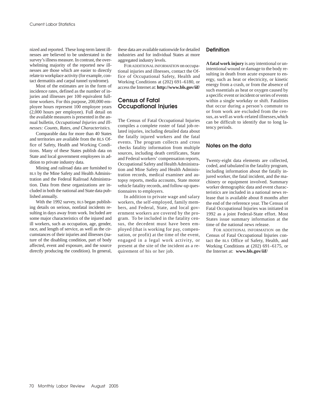nized and reported. These long-term latent illnesses are believed to be understated in the survey's illness measure. In contrast, the overwhelming majority of the reported new illnesses are those which are easier to directly relate to workplace activity (for example, contact dermatitis and carpal tunnel syndrome).

Most of the estimates are in the form of incidence rates, defined as the number of injuries and illnesses per 100 equivalent fulltime workers. For this purpose, 200,000 employee hours represent 100 employee years (2,000 hours per employee). Full detail on the available measures is presented in the annual bulletin, *Occupational Injuries and Illnesses: Counts, Rates, and Characteristics.*

Comparable data for more than 40 States and territories are available from the BLS Office of Safety, Health and Working Conditions. Many of these States publish data on State and local government employees in addition to private industry data.

Mining and railroad data are furnished to BLS by the Mine Safety and Health Administration and the Federal Railroad Administration. Data from these organizations are included in both the national and State data published annually.

With the 1992 survey, BLS began publishing details on serious, nonfatal incidents resulting in days away from work. Included are some major characteristics of the injured and ill workers, such as occupation, age, gender, race, and length of service, as well as the circumstances of their injuries and illnesses (nature of the disabling condition, part of body affected, event and exposure, and the source directly producing the condition). In general,

these data are available nationwide for detailed industries and for individual States at more aggregated industry levels.

FOR ADDITIONAL INFORMATION on occupational injuries and illnesses, contact the Office of Occupational Safety, Health and Working Conditions at (202) 691–6180, or access the Internet at: **http://www.bls.gov/iif/**

# **Census of Fatal Occupational Injuries**

The Census of Fatal Occupational Injuries compiles a complete roster of fatal job-related injuries, including detailed data about the fatally injured workers and the fatal events. The program collects and cross checks fatality information from multiple sources, including death certificates, State and Federal workers' compensation reports, Occupational Safety and Health Administration and Mine Safety and Health Administration records, medical examiner and autopsy reports, media accounts, State motor vehicle fatality records, and follow-up questionnaires to employers.

In addition to private wage and salary workers, the self-employed, family members, and Federal, State, and local government workers are covered by the program. To be included in the fatality census, the decedent must have been employed (that is working for pay, compensation, or profit) at the time of the event, engaged in a legal work activity, or present at the site of the incident as a requirement of his or her job.

### **Definition**

**A fatal work injury** is any intentional or unintentional wound or damage to the body resulting in death from acute exposure to energy, such as heat or electricity, or kinetic energy from a crash, or from the absence of such essentials as heat or oxygen caused by a specific event or incident or series of events within a single workday or shift. Fatalities that occur during a person's commute to or from work are excluded from the census, as well as work-related illnesses,which can be difficult to identify due to long latency periods.

## **Notes on the data**

Twenty-eight data elements are collected, coded, and tabulated in the fatality program, including information about the fatally injured worker, the fatal incident, and the machinery or equipment involved. Summary worker demographic data and event characteristics are included in a national news release that is available about 8 months after the end of the reference year. The Census of Fatal Occupational Injuries was initiated in 1992 as a joint Federal-State effort. Most States issue summary information at the time of the national news release.

 FOR ADDITIONAL INFORMATION on the Census of Fatal Occupational Injuries contact the BLS Office of Safety, Health, and Working Conditions at (202) 691–6175, or the Internet at: **www.bls.gov/iif/**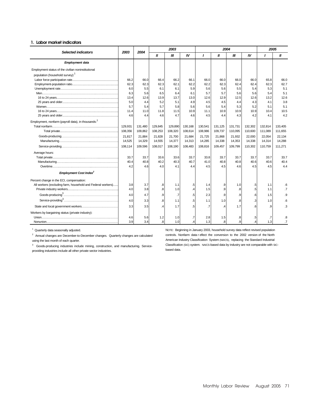### **1. Labor market indicators**

| <b>Selected indicators</b>                                  |         | 2004    |                   | 2003    |               |           | 2004          | 2005    |         |         |                |
|-------------------------------------------------------------|---------|---------|-------------------|---------|---------------|-----------|---------------|---------|---------|---------|----------------|
|                                                             | 2003    |         | $\mathbf{u}$      | Ш       | IV            | п         | $\mathbf{I}$  | Ш       | IV      | п       | $\mathbf{I}$   |
| <b>Employment data</b>                                      |         |         |                   |         |               |           |               |         |         |         |                |
| Employment status of the civilian noninstitutional          |         |         |                   |         |               |           |               |         |         |         |                |
| population (household survey):                              |         |         |                   |         |               |           |               |         |         |         |                |
|                                                             | 66.2    | 66.0    | 66.4              | 66.2    | 66.1          | 66.0      | 66.0          | 66.0    | 66.0    | 65.8    | 66.0           |
|                                                             | 62.3    | 62.3    | 62.3              | 62.1    | 62.2          | 62.2      | 62.3          | 62.4    | 62.4    | 62.3    | 62.7           |
|                                                             | 6.0     | 5.5     | 6.1               | 6.1     | 5.9           | 5.6       | 5.6           | 5.5     | 5.4     | 5.3     | 5.1            |
|                                                             | 6.3     | 5.6     | 6.5               | 6.4     | 6.1           | 5.7       | 5.7           | 5.6     | 5.6     | 5.4     | 5.1            |
|                                                             | 13.4    | 12.6    | 13.9              | 13.7    | 13.0          | 12.6      | 12.9          | 12.5    | 12.6    | 13.2    | 12.6           |
|                                                             | 5.0     | 4.4     | 5.2               | 5.1     | 4.9           | 4.5       | 4.5           | 4.4     | 4.3     | 4.1     | 3.8            |
|                                                             | 5.7     | 5.4     | 5.7               | 5.8     | 5.6           | 5.6       | 5.4           | 5.3     | 5.2     | 5.1     | 5.1            |
|                                                             | 11.4    | 11.0    | 11.8              | 11.5    | 10.9          | 11.1      | 10.9          | 10.9    | 10.9    | 10.4    | 10.5           |
|                                                             | 4.6     | 4.4     | 4.6               | 4.7     | 4.6           | 4.5       | 4.4           | 4.3     | 4.2     | 4.1     | 4.2            |
| Employment, nonfarm (payroll data), in thousands:           |         |         |                   |         |               |           |               |         |         |         |                |
|                                                             | 129,931 | 131,480 | 129,845           | 129,890 | 130,168       | 130,541   | 131,125       | 131,731 | 132,302 | 132,814 | 133.405        |
|                                                             | 108,356 | 109,862 | 108,253           | 108,320 | 108,614       | 108,986   | 109,737       | 110,095 | 110,600 | 111,089 | 111,655        |
|                                                             | 21,817  | 21,884  | 21,828            | 21,700  | 21,684        | 21,725    | 21,868        | 21,932  | 22,000  | 22,054  | 22,134         |
|                                                             | 14,525  | 14,329  | 14,555            | 14,377  | 14,313        | 14,285    | 14,338        | 14,353  | 14,338  | 14,314  | 14,288         |
|                                                             | 108.114 | 109,596 | 108,017           | 108,190 | 108,483       | 108,816   | 109,457       | 109,799 | 110,302 | 110,759 | 111.271        |
| Average hours:                                              |         |         |                   |         |               |           |               |         |         |         |                |
|                                                             | 33.7    | 33.7    | 33.6              | 33.6    | 33.7          | 33.8      | 33.7          | 33.7    | 33.7    | 33.7    | 33.7           |
|                                                             | 40.4    | 40.8    | 40.2              | 40.3    | 40.7          | 41.0      | 40.8          | 40.8    | 40.6    | 40.6    | 40.4           |
|                                                             | 4.2     | 4.6     | 4.0               | 4.1     | 4.4           | 4.5       | 4.5           | 4.6     | 4.5     | 4.5     | 4.4            |
| Employment Cost Index <sup>2</sup>                          |         |         |                   |         |               |           |               |         |         |         |                |
| Percent change in the ECI, compensation:                    |         |         |                   |         |               |           |               |         |         |         |                |
| All workers (excluding farm, household and Federal workers) | 3.8     | 3.7     | $\boldsymbol{.8}$ | 1.1     | .5            | 1.4       | .9            | 1.0     | .5      | 1.1     | 6              |
|                                                             | 4.0     | 3.8     | 8.5               | 1.0     | $\mathcal{A}$ | 1.5       | .9            | .8      | .5      | 1.1     | .7             |
|                                                             | 4.0     | 4.7     | .9                | .7      | .5            | 2.3       | .9            | .9      | .6      | 1.5     | 9              |
|                                                             | 4.0     | 3.3     | 8.                | 1.1     | .5            | 1.1       | 1.0           | .8      | .3      | 1.0     | 6              |
|                                                             | 3.3     | 3.5     | $\mathcal{A}$     | 1.7     | .5            | $\cdot$ 7 | $\mathcal{A}$ | 1.7     | .6      | .9      | 3              |
| Workers by bargaining status (private industry):            |         |         |                   |         |               |           |               |         |         |         |                |
|                                                             | 4.6     | 5.6     | 1.2               | 1.0     |               | 2.8       | 1.5           | .8      | .5      | .7      | 8.             |
|                                                             | 3.9     | 3.4     | .8                | 1.0     | $\cdot$       | 1.3       | .8            | .9      | $\cdot$ | 1.3     | $\overline{7}$ |

1 Quarterly data seasonally adjusted.

<sup>2</sup> Annual changes are December-to-December changes. Quarterly changes are calculated using the last month of each quarter.

<sup>3</sup> Goods-producing industries include mining, construction, and manufacturing. Serviceproviding industries include all other private sector industries.

NOTE: Beginning in January 2003, household survey data reflect revised population controls. Nonfarm data r eflect the conversion to the 2002 version of the North American Industry Classification System (NAICS), replacing the Standard Industrial Classification (SIC) system. NAICS-based data by industry are not comparable with SICbased data.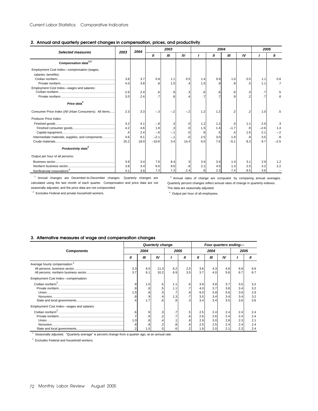| <b>Selected measures</b>                              |                      | 2004 |                 | 2003  |                |     | 2004 | 2005           |                |           |        |
|-------------------------------------------------------|----------------------|------|-----------------|-------|----------------|-----|------|----------------|----------------|-----------|--------|
|                                                       | 2003                 |      | Ш               | Ш     | IV             |     | Ш    | Ш              | IV             |           | Ш      |
| Compensation data <sup>1,2</sup>                      |                      |      |                 |       |                |     |      |                |                |           |        |
| Employment Cost Index-compensation (wages,            |                      |      |                 |       |                |     |      |                |                |           |        |
| salaries, benefits):                                  |                      |      |                 |       |                |     |      |                |                |           |        |
|                                                       | 3.8                  | 3.7  | 0.8             | 1.1   | 0.5            | 1.4 | 0.9  | 1.0            | 0.5            | 1.1       | 0.6    |
|                                                       | 4.0                  | 3.8  | .8              | 1.0   | .4             | 1.5 | .9   | .8             | .5             | 1.1       | .7     |
| Employment Cost Index-wages and salaries:             |                      |      |                 |       |                |     |      |                |                |           |        |
|                                                       | 2.9                  | 2.4  | .6              | .9    | .3             | .6  | .6   | .9             | .3             | $\cdot$ 7 | .5     |
|                                                       | 3.0                  | 2.4  | $\overline{.7}$ | .8    | 4              | .7  | .7   | .9             | $\overline{2}$ | .7        | .6     |
| Price data <sup>1</sup>                               |                      |      |                 |       |                |     |      |                |                |           |        |
| Consumer Price Index (All Urban Consumers): All Items | 2.3                  | 3.3  | $-.3$           | $-.2$ | $-.2$          | 1.2 | 1.2  | $\overline{2}$ | $\overline{2}$ | 1.0       | .5     |
| Producer Price Index:                                 |                      |      |                 |       |                |     |      |                |                |           |        |
|                                                       | 3.2                  | 4.1  | $-.8$           | .3    | .0             | 1.2 | 1.2  | .0             | 1.1            | 2.0       | .3     |
|                                                       | 4.2                  | 4.6  | 1.8             | .3    | $\Omega$       | 1.5 | 1.4  | $-1.7$         | .9             | $-2.6$    | 1.4    |
|                                                       | $\cdot$ <sup>4</sup> | 2.4  | $-.6$           | $-.1$ | .0             | .6  | .5   | .4             | 1.6            | 2.1       | $-.2$  |
| Intermediate materials, supplies, and components      | 4.6                  | 9.1  | $-2.1$          | $-.1$ | $\Omega$       | 2.5 | 3.0  | 1.9            | .9             | 3.5       | .8     |
|                                                       | 25.2                 | 18.0 | $-10.6$         | 3.4   | 14.4           | 6.0 | 7.6  | $-5.1$         | 8.3            | 9.7       | $-2.5$ |
| Productivity data <sup>3</sup>                        |                      |      |                 |       |                |     |      |                |                |           |        |
| Output per hour of all persons:                       |                      |      |                 |       |                |     |      |                |                |           |        |
|                                                       | 3.9                  | 3.4  | 7.6             | 8.4   | .3             | 3.4 | 3.4  | 1.4            | 3.1            | 2.9       | 1.2    |
|                                                       | 3.8                  | 3.4  | 6.6             | 9.6   | $\overline{8}$ | 2.1 | 4.5  | 1.3            | 2.5            | 3.2       | 2.2    |
|                                                       | 4.1                  | 3.9  | 7.3             | 7.3   | 2.4            | .8  | 2.3  | 7.4            | 8.5            | 3.6       |        |

### **2. Annual and quarterly percent changes in compensation, prices, and productivity**

<sup>1</sup> Annual changes are December-to-December changes. Quarterly changes are calculated using the last month of each quarter. Compensation and price data are not seasonally adjusted, and the price data are not compounded.

Quarterly percent changes reflect annual rates of change in quarterly indexes. The data are seasonally adjusted.

<sup>3</sup> Annual rates of change are computed by comparing annual averages.

2 Excludes Federal and private household workers.

4 Output per hour of all employees.

### **3. Alternative measures of wage and compensation changes**

|                                           |     |      | Quarterly change |      | Four quarters ending- |     |      |      |     |     |
|-------------------------------------------|-----|------|------------------|------|-----------------------|-----|------|------|-----|-----|
| <b>Components</b>                         |     | 2004 |                  | 2005 |                       |     | 2004 | 2005 |     |     |
|                                           | Ш   | Ш    | IV               |      | Ш                     | Ш   | Ш    | IV   |     |     |
| Average hourly compensation:              |     |      |                  |      |                       |     |      |      |     |     |
|                                           | 3.3 | 6.5  | 11.3             | 6.2  | 2.5                   | 3.6 | 4.3  | 4.8  | 6.8 | 6.6 |
|                                           | 3.7 | 6.1  | 10.2             | 6.9  | 3.5                   | 3.7 | 4.0  | 5.8  | 6.7 | 6.7 |
| Employment Cost Index-compensation:       |     |      |                  |      |                       |     |      |      |     |     |
|                                           | .9  | 1.0  | .5               | 1.1  | .6                    | 3.9 | 3.8  | 3.7  | 3.5 | 3.2 |
|                                           | .9  | .8   | .5               | 1.1  | .7                    | 4.0 | 3.7  | 3.8  | 3.4 | 3.2 |
|                                           | .5  | 8.   |                  |      | .8                    | 6.0 | 5.8  | 5.6  | 3.6 | 2.9 |
|                                           | .8  | .9   |                  | 1.3  | .7                    | 3.5 | 3.4  | 3.4  | 3.4 | 3.2 |
|                                           |     | 1.7  | .6               | .9   | .3                    | 3.4 | 3.4  | 3.5  | 3.6 | 3.6 |
| Employment Cost Index-wages and salaries: |     |      |                  |      |                       |     |      |      |     |     |
|                                           | .6  | .9   | .3               |      | .5                    | 2.5 | 2.4  | 2.4  | 2.4 | 2.4 |
|                                           |     | .9   |                  |      | .6                    | 2.6 | 2.6  | 2.4  | 2.4 | 2.4 |
|                                           | 1.0 | 8.   |                  |      | .8                    | 2.9 | 3.0  | 2.8  | 2.3 | 2.1 |
|                                           | .6  | 8.   |                  | .8   | .6                    | 2.5 | 2.5  | 2.4  | 2.4 | 2.4 |
|                                           |     | 1.0  |                  | .6   |                       | 1.9 | 2.0  | 2.1  | 2.3 | 2.4 |

<sup>1</sup> Seasonally adjusted. "Quarterly average" is percent change from a quarter ago, at an annual rate.

<sup>2</sup> Excludes Federal and household workers.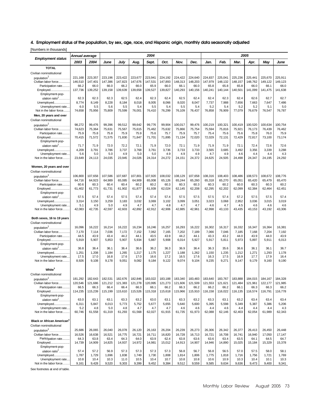**4. Employment status of the population, by sex, age, race, and Hispanic origin, monthly data seasonally adjusted** 

#### [Numbers in thousands]

|                                              | Annual average |               | 2004          |               |               |               |               |               |               | 2005          |               |               |               |               |               |
|----------------------------------------------|----------------|---------------|---------------|---------------|---------------|---------------|---------------|---------------|---------------|---------------|---------------|---------------|---------------|---------------|---------------|
| <b>Employment status</b>                     | 2003           | 2004          | June          | July          | Aug.          | Sept.         | Oct.          | Nov.          | Dec.          | Jan.          | Feb.          | Mar.          | Apr.          | May           | June          |
| <b>TOTAL</b>                                 |                |               |               |               |               |               |               |               |               |               |               |               |               |               |               |
| Civilian noninstitutional                    |                |               |               |               |               |               |               |               |               |               |               |               |               |               |               |
| population <sup>1</sup>                      | 221,168        | 223,357       | 223,196       | 223,422       | 223,677       | 223,941       | 224,192       | 224.422       | 224.640       | 224,837       | 225,041       | 225,236       | 225,441       | 225,670       | 225,911       |
| Civilian labor force                         | 146,510        | 147,401       | 147,386       | 147,823       | 147,676       | 147,531       | 147,893       | 148,313       | 148,203       | 147,979       | 148,132       | 148,157       | 148,762       | 149,122       | 149,123       |
| Participation rate                           | 66.2           | 66.0          | 66.0          | 66.2          | 66.0          | 65.9          | 66.0          | 66.1          | 66.0          | 65.8          | 65.8          | 65.8          | 66.0          | 66.1          | 66.0          |
| Employed                                     | 137,736        | 139,252       | 139,158       | 139,639       | 139,658       | 139,527       | 139,827       | 140,293       | 140,156       | 140,241       | 140,144       | 140,501       | 141,099       | 141,475       | 141,638       |
| Employment-pop-                              | 62.3           | 62.3          | 62.3          | 62.5          | 62.4          | 62.3          | 62.4          | 62.5          | 62.4          | 62.4          | 62.3          | 62.4          | 62.6          | 62.7          | 62.7          |
| ulation $ratio^2$<br>Unemployed              | 8,774          | 8,149         | 8,228         | 8,184         | 8,018         | 8,005         | 8,066         | 8,020         | 8,047         | 7,737         | 7,988         | 7,656         | 7,663         | 7,647         | 7,486         |
| Unemployment rate                            | 6.0            | 5.5           | 5.6           | 5.5           | 5.4           | 5.5           | 5.4           | 5.5           | 5.4           | 5.2           | 5.4           | 5.2           | 5.2           | 5.1           | 5.0           |
| Not in the labor force                       | 74,658         | 75,956        | 75,809        | 75,599        | 76,001        | 76,410        | 76,299        | 76,109        | 76,437        | 76,858        | 76,909        | 77,079        | 76,679        | 76,547        | 76,787        |
| Men, 20 years and over                       |                |               |               |               |               |               |               |               |               |               |               |               |               |               |               |
| Civilian noninstitutional                    |                |               |               |               |               |               |               |               |               |               |               |               |               |               |               |
| population <sup>1</sup>                      | 98,272         | 99,476        | 99,396        | 99,512        | 99,642        | 99,776        | 99,904        | 100,017       | 99,476        | 100,219       | 100,321       | 100,419       | 100,520       | 100,634       | 100,754       |
| Civilian labor force                         | 74,623         | 75,364        | 75,631        | 75,567        | 75,615        | 75,462        | 75,632        | 75,866        | 75,754        | 75,594        | 75,816        | 75,921        | 76,173        | 76,439        | 76,462        |
| Participation rate                           | 75.9           | 75.8          | 75.8          | 75.9          | 75.9          | 75.6          | 75.7          | 75.9          | 75.7          | 75.4          | 75.6          | 75.6          | 75.8          | 76.0          | 75.9          |
| Employed                                     | 70,415         | 71,572        | 71,575        | 71,830        | 71,847        | 71,701        | 71,895        | 71,134        | 72,020        | 72,029        | 72,131        | 72,429        | 72,817        | 73,100        | 73,174        |
| Employment-pop-                              |                |               |               |               |               |               |               |               |               |               |               |               |               |               |               |
| ulation ratio <sup>2</sup>                   | 71.7           | 71.9          | 72.0          | 72.2          | 72.1          | 71.9          | 72.0          | 72.1          | 71.9          | 71.9          | 71.9          | 72.1          | 72.4          | 72.6          | 72.6          |
| Unemployed                                   | 4,209          | 3,791         | 3,786         | 3,737         | 3,768         | 3,761         | 3,736         | 3,733         | 3,733         | 3,565         | 3,685         | 3,492         | 3,356         | 3,339         | 3,288         |
| Unemployment rate                            | 5.6            | 5.0           | 5.0           | 4.9           | 5.0           | 5.0           | 4.9           | 4.9           | 4.9           | 4.7           | 4.9           | 4.6           | 4.4           | 4.4           | 4.3           |
| Not in the labor force                       | 23,649         | 24,113        | 24,035        | 23,945        | 24,026        | 24,314        | 24,272        | 24,151        | 24,372        | 24,625        | 24,505        | 24,498        | 24,347        | 24,195        | 24,292        |
| Women, 20 years and over                     |                |               |               |               |               |               |               |               |               |               |               |               |               |               |               |
| Civilian noninstitutional                    |                |               |               |               |               |               |               |               |               |               |               |               |               |               |               |
| population <sup>1</sup>                      | 106,800        | 107.658       | 107.586       | 107,687       | 107,801       | 107,920       | 108,032       | 108,129       | 107,658       | 108.316       | 108,403       | 108.486       | 108,573       | 108,672       | 108,776       |
| Civilian labor force                         | 64,716         | 64,923        | 64,989        | 65,085        | 64,909        | 65,008        | 65,126        | 65,244        | 65,260        | 65,318        | 65,270        | 65,051        | 65,420        | 65,479        | 65,470        |
| Participation rate                           | 60.6           | 60.3          | 60.4          | 60.4          | 60.2          | 60.2          | 60.3          | 60.3          | 60.3          | 60.3          | 60.2          | 60.0          | 60.3          | 60.3          | 60.2          |
| Employed                                     | 61,402         | 61,773        | 61,731        | 61,902        | 61,877        | 61,939        | 62,024        | 62,145        | 62,208        | 62,295        | 62,202        | 62,099        | 62,384        | 62,464        | 62,451        |
| Employment-pop-                              |                |               |               |               |               |               |               |               |               |               |               |               |               |               |               |
| ulation ratio <sup>2</sup>                   | 57.5           | 57.4          | 57.4          | 57.5          | 57.4          | 57.4          | 57.4          | 57.5          | 57.5          | 57.5          | 57.4          | 57.2          | 57.5          | 57.5          | 57.4          |
| Unemployed                                   | 3,314          | 3,150         | 3,259         | 3,183         | 3,032         | 3,069         | 3,102         | 3,099         | 3,051         | 3,023         | 3,068         | 2,952         | 3,036         | 3,015         | 3,019         |
| Unemployment rate                            | 5.1            | 4.9           | 5.0           | 4.9           | 4.7           | 4.7           | 4.8           | 4.7           | 4.7           | 4.6           | 4.7           | 4.5           | 4.6           | 4.6           | 4.6           |
| Not in the labor force                       | 42,083         | 42,735        | 42,597        | 42,603        | 42,892        | 42,912        | 42,906        | 42,885        | 42,961        | 42,998        | 43,133        | 43,435        | 43,153        | 43,192        | 43,306        |
| Both sexes, 16 to 19 years                   |                |               |               |               |               |               |               |               |               |               |               |               |               |               |               |
| Civilian noninstitutional                    |                |               |               |               |               |               |               |               |               |               |               |               |               |               |               |
| population <sup>1</sup>                      | 16,096         | 16,222        | 16,214        | 16,222        | 16,234        | 16,246        | 16,257        | 16,293        | 16,222        | 16,302        | 16,317        | 16,332        | 16,347        | 16,364        | 16,381        |
| Civilian labor force                         | 7,170          | 7,114         | 7,036         | 7,172         | 7,152         | 7,062         | 7,165         | 7,202         | 7,189         | 7,066         | 7,046         | 7,185         | 7,168         | 7,204         | 7,192         |
| Participation rate                           | 44.5           | 43.9          | 43.4          | 44.2          | 44.1          | 43.5          | 43.9          | 44.2          | 44.1          | 43.3          | 43.2          | 44.0          | 43.9          | 44.0          | 43.9          |
| Employed                                     | 5,919          | 5,907         | 5,853         | 5,907         | 5,934         | 5,887         | 5,908         | 6,014         | 5,927         | 5,917         | 5,811         | 5,973         | 5,897         | 5,911         | 6,013         |
| Employment-pop-                              |                |               |               |               |               |               |               |               |               |               |               |               |               |               |               |
| ulation ratio <sup>2</sup>                   | 36.8           | 36.4          | 36.1          | 36.4          | 36.6          | 36.2          | 36.3          | 36.9          | 36.4          | 36.3          | 35.6          | 36.6          | 36.1          | 36.1          | 36.7          |
| Unemployed                                   | 1,251          | 1,208         | 1,184         | 1,265         | 1,217         | 1,175         | 1,227         | 1,188         | 1,262         | 1,150         | 1,235         | 1,212         | 1,271         | 1,293         | 1,178         |
| Unemployment rate                            | 17.5           | 17.0          | 16.8          | 17.6          | 17.0          | 16.6          | 17.2          | 16.5          | 17.6          | 16.3          | 17.5          | 16.9          | 17.7          | 17.9          | 16.4          |
| Not in the labor force                       | 8,926          | 9,108         | 9,178         | 9,051         | 9,082         | 9,184         | 9,122         | 9,074         | 9,104         | 9,235         | 9,271         | 9,147         | 9,179         | 9,160         | 9,190         |
| White <sup>3</sup>                           |                |               |               |               |               |               |               |               |               |               |               |               |               |               |               |
| Civilian noninstitutional                    |                |               |               |               |               |               |               |               |               |               |               |               |               |               |               |
| population <sup>1</sup><br>.                 | 181,292        | 182,643       | 182,531       | 182,676       | 182,846       | 183,022       | 183,188       | 183,340       | 183,483       | 183,640       | 183,767       | 183,888       | 184,015       | 184,167       | 184,328       |
| Civilian labor force                         | 120,546        | 121,686       | 121,212       | 121,383       | 121,278       | 120,995       | 121,273       | 121,606       | 121,509       | 121,553       | 121,621       | 121,484       | 121,961       | 122,177       | 121.985       |
| Participation rate                           | 66.5           | 66.3          | 66.4          | 66.4          | 66.3          | 66.1          | 66.2          | 66.3          | 66.2          | 66.2          | 66.2          | 66.1          | 66.3          | 66.3          | 66.2          |
| Employed                                     | 114,235        | 115,239       | 115,199       | 115,610       | 115,526       | 115,318       | 115,618       | 115,966       | 115,910       | 116,158       | 116,022       | 116,135       | 116,574       | 116,791       | 116,778       |
| Employment-pop-                              |                |               |               |               |               |               |               |               |               |               |               |               |               |               |               |
| ulation $ratio^2$                            | 63.0           | 63.1          | 63.1          | 63.3          | 63.2          | 63.0          | 63.1          | 63.3          | 63.2          | 63.3          | 63.1          | 63.2          | 63.4          | 63.4          | 63.4          |
| Unemployed                                   | 6,311          | 5,847         | 6,013         | 5,773         | 5,752         | 5,677         | 5,655         | 5,640         | 5,600         | 5,395         | 5,598         | 5,349         | 5,387         | 5,386         | 5,206         |
| Unemployment rate<br>Not in the labor force  | 5.2<br>60,746  | 4.8<br>61,558 | 5.0<br>61,319 | 4.8<br>61,293 | 4.7<br>61,568 | 4.7<br>62,027 | 4.7<br>61,915 | 4.6<br>61,735 | 4.6<br>61,973 | 4.4<br>62,088 | 4.6<br>62,146 | 4.4<br>62,403 | 4.4<br>62,054 | 4.4<br>61,989 | 4.3<br>62,343 |
|                                              |                |               |               |               |               |               |               |               |               |               |               |               |               |               |               |
| <b>Black or African American<sup>3</sup></b> |                |               |               |               |               |               |               |               |               |               |               |               |               |               |               |
| Civilian noninstitutional                    |                |               |               |               |               |               |               |               |               |               |               |               |               |               |               |
| population <sup>1</sup>                      | 25,686         | 26,065        | 26,040        | 26,078        | 26,120        | 26,163        | 26,204        | 26,239        | 26,273        | 26,306        | 26,342        | 26,377        | 26,413        | 26,450        | 26,448        |
| Civilian labor force                         | 16,526         | 16,638        | 16,521        | 16,775        | 16,721        | 16,711        | 16,820        | 16,728        | 16,713        | 16,721        | 16,708        | 16,741        | 16,940        | 17,050        | 17,147        |
| Participation rate                           | 64.3           | 63.8          | 63.4          | 64.3          | 64.0          | 63.9          | 62.4          | 63.8          | 63.6          | 63.6          | 63.4          | 63.5          | 64.1          | 64.5          | 64.7          |
| Employed                                     | 14,739         | 14,909        | 14,825        | 14,937        | 14,972        | 14,981        | 15,012        | 14,913        | 14,907        | 14,946        | 14,890        | 15,025        | 15,184        | 15,329        | 15,378        |
| Employment-pop-                              |                |               |               |               |               |               |               |               |               |               |               |               |               |               |               |
| ulation ratio <sup>2</sup>                   | 57.4           | 57.2          | 56.9          | 57.3          | 57.3          | 57.3          | 57.3          | 56.8          | 56.7          | 56.8          | 56.5          | 57.0          | 57.5          | 58.0          | 58.1          |
| Unemployed                                   | 1,787          | 1,729         | 1,696         | 1,838         | 1,749         | 1,730         | 1,808         | 1,814         | 1,806         | 1,775         | 1,818         | 1,716         | 1,756         | 1,721         | 1,769         |
| Unemployment rate<br>Not in the labor force  | 10.8           | 10.4<br>9,428 | 10.3          | 11.0<br>9,303 | 10.5          | 10.4<br>9,452 | 10.7          | 10.8          | 10.8          | 10.6          | 10.9          | 10.3          | 10.4<br>9,473 | 10.1          | 10.3          |
|                                              | 9,161          |               | 9,520         |               | 9,399         |               | 9,384         | 9,512         | 9,559         | 9,585         | 9,634         | 9,636         |               | 9,400         | 9,341         |

See footnotes at end of table.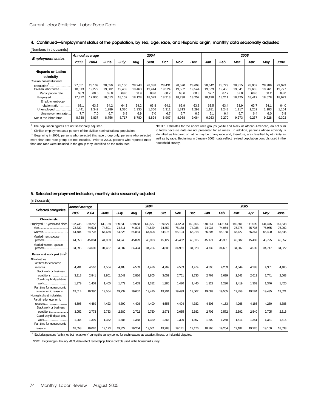# **4. Continued–Employment status of the population, by sex, age, race, and Hispanic origin, monthly data seasonally adjusted**

[Numbers in thousands]

| <b>Employment status</b>                                                                                                        |                               | Annual average                |                               |                               |                               | 2004                          |                               |                               |                               |                               |                              | 2005                          |                               |                               |                               |
|---------------------------------------------------------------------------------------------------------------------------------|-------------------------------|-------------------------------|-------------------------------|-------------------------------|-------------------------------|-------------------------------|-------------------------------|-------------------------------|-------------------------------|-------------------------------|------------------------------|-------------------------------|-------------------------------|-------------------------------|-------------------------------|
|                                                                                                                                 | 2003                          | 2004                          | June                          | July                          | Aug.                          | Sept.                         | Oct.                          | Nov.                          | Dec.                          | Jan.                          | Feb.                         | Mar.                          | Apr.                          | Mav                           | June                          |
| <b>Hispanic or Latino</b><br>ethnicity<br>Civilian noninstitutional<br>population<br>Civilian labor force<br>Participation rate | 27,551<br>18.813<br>68.3      | 28.109<br>19.272<br>68.6      | 28.059<br>19.302<br>68.8      | 28.150<br>19.432<br>69.0      | 28.243<br>19.463<br>68.9      | 28,338<br>19.444<br>68.6      | 28.431<br>19.524<br>68.7      | 28.520<br>19.552<br>68.6      | 28.608<br>19.544<br>68.3      | 28.642<br>19.379<br>67.7      | 28.729<br>19.458<br>67.7     | 28.815<br>19.541<br>67.8      | 28.902<br>19.665<br>68.0      | 28.989<br>19.761<br>68.2      | 29.079<br>19.777<br>68.0      |
| Employed<br>Employment-pop-                                                                                                     | 17,372                        | 17,930                        | 18.013                        | 18.102                        | 18.128                        | 18,079                        | 18.213                        | 18,238                        | 18,252                        | 18.198                        | 18,211                       | 18.425                        | 18.412                        | 18.578                        | 18.623                        |
| ulation ratio $\tilde{}$<br>Unemployed<br>Unemployment rate<br>Not in the labor force                                           | 63.1<br>1.441<br>7.7<br>8.738 | 63.8<br>1.342<br>7.0<br>8.837 | 64.2<br>1.289<br>6.7<br>8.756 | 64.3<br>1.330<br>6.8<br>8.717 | 64.2<br>1.335<br>6.9<br>8.780 | 63.8<br>1.366<br>7.0<br>8.894 | 64.1<br>1.311<br>6.7<br>8.907 | 63.9<br>1.313<br>6.7<br>8.968 | 63.8<br>1,292<br>6.6<br>9,064 | 63.5<br>1.181<br>6.1<br>9.263 | 63.4<br>.248<br>6.4<br>9.270 | 63.9<br>1.117<br>5.7<br>9,273 | 63.7<br>1.252<br>6.4<br>9.237 | 64.1<br>1.183<br>6.0<br>9,228 | 64.0<br>1.154<br>5.8<br>9.302 |

 $1$  The population figures are not seasonally adjusted.

 $2$  Civilian employment as a percent of the civilian noninstitutional population.

than one race were included in the group they identified as the main race.

 $^3$  Beginning in 2003, persons who selected this race group only; persons who selected identified as Hispanic or Latino may be of any race and, therefore, are classified by ethnicity as more than one race group are not included. Prior to 2003, persons who reported more well as by race. Beginning in January 2003, data reflect revised population controls used in the NOTE: Estimates for the above race groups (white and black or African American) do not sum to totals because data are not presented for all races. In addition, persons whose ethnicity is household survey.

### **5. Selected employment indicators, monthly data seasonally adjusted**

[In thousands]

|                                           | Annual average |         |         |         |         | 2004    |         |         |         |         |         |         | 2005    |         |         |
|-------------------------------------------|----------------|---------|---------|---------|---------|---------|---------|---------|---------|---------|---------|---------|---------|---------|---------|
| Selected categories                       | 2003           | 2004    | June    | July    | Aug.    | Sept.   | Oct.    | Nov.    | Dec.    | Jan.    | Feb.    | Mar.    | Apr.    | May     | June    |
| Characteristic                            |                |         |         |         |         |         |         |         |         |         |         |         |         |         |         |
| Employed, 16 years and older.             | 137.736        | 139.252 | 139.158 | 139.639 | 139.658 | 139,527 | 139,827 | 140,293 | 140.156 | 140.241 | 140.144 | 140.501 | 141.099 | 141,475 | 141.638 |
|                                           | 73,332         | 74.524  | 74,501  | 74.811  | 74.824  | 74.629  | 74,852  | 75,188  | 74.938  | 74.934  | 74.964  | 75,375  | 75,735  | 75.985  | 76.092  |
| Women                                     | 64.404         | 64,728  | 64,658  | 64,828  | 64,834  | 64,898  | 64,975  | 65.104  | 65,218  | 65.307  | 65.180  | 65,127  | 65,364  | 65,490  | 65,545  |
| Married men, spouse<br>present            | 44,653         | 45,084  | 44,958  | 44,948  | 45,099  | 45,093  | 45,127  | 45,462  | 45,315  | 45,171  | 45,351  | 45,382  | 45,482  | 45,725  | 45,357  |
| Married women, spouse<br>present          | 34.695         | 34,600  | 34,487  | 34,607  | 34,494  | 34,704  | 34.808  | 34,961  | 34,878  | 34.739  | 34,601  | 34,307  | 34,539  | 34.747  | 34,622  |
| Persons at work part time <sup>1</sup>    |                |         |         |         |         |         |         |         |         |         |         |         |         |         |         |
| All industries:<br>Part time for economic |                |         |         |         |         |         |         |         |         |         |         |         |         |         |         |
| $reasons$<br>Slack work or business       | 4.701          | 4.567   | 4,504   | 4.488   | 4.509   | 4.476   | 4.762   | 4.533   | 4.474   | 4.395   | 4.269   | 4,344   | 4.293   | 4.361   | 4.465   |
| conditions<br>Could only find part-time   | 3.118          | 2.841   | 2.801   | 2.642   | 2.816   | 2.805   | 3.052   | 2.761   | 2.735   | 2.768   | 2,629   | 2,643   | 2.613   | 2.741   | 2.668   |
| work<br>Part time for noneconomic         | 1.279          | 1.409   | 1.400   | 1.472   | 1.403   | 1.312   | 1.385   | 1.420   | 1.440   | 1.329   | 1.296   | 1.419   | 1.363   | 1.346   | 1.420   |
| noneconomic reasons                       | 19.014         | 19.380  | 19,564  | 19.737  | 19.657  | 19.410  | 19.704  | 19.499  | 19,502  | 19.089  | 19.555  | 19.458  | 19.584  | 19.435  | 19.021  |
| Nonagricultural industries:               |                |         |         |         |         |         |         |         |         |         |         |         |         |         |         |
| Part time for economic                    |                |         |         |         |         |         |         |         |         |         |         |         |         |         |         |
| $reasons.$<br>Slack work or business      | 4,596          | 4,469   | 4,423   | 4,390   | 4,408   | 4.400   | 4.656   | 4.404   | 4.382   | 4,303   | 4,153   | 4,268   | 4.186   | 4.280   | 4.386   |
| conditions<br>Could only find part-time   | 3,052          | 2,773   | 2,753   | 2.580   | 2,722   | 2,750   | 2,971   | 2,685   | 2,682   | 2,702   | 2,572   | 2,592   | 2.540   | 2.705   | 2,616   |
| work<br>Part time for noneconomic         | 1,264          | 1,399   | 1,382   | 1.484   | 1.388   | 1.320   | 1,363   | 1,396   | 1,397   | 1,309   | 1,268   | 1,411   | 1.351   | 1.331   | 1.416   |
| reasons                                   | 18.658         | 19.026  | 19.123  | 19.327  | 19.204  | 19.061  | 19.288  | 19.141  | 19.176  | 18.765  | 19.254  | 19.182  | 19.226  | 19.160  | 18.633  |

<sup>1</sup> Excludes persons "with a job but not at work" during the survey period for such reasons as vacation, illness, or industrial disputes.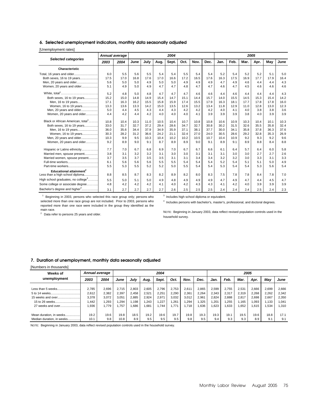### **6. Selected unemployment indicators, monthly data seasonally adjusted**

[Unemployment rates]

|                                                |      | Annual average |      |      |      | 2004  |      |      |      |      |      |      | 2005 |      |      |
|------------------------------------------------|------|----------------|------|------|------|-------|------|------|------|------|------|------|------|------|------|
| <b>Selected categories</b>                     | 2003 | 2004           | June | July | Aug. | Sept. | Oct. | Nov. | Dec. | Jan. | Feb. | Mar. | Apr. | May  | June |
| Characteristic                                 |      |                |      |      |      |       |      |      |      |      |      |      |      |      |      |
| Total, 16 years and older                      | 6.0  | 5.5            | 5.6  | 5.5  | 5.4  | 5.4   | 5.5  | 5.4  | 5.4  | 5.2  | 5.4  | 5.2  | 5.2  | 5.1  | 5.0  |
| Both sexes, 16 to 19 years                     | 17.5 | 17.0           | 16.8 | 17.6 | 17.0 | 16.6  | 17.2 | 16.5 | 17.6 | 16.3 | 17.5 | 16.9 | 17.7 | 17.9 | 16.4 |
| Men, 20 years and older                        | 5.6  | 5.0            | 5.0  | 4.9  | 5.0  | 5.0   | 4.9  | 4.9  | 4.9  | 4.7  | 4.9  | 4.6  | 4.4  | 4.4  | 4.3  |
| Women, 20 years and older                      | 5.1  | 4.9            | 5.0  | 4.9  | 4.7  | 4.7   | 4.8  | 4.7  | 4.7  | 4.6  | 4.7  | 4.5  | 4.6  | 4.6  | 4.6  |
|                                                | 5.2  | 4.8            | 5.0  | 4.8  | 4.7  | 4.7   | 4.7  | 4.6  | 4.6  | 4.4  | 4.6  | 4.4  | 4.4  | 4.4  | 4.3  |
| Both sexes, 16 to 19 years                     | 15.2 | 15.0           | 14.8 | 14.9 | 15.4 | 14.7  | 15.1 | 14.4 | 15.7 | 14.0 | 15.5 | 14.5 | 15.3 | 15.4 | 14.2 |
| Men, 16 to 19 years                            | 17.1 | 16.3           | 16.2 | 15.5 | 15.8 | 15.9  | 17.4 | 15.5 | 17.9 | 16.3 | 18.1 | 17.7 | 17.8 | 17.8 | 16.0 |
| Women, 16 to 19 years                          | 13.3 | 13.6           | 13.3 | 14.2 | 15.0 | 13.5  | 12.6 | 13.2 | 13.4 | 11.8 | 12.9 | 11.0 | 12.8 | 13.0 | 12.3 |
| Men, 20 years and older                        | 5.0  | 4.4            | 4.5  | 4.3  | 4.4  | 4.3   | 4.2  | 4.2  | 4.2  | 4.0  | 4.1  | 4.0  | 3.8  | 3.8  | 3.6  |
| Women, 20 years and older                      | 4.4  | 4.2            | 4.4  | 4.2  | 4.0  | 4.0   | 4.0  | 4.1  | 3.9  | 3.9  | 3.9  | 3.8  | 4.0  | 3.9  | 3.9  |
| Black or African American, total <sup>1</sup>  | 10.8 | 10.4           | 10.3 | 11.0 | 10.5 | 10.4  | 10.7 | 10.8 | 10.8 | 10.6 | 10.9 | 10.3 | 10.4 | 10.1 | 10.3 |
| Both sexes, 16 to 19 years                     | 33.0 | 31.7           | 32.7 | 37.2 | 29.4 | 28.6  | 34.7 | 32.7 | 30.8 | 30.2 | 31.5 | 32.6 | 35.5 | 35.8 | 32.4 |
| Men, 16 to 19 years                            | 36.0 | 35.6           | 34.4 | 37.9 | 34.9 | 35.9  | 37.1 | 38.1 | 37.7 | 30.0 | 34.1 | 35.8 | 37.8 | 36.3 | 37.6 |
| Women, 16 to 19 years                          | 30.3 | 28.2           | 31.2 | 36.6 | 24.2 | 21.1  | 32.4 | 27.0 | 24.0 | 30.5 | 28.6 | 29.2 | 32.8 | 35.3 | 26.9 |
| Men, 20 years and older                        | 10.3 | 9.9            | 9.5  | 10.3 | 10.4 | 10.2  | 10.2 | 10.5 | 10.7 | 10.4 | 10.9 | 9.2  | 9.3  | 9.2  | 9.6  |
| Women, 20 years and older                      | 9.2  | 8.9            | 9.0  | 9.1  | 8.7  | 8.9   | 8.9  | 9.0  | 9.1  | 8.9  | 9.1  | 8.9  | 8.8  | 8.4  | 8.8  |
| Hispanic or Latino ethnicity                   | 7.7  | 7.0            | 6.7  | 6.8  | 6.9  | 7.0   | 6.7  | 6.7  | 6.6  | 6.1  | 6.4  | 5.7  | 6.4  | 6.0  | 5.8  |
| Married men, spouse present                    | 3.8  | 3.1            | 3.2  | 3.2  | 3.1  | 3.0   | 3.0  | 3.1  | 3.1  | 3.1  | 3.0  | 3.0  | 2.7  | 2.7  | 2.6  |
| Married women, spouse present                  | 3.7  | 3.5            | 3.7  | 3.5  | 3.5  | 3.1   | 3.1  | 3.4  | 3.4  | 3.2  | 3.2  | 3.0  | 3.3  | 3.1  | 3.3  |
|                                                | 6.1  | 5.6            | 5.6  | 5.6  | 5.5  | 5.5   | 5.4  | 5.4  | 5.4  | 5.2  | 5.4  | 5.1  | 5.1  | 5.0  | 4.9  |
|                                                | 5.5  | 5.3            | 5.5  | 5.2  | 5.2  | 5.0   | 5.5  | 5.4  | 5.4  | 5.3  | 5.4  | 5.4  | 5.3  | 5.6  | 5.4  |
| Educational attainment <sup>2</sup>            |      |                |      |      |      |       |      |      |      |      |      |      |      |      |      |
| Less than a high school diploma                | 8.8  | 8.5            | 8.7  | 8.3  | 8.2  | 8.9   | 8.2  | 8.0  | 8.3  | 7.5  | 7.8  | 7.8  | 8.4  | 7.8  | 7.0  |
| High school graduates, no college <sup>3</sup> | 5.5  | 5.0            | 5.1  | 5.0  | 4.9  | 4.8   | 4.9  | 4.9  | 4.9  | 4.7  | 4.9  | 4.7  | 4.4  | 4.5  | 4.7  |
| Some college or associate degree               | 4.8  | 4.2            | 4.2  | 4.2  | 4.1  | 4.0   | 4.2  | 4.3  | 4.3  | 4.1  | 4.2  | 4.0  | 3.9  | 3.9  | 3.9  |
| Bachelor's degree and higher <sup>4</sup>      | 3.1  | 2.7            | 2.7  | 2.7  | 2.7  | 2.6   | 2.5  | 2.5  | 2.5  | 2.4  | 2.4  | 2.4  | 2.5  | 2.4  | 2.3  |

 $1$  Beginning in 2003, persons who selected this race group only; persons who selected more than one race group are not included. Prior to 2003, persons who reported more than one race were included in the group they identified as the main race.

 $3$  Includes high school diploma or equivalent.

<sup>4</sup> Includes persons with bachelor's, master's, professional, and doctoral degrees.

 $2$  Data refer to persons 25 years and older.

NOTE: Beginning in January 2003, data reflect revised population controls used in the household survey.

### **7. Duration of unemployment, monthly data seasonally adjusted**

[Numbers in thousands]

| Weeks of                  |       | Annual average |       |       |       | 2004  |       |       |       |       |       |       | 2005  |       |       |
|---------------------------|-------|----------------|-------|-------|-------|-------|-------|-------|-------|-------|-------|-------|-------|-------|-------|
| unemployment              | 2003  | 2004           | June  | July  | Aug.  | Sept. | Oct.  | Nov.  | Dec.  | Jan.  | Feb.  | Mar.  | Apr.  | Mav   | June  |
|                           |       |                |       |       |       |       |       |       |       |       |       |       |       |       |       |
| Less than 5 weeks         | 2.785 | 2.696          | 2.715 | 2.803 | 2.605 | 2.796 | 2.753 | 2.611 | 2.865 | 2.599 | 2.755 | 2.531 | 2.666 | 2.699 | 2.666 |
|                           | 2.612 | 2,382          | 2.397 | 2,458 | 2.521 | 2.251 | 2,290 | 2.361 | 2.264 | 2.343 | 2.317 | 2,319 | 2.268 | 2.262 | 2.342 |
| 15 weeks and over         | 3.378 | 3.072          | 3.051 | 2,885 | 2,924 | 2.971 | 3.032 | 3.012 | 2.961 | 2.824 | 2.888 | 2.817 | 2.698 | 2.667 | 2.350 |
|                           | 1.442 | 1.293          | .294  | .198، | .243  | ,227  | .261  | .294  | .325  | 1.201 | .255  | .165  | .093  | 1.133 | 1.041 |
| 27 weeks and over         | 1.936 | 1.779          | .757  | .686  | .681  | .744  | .771  | 1.718 | .636  | 1.623 | 1.633 | .652  | .615  | .534  | 1.310 |
|                           |       |                |       |       |       |       |       |       |       |       |       |       |       |       |       |
| Mean duration, in weeks   | 19.2  | 19.6           | 19.8  | 18.5  | 19.2  | 19.6  | 19.7  | 19.8  | 19.3  | 19.3  | 19.1  | 19.5  | 19.6  | 18.8  | 17.1  |
| Median duration, in weeks | 10.1  | 9.8            | 10.8  | 8.9   | 9.5   | 9.5   | 9.5   | 9.8   | 9.5   | 9.4   | 9.3   | 9.3   | 8.9   | 9.1   | 9.1   |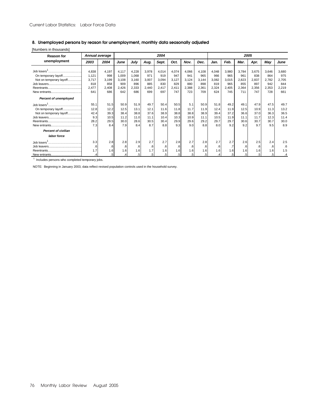## **8. Unemployed persons by reason for unemployment, monthly data seasonally adjusted**

#### [Numbers in thousands]

| <b>Reason for</b>                                                             |                                            | Annual average                              |                                             |                                             |                                             | 2004                                        |                                             |                                            |                                             |                                             |                                             |                                             | 2005                                        |                                             |                                             |
|-------------------------------------------------------------------------------|--------------------------------------------|---------------------------------------------|---------------------------------------------|---------------------------------------------|---------------------------------------------|---------------------------------------------|---------------------------------------------|--------------------------------------------|---------------------------------------------|---------------------------------------------|---------------------------------------------|---------------------------------------------|---------------------------------------------|---------------------------------------------|---------------------------------------------|
| unemployment                                                                  | 2003                                       | 2004                                        | June                                        | July                                        | Aug.                                        | Sept.                                       | Oct.                                        | Nov.                                       | Dec.                                        | Jan.                                        | Feb.                                        | Mar.                                        | Apr.                                        | May                                         | June                                        |
| Job losers'<br>On temporary layoff<br>Not on temporary layoff                 | 4.838<br>1,121<br>3.717<br>818<br>2,477    | 4,197<br>998<br>3,199<br>858<br>2,408       | 4,117<br>1,009<br>3,108<br>909<br>2,426     | 4,228<br>1,068<br>3,160<br>896<br>2,333     | 3,978<br>971<br>3,007<br>885<br>2.440       | 4,014<br>919<br>3,094<br>830<br>2,417       | 4.074<br>947<br>3,127<br>829<br>2.411       | 4.066<br>941<br>3.124<br>880<br>2,388      | 4.108<br>965<br>3,144<br>898<br>2,361       | 4,048<br>966<br>3,082<br>819<br>2,324       | 3,980<br>965<br>3,015<br>965<br>2.405       | 3.784<br>961<br>2,823<br>855<br>2,364       | 3.675<br>838<br>2,837<br>897<br>2.356       | 3.646<br>864<br>2,782<br>942<br>2,353       | 3.680<br>975<br>2,705<br>844<br>2,219       |
| New entrants<br>Percent of unemployed                                         | 641                                        | 686                                         | 642                                         | 686                                         | 699                                         | 697                                         | 747                                         | 723                                        | 709                                         | 624                                         | 745                                         | 711                                         | 747                                         | 728                                         | 661                                         |
| Job losers'<br>On temporary layoff<br>Not on temporary layoff<br>New entrants | 55.1<br>12.8<br>42.4<br>9.3<br>28.2<br>7.3 | 51.5<br>12.2<br>39.3<br>10.5<br>29.5<br>8.4 | 50.9<br>12.5<br>38.4<br>11.2<br>30.0<br>7.9 | 51.9<br>13.1<br>38.8<br>11.0<br>28.6<br>8.4 | 49.7<br>12.1<br>37.6<br>11.1<br>30.5<br>8.7 | 50.4<br>11.6<br>38.9<br>10.4<br>30.4<br>8.8 | 50.5<br>11.8<br>38.8<br>10.3<br>29.9<br>9.3 | 5.1<br>11.7<br>38.8<br>10.9<br>29.6<br>9.0 | 50.9<br>11.9<br>38.9<br>11.1<br>29.2<br>8.8 | 51.8<br>12.4<br>39.4<br>10.5<br>29.7<br>8.0 | 49.2<br>11.9<br>37.2<br>11.9<br>29.7<br>9.2 | 49.1<br>12.5<br>36.6<br>11.1<br>30.6<br>9.2 | 47.9<br>10.9<br>37.0<br>11.7<br>30.7<br>9.7 | 47.5<br>11.3<br>36.3<br>12.3<br>30.7<br>9.5 | 49.7<br>13.2<br>36.5<br>11.4<br>30.0<br>8.9 |
| Percent of civilian<br>labor force                                            |                                            |                                             |                                             |                                             |                                             |                                             |                                             |                                            |                                             |                                             |                                             |                                             |                                             |                                             |                                             |
| New entrants                                                                  | 3.3<br>.6<br>1.7                           | 2.8<br>.6<br>1.6<br>.5                      | 2.8<br>.6<br>1.6                            | 2.9<br>.6<br>1.6<br>.5                      | 2.7<br>.6<br>1.7<br>.5                      | 2.7<br>.6<br>1.6<br>.5                      | 2.8<br>.6<br>1.6<br>.5                      | 2.7<br>.6<br>1.6<br>.5                     | 2.8<br>.6<br>1.6<br>.5                      | 2.7<br>.6<br>1.6<br>$\cdot$                 | 2.7<br>.7<br>1.6<br>.5                      | 2.6<br>.6<br>1.6<br>.5                      | 2.5<br>.6<br>1.6<br>.5                      | 2.4<br>.6<br>1.6<br>.5                      | 2.5<br>.6<br>1.5<br>$\overline{A}$          |

 $1$  Includes persons who completed temporary jobs.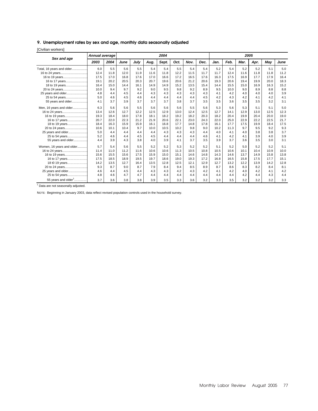## **9. Unemployment rates by sex and age, monthly data seasonally adjusted**

[Civilian workers]

| Sex and age                     | Annual average |      |      |      |      | 2004  |      |      |      |      |      | 2005 |      |      |      |
|---------------------------------|----------------|------|------|------|------|-------|------|------|------|------|------|------|------|------|------|
|                                 | 2003           | 2004 | June | July | Aug. | Sept. | Oct. | Nov. | Dec. | Jan. | Feb. | Mar. | Apr. | May  | June |
| Total, 16 years and older       | 6.0            | 5.5  | 5.6  | 5.5  | 5.4  | 5.4   | 5.5  | 5.4  | 5.4  | 5.2  | 5.4  | 5.2  | 5.2  | 5.1  | 5.0  |
| 16 to 24 years                  | 12.4           | 11.8 | 12.0 | 11.9 | 11.6 | 11.8  | 12.2 | 11.5 | 11.7 | 11.7 | 12.4 | 11.6 | 11.8 | 11.8 | 11.2 |
| 16 to 19 years                  | 17.5           | 17.0 | 16.8 | 17.6 | 17.0 | 16.6  | 17.2 | 16.5 | 17.6 | 16.3 | 17.5 | 16.9 | 17.7 | 17.9 | 16.4 |
| 16 to 17 years                  | 19.1           | 20.2 | 20.5 | 20.3 | 20.7 | 19.6  | 20.6 | 21.2 | 20.6 | 19.3 | 20.6 | 19.4 | 19.9 | 20.0 | 18.3 |
| 18 to 19 years                  | 16.4           | 15.0 | 14.4 | 16.1 | 14.9 | 14.9  | 15.2 | 13.5 | 15.4 | 14.4 | 15.5 | 15.0 | 16.9 | 16.3 | 15.2 |
| 20 to 24 years                  | 10.0           | 9.4  | 9.7  | 9.2  | 9.0  | 9.5   | 9.8  | 9.2  | 8.9  | 9.5  | 10.0 | 9.0  | 8.9  | 8.8  | 8.8  |
| 25 years and older              | 4.8            | 4.4  | 4.5  | 4.4  | 4.3  | 4.3   | 4.3  | 4.3  | 4.3  | 4.1  | 4.2  | 4.0  | 4.0  | 4.0  | 3.9  |
| 25 to 54 years                  | 5.0            | 4.6  | 4.5  | 4.6  | 4.4  | 4.4   | 4.4  | 4.4  | 4.5  | 4.2  | 4.3  | 4.2  | 4.1  | 4.2  | 4.1  |
| 55 years and older              | 4.1            | 3.7  | 3.9  | 3.7  | 3.7  | 3.7   | 3.8  | 3.7  | 3.5  | 3.5  | 3.6  | 3.5  | 3.5  | 3.2  | 3.1  |
| Men, 16 years and older         | 6.3            | 5.6  | 5.6  | 5.5  | 5.6  | 5.6   | 5.6  | 5.5  | 5.6  | 5.3  | 5.6  | 5.3  | 5.1  | 5.1  | 5.0  |
| 16 to 24 years                  | 13.4           | 12.6 | 12.7 | 12.2 | 12.5 | 12.9  | 13.0 | 12.4 | 12.5 | 12.7 | 14.1 | 12.9 | 13.0 | 12.5 | 12.3 |
| 16 to 19 years                  | 19.3           | 18.4 | 18.0 | 17.8 | 18.1 | 18.2  | 19.2 | 18.2 | 20.3 | 18.2 | 20.4 | 19.9 | 20.4 | 20.0 | 19.0 |
| 16 to 17 years                  | 20.7           | 22.0 | 22.3 | 21.2 | 21.9 | 20.6  | 22.1 | 23.0 | 24.3 | 22.0 | 25.0 | 22.9 | 22.2 | 22.5 | 21.7 |
| 18 to 19 years                  | 18.4           | 16.3 | 15.9 | 15.9 | 16.1 | 16.8  | 17.7 | 14.8 | 17.8 | 16.1 | 17.7 | 17.5 | 19.9 | 18.4 | 17.5 |
| 20 to 24 years                  | 10.6           | 10.1 | 10.4 | 9.7  | 10.0 | 10.5  | 10.2 | 9.8  | 9.0  | 10.2 | 11.3 | 9.7  | 9.5  | 9.2  | 9.3  |
| 25 years and older              | 5.0            | 4.4  | 4.4  | 4.4  | 4.4  | 4.3   | 4.3  | 4.3  | 4.4  | 4.0  | 4.1  | 4.0  | 3.8  | 3.8  | 3.7  |
| 25 to 54 years                  | 5.2            | 4.6  | 4.4  | 4.5  | 4.5  | 4.4   | 4.4  | 4.4  | 4.6  | 4.1  | 4.2  | 4.1  | 3.9  | 4.0  | 3.9  |
| 55 years and older              | 4.4            | 3.9  | 4.3  | 3.8  | 4.0  | 3.9   | 4.1  | 3.7  | 3.5  | 3.9  | 3.7  | 3.6  | 3.5  | 3.0  | 3.1  |
| Women, 16 years and older       | 5.7            | 5.4  | 5.6  | 5.5  | 5.2  | 5.2   | 5.3  | 5.2  | 5.2  | 5.1  | 5.2  | 5.0  | 5.2  | 5.2  | 5.1  |
| 16 to 24 years                  | 11.4           | 11.0 | 11.2 | 11.6 | 10.6 | 10.6  | 11.3 | 10.5 | 10.8 | 10.5 | 10.6 | 10.1 | 10.4 | 10.9 | 10.0 |
| 16 to 19 years                  | 15.6           | 15.5 | 15.6 | 17.5 | 15.9 | 15.0  | 15.1 | 14.6 | 14.8 | 14.3 | 14.6 | 13.7 | 14.9 | 15.8 | 13.8 |
| 16 to 17 years                  | 17.5           | 18.5 | 18.9 | 19.5 | 19.7 | 18.6  | 19.0 | 19.3 | 17.2 | 16.8 | 16.5 | 15.8 | 17.5 | 17.7 | 15.1 |
| 18 t0 19 years                  | 14.2           | 13.5 | 12.7 | 16.4 | 13.5 | 12.8  | 12.5 | 12.1 | 12.9 | 12.7 | 13.2 | 12.2 | 13.9 | 14.2 | 12.8 |
| 20 to 24 years                  | 9.3            | 8.7  | 9.0  | 8.7  | 7.9  | 8.4   | 9.4  | 8.5  | 8.9  | 8.7  | 8.6  | 8.3  | 8.2  | 8.4  | 8.1  |
| 25 years and older              | 4.6            | 4.4  | 4.5  | 4.4  | 4.3  | 4.3   | 4.2  | 4.3  | 4.2  | 4.1  | 4.2  | 4.0  | 4.2  | 4.1  | 4.2  |
| 25 to 54 years                  | 4.8            | 4.6  | 4.7  | 4.7  | 4.4  | 4.4   | 4.4  | 4.4  | 4.4  | 4.4  | 4.4  | 4.2  | 4.4  | 4.3  | 4.4  |
| 55 years and older <sup>1</sup> | 3.7            | 3.6  | 3.8  | 3.8  | 3.9  | 3.5   | 3.3  | 3.6  | 3.2  | 3.3  | 3.5  | 3.2  | 3.2  | 3.2  | 3.3  |

<sup>1</sup> Data are not seasonally adjusted.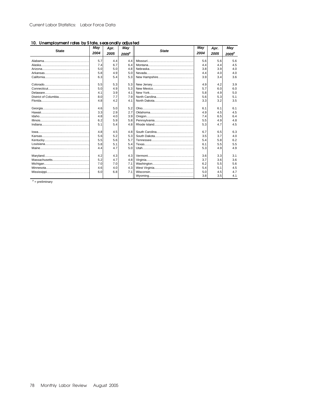# 10. Unemployment rates by State, seasonally adjusted

|              | May  | Apr. | May               |              | May  | Apr. | May               |
|--------------|------|------|-------------------|--------------|------|------|-------------------|
| <b>State</b> | 2004 | 2005 | 2005 <sup>p</sup> | <b>State</b> | 2004 | 2005 | 2005 <sup>P</sup> |
|              | 5.7  | 4.4  | 4.4               |              | 5.6  | 5.6  | 5.6               |
|              | 7.4  | 6.7  | 6.4               |              | 4.4  | 4.4  | 4.5               |
|              | 5.0  | 5.0  | 4.8               |              | 3.8  | 3.9  | 4.0               |
|              | 5.8  | 4.9  | 5.0               |              | 4.4  | 4.0  | 4.0               |
|              | 6.3  | 5.4  | 5.3               |              | 3.9  | 3.4  | 3.6               |
|              | 5.5  | 5.3  | 5.3               |              | 4.9  | 4.2  | 3.9               |
|              | 5.0  | 4.9  | 5.3               |              | 5.7  | 6.0  | 6.0               |
|              | 4.1  | 3.9  | 4.1               |              | 5.8  | 4.9  | 5.0               |
|              | 8.0  | 7.7  | 7.9               |              | 5.6  | 5.3  | 5.1               |
|              | 4.8  | 4.2  | 4.1               |              | 3.3  | 3.2  | 3.5               |
|              | 4.6  | 5.0  | 5.2               |              | 6.1  | 6.1  | 6.1               |
|              | 3.3  | 2.9  | 2.7               |              | 4.9  | 4.5  | 4.5               |
|              | 4.8  | 4.0  | 3.9               |              | 7.4  | 6.5  | 6.4               |
|              | 6.2  | 5.9  | 5.8               |              | 5.5  | 4.9  | 4.8               |
|              | 5.1  | 5.4  | 4.8               |              | 5.3  | 4.7  | 4.5               |
|              | 4.8  | 4.5  | 4.8               |              | 6.7  | 6.5  | 6.3               |
|              | 5.6  | 5.2  | 5.3               |              | 3.5  | 3.7  | 4.0               |
|              | 5.5  | 5.6  | 5.7               |              | 5.4  | 5.8  | 6.2               |
|              | 5.8  | 5.1  | 5.4               |              | 6.1  | 5.5  | 5.5               |
|              | 4.4  | 4.7  | 5.0               |              | 5.3  | 4.9  | 4.9               |
|              | 4.2  | 4.3  | 4.3               |              | 3.6  | 3.3  | 3.1               |
|              | 5.2  | 4.7  | 4.8               |              | 3.7  | 3.6  | 3.6               |
|              | 7.0  | 7.0  | 7.1               |              | 6.2  | 5.5  | 5.6               |
|              | 4.6  | 4.0  | 4.3               |              | 5.4  | 5.1  | 4.5               |
|              | 6.0  | 6.8  | 7.1               |              | 5.0  | 4.5  | 4.7               |
|              |      |      |                   |              | 3.8  | 3.5  | 4.1               |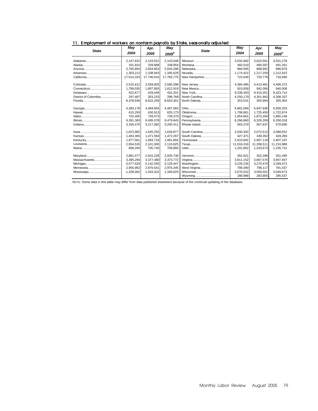|                      | May        | Apr.       | May               |                | May        | Apr.       | May               |
|----------------------|------------|------------|-------------------|----------------|------------|------------|-------------------|
| <b>State</b>         | 2004       | 2005       | 2005 <sup>p</sup> | <b>State</b>   | 2004       | 2005       | 2005 <sup>p</sup> |
|                      | 2,147,632  | 2,143,531  | 2,143,048         | Missouri       | 3,032,682  | 3,023,591  | 3,031,278         |
|                      | 331.810    | 339.688    | 338.854           |                | 482.510    | 490.597    | 491.261           |
|                      | 2,765,804  | 2,834,853  | 2,816,286         |                | 984.945    | 988,902    | 986,876           |
|                      | 1,303,212  | 1,338,943  | 1,345,629         |                | 1,174,422  | 1,217,259  | 1,212,923         |
|                      | 17,514,163 | 17.746.916 | 17,783,775        | New Hampshire  | 722,649    | 733,778    | 734,690           |
|                      |            |            |                   |                |            |            |                   |
|                      | 2,515,412  | 2,559,003  | 2,560,398         |                | 4,384,485  | 4,413,481  | 4,406,372         |
|                      | 1,799,035  | 1,807,993  | 1,812,919         | New Mexico     | 910.838    | 942.006    | 940,008           |
|                      | 422,677    | 429,449    | 432,201           |                | 9,339,303  | 9,410,201  | 9,423,714         |
| District of Columbia | 297,487    | 303,233    | 298,768           | North Carolina | 4,250,170  | 4,301,942  | 4,308,337         |
|                      | 8.378.936  | 8.622.259  | 8.653.301         |                | 353.531    | 355.964    | 355.364           |
|                      |            |            |                   |                |            |            |                   |
|                      | 4,383,178  | 4,469,954  | 4,487,063         |                | 5.881.084  | 5,947,936  | 5,930,253         |
|                      | 615,293    | 630,913    | 625,173           |                | 1,708,861  | 1,725,450  | 1,722,874         |
|                      | 702.405    | 728.573    | 728,370           |                | 1.854.661  | 1,873,284  | 1,865,148         |
|                      | 6,391,383  | 6,495,078  | 6,479,643         |                | 6,266,860  | 6,329,209  | 6,350,018         |
|                      | 3,165,476  | 3,217,082  | 3,200,411         | Rhode Island   | 563,379    | 567,637    | 570,690           |
|                      |            |            |                   |                |            |            |                   |
|                      | 1,623,982  | 1,645,255  | 1,639,877         | South Carolina | 2,040,302  | 2,072,512  | 2,068,652         |
|                      | 1.463.365  | 1.471.560  | 1.472.267         | South Dakota   | 427.471    | 430.352    | 428.280           |
|                      | 1,977,561  | 1,993,718  | 1,991,855         |                | 2,910,691  | 2.907.118  | 2,907,197         |
|                      | 2,054,535  | 2,101,000  | 2,110,625         |                | 11,016,016 | 11,208,511 | 11,216,988        |
|                      | 698,294    | 705.740    | 708.850           |                | 1.201.852  | 1,233,673  | 1,235,731         |
|                      |            |            |                   |                |            |            |                   |
|                      | 2,881,577  | 2,915,228  | 2,935,738         |                | 352.921    | 352.288    | 351.495           |
| Massachusetts        | 3,395,294  | 3,377,480  | 3,373,772         |                | 3,811,152  | 3,897,576  | 3,907,947         |
|                      | 5,077,529  | 5,142,355  | 5,129,447         | Washington     | 3,226,235  | 3,270,470  | 3,269,472         |
|                      | 2,955,962  | 2,970,541  | 2,975,345         |                | 789.390    | 798.117    | 791,437           |
|                      | 1,328,002  | 1,343,322  | 1,349,625         |                | 3,070,022  | 3,058,501  | 3,049,673         |
|                      |            |            |                   |                | 280,988    | 283,805    | 285,537           |

### **11. E mployment of workers on nonfarm payrolls by S tate, seasonally adjusted**

NOTE: Some data in this table may differ from data published elsewhere because of the continual updating of the database.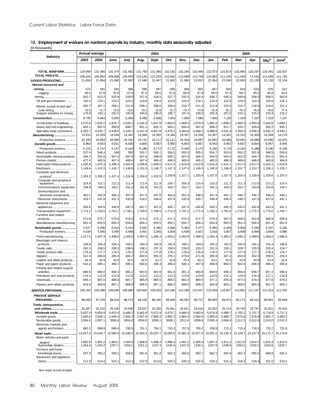### **12. Employment of workers on nonfarm payrolls by industry, monthly data seasonally adjusted**  [In thousands]

|                                             | Annual average     |                    |                   |                   |                   | 2004              |                   |                   |                   |                   |                   | 2005              |                   |                   |                   |
|---------------------------------------------|--------------------|--------------------|-------------------|-------------------|-------------------|-------------------|-------------------|-------------------|-------------------|-------------------|-------------------|-------------------|-------------------|-------------------|-------------------|
| <b>Industry</b>                             | 2003               | 2004               | June              | July              | Aug.              | Sept.             | Oct.              | Nov.              | Dec.              | Jan.              | Feb               | Mar.              | Apr.              | $\mathsf{Mav}^p$  | June <sup>p</sup> |
|                                             |                    |                    |                   |                   |                   |                   |                   |                   |                   |                   |                   |                   |                   |                   |                   |
| TOTAL NONFARM                               | 129,999            | 131,480            | 131,479           | 131,562           | 131,750           | 131,880           | 132,162           | 132,294           | 132,449           | 132,573           | 132,873           | 132,995           | 133,287           | 133,391           | 133,537           |
| <b>TOTAL PRIVATE</b>                        | 108,416            | 109,862            | 109,908           | 109,976           | 110,105           | 110,203           | 110,462           | 110,588           | 110.749           | 110,863           | 111,140           | 111,264           | 11,542            | 111,639           | 111,783           |
| GOODS-PRODUCING                             | 21,816             | 21,884             | 21,890            | 21,902            | 21,946            | 21,947            | 21,982            | 21,996            | 22,022            | 22,004            | 22,066            | 22,093            | 22,130            | 22,138            | 22,134            |
| Natural resources and                       |                    |                    |                   |                   |                   |                   |                   |                   |                   |                   |                   |                   |                   |                   |                   |
|                                             | 572                | 591                | 591               | 596               | 595               | 597               | 595               | 599               | 602               | 607               | 602               | 619               | 623               | 625               | 627               |
|                                             | 69.4               | 67.8               | 67.6              | 67.4              | 67.5              | 68.0              | 67.0              | 66.9              | 67.9              | 68.0              | 67.3              | 68.7              | 65.2              | 64.6              | 64.6              |
| Oil and gas extraction                      | 502.7<br>120.2     | 523.2<br>123.1     | 523.8<br>123.2    | 528.9<br>123.2    | 527.8<br>123.8    | 528.5<br>124.0    | 527.7<br>123.6    | 532.5<br>124.4    | 534.4<br>124.1    | 538.7<br>123.4    | 545.0<br>122.5    | 549.8<br>124.0    | 558.0<br>124.3    | 558.5<br>125.0    | 562.8<br>125.2    |
|                                             | 202.7              | 207.1              | 208.1             | 211.8             | 209.1             | 208.5             | 208.4             | 210.7             | 211.3             | 212.9             | 215.5             | 215.7             | 218.5             | 219.6             | 221.4             |
| Mining, except oil and gas'<br>Coal mining  | 70.0               | 71.7               | 72.0              |                   | 73.1              | 72.9              | 72.7              | 73.7              | 73.9              | 75.4              | 76.1              | 76.1              | 76.9              | 76.6              | 77.4              |
| Support activities for mining               | 179.8              | 193.1              | 192.5             | 73.5<br>193.9     | 194.9             | 196.0             | 195.7             | 197.4             | 199.0             | 202.4             | 207.0             | 210.1             | 215.2             | 215.4             | 216.2             |
| Construction                                | 6,735              | 6,964              | 6,955             | 6,965             | 6,985             | 6,998             | 7,043             | 7,060             | 7,086             | 7,090             | 7,133             | 7,159             | 7,207             | 7,219             | 7,237             |
| Construction of buildings                   | 1,575.8            | 1,632.2            | 1,626.7           | 1,632.2           | 1,636.3           | 1,647.8           | 1,663.0           | 1,668.3           | 1.678.9           | 1,682.4           | 1,689.2           | 1,692.5           | 1,693.4           | 1,694.6           | 1,699.1           |
| Heavy and civil engineering                 | 903.1              | 902.5              | 899.8             | 899.7             | 901.1             | 902.1             | 904.1             | 906.4             | 907.8             | 908.2             | 911.7             | 915.7             | 926.6             | 932.2             | 945.1             |
| Speciality trade contractors                | 4,255.7            | 4,429.7            | 4,428.6           | 4,433.1           | 4,447.6           | 4,447.8           | 4,476.1           | 4,484.8           | 4,499.2           | 4,499.6           | 4,531.8           | 4,550.9           | 4,586.5           | 4,592.2           | 4,593.1           |
| Manufacturing                               | 14,510             | 14,329             | 14,344            | 14,341            | 14,366            | 14,352            | 14,344            | 14,337            | 14,334            | 14,307            | 14,321            | 14,315            | 14,300            | 14,294            | 14,270            |
| Production workers                          | 10,190<br>8,963    | 10,083<br>8,923    | 10,095<br>8,931   | 10,102<br>8,926   | 10,131<br>8,965   | 10,117<br>8,957   | 10,111<br>8,960   | 10,104<br>8,954   | 10,097<br>8,957   | 10,082<br>8,942   | 10,085<br>8,962   | 10,091<br>8,957   | 10,086<br>8,954   | 10,090<br>8,957   | 10,075<br>8,945   |
| Durable goods<br>Production workers         | 6,152              | 6,137              | 6,147             | 6,144             | 6,180             | 6,172             | 6,172             | 6,166             | 6,170             | 6,166             | 6,178             | 6,182             | 6,188             | 6,196             | 6,189             |
| Wood products                               | 537.6              | 548.4              | 549               | 550               | 551.7             | 550.1             | 554.5             | 553.3             | 555.2             | 554.7             | 553.6             | 555.2             | 551.8             | 549.5             | 550.6             |
| Nonmetallic mineral products                | 494.2              | 504.8              | 507.4             | 507.9             | 507.6             | 508.8             | 509.1             | 507.9             | 506.5             | 504.5             | 504.0             | 502.0             | 504.7             | 501.6             | 501.4             |
| Primary metals                              | 477.4              | 465.9              | 467.4             | 468.4             | 467.4             | 466.4             | 466.0             | 465.8             | 465.2             | 465.5             | 466.9             | 466.6             | 466.0             | 465.8             | 464.6             |
| Fabricated metal products                   | 1,506.8            | 1,470.3            | 1,498.3           | 1,502.6           | 1,506.8           | 1,508.5           | 1,511.5           | 1,510.9           | 1,512.8           | 1,514.3           | 1,514.1           | 1,517.3           | 1,517.5           | 1.520.1           | 1,519.8           |
| Machinery                                   | 1,149.4            | 1,141.5            | 1,142.7           | 1,146.8           | 1,151.5           | 1,148.7           | 1,147.3           | 1,147.4           | 1,146.0           | 1,145.9           | 1,148.0           | 1,151.7           | 1,153.7           | 1,156.1           | 1,155.1           |
| Computer and electronic                     | 1,355.2            | 1,326.2            | 1,327.4           | 1,332.8           | 1,334.0           | 1,332.5           | 1,329.8           | 1,327.1           | 1,325.8           | 1,327.0           | 1,327.5           | 1,326.0           | 1,329.0           | 1,329.6           | 1,337.0           |
| Computer and peripheral                     |                    |                    |                   |                   |                   |                   |                   |                   |                   |                   |                   |                   |                   |                   |                   |
| equipment                                   | 224.0              | 212.1              | 212.2             | 211.4             | 212.4             | 211.9             | 209.7             | 209.3             | 210.4             | 210.2             | 211.2             | 211.3             | 212.5             | 213.2             | 215.5             |
| Communications equipment.                   | 154.9              | 150.5              | 150.1             | 151.3             | 151.6             | 151.0             | 150.7             | 152.7             | 153.7             | 155.1             | 154.5             | 153.7             | 153.9             | 153.8             | 154.1             |
| Semiconductors and<br>electronic components | 461.1              | 452.8              | 455.2             | 457.9             | 457.4             | 457.0             | 454.9             | 451.9             | 448.0             | 447.4             | 447.1             | 446.7             | 446.7             | 446.5             | 448.1             |
| Electronic instruments                      | 429.7              | 431.8              | 431.2             | 433.9             | 434.2             | 434.6             | 437.0             | 435.6             | 435.7             | 436.4             | 436.4             | 436.2             | 437.5             | 437.6             | 441.1             |
| Electrical equipment and                    |                    |                    |                   |                   |                   |                   |                   |                   |                   |                   |                   |                   |                   |                   |                   |
| appliances                                  | 459.6              | 446.8              | 446.8             | 447.3             | 447.7             | 447.0             | 445.1             | 447.4             | 445.8             | 445.1             | 445.3             | 444.5             | 442.8             | 443.4             | 441.2             |
| Transportation equipment                    | 1,774.1            | 1,763.5            | 1,762.2           | 1,739.1           | 1,769.5           | 1,768.5           | 1,771.0           | 1,767.2           | 1,771.9           | 1,760.1           | 1,781.8           | 1,776.7           | 1,775.7           | 1,779.0           | 1,764.7           |
| Furniture and related<br>products           | 572.9              | 572.7              | 573.6             | 574.0             | 573.3             | 572.1             | 571.3             | 572.2             | 571.7             | 570.3             | 567.5             | 565.9             | 562.8             | 560.9             | 558.9             |
| Miscellaneous manufacturing                 | 663.3              | 655.5              | 656.4             | 656.8             | 655.2             | 654.5             | 654.1             | 654.7             | 656.4             | 654.3             | 653.5             | 651.3             | 650.3             | 651.4             | 651.8             |
| Nondurable goods                            | 5,547              | 5,406              | 5,413             | 5,415             | 5,401             | 5,395             | 5,384             | 5,383             | 5,377             | 5,365             | 5,359             | 5,358             | 5,346             | 5,337             | 5,325             |
| Production workers                          | 4,038              | 3,945              | 3,948             | 3,958             | 3,951             | 3,945             | 3,939             | 3,938             | 3,927             | 3,916             | 3,907             | 3,909             | 3,898             | 3,894             | 3,886             |
| Food manufacturing                          | 1,517.5            | 1,497.4            | 1,498.6           | 1,504.6           | 1,497.0           | 1,494.3           | 1,493.5           | 1,493.6           | 1,498.8           | 1,494.3           | 1,493.2           | 1,495.2           | 1,489.6           | 1,489.0           | 1,486.8           |
| Beverages and tobacco                       |                    |                    |                   |                   |                   |                   |                   |                   |                   |                   |                   |                   |                   |                   |                   |
| products                                    | 199.6              | 194.3              | 194.4             | 194.2             | 193.4             | 194.9             | 192.9             | 195.1             | 193.0             | 192.2             | 192.5             | 191.6             | 191.1             | 191.4             | 190.6             |
| Textile mills<br>Textile product mills      | 261.3<br>179.3     | 238.5<br>177.7     | 239.3<br>178.5    | 238.8<br>178.2    | 238.1<br>177.6    | 237.3<br>177.8    | 236.5<br>178.1    | 235.0<br>178.4    | 233.2<br>178.0    | 231.5<br>178.1    | 230.1<br>177.9    | 228.7<br>177.9    | 225.5             | 225.4<br>178.3    | 224.7<br>176.7    |
| Apparel                                     | 312.3              | 284.8              | 285.9             | 283.2             | 282.6             | 281.0             | 276.1             | 273.4             | 271.9             | 269.3             | 267.2             | 262.8             | 177.7<br>262.2    | 258.5             | 256.0             |
| Leather and allied products                 | 44.5               | 42.9               | 42.6              | 42.5              | 42.5              | 42.7              | 42.8              | 43.4              | 43.1              | 43.1              | 43.2              | 42.9              | 42.8              | 42.4              | 42.4              |
| Paper and paper products                    | 516.2              | 499.1              | 496.7             | 499.2             | 500.6             | 499.3             | 499.4             | 498.1             | 497.9             | 499.9             | 500.2             | 502.0             | 499.3             | 498.2             | 495.8             |
| Printing and related support                |                    |                    |                   |                   |                   |                   |                   |                   |                   |                   |                   |                   |                   |                   |                   |
| activities<br>Petroleum and coal products   | 680.5<br>114.3     | 665.0<br>112.8     | 668.3<br>112.9    | 665.2<br>112.8    | 663.9<br>113.2    | 661.6<br>113.2    | 661.0<br>113.3    | 661.3<br>113.6    | 660.8<br>113.8    | 659.6<br>114.5    | 659.2<br>115.1    | 658.8<br>115.0    | 658.7<br>116.4    | 657.2<br>117.1    | 656.4<br>116.8    |
| Chemicals                                   | 906.1              | 887.0              | 888.8             | 887.7             | 885.8             | 885.5             | 884.5             | 882.4             | 880.5             | 877.1             | 876.4             | 877.5             | 878.4             | 877.6             | 878.3             |
| Plastics and rubber products                | 815.4              | 806.6              | 807.1             | 808.9             | 806.6             | 807.1             | 806.3             | 808.6             | 806.2             | 804.9             | 804.1             | 805.8             | 804.3             | 801.7             | 800.2             |
|                                             |                    |                    |                   |                   |                   |                   |                   |                   |                   |                   |                   |                   |                   |                   |                   |
| SERVICE-PROVIDING                           | 108,182            | 109,596            | 109,589           | 109,660           | 109,804           | 109,933           | 110,180           | 110,298           | 110,427           | 110,569           | 110,807           | 110,902           | 111,157           | 111,253           | 111,403           |
| <b>PRIVATE SERVICE-</b>                     |                    |                    |                   |                   |                   |                   |                   |                   |                   |                   |                   |                   |                   |                   |                   |
| PROVIDING                                   | 86,599             | 87,978             | 88,018            | 88,074            | 88,159            | 88,256            | 88,480            | 88,592            | 88,727            | 88,859            | 89,074            | 89,171            | 89,412            | 89,501            | 89,649            |
| Trade, transportation,<br>and utilities     | 25,287             | 25,510             | 25,536            | 25,536            | 25,537            | 25,555            | 25,581            | 25,621            | 25,620            | 25,652            | 25,714            | 25,743            | 25,797            | 25,831            | 25,834            |
| Wholesale trade                             | 5,607.5            | 5,654.9            | 5,653.4           | 5,660.2           | 5,662.9           | 5,672.4           | 5,674.7           | 5,680.0           | 5,683.6           | 5,679.9           | 5,688.7           | 5,702.2           | 5,707.7           | 5,716.9           | 5,717.4           |
| Durable goods                               | 2,940.6            | 2,949.1            | 2,948.4           | 2,955.3           | 2,957.8           | 2,960.2           | 2,962.3           | 2,960.4           | 2,964.5           | 2,965.6           | 2,968.7           | 2,975.6           | 2,976.8           | 2,981.7           | 2,983.0           |
| Nondurable goods                            | 2,004.6            | 2,007.1            | 2006.6            | 2004.0            | 2004.0            | 2008.1            | 2009.1            | 2012.6            | 2009.9            | 2,005.4           | 2,006.9           | 2,011.2           | 2,012.6           | 2,013.0           | 2,012.5           |
| Electronic markets and                      |                    |                    |                   |                   |                   |                   |                   |                   |                   |                   |                   |                   |                   |                   |                   |
| agents and brokers                          | 662.2              | 698.8              | 698.4             | 700.9             | 701.1             | 704.1             | 703.3             | 707.0             | 709.2             | 708.9             | 713.1             | 715.4             | 718.3             | 722.2             | 721.9             |
| Retail trade                                | 14,917.3           | 15,034.7           | 15,060.5          | 15,048.2          | 15,043.3          | 15,037.7          | 15.056.5          | 15,081.4          | 15,077.0          | 15,081.2          | 15,125.4          | 15,128.7          | 15,157.5          | 15,172.7          | 15,174.8          |
| Motor vehicles and parts                    |                    |                    |                   |                   |                   |                   |                   |                   |                   |                   |                   |                   |                   |                   |                   |
| Automobile dealers                          | 1,882.9<br>1,254.4 | 1,901.2<br>1,254.2 | 1,904.1<br>1257.1 | 1,904.4<br>1254.1 | 1,899.8<br>1251.2 | 1,898.4<br>1247.3 | 1,896.4<br>1245.0 | 1,901.2<br>1247.6 | 1,905.9<br>1249.1 | 1,907.4<br>1247.9 | 1,911.2<br>1248.8 | 1,912.6<br>1250.2 | 1,914.2<br>1252.2 | 1,915.4<br>1253.6 | 1,912.0<br>1250.7 |
| Furniture and home                          |                    |                    |                   |                   |                   |                   |                   |                   |                   |                   |                   |                   |                   |                   |                   |
| furnishings stores                          | 547.3              | 560.2              | 559.1             | 559.8             | 561.6             | 561.9             | 562.3             | 565.6             | 563.7             | 562.1             | 562.6             | 562.3             | 565.5             | 568.9             | 565.2             |
| Electronics and appliance                   |                    |                    |                   |                   |                   |                   |                   |                   |                   |                   |                   |                   |                   |                   |                   |
|                                             | 512.2              | 514.4              | 514.1             | 513.4             | 512.0             | 513.6             | 520.2             | 520.3             | 516.5             | 516.1             | 515.1             | 518.4             | 518.4             | 521.0             | 523.2             |

See notes at end of table.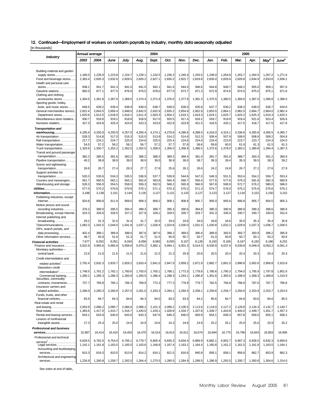# **12. Continued–Employment of workers on nonfarm payrolls by industry, monthly data seasonally adjusted**  [In thousands]

|                                               | Annual average   |                  |                  |                  |                  | 2004             |                  |                  |                  |                  |                    | 2005             |                  |                  |                          |
|-----------------------------------------------|------------------|------------------|------------------|------------------|------------------|------------------|------------------|------------------|------------------|------------------|--------------------|------------------|------------------|------------------|--------------------------|
| <b>Industry</b>                               | 2003             | 2004             | June             | July             | Aug.             | Sept.            | Oct.             | Nov.             | Dec.             | Jan.             | Feb.               | Mar.             | Apr.             | $\textsf{Mav}^p$ | <b>June</b> <sup>p</sup> |
|                                               |                  |                  |                  |                  |                  |                  |                  |                  |                  |                  |                    |                  |                  |                  |                          |
| Building material and garden                  |                  |                  |                  |                  |                  |                  |                  |                  |                  |                  |                    |                  |                  |                  |                          |
| supply stores                                 | 1,185.0          | 1,226.0          | 1,223.8          | 1,224.7          | 1,228.1          | 1,232.5          | 1,236.3          | 1,240.4          | 1,243.5          | 1,248.0          | 1,264.8            | 1,263.7          | 1,264.5          | 1,267.2          | 1,271.6                  |
| Food and beverage stores                      | 2,383.4          | 2.826.3          | 2,832.6          | 2.828.5          | 2,826.2          | 2,827.1          | 2,830.2          | 2,822.7          | 2,819.8          | 2,826.0          | 2,826.6            | 2,826.8          | 2.834.9          | 2,833.6          | 2,836.2                  |
| Health and personal care                      |                  |                  |                  |                  |                  |                  |                  |                  |                  |                  |                    |                  |                  |                  |                          |
| stores                                        | 938.1            | 941.7            | 941.3            | 941.0            | 941.0            | 942.1            | 941.6            | 944.5            | 946.6            | 944.8            | 949.7              | 949.2            | 955.0            | 959.1            | 957.6                    |
| Gasoline stations                             | 882.0            | 877.1            | 877.5            | 876.6            | 876.5            | 878.0            | 877.0            | 873.7            | 871.3            | 872.9            | 874.6              | 874.5            | 875.0            | 875.1            | 871.8                    |
| Clothing and clothing                         | 1,304.5          |                  |                  |                  | 1,374.4          |                  |                  |                  |                  |                  |                    | 1,384.0          | 1,387.0          | 1,390.8          | 1,396.0                  |
| accessories stores<br>Sporting goods, hobby,  |                  | 1,361.8          | 1,367.6          | 1,369.5          |                  | 1,371.9          | 1,376.0          | 1,377.9          | 1,381.3          | 1,375.5          | 1,380.5            |                  |                  |                  |                          |
| book, and music stores                        | 646.5            | 639.2            | 639.4            | 638.9            | 639.0            | 638.7            | 638.0            | 639.0            | 635.8            | 637.7            | 636.2              | 638.3            | 638.0            | 636.7            | 634.6                    |
| General merchandise stores1                   | 2,822.4          | 2,843.5          | 2,856.4          | 2,848.0          | 2,842.5          | 2,832.9          | 2.835.2          | 2,854.9          | 2,852.9          | 2,853.5          | 2,864.1            | 2,862.0          | 2,864.7          | 2,864.0          | 2,862.4                  |
| Department stores                             | 1,620.6          | 1,612.5          | 1,618.0          | 1,616.1          | 1,611.4          | 1,603.3          | 1,604.2          | 1,619.1          | 1,619.3          | 1,619.1          | 1,625.7            | 1,624.2          | 1,625.3          | 1,624.3          | 1,620.2                  |
| Miscellaneous store retailers.                | 930.7            | 918.6            | 919.2            | 918.8            | 918.9            | 917.0            | 920.5            | 917.4            | 918.2            | 918.7            | 919.9              | 919.4            | 921.6            | 923.4            | 926.6                    |
| Nonstore retailers                            | 427.3            | 424.8            | 425.4            | 424.6            | 423.3            | 423.6            | 422.8            | 423.8            | 421.5            | 418.5            | 420.1              | 417.5            | 418.7            | 417.5            | 417.6                    |
| <b>Transportation and</b>                     |                  |                  |                  |                  |                  |                  |                  |                  |                  |                  |                    |                  |                  |                  |                          |
| warehousing                                   | 4,185.4          | 4,250.0          | 4,250.9          | 4,257.0          | 4,260.4          | 4,274.1          | 4,279.6          | 4,289.6          | 4,288.0          | 4,316.0          | 4,324.1            | 4,336.6          | 4,355.8          | 4,365.5          | 4,365.7                  |
| Air transportation                            | 528.3            | 514.8            | 517.0            | 516.3            | 515.0            | 513.8            | 514.2            | 514.6            | 512.3            | 509.4            | 507.9              | 508.0            | 508.8            | 508.2            | 504.8                    |
| Rail transportation                           | 217.7            | 224.1            | 224.7            | 225.0            | 224.6            | 225.5            | 225.4            | 224.6            | 224.0            | 224.4            | 223.9              | 223.7            | 223.7            | 224.3            | 224.0                    |
| Water transportation                          | 54.5             | 57.2             | 58.2             | 58.1             | 56.7             | 57.2             | 57.7             | 57.8             | 58.6             | 59.8             | 60.0               | 61.6             | 61.3             | 61.5             | 61.3                     |
| Truck transportation                          | 1,325.6          | 1,350.7          | 1,352.2          | 1,352.5          | 1,352.5          | 1,358.5          | 1,356.0          | 1,358.9          | 1,366.5          | 1,372.6          | 1,378.0            | 1,383.2          | 1,389.8          | 1,394.4          | 1,397.3                  |
| Transit and ground passenger                  |                  |                  |                  |                  |                  |                  |                  |                  |                  |                  |                    |                  |                  |                  |                          |
| transportation                                | 382.2            | 385.5            | 381.6            | 383.2            | 386.2            | 388.3            | 389.3            | 389.4            | 391.0            | 391.7            | 391.0              | 388.7            | 393.3            | 391.2            | 390.9                    |
| Pipeline transportation                       | 40.2             | 38.8             | 38.9             | 39.0             | 38.9             | 39.0             | 38.9             | 39.0             | 38.7             | 39.3             | 39.4               | 39.3             | 39.5             | 39.3             | 39.2                     |
| Scenic and sightseeing                        |                  |                  |                  |                  |                  |                  |                  |                  |                  |                  |                    |                  |                  |                  |                          |
| transportation                                | 26.6             | 26.7             | 27.4             | 26.3             | 27.7             | 27.8             | 25.6             | 26.1             | 26.6             | 24.2             | 24.9               | 26.7             | 27.2             | 27.6             | 27.9                     |
| Support activities for<br>transportation      | 520.3            | 535.6            | 534.3            | 535.5            | 536.9            | 537.7            | 539.9            | 544.6            | 547.0            | 549.3            | 551.5              | 553.4            | 554.2            | 556.7            | 553.4                    |
| Couriers and messengers                       | 561.7            | 560.5            | 562.1            | 563.1            | 562.6            | 563.8            | 564.4            | 568.7            | 556.4            | 577.5            | 577.6              | 579.3            | 581.8            | 582.3            | 580.9                    |
| Warehousing and storage                       | 528.3            | 556.0            | 554.5            | 558.0            | 559.3            | 562.5            | 568.2            | 565.9            | 566.9            | 567.8            | 569.9              | 572.7            | 576.2            | 580.0            | 586.0                    |
|                                               | 577.0            | 570.2            | 570.8            | 570.9            | 570.1            | 571.1            | 570.3            | 570.2            | 571.3            | 574.7            | 576.0              | 575.2            | 575.6            | 575.6            | 576.2                    |
| Information                                   | 3,188            | 3,138            | 3,151            | 3,144            | 3,135            | 3,127            | 3,131            | 3,133            | 3,127            | 3,123            | 3,127              | 3,134            | 3,152            | 3,150            | 3,152                    |
| Publishing industries, except                 |                  |                  |                  |                  |                  |                  |                  |                  |                  |                  |                    |                  |                  |                  |                          |
| Internet                                      | 924.8            | 909.8            | 911.9            | 909.6            | 909.3            | 909.2            | 908.1            | 908.9            | 905.7            | 905.0            | 905.6              | 906.8            | 905.7            | 904.5            | 905.3                    |
| Motion picture and sound                      |                  |                  |                  |                  |                  |                  |                  |                  |                  |                  |                    |                  |                  |                  |                          |
| recording industries                          | 376.2            | 389.0            | 395.5            | 394.4            | 389.3            | 389.7            | 395.3            | 390.6            | 384.8            | 380.3            | 380.9              | 386.9            | 399.3            | 396.6            | 396.6                    |
| Broadcasting, except Internet.                | 324.3            | 326.6            | 326.5            | 327.2            | 327.8            | 328.1            | 329.5            | 329.7            | 329.7            | 331.3            | 330.4              | 330.7            | 330.7            | 330.6            | 331.6                    |
| Internet publishing and                       |                  |                  |                  |                  |                  |                  |                  |                  |                  |                  |                    |                  |                  |                  |                          |
| broadcasting                                  | 29.2             | 31.3             | 31.5             | 31.4             | 31.7             | 32.0             | 33.0             | 33.6             | 34.0             | 34.8             | 34.6               | 35.0             | 35.3             | 35.4             | 35.8                     |
| Telecommunications                            | 1,082.3          | 1,042.5          | 1,044.0          | 1,041.9          | 1,037.1          | 1,028.4          | 1,024.8          | 1,030.0          | 1,031.5          | 1,030.8          | 1,032.2            | 1,029.9          | 1,037.3          | 1,036.7          | 1,036.5                  |
| ISPs, search portals, and                     | 402.4            | 388.1            | 389.9            | 388.6            | 387.6            | 387.6            | 389.2            | 389.5            | 390.4            | 389.9            | 392.6              | 393.7            | 393.9            | 396.2            | 395.9                    |
| data processing<br>Other information services | 48.7             | 50.9             | 51.6             | 51.3             | 51.7             | 51.5             | 50.9             | 50.7             | 50.7             | 51.0             | 50.9               | 50.7             | 50.1             | 50.2             | 50.6                     |
|                                               | 7,977            | 8,052            | 8,051            | 8,043            | 8,058            | 8,083            | 8,093            | 8,107            | 8,128            | 8,150            | 8,165              | 8,167            | 8,182            | 8,186            | 8,202                    |
| Financial activities<br>Finance and insurance | 5,922.6          | 5,965.6          | 5,965.6          | 5,958.6          | 5,970.2          | 5,982.1          | 5,994.1          | 6,001.3          | 6,014.5          | 6,030.9          | 6,037.6            | 6,039.8          | 6,048.0          | 6,053.2          | 6,061.3                  |
| Monetary authorities-                         |                  |                  |                  |                  |                  |                  |                  |                  |                  |                  |                    |                  |                  |                  |                          |
| central bank                                  | 22.6             | 21.6             | 21.6             | 21.5             | 21.6             | 21.5             | 21.3             | 20.9             | 20.6             | 20.5             | 20.4               | 20.4             | 20.3             | 20.4             | 20.3                     |
| Credit intermediation and                     |                  |                  |                  |                  |                  |                  |                  |                  |                  |                  |                    |                  |                  |                  |                          |
| related activities <sup>1</sup>               | 2,792.4          | 2,832.3          | 2,833.7          | 2,829.2          | 2,833.4          | 2,841.0          | 2,847.9          | 2,859.2          | 2,871.9          | 2,882.7          | 2,891.0            | 2,896.8          | 2,902.6          | 2,906.8          | 2,915.8                  |
| Depository credit                             |                  |                  |                  |                  |                  |                  |                  |                  |                  |                  |                    |                  |                  |                  |                          |
| intermediation'                               | 1,748.5          | 1,761.2          | 1,762.1          | 1,760.6          | 1,763.0          | 1,765.1          | 1,768.1          | 1,773.3          | 1,778.8          | 1,785.6          | 1,790.3            | 1,794.0          | 1,795.9          | 1,797.8          | 1,801.6                  |
| Commercial banking                            | 1,280.1          | 1,285.3          | 1,286.3          | 1,283.9          | 1,283.5          | 1,286.4          | 1,288.3          | 1,293.1          | 1,296.8          | 1,301.6          | 1,305.5            | 1,308.0          | 1.308.3          | 1,308.8          | 1,310.9                  |
| Securities, commodity                         |                  |                  |                  |                  |                  |                  |                  |                  |                  |                  |                    |                  |                  |                  |                          |
| contracts, investments                        | 757.7            | 766.8            | 765.1            | 766.3            | 769.9            | 772.3            | 777.3            | 776.9            | 779.7            | 782.5            | 784.8              | 786.9            | 787.6            | 787.7            | 785.8                    |
| Insurance carriers and                        |                  |                  |                  |                  |                  |                  |                  |                  |                  |                  |                    |                  |                  |                  |                          |
| related activities                            | 2,266.0          | 2,260.3          | 2,260.9          | 2,257.0          | 2,261.0          | 2,263.3          | 2,264.1          | 2,260.4          | 2,258.1          | 2,259.6          | 2,256.7            | 2,250.9          | 2,253.9          | 2,253.7          | 2,253.9                  |
| Funds, trusts, and other                      |                  |                  |                  |                  |                  |                  |                  |                  |                  |                  |                    |                  |                  |                  |                          |
| financial vehicles                            | 83.9             | 84.7             | 84.3             | 84.6             | 84.3             | 84.0             | 83.5             | 83.9             | 84.2             | 85.6             | 84.7               | 84.8             | 83.6             | 84.6             | 85.5                     |
| Real estate and rental                        |                  |                  |                  |                  |                  |                  |                  |                  |                  |                  |                    |                  |                  |                  |                          |
| and leasing                                   | 2,053.9          | 2,086.2          | 2,085.7          | 2,084.6          | 2,088.2          | 2,101.3          | 2,099.2          | 2,105.5          | 2,113.6          | 2,119.0          | 2,127.2<br>1,443.8 | 2,126.8          | 2,134.3          | 2,132.7          | 2,140.7                  |
| Real estate<br>Rental and leasing services    | 1,383.6<br>643.1 | 1,417.0<br>643.9 | 1,415.7<br>645.0 | 1,416.7<br>643.0 | 1,420.0<br>643.3 | 1,429.1<br>647.6 | 1,428.6<br>646.3 | 1,434.7<br>646.0 | 1,437.8<br>650.9 | 1,439.7<br>654.1 | 658.3              | 1,444.0<br>657.8 | 1,449.7<br>659.0 | 1,451.7<br>655.1 | 1,457.3<br>658.2         |
| Lessors of nonfinancial                       |                  |                  |                  |                  |                  |                  |                  |                  |                  |                  |                    |                  |                  |                  |                          |
| intangible assets                             | 27.3             | 25.4             | 25.0             | 24.9             | 24.9             | 24.6             | 24.3             | 24.8             | 24.9             | 25.2             | 25.1               | 25.0             | 25.6             | 25.9             | 25.2                     |
| <b>Professional and business</b>              |                  |                  |                  |                  |                  |                  |                  |                  |                  |                  |                    |                  |                  |                  |                          |
| services                                      | 15,987           | 16,414           | 16,415           | 16,453           | 16,470           | 16,514           | 16,614           | 16,611           | 16,674           | 16,694           | 16,775             | 16,796           | 16,843           | 16,853           | 16,909                   |
|                                               |                  |                  |                  |                  |                  |                  |                  |                  |                  |                  |                    |                  |                  |                  |                          |
| Professional and technical                    | 6,629.5          | 6,762.0          | 6,754.0          | 6,765.1          | 6,779.7          | 6,805.4          | 6,835.3          | 6,834.4          | 6,869.9          | 6,882.1          | 6,902.7            | 6,907.3          | 6,928.5          | 6,932.3          | 6,959.6                  |
| $s$ ervices <sup>1</sup><br>Legal services    | 1,142.1          | 1,161.8          | 1,163.5          | 1,165.0          | 1,163.6          | 1,166.8          | 1,167.4          | 1,163.1          | 1,164.4          | 1,160.8          | 1,161.2            | 1,161.5          | 1,161.8          | 1,163.5          | 1,164.1                  |
| Accounting and bookkeeping                    |                  |                  |                  |                  |                  |                  |                  |                  |                  |                  |                    |                  |                  |                  |                          |
| services                                      | 815.3            | 816.0            | 810.5            | 813.9            | 814.2            | 816.1            | 821.5            | 816.6            | 840.8            | 858.1            | 858.1              | 856.6            | 862.7            | 853.9            | 862.3                    |
| Architectural and engineering                 |                  |                  |                  |                  |                  |                  |                  |                  |                  |                  |                    |                  |                  |                  |                          |
| services                                      | 1,226.9          | 1,260.8          | 1,258.7          | 1,262.0          | 1,264.4          | 1,270.5          | 1,280.5          | 1,284.9          | 1,289.5          | 1,286.9          | 1,292.0            | 1,295.7          | 1,300.8          | 1,304.6          | 1,314.0                  |

See notes at end of table.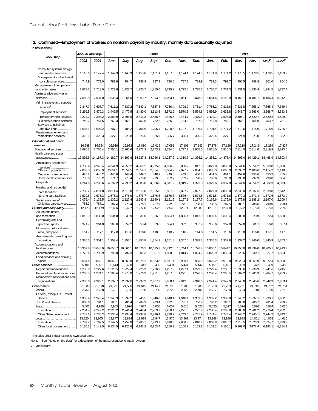#### **12. Continued–Employment of workers on nonfarm payrolls by industry, monthly data seasonally adjusted**  [In thousands]

*Annual average 2004 2005 2003 2004 June July Aug. Sept Oct. Nov. Dec. Jan. Feb. Mar. Apr. Mayp Junep* Computer systems design and related services………..| 1,116.6| 1,147.4| 1,142.3| 1,145.9| 1,155.0| 1,161.1| 1,167.3| 1,174.1| 1,174.3| 1,171.8| 1,174.2| 1,175.5 | 1,178.5 | 1,178.5 | 1,178.5 | 1,183.7 Management and technical consulting services………… 744.9 779.0 783.6 784.7 786.9 787.9 790.5 787.8 789.9 789.3 793.7 795.5 798.8 801.0 804.5 Management of companies and enterprises……..……….... 1,687.2 1,718.0 1,722.6 1,723.7 1,720.7 1,715.0 1,715.3 1,722.5 1,725.6 1,730.7 1,731.3 1,731.5 1,733.4 1,734.5 1,737.4 Administrative and waste services………………………… 7,669.8 7,934.0 7,938.3 7,964.0 7,969.7 7,993.2 8,063.1 8,054.3 8,078.0 8,081.6 8,140.9 8,156.7 8,181.1 8,186.4 8,212.0 Administrative and support  $s$ ervices<sup>1</sup>.......... ……………………… 7,347.7 7,608.7 7,611.2 7,637.2 7,643.1 7,667.3 7,736.4 7,728.2 7,751.4 7,755.2 7,813.6 7,831.8 7,858.1 7,865.4 7,889.4 Employment services<sup>1</sup>..... .........| 3,299.5| 3,470.3| 3,449.5| 3,477.5| 3,480.0| 3,513.5| 3,572.9| 3,570.5| 3,584.5| 3,595.9| 3,633.8| 3,645.7| 3,666.0| 3,668.7| 3,683.8 Temporary help services…… 2,224.2 2,393.2 2,393.9 2,398.6 2,411.8 2,438.7 2,486.5 2,484.7 2,479.4 2,479.1 2,508.0 2,506.1 2,526.7 2,520.2 2,529.0 2,520.2 2,529.0 2,529.0 2,529.0 2,529.0 2,520.7 2,520.7 2,520.7 2,529.0 2,52 Business support services…. 749.7 754.5 760.3 768.1 757.9 752.6 755.9 754.6 757.0 752.8 755.7 754.1 754.9 753.7 Services to buildings<br>and dwellings......... and dwellings………………… 1,636.1 1,694.2 1,707.7 1,705.2 1,706.6 1,706.4 1,708.6 1,707.2 1,706.1 1,701.4 1,711.2 1,712.6 1,715.9 1,718.6 1,725.3 Waste management and<br>remediation services.... remediation services………… 322.1 325.3 327.1 326.8 326.6 325.9 326.7 326.1 326.6 326.4 327.1 324.9 323.0 321.0 322.6  *Educational and health services*………………...………. 16,588 16,954 16,936 16,963 17,010 17,019 17,081 17,108 17,142 17,178 17,186 17,210 17,243 17,289 17,327 Educational services…….……… 2,695.1 2,766.4 2,755.1 2,765.6 2,772.3 2,773.2 2,794.0 2,797.2 2,805.5 2,825.0 2,810.3 2,814.0 2,814.0 2,819.9 2,823.6 Health care and social assistance……….……………… 13,892.6 14,187.3 14,180.7 14,197.8 14,237.8 14,246.1 14,287.2 14,310.7 14,336.1 14,353.2 14,375.4 14,396.0 14,429.1 14,468.9 14,503.4 Ambulatory health care services1 Offices of physicians………… 2,002.5 2,053.9 2,051.1 2,054.5 2,059.1 2,064.5 2,074.2 2,077.7 2,084.3 2,085.3 2,090.9 2,093.2 2,103.6 2,114.2 2,118.5 ……………………… 4,786.4 4,946.4 4,941.9 4,956.2 4,969.2 4,975.0 4,996.9 5,006.7 5,017.0 5,027.0 5,035.0 5,041.6 5,054.2 5,069.8 5,080.5 Outpatient care centers……. 426.8 446.2 446.6 448.4 449.7 449.7 449.5 449.8 450.3 451.5 451.1 452.6 453.6 455.2 455.8<br>Home health care services…. 732.6 773.2 771.7 775.4 778.0 779.5 782.7 789.2 790.7 796.6 796.8 798.8 797.9 Home health care services…. 732.6 773.2 771.7 775.4 778.0 779.5 782.7 789.2 790.7 796.6 796.8 798.8 797.9 799.8 Hospitals………………………… 4,244.6 4,293.6 4,292.2 4,296.2 4,305.0 4,306.0 4,311.2 4,319.7 4,323.5 4,329.6 4,337.8 4,344.6 4,354.2 4,362.3 4,373.9 Nursing and residential care facilities1 2,786.2 2,814.8 2,814.4 2,818.0 2,819.8 2,825.0 2,827.2 2,827.2 2,827.9 2,827.0 2,830.0 2,830.0 2,832.5 2,839.8 2,842.6 Nursing care facilities………… 1,579.8 1,575.3 1,576.3 1,576.3 1,576.9 1,576.7 1,576.6 1,576.8 1,576.4 1,574.5 1,571.5 1,571.6 1,572.3 1,571.4 1,572.6 1,573.9 Social assistance<sup>1</sup>.... ……………… 2,075.4 2,132.5 2,132.2 2,127.4 2,143.8 2,140.1 2,151.9 2,157.1 2,167.7 2,169.6 2,172.6 2,179.8 2,188.2 2,197.0 2,206.4 Child day care services……… 755.3 767.1 767.4 770.4 776.1 767.9 772.8 775.3 780.4 780.5 782.5 785.1 788.6 790.0 798.4<br>| sure and hospitality........... 12,173 12,479 12,486 12,497 12,508 12,522 12,546 12,571 12,589 12,611 Leisure and hospitality....... Arts, entertainment,<br>and recreation and recreation……….…….…… 1,812.9 1,833.0 1,834.8 1,830.9 1,831.0 1,836.2 1,834.4 1,826.4 1,811.0 1,805.4 1,808.4 1,805.8 1,823.9 1,822.4 1,828.2 Performing arts and<br>spectator sports.... spectator sports……………… 371.7 364.8 363.6 359.2 358.4 363.6 364.4 362.5 357.9 355.6 357.0 357.8 361.1 359.0 357.4 Museums, historical sites, zoos, and parks……………… 114.7 117.1 117.8 118.6 118.8 118.3 118.2 116.9 114.8 114.5 113.6 115.8 116.8 117.5 117.8 Amusements, gambling, and recreation……………………… 1,326.5 1,351.1 1,353.4 1,353.1 1,353.8 1,354.3 1,351.8 1,347.0 1,338.3 1,335.3 1,337.8 1,332.2 1,346.0 1,345.9 1,353.0 Accommodations and food services…………………… 10,359.8 10,646.0 10,650.7 10,666.1 10,676.5 10,685.3 10,712.0 10,744.1 10,778.4 10,805.1 10,841.1 10,856.0 10,899.0 10,900.1 10,913.3 Accommodations……………... 1,775.4 1,795.9 1,798.0 1,797.3 1,801.3 1,801.5 1,800.6 1,814.7 1,824.6 1,825.9 1,830.3 1,826.6 1,830.1 1,827.7 1,823.3 Food services and drinking places…………………………… 8,584.4 8,850.1 8,852.7 8,868.8 8,875.2 8,883.8 8,911.4 8,929.4 8,953.8 8,979.2 9,010.8 9,029.4 9,068.9 9,072.4 9,090.0  *Other services……………………* 5,401 5,431 5,443 5,438 5,441 5,436 5,434 5,441 5,447 5,451 5,457 5,459 5,472 5,469 5,483 Repair and maintenance……… 1,233.6 1,227.6 1,226.5 1,227.4 1,225.9 1,226.9 1,227.9 1,227.1 1,229.9 1,229.4 1,233.7 1,235.6 1,239.9 1,241.6 1,245.6 Personal and laundry services 1,263.5 1,274.1 1,283.4 1,278.0 1,276.9 1,271.5 1,267.8 1,271.6 1,276.8 1,280.4 1,280.5 1,282.2 1,286.9 1,284.7 1,283.7 Membership associations and organizations………………… 2,903.6 2,929.1 2,932.7 2,932.8 2,937.9 2,937.9 2,938.1 2,942.3 2,940.6 2,941.4 2,942.9 2,940.8 2,945.6 2,942.9 2,953.4  *Government.................................* 21,583 21,618 21,571 21,586 21,645 21,677 21,700 21,706 21,700 21,710 21,733 21,731 21,745 21,752 21,754 Federal....................................... 2,761 2,728 2,731 2,726 2,730 2,730 2,723 2,728 2,706 2,717 2,720 2,724 2,718 2,720 2,713 Federal, except U.S. Postal Service................................... 1,952.4 1,943.4 1,946.3 1,939.2 1,945.5 1,946.8 1,940.1 1,946.4 1,939.5 1,937.2 1,939.8 1,943.2 1,937.1 1,938.1 1,932.5 U.S. Postal Service……………… 808.6 784.1 785.1 786.4 784.3 783.4 782.5 781.4 766.4 780.2 780.1 780.8 780.7 781.4 780.7 State......................................... 5,002 4,985 4,963 4,976 4,987 5,000 5,007 5,015 5,020 5,025 5,027 5,024 5,026 5,024 5,026 Education............................... 2,254.7 2,249.2 2,228.2 2,241.4 2,249.4 2,263.7 2,268.4 2,271.3 2,277.9 2,280.4 2,283.0 2,280.8 2,281.2 2,279.4 2,282.5 Other State government........ 2,747.6 2,736.2 2,734.4 2,734.4 2,737.8 2,736.4 2,736.4 2,743.4 2,741.9 2,744.4 2,744.4 2,743.5 2,743.5 2,745.1 2,744.2 2,743.5 Local......................................... 13,820 13,905 13,877 13,884 13,928 13,947 13,970 13,963 13,974 13,968 13,986 13,983 14,001 14,008 14,015 Education............................... 7,709.4 7,762.5 7,742.5 7,757.8 7,785.7 7,793.2 7,810.8 7,806.3 7,810.8 7,808.8 7,820.7 7,813.5 7,823.9 7,824.7 7,830.3 Other local government.......... 6,110.2 6,143.0 6,134.5 6,126.6 6,142.2 6,153.4 6,159.3 6,159.7 6,163.1 6,163.1 6,165.1 6,165.1 6,169.0 6177.4 6,183.1 6,184.3 *Industry*

<sup>1</sup> Includes other industries not shown separately.

NOTE: See "Notes on the data" for a description of the most recent benchmark revision.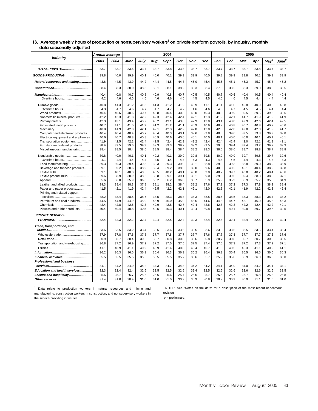| 13. Average weekly hours of production or nonsupervisory workers' on private nonfarm payrolls, by industry, monthly |  |
|---------------------------------------------------------------------------------------------------------------------|--|
| data seasonally adjusted                                                                                            |  |

|                                                                  | Annual average |              |              |              |              | 2004         |              |              |              |              |              | 2005         |              |                  |                   |
|------------------------------------------------------------------|----------------|--------------|--------------|--------------|--------------|--------------|--------------|--------------|--------------|--------------|--------------|--------------|--------------|------------------|-------------------|
| <b>Industry</b>                                                  | 2003           | 2004         | June         | July         | Aug.         | Sept.        | Oct.         | Nov.         | Dec.         | Jan.         | Feb.         | Mar.         | Apr.         | May <sup>p</sup> | June <sup>p</sup> |
| <b>TOTAL PRIVATE</b>                                             | 33.7           | 33.7         | 33.6         | 33.7         | 33.7         | 33.8         | 33.8         | 33.7         | 33.7         | 33.7         | 33.7         | 33.7         | 33.8         | 33.7             | 33.7              |
| GOODS-PRODUCING                                                  | 39.8           | 40.0         | 39.9         | 40.1         | 40.0         | 40.1         | 39.9         | 39.9         | 40.0         | 39.8         | 39.9         | 39.8         | 40.1         | 39.9             | 39.9              |
| Natural resources and mining                                     | 43.6           | 44.5         | 43.9         | 44.2         | 44.4         | 44.5         | 44.8         | 45.0         | 45.4         | 45.5         | 45.1         | 45.3         | 45.7         | 45.8             | 45.2              |
|                                                                  | 38.4           | 38.3         | 38.0         | 38.3         | 38.1         | 38.1         | 38.2         | 38.3         | 38.4         | 37.6         | 38.2         | 38.3         | 39.0         | 38.5             | 38.5              |
| Overtime hours                                                   | 40.4<br>4.2    | 40.8<br>4.6  | 40.7<br>4.5  | 40.8<br>4.6  | 40.9<br>4.6  | 40.8<br>4.6  | 40.7<br>4.5  | 40.5<br>4.5  | 40.5<br>4.5  | 40.7<br>4.5  | 40.6<br>4.6  | 40.4<br>4.5  | 40.5<br>4.4  | 40.4<br>4.4      | 40.4<br>4.4       |
| Overtime hours                                                   | 40.8<br>4.3    | 41.3<br>4.7  | 41.2<br>4.6  | 41.3<br>4.7  | 41.3<br>4.7  | 41.2<br>4.7  | 41.2<br>4.7  | 40.9<br>4.6  | 41.1<br>4.6  | 41.1<br>4.6  | 41.0<br>4.7  | 40.8<br>4.5  | 40.9<br>4.5  | 40.8<br>4.4      | 40.8<br>4.4       |
|                                                                  | 40.4           | 40.6         | 40.6         | 40.7         | 40.8         | 40.4         | 40.3         | 40.0         | 40.3         | 40.6         | 39.9         | 39.5         | 39.5         | 39.5             | 39.5              |
| Nonmetallic mineral products                                     | 42.2           | 42.3         | 41.8         | 42.2         | 42.3         | 42.4         | 42.4         | 42.1         | 42.3         | 41.9         | 42.1         | 41.7         | 41.9         | 41.9             | 41.9              |
|                                                                  | 42.3           | 43.1         | 43.4         | 43.2         | 43.2         | 43.1         | 43.0         | 42.9         | 42.8         | 43.1         | 43.0         | 42.9         | 42.6         | 42.4             | 42.5              |
| Fabricated metal products                                        | 40.7           | 41.1         | 41.0         | 41.2         | 41.2         | 41.2         | 41.1         | 40.9         | 40.9         | 40.9         | 40.8         | 40.7         | 40.8         | 40.7             | 40.6              |
|                                                                  | 40.8           | 41.9         | 42.0         | 42.1         | 42.1         | 42.3         | 42.2         | 42.0         | 42.0         | 42.0         | 42.0         | 42.0         | 42.0         | 41.9             | 41.7              |
| Computer and electronic products                                 | 40.4           | 40.4         | 40.4         | 40.7         | 40.4         | 40.3         | 40.1         | 39.6         | 39.8         | 40.0         | 39.6         | 39.5         | 39.8         | 39.9             | 39.8              |
| Electrical equipment and appliances.<br>Transportation equipment | 40.6<br>41.9   | 40.7<br>42.5 | 40.8<br>42.2 | 40.8<br>42.4 | 40.9<br>42.5 | 40.6<br>42.4 | 40.6<br>42.3 | 40.1<br>42.2 | 40.0<br>42.4 | 40.1<br>42.4 | 40.0<br>42.4 | 40.0<br>42.0 | 40.1<br>42.1 | 40.1<br>41.9     | 40.1<br>42.1      |
| Furniture and related products                                   | 38.9           | 39.5         | 39.6         | 39.3         | 39.3         | 39.3         | 39.2         | 39.2         | 39.5         | 39.5         | 39.4         | 39.4         | 39.2         | 39.2             | 39.3              |
| Miscellaneous manufacturing                                      | 38.4           | 38.5         | 38.4         | 38.6         | 38.5         | 38.4         | 38.4         | 38.2         | 38.3         | 38.5         | 38.6         | 38.7         | 38.8         | 38.7             | 38.8              |
|                                                                  | 39.8           | 40.0         | 40.1         | 40.1         | 40.2         | 40.1         | 39.9         | 39.8         | 39.8         | 40.0         | 40.0         | 39.7         | 39.8         | 39.7             | 39.6              |
| Overtime hours                                                   | 4.1            | 4.4          | 4.4          | 4.4          | 4.5          | 4.4          | 4.3          | 4.3          | 4.3          | 4.4          | 4.5          | 4.4          | 4.3          | 4.3              | 4.3               |
| Food manufacturing                                               | 39.3           | 39.3         | 39.4         | 39.3         | 39.3         | 39.3         | 39.0         | 39.1         | 38.8         | 39.0         | 39.3         | 38.8         | 39.0         | 38.9             | 38.9              |
| Beverage and tobacco products                                    | 39.1           | 39.2         | 38.6         | 38.9         | 39.4         | 39.2         | 38.6         | 39.0         | 39.6         | 40.5         | 40.2         | 40.1         | 40.4         | 38.9             | 39.8              |
|                                                                  | 39.1           | 40.1         | 40.3         | 40.5         | 40.5         | 40.2         | 40.1         | 40.0         | 39.8         | 40.2         | 39.7         | 40.0         | 40.2         | 40.4             | 40.6              |
| Textile product mills                                            | 39.6           | 38.9         | 38.9         | 38.6         | 38.8         | 39.1         | 39.1         | 39.1         | 39.0         | 39.5         | 39.5         | 39.4         | 38.8         | 38.6             | 37.1              |
|                                                                  | 35.6           | 36.0         | 35.9         | 36.0         | 36.2         | 36.2         | 36.0         | 35.7         | 35.9         | 35.9         | 35.9         | 35.9         | 35.7         | 35.0             | 34.9              |
| Leather and allied products                                      | 39.3           | 38.4         | 38.3         | 37.8         | 38.1         | 38.2         | 38.4         | 38.2         | 37.6         | 37.1         | 37.2         | 37.3         | 37.8         | 38.3             | 38.4              |
| Paper and paper products<br>Printing and related support         | 41.5           | 42.1         | 41.9         | 42.4         | 42.5         | 42.2         | 42.1         | 42.1         | 42.0         | 42.5         | 42.1         | 41.9         | 42.2         | 42.3             | 42.4              |
|                                                                  | 38.2           | 38.4         | 38.5         | 38.6         | 38.5         | 38.3         | 38.3         | 38.3         | 38.5         | 38.6         | 38.5         | 38.3         | 38.3         | 38.4             | 38.2              |
| Petroleum and coal products                                      | 44.5           | 44.9         | 44.9         | 45.0         | 45.9         | 46.0         | 45.0         | 45.5         | 44.6         | 44.5         | 44.7         | 45.1         | 46.0         | 45.6             | 45.3              |
|                                                                  | 42.4           | 42.8         | 42.6         | 42.8         | 42.9         | 42.8         | 42.7         | 42.4         | 42.6         | 42.8         | 42.3         | 42.2         | 42.4         | 42.2             | 42.1              |
| Plastics and rubber products                                     | 40.4           | 40.4         | 40.8         | 40.5         | 40.5         | 40.3         | 40.1         | 39.4         | 39.8         | 40.0         | 40.1         | 39.8         | 39.7         | 39.6             | 39.5              |
| <b>PRIVATE SERVICE-</b>                                          |                |              |              |              |              |              |              |              |              |              |              |              |              |                  |                   |
|                                                                  | 32.4           | 32.3         | 32.2         | 32.4         | 32.4         | 32.5         | 32.4         | 32.3         | 32.4         | 32.4         | 32.4         | 32.4         | 32.5         | 32.4             | 32.4              |
| Trade, transportation, and                                       |                |              |              |              |              |              |              |              |              |              |              |              |              |                  |                   |
|                                                                  | 33.6           | 33.5         | 33.2         | 33.4         | 33.5         | 33.6         | 33.6         | 33.5         | 33.6         | 33.6         | 33.6         | 33.5         | 33.5         | 33.4             | 33.4              |
|                                                                  | 37.9           | 37.8         | 37.6         | 37.8         | 37.7         | 37.8         | 37.7         | 37.7         | 37.6         | 37.7         | 37.8         | 37.7         | 37.7         | 37.6             | 37.6              |
|                                                                  | 30.9           | 30.7         | 30.4         | 30.6         | 30.7         | 30.8         | 30.8         | 30.6         | 30.8         | 30.7         | 30.8         | 30.7         | 30.7         | 30.6             | 30.5              |
| Transportation and warehousing                                   | 36.8           | 37.2         | 36.9         | 37.2         | 37.2         | 37.5         | 37.5         | 37.5         | 37.4         | 37.5         | 37.3         | 37.2         | 37.3         | 37.2             | 37.1              |
|                                                                  | 41.1           | 40.9         | 41.1         | 40.9         | 40.9         | 41.4         | 40.8         | 40.4         | 40.7         | 41.0         | 40.5         | 40.3         | 41.1         | 40.9             | 41.1              |
|                                                                  | 36.2           | 36.3         | 36.5         | 36.3         | 36.4         | 36.3         | 36.3         | 36.2         | 36.4         | 36.3         | 36.4         | 36.5         | 36.5         | 36.6             | 36.3              |
| Financial activities                                             | 35.5           | 35.5         | 35.5         | 35.6         | 35.5         | 35.5         | 35.7         | 35.6         | 35.7         | 35.9         | 35.8         | 35.9         | 36.0         | 36.0             | 36.0              |
| <b>Professional and business</b>                                 |                |              |              |              |              |              |              |              |              |              |              |              |              |                  |                   |
|                                                                  | 34.1           | 34.2         | 34.0         | 34.2         | 34.3         | 34.7         | 34.3         | 34.2         | 34.2         | 34.1         | 34.0         | 34.0         | 34.2         | 34.1             | 34.1              |
| Education and health services                                    | 32.3           | 32.4         | 32.4         | 32.6         | 32.5         | 32.5         | 32.5         | 32.4         | 32.5         | 32.6         | 32.6         | 32.6         | 32.6         | 32.6             | 32.5              |
| Leisure and hospitality                                          | 25.6           | 25.7         | 25.7         | 25.6         | 25.6         | 25.6         | 25.7         | 25.6         | 25.7         | 25.6         | 25.7         | 25.7         | 25.8         | 25.8             | 25.8              |
|                                                                  | 31.4           | 31.0         | 30.9         | 31.0         | 31.0         | 31.0         | 30.9         | 30.9         | 30.8         | 30.9         | 30.9         | 30.9         | 31.1         | 31.0             | 31.0              |

 $1$  Data relate to production workers in natural resources and mining and manufacturing, construction workers in construction, and nonsupervisory workers in the service-providing industries.

NOTE: See "Notes on the data" for a description of the most recent benchmark revision.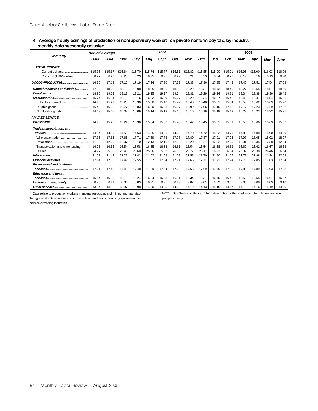### 14. Average hourly earnings of production or nonsupervisory workers<sup>1</sup> on private nonfarm payrolls, by industry,  **monthly data seasonally adjusted**

|                                  |         | Annual average |         |         |         | 2004    |         |         |         |         |         |         | 2005    |                  |                          |
|----------------------------------|---------|----------------|---------|---------|---------|---------|---------|---------|---------|---------|---------|---------|---------|------------------|--------------------------|
| <b>Industry</b>                  | 2003    | 2004           | June    | July    | Aug.    | Sept.   | Oct.    | Nov.    | Dec.    | Jan.    | Feb.    | Mar.    | Apr.    | $\mathsf{Mav}^p$ | <b>June</b> <sup>p</sup> |
| <b>TOTAL PRIVATE</b>             |         |                |         |         |         |         |         |         |         |         |         |         |         |                  |                          |
| Current dollars                  | \$15.35 | \$15.67        | \$15.64 | \$15.70 | \$15.74 | \$15.77 | \$15.81 | \$15.82 | \$15.85 | \$15.90 | \$15.91 | \$15.95 | \$16.00 | \$16.03          | \$16.06                  |
| Constant (1982) dollars          | 8.27    | 8.23           | 8.20    | 8.23    | 8.25    | 8.25    | 8.22    | 8.21    | 8.23    | 8.24    | 8.22    | 8.19    | 8.16    | 8.19             | 8.20                     |
| GOODS-PRODUCING                  | 16.80   | 17.19          | 17.16   | 17.19   | 17.24   | 17.30   | 17.32   | 17.33   | 17.36   | 17.35   | 17.43   | 17.45   | 17.51   | 17.54            | 17.58                    |
| Natural resources and mining     | 17.56   | 18.08          | 18.16   | 18.08   | 18.05   | 18.06   | 18.10   | 18.22   | 18.37   | 18.43   | 18.40   | 18.27   | 18.55   | 18.57            | 18.60                    |
|                                  | 18.95   | 19.23          | 19.19   | 19.21   | 19.25   | 19.27   | 19.34   | 19.31   | 19.29   | 19.24   | 19.31   | 19.34   | 19.38   | 19.36            | 19.42                    |
|                                  | 15.74   | 16.14          | 16.12   | 16.16   | 16.22   | 16.29   | 16.27   | 16.29   | 16.34   | 16.37   | 16.42   | 16.43   | 16.47   | 16.54            | 16.56                    |
| Excluding overtime               | 14.96   | 15.29          | 15.28   | 15.30   | 15.36   | 15.42   | 15.42   | 15.43   | 15.48   | 15.51   | 15.54   | 15.56   | 15.62   | 15.69            | 15.70                    |
| Durable goods                    | 16.45   | 16.82          | 16.77   | 16.83   | 16.90   | 16.98   | 16.97   | 16.99   | 17.06   | 17.10   | 17.18   | 17.17   | 17.23   | 17.29            | 17.32                    |
| Nondurable goods                 | 14.63   | 15.05          | 15.07   | 15.09   | 15.14   | 15.18   | 15.15   | 15.16   | 15.16   | 15.18   | 15.19   | 15.23   | 15.23   | 15.32            | 15.31                    |
| <b>PRIVATE SERVICE-</b>          |         |                |         |         |         |         |         |         |         |         |         |         |         |                  |                          |
|                                  | 14.96   | 15.26          | 15.24   | 15.30   | 15.34   | 15.36   | 15.40   | 15.42   | 15.45   | 15.51   | 15.51   | 15.56   | 15.60   | 15.63            | 15.66                    |
| Trade,transportation, and        |         |                |         |         |         |         |         |         |         |         |         |         |         |                  |                          |
|                                  | 14.34   | 14.59          | 14.59   | 14.63   | 14.65   | 14.66   | 14.69   | 14.70   | 14.72   | 14.82   | 14.79   | 14.83   | 14.88   | 14.90            | 14.89                    |
| Wholesale trade                  | 17.36   | 17.66          | 17.66   | 17.71   | 17.69   | 17.73   | 17.78   | 17.80   | 17.87   | 17.91   | 17.95   | 17.97   | 18.05   | 18.02            | 18.07                    |
|                                  | 11.90   | 12.08          | 12.07   | 12.10   | 12.13   | 12.16   | 12.16   | 12.20   | 12.21   | 12.32   | 12.29   | 12.31   | 12.35   | 12.38            | 12.34                    |
| Transportation and warehousing   | 16.25   | 16.53          | 16.54   | 16.58   | 16.65   | 16.53   | 16.61   | 16.54   | 16.54   | 16.58   | 16.52   | 16.62   | 16.62   | 16.67            | 16.68                    |
|                                  | 24.77   | 25.62          | 25.48   | 25.60   | 25.66   | 25.82   | 26.00   | 25.77   | 26.11   | 26.23   | 26.04   | 26.32   | 26.38   | 26.46            | 26.34                    |
|                                  | 21.01   | 21.42          | 21.28   | 21.42   | 21.52   | 21.62   | 21.59   | 21.58   | 21.70   | 21.80   | 21.67   | 21.79   | 21.98   | 21.94            | 22.03                    |
|                                  | 17.14   | 17.53          | 17.49   | 17.55   | 17.57   | 17.64   | 17.71   | 17.65   | 17.71   | 17.71   | 17.74   | 17.78   | 17.85   | 17.83            | 17.84                    |
| <b>Professional and business</b> |         |                |         |         |         |         |         |         |         |         |         |         |         |                  |                          |
|                                  | 17.21   | 17.46          | 17.43   | 17.48   | 17.59   | 17.54   | 17.63   | 17.66   | 17.69   | 17.79   | 17.80   | 17.82   | 17.89   | 17.93            | 17.98                    |
| <b>Education and health</b>      |         |                |         |         |         |         |         |         |         |         |         |         |         |                  |                          |
|                                  | 15.64   | 16.16          | 16.15   | 16.24   | 16.24   | 16.28   | 16.31   | 16.34   | 16.37   | 16.40   | 16.45   | 16.53   | 16.55   | 16.61            | 16.67                    |
| Leisure and hospitality          | 8.76    | 8.91           | 8.86    | 8.89    | 8.91    | 8.95    | 8.99    | 9.02    | 9.01    | 9.03    | 9.05    | 9.05    | 9.08    | 9.09             | 9.10                     |
|                                  | 13.84   | 13.98          | 13.97   | 13.98   | 14.00   | 14.05   | 14.08   | 14.12   | 14.13   | 14.15   | 14.17   | 14.18   | 14.16   | 14.19            | 14.20                    |

 $1$  Data relate to production workers in natural resources and mining and manufacturing, construction workers in construction, and nonsupervisory workers in the service-providing industries.

NOTE: See "Notes on the data" for a description of the most recent benchmark revision.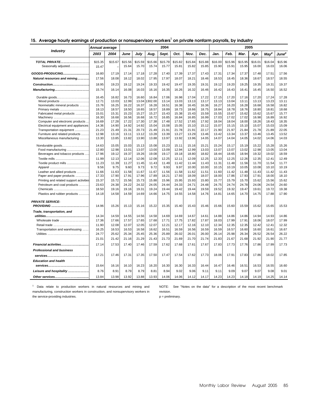|  |  |  |  | 15. Average hourly earnings of production or nonsupervisory workers' on private nonfarm payrolls, by industry |  |
|--|--|--|--|---------------------------------------------------------------------------------------------------------------|--|
|--|--|--|--|---------------------------------------------------------------------------------------------------------------|--|

|                                         | Annual average |         |         |         |         | 2004    |         |         |         |         |         | 2005    |         |                  |                   |
|-----------------------------------------|----------------|---------|---------|---------|---------|---------|---------|---------|---------|---------|---------|---------|---------|------------------|-------------------|
| Industry                                | 2003           | 2004    | June    | July    | Aug.    | Sept.   | Oct.    | Nov.    | Dec.    | Jan.    | Feb.    | Mar.    | Apr.    | Mav <sup>p</sup> | June <sup>p</sup> |
|                                         |                |         |         |         |         |         |         |         |         |         |         |         |         |                  |                   |
| TOTAL PRIVATE                           | \$15.35        | \$15.67 | \$15.56 | \$15.59 | \$15.66 | \$15.79 | \$15.82 | \$15.84 | \$15.88 | \$16.00 | \$15.96 | \$15.95 | \$16.01 | \$16.04          | \$15.96           |
| Seasonally adjusted                     | 15.47          |         | 15.64   | 15.70   | 15.74   | 15.77   | 15.81   | 15.82   | 15.85   | 15.90   | 15.91   | 15.95   | 16.00   | 16.03            | 16.06             |
| GOODS-PRODUCING                         | 16.80          | 17.19   | 17.14   | 17.18   | 17.28   | 17.40   | 17.39   | 17.37   | 17.43   | 17.31   | 17.34   | 17.37   | 17.48   | 17.51            | 17.56             |
| Natural resources and mining            | 17.56          | 18.08   | 18.12   | 18.02   | 17.95   | 17.97   | 18.07   | 18.21   | 18.46   | 18.53   | 18.45   | 18.36   | 18.67   | 18.57            | 18.55             |
|                                         | 18.95          | 19.23   | 19.12   | 19.24   | 19.33   | 19.42   | 19.47   | 19.35   | 19.31   | 19.12   | 19.20   | 19.25   | 19.35   | 19.31            | 19.37             |
| Manufacturing                           | 15.74          | 16.14   | 16.08   | 16.03   | 16.16   | 16.35   | 16.26   | 16.32   | 16.46   | 16.42   | 16.43   | 16.41   | 16.45   | 16.50            | 16.52             |
| Durable goods                           | 16.45          | 16.82   | 16.73   | 16.60   | 16.84   | 17.06   | 16.98   | 17.04   | 17.22   | 17.15   | 17.20   | 17.16   | 17.20   | 17.24            | 17.28             |
| Wood products                           | 12.71          | 13.03   | 12.99   | 13.04   | 1302.00 | 13.14   | 13.03   | 13.13   | 13.17   | 13.13   | 13.04   | 13.11   | 13.13   | 13.23            | 13.11             |
| Nonmetallic mineral products            | 15.76          | 16.25   | 16.22   | 16.37   | 16.28   | 16.51   | 16.38   | 16.45   | 16.36   | 16.27   | 16.20   | 16.28   | 16.68   | 16.58            | 16.82             |
| Primary metals                          | 18.13          | 18.57   | 18.50   | 18.65   | 18.57   | 18.89   | 18.73   | 18.66   | 18.75   | 18.84   | 18.78   | 18.76   | 18.80   | 18.81            | 18.68             |
| Fabricated metal products               | 15.01          | 15.31   | 15.23   | 15.27   | 15.27   | 15.43   | 15.38   | 15.43   | 15.59   | 15.55   | 15.67   | 15.62   | 15.62   | 15.67            | 15.77             |
|                                         | 16.30          | 16.68   | 16.56   | 16.68   | 16.72   | 16.85   | 16.84   | 16.85   | 16.99   | 17.03   | 17.02   | 17.02   | 16.98   | 16.89            | 16.92             |
| Computer and electronic products        | 16.69          | 17.28   | 17.22   | 17.30   | 17.38   | 17.48   | 17.52   | 17.65   | 17.92   | 18.04   | 18.04   | 18.00   | 18.26   | 18.43            | 18.35             |
| Electrical equipment and appliances     | 14.36          | 14.90   | 14.92   | 14.92   | 15.04   | 15.08   | 15.05   | 15.10   | 15.12   | 15.07   | 15.15   | 15.10   | 15.07   | 15.03            | 15.09             |
| Transportation equipment                | 21.23          | 21.49   | 21.31   | 20.73   | 21.49   | 21.91   | 21.78   | 21.91   | 22.17   | 21.90   | 21.97   | 21.84   | 21.78   | 21.89            | 22.05             |
| Furniture and related products          | 12.98          | 13.16   | 13.11   | 13.12   | 13.28   | 13.39   | 13.27   | 13.29   | 13.46   | 13.42   | 13.34   | 13.37   | 13.46   | 13.45            | 13.52             |
| Miscellaneous manufacturing             | 13.30          | 13.85   | 13.82   | 13.90   | 13.88   | 13.97   | 13.92   | 13.96   | 14.05   | 14.07   | 14.04   | 14.05   | 14.02   | 14.06            | 14.03             |
| Nondurable goods                        | 14.63          | 15.05   | 15.03   | 15.13   | 15.08   | 15.23   | 15.11   | 15.16   | 15.21   | 15.24   | 15.17   | 15.19   | 15.22   | 15.28            | 15.26             |
| Food manufacturing                      | 12.80          | 12.98   | 13.01   | 13.07   | 13.00   | 13.09   | 12.94   | 12.99   | 13.03   | 13.07   | 13.07   | 13.02   | 12.98   | 13.05            | 13.04             |
| Beverages and tobacco products          | 17.96          | 19.12   | 19.37   | 19.26   | 19.08   | 19.17   | 19.18   | 18.80   | 18.82   | 18.44   | 18.65   | 18.94   | 19.32   | 19.02            | 18.59             |
|                                         | 11.99          | 12.13   | 12.14   | 12.06   | 12.08   | 12.25   | 12.11   | 12.09   | 12.25   | 12.33   | 12.25   | 12.26   | 12.35   | 12.41            | 12.49             |
| Textile product mills                   | 11.23          | 11.39   | 11.27   | 11.45   | 11.43   | 11.49   | 11.42   | 11.44   | 11.43   | 11.31   | 11.48   | 11.56   | 11.70   | 11.54            | 11.77             |
|                                         | 9.56           | 9.75    | 9.60    | 9.73    | 9.72    | 9.93    | 9.97    | 10.00   | 10.00   | 10.15   | 10.19   | 10.05   | 10.08   | 10.10            | 10.19             |
| Leather and allied products             | 11.66          | 11.63   | 11.58   | 11.67   | 11.67   | 11.56   | 11.58   | 11.62   | 11.51   | 11.60   | 11.42   | 11.48   | 11.43   | 11.42            | 11.43             |
| Paper and paper products                | 17.33          | 17.90   | 17.91   | 17.96   | 17.89   | 18.21   | 17.93   | 18.09   | 18.07   | 18.00   | 17.86   | 17.93   | 17.91   | 18.00            | 18.10             |
| Printing and related support activities | 15.37          | 15.72   | 15.56   | 15.73   | 15.88   | 15.96   | 15.95   | 15.93   | 15.80   | 15.77   | 15.79   | 15.70   | 15.62   | 15.56            | 15.62             |
| Petroleum and coal products             | 23.63          | 24.38   | 24.22   | 24.32   | 24.05   | 24.44   | 24.33   | 24.71   | 24.48   | 24.75   | 24.74   | 24.78   | 24.06   | 24.54            | 24.60             |
| Chemicals                               | 18.50          | 19.16   | 19.16   | 19.31   | 19.24   | 19.44   | 19.42   | 19.44   | 19.59   | 19.52   | 19.32   | 19.47   | 19.61   | 19.72            | 19.38             |
| Plastics and rubber products            | 14.18          | 14.58   | 14.59   | 14.69   | 14.66   | 14.75   | 14.55   | 14.58   | 14.76   | 14.81   | 14.65   | 14.70   | 14.75   | 17.88            | 17.90             |
| <b>PRIVATE SERVICE-</b>                 |                |         |         |         |         |         |         |         |         |         |         |         |         |                  |                   |
|                                         | 14.96          | 15.26   | 15.13   | 15.16   | 15.22   | 15.35   | 15.40   | 15.43   | 15.46   | 15.66   | 15.60   | 15.59   | 15.62   | 15.65            | 15.53             |
|                                         |                |         |         |         |         |         |         |         |         |         |         |         |         |                  |                   |
| Trade, transportation, and              |                |         |         |         |         |         |         |         |         |         |         |         |         |                  |                   |
|                                         | 14.34          | 14.59   | 14.55   | 14.56   | 14.58   | 14.69   | 14.69   | 14.67   | 14.61   | 14.88   | 14.86   | 14.86   | 14.94   | 14.93            | 14.86             |
| Wholesale trade                         | 17.36          | 17.66   | 17.57   | 17.65   | 17.68   | 17.71   | 17.75   | 17.82   | 17.87   | 18.03   | 17.99   | 17.91   | 18.06   | 18.07            | 17.99             |
|                                         | 11.90          | 12.08   | 12.07   | 12.05   | 12.07   | 12.21   | 12.17   | 12.16   | 12.10   | 12.34   | 12.35   | 12.35   | 12.42   | 12.41            | 12.32             |
| Transportation and warehousing          | 16.25          | 16.53   | 16.53   | 16.58   | 16.62   | 16.51   | 16.59   | 16.56   | 16.59   | 16.59   | 16.57   | 16.60   | 16.60   | 16.61            | 16.67             |
|                                         | 24.77          | 25.62   | 25.34   | 25.45   | 25.36   | 25.89   | 26.02   | 26.01   | 26.00   | 26.14   | 25.98   | 26.34   | 26.52   | 26.54            | 26.22             |
|                                         | 21.01          | 21.42   | 21.16   | 21.29   | 21.43   | 21.73   | 21.69   | 21.70   | 21.74   | 21.83   | 21.67   | 21.68   | 21.92   | 21.90            | 21.77             |
| Financial activities                    | 17.14          | 17.53   | 17.40   | 17.46   | 17.59   | 17.62   | 17.68   | 17.61   | 17.67   | 17.83   | 17.73   | 17.76   | 17.86   | 17.99            | 17.73             |
| <b>Professional and business</b>        |                |         |         |         |         |         |         |         |         |         |         |         |         |                  |                   |
|                                         | 17.21          | 17.46   | 17.31   | 17.35   | 17.50   | 17.47   | 17.54   | 17.62   | 17.73   | 18.06   | 17.91   | 17.83   | 17.86   | 18.02            | 17.85             |
| <b>Education and health</b>             |                |         |         |         |         |         |         |         |         |         |         |         |         |                  |                   |
|                                         | 15.64          | 16.16   | 16.10   | 16.23   | 16.20   | 16.30   | 16.30   | 16.33   | 16.44   | 16.47   | 16.46   | 16.51   | 16.53   | 16.55            | 16.60             |
| Leisure and hospitality                 | 8.76           | 8.91    | 8.79    | 8.79    | 8.81    | 8.94    | 9.02    | 9.06    | 9.11    | 9.11    | 9.09    | 9.07    | 9.07    | 9.08             | 9.01              |
|                                         | 13.84          | 13.98   | 13.92   | 13.88   | 13.93   | 14.06   | 14.06   | 14.12   | 14.17   | 14.23   | 14.23   | 14.18   | 14.19   | 14.25            | 14.14             |
|                                         |                |         |         |         |         |         |         |         |         |         |         |         |         |                  |                   |

<sup>1</sup> Data relate to production workers in natural resources and mining and manufacturing, construction workers in construction, and nonsupervisory workers in the service-providing industries.

NOTE: See "Notes on the data" for a description of the most recent benchmark revision.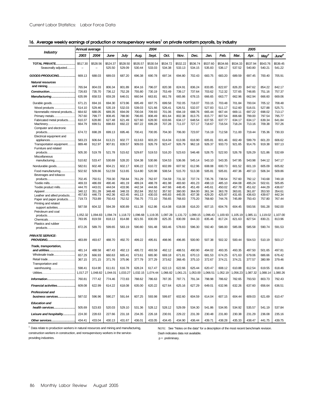### 16. Average weekly earnings of production or nonsupervisory workers<sup>1</sup> on private nonfarm payrolls, by industry

| May <sup>p</sup><br>June <sup>p</sup><br>2003<br>2004<br>Sept.<br>June<br>July<br>Aug.<br>Oct.<br>Nov.<br>Dec.<br>Jan.<br>Feb.<br>Mar.<br>Apr.<br>TOTAL PRIVATE<br>\$528.56<br>\$524.37<br>\$528.50<br>\$535.57<br>\$530.54<br>\$534.72<br>\$532.22<br>\$536.74<br>\$537.60<br>\$534.66<br>\$534.33<br>\$537.94<br>\$543.76<br>\$517.30<br>525.50<br>529.09<br>530.44<br>533.03<br>534.38<br>533.13<br>534.15<br>535.83<br>536.17<br>537.52<br>540.80<br>540.21<br>541.22<br>Seasonally adjusted<br>$\equiv$<br>GOODS-PRODUCING<br>669.13<br>688.03<br>689.03<br>687.20<br>696.38<br>690.78<br>697.34<br>694.80<br>702.43<br>683.75<br>689.59<br>697.45<br>700.40<br>705.91<br>683.20<br><b>Natural resources</b><br>765.94<br>804.03<br>806.34<br>801.89<br>804.16<br>796.07<br>820.38<br>824.91<br>836.24<br>833.85<br>822.87<br>826.20<br>847.62<br>854.22<br>842.17<br>726.83<br>735.70<br>736.12<br>752.28<br>755.80<br>730.19<br>753.49<br>739.17<br>737.64<br>703.62<br>712.32<br>727.65<br>748.85<br>751.16<br>757.37<br>Construction<br>635.99<br>666.65<br>662.96<br>662.94<br>Manufacturing<br>658.53<br>659.28<br>646.01<br>660.94<br>663.81<br>661.78<br>665.86<br>678.15<br>663.77<br>666.60<br>669.06<br>671.21<br>694.16<br>694.30<br>673.96<br>695.49<br>697.75<br>699.58<br>702.05<br>718.07<br>703.15<br>703.48<br>701.84<br>700.04<br>705.12<br>708.48<br>Durable goods<br>527.83<br>525.71<br>Wood products<br>514.10<br>529.46<br>535.19<br>532.03<br>539.03<br>521.66<br>526.41<br>526.51<br>532.07<br>511.17<br>512.60<br>516.01<br>527.88<br>Nonmetallic mineral products<br>664.92<br>688.05<br>689.35<br>694.09<br>700.04<br>709.93<br>701.06<br>694.19<br>688.76<br>665.44<br>667.44<br>669.11<br>697.22<br>698.02<br>713.17<br>795.77<br>767.60<br>799.77<br>808.45<br>788.90<br>796.65<br>808.49<br>801.64<br>802.38<br>813.75<br>815.77<br>807.54<br>806.68<br>799.00<br>797.54<br>Primary metals<br>628.80<br>627.48<br>621.49<br>627.60<br>628.00<br>633.66<br>634.17<br>648.54<br>637.55<br>637.77<br>634.17<br>634.17<br>639.34<br>641.84<br>Fabricated metal products<br>610.37<br>664.79<br>699.51<br>698.83<br>692.22<br>697.22<br>699.28<br>707.28<br>727.17<br>713.16<br>709.38<br>707.26<br>Machinery<br>711.07<br>718.67<br>716.54<br>718.24<br>Computer and electronic<br>674.72<br>698.28<br>699.13<br>695.46<br>700.41<br>700.95<br>704.30<br>706.00<br>723.97<br>716.19<br>712.58<br>711.00<br>719.44<br>735.36<br>730.33<br>Electrical equipment and<br>583.23<br>606.64<br>613.21<br>602.77<br>613.63<br>603.20<br>614.04<br>613.06<br>616.90<br>605.81<br>601.46<br>602.49<br>599.79<br>601.20<br>606.62<br>appliances<br>Transportation equipment<br>889.48<br>912.97<br>907.81<br>839.57<br>909.03<br>926.79<br>923.47<br>926.79<br>962.18<br>926.37<br>933.73<br>921.65<br>914.76<br>919.38<br>937.13<br>Furniture and related<br>505.30<br>519.78<br>521.78<br>515.62<br>529.87<br>519.53<br>516.20<br>523.63<br>546.48<br>528.75<br>522.93<br>526.78<br>526.29<br>521.86<br>532.69<br>products<br>Miscellaneous<br>510.82<br>533.47<br>530.69<br>528.20<br>534.38<br>530.86<br>534.53<br>536.06<br>545.14<br>543.10<br>543.35<br>547.95<br>543.98<br>544.12<br>547.17<br>manufacturing<br>582.61<br>602.48<br>604.21<br>602.17<br>606.22<br>610.72<br>602.89<br>607.92<br>612.96<br>608.08<br>600.73<br>605.09<br>605.82<br>Nondurable goods<br>601.52<br>601.19<br>Food manufacturing<br>502.92<br>509.66<br>512.59<br>513.65<br>514.80<br>520.98<br>508.54<br>515.70<br>513.38<br>505.81<br>505.81<br>497.36<br>497.13<br>506.34<br>509.86<br>Beverages and tobacco<br>products<br>702.45<br>750.51<br>759.30<br>758.84<br>761.29<br>762.97<br>734.59<br>731.32<br>737.74<br>735.76<br>738.54<br>757.60<br>792.12<br>743.68<br>749.18<br>505.85<br>Textile mills<br>469.33<br>486.69<br>490.46<br>481.19<br>489.24<br>488.78<br>481.98<br>483.60<br>491.23<br>498.13<br>485.10<br>494.08<br>495.24<br>502.61<br>436.67<br>Textile product mills<br>444.70<br>443.01<br>444.04<br>433.96<br>442.34<br>444.66<br>447.66<br>448.45<br>451.49<br>445.61<br>450.02<br>457.78<br>451.62<br>444.29<br>340.12<br>351.28<br>348.48<br>348.33<br>352.84<br>352.52<br>357.92<br>360.00<br>364.00<br>361.34<br>363.78<br>363.81<br>361.87<br>353.50<br>354.61<br>Apparel<br>442.36<br>422.45<br>430.03<br>445.83<br>437.38<br>429.20<br>425.97<br>439.67<br>442.34<br>457.83<br>446.73<br>441.13<br>445.05<br>431.65<br>436.63<br>Leather and allied products<br>753.89<br>750.43<br>752.52<br>756.75<br>756.65<br>768.83<br>745.89<br>757.80<br>767.44<br>719.73<br>772.10<br>775.20<br>768.60<br>744.76<br>750.43<br>Paper and paper products<br>Printing and related<br>600.89<br>616.20<br>592.00<br>587.58<br>604.32<br>594.39<br>611.38<br>612.86<br>614.08<br>618.08<br>607.15<br>604.76<br>604.45<br>593.56<br>591.28<br>support activities<br>Petroleum and coal<br>1,052.32<br>1,094.83<br>1,094.74<br>1,118.72<br>1,096.68<br>1,119.35<br>1,097.28<br>1,131.72<br>1,099.15<br>1,096.43<br>1,100.93<br>1,105.19<br>1,085.11<br>1,119.02<br>products<br>783.95<br>819.59<br>818.13<br>814.88<br>821.55<br>830.09<br>825.35<br>830.09<br>844.33<br>835.46<br>817.24<br>821.63<br>827.54<br>830.21<br>813.96<br>Chemicals<br>Plastics and rubber<br>872.26<br>589.70<br>599.65<br>583.19<br>590.80<br>583.46<br>578.83<br>596.30<br>592.40<br>586.00<br>585.06<br>585.58<br>590.74<br>591.48<br>591.53<br>products<br><b>PRIVATE SERVICE-</b><br>PROVIDING<br>483.89<br>493.67<br>488.70<br>492.70<br>499.22<br>495.81<br>498.96<br>496.85<br>500.90<br>507.38<br>502.32<br>500.44<br>504.53<br>510.19<br>503.17<br>Trade, transportation,<br>and utilities<br>488.51<br>490.90<br>494.02<br>493.35<br>493.35<br>497.81<br>481.14<br>488.58<br>487.43<br>492.13<br>495.72<br>493.58<br>492.12<br>497.50<br>501.65<br>Wholesale trade<br>657.29<br>666.93<br>660.63<br>665.41<br>673.61<br>665.90<br>669.18<br>671.81<br>670.13<br>681.53<br>674.25<br>671.63<br>679.06<br>686.66<br>676.42<br>Retail trade<br>367.15<br>371.76<br>375.96<br>377.79<br>373.62<br>368.45<br>375.10<br>374.21<br>374.21<br>380.99<br>379.46<br>371.15<br>377.29<br>372.67<br>377.57<br>Transportation and |          | Annual average |  |  | 2004 |  |  |  | 2005 |          |
|-------------------------------------------------------------------------------------------------------------------------------------------------------------------------------------------------------------------------------------------------------------------------------------------------------------------------------------------------------------------------------------------------------------------------------------------------------------------------------------------------------------------------------------------------------------------------------------------------------------------------------------------------------------------------------------------------------------------------------------------------------------------------------------------------------------------------------------------------------------------------------------------------------------------------------------------------------------------------------------------------------------------------------------------------------------------------------------------------------------------------------------------------------------------------------------------------------------------------------------------------------------------------------------------------------------------------------------------------------------------------------------------------------------------------------------------------------------------------------------------------------------------------------------------------------------------------------------------------------------------------------------------------------------------------------------------------------------------------------------------------------------------------------------------------------------------------------------------------------------------------------------------------------------------------------------------------------------------------------------------------------------------------------------------------------------------------------------------------------------------------------------------------------------------------------------------------------------------------------------------------------------------------------------------------------------------------------------------------------------------------------------------------------------------------------------------------------------------------------------------------------------------------------------------------------------------------------------------------------------------------------------------------------------------------------------------------------------------------------------------------------------------------------------------------------------------------------------------------------------------------------------------------------------------------------------------------------------------------------------------------------------------------------------------------------------------------------------------------------------------------------------------------------------------------------------------------------------------------------------------------------------------------------------------------------------------------------------------------------------------------------------------------------------------------------------------------------------------------------------------------------------------------------------------------------------------------------------------------------------------------------------------------------------------------------------------------------------------------------------------------------------------------------------------------------------------------------------------------------------------------------------------------------------------------------------------------------------------------------------------------------------------------------------------------------------------------------------------------------------------------------------------------------------------------------------------------------------------------------------------------------------------------------------------------------------------------------------------------------------------------------------------------------------------------------------------------------------------------------------------------------------------------------------------------------------------------------------------------------------------------------------------------------------------------------------------------------------------------------------------------------------------------------------------------------------------------------------------------------------------------------------------------------------------------------------------------------------------------------------------------------------------------------------------------------------------------------------------------------------------------------------------------------------------------------------------------------------------------------------------------------------------------------------------------------------------------------------------------------------------------------------------------------------------------------------------------------------------------------------------------------------------------------------------------------------------------------------------------------------------------------------------------------------------------------------------------------------------------------------------------------------------------------------------------------------------------------------------------------------------------------------------------------------------------------------------------------------------------------------------------------------------------------------------------------------------------------------------------------------------------------------------------------------------------------------------------------------------------------------------|----------|----------------|--|--|------|--|--|--|------|----------|
|                                                                                                                                                                                                                                                                                                                                                                                                                                                                                                                                                                                                                                                                                                                                                                                                                                                                                                                                                                                                                                                                                                                                                                                                                                                                                                                                                                                                                                                                                                                                                                                                                                                                                                                                                                                                                                                                                                                                                                                                                                                                                                                                                                                                                                                                                                                                                                                                                                                                                                                                                                                                                                                                                                                                                                                                                                                                                                                                                                                                                                                                                                                                                                                                                                                                                                                                                                                                                                                                                                                                                                                                                                                                                                                                                                                                                                                                                                                                                                                                                                                                                                                                                                                                                                                                                                                                                                                                                                                                                                                                                                                                                                                                                                                                                                                                                                                                                                                                                                                                                                                                                                                                                                                                                                                                                                                                                                                                                                                                                                                                                                                                                                                                                                                                                                                                                                                                                                                                                                                                                                                                                                                                                                                                                                           | Industry |                |  |  |      |  |  |  |      |          |
|                                                                                                                                                                                                                                                                                                                                                                                                                                                                                                                                                                                                                                                                                                                                                                                                                                                                                                                                                                                                                                                                                                                                                                                                                                                                                                                                                                                                                                                                                                                                                                                                                                                                                                                                                                                                                                                                                                                                                                                                                                                                                                                                                                                                                                                                                                                                                                                                                                                                                                                                                                                                                                                                                                                                                                                                                                                                                                                                                                                                                                                                                                                                                                                                                                                                                                                                                                                                                                                                                                                                                                                                                                                                                                                                                                                                                                                                                                                                                                                                                                                                                                                                                                                                                                                                                                                                                                                                                                                                                                                                                                                                                                                                                                                                                                                                                                                                                                                                                                                                                                                                                                                                                                                                                                                                                                                                                                                                                                                                                                                                                                                                                                                                                                                                                                                                                                                                                                                                                                                                                                                                                                                                                                                                                                           |          |                |  |  |      |  |  |  |      | \$539.45 |
|                                                                                                                                                                                                                                                                                                                                                                                                                                                                                                                                                                                                                                                                                                                                                                                                                                                                                                                                                                                                                                                                                                                                                                                                                                                                                                                                                                                                                                                                                                                                                                                                                                                                                                                                                                                                                                                                                                                                                                                                                                                                                                                                                                                                                                                                                                                                                                                                                                                                                                                                                                                                                                                                                                                                                                                                                                                                                                                                                                                                                                                                                                                                                                                                                                                                                                                                                                                                                                                                                                                                                                                                                                                                                                                                                                                                                                                                                                                                                                                                                                                                                                                                                                                                                                                                                                                                                                                                                                                                                                                                                                                                                                                                                                                                                                                                                                                                                                                                                                                                                                                                                                                                                                                                                                                                                                                                                                                                                                                                                                                                                                                                                                                                                                                                                                                                                                                                                                                                                                                                                                                                                                                                                                                                                                           |          |                |  |  |      |  |  |  |      |          |
|                                                                                                                                                                                                                                                                                                                                                                                                                                                                                                                                                                                                                                                                                                                                                                                                                                                                                                                                                                                                                                                                                                                                                                                                                                                                                                                                                                                                                                                                                                                                                                                                                                                                                                                                                                                                                                                                                                                                                                                                                                                                                                                                                                                                                                                                                                                                                                                                                                                                                                                                                                                                                                                                                                                                                                                                                                                                                                                                                                                                                                                                                                                                                                                                                                                                                                                                                                                                                                                                                                                                                                                                                                                                                                                                                                                                                                                                                                                                                                                                                                                                                                                                                                                                                                                                                                                                                                                                                                                                                                                                                                                                                                                                                                                                                                                                                                                                                                                                                                                                                                                                                                                                                                                                                                                                                                                                                                                                                                                                                                                                                                                                                                                                                                                                                                                                                                                                                                                                                                                                                                                                                                                                                                                                                                           |          |                |  |  |      |  |  |  |      |          |
|                                                                                                                                                                                                                                                                                                                                                                                                                                                                                                                                                                                                                                                                                                                                                                                                                                                                                                                                                                                                                                                                                                                                                                                                                                                                                                                                                                                                                                                                                                                                                                                                                                                                                                                                                                                                                                                                                                                                                                                                                                                                                                                                                                                                                                                                                                                                                                                                                                                                                                                                                                                                                                                                                                                                                                                                                                                                                                                                                                                                                                                                                                                                                                                                                                                                                                                                                                                                                                                                                                                                                                                                                                                                                                                                                                                                                                                                                                                                                                                                                                                                                                                                                                                                                                                                                                                                                                                                                                                                                                                                                                                                                                                                                                                                                                                                                                                                                                                                                                                                                                                                                                                                                                                                                                                                                                                                                                                                                                                                                                                                                                                                                                                                                                                                                                                                                                                                                                                                                                                                                                                                                                                                                                                                                                           |          |                |  |  |      |  |  |  |      |          |
|                                                                                                                                                                                                                                                                                                                                                                                                                                                                                                                                                                                                                                                                                                                                                                                                                                                                                                                                                                                                                                                                                                                                                                                                                                                                                                                                                                                                                                                                                                                                                                                                                                                                                                                                                                                                                                                                                                                                                                                                                                                                                                                                                                                                                                                                                                                                                                                                                                                                                                                                                                                                                                                                                                                                                                                                                                                                                                                                                                                                                                                                                                                                                                                                                                                                                                                                                                                                                                                                                                                                                                                                                                                                                                                                                                                                                                                                                                                                                                                                                                                                                                                                                                                                                                                                                                                                                                                                                                                                                                                                                                                                                                                                                                                                                                                                                                                                                                                                                                                                                                                                                                                                                                                                                                                                                                                                                                                                                                                                                                                                                                                                                                                                                                                                                                                                                                                                                                                                                                                                                                                                                                                                                                                                                                           |          |                |  |  |      |  |  |  |      |          |
|                                                                                                                                                                                                                                                                                                                                                                                                                                                                                                                                                                                                                                                                                                                                                                                                                                                                                                                                                                                                                                                                                                                                                                                                                                                                                                                                                                                                                                                                                                                                                                                                                                                                                                                                                                                                                                                                                                                                                                                                                                                                                                                                                                                                                                                                                                                                                                                                                                                                                                                                                                                                                                                                                                                                                                                                                                                                                                                                                                                                                                                                                                                                                                                                                                                                                                                                                                                                                                                                                                                                                                                                                                                                                                                                                                                                                                                                                                                                                                                                                                                                                                                                                                                                                                                                                                                                                                                                                                                                                                                                                                                                                                                                                                                                                                                                                                                                                                                                                                                                                                                                                                                                                                                                                                                                                                                                                                                                                                                                                                                                                                                                                                                                                                                                                                                                                                                                                                                                                                                                                                                                                                                                                                                                                                           |          |                |  |  |      |  |  |  |      |          |
|                                                                                                                                                                                                                                                                                                                                                                                                                                                                                                                                                                                                                                                                                                                                                                                                                                                                                                                                                                                                                                                                                                                                                                                                                                                                                                                                                                                                                                                                                                                                                                                                                                                                                                                                                                                                                                                                                                                                                                                                                                                                                                                                                                                                                                                                                                                                                                                                                                                                                                                                                                                                                                                                                                                                                                                                                                                                                                                                                                                                                                                                                                                                                                                                                                                                                                                                                                                                                                                                                                                                                                                                                                                                                                                                                                                                                                                                                                                                                                                                                                                                                                                                                                                                                                                                                                                                                                                                                                                                                                                                                                                                                                                                                                                                                                                                                                                                                                                                                                                                                                                                                                                                                                                                                                                                                                                                                                                                                                                                                                                                                                                                                                                                                                                                                                                                                                                                                                                                                                                                                                                                                                                                                                                                                                           |          |                |  |  |      |  |  |  |      |          |
|                                                                                                                                                                                                                                                                                                                                                                                                                                                                                                                                                                                                                                                                                                                                                                                                                                                                                                                                                                                                                                                                                                                                                                                                                                                                                                                                                                                                                                                                                                                                                                                                                                                                                                                                                                                                                                                                                                                                                                                                                                                                                                                                                                                                                                                                                                                                                                                                                                                                                                                                                                                                                                                                                                                                                                                                                                                                                                                                                                                                                                                                                                                                                                                                                                                                                                                                                                                                                                                                                                                                                                                                                                                                                                                                                                                                                                                                                                                                                                                                                                                                                                                                                                                                                                                                                                                                                                                                                                                                                                                                                                                                                                                                                                                                                                                                                                                                                                                                                                                                                                                                                                                                                                                                                                                                                                                                                                                                                                                                                                                                                                                                                                                                                                                                                                                                                                                                                                                                                                                                                                                                                                                                                                                                                                           |          |                |  |  |      |  |  |  |      |          |
|                                                                                                                                                                                                                                                                                                                                                                                                                                                                                                                                                                                                                                                                                                                                                                                                                                                                                                                                                                                                                                                                                                                                                                                                                                                                                                                                                                                                                                                                                                                                                                                                                                                                                                                                                                                                                                                                                                                                                                                                                                                                                                                                                                                                                                                                                                                                                                                                                                                                                                                                                                                                                                                                                                                                                                                                                                                                                                                                                                                                                                                                                                                                                                                                                                                                                                                                                                                                                                                                                                                                                                                                                                                                                                                                                                                                                                                                                                                                                                                                                                                                                                                                                                                                                                                                                                                                                                                                                                                                                                                                                                                                                                                                                                                                                                                                                                                                                                                                                                                                                                                                                                                                                                                                                                                                                                                                                                                                                                                                                                                                                                                                                                                                                                                                                                                                                                                                                                                                                                                                                                                                                                                                                                                                                                           |          |                |  |  |      |  |  |  |      |          |
|                                                                                                                                                                                                                                                                                                                                                                                                                                                                                                                                                                                                                                                                                                                                                                                                                                                                                                                                                                                                                                                                                                                                                                                                                                                                                                                                                                                                                                                                                                                                                                                                                                                                                                                                                                                                                                                                                                                                                                                                                                                                                                                                                                                                                                                                                                                                                                                                                                                                                                                                                                                                                                                                                                                                                                                                                                                                                                                                                                                                                                                                                                                                                                                                                                                                                                                                                                                                                                                                                                                                                                                                                                                                                                                                                                                                                                                                                                                                                                                                                                                                                                                                                                                                                                                                                                                                                                                                                                                                                                                                                                                                                                                                                                                                                                                                                                                                                                                                                                                                                                                                                                                                                                                                                                                                                                                                                                                                                                                                                                                                                                                                                                                                                                                                                                                                                                                                                                                                                                                                                                                                                                                                                                                                                                           |          |                |  |  |      |  |  |  |      |          |
|                                                                                                                                                                                                                                                                                                                                                                                                                                                                                                                                                                                                                                                                                                                                                                                                                                                                                                                                                                                                                                                                                                                                                                                                                                                                                                                                                                                                                                                                                                                                                                                                                                                                                                                                                                                                                                                                                                                                                                                                                                                                                                                                                                                                                                                                                                                                                                                                                                                                                                                                                                                                                                                                                                                                                                                                                                                                                                                                                                                                                                                                                                                                                                                                                                                                                                                                                                                                                                                                                                                                                                                                                                                                                                                                                                                                                                                                                                                                                                                                                                                                                                                                                                                                                                                                                                                                                                                                                                                                                                                                                                                                                                                                                                                                                                                                                                                                                                                                                                                                                                                                                                                                                                                                                                                                                                                                                                                                                                                                                                                                                                                                                                                                                                                                                                                                                                                                                                                                                                                                                                                                                                                                                                                                                                           |          |                |  |  |      |  |  |  |      |          |
|                                                                                                                                                                                                                                                                                                                                                                                                                                                                                                                                                                                                                                                                                                                                                                                                                                                                                                                                                                                                                                                                                                                                                                                                                                                                                                                                                                                                                                                                                                                                                                                                                                                                                                                                                                                                                                                                                                                                                                                                                                                                                                                                                                                                                                                                                                                                                                                                                                                                                                                                                                                                                                                                                                                                                                                                                                                                                                                                                                                                                                                                                                                                                                                                                                                                                                                                                                                                                                                                                                                                                                                                                                                                                                                                                                                                                                                                                                                                                                                                                                                                                                                                                                                                                                                                                                                                                                                                                                                                                                                                                                                                                                                                                                                                                                                                                                                                                                                                                                                                                                                                                                                                                                                                                                                                                                                                                                                                                                                                                                                                                                                                                                                                                                                                                                                                                                                                                                                                                                                                                                                                                                                                                                                                                                           |          |                |  |  |      |  |  |  |      |          |
|                                                                                                                                                                                                                                                                                                                                                                                                                                                                                                                                                                                                                                                                                                                                                                                                                                                                                                                                                                                                                                                                                                                                                                                                                                                                                                                                                                                                                                                                                                                                                                                                                                                                                                                                                                                                                                                                                                                                                                                                                                                                                                                                                                                                                                                                                                                                                                                                                                                                                                                                                                                                                                                                                                                                                                                                                                                                                                                                                                                                                                                                                                                                                                                                                                                                                                                                                                                                                                                                                                                                                                                                                                                                                                                                                                                                                                                                                                                                                                                                                                                                                                                                                                                                                                                                                                                                                                                                                                                                                                                                                                                                                                                                                                                                                                                                                                                                                                                                                                                                                                                                                                                                                                                                                                                                                                                                                                                                                                                                                                                                                                                                                                                                                                                                                                                                                                                                                                                                                                                                                                                                                                                                                                                                                                           |          |                |  |  |      |  |  |  |      |          |
|                                                                                                                                                                                                                                                                                                                                                                                                                                                                                                                                                                                                                                                                                                                                                                                                                                                                                                                                                                                                                                                                                                                                                                                                                                                                                                                                                                                                                                                                                                                                                                                                                                                                                                                                                                                                                                                                                                                                                                                                                                                                                                                                                                                                                                                                                                                                                                                                                                                                                                                                                                                                                                                                                                                                                                                                                                                                                                                                                                                                                                                                                                                                                                                                                                                                                                                                                                                                                                                                                                                                                                                                                                                                                                                                                                                                                                                                                                                                                                                                                                                                                                                                                                                                                                                                                                                                                                                                                                                                                                                                                                                                                                                                                                                                                                                                                                                                                                                                                                                                                                                                                                                                                                                                                                                                                                                                                                                                                                                                                                                                                                                                                                                                                                                                                                                                                                                                                                                                                                                                                                                                                                                                                                                                                                           |          |                |  |  |      |  |  |  |      |          |
|                                                                                                                                                                                                                                                                                                                                                                                                                                                                                                                                                                                                                                                                                                                                                                                                                                                                                                                                                                                                                                                                                                                                                                                                                                                                                                                                                                                                                                                                                                                                                                                                                                                                                                                                                                                                                                                                                                                                                                                                                                                                                                                                                                                                                                                                                                                                                                                                                                                                                                                                                                                                                                                                                                                                                                                                                                                                                                                                                                                                                                                                                                                                                                                                                                                                                                                                                                                                                                                                                                                                                                                                                                                                                                                                                                                                                                                                                                                                                                                                                                                                                                                                                                                                                                                                                                                                                                                                                                                                                                                                                                                                                                                                                                                                                                                                                                                                                                                                                                                                                                                                                                                                                                                                                                                                                                                                                                                                                                                                                                                                                                                                                                                                                                                                                                                                                                                                                                                                                                                                                                                                                                                                                                                                                                           |          |                |  |  |      |  |  |  |      |          |
|                                                                                                                                                                                                                                                                                                                                                                                                                                                                                                                                                                                                                                                                                                                                                                                                                                                                                                                                                                                                                                                                                                                                                                                                                                                                                                                                                                                                                                                                                                                                                                                                                                                                                                                                                                                                                                                                                                                                                                                                                                                                                                                                                                                                                                                                                                                                                                                                                                                                                                                                                                                                                                                                                                                                                                                                                                                                                                                                                                                                                                                                                                                                                                                                                                                                                                                                                                                                                                                                                                                                                                                                                                                                                                                                                                                                                                                                                                                                                                                                                                                                                                                                                                                                                                                                                                                                                                                                                                                                                                                                                                                                                                                                                                                                                                                                                                                                                                                                                                                                                                                                                                                                                                                                                                                                                                                                                                                                                                                                                                                                                                                                                                                                                                                                                                                                                                                                                                                                                                                                                                                                                                                                                                                                                                           |          |                |  |  |      |  |  |  |      |          |
|                                                                                                                                                                                                                                                                                                                                                                                                                                                                                                                                                                                                                                                                                                                                                                                                                                                                                                                                                                                                                                                                                                                                                                                                                                                                                                                                                                                                                                                                                                                                                                                                                                                                                                                                                                                                                                                                                                                                                                                                                                                                                                                                                                                                                                                                                                                                                                                                                                                                                                                                                                                                                                                                                                                                                                                                                                                                                                                                                                                                                                                                                                                                                                                                                                                                                                                                                                                                                                                                                                                                                                                                                                                                                                                                                                                                                                                                                                                                                                                                                                                                                                                                                                                                                                                                                                                                                                                                                                                                                                                                                                                                                                                                                                                                                                                                                                                                                                                                                                                                                                                                                                                                                                                                                                                                                                                                                                                                                                                                                                                                                                                                                                                                                                                                                                                                                                                                                                                                                                                                                                                                                                                                                                                                                                           |          |                |  |  |      |  |  |  |      |          |
|                                                                                                                                                                                                                                                                                                                                                                                                                                                                                                                                                                                                                                                                                                                                                                                                                                                                                                                                                                                                                                                                                                                                                                                                                                                                                                                                                                                                                                                                                                                                                                                                                                                                                                                                                                                                                                                                                                                                                                                                                                                                                                                                                                                                                                                                                                                                                                                                                                                                                                                                                                                                                                                                                                                                                                                                                                                                                                                                                                                                                                                                                                                                                                                                                                                                                                                                                                                                                                                                                                                                                                                                                                                                                                                                                                                                                                                                                                                                                                                                                                                                                                                                                                                                                                                                                                                                                                                                                                                                                                                                                                                                                                                                                                                                                                                                                                                                                                                                                                                                                                                                                                                                                                                                                                                                                                                                                                                                                                                                                                                                                                                                                                                                                                                                                                                                                                                                                                                                                                                                                                                                                                                                                                                                                                           |          |                |  |  |      |  |  |  |      |          |
|                                                                                                                                                                                                                                                                                                                                                                                                                                                                                                                                                                                                                                                                                                                                                                                                                                                                                                                                                                                                                                                                                                                                                                                                                                                                                                                                                                                                                                                                                                                                                                                                                                                                                                                                                                                                                                                                                                                                                                                                                                                                                                                                                                                                                                                                                                                                                                                                                                                                                                                                                                                                                                                                                                                                                                                                                                                                                                                                                                                                                                                                                                                                                                                                                                                                                                                                                                                                                                                                                                                                                                                                                                                                                                                                                                                                                                                                                                                                                                                                                                                                                                                                                                                                                                                                                                                                                                                                                                                                                                                                                                                                                                                                                                                                                                                                                                                                                                                                                                                                                                                                                                                                                                                                                                                                                                                                                                                                                                                                                                                                                                                                                                                                                                                                                                                                                                                                                                                                                                                                                                                                                                                                                                                                                                           |          |                |  |  |      |  |  |  |      |          |
|                                                                                                                                                                                                                                                                                                                                                                                                                                                                                                                                                                                                                                                                                                                                                                                                                                                                                                                                                                                                                                                                                                                                                                                                                                                                                                                                                                                                                                                                                                                                                                                                                                                                                                                                                                                                                                                                                                                                                                                                                                                                                                                                                                                                                                                                                                                                                                                                                                                                                                                                                                                                                                                                                                                                                                                                                                                                                                                                                                                                                                                                                                                                                                                                                                                                                                                                                                                                                                                                                                                                                                                                                                                                                                                                                                                                                                                                                                                                                                                                                                                                                                                                                                                                                                                                                                                                                                                                                                                                                                                                                                                                                                                                                                                                                                                                                                                                                                                                                                                                                                                                                                                                                                                                                                                                                                                                                                                                                                                                                                                                                                                                                                                                                                                                                                                                                                                                                                                                                                                                                                                                                                                                                                                                                                           |          |                |  |  |      |  |  |  |      |          |
|                                                                                                                                                                                                                                                                                                                                                                                                                                                                                                                                                                                                                                                                                                                                                                                                                                                                                                                                                                                                                                                                                                                                                                                                                                                                                                                                                                                                                                                                                                                                                                                                                                                                                                                                                                                                                                                                                                                                                                                                                                                                                                                                                                                                                                                                                                                                                                                                                                                                                                                                                                                                                                                                                                                                                                                                                                                                                                                                                                                                                                                                                                                                                                                                                                                                                                                                                                                                                                                                                                                                                                                                                                                                                                                                                                                                                                                                                                                                                                                                                                                                                                                                                                                                                                                                                                                                                                                                                                                                                                                                                                                                                                                                                                                                                                                                                                                                                                                                                                                                                                                                                                                                                                                                                                                                                                                                                                                                                                                                                                                                                                                                                                                                                                                                                                                                                                                                                                                                                                                                                                                                                                                                                                                                                                           |          |                |  |  |      |  |  |  |      |          |
|                                                                                                                                                                                                                                                                                                                                                                                                                                                                                                                                                                                                                                                                                                                                                                                                                                                                                                                                                                                                                                                                                                                                                                                                                                                                                                                                                                                                                                                                                                                                                                                                                                                                                                                                                                                                                                                                                                                                                                                                                                                                                                                                                                                                                                                                                                                                                                                                                                                                                                                                                                                                                                                                                                                                                                                                                                                                                                                                                                                                                                                                                                                                                                                                                                                                                                                                                                                                                                                                                                                                                                                                                                                                                                                                                                                                                                                                                                                                                                                                                                                                                                                                                                                                                                                                                                                                                                                                                                                                                                                                                                                                                                                                                                                                                                                                                                                                                                                                                                                                                                                                                                                                                                                                                                                                                                                                                                                                                                                                                                                                                                                                                                                                                                                                                                                                                                                                                                                                                                                                                                                                                                                                                                                                                                           |          |                |  |  |      |  |  |  |      |          |
|                                                                                                                                                                                                                                                                                                                                                                                                                                                                                                                                                                                                                                                                                                                                                                                                                                                                                                                                                                                                                                                                                                                                                                                                                                                                                                                                                                                                                                                                                                                                                                                                                                                                                                                                                                                                                                                                                                                                                                                                                                                                                                                                                                                                                                                                                                                                                                                                                                                                                                                                                                                                                                                                                                                                                                                                                                                                                                                                                                                                                                                                                                                                                                                                                                                                                                                                                                                                                                                                                                                                                                                                                                                                                                                                                                                                                                                                                                                                                                                                                                                                                                                                                                                                                                                                                                                                                                                                                                                                                                                                                                                                                                                                                                                                                                                                                                                                                                                                                                                                                                                                                                                                                                                                                                                                                                                                                                                                                                                                                                                                                                                                                                                                                                                                                                                                                                                                                                                                                                                                                                                                                                                                                                                                                                           |          |                |  |  |      |  |  |  |      |          |
|                                                                                                                                                                                                                                                                                                                                                                                                                                                                                                                                                                                                                                                                                                                                                                                                                                                                                                                                                                                                                                                                                                                                                                                                                                                                                                                                                                                                                                                                                                                                                                                                                                                                                                                                                                                                                                                                                                                                                                                                                                                                                                                                                                                                                                                                                                                                                                                                                                                                                                                                                                                                                                                                                                                                                                                                                                                                                                                                                                                                                                                                                                                                                                                                                                                                                                                                                                                                                                                                                                                                                                                                                                                                                                                                                                                                                                                                                                                                                                                                                                                                                                                                                                                                                                                                                                                                                                                                                                                                                                                                                                                                                                                                                                                                                                                                                                                                                                                                                                                                                                                                                                                                                                                                                                                                                                                                                                                                                                                                                                                                                                                                                                                                                                                                                                                                                                                                                                                                                                                                                                                                                                                                                                                                                                           |          |                |  |  |      |  |  |  |      |          |
|                                                                                                                                                                                                                                                                                                                                                                                                                                                                                                                                                                                                                                                                                                                                                                                                                                                                                                                                                                                                                                                                                                                                                                                                                                                                                                                                                                                                                                                                                                                                                                                                                                                                                                                                                                                                                                                                                                                                                                                                                                                                                                                                                                                                                                                                                                                                                                                                                                                                                                                                                                                                                                                                                                                                                                                                                                                                                                                                                                                                                                                                                                                                                                                                                                                                                                                                                                                                                                                                                                                                                                                                                                                                                                                                                                                                                                                                                                                                                                                                                                                                                                                                                                                                                                                                                                                                                                                                                                                                                                                                                                                                                                                                                                                                                                                                                                                                                                                                                                                                                                                                                                                                                                                                                                                                                                                                                                                                                                                                                                                                                                                                                                                                                                                                                                                                                                                                                                                                                                                                                                                                                                                                                                                                                                           |          |                |  |  |      |  |  |  |      |          |
|                                                                                                                                                                                                                                                                                                                                                                                                                                                                                                                                                                                                                                                                                                                                                                                                                                                                                                                                                                                                                                                                                                                                                                                                                                                                                                                                                                                                                                                                                                                                                                                                                                                                                                                                                                                                                                                                                                                                                                                                                                                                                                                                                                                                                                                                                                                                                                                                                                                                                                                                                                                                                                                                                                                                                                                                                                                                                                                                                                                                                                                                                                                                                                                                                                                                                                                                                                                                                                                                                                                                                                                                                                                                                                                                                                                                                                                                                                                                                                                                                                                                                                                                                                                                                                                                                                                                                                                                                                                                                                                                                                                                                                                                                                                                                                                                                                                                                                                                                                                                                                                                                                                                                                                                                                                                                                                                                                                                                                                                                                                                                                                                                                                                                                                                                                                                                                                                                                                                                                                                                                                                                                                                                                                                                                           |          |                |  |  |      |  |  |  |      |          |
|                                                                                                                                                                                                                                                                                                                                                                                                                                                                                                                                                                                                                                                                                                                                                                                                                                                                                                                                                                                                                                                                                                                                                                                                                                                                                                                                                                                                                                                                                                                                                                                                                                                                                                                                                                                                                                                                                                                                                                                                                                                                                                                                                                                                                                                                                                                                                                                                                                                                                                                                                                                                                                                                                                                                                                                                                                                                                                                                                                                                                                                                                                                                                                                                                                                                                                                                                                                                                                                                                                                                                                                                                                                                                                                                                                                                                                                                                                                                                                                                                                                                                                                                                                                                                                                                                                                                                                                                                                                                                                                                                                                                                                                                                                                                                                                                                                                                                                                                                                                                                                                                                                                                                                                                                                                                                                                                                                                                                                                                                                                                                                                                                                                                                                                                                                                                                                                                                                                                                                                                                                                                                                                                                                                                                                           |          |                |  |  |      |  |  |  |      |          |
|                                                                                                                                                                                                                                                                                                                                                                                                                                                                                                                                                                                                                                                                                                                                                                                                                                                                                                                                                                                                                                                                                                                                                                                                                                                                                                                                                                                                                                                                                                                                                                                                                                                                                                                                                                                                                                                                                                                                                                                                                                                                                                                                                                                                                                                                                                                                                                                                                                                                                                                                                                                                                                                                                                                                                                                                                                                                                                                                                                                                                                                                                                                                                                                                                                                                                                                                                                                                                                                                                                                                                                                                                                                                                                                                                                                                                                                                                                                                                                                                                                                                                                                                                                                                                                                                                                                                                                                                                                                                                                                                                                                                                                                                                                                                                                                                                                                                                                                                                                                                                                                                                                                                                                                                                                                                                                                                                                                                                                                                                                                                                                                                                                                                                                                                                                                                                                                                                                                                                                                                                                                                                                                                                                                                                                           |          |                |  |  |      |  |  |  |      |          |
|                                                                                                                                                                                                                                                                                                                                                                                                                                                                                                                                                                                                                                                                                                                                                                                                                                                                                                                                                                                                                                                                                                                                                                                                                                                                                                                                                                                                                                                                                                                                                                                                                                                                                                                                                                                                                                                                                                                                                                                                                                                                                                                                                                                                                                                                                                                                                                                                                                                                                                                                                                                                                                                                                                                                                                                                                                                                                                                                                                                                                                                                                                                                                                                                                                                                                                                                                                                                                                                                                                                                                                                                                                                                                                                                                                                                                                                                                                                                                                                                                                                                                                                                                                                                                                                                                                                                                                                                                                                                                                                                                                                                                                                                                                                                                                                                                                                                                                                                                                                                                                                                                                                                                                                                                                                                                                                                                                                                                                                                                                                                                                                                                                                                                                                                                                                                                                                                                                                                                                                                                                                                                                                                                                                                                                           |          |                |  |  |      |  |  |  |      |          |
|                                                                                                                                                                                                                                                                                                                                                                                                                                                                                                                                                                                                                                                                                                                                                                                                                                                                                                                                                                                                                                                                                                                                                                                                                                                                                                                                                                                                                                                                                                                                                                                                                                                                                                                                                                                                                                                                                                                                                                                                                                                                                                                                                                                                                                                                                                                                                                                                                                                                                                                                                                                                                                                                                                                                                                                                                                                                                                                                                                                                                                                                                                                                                                                                                                                                                                                                                                                                                                                                                                                                                                                                                                                                                                                                                                                                                                                                                                                                                                                                                                                                                                                                                                                                                                                                                                                                                                                                                                                                                                                                                                                                                                                                                                                                                                                                                                                                                                                                                                                                                                                                                                                                                                                                                                                                                                                                                                                                                                                                                                                                                                                                                                                                                                                                                                                                                                                                                                                                                                                                                                                                                                                                                                                                                                           |          |                |  |  |      |  |  |  |      |          |
|                                                                                                                                                                                                                                                                                                                                                                                                                                                                                                                                                                                                                                                                                                                                                                                                                                                                                                                                                                                                                                                                                                                                                                                                                                                                                                                                                                                                                                                                                                                                                                                                                                                                                                                                                                                                                                                                                                                                                                                                                                                                                                                                                                                                                                                                                                                                                                                                                                                                                                                                                                                                                                                                                                                                                                                                                                                                                                                                                                                                                                                                                                                                                                                                                                                                                                                                                                                                                                                                                                                                                                                                                                                                                                                                                                                                                                                                                                                                                                                                                                                                                                                                                                                                                                                                                                                                                                                                                                                                                                                                                                                                                                                                                                                                                                                                                                                                                                                                                                                                                                                                                                                                                                                                                                                                                                                                                                                                                                                                                                                                                                                                                                                                                                                                                                                                                                                                                                                                                                                                                                                                                                                                                                                                                                           |          |                |  |  |      |  |  |  |      |          |
|                                                                                                                                                                                                                                                                                                                                                                                                                                                                                                                                                                                                                                                                                                                                                                                                                                                                                                                                                                                                                                                                                                                                                                                                                                                                                                                                                                                                                                                                                                                                                                                                                                                                                                                                                                                                                                                                                                                                                                                                                                                                                                                                                                                                                                                                                                                                                                                                                                                                                                                                                                                                                                                                                                                                                                                                                                                                                                                                                                                                                                                                                                                                                                                                                                                                                                                                                                                                                                                                                                                                                                                                                                                                                                                                                                                                                                                                                                                                                                                                                                                                                                                                                                                                                                                                                                                                                                                                                                                                                                                                                                                                                                                                                                                                                                                                                                                                                                                                                                                                                                                                                                                                                                                                                                                                                                                                                                                                                                                                                                                                                                                                                                                                                                                                                                                                                                                                                                                                                                                                                                                                                                                                                                                                                                           |          |                |  |  |      |  |  |  |      |          |
|                                                                                                                                                                                                                                                                                                                                                                                                                                                                                                                                                                                                                                                                                                                                                                                                                                                                                                                                                                                                                                                                                                                                                                                                                                                                                                                                                                                                                                                                                                                                                                                                                                                                                                                                                                                                                                                                                                                                                                                                                                                                                                                                                                                                                                                                                                                                                                                                                                                                                                                                                                                                                                                                                                                                                                                                                                                                                                                                                                                                                                                                                                                                                                                                                                                                                                                                                                                                                                                                                                                                                                                                                                                                                                                                                                                                                                                                                                                                                                                                                                                                                                                                                                                                                                                                                                                                                                                                                                                                                                                                                                                                                                                                                                                                                                                                                                                                                                                                                                                                                                                                                                                                                                                                                                                                                                                                                                                                                                                                                                                                                                                                                                                                                                                                                                                                                                                                                                                                                                                                                                                                                                                                                                                                                                           |          |                |  |  |      |  |  |  |      | 1,107.00 |
|                                                                                                                                                                                                                                                                                                                                                                                                                                                                                                                                                                                                                                                                                                                                                                                                                                                                                                                                                                                                                                                                                                                                                                                                                                                                                                                                                                                                                                                                                                                                                                                                                                                                                                                                                                                                                                                                                                                                                                                                                                                                                                                                                                                                                                                                                                                                                                                                                                                                                                                                                                                                                                                                                                                                                                                                                                                                                                                                                                                                                                                                                                                                                                                                                                                                                                                                                                                                                                                                                                                                                                                                                                                                                                                                                                                                                                                                                                                                                                                                                                                                                                                                                                                                                                                                                                                                                                                                                                                                                                                                                                                                                                                                                                                                                                                                                                                                                                                                                                                                                                                                                                                                                                                                                                                                                                                                                                                                                                                                                                                                                                                                                                                                                                                                                                                                                                                                                                                                                                                                                                                                                                                                                                                                                                           |          |                |  |  |      |  |  |  |      |          |
|                                                                                                                                                                                                                                                                                                                                                                                                                                                                                                                                                                                                                                                                                                                                                                                                                                                                                                                                                                                                                                                                                                                                                                                                                                                                                                                                                                                                                                                                                                                                                                                                                                                                                                                                                                                                                                                                                                                                                                                                                                                                                                                                                                                                                                                                                                                                                                                                                                                                                                                                                                                                                                                                                                                                                                                                                                                                                                                                                                                                                                                                                                                                                                                                                                                                                                                                                                                                                                                                                                                                                                                                                                                                                                                                                                                                                                                                                                                                                                                                                                                                                                                                                                                                                                                                                                                                                                                                                                                                                                                                                                                                                                                                                                                                                                                                                                                                                                                                                                                                                                                                                                                                                                                                                                                                                                                                                                                                                                                                                                                                                                                                                                                                                                                                                                                                                                                                                                                                                                                                                                                                                                                                                                                                                                           |          |                |  |  |      |  |  |  |      |          |
|                                                                                                                                                                                                                                                                                                                                                                                                                                                                                                                                                                                                                                                                                                                                                                                                                                                                                                                                                                                                                                                                                                                                                                                                                                                                                                                                                                                                                                                                                                                                                                                                                                                                                                                                                                                                                                                                                                                                                                                                                                                                                                                                                                                                                                                                                                                                                                                                                                                                                                                                                                                                                                                                                                                                                                                                                                                                                                                                                                                                                                                                                                                                                                                                                                                                                                                                                                                                                                                                                                                                                                                                                                                                                                                                                                                                                                                                                                                                                                                                                                                                                                                                                                                                                                                                                                                                                                                                                                                                                                                                                                                                                                                                                                                                                                                                                                                                                                                                                                                                                                                                                                                                                                                                                                                                                                                                                                                                                                                                                                                                                                                                                                                                                                                                                                                                                                                                                                                                                                                                                                                                                                                                                                                                                                           |          |                |  |  |      |  |  |  |      |          |
|                                                                                                                                                                                                                                                                                                                                                                                                                                                                                                                                                                                                                                                                                                                                                                                                                                                                                                                                                                                                                                                                                                                                                                                                                                                                                                                                                                                                                                                                                                                                                                                                                                                                                                                                                                                                                                                                                                                                                                                                                                                                                                                                                                                                                                                                                                                                                                                                                                                                                                                                                                                                                                                                                                                                                                                                                                                                                                                                                                                                                                                                                                                                                                                                                                                                                                                                                                                                                                                                                                                                                                                                                                                                                                                                                                                                                                                                                                                                                                                                                                                                                                                                                                                                                                                                                                                                                                                                                                                                                                                                                                                                                                                                                                                                                                                                                                                                                                                                                                                                                                                                                                                                                                                                                                                                                                                                                                                                                                                                                                                                                                                                                                                                                                                                                                                                                                                                                                                                                                                                                                                                                                                                                                                                                                           |          |                |  |  |      |  |  |  |      |          |
|                                                                                                                                                                                                                                                                                                                                                                                                                                                                                                                                                                                                                                                                                                                                                                                                                                                                                                                                                                                                                                                                                                                                                                                                                                                                                                                                                                                                                                                                                                                                                                                                                                                                                                                                                                                                                                                                                                                                                                                                                                                                                                                                                                                                                                                                                                                                                                                                                                                                                                                                                                                                                                                                                                                                                                                                                                                                                                                                                                                                                                                                                                                                                                                                                                                                                                                                                                                                                                                                                                                                                                                                                                                                                                                                                                                                                                                                                                                                                                                                                                                                                                                                                                                                                                                                                                                                                                                                                                                                                                                                                                                                                                                                                                                                                                                                                                                                                                                                                                                                                                                                                                                                                                                                                                                                                                                                                                                                                                                                                                                                                                                                                                                                                                                                                                                                                                                                                                                                                                                                                                                                                                                                                                                                                                           |          |                |  |  |      |  |  |  |      |          |
|                                                                                                                                                                                                                                                                                                                                                                                                                                                                                                                                                                                                                                                                                                                                                                                                                                                                                                                                                                                                                                                                                                                                                                                                                                                                                                                                                                                                                                                                                                                                                                                                                                                                                                                                                                                                                                                                                                                                                                                                                                                                                                                                                                                                                                                                                                                                                                                                                                                                                                                                                                                                                                                                                                                                                                                                                                                                                                                                                                                                                                                                                                                                                                                                                                                                                                                                                                                                                                                                                                                                                                                                                                                                                                                                                                                                                                                                                                                                                                                                                                                                                                                                                                                                                                                                                                                                                                                                                                                                                                                                                                                                                                                                                                                                                                                                                                                                                                                                                                                                                                                                                                                                                                                                                                                                                                                                                                                                                                                                                                                                                                                                                                                                                                                                                                                                                                                                                                                                                                                                                                                                                                                                                                                                                                           |          |                |  |  |      |  |  |  |      |          |
|                                                                                                                                                                                                                                                                                                                                                                                                                                                                                                                                                                                                                                                                                                                                                                                                                                                                                                                                                                                                                                                                                                                                                                                                                                                                                                                                                                                                                                                                                                                                                                                                                                                                                                                                                                                                                                                                                                                                                                                                                                                                                                                                                                                                                                                                                                                                                                                                                                                                                                                                                                                                                                                                                                                                                                                                                                                                                                                                                                                                                                                                                                                                                                                                                                                                                                                                                                                                                                                                                                                                                                                                                                                                                                                                                                                                                                                                                                                                                                                                                                                                                                                                                                                                                                                                                                                                                                                                                                                                                                                                                                                                                                                                                                                                                                                                                                                                                                                                                                                                                                                                                                                                                                                                                                                                                                                                                                                                                                                                                                                                                                                                                                                                                                                                                                                                                                                                                                                                                                                                                                                                                                                                                                                                                                           |          |                |  |  |      |  |  |  |      |          |
|                                                                                                                                                                                                                                                                                                                                                                                                                                                                                                                                                                                                                                                                                                                                                                                                                                                                                                                                                                                                                                                                                                                                                                                                                                                                                                                                                                                                                                                                                                                                                                                                                                                                                                                                                                                                                                                                                                                                                                                                                                                                                                                                                                                                                                                                                                                                                                                                                                                                                                                                                                                                                                                                                                                                                                                                                                                                                                                                                                                                                                                                                                                                                                                                                                                                                                                                                                                                                                                                                                                                                                                                                                                                                                                                                                                                                                                                                                                                                                                                                                                                                                                                                                                                                                                                                                                                                                                                                                                                                                                                                                                                                                                                                                                                                                                                                                                                                                                                                                                                                                                                                                                                                                                                                                                                                                                                                                                                                                                                                                                                                                                                                                                                                                                                                                                                                                                                                                                                                                                                                                                                                                                                                                                                                                           |          |                |  |  |      |  |  |  |      |          |
|                                                                                                                                                                                                                                                                                                                                                                                                                                                                                                                                                                                                                                                                                                                                                                                                                                                                                                                                                                                                                                                                                                                                                                                                                                                                                                                                                                                                                                                                                                                                                                                                                                                                                                                                                                                                                                                                                                                                                                                                                                                                                                                                                                                                                                                                                                                                                                                                                                                                                                                                                                                                                                                                                                                                                                                                                                                                                                                                                                                                                                                                                                                                                                                                                                                                                                                                                                                                                                                                                                                                                                                                                                                                                                                                                                                                                                                                                                                                                                                                                                                                                                                                                                                                                                                                                                                                                                                                                                                                                                                                                                                                                                                                                                                                                                                                                                                                                                                                                                                                                                                                                                                                                                                                                                                                                                                                                                                                                                                                                                                                                                                                                                                                                                                                                                                                                                                                                                                                                                                                                                                                                                                                                                                                                                           |          |                |  |  |      |  |  |  |      |          |
|                                                                                                                                                                                                                                                                                                                                                                                                                                                                                                                                                                                                                                                                                                                                                                                                                                                                                                                                                                                                                                                                                                                                                                                                                                                                                                                                                                                                                                                                                                                                                                                                                                                                                                                                                                                                                                                                                                                                                                                                                                                                                                                                                                                                                                                                                                                                                                                                                                                                                                                                                                                                                                                                                                                                                                                                                                                                                                                                                                                                                                                                                                                                                                                                                                                                                                                                                                                                                                                                                                                                                                                                                                                                                                                                                                                                                                                                                                                                                                                                                                                                                                                                                                                                                                                                                                                                                                                                                                                                                                                                                                                                                                                                                                                                                                                                                                                                                                                                                                                                                                                                                                                                                                                                                                                                                                                                                                                                                                                                                                                                                                                                                                                                                                                                                                                                                                                                                                                                                                                                                                                                                                                                                                                                                                           |          |                |  |  |      |  |  |  |      |          |
|                                                                                                                                                                                                                                                                                                                                                                                                                                                                                                                                                                                                                                                                                                                                                                                                                                                                                                                                                                                                                                                                                                                                                                                                                                                                                                                                                                                                                                                                                                                                                                                                                                                                                                                                                                                                                                                                                                                                                                                                                                                                                                                                                                                                                                                                                                                                                                                                                                                                                                                                                                                                                                                                                                                                                                                                                                                                                                                                                                                                                                                                                                                                                                                                                                                                                                                                                                                                                                                                                                                                                                                                                                                                                                                                                                                                                                                                                                                                                                                                                                                                                                                                                                                                                                                                                                                                                                                                                                                                                                                                                                                                                                                                                                                                                                                                                                                                                                                                                                                                                                                                                                                                                                                                                                                                                                                                                                                                                                                                                                                                                                                                                                                                                                                                                                                                                                                                                                                                                                                                                                                                                                                                                                                                                                           |          |                |  |  |      |  |  |  |      |          |
| 598.41<br>628.24<br>622.13<br>622.66<br>625.44<br>620.47<br>608.12<br>618.46<br>warehousing<br>614.90<br>611.61<br>616.78<br>617.47<br>610.88<br>612.54<br>619.55                                                                                                                                                                                                                                                                                                                                                                                                                                                                                                                                                                                                                                                                                                                                                                                                                                                                                                                                                                                                                                                                                                                                                                                                                                                                                                                                                                                                                                                                                                                                                                                                                                                                                                                                                                                                                                                                                                                                                                                                                                                                                                                                                                                                                                                                                                                                                                                                                                                                                                                                                                                                                                                                                                                                                                                                                                                                                                                                                                                                                                                                                                                                                                                                                                                                                                                                                                                                                                                                                                                                                                                                                                                                                                                                                                                                                                                                                                                                                                                                                                                                                                                                                                                                                                                                                                                                                                                                                                                                                                                                                                                                                                                                                                                                                                                                                                                                                                                                                                                                                                                                                                                                                                                                                                                                                                                                                                                                                                                                                                                                                                                                                                                                                                                                                                                                                                                                                                                                                                                                                                                                         |          |                |  |  |      |  |  |  |      |          |
| 1,017.27<br>1.048.82<br>1,044.01<br>1,033.27<br>1,032.15<br>1,074.44<br>1,066.82<br>1.061.21<br>1,053.00<br>1,066.51<br>1,052.19<br>1,056.23<br>1,087.32<br>1,088.14<br>Utilities                                                                                                                                                                                                                                                                                                                                                                                                                                                                                                                                                                                                                                                                                                                                                                                                                                                                                                                                                                                                                                                                                                                                                                                                                                                                                                                                                                                                                                                                                                                                                                                                                                                                                                                                                                                                                                                                                                                                                                                                                                                                                                                                                                                                                                                                                                                                                                                                                                                                                                                                                                                                                                                                                                                                                                                                                                                                                                                                                                                                                                                                                                                                                                                                                                                                                                                                                                                                                                                                                                                                                                                                                                                                                                                                                                                                                                                                                                                                                                                                                                                                                                                                                                                                                                                                                                                                                                                                                                                                                                                                                                                                                                                                                                                                                                                                                                                                                                                                                                                                                                                                                                                                                                                                                                                                                                                                                                                                                                                                                                                                                                                                                                                                                                                                                                                                                                                                                                                                                                                                                                                         |          |                |  |  |      |  |  |  |      | 1.080.26 |
| 787.35<br>787.71<br>791.34<br>798.98<br>786.62<br>782.65<br>793.50<br>803.73<br>792.43<br>760.81<br>777.42<br>774.46<br>772.83<br>788.62<br>786.63<br>Information                                                                                                                                                                                                                                                                                                                                                                                                                                                                                                                                                                                                                                                                                                                                                                                                                                                                                                                                                                                                                                                                                                                                                                                                                                                                                                                                                                                                                                                                                                                                                                                                                                                                                                                                                                                                                                                                                                                                                                                                                                                                                                                                                                                                                                                                                                                                                                                                                                                                                                                                                                                                                                                                                                                                                                                                                                                                                                                                                                                                                                                                                                                                                                                                                                                                                                                                                                                                                                                                                                                                                                                                                                                                                                                                                                                                                                                                                                                                                                                                                                                                                                                                                                                                                                                                                                                                                                                                                                                                                                                                                                                                                                                                                                                                                                                                                                                                                                                                                                                                                                                                                                                                                                                                                                                                                                                                                                                                                                                                                                                                                                                                                                                                                                                                                                                                                                                                                                                                                                                                                                                                         |          |                |  |  |      |  |  |  |      |          |
| 622.99<br>620.22<br>627.64<br>625.16<br>627.29<br>649.01<br>632.96<br>632.26<br>637.60<br>Financial activities<br>609.08<br>614.22<br>618.08<br>635.00<br>656.64<br>636.51                                                                                                                                                                                                                                                                                                                                                                                                                                                                                                                                                                                                                                                                                                                                                                                                                                                                                                                                                                                                                                                                                                                                                                                                                                                                                                                                                                                                                                                                                                                                                                                                                                                                                                                                                                                                                                                                                                                                                                                                                                                                                                                                                                                                                                                                                                                                                                                                                                                                                                                                                                                                                                                                                                                                                                                                                                                                                                                                                                                                                                                                                                                                                                                                                                                                                                                                                                                                                                                                                                                                                                                                                                                                                                                                                                                                                                                                                                                                                                                                                                                                                                                                                                                                                                                                                                                                                                                                                                                                                                                                                                                                                                                                                                                                                                                                                                                                                                                                                                                                                                                                                                                                                                                                                                                                                                                                                                                                                                                                                                                                                                                                                                                                                                                                                                                                                                                                                                                                                                                                                                                                |          |                |  |  |      |  |  |  |      |          |
| Professional and                                                                                                                                                                                                                                                                                                                                                                                                                                                                                                                                                                                                                                                                                                                                                                                                                                                                                                                                                                                                                                                                                                                                                                                                                                                                                                                                                                                                                                                                                                                                                                                                                                                                                                                                                                                                                                                                                                                                                                                                                                                                                                                                                                                                                                                                                                                                                                                                                                                                                                                                                                                                                                                                                                                                                                                                                                                                                                                                                                                                                                                                                                                                                                                                                                                                                                                                                                                                                                                                                                                                                                                                                                                                                                                                                                                                                                                                                                                                                                                                                                                                                                                                                                                                                                                                                                                                                                                                                                                                                                                                                                                                                                                                                                                                                                                                                                                                                                                                                                                                                                                                                                                                                                                                                                                                                                                                                                                                                                                                                                                                                                                                                                                                                                                                                                                                                                                                                                                                                                                                                                                                                                                                                                                                                          |          |                |  |  |      |  |  |  |      |          |
| business services<br>587.02<br>596.96<br>590.27<br>591.64<br>607.25<br>593.98<br>599.87<br>602.60<br>604.59<br>614.04<br>607.15<br>604.44<br>609.03<br>621.69<br>610.47                                                                                                                                                                                                                                                                                                                                                                                                                                                                                                                                                                                                                                                                                                                                                                                                                                                                                                                                                                                                                                                                                                                                                                                                                                                                                                                                                                                                                                                                                                                                                                                                                                                                                                                                                                                                                                                                                                                                                                                                                                                                                                                                                                                                                                                                                                                                                                                                                                                                                                                                                                                                                                                                                                                                                                                                                                                                                                                                                                                                                                                                                                                                                                                                                                                                                                                                                                                                                                                                                                                                                                                                                                                                                                                                                                                                                                                                                                                                                                                                                                                                                                                                                                                                                                                                                                                                                                                                                                                                                                                                                                                                                                                                                                                                                                                                                                                                                                                                                                                                                                                                                                                                                                                                                                                                                                                                                                                                                                                                                                                                                                                                                                                                                                                                                                                                                                                                                                                                                                                                                                                                   |          |                |  |  |      |  |  |  |      |          |
|                                                                                                                                                                                                                                                                                                                                                                                                                                                                                                                                                                                                                                                                                                                                                                                                                                                                                                                                                                                                                                                                                                                                                                                                                                                                                                                                                                                                                                                                                                                                                                                                                                                                                                                                                                                                                                                                                                                                                                                                                                                                                                                                                                                                                                                                                                                                                                                                                                                                                                                                                                                                                                                                                                                                                                                                                                                                                                                                                                                                                                                                                                                                                                                                                                                                                                                                                                                                                                                                                                                                                                                                                                                                                                                                                                                                                                                                                                                                                                                                                                                                                                                                                                                                                                                                                                                                                                                                                                                                                                                                                                                                                                                                                                                                                                                                                                                                                                                                                                                                                                                                                                                                                                                                                                                                                                                                                                                                                                                                                                                                                                                                                                                                                                                                                                                                                                                                                                                                                                                                                                                                                                                                                                                                                                           |          |                |  |  |      |  |  |  |      |          |
| <b>Education and</b>                                                                                                                                                                                                                                                                                                                                                                                                                                                                                                                                                                                                                                                                                                                                                                                                                                                                                                                                                                                                                                                                                                                                                                                                                                                                                                                                                                                                                                                                                                                                                                                                                                                                                                                                                                                                                                                                                                                                                                                                                                                                                                                                                                                                                                                                                                                                                                                                                                                                                                                                                                                                                                                                                                                                                                                                                                                                                                                                                                                                                                                                                                                                                                                                                                                                                                                                                                                                                                                                                                                                                                                                                                                                                                                                                                                                                                                                                                                                                                                                                                                                                                                                                                                                                                                                                                                                                                                                                                                                                                                                                                                                                                                                                                                                                                                                                                                                                                                                                                                                                                                                                                                                                                                                                                                                                                                                                                                                                                                                                                                                                                                                                                                                                                                                                                                                                                                                                                                                                                                                                                                                                                                                                                                                                      |          |                |  |  |      |  |  |  |      |          |
| health services<br>505.69<br>523.83<br>529.09<br>534.30<br>534.95<br>534.92<br>535.57<br>537.84<br>520.03<br>529.10<br>531.36<br>528.12<br>528.12<br>541.86<br>541.19                                                                                                                                                                                                                                                                                                                                                                                                                                                                                                                                                                                                                                                                                                                                                                                                                                                                                                                                                                                                                                                                                                                                                                                                                                                                                                                                                                                                                                                                                                                                                                                                                                                                                                                                                                                                                                                                                                                                                                                                                                                                                                                                                                                                                                                                                                                                                                                                                                                                                                                                                                                                                                                                                                                                                                                                                                                                                                                                                                                                                                                                                                                                                                                                                                                                                                                                                                                                                                                                                                                                                                                                                                                                                                                                                                                                                                                                                                                                                                                                                                                                                                                                                                                                                                                                                                                                                                                                                                                                                                                                                                                                                                                                                                                                                                                                                                                                                                                                                                                                                                                                                                                                                                                                                                                                                                                                                                                                                                                                                                                                                                                                                                                                                                                                                                                                                                                                                                                                                                                                                                                                     |          |                |  |  |      |  |  |  |      |          |
| Leisure and hospitality<br>224.30<br>228.63<br>227.66<br>231.18<br>234.35<br>226.18<br>230.91<br>229.22<br>231.39<br>230.48<br>231.80<br>230.38<br>231.29<br>236.08<br>235.16                                                                                                                                                                                                                                                                                                                                                                                                                                                                                                                                                                                                                                                                                                                                                                                                                                                                                                                                                                                                                                                                                                                                                                                                                                                                                                                                                                                                                                                                                                                                                                                                                                                                                                                                                                                                                                                                                                                                                                                                                                                                                                                                                                                                                                                                                                                                                                                                                                                                                                                                                                                                                                                                                                                                                                                                                                                                                                                                                                                                                                                                                                                                                                                                                                                                                                                                                                                                                                                                                                                                                                                                                                                                                                                                                                                                                                                                                                                                                                                                                                                                                                                                                                                                                                                                                                                                                                                                                                                                                                                                                                                                                                                                                                                                                                                                                                                                                                                                                                                                                                                                                                                                                                                                                                                                                                                                                                                                                                                                                                                                                                                                                                                                                                                                                                                                                                                                                                                                                                                                                                                             |          |                |  |  |      |  |  |  |      |          |
| 438.28<br>438.47<br>Other services<br>434.41<br>433.04<br>430.13<br>431.67<br>436.01<br>433.05<br>434.45<br>434.90<br>436.44<br>439.71<br>435.33<br>441.75<br>439.75                                                                                                                                                                                                                                                                                                                                                                                                                                                                                                                                                                                                                                                                                                                                                                                                                                                                                                                                                                                                                                                                                                                                                                                                                                                                                                                                                                                                                                                                                                                                                                                                                                                                                                                                                                                                                                                                                                                                                                                                                                                                                                                                                                                                                                                                                                                                                                                                                                                                                                                                                                                                                                                                                                                                                                                                                                                                                                                                                                                                                                                                                                                                                                                                                                                                                                                                                                                                                                                                                                                                                                                                                                                                                                                                                                                                                                                                                                                                                                                                                                                                                                                                                                                                                                                                                                                                                                                                                                                                                                                                                                                                                                                                                                                                                                                                                                                                                                                                                                                                                                                                                                                                                                                                                                                                                                                                                                                                                                                                                                                                                                                                                                                                                                                                                                                                                                                                                                                                                                                                                                                                      |          |                |  |  |      |  |  |  |      |          |

 $^1$  Data relate to production workers in natural resources and mining and manufacturing, construction workers in construction, and nonsupervisory workers in the serviceNOTE: See "Notes on the data" for a description of the most recent benchmark revision.

Dash indicates data not available.

providing industries.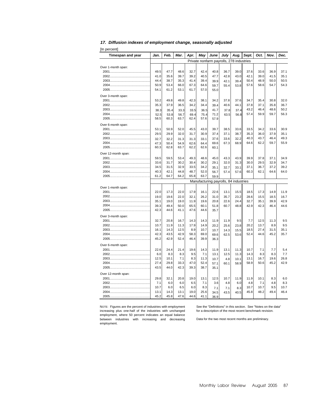| In percent<br>Timespan and year | Jan.         | Feb.         | Mar.         | Apr.         | May          | June                                     | July | Aug. | Sept. | Oct. | Nov. | Dec. |
|---------------------------------|--------------|--------------|--------------|--------------|--------------|------------------------------------------|------|------|-------|------|------|------|
|                                 |              |              |              |              |              |                                          |      |      |       |      |      |      |
|                                 |              |              |              |              |              | Private nonfarm payrolls, 278 industries |      |      |       |      |      |      |
| Over 1-month span:              |              |              |              |              |              |                                          |      |      |       |      |      |      |
|                                 | 49.5         | 47.7         | 48.6         | 32.7         | 42.4         | 40.8                                     | 36.7 | 39.0 | 37.6  | 33.6 | 36.9 | 37.1 |
|                                 | 41.0         | 35.6         | 39.7         | 39.2         | 40.5         | 47.7                                     | 42.8 | 43.0 | 42.1  | 39.0 | 41.5 | 35.1 |
|                                 | 44.4         | 38.7         | 35.3         | 41.4         | 39.4         | 39.9                                     | 42.1 | 39.4 | 50.4  | 48.9 | 50.0 | 50.5 |
|                                 | 50.9         | 53.4         | 66.0         | 67.3         | 64.6         | 59.7                                     | 55.4 | 53.8 | 57.6  | 58.6 | 54.7 | 54.3 |
|                                 | 54.1         | 61.2         | 53.1         | 61.7         | 57.0         | 55.0                                     |      |      |       |      |      |      |
| Over 3-month span:              |              |              |              |              |              |                                          |      |      |       |      |      |      |
|                                 | 53.2         | 49.8         | 49.8         | 42.3         | 38.1         | 34.2                                     | 37.8 | 37.6 | 34.7  | 35.4 | 30.8 | 32.0 |
|                                 | 35.3         | 37.9         | 36.5         | 34.2         | 34.4         | 39.4                                     | 40.6 | 44.1 | 37.8  | 37.1 | 35.8 | 36.7 |
|                                 | 38.3         | 35.4         | 33.3         | 33.5         | 36.5         | 41.7                                     | 37.8 | 37.4 | 43.2  | 46.4 | 48.6 | 50.2 |
|                                 | 52.5         | 53.8         | 56.7         | 69.4         | 75.4         | 71.2                                     | 63.5 | 56.8 | 57.4  | 59.9 | 59.7 | 56.3 |
|                                 | 58.5         | 60.3         | 63.7         | 62.4         | 57.6         | 57.9                                     |      |      |       |      |      |      |
| Over 6-month span:              |              |              |              |              |              |                                          |      |      |       |      |      |      |
|                                 | 53.1         | 50.9         | 52.0         | 45.5         | 43.0         | 39.7                                     | 38.5 | 33.6 | 33.5  | 34.2 | 33.6 | 30.9 |
|                                 | 29.5         | 29.9         | 32.0         | 31.7         | 30.9         | 37.4                                     | 37.1 | 38.7 | 35.3  | 36.0 | 37.9 | 35.1 |
|                                 |              |              |              |              |              | 37.6                                     | 33.6 | 32.2 | 40.3  | 43.7 | 46.4 | 49.3 |
|                                 | 32.7         | 32.2         | 31.3         | 31.3         | 33.1         |                                          |      | 68.9 | 64.6  | 62.2 | 59.7 | 55.9 |
|                                 | 47.3<br>60.3 | 50.4<br>62.8 | 54.9<br>63.7 | 62.6<br>62.2 | 64.4<br>62.6 | 69.6<br>60.1                             | 67.3 |      |       |      |      |      |
|                                 |              |              |              |              |              |                                          |      |      |       |      |      |      |
| Over 12-month span:             |              |              |              |              |              |                                          |      |      |       |      |      |      |
|                                 | 59.5         | 59.5         | 53.4         | 49.3         | 48.6         | 45.0                                     | 43.3 | 43.9 | 39.9  | 37.8 | 37.1 | 34.9 |
|                                 | 33.6         | 31.7         | 30.2         | 30.4         | 30.2         | 29.1                                     | 32.0 | 31.3 | 30.0  | 29.5 | 32.9 | 34.7 |
|                                 | 34.5         | 31.5         | 32.9         | 33.5         | 34.2         | 35.1                                     | 32.7 | 33.1 | 37.1  | 36.7 | 37.2 | 39.2 |
|                                 | 40.3         | 42.1         | 44.8         | 48.7         | 52.0         | 56.7                                     | 57.4 | 57.6 | 60.3  | 62.1 | 64.6 | 64.0 |
|                                 | 61.2         | 64.7         | 64.2         | 65.8         | 63.7         | 59.9                                     |      |      |       |      |      |      |
|                                 |              |              |              |              |              | Manufacturing payrolls, 84 industries    |      |      |       |      |      |      |
| Over 1-month span:              |              |              |              |              |              |                                          |      |      |       |      |      |      |
|                                 | 22.0         | 17.3         | 22.0         | 17.9         | 16.1         | 22.6                                     | 13.1 | 15.5 | 18.5  | 17.3 | 14.9 | 11.9 |
|                                 | 19.0         | 19.6         | 22.0         | 32.1         | 26.2         | 31.0                                     | 35.7 | 23.2 | 28.6  | 15.5 | 18.5 | 16.7 |
|                                 | 35.1         | 19.0         | 19.0         | 11.9         | 19.6         | 20.8                                     | 22.6 | 24.4 | 32.7  | 35.1 | 39.9 | 42.9 |
|                                 | 39.3         | 49.4         | 50.0         | 65.5         | 60.1         | 51.8                                     | 60.7 | 48.8 | 42.9  | 42.3 | 46.4 | 44.6 |
|                                 | 42.3         | 44.6         | 41.1         | 47.6         | 44.6         | 35.7                                     |      |      |       |      |      |      |
| Over 3-month span:              |              |              |              |              |              |                                          |      |      |       |      |      |      |
|                                 | 32.7         | 20.8         | 16.7         | 14.3         | 14.3         | 11.9                                     | 11.9 | 9.5  | 7.7   | 12.5 | 11.3 | 9.5  |
|                                 | 10.7         | 11.9         | 11.3         | 17.9         | 14.9         | 20.2                                     | 25.6 | 23.8 | 20.2  | 13.7 | 8.9  | 9.5  |
|                                 | 16.1         | 14.3         | 12.5         | 8.9          | 10.7         | 10.7                                     | 14.3 | 15.5 | 18.5  | 27.4 | 31.5 | 35.1 |
|                                 | 42.3         | 43.5         | 42.9         | 58.3         | 69.0         | 69.6                                     | 62.5 | 53.6 | 52.4  | 44.6 | 45.2 | 35.7 |
|                                 | 45.2         | 42.9         | 52.4         | 46.4         | 39.9         | 36.3                                     |      |      |       |      |      |      |
|                                 |              |              |              |              |              |                                          |      |      |       |      |      |      |
| Over 6-month span:              |              |              |              |              |              |                                          |      |      |       |      |      |      |
|                                 | 22.6         | 24.4         | 21.4         | 19.6         | 14.3         | 11.9                                     | 13.1 | 11.3 | 10.7  | 7.1  | 7.7  | 5.4  |
|                                 | 6.0          | 8.3          | 8.3          | 9.5          | 7.1          | 13.1                                     | 12.5 | 11.3 | 14.3  | 8.3  | 8.3  | 7.7  |
|                                 | 12.5         | 10.1         | 7.1          | 8.3          | 11.3         | 10.7                                     | 4.8  | 10.1 | 13.1  | 16.7 | 19.6 | 26.8 |
|                                 | 27.4         | 29.8         | 33.3         | 47.0         | 52.4         | 57.1                                     | 60.1 | 58.9 | 58.9  | 50.6 | 45.2 | 42.9 |
|                                 | 43.5         | 44.0         | 42.3         | 39.3         | 38.7         | 35.1                                     |      |      |       |      |      |      |
| Over 12-month span:             |              |              |              |              |              |                                          |      |      |       |      |      |      |
|                                 | 29.8         | 32.1         | 20.8         | 19.0         | 13.1         | 12.5                                     | 10.7 | 11.9 | 11.9  | 10.1 | 8.3  | 6.0  |
|                                 | 7.1          | 6.0          | 6.0          | 6.5          | 7.1          | 3.6                                      | 4.8  | 6.0  | 4.8   | 7.1  | 4.8  | 8.3  |
|                                 | 10.7         | 6.0          | 6.5          | 6.0          | 8.3          | 7.1                                      | 7.1  | 8.3  | 10.7  | 10.7 | 9.5  | 10.7 |
|                                 | 13.1         | 14.3         | 13.1         | 19.0         | 25.6         | 34.5                                     | 43.5 | 40.5 | 45.8  | 48.2 | 49.4 | 46.4 |
|                                 | 45.2         | 45.8         | 47.6         | 44.6         | 41.1         | 36.9                                     |      |      |       |      |      |      |

|  |  |  |  |  |  | 17. Diffusion indexes of employment change, seasonally adjusted |  |
|--|--|--|--|--|--|-----------------------------------------------------------------|--|
|--|--|--|--|--|--|-----------------------------------------------------------------|--|

[In percent]

NOTE: Figures are the percent of industries with employment increasing plus one-half of the industries with unchanged employment, where 50 percent indicates an equal balance between industries with increasing and decreasing employment.

See the "Definitions" in this section. See "Notes on the data" for a description of the most recent benchmark revision.

Data for the two most recent months are preliminary.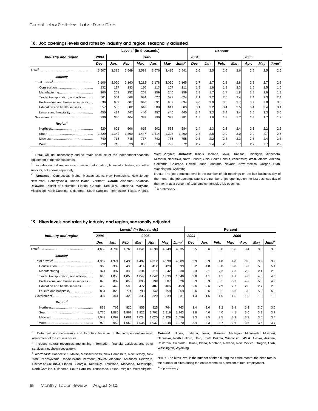|                                      |       |       |       | Levels <sup>1</sup> (in thousands) |       |       |                          |            |      | Percent |      |      |     |                          |
|--------------------------------------|-------|-------|-------|------------------------------------|-------|-------|--------------------------|------------|------|---------|------|------|-----|--------------------------|
| Industry and region                  | 2004  |       |       | 2005                               |       |       |                          | 2004       |      |         |      | 2005 |     |                          |
|                                      | Dec.  | Jan.  | Feb.  | Mar.                               | Apr.  | May   | <b>June</b> <sup>p</sup> | <b>Dec</b> | Jan. | Feb.    | Mar. | Apr. | May | <b>June</b> <sup>p</sup> |
|                                      | 3,507 | 3,385 | 3,569 | 3,598                              | 3,576 | 3,416 | 3,541                    | 2.6        | 2.5  | 2.6     | 2.6  | 2.6  | 2.5 | 2.6                      |
| Industry                             |       |       |       |                                    |       |       |                          |            |      |         |      |      |     |                          |
|                                      | 3,106 | 3,020 | 3,160 | 3,212                              | 3,178 | 3,050 | 3,165                    | 2.7        | 2.7  | 2.8     | 2.8  | 2.8  | 2.7 | 2.8                      |
|                                      | 132   | 127   | 133   | 170                                | 113   | 107   | 111                      | 1.8        | 1.8  | 1.8     | 2.3  | 1.5  | 1.5 | 1.5                      |
|                                      | 266   | 252   | 252   | 258                                | 259   | 240   | 259                      | 1.8        | 1.7  | 1.7     | 1.8  | 1.8  | 1.6 | 1.8                      |
| Trade, transportation, and utilities | 561   | 564   | 668   | 624                                | 627   | 597   | 624                      | 2.1        | 2.2  | 2.5     | 2.4  | 2.4  | 2.3 | 2.4                      |
| Professional and business services   | 699   | 682   | 607   | 646                                | 691   | 659   | 634                      | 4.0        | 3.9  | 3.5     | 3.7  | 3.9  | 3.8 | 3.6                      |
| Education and health services        | 557   | 560   | 602   | 616                                | 608   | 611   | 603                      | 3.1        | 3.2  | 3.4     | 3.5  | 3.4  | 3.4 | 3.4                      |
| Leisure and hospitality              | 450   | 434   | 447   | 440                                | 457   | 440   | 440                      | 3.4        | 3.3  | 3.4     | 3.4  | 3.5  | 3.3 | 3.5                      |
|                                      | 396   | 346   | 404   | 383                                | 396   | 378   | 381                      | 1.8        | 1.6  | 1.8     | 1.7  | 1.8  | 1.7 | 1.7                      |
| Region <sup>3</sup>                  |       |       |       |                                    |       |       |                          |            |      |         |      |      |     |                          |
|                                      | 620   | 602   | 606   | 615                                | 602   | 563   | 584                      | 2.4        | 2.3  | 2.3     | 2.4  | 2.3  | 2.2 | 2.2                      |
|                                      | 1,329 | 1,342 | 1,399 | 1,447                              | 1,414 | 1,303 | 1,290                    | 2.8        | 2.8  | 2.9     | 3.0  | 2.9  | 2.7 | 2.6                      |
|                                      | 740   | 716   | 745   | 737                                | 742   | 786   | 755                      | 2.3        | 2.2  | 2.3     | 2.3  | 2.3  | 2.4 | 2.3                      |
|                                      | 792   | 718   | 823   | 806                                | 818   | 799   | 872                      | 2.7        | 2.4  | 2.8     | 2.7  | 2.7  | 2.7 | 2.9                      |

### **18. Job openings levels and rates by industry and region, seasonally adjusted**

<sup>1</sup> Detail will not necessarily add to totals because of the independent seasonal adjustment of the various series.

 $2$  Includes natural resources and mining, information, financial activities, and other services, not shown separately.

<sup>3</sup> *Northeast:* Connecticut, Maine, Massachusetts, New Hampshire, New Jersey, New York, Pennsylvania, Rhode Island, Vermont; *South:* Alabama, Arkansas, Delaware, District of Columbia, Florida, Georgia, Kentucky, Louisiana, Maryland, Mississippi, North Carolina, Oklahoma, South Carolina, Tennessee, Texas, Virginia,

West Virginia; *Midwest*: Illinois, Indiana, Iowa, Kansas, Michigan, Minnesota, Missouri, Nebraska, North Dakota, Ohio, South Dakota, Wisconsin; *West:* Alaska, Arizona, California, Colorado, Hawaii, Idaho, Montana, Nevada, New Mexico, Oregon, Utah, Washington, Wyoming.

NOTE: The job openings level is the number of job openings on the last business day of the month; the job openings rate is the number of job openings on the last business day of the month as a percent of total employment plus job openings.

 $P =$  preliminary.

### **19. Hires levels and rates by industry and region, seasonally adjusted**

|                                      |            |       |       | Levels <sup>1</sup> (in thousands) |       |       |                          |            |      |      | Percent |      |     |                          |
|--------------------------------------|------------|-------|-------|------------------------------------|-------|-------|--------------------------|------------|------|------|---------|------|-----|--------------------------|
| Industry and region                  | 2004       |       |       | 2005                               |       |       |                          | 2004       |      |      | 2005    |      |     |                          |
|                                      | <b>Dec</b> | Jan.  | Feb.  | Mar.                               | Apr.  | May   | <b>June</b> <sup>p</sup> | <b>Dec</b> | Jan. | Feb. | Mar.    | Apr. | May | <b>June</b> <sup>p</sup> |
|                                      | 4,639      | 4,709 | 4,760 | 4,841                              | 4,538 | 4,740 | 4,635                    | 3.5        | 3.6  | 3.6  | 3.6     | 3.4  | 3.6 | 3.5                      |
| Industry                             |            |       |       |                                    |       |       |                          |            |      |      |         |      |     |                          |
|                                      | 4,337      | 4,374 | 4.430 | 4.497                              | 4,212 | 4,398 | 4.309                    | 3.9        | 3.9  | 4.0  | 4.0     | 3.8  | 3.9 | 3.9                      |
|                                      | 368        | 339   | 430   | 414                                | 412   | 420   | 399                      | 5.2        | 4.8  | 6.0  | 5.8     | 5.7  | 5.8 | 5.4                      |
| Manufacturing                        | 324        | 307   | 336   | 334                                | 319   | 342   | 330                      | 2.3        | 2.1  | 2.3  | 2.3     | 2.2  | 2.4 | 2.3                      |
| Trade, transportation, and utilities | 986        | 1,056 | 1,055 | 1.047                              | 1,042 | 1,030 | 1.040                    | 3.8        | 4.1  | 4.1  | 4.1     | 4.0  | 4.0 | 4.0                      |
| Professional and business services   | 878        | 882   | 853   | 895                                | 792   | 887   | 826                      | 5.3        | 5.3  | 5.1  | 5.3     | 4.7  | 5.3 | 4.9                      |
| Education and health services        | 452        | 445   | 500   | 472                                | 487   | 466   | 453                      | 2.6        | 2.6  | 2.9  | 2.7     | 2.8  | 2.7 | 2.6                      |
| Leisure and hospitality              | 834        | 826   | 771   | 798                                | 742   | 750   | 863                      | 6.6        | 6.6  | 6.1  | 6.3     | 5.8  | 5.9 | 6.8                      |
|                                      | 307        | 341   | 329   | 336                                | 329   | 339   | 331                      | 1.4        | 1.6  | 1.5  | 1.5     | 1.5  | 1.6 | 1.5                      |
| Region <sup>3</sup>                  |            |       |       |                                    |       |       |                          |            |      |      |         |      |     |                          |
|                                      | 858        | 762   | 820   | 856                                | 825   | 764   | 763                      | 3.4        | 3.0  | 3.2  | 3.4     | 3.3  | 3.0 | 3.0                      |
|                                      | 1.770      | 1,880 | 1,867 | 1,922                              | 1.701 | 1.816 | 1.763                    | 3.8        | 4.0  | 4.0  | 4.1     | 3.6  | 3.8 | 3.7                      |
|                                      | 1,043      | 1,092 | 1,081 | 1,034                              | 1,020 | 1,129 | 1.056                    | 3.3        | 3.5  | 3.5  | 3.3     | 3.3  | 3.6 | 3.4                      |
|                                      | 970        | 959   | 1,069 | 1,036                              | 1,037 | 1.048 | 1.070                    | 3.4        | 3.3  | 3.7  | 3.6     | 3.6  | 3.6 | 3.7                      |

<sup>1</sup> Detail will not necessarily add to totals because of the independent seasonal adjustment of the various series.

 $2$  Includes natural resources and mining, information, financial activities, and other services, not shown separately.

<sup>3</sup> *Northeast*: Connecticut, Maine, Massachusetts, New Hampshire, New Jersey, New York, Pennsylvania, Rhode Island, Vermont; *South:* Alabama, Arkansas, Delaware, District of Columbia, Florida, Georgia, Kentucky, Louisiana, Maryland, Mississippi, North Carolina, Oklahoma, South Carolina, Tennessee, Texas, Virginia, West Virginia;

*Midwest:* Illinois, Indiana, Iowa, Kansas, Michigan, Minnesota, Missouri, Nebraska, North Dakota, Ohio, South Dakota, Wisconsin; *West:* Alaska, Arizona, California, Colorado, Hawaii, Idaho, Montana, Nevada, New Mexico, Oregon, Utah, Washington, Wyoming.

NOTE: The hires level is the number of hires during the entire month; the hires rate is the number of hires during the entire month as a percent of total employment.  $P =$  preliminary.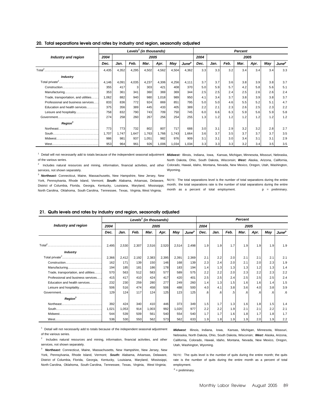|                                      |       | Levels <sup>1</sup> (in thousands) |       |       |       |       |                          |                  |      |      | Percent |      |     |                   |
|--------------------------------------|-------|------------------------------------|-------|-------|-------|-------|--------------------------|------------------|------|------|---------|------|-----|-------------------|
| Industry and region                  | 2004  |                                    |       |       | 2005  |       |                          | 2004             |      |      |         | 2005 |     |                   |
|                                      | Dec.  | Jan.                               | Feb.  | Mar.  | Apr.  | May   | <b>June</b> <sup>p</sup> | Dec.             | Jan. | Feb. | Mar.    | Apr. | May | June <sup>p</sup> |
|                                      | 4.435 | 4,352                              | 4.295 | 4,502 | 4.562 | 4.504 | 4.362                    | 3.3              | 3.3  | 3.2  | 3.4     | 3.4  | 3.4 | 3.3               |
| Industry                             |       |                                    |       |       |       |       |                          |                  |      |      |         |      |     |                   |
|                                      | 4,146 | 4,091                              | 4,035 | 4,237 | 4,306 | 4,256 | 4.111                    | 3.7              | 3.7  | 3.6  | 3.8     | 3.9  | 3.8 | 3.7               |
|                                      | 355   | 417                                | 3     | 303   | 421   | 408   | 370                      | 5.0              | 5.9  | 5.7  | 4.2     | 5.8  | 5.6 | 5.1               |
| Manufacturing                        | 353   | 361                                | 341   | 360   | 369   | 369   | 344                      | 2.5              | 2.5  | 2.4  | 2.5     | 2.6  | 2.6 | 2.4               |
| Trade, transportation, and utilities | 1.062 | 882                                | 940   | 980   | 1.018 | 989   | 950                      | 4.1              | 3.4  | 3.7  | 3.8     | 3.9  | 3.8 | 3.7               |
| Professional and business services   | 833   | 836                                | 772   | 924   | 869   | 851   | 795                      | 5.0              | 5.0  | 4.6  | 5.5     | 5.2  | 5.1 | 4.7               |
| Education and health services        | 375   | 356                                | 389   | 445   | 433   | 405   | 389                      | 2.2              | 2.1  | 2.3  | 2.6     | 2.5  | 2.3 | 2.2               |
| Leisure and hospitality              | 758   | 832                                | 790   | 743   | 709   | 750   | 745                      | 6.0              | 6.6  | 6.3  | 5.9     | 5.6  | 5.9 | 5.8               |
|                                      | 274   | 258                                | 260   | 267   | 256   | 254   | 255                      | 1.3              | 1.2  | 1.2  | 1.2     | 1.2  | 1.2 | 1.2               |
| Region <sup>3</sup>                  |       |                                    |       |       |       |       |                          |                  |      |      |         |      |     |                   |
|                                      | 773   | 773                                | 732   | 802   | 807   | 717   | 688                      | 3.0 <sub>1</sub> | 3.1  | 2.9  | 3.2     | 3.2  | 2.8 | 2.7               |
|                                      | 1.707 | 1.747                              | 1,647 | 1,763 | 1,766 | 1.743 | 1,664                    | 3.6              | 3.7  | 3.5  | 3.7     | 3.7  | 3.7 | 3.5               |
|                                      | 986   | 981                                | 937   | 1.051 | 982   | 976   | 909                      | 3.1              | 3.1  | 3.0  | 3.4     | 3.1  | 3.1 | 2.9               |
|                                      | 953   | 964                                | 961   | 926   | 1.006 | 1.034 | 1.034                    | 3.3              | 3.3  | 3.3  | 3.2     | 3.4  | 3.5 | 3.5               |

### **20. Total separations levels and rates by industry and region, seasonally adjusted**

of the various series.

services, not shown separately.

<sup>3</sup> Northeast: Connecticut, Maine, Massachusetts, New Hampshire, New Jersey, New York, Pennsylvania, Rhode Island, Vermont; South: Alabama, Arkansas, Delaware, NOTE: The total separations level is the number of total separations during the entire District of Columbia, Florida, Georgia, Kentucky, Louisiana, Maryland, Mississippi, month; the total separations rate is the number of total separations during the entire North Carolina, Oklahoma, South Carolina, Tennessee, Texas, Virginia, West Virginia; month as a percent of total employment.  $p = preliminary$ .

<sup>1</sup> Detail will not necessarily add to totals because of the independent seasonal adjustment Midwest: Illinois, Indiana, Iowa, Kansas, Michigan, Minnesota, Missouri, Nebraska,  $^2$  Includes natural resources and mining, information, financial activities, and other Colorado, Hawaii, Idaho, Montana, Nevada, New Mexico, Oregon, Utah, Washington, North Dakota, Ohio, South Dakota, Wisconsin; *West:* Alaska, Arizona, California, Wyoming.

#### **21. Quits levels and rates by industry and region, seasonally adjusted**

|                                      |       |       | Levels <sup>1</sup> (in thousands) |       |       |       |                          |      |      |      | Percent |      |     |                          |
|--------------------------------------|-------|-------|------------------------------------|-------|-------|-------|--------------------------|------|------|------|---------|------|-----|--------------------------|
| Industry and region                  | 2004  |       |                                    | 2005  |       |       |                          | 2004 |      |      | 2005    |      |     |                          |
|                                      | Dec.  | Jan.  | Feb.                               | Mar.  | Apr.  | May   | <b>June</b> <sup>p</sup> | Dec. | Jan. | Feb. | Mar.    | Apr. | May | <b>June</b> <sup>p</sup> |
|                                      |       |       |                                    |       |       |       |                          |      |      |      |         |      |     |                          |
|                                      | 2,495 | 2,530 | 2,307                              | 2,516 | 2,520 | 2,514 | 2,498                    | 1.9  | 1.9  | 1.7  | 1.9     | 1.9  | 1.9 | 1.9                      |
| Industry                             |       |       |                                    |       |       |       |                          |      |      |      |         |      |     |                          |
|                                      | 2,366 | 2,412 | 2,192                              | 2,383 | 2,395 | 2,391 | 2,369                    | 2.1  | 2.2  | 2.0  | 2.1     | 2.1  | 2.1 | 2.1                      |
|                                      | 162   | 171   | 139                                | 150   | 146   | 168   | 139                      | 2.3  | 2.4  | 2.0  | 2.1     | 2.0  | 2.3 | 1.9                      |
| Manufacturing                        | 194   | 185   | 181                                | 186   | 178   | 183   | 194                      | 1.4  | 1.3  | 1.3  | 1.3     | 1.2  | 1.3 | 1.4                      |
| Trade, transportation, and utilities | 570   | 563   | 512                                | 583   | 577   | 589   | 575                      | 2.2  | 2.2  | 2.0  | 2.3     | 2.2  | 2.3 | 2.2                      |
| Professional and business services   | 415   | 417   | 410                                | 424   | 417   | 420   | 401                      | 2.5  | 2.5  | 2.4  | 2.5     | 2.5  | 2.5 | 2.4                      |
| Education and health services        | 232   | 230   | 259                                | 280   | 277   | 249   | 260                      | 1.4  | 1.3  | 1.5  | 1.6     | 1.6  | 1.4 | 1.5                      |
| Leisure and hospitality              | 506   | 516   | 474                                | 458   | 506   | 488   | 500                      | 4.0  | 4.1  | 3.8  | 3.6     | 4.0  | 3.8 | 3.9                      |
|                                      | 129   | 124   | 117                                | 124   | 125   | 123   | 125                      | .6   | .6   | .5   | .6      | .6   | .6  | .6                       |
| Region <sup>3</sup>                  |       |       |                                    |       |       |       |                          |      |      |      |         |      |     |                          |
|                                      | 392   | 424   | 340                                | 410   | 446   | 373   | 349                      | 1.5  | 1.7  | 1.3  | 1.6     | 1.8  | 1.5 | 1.4                      |
|                                      | 1,021 | 1,053 | 914                                | 1,003 | 992   | 1,020 | 977                      | 2.2  | 2.2  | 1.9  | 2.1     | 2.1  | 2.2 | 2.1                      |
|                                      | 544   | 539   | 509                                | 561   | 540   | 554   | 540                      | 1.7  | 1.7  | 1.6  | 1.8     | 1.7  | 1.8 | 1.7                      |
|                                      | 536   | 530   | 550                                | 562   | 573   | 562   | 633                      | 1.9  | 1.8  | 1.9  | 1.9     | 2.0  | 1.9 | 2.2                      |

<sup>1</sup> Detail will not necessarily add to totals because of the independent seasonal adjustment of the various series.

<sup>2</sup> Includes natural resources and mining, information, financial activities, and other services, not shown separately.

*Midwest*: Illinois, Indiana, Iowa, Kansas, Michigan, Minnesota, Missouri, Nebraska, North Dakota, Ohio, South Dakota, Wisconsin; *West:* Alaska, Arizona, California, Colorado, Hawaii, Idaho, Montana, Nevada, New Mexico, Oregon, Utah, Washington, Wyoming.

<sup>3</sup> Northeast: Connecticut, Maine, Massachusetts, New Hampshire, New Jersey, New York, Pennsylvania, Rhode Island, Vermont; *South:* Alabama, Arkansas, Delaware, District of Columbia, Florida, Georgia, Kentucky, Louisiana, Maryland, Mississippi, North Carolina, Oklahoma, South Carolina, Tennessee, Texas, Virginia, West Virginia;

NOTE: The quits level is the number of quits during the entire month; the quits rate is the number of quits during the entire month as a percent of total employment.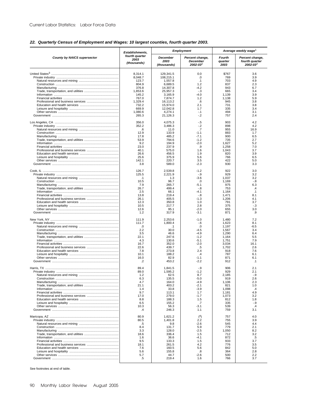## *22. Quarterly Census of Employment and Wages: 10 largest counties, fourth quarter 2003.*

|                                    | Establishments,                       |                                 | Employment                              |                           | Average weekly wage <sup>1</sup>              |
|------------------------------------|---------------------------------------|---------------------------------|-----------------------------------------|---------------------------|-----------------------------------------------|
| <b>County by NAICS supersector</b> | fourth quarter<br>2003<br>(thousands) | December<br>2003<br>(thousands) | Percent change,<br>December<br>2002-032 | Fourth<br>quarter<br>2003 | Percent change,<br>fourth quarter<br>2002-032 |
|                                    | 8,314.1                               | 129,341.5                       | 0.0                                     | \$767                     | 3.6                                           |
|                                    | 8,048.7                               | 108,215.1                       | .0                                      | 769                       | 3.9                                           |
|                                    | 123.7                                 | 1,557.8                         | $\cdot$ 1                               | 703                       | 4.9                                           |
|                                    | 804.9                                 | 6,689.5                         | 1.2                                     | 837                       | 2.3                                           |
|                                    | 376.8                                 | 14,307.8                        | $-4.2$                                  | 943                       | 6.7                                           |
|                                    | 1,853.6                               | 25,957.3                        | $-.3$                                   | 665                       | 3.4                                           |
|                                    | 145.2                                 | 3,165.9                         | $-4.0$                                  | 1,139                     | 3.9                                           |
|                                    | 767.0<br>1.329.4                      | 7,874.7                         | 1.2<br>.6                               | 1,138<br>945              | 5.9<br>3.8                                    |
|                                    | 732.2                                 | 16,113.2<br>15,974.0            | 2.1                                     | 731                       | 3.8                                           |
|                                    | 669.9                                 | 12,042.8                        | 1.7                                     | 335                       | 3.4                                           |
|                                    | 1,080.6                               | 4,274.1                         | $-.1$                                   | 494                       | 3.1                                           |
|                                    | 265.3                                 | 21,126.3                        | $-.2$                                   | 757                       | 2.4                                           |
|                                    | 356.0                                 | 4,075.3                         | $-.5$                                   | 903                       | 4.2                                           |
|                                    | 352.2                                 | 3,486.3                         | $-.2$                                   | 898                       | 4.2                                           |
|                                    | .6                                    | 11.0                            | .7                                      | 955                       | 16.9                                          |
|                                    | 12.9                                  | 133.9                           | $-1.1$                                  | 883                       | 1.7                                           |
|                                    | 17.8                                  | 485.2                           | $-7.1$                                  | 900                       | 6.5                                           |
|                                    | 53.9                                  | 794.6<br>194.9                  | $-1.2$<br>$-2.0$                        | 735<br>1,627              | 2.7<br>5.2                                    |
|                                    | 9.2<br>23.0                           | 237.9                           | .9                                      | 1,258                     | 7.0                                           |
|                                    | 40.1                                  | 575.0                           | 1.6                                     | 1,043                     | 3.7                                           |
|                                    | 26.6                                  | 456.5                           | 1.9                                     | 820                       | 3.9                                           |
|                                    | 25.6                                  | 375.9                           | 5.6                                     | 766                       | 6.5                                           |
|                                    | 142.1                                 | 220.7                           | 3.5                                     | 422                       | 5.0                                           |
|                                    | 3.8                                   | 589.0                           | $-2.3$                                  | 930                       | 3.3                                           |
|                                    | 126.7                                 | 2,539.8                         | $-1.2$                                  | 922                       | 3.0                                           |
|                                    | 125.5                                 | 2,221.9                         | $-.9$                                   | 929                       | 3.2                                           |
|                                    | $\cdot$ 1                             | 1.3                             | $-3.6$                                  | 1,037                     | 3.2                                           |
|                                    | 10.5<br>7.9                           | 96.7<br>265.7                   | .0<br>$-5.1$                            | 1,169<br>975              | $-.8$<br>6.3                                  |
|                                    | 26.7                                  | 499.4                           | $-.8$                                   | 753                       | $\cdot$                                       |
|                                    | 2.5                                   | 66.1                            | -4.1                                    | 1,164                     | $\cdot$ 1                                     |
|                                    | 13.8                                  | 219.4                           | $-.8$                                   | 1,471                     | 8.1                                           |
|                                    | 26.1                                  | 405.5                           | $-1.3$                                  | 1,206                     | 4.1                                           |
|                                    | 12.3                                  | 350.8                           | 1.0                                     | 791                       | 3.7                                           |
|                                    | 10.5                                  | 217.7                           | 2.8                                     | 375                       | $-.3$                                         |
|                                    | 12.6                                  | 95.1                            | $-2.0$                                  | 655                       | 3.0                                           |
|                                    | 1.2                                   | 317.9                           | -3.1                                    | 871                       | .9                                            |
|                                    | 111.9                                 | 2,253.6                         | $-1.0$                                  | 1,480                     | 7.2                                           |
|                                    | 111.7<br>.0                           | 1,800.4<br>.1                   | $-.6$<br>.0                             | 1,623<br>1,197            | 8.1<br>$-6.5$                                 |
|                                    | 2.2                                   | 30.0                            | -4.5                                    | 1,567                     | 3.4                                           |
|                                    | 3.5                                   | 46.6                            | $-4.9$                                  | 1,290                     | 6.4                                           |
|                                    | 22.1                                  | 247.6                           | $-1.2$                                  | 1,164                     | 5.5                                           |
|                                    | 4.3                                   | 130.6                           | $-5.1$                                  | 1,751                     | 7.9                                           |
|                                    | 16.7                                  | 352.0                           | $-2.0$                                  | 3,034                     | 16.1                                          |
|                                    | 22.6                                  | 439.7                           | .5                                      | 1,702                     | 2.6                                           |
|                                    | 7.8                                   | 273.8                           | 2.4                                     | 918                       | 7.6                                           |
|                                    | 10.1                                  | 188.2                           | .4                                      | 787                       | 6.1                                           |
|                                    | 16.0                                  | 82.9                            | $-1.1$                                  | 871                       | 6.1                                           |
|                                    | .2                                    | 453.2                           | $-2.2$                                  | 912                       | $\cdot$ 1                                     |
|                                    | 89.4                                  | 1,841.5                         | -.9<br>$-1.2$                           | 906                       | 2.1<br>2.1                                    |
|                                    | 89.0<br>1.2                           | 1,595.2<br>62.5                 | 8.7                                     | 929<br>2,185              | $-9$                                          |
|                                    | 6.3                                   | 135.5                           | -5.0                                    | 919                       | 2.6                                           |
|                                    | 4.7                                   | 164.0                           | $-4.9$                                  | 1,106                     | 2.3                                           |
|                                    | 21.1                                  | 403.2                           | $-2.1$                                  | 821                       | 1.0                                           |
|                                    | 1.4                                   | 33.8                            | $-3.9$                                  | 1,098                     | .4                                            |
|                                    | 9.7                                   | 113.1                           | 1.7                                     | 1,181                     | 4.9                                           |
|                                    | 17.0                                  | 279.0                           | $-1.7$                                  | 1,073                     | 3.2                                           |
|                                    | 8.8                                   | 188.3                           | 1.5                                     | 812                       | 1.8                                           |
|                                    | 6.5                                   | 155.2                           | .7                                      | 335                       | $-.9$                                         |
|                                    | 10.3<br>$\cdot$                       | 56.3<br>246.3                   | -3.1<br>1.1                             | 539<br>759                | $\cdot$<br>3.1                                |
|                                    | 80.9                                  | 1,621.2                         | (4)                                     | 757                       | 4.0                                           |
|                                    | 80.5                                  | 1,401.8                         | 2.2                                     | 755                       | 3.9                                           |
|                                    | .5                                    | 9.8                             | $-2.6$                                  | 545                       | 4.4                                           |
|                                    | 8.4                                   | 131.7                           | 5.9                                     | 779                       | 2.1                                           |
|                                    | 3.3                                   | 128.0                           | $-2.5$                                  | 1,050                     | 8.2                                           |
|                                    | 18.6                                  | 336.4                           | 1.5                                     | 712                       | 3.2                                           |
|                                    | 1.6                                   | 36.6                            | -4.1                                    | 872                       | .5                                            |
|                                    | 9.5                                   | 133.3                           | 1.5                                     | 933                       | 3.7                                           |
|                                    | 18.1                                  | 261.5                           | 4.2                                     | 776                       | 3.5                                           |
|                                    | 7.6                                   | 160.5                           | 5.6                                     | 842                       | 5.0                                           |
|                                    | 5.6                                   | 155.8                           | .8<br>$-2.6$                            | 364<br>500                | 2.8<br>2.2                                    |
|                                    | 5.7<br>.5                             | 44.7<br>219.4                   | 1.6                                     | 766                       | 3.7                                           |
|                                    |                                       |                                 |                                         |                           |                                               |

See footnotes at end of table.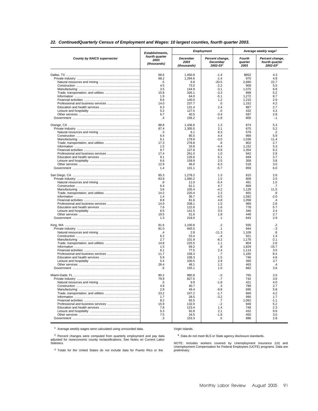|  | 22. ContinuedQuarterly Census of Employment and Wages: 10 largest counties, fourth quarter 2003. |  |  |  |  |  |  |  |  |
|--|--------------------------------------------------------------------------------------------------|--|--|--|--|--|--|--|--|
|--|--------------------------------------------------------------------------------------------------|--|--|--|--|--|--|--|--|

| <b>County by NAICS supersector</b> | Establishments,<br>fourth quarter<br>2003<br>(thousands) | Employment                      |                                         | Average weekly wage <sup>1</sup> |                                               |
|------------------------------------|----------------------------------------------------------|---------------------------------|-----------------------------------------|----------------------------------|-----------------------------------------------|
|                                    |                                                          | December<br>2003<br>(thousands) | Percent change,<br>December<br>2002-032 | Fourth<br>quarter<br>2003        | Percent change,<br>fourth quarter<br>2002-032 |
|                                    | 68.6                                                     | 1,450.8                         | $-1.4$                                  | \$952                            | 4.3                                           |
|                                    | 68.2                                                     | 1,294.6                         | $-1.4$                                  | 970                              | 4.8                                           |
|                                    | .5                                                       | 6.8                             | $-20.5$                                 | 2,680                            | 22.7                                          |
|                                    | 4.5                                                      | 73.0                            | $-2.2$                                  | 909                              | 5.5                                           |
|                                    | 3.5                                                      | 144.9                           | $-3.1$                                  | 1,075                            | 6.8                                           |
|                                    | 15.8                                                     | 326.1                           | $-3.3$                                  | 898                              | 5.2                                           |
|                                    | 1.9                                                      | 64.0                            | $-5.1$                                  | 1,272                            | 8.7                                           |
|                                    | 8.6                                                      | 140.0                           | 1.2                                     | 1,215                            | 2.9                                           |
|                                    | 14.0                                                     | 237.7                           | .0                                      | 1,152                            | 4.2                                           |
|                                    | 6.3                                                      | 131.4                           | 2.4                                     | 887                              | 2.7                                           |
|                                    | 5.2                                                      | 127.5                           | .0                                      | 432                              | 4.3                                           |
|                                    | 6.7<br>.4                                                | 40.5<br>156.2                   | $-3.4$<br>$-1.8$                        | 587<br>800                       | 2.8<br>$-.1$                                  |
|                                    |                                                          |                                 |                                         |                                  |                                               |
|                                    | 88.8<br>87.4                                             | 1,436.6<br>1,305.5              | 1.3<br>2.1                              | 874<br>875                       | 5.3<br>5.2                                    |
|                                    | .3                                                       | 6.1                             | 8.3                                     | 579                              | .2                                            |
|                                    | 6.4                                                      | 85.5                            | 4.4                                     | 969                              | 5.9                                           |
|                                    | 6.1                                                      | 179.9                           | $-3.0$                                  | 1,036                            | 11.4                                          |
|                                    | 17.3                                                     | 278.8                           | .6                                      | 802                              | 2.7                                           |
|                                    | 1.5                                                      | 33.8                            | -4.4                                    | 1,152                            | 5.3                                           |
|                                    | 9.7                                                      | 127.8                           | 9.9                                     | 1,354                            | 6.2                                           |
|                                    | 17.4                                                     | 261.0                           | 1.0                                     | 942                              | 2.8                                           |
|                                    | 9.1                                                      | 126.6                           | 6.1                                     | 849                              | 3.7                                           |
|                                    | 6.6                                                      | 159.9                           | 2.5                                     | 358                              | 3.8                                           |
|                                    | 12.9                                                     | 46.0                            | 6.3                                     | 518                              | 3.0                                           |
|                                    | 1.4                                                      | 131.1                           | -5.7                                    | 859                              | 6.0                                           |
|                                    | 85.3                                                     | 1,278.2                         | 1.3                                     | 815                              | 2.6                                           |
|                                    | 83.9                                                     | 1,060.2                         | 1.5                                     | 809                              | 2.5                                           |
|                                    | .9                                                       | 11.0                            | -5.4                                    | 491                              | 1.0                                           |
|                                    | 6.4                                                      | 81.1                            | 4.7                                     | 869                              | .7                                            |
|                                    | 3.6                                                      | 105.4                           | $-4.2$                                  | 1,129                            | 11.5                                          |
|                                    | 14.2                                                     | 220.4                           | 2.2                                     | 655                              | .9                                            |
|                                    | 1.4<br>8.8                                               | 36.7<br>81.6                    | $-4.5$<br>4.8                           | 1,582<br>1,058                   | $-2.0$<br>.4                                  |
|                                    | 14.9                                                     | 208.1                           | 1.5                                     | 989                              | 2.8                                           |
|                                    | 7.6                                                      | 122.6                           | 1.6                                     | 778                              | 5.7                                           |
|                                    | 6.5                                                      | 141.5                           | 3.5                                     | 346                              | 2.4                                           |
|                                    | 19.5                                                     | 51.6                            | 1.8                                     | 449                              | 2.7                                           |
|                                    | 1.3                                                      | 218.0                           | $\cdot$ 1                               | 843                              | 2.9                                           |
|                                    | 81.6                                                     | 1,100.6                         | .2                                      | 935                              | $\cdot$                                       |
|                                    | 81.0                                                     | 945.5                           | $\cdot$ 1                               | 944                              | $-.3$                                         |
|                                    | $\cdot$ 4                                                | 2.8                             | $-11.3$                                 | 1,109                            | .8                                            |
|                                    | 6.2                                                      | 53.4                            | $-.4$                                   | 921                              | 1.4                                           |
|                                    | 2.7                                                      | 101.9                           | -8.2                                    | 1,176                            | $-2.1$                                        |
|                                    | 14.8                                                     | 225.5                           | 1.1                                     | 804                              | 2.6                                           |
|                                    | 1.5                                                      | 69.2                            | .8                                      | 1,829                            | $-15.7$                                       |
|                                    | 6.1<br>11.7                                              | 77.5                            | 2.4                                     | 1,114                            | 3.5                                           |
|                                    | 5.9                                                      | 158.3<br>108.3                  | .7<br>1.5                               | 1,160<br>746                     | 8.4<br>4.8                                    |
|                                    | 5.4                                                      | 100.5                           | 2.9                                     | 390                              | 3.7                                           |
|                                    | 26.4                                                     | 48.1                            | 1.2                                     | 463                              | .4                                            |
|                                    | .6                                                       | 155.1                           | 1.0                                     | 882                              | 3.6                                           |
|                                    | 80.2                                                     | 980.8                           | $-.5$                                   | 765                              | 3.5                                           |
|                                    | 79.9                                                     | 827.5                           | - 7                                     | 742                              | 36                                            |
|                                    | .5                                                       | 9.9                             | $-1.8$                                  | 421                              | 4.0                                           |
|                                    | 4.9                                                      | 40.7                            | .3                                      | 788                              | 2.7                                           |
|                                    | 2.8                                                      | 49.4                            | $-9.8$                                  | 695                              | 5.8                                           |
|                                    | 23.2                                                     | 247.2                           | $-1.7$                                  | 689                              | 4.2                                           |
|                                    | 1.7                                                      | 28.5                            | $-3.2$                                  | 990                              | 1.7                                           |
|                                    | 8.2                                                      | 65.5                            | .7                                      | 1,062                            | $-1.1$                                        |
|                                    | 15.9                                                     | 132.0                           | $-2$                                    | 948                              | 5.2                                           |
|                                    | 7.8                                                      | 123.4                           | 1.4                                     | 748                              | 2.3                                           |
|                                    | 5.3                                                      | 92.8                            | 2.1                                     | 432                              | 9.9                                           |
|                                    | 7.5                                                      | 34.5                            | $-1.8$                                  | 450                              | 3.0                                           |
|                                    | .3                                                       | 153.3                           | .5                                      | 886                              | 2.8                                           |

<sup>1</sup> Average weekly wages were calculated using unrounded data.

<sup>2</sup> Percent changes were computed from quarterly employment and pay data<br>adjusted for noneconomic county reclassifications. See Notes on Current Labor<br>Statistics.

Virgin Islands.

<sup>4</sup> Data do not meet BLS or State agency disclosure standards.

<sup>3</sup> Totals for the United States do not include data for Puerto Rico or the

NOTE: Includes workers covered by Unemployment Insurance (UI) and Unemployment Compensation for Federal Employees (UCFE) programs. Data are preliminary.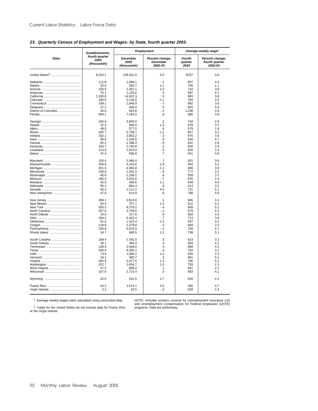# *23. Quarterly Census of Employment and Wages: by State, fourth quarter 2003.*

|                      | Establishments,                       |                                 | <b>Employment</b>                      | Average weekly wage <sup>1</sup> |                                              |  |
|----------------------|---------------------------------------|---------------------------------|----------------------------------------|----------------------------------|----------------------------------------------|--|
| <b>State</b>         | fourth quarter<br>2003<br>(thousands) | December<br>2003<br>(thousands) | Percent change,<br>December<br>2002-03 | Fourth<br>quarter<br>2003        | Percent change,<br>fourth quarter<br>2002-03 |  |
|                      | 8,314.1                               | 129,341.5                       | 0.0                                    | \$767                            | 3.6                                          |  |
|                      | 111.8                                 | 1,838.1                         | $-.1$                                  | 657                              | 4.0                                          |  |
|                      | 20.0                                  | 282.7                           | 1.1                                    | 746                              | 1.1                                          |  |
|                      | 126.9                                 | 2,352.1                         | 2.2                                    | 710                              | 3.8                                          |  |
|                      | 75.2                                  | 1.133.6                         | .5                                     | 587                              | 4.1                                          |  |
|                      | 1.190.8                               | 14,922.3                        | .0                                     | 869                              | 3.8                                          |  |
|                      | 160.0                                 | 2,134.6                         | $-1.1$                                 | 784                              | 2.0                                          |  |
|                      | 109.1                                 | 1,648.9                         | -.7                                    | 992                              | 3.8                                          |  |
|                      | 27.1                                  | 408.4                           | .5                                     | 825                              | 5.0                                          |  |
| District of Columbia | 30.0                                  | 654.8                           | -.4                                    | 1,238                            | 3.9                                          |  |
|                      | 504.1                                 | 7,424.5                         | .8                                     | 685                              | 3.8                                          |  |
|                      | 245.6                                 | 3,845.6                         | $\cdot$                                | 734                              | 2.8                                          |  |
|                      | 37.4                                  | 583.0                           | 1.3                                    | 678                              | 3.7                                          |  |
|                      | 48.5                                  | 577.5                           | .6                                     | 579                              | 1.8                                          |  |
|                      | 325.7                                 | 5,738.7                         | $-1.2$                                 | 827                              | 3.2                                          |  |
|                      | 152.1                                 | 2,852.2                         | $-3$                                   | 675                              | 3.5                                          |  |
|                      | 90.6                                  | 1.418.5                         | .0                                     | 626                              | 4.7                                          |  |
|                      | 82.2                                  | 1,298.3                         | -.9                                    | 631                              | 2.8                                          |  |
|                      | 105.7                                 | 1,740.6                         | $\cdot$ 3                              | 645                              | 3.5                                          |  |
|                      | 114.0                                 | 1,870.9                         | $.5\,$                                 | 628                              | 2.4                                          |  |
|                      | 47.4                                  | 595.8                           | $\cdot$ 7                              | 631                              | 4.6                                          |  |
|                      | 150.4                                 | 2,466.4                         | $\cdot$ 7                              | 831                              | 3.6                                          |  |
|                      | 206.6                                 | 3.154.6                         | $-1.9$                                 | 954                              | 5.2                                          |  |
|                      | 251.3                                 | 4,365.8                         | $-1.1$                                 | 806                              | 3.9                                          |  |
|                      | 159.0                                 | 2,591.9                         | $-.5$                                  | 777                              | 3.2                                          |  |
|                      | 65.6                                  | 1,108.1                         | .4                                     | 559                              | 3.7                                          |  |
|                      | 165.4                                 | 2,633.6                         | $-.7$                                  | 676                              | 2.4                                          |  |
|                      | 42.0                                  | 396.6                           | 1.1                                    | 549                              | 4.0                                          |  |
|                      | 55.3                                  | 884.4                           | .6                                     | 613                              | 3.2                                          |  |
|                      | 60.3                                  | 1.111.2                         | 4.4                                    | 721                              | 5.1                                          |  |
| New Hampshire        | 47.0                                  | 614.9                           | .6                                     | 788                              | 4.0                                          |  |
|                      | 268.1                                 | 3,912.8                         | $\cdot$ 1                              | 945                              | 3.4                                          |  |
|                      | 50.4                                  | 757.1                           | 1.4                                    | 612                              | 4.1                                          |  |
|                      | 550.3                                 | 8,379.2                         | $-.4$                                  | 959                              | 5.2                                          |  |
|                      | 227.8                                 | 3.759.6                         | -.1                                    | 679                              | 4.5                                          |  |
|                      | 24.0                                  | 317.6                           | .9                                     | 563                              | 4.3                                          |  |
|                      | 294.2                                 | 5,322.4                         | -.7                                    | 713                              | 3.8                                          |  |
|                      | 91.6                                  | 1,423.4                         | $-1.3$                                 | 597                              | 4.2                                          |  |
|                      | 118.8                                 | 1,579.8                         | $.2\phantom{0}$                        | 694                              | 3.3                                          |  |
|                      | 326.9                                 | 5,524.5                         | $-2$                                   | 750                              | 4.7                                          |  |
|                      | 34.7                                  | 480.5                           | 1.2                                    | 738                              | 5.1                                          |  |
|                      | 108.4                                 | 1,781.0                         | $\cdot$ 3                              | 623                              | 3.1                                          |  |
|                      | 28.1                                  | 365.4                           | .3                                     | 559                              | 4.1                                          |  |
|                      | 128.4                                 | 2,648.0                         | .4                                     | 689                              | 4.2                                          |  |
|                      | 505.3                                 | 9,300.1                         | $-.3$                                  | 754                              | 3.1                                          |  |
|                      | 73.9                                  | 1,066.2                         | 1.2                                    | 630                              | 2.3                                          |  |
|                      | 24.1                                  | 300.7                           | .3                                     | 661                              | 5.1                                          |  |
|                      | 202.6                                 | 3,477.5                         | 1.2                                    | 786                              | 5.2                                          |  |
|                      | 222.7                                 | 2,654.7                         | 1.0                                    | 759                              | 1.3                                          |  |
|                      | 47.2                                  | 685.2                           | $\cdot$ 1                              | 587                              | 2.1                                          |  |
|                      | 157.6                                 | 2,715.4                         | $\cdot$ 0                              | 683                              | 4.1                                          |  |
|                      | 22.0                                  | 241.6                           | 1.7                                    | 616                              | 4.1                                          |  |
|                      | 50.2                                  | 1,074.1                         | 3.5                                    | 450                              | 4.7                                          |  |
|                      | 3.2                                   | 42.5                            | $-2$                                   | 629                              | 2.4                                          |  |
|                      |                                       |                                 |                                        |                                  |                                              |  |

<sup>1</sup> Average weekly wages were calculated using unrounded data.

NOTE: Includes workers covered by Unemployment Insurance (UI) and Unemployment Compensation for Federal Employees (UCFE) programs. Data are preliminary.

 $2$  Totals for the United States do not include data for Puerto Rico or the Virgin Islands.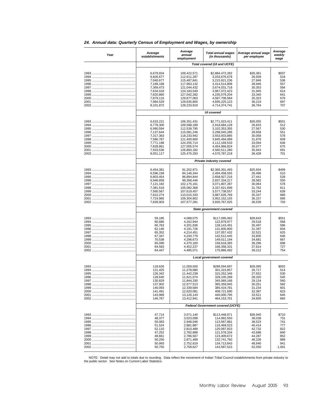| Year | Average<br>establishments | Average<br>annual<br>employment | <b>Total annual wages</b><br>(in thousands) | Average annual wage<br>per employee | Average<br>weekly<br>wage |
|------|---------------------------|---------------------------------|---------------------------------------------|-------------------------------------|---------------------------|
|      |                           |                                 | Total covered (UI and UCFE)                 |                                     |                           |
|      | 6,679,934<br>6,826,677    | 109,422,571<br>112,611,287      | \$2,884,472,282<br>3,033,676,678            | \$26,361<br>26,939                  | \$507<br>518              |
|      | 7,040,677                 | 115,487,841                     | 3,215,921,236                               | 27,846                              | 536                       |
|      | 7,189,168                 | 117,963,132                     | 3,414,514,808                               | 28.946                              | 557                       |
|      | 7,369,473                 | 121,044,432                     | 3,674,031,718                               | 30,353                              | 584                       |
|      | 7,634,018                 | 124, 183, 549                   | 3,967,072,423                               | 31,945                              | 614                       |
|      | 7,820,860                 | 127,042,282                     | 4,235,579,204                               | 33,340                              | 641<br>679                |
|      | 7,879,116<br>7,984,529    | 129,877,063<br>129,635,800      | 4,587,708,584<br>4,695,225,123              | 35,323<br>36,219                    | 697                       |
|      | 8,101,872                 | 128,233,919                     | 4,714,374,741                               | 36,764                              | 707                       |
|      |                           |                                 | UI covered                                  |                                     |                           |
|      |                           |                                 |                                             |                                     |                           |
|      | 6,632,221                 | 106,351,431                     | \$2,771,023,411                             | \$26,055                            | \$501                     |
|      | 6,778,300                 | 109,588,189                     | 2,918,684,128                               | 26,633                              | 512                       |
|      | 6,990,594<br>7,137,644    | 112,539,795<br>115,081,246      | 3,102,353,355<br>3,298,045,286              | 27,567<br>28,658                    | 530<br>551                |
|      | 7,317,363                 | 118,233,942                     | 3,553,933,885                               | 30,058                              | 578                       |
|      | 7,586,767                 | 121,400,660                     | 3,845,494,089                               | 31,676                              | 609                       |
|      | 7,771,198                 | 124,255,714                     | 4,112,169,533                               | 33,094                              | 636                       |
|      | 7,828,861                 | 127,005,574                     | 4,454,966,824                               | 35,077                              | 675                       |
|      | 7,933,536                 | 126,883,182                     | 4,560,511,280                               | 35,943                              | 691                       |
|      | 8,051,117                 | 125,475,293                     | 4,570,787,218                               | 36,428                              | 701                       |
|      |                           |                                 | Private industry covered                    |                                     |                           |
|      | 6,454,381                 | 91,202,971                      | \$2,365,301,493                             | \$25,934                            | \$499                     |
|      | 6,596,158                 | 94,146,344                      | 2,494,458,555                               | 26,496                              | 510                       |
|      | 6,803,454                 | 96,894,844                      | 2,658,927,216                               | 27,441                              | 528                       |
|      | 6,946,858                 | 99,268,446                      | 2,837,334,217                               | 28,582                              | 550                       |
|      | 7,121,182                 | 102,175,161                     | 3,071,807,287                               | 30,064                              | 578                       |
|      | 7,381,518                 | 105,082,368                     | 3,337,621,699                               | 31,762                              | 611                       |
|      | 7,560,567<br>7,622,274    | 107,619,457<br>110,015,333      | 3,577,738,557<br>3,887,626,769              | 33.244<br>35,337                    | 639<br>680                |
|      | 7,724,965                 | 109,304,802                     | 3,952,152,155                               | 36,157                              | 695                       |
|      | 7,839,903                 | 107,577,281                     | 3,930,767,025                               | 36,539                              | 703                       |
|      |                           |                                 | State government covered                    |                                     |                           |
|      |                           |                                 |                                             |                                     |                           |
|      | 59,185                    | 4,088,075                       | \$117,095,062                               | \$28,643                            | \$551                     |
|      | 60,686<br>60,763          | 4,162,944<br>4,201,836          | 122,879,977<br>128,143,491                  | 29,518<br>30,497                    | 568<br>586                |
|      | 62,146                    | 4,191,726                       | 131,605,800                                 | 31,397                              | 604                       |
|      | 65,352                    | 4,214,451                       | 137,057,432                                 | 32,521                              | 625                       |
|      | 67,347                    | 4,240,779                       | 142,512,445                                 | 33,605                              | 646                       |
|      | 70,538                    | 4,296,673                       | 149,011,194                                 | 34,681                              | 667                       |
|      | 65,096                    | 4,370,160                       | 158,618,365                                 | 36,296                              | 698                       |
|      | 64,583                    | 4,452,237                       | 168,358,331                                 | 37,814                              | 727                       |
|      | 64,447                    | 4,485,071                       | 175,866,492                                 | 39,212                              | 754                       |
|      |                           |                                 | Local government covered                    |                                     |                           |
|      | 118,626                   | 11,059,500                      | \$288,594,697                               | \$26,095                            | \$502                     |
|      | 121,425                   | 11,278,080                      | 301,315,857                                 | 26,717                              | 514                       |
|      | 126,342                   | 11,442,238                      | 315,252,346                                 | 27,552                              | 530                       |
|      | 128,640                   | 11,621,074                      | 329,105,269                                 | 28.320                              | 545                       |
|      | 130,829                   | 11,844,330                      | 345,069,166                                 | 29,134                              | 560                       |
|      | 137,902                   | 12,077,513                      | 365,359,945                                 | 30,251                              | 582                       |
|      | 140,093<br>141,491        | 12,339,584<br>12,620,081        | 385,419,781<br>408,721,690                  | 31,234<br>32,387                    | 601<br>623                |
|      | 143,989                   | 13,126,143                      | 440,000,795                                 | 33,521                              | 645                       |
|      | 146,767                   | 13,412,941                      | 464,153,701                                 | 34,605                              | 665                       |
|      |                           |                                 |                                             |                                     |                           |
|      |                           |                                 | Federal Government covered (UCFE)           |                                     |                           |
|      | 47,714                    | 3,071,140                       | \$113,448,871                               | \$36,940                            | \$710                     |
|      | 48,377                    | 3,023,098                       | 114,992,550                                 | 38,038                              | 731                       |
|      | 50,083                    | 2,948,046                       | 113,567,881                                 | 38,523                              | 741                       |
|      | 51,524<br>52,110          | 2,881,887                       | 116,469,523                                 | 40,414                              | 777                       |
|      | 47,252                    | 2,810,489<br>2,782,888          | 120,097,833<br>121,578,334                  | 42,732<br>43,688                    | 822<br>840                |
|      | 49,661                    | 2,786,567                       | 123,409,672                                 | 44,287                              | 852                       |
|      | 50,256                    | 2,871,489                       | 132,741,760                                 | 46,228                              | 889                       |
|      | 50,993                    | 2,752,619                       | 134,713,843                                 | 48,940                              | 941                       |
|      | 50,755                    | 2,758,627                       | 143,587,523                                 | 52,050                              | 1,001                     |
|      |                           |                                 |                                             |                                     |                           |

# *24. Annual data: Quarterly Census of Employment and Wages, by ownership*

NOTE: Detail may not add to totals due to rounding. Data reflect the movement of Indian Tribal Council establishments from private industry to the public sector. See Notes on Current Labor Statistics.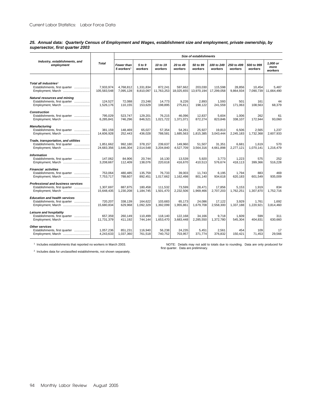*25. Annual data: Quarterly Census of Employment and Wages, establishment size and employment, private ownership, by supersector, first quarter 2003*

|                                                                                                 |                          | Size of establishments               |                        |                       |                       |                       |                       |                       |                       |                             |
|-------------------------------------------------------------------------------------------------|--------------------------|--------------------------------------|------------------------|-----------------------|-----------------------|-----------------------|-----------------------|-----------------------|-----------------------|-----------------------------|
| Industry, establishments, and<br>employment                                                     | Total                    | Fewer than<br>5 workers <sup>1</sup> | 5 to 9<br>workers      | 10 to 19<br>workers   | 20 to 49<br>workers   | 50 to 99<br>workers   | 100 to 249<br>workers | 250 to 499<br>workers | 500 to 999<br>workers | 1,000 or<br>more<br>workers |
|                                                                                                 |                          |                                      |                        |                       |                       |                       |                       |                       |                       |                             |
| Total all industries <sup>2</sup><br>Establishments, first quarter                              | 7.933.974<br>105,583,548 | 4,768,812<br>7,095,128               | 1.331.834<br>8,810,097 | 872,241<br>11,763,253 | 597.662<br>18,025,655 | 203.030<br>13,970,194 | 115.598<br>17,299,058 | 28,856<br>9,864,934   | 10.454<br>7,090,739   | 5.487<br>11,664,490         |
| Natural resources and mining<br>Establishments, first quarter                                   | 124.527<br>1,526,176     | 72,088<br>110,155                    | 23,248<br>153,629      | 14,773<br>198,895     | 9.226<br>275,811      | 2.893<br>198,122      | 1,593<br>241,559      | 501<br>171,063        | 161<br>108,563        | 44<br>68.379                |
| <b>Construction</b><br>Establishments, first quarter<br>Employment, March                       | 795.029<br>6,285,841     | 523,747<br>746,296                   | 129,201<br>846,521     | 76,215<br>1,021,722   | 46.096<br>1,371,071   | 12,837<br>872,274     | 5,604<br>823,846      | 1,006<br>338,107      | 262<br>172,944        | 61<br>93.060                |
| Manufacturing<br>Establishments, first quarter                                                  | 381.159<br>14,606,928    | 148.469<br>252,443                   | 65.027<br>436,028      | 57.354<br>788,581     | 54.261<br>1,685,563   | 25.927<br>1,815,385   | 19.813<br>3,043,444   | 6.506<br>2,245,183    | 2.565<br>1,732,368    | 1,237<br>2,607,933          |
| Trade, transportation, and utilities<br>Establishments, first quarter<br>Employment, March      | 1,851,662<br>24,683,356  | 992,180<br>1,646,304                 | 378,157<br>2,514,548   | 239,637<br>3,204,840  | 149,960<br>4,527,709  | 51,507<br>3,564,316   | 31,351<br>4,661,898   | 6,681<br>2,277,121    | 1,619<br>1,070,141    | 570<br>1.216.479            |
| <b>Information</b><br>Establishments, first quarter                                             | 147.062<br>3,208,667     | 84.906<br>112,409                    | 20.744<br>138,076      | 16.130<br>220,618     | 13.539<br>416,670     | 5.920<br>410,513      | 3.773<br>576,674      | 1.223<br>418,113      | 575<br>399,366        | 252<br>516,228              |
| <b>Financial activities</b><br>Establishments, first quarter                                    | 753,064<br>7,753,717     | 480,485<br>788,607                   | 135,759<br>892,451     | 76.733<br>1,017,662   | 39,003<br>1.162.498   | 11.743<br>801.140     | 6,195<br>934,618      | 1,794<br>620.183      | 883<br>601.549        | 469<br>935.009              |
| <b>Professional and business services</b><br>Establishments, first quarter<br>Employment, March | 1,307,697<br>15,648,435  | 887,875<br>1,230,208                 | 180,458<br>1,184,745   | 111,532<br>1,501,470  | 73,599<br>2,232,506   | 28,471<br>1,969,466   | 17,856<br>2,707,203   | 5,153<br>1,762,251    | 1,919<br>1,307,870    | 834<br>1,752,716            |
| <b>Education and health services</b><br>Establishments, first quarter                           | 720,207<br>15,680,834    | 338,139<br>629,968                   | 164,622<br>1,092,329   | 103,683<br>1,392,099  | 65.173<br>1,955,861   | 24,086<br>1,679,708   | 17,122<br>2,558,300   | 3,929<br>1,337,188    | 1,761<br>1,220,921    | 1.692<br>3,814,460          |
| Leisure and hospitality<br>Establishments, first quarter<br>Employment, March                   | 657,359<br>11,731,379    | 260.149<br>411,192                   | 110.499<br>744,144     | 118,140<br>1,653,470  | 122,168<br>3,683,448  | 34,166<br>2,285,550   | 9,718<br>1,372,780    | 1,609<br>545,304      | 599<br>404,831        | 311<br>630.660              |
| Other services<br>Establishments, first quarter<br>Employment, March                            | 1,057,236<br>4,243,633   | 851.231<br>1,037,360                 | 116.940<br>761,518     | 56,238<br>740,752     | 24,235<br>703,957     | 5.451<br>371,774      | 2.561<br>376,832      | 454<br>150,421        | 109<br>71,453         | 17<br>29,566                |

<sup>1</sup> Includes establishments that reported no workers in March 2003.

NOTE: Details may not add to totals due to rounding. Data are only produced for first quarter. Data are preliminary.

 $^2$  Includes data for unclassified establishments, not shown separately.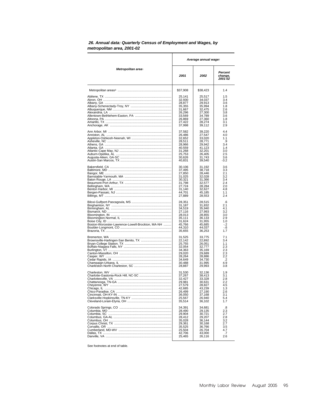|                            | 26. Annual data: Quarterly Census of Employment and Wages, by |
|----------------------------|---------------------------------------------------------------|
| metropolitan area, 2001-02 |                                                               |

|                                                  |                                                                                                  | Average annual wage <sup>2</sup>                                                                 |                                                                   |
|--------------------------------------------------|--------------------------------------------------------------------------------------------------|--------------------------------------------------------------------------------------------------|-------------------------------------------------------------------|
| Metropolitan area <sup>1</sup>                   | 2001                                                                                             | 2002                                                                                             | Percent<br>change,<br>2001-02                                     |
|                                                  | \$37,908                                                                                         | \$38,423                                                                                         | 1.4                                                               |
|                                                  | 25,141                                                                                           | 25,517                                                                                           | 1.5                                                               |
|                                                  | 32,930                                                                                           | 34,037                                                                                           | 3.4                                                               |
|                                                  | 28,877                                                                                           | 29,913                                                                                           | 3.6                                                               |
|                                                  | 35,355                                                                                           | 35,994                                                                                           | 1.8                                                               |
|                                                  | 31,667                                                                                           | 32,475                                                                                           | 2.6                                                               |
|                                                  | 26,296                                                                                           | 27,300                                                                                           | 3.8                                                               |
|                                                  | 33,569                                                                                           | 34,789                                                                                           | 3.6                                                               |
|                                                  | 26.869                                                                                           | 27,360                                                                                           | 1.8                                                               |
|                                                  | 27,422                                                                                           | 28,274                                                                                           | 3.1                                                               |
|                                                  | 37,998                                                                                           | 39,112                                                                                           | 2.9                                                               |
|                                                  | 37,582                                                                                           | 39,220                                                                                           | 4.4                                                               |
|                                                  | 26,486                                                                                           | 27,547                                                                                           | 4.0                                                               |
|                                                  | 32,652                                                                                           | 33,020                                                                                           | 1.1                                                               |
|                                                  | 28,511                                                                                           | 28,771                                                                                           | .9                                                                |
|                                                  | 28,966                                                                                           | 29,942                                                                                           | 3.4                                                               |
|                                                  | 40,559                                                                                           | 41,123                                                                                           | 1.4                                                               |
|                                                  | 31,268                                                                                           | 32,201                                                                                           | 3.0                                                               |
|                                                  | 25,753                                                                                           | 26,405                                                                                           | 2.5                                                               |
|                                                  | 30,626                                                                                           | 31,743                                                                                           | 3.6                                                               |
|                                                  | 40,831                                                                                           | 39,540                                                                                           | -3.2                                                              |
|                                                  | 30,106                                                                                           | 31,192                                                                                           | 3.6                                                               |
|                                                  | 37,495                                                                                           | 38,718                                                                                           | 3.3                                                               |
|                                                  | 27,850                                                                                           | 28,446                                                                                           | 2.1                                                               |
|                                                  | 31,025                                                                                           | 32.028                                                                                           | 3.2                                                               |
|                                                  | 30,321                                                                                           | 31,366                                                                                           | 3.4                                                               |
|                                                  | 31,798                                                                                           | 32,577                                                                                           | 2.4                                                               |
|                                                  | 27,724                                                                                           | 28.284                                                                                           | 2.0                                                               |
|                                                  | 31,140                                                                                           | 32,627                                                                                           | 4.8                                                               |
|                                                  | 44,701                                                                                           | 45,185                                                                                           | 1.1                                                               |
|                                                  | 27,889                                                                                           | 28,553                                                                                           | 2.4                                                               |
| Boston-Worcester-Lawrence-Lowell-Brockton, MA-NH | 28,351<br>31,187<br>34,519<br>27,116<br>28,013<br>35,111<br>31,624<br>45,766<br>44,310<br>35,655 | 28,515<br>31,832<br>35,940<br>27,993<br>28,855<br>36,133<br>31,955<br>45,685<br>44,037<br>36,253 | .6<br>2.1<br>4.1<br>3.2<br>3.0<br>2.9<br>1.0<br>-.2<br>-.6<br>1.7 |
|                                                  | 31,525                                                                                           | 33,775                                                                                           | 7.1                                                               |
|                                                  | 22,142                                                                                           | 22,892                                                                                           | 3.4                                                               |
|                                                  | 25,755                                                                                           | 26,051                                                                                           | 1.1                                                               |
|                                                  | 32,054                                                                                           | 32,777                                                                                           | 2.3                                                               |
|                                                  | 34,363                                                                                           | 35,169                                                                                           | 2.3                                                               |
|                                                  | 29,020                                                                                           | 29,689                                                                                           | 2.3                                                               |
|                                                  | 28,264                                                                                           | 28,886                                                                                           | 2.2                                                               |
|                                                  | 34,649                                                                                           | 34,730                                                                                           | .2                                                                |
|                                                  | 30,488                                                                                           | 31,995                                                                                           | 4.9                                                               |
|                                                  | 28,887                                                                                           | 29,993                                                                                           | 3.8                                                               |
|                                                  | 31,530                                                                                           | 32,136                                                                                           | 1.9                                                               |
|                                                  | 37,267                                                                                           | 38,413                                                                                           | 3.1                                                               |
|                                                  | 32,427                                                                                           | 33,328                                                                                           | 2.8                                                               |
|                                                  | 29,981                                                                                           | 30,631                                                                                           | 2.2                                                               |
|                                                  | 27,579                                                                                           | 28,827                                                                                           | 4.5                                                               |
|                                                  | 42,685                                                                                           | 43,239                                                                                           | 1.3                                                               |
|                                                  | 26,499                                                                                           | 27,190                                                                                           | 2.6                                                               |
|                                                  | 36,050                                                                                           | 37,168                                                                                           | 3.1                                                               |
|                                                  | 25,567                                                                                           | 26,940                                                                                           | 5.4                                                               |
|                                                  | 35,514                                                                                           | 36,102                                                                                           | 1.7                                                               |
|                                                  | 34,391                                                                                           | 34,681                                                                                           | .8                                                                |
|                                                  | 28,490                                                                                           | 29,135                                                                                           | 2.3                                                               |
|                                                  | 29,904                                                                                           | 30,721                                                                                           | 2.7                                                               |
|                                                  | 28,412                                                                                           | 29,207                                                                                           | 2.8                                                               |
|                                                  | 35,028                                                                                           | 36,144                                                                                           | 3.2                                                               |
|                                                  | 29,361                                                                                           | 30,168                                                                                           | 2.7                                                               |
|                                                  | 35,525                                                                                           | 36,766                                                                                           | 3.5                                                               |
|                                                  | 25,504                                                                                           | 26,704                                                                                           | 4.7                                                               |
|                                                  | 42,706                                                                                           | 43,000                                                                                           | .7                                                                |
|                                                  | 25,465                                                                                           | 26,116                                                                                           | 2.6                                                               |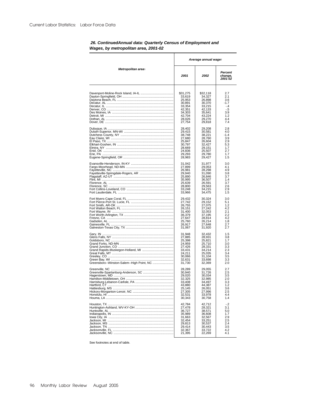|                                           |                                                                                                    | Average annual wage <sup>2</sup>                                                                   |                                                                       |
|-------------------------------------------|----------------------------------------------------------------------------------------------------|----------------------------------------------------------------------------------------------------|-----------------------------------------------------------------------|
| Metropolitan area <sup>1</sup>            | 2001                                                                                               | 2002                                                                                               | Percent<br>change,<br>2001-02                                         |
|                                           | \$31,275<br>33,619<br>25,953<br>30,891<br>33.354<br>42,351<br>34,303<br>42,704<br>28,026<br>27,754 | \$32,118<br>34,327<br>26,898<br>30,370<br>33,215<br>42,133<br>35,641<br>43,224<br>29,270<br>29,818 | 2.7<br>2.1<br>3.6<br>-1.7<br>$-.4$<br>-.5<br>3.9<br>1.2<br>4.4<br>7.4 |
|                                           | 28,402<br>29,415<br>38,748<br>27,680<br>25,847<br>30,797<br>28,669<br>24,836<br>29,293<br>28,983   | 29,208<br>30,581<br>38,221<br>28,760<br>26,604<br>32,427<br>29,151<br>25,507<br>29,780<br>29,427   | 2.8<br>4.0<br>-1.4<br>3.9<br>2.9<br>5.3<br>1.7<br>2.7<br>1.7<br>1.5   |
|                                           | 31,042<br>27,899<br>26,981<br>29,940<br>25,890<br>35,995<br>25,639<br>28,800<br>33,248<br>33,966   | 31,977<br>29,053<br>28,298<br>31,090<br>26,846<br>36,507<br>26,591<br>29,563<br>34,215<br>34,475   | 3.0<br>4.1<br>4.9<br>3.8<br>3.7<br>1.4<br>3.7<br>2.6<br>2.9<br>1.5    |
|                                           | 29,432<br>27,742<br>26,755<br>26,151<br>31,400<br>36,379<br>27,647<br>25,760<br>26,917<br>31,067   | 30,324<br>29,152<br>27,075<br>27,242<br>32,053<br>37,195<br>28,814<br>26,214<br>27,648<br>31,920   | 3.0<br>5.1<br>1.2<br>4.2<br>2.1<br>2.2<br>4.2<br>1.8<br>2.7<br>2.7    |
| Greensboro--Winston-Salem--High Point, NC | 31,948<br>27,885<br>25,398<br>24,959<br>27,426<br>33,431<br>24,211<br>30,066<br>32,631<br>31,730   | 32,432<br>28,931<br>25,821<br>25,710<br>28,331<br>34,214<br>25,035<br>31,104<br>33,698<br>32,369   | 1.5<br>3.8<br>1.7<br>3.0<br>3.3<br>2.3<br>3.4<br>3.5<br>3.3<br>2.0    |
|                                           | 28,289<br>30,940<br>29,020<br>32,325<br>33,408<br>43,880<br>25,145<br>27,305<br>32,531<br>30,343   | 29,055<br>31,726<br>30.034<br>32,985<br>34,497<br>44,387<br>26,051<br>27,996<br>33,978<br>30,758   | 2.7<br>2.5<br>3.5<br>2.0<br>3.3<br>1.2<br>3.6<br>2.5<br>4.4<br>1.4    |
|                                           | 42,784<br>27,478<br>36,727<br>35,989<br>31,663<br>32,454<br>29,813<br>29,414<br>32,367<br>21,395   | 42,712<br>28,321<br>38,571<br>36,608<br>32,567<br>33,251<br>30,537<br>30,443<br>33,722<br>22,269   | $-2$<br>3.1<br>5.0<br>1.7<br>2.9<br>2.5<br>2.4<br>3.5<br>4.2<br>4.1   |

# 26. ContinuedAnnual data: Quarterly Census of Employment and Wages, by metropolitan area, 2001-02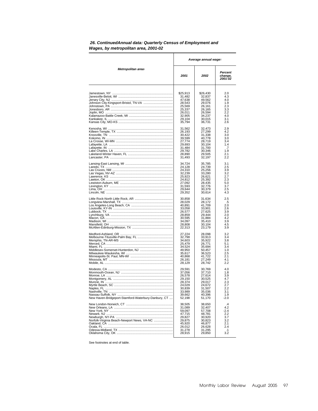| 26. Continued Annual data: Quarterly Census of Employment and |
|---------------------------------------------------------------|
| Wages, by metropolitan area, 2001-02                          |

|                                                     |          | Average annual wage <sup>2</sup> |                               |
|-----------------------------------------------------|----------|----------------------------------|-------------------------------|
| Metropolitan area <sup>1</sup>                      | 2001     | 2002                             | Percent<br>change,<br>2001-02 |
|                                                     | \$25,913 | \$26,430                         | 2.0                           |
|                                                     | 31,482   | 32,837                           | 4.3                           |
|                                                     | 47,638   | 49,562                           | 4.0                           |
| Johnson City-Kingsport-Bristol, TN-VA               | 28,543   | 29,076                           | 1.9                           |
|                                                     | 25,569   | 26,161                           | 2.3                           |
|                                                     | 25,337   | 26,165                           | 3.3                           |
|                                                     | 26,011   | 26.594                           | 2.2                           |
|                                                     | 32,905   | 34,237                           | 4.0                           |
|                                                     | 29,104   | 30,015                           | 3.1                           |
|                                                     | 35,794   | 36,731                           | 2.6                           |
|                                                     | 31,562   | 32,473                           | 2.9                           |
|                                                     | 26,193   | 27,299                           | 4.2                           |
|                                                     | 30,422   | 31,338                           | 3.0                           |
|                                                     | 39,599   | 40,778                           | 3.0                           |
|                                                     | 27,774   | 28,719                           | 3.4                           |
|                                                     | 29,693   | 30,104                           | 1.4                           |
|                                                     | 31,484   | 31,700                           | .7                            |
|                                                     | 29,782   | 30,346                           | 1.9                           |
|                                                     | 28,890   | 29,505                           | 2.1                           |
|                                                     | 31,493   | 32,197                           | 2.2                           |
|                                                     | 34,724   | 35,785                           | 3.1                           |
|                                                     | 24,128   | 24,739                           | 2.5                           |
|                                                     | 24,310   | 25,256                           | 3.9                           |
|                                                     | 32,239   | 33,280                           | 3.2                           |
|                                                     | 25,923   | 26,621                           | 2.7                           |
|                                                     | 24,812   | 25,392                           | 2.3                           |
|                                                     | 27,092   | 28,435                           | 5.0                           |
|                                                     | 31,593   | 32,776                           | 3.7                           |
|                                                     | 29,644   | 30,379                           | 2.5                           |
|                                                     | 29,352   | 30,614                           | 4.3                           |
|                                                     | 30,858   | 31,634                           | 2.5                           |
|                                                     | 28,029   | 28,172                           | .5                            |
|                                                     | 40,891   | 41,709                           | 2.0                           |
|                                                     | 33,058   | 33,901                           | 2.6                           |
|                                                     | 26,577   | 27,625                           | 3.9                           |
|                                                     | 28,859   | 29,444                           | 2.0                           |
|                                                     | 30,595   | 31,884                           | 4.2                           |
|                                                     | 34,097   | 35,410                           | 3.9                           |
|                                                     | 28,808   | 30,104                           | 4.5                           |
|                                                     | 22,313   | 23,179                           | 3.9                           |
|                                                     | 27,224   | 28,098                           | 3.2                           |
|                                                     | 32,798   | 33,913                           | 3.4                           |
|                                                     | 34,603   | 35,922                           | 3.8                           |
|                                                     | 25,479   | 26,771                           | 5.1                           |
|                                                     | 34,524   | 35,694                           | 3.4                           |
|                                                     | 49,950   | 50,457                           | 1.0                           |
|                                                     | 35,617   | 36,523                           | 2.5                           |
|                                                     | 40,868   | 41,722                           | 2.1                           |
|                                                     | 26,181   | 27,249                           | 4.1                           |
|                                                     | 28,129   | 28,742                           | 2.2                           |
|                                                     | 29,591   | 30,769                           | 4.0                           |
|                                                     | 37,056   | 37,710                           | 1.8                           |
|                                                     | 26,578   | 27,614                           | 3.9                           |
|                                                     | 29,150   | 30,525                           | 4.7                           |
| Muncie. IN                                          | 28.374   | 29.017                           | 2.3                           |
|                                                     | 24,029   | 24,672                           | 2.7                           |
|                                                     | 30.839   | 31,507                           | 2.2                           |
|                                                     | 33.989   | 35,036                           | 3.1                           |
|                                                     | 39,662   | 40,396                           | 1.9                           |
| New Haven-Bridgeport-Stamford-Waterbury-Danbury, CT | 52,198   | 51,170                           | $-2.0$                        |
|                                                     | 38,505   | 38,650                           | .4                            |
|                                                     | 31,089   | 32,407                           | 4.2                           |
|                                                     | 59,097   | 57,708                           | $-2.4$                        |
|                                                     | 47,715   | 48,781                           | 2.2                           |
|                                                     | 29.827   | 30,920                           | 3.7                           |
| Norfolk-Virginia Beach-Newport News, VA-NC          | 29,875   | 30,823                           | 3.2                           |
|                                                     | 45,920   | 46,877                           | 2.1                           |
|                                                     | 26,012   | 26,628                           | 2.4                           |
|                                                     | 31,278   | 31,295                           | $\cdot$ .1                    |
|                                                     | 28,915   | 29,850                           | 3.2                           |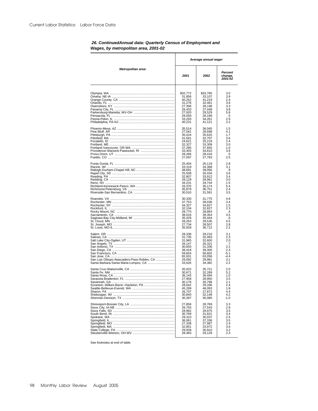#### 26. ContinuedAnnual data: Quarterly Census of Employment and Wages, by metropolitan area, 2001-02

|                                                                                    |                                                                                                    | Average annual wage <sup>2</sup>                                                                   |                                                                         |
|------------------------------------------------------------------------------------|----------------------------------------------------------------------------------------------------|----------------------------------------------------------------------------------------------------|-------------------------------------------------------------------------|
| Metropolitan area1                                                                 | 2001                                                                                               | 2002                                                                                               | Percent<br>change,<br>2001-02                                           |
|                                                                                    | \$32,772<br>31,856<br>40,252<br>31,276<br>27,306<br>26,433<br>27,920<br>28,059<br>33,293<br>40,231 | \$33,765<br>33,107<br>41,219<br>32,461<br>28,196<br>27,448<br>29,529<br>28,189<br>34,261<br>41,121 | 3.0<br>3.9<br>2.4<br>3.8<br>3.3<br>3.8<br>5.8<br>.5<br>2.9<br>2.2       |
|                                                                                    | 35,514<br>27,561<br>35,024<br>31,561<br>24,621<br>32,327<br>37,285<br>33,403<br>28,266<br>27,097   | 36,045<br>28,698<br>35,625<br>32,707<br>25,219<br>33,309<br>37,650<br>34,610<br>28,416<br>27,763   | 1.5<br>4.1<br>1.7<br>3.6<br>2.4<br>3.0<br>1.0<br>3.6<br>.5<br>2.5       |
|                                                                                    | 25.404<br>33,319<br>38,691<br>25,508<br>32,807<br>28,129<br>34,231<br>33,370<br>35,879<br>30,510   | 26,119<br>34,368<br>39,056<br>26,434<br>33,912<br>28,961<br>34,744<br>35,174<br>36,751<br>31,591   | 2.8<br>3.1<br>.9<br>3.6<br>3.4<br>3.0<br>1.5<br>5.4<br>2.4<br>3.5       |
|                                                                                    | 30.330<br>37,753<br>34,327<br>32,104<br>28,770<br>38,016<br>35,429<br>28,263<br>27,734<br>35,928   | 31,775<br>39,036<br>34,827<br>32,827<br>28,893<br>39,354<br>35,444<br>29,535<br>28,507<br>36,712   | 4.8<br>3.4<br>1.5<br>2.3<br>.4<br>3.5<br>.0<br>4.5<br>2.8<br>2.2        |
| San Luis Obispo-Atascadero-Paso Robles, CA<br>Santa Barbara-Santa Maria-Lompoc, CA | 28,336<br>31,735<br>31,965<br>26,147<br>30,650<br>38,418<br>59,654<br>65,931<br>29.092<br>33,626   | 29,210<br>32,463<br>32,600<br>26,321<br>31,336<br>39,305<br>56,602<br>63,056<br>29,981<br>34,382   | 3.1<br>2.3<br>2.0<br>.7<br>2.2<br>2.3<br>$-5.1$<br>$-4.4$<br>3.1<br>2.2 |
|                                                                                    | 35,022<br>30,671<br>36,145<br>27,958<br>30,176<br>28,642<br>45,299<br>26,707<br>30,840<br>30,397   | 35,721<br>32,269<br>36,494<br>28,950<br>30,796<br>29,336<br>46,093<br>27,872<br>32,148<br>30,085   | 2.0<br>5.2<br>1.0<br>3.5<br>2.1<br>2.4<br>1.8<br>4.4<br>4.2<br>$-1.0$   |
|                                                                                    | 27,856<br>26,755<br>28.962<br>30,769<br>29,310<br>36,061<br>27,338<br>32,801<br>29,939<br>28,483   | 28,769<br>27,543<br>29,975<br>31,821<br>30,037<br>37,336<br>27,987<br>33,972<br>30,910<br>29,129   | 3.3<br>2.9<br>3.5<br>3.4<br>2.5<br>3.5<br>2.4<br>3.6<br>3.2<br>2.3      |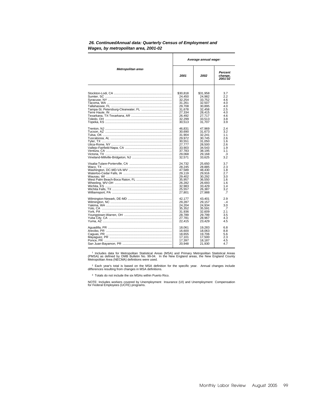| 26. Continued Annual data: Quarterly Census of Employment and |  |
|---------------------------------------------------------------|--|
| Wages, by metropolitan area, 2001-02                          |  |

| Metropolitan area <sup>1</sup> |                  | Average annual wage <sup>2</sup> |                               |
|--------------------------------|------------------|----------------------------------|-------------------------------|
|                                | 2001             | 2002                             | Percent<br>change.<br>2001-02 |
|                                |                  |                                  |                               |
|                                | \$30,818         | \$31,958                         | 3.7                           |
|                                | 24.450           | 24.982                           | 2.2                           |
|                                | 32,254           | 33,752                           | 4.6                           |
|                                | 31,261           | 32.507                           | 4.0                           |
|                                | 29.708           | 30.895                           | 4.0                           |
|                                | 31,678           | 32,458                           | 2.5                           |
|                                | 27,334           |                                  | 4.0                           |
|                                |                  | 28,415                           |                               |
|                                | 26,492           | 27,717                           | 4.6                           |
|                                | 32.299           | 33.513                           | 3.8                           |
|                                | 30,513           | 31,707                           | 3.9                           |
|                                | 46,831           | 47,969                           | 2.4                           |
|                                | 30.690           | 31.673                           | 3.2                           |
|                                | 31,904           | 32,241                           | 1.1                           |
|                                | 29,972           | 30,745                           | 2.6                           |
|                                | 30,551           | 31.050                           | 1.6                           |
|                                | 27.777           | 28.500                           | 2.6                           |
|                                | 33,903           | 34.543                           | 1.9                           |
|                                | 37,783           | 38,195                           | 1.1                           |
|                                | 29,068           | 29,168                           | .3                            |
|                                | 32,571           | 33,625                           | 3.2                           |
|                                | 24,732           | 25,650                           | 3.7                           |
|                                |                  |                                  |                               |
|                                | 28,245           | 28,885                           | 2.3                           |
|                                | 47,589           | 48,430                           | 1.8                           |
|                                | 29.119           | 29,916                           | 2.7                           |
|                                | 29,402           | 30,292                           | 3.0                           |
|                                | 35.957           | 36.550                           | 1.6                           |
|                                | 26,282           | 26,693                           | 1.6                           |
|                                | 32,983           | 33.429                           | 1.4                           |
|                                | 25,557           | 26,387                           | 3.2                           |
|                                | 27,801           | 27,988                           | .7                            |
|                                | 42,177           | 43,401                           | 2.9                           |
|                                | 29.287           | 29.157                           | $-.4$                         |
|                                | 24,204           | 24,934                           | 3.0                           |
|                                | 35,352           | 35,591                           |                               |
|                                |                  |                                  | .7                            |
|                                | 31,936           | 32,609                           | 2.1                           |
|                                | 28.789           | 29.799                           | 3.5                           |
|                                | 27,781<br>22,415 | 28.967<br>23,429                 | 4.3<br>4.5                    |
|                                |                  |                                  |                               |
|                                | 18,061           | 19.283                           | 6.8                           |
|                                | 16.600           | 18.063                           | 8.8                           |
|                                | 18,655           | 19,706                           | 5.6                           |
|                                | 17,101           | 17.500                           | 2.3                           |
|                                | 17,397           | 18,187                           | 4.5                           |
|                                | 20,948           | 21,930                           | 4.7                           |

<sup>1</sup> Includes data for Metropolitan Statistical Areas (MSA) and Primary Metropolitan Statistical Areas<br>(PMSA) as defined by OMB Bulletin No. 99-04. In the New England areas, the New England County<br>Metropolitan Area (NECMA)

<sup>2</sup> Each year's total is based on the MSA definition for the specific year. Annual changes include differences resulting from changes in MSA definitions.

<sup>3</sup> Totals do not include the six MSAs within Puerto Rico.

NOTE: Includes workers covered by Unemployment Insurance (UI) and Unemployment Compensation for Federal Employees (UCFE) programs.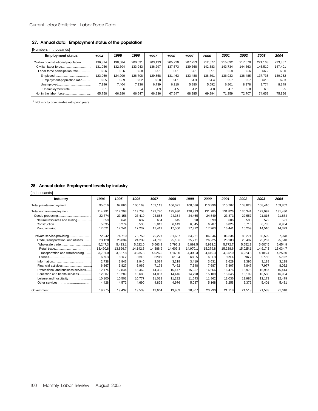# **27. Annual data: Employment status of the population**

# [Numbers in thousands]

| <b>Employment status</b>             | 1994    | 1995    | 1996    | 1997    | 1998    | 1999    | 2000    | 2001    | 2002    | 2003        | 2004    |
|--------------------------------------|---------|---------|---------|---------|---------|---------|---------|---------|---------|-------------|---------|
| Civilian noninstitutional population | 196.814 | 198.584 | 200.591 | 203.133 | 205.220 | 207.753 | 212.577 | 215.092 | 217.570 | 221<br>.168 | 223.357 |
| Civilian labor force                 | 131.056 | 132.304 | 133.943 | 136.297 | 137.673 | 139.368 | 142.583 | 143.734 | 144.863 | 146.510     | 147.401 |
| Labor force participation rate       | 66.6    | 66.6    | 66.8    | 67.1    | 67.1    | 67.1    | 67.1    | 66.8    | 66.6    | 66.2        | 66.0    |
|                                      | 123.060 | 124,900 | 126.708 | 129.558 | 131.463 | 133.488 | 136.891 | 136.933 | 136.485 | 137.736     | 139.252 |
| Employment-population ratio          | 62.5    | 62.9    | 63.2    | 63.8    | 64.1    | 64.3    | 64.4    | 63.7    | 62.7    | 62.3        | 62.3    |
|                                      | 7.996   | 7.404   | 7,236   | 6.739   | 6.210   | 5.880   | 5.692   | 6.801   | 8.378   | 8.774       | 8.149   |
| Unemployment rate                    | 6.1     | 5.6     | 5.4     | 4.9     | 4.5     | 4.2     | 4.0     | 4.7     | 5.8     | 6.0         | 5.5     |
|                                      | 65.758  | 66.280  | 66.647  | 66.836  | 67.547  | 68.385  | 69.994  | 71.359  | 72.707  | 74.658      | 75.956  |

 $1$  Not strictly comparable with prior years.

# **28. Annual data: Employment levels by industry**

[In thousands]

| []                                   |          |          |          |          |          |          |          |          |          |          |          |
|--------------------------------------|----------|----------|----------|----------|----------|----------|----------|----------|----------|----------|----------|
| <b>Industry</b>                      | 1994     | 1995     | 1996     | 1997     | 1998     | 1999     | 2000     | 2001     | 2002     | 2003     | 2004     |
| Total private employment             | 95,016   | 97,866   | 100,169  | 103,113  | 106,021  | 108,686  | 110,996  | 110,707  | 108,828  | 108,416  | 109,862  |
| Total nonfarm employment             | 114,291  | 117,298  | 119,708  | 122,770  | 125,930  | 128,993  | 131,785  | 131,826  | 130,341  | 129,999  | 131,480  |
|                                      | 22,774   | 23,156   | 23,410   | 23,886   | 24,354   | 24,465   | 24,649   | 23,873   | 22,557   | 21,816   | 21,884   |
| Natural resources and mining         | 659      | 641      | 637      | 654      | 645      | 598      | 599      | 606      | 583      | 572      | 591      |
|                                      | 5,095    | 5,274    | 5,536    | 5,813    | 6,149    | 6,545    | 6,787    | 6,826    | 6,716    | 6,735    | 6,964    |
|                                      | 17,021   | 17,241   | 17,237   | 17,419   | 17,560   | 17,322   | 17,263   | 16,441   | 15,259   | 14,510   | 14,329   |
| Private service-providing            | 72,242   | 74,710   | 76,759   | 79,227   | 81,667   | 84,221   | 86,346   | 86,834   | 86,271   | 86,599   | 87,978   |
| Trade, transportation, and utilities | 23,128   | 23,834   | 24,239   | 24,700   | 25,186   | 25,771   | 26,225   | 25,983   | 25,497   | 25,287   | 25,510   |
| Wholesale trade                      | 5,247.3  | 5,433.1  | 5,522.0  | 5,663.9  | 5,795.2  | 5,892.5  | 5,933.2  | 5,772.7  | 5,652.3  | 5,607.5  | 5,654.9  |
|                                      | 13,490.8 | 13,896.7 | 14,142.5 | 14,388.9 | 14,609.3 | 14,970.1 | 15,279.8 | 15,238.6 | 15,025.1 | 14,917.3 | 15,034.7 |
| Transportation and warehousing       | 3,701.0  | 3,837.8  | 3,935.3  | 4,026.5  | 4,168.0  | 4,300.3  | 4,410.3  | 4,372.0  | 4,223.6  | 4,185.4  | 4,250.0  |
|                                      | 689.3    | 666.2    | 639.6    | 620.9    | 613.4    | 608.5    | 601.3    | 599.4    | 596.2    | 577.0    | 570.2    |
|                                      | 2,738    | 2,843    | 2,940    | 3,084    | 3,218    | 3,419    | 3,631    | 3,629    | 3,395    | 3,188    | 3,138    |
|                                      | 6,867    | 6,827    | 6,969    | 7,178    | 7,462    | 7,648    | 7,687    | 7,807    | 7,847    | 7,977    | 8,052    |
| Professional and business services   | 12,174   | 12,844   | 13,462   | 14,335   | 15,147   | 15,957   | 16,666   | 16.476   | 15,976   | 15,987   | 16,414   |
| Education and health services        | 12,807   | 13,289   | 13.683   | 14,087   | 14,446   | 14.798   | 15,109   | 15.645   | 16,199   | 16,588   | 16,954   |
| Leisure and hospitality              | 10,100   | 10,501   | 10,777   | 11,018   | 11,232   | 11,543   | 11,862   | 12,036   | 11,986   | 12,173   | 12,479   |
| Other services                       | 4,428    | 4,572    | 4,690    | 4,825    | 4,976    | 5,087    | 5,168    | 5,258    | 5,372    | 5,401    | 5,431    |
|                                      | 19,275   | 19,432   | 19,539   | 19,664   | 19,909   | 20,307   | 20,790   | 21,118   | 21,513   | 21,583   | 21,618   |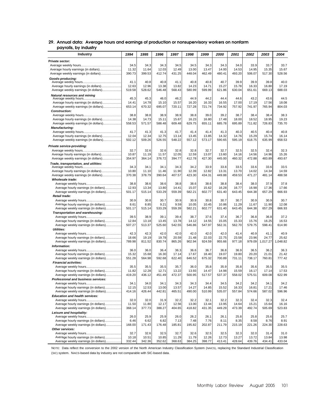#### **29. Annual data: Average hours and earnings of production or nonsupervisory workers on nonfarm payrolls, by industry**

| puyiviis, by illuusii y               |        |        |        |        |        |        |        |        |        |          |          |
|---------------------------------------|--------|--------|--------|--------|--------|--------|--------|--------|--------|----------|----------|
| Industry                              | 1994   | 1995   | 1996   | 1997   | 1998   | 1999   | 2000   | 2001   | 2002   | 2003     | 2004     |
| Private sector:                       |        |        |        |        |        |        |        |        |        |          |          |
|                                       | 34.5   | 34.3   | 34.3   | 34.5   | 34.5   | 34.3   | 34.3   | 34.0   | 33.9   | 33.7     | 33.7     |
| Average hourly earnings (in dollars)  | 11.32  | 11.64  | 12.03  | 12.49  | 13.00  | 13.47  | 14.00  | 14.53  | 14.95  | 15.35    | 15.67    |
| Average weekly earnings (in dollars)  | 390.73 | 399.53 | 412.74 | 431.25 | 448.04 | 462.49 | 480.41 | 493.20 | 506.07 | 517.30   | 528.56   |
| Goods-producing:                      |        |        |        |        |        |        |        |        |        |          |          |
|                                       | 41.1   | 40.8   | 40.8   | 41.1   | 40.8   | 40.8   | 40.7   | 39.9   | 39.9   | 39.8     | 40.0     |
| Average hourly earnings (in dollars)  | 12.63  | 12.96  | 13.38  | 13.82  | 14.23  | 14.71  | 15.27  | 15.78  | 16.33  | 16.80    | 17.19    |
| Average weekly earnings (in dollars)  | 519.58 | 528.62 | 546.48 | 568.43 | 580.99 | 599.99 | 621.86 | 630.04 | 651.61 | 669.13   | 688.03   |
| Natural resources and mining          |        |        |        |        |        |        |        |        |        |          |          |
|                                       | 45.3   | 45.3   | 46.0   | 46.2   | 44.9   | 44.2   | 44.4   | 44.6   | 43.2   | 43.6     | 44.5     |
| Average hourly earnings (in dollars)  | 14.41  | 14.78  | 15.10  | 15.57  | 16.20  | 16.33  | 16.55  | 17.00  | 17.19  | 17.56    | 18.08    |
| Average weekly earnings (in dollars)  | 653.14 | 670.32 | 695.07 | 720.11 | 727.28 | 721.74 | 734.92 | 757.92 | 741.97 | 765.94   | 804.03   |
| <b>Construction:</b>                  |        |        |        |        |        |        |        |        |        |          |          |
|                                       | 38.8   | 38.8   | 38.9   | 38.9   | 38.8   | 39.0   | 39.2   | 38.7   | 38.4   | 38.4     | 38.3     |
| Average hourly earnings (in dollars)  | 14.38  | 14.73  | 15.11  | 15.67  | 16.23  | 16.80  | 17.48  | 18.00  | 18.52  | 18.95    | 19.23    |
| Average weekly earnings (in dollars)  | 558.53 | 571.57 | 588.48 | 609.48 | 629.75 | 655.11 | 685.78 | 695.89 | 711.82 | 726.83   | 735.70   |
| <b>Manufacturing:</b>                 |        |        |        |        |        |        |        |        |        |          |          |
|                                       | 41.7   | 41.3   | 41.3   | 41.7   | 41.4   | 41.4   | 41.3   | 40.3   | 40.5   | 40.4     | 40.8     |
| Average hourly earnings (in dollars)  | 12.04  | 12.34  | 12.75  | 13.14  | 13.45  | 13.85  | 14.32  | 14.76  | 15.29  | 15.74    | 16.14    |
| Average weekly earnings (in dollars)  | 502.12 | 509.26 | 526.55 | 548.22 | 557.12 | 573.17 | 590.65 | 595.19 | 618.75 | 635.99   | 658.53   |
|                                       |        |        |        |        |        |        |        |        |        |          |          |
| Private service-providing:            |        |        |        |        |        |        |        |        |        |          |          |
|                                       | 32.7   | 32.6   | 32.6   | 32.8   | 32.8   | 32.7   | 32.7   | 32.5   | 32.5   | 32.4     | 32.3     |
| Average hourly earnings (in dollars)  | 10.87  | 11.19  | 11.57  | 12.05  | 12.59  | 13.07  | 13.60  | 14.16  | 14.56  | 14.96    | 15.26    |
| Average weekly earnings (in dollars)  | 354.97 | 364.14 | 376.72 | 394.77 | 412.78 | 427.30 | 445.00 | 460.32 | 472.88 | 483.89   | 493.67   |
| Trade, transportation, and utilities: |        |        |        |        |        |        |        |        |        |          |          |
|                                       | 34.3   | 34.1   | 34.1   | 34.3   | 34.2   | 33.9   | 33.8   | 33.5   | 33.6   | 33.6     | 33.5     |
| Average hourly earnings (in dollars)  | 10.80  | 11.10  | 11.46  | 11.90  | 12.39  | 12.82  | 13.31  | 13.70  | 14.02  | 14.34    | 14.59    |
| Average weekly earnings (in dollars)  | 370.38 | 378.79 | 390.64 | 407.57 | 423.30 | 434.31 | 449.88 | 459.53 | 471.27 | 481.14   | 488.58   |
| Wholesale trade:                      |        |        |        |        |        |        |        |        |        |          |          |
|                                       | 38.8   | 38.6   | 38.6   | 38.8   | 38.6   | 38.6   | 38.8   | 38.4   | 38.0   | 37.9     | 37.8     |
| Average hourly earnings (in dollars)  | 12.93  | 13.34  | 13.80  | 14.41  | 15.07  | 15.62  | 16.28  | 16.77  | 16.98  | 17.36    | 17.66    |
| Average weekly earnings (in dollars)  | 501.17 | 515.14 | 533.29 | 559.39 | 582.21 | 602.77 | 631.40 | 643.45 | 644.38 | 657.29   | 666.93   |
| Retail trade:                         |        |        |        |        |        |        |        |        |        |          |          |
|                                       | 30.9   | 30.8   | 30.7   | 30.9   | 30.9   | 30.8   | 30.7   | 30.7   | 30.9   | 30.9     | 30.7     |
| Average hourly earnings (in dollars)  | 8.61   | 8.85   | 9.21   | 9.59   | 10.05  | 10.45  | 10.86  | 11.29  | 11.67  | 11.90    | 12.08    |
| Average weekly earnings (in dollars)  | 501.17 | 515.14 | 533.29 | 559.39 | 582.21 | 602.77 | 631.40 | 643.45 | 644.38 | 657.29   | 666.93   |
| Transportation and warehousing:       |        |        |        |        |        |        |        |        |        |          |          |
|                                       | 39.5   | 38.9   | 39.1   | 39.4   | 38.7   | 37.6   | 37.4   | 36.7   | 36.8   | 36.8     | 37.2     |
| Average hourly earnings (in dollars)  | 12.84  | 13.18  | 13.45  | 13.78  | 14.12  | 14.55  | 15.05  | 15.33  | 15.76  | 16.25    | 16.53    |
| Average weekly earnings (in dollars)  | 507.27 | 513.37 | 525.60 | 542.55 | 546.86 | 547.97 | 562.31 | 562.70 | 579.75 | 598.41   | 614.90   |
| Utilities:                            |        |        |        |        |        |        |        |        |        |          |          |
|                                       | 42.3   | 42.3   | 42.0   | 42.0   | 42.0   | 42.0   | 42.0   | 41.4   | 40.9   | 41.1     | 40.9     |
| Average hourly earnings (in dollars)  | 18.66  | 19.19  | 19.78  | 20.59  | 21.48  | 22.03  | 22.75  | 23.58  | 23.96  | 24.77    | 25.62    |
| Average weekly earnings (in dollars)  | 789.98 | 811.52 | 830.74 | 865.26 | 902.94 | 924.59 | 955.66 | 977.18 | 979.09 | 1,017.27 | 1,048.82 |
| Information:                          |        |        |        |        |        |        |        |        |        |          |          |
|                                       | 36.0   | 36.0   | 36.4   | 36.3   | 36.6   | 36.7   | 36.8   | 36.9   | 36.5   | 36.2     | 36.3     |
| Average hourly earnings (in dollars)  | 15.32  | 15.68  | 16.30  | 17.14  | 17.67  | 18.40  | 19.07  | 19.80  | 20.20  | 21.01    | 21.42    |
| Average weekly earnings (in dollars)  | 551.28 | 564.98 | 592.68 | 622.40 | 646.52 | 675.32 | 700.89 | 731.11 | 738.17 | 760.81   | 777.42   |
| <b>Financial activities:</b>          |        |        |        |        |        |        |        |        |        |          |          |
|                                       | 35.5   | 35.5   | 35.5   | 35.7   | 36.0   | 35.8   | 35.9   | 35.8   | 35.6   | 35.5     | 35.5     |
| Average hourly earnings (in dollars)  | 11.82  | 12.28  | 12.71  | 13.22  | 13.93  | 14.47  | 14.98  | 15.59  | 16.17  | 17.14    | 17.53    |
| Average weekly earnings (in dollars)  | 419.20 | 436.12 | 451.49 | 472.37 | 500.95 | 517.57 | 537.37 | 558.02 | 575.51 | 609.08   | 622.99   |
| Professional and business services:   |        |        |        |        |        |        |        |        |        |          |          |
|                                       | 34.1   | 34.0   | 34.1   | 34.3   | 34.3   | 34.4   | 34.5   | 34.2   | 34.2   | 34.1     | 34.2     |
| Average hourly earnings (in dollars)  | 12.15  | 12.53  | 13.00  | 13.57  | 14.27  | 14.85  | 15.52  | 16.33  | 16.81  | 17.21    | 17.46    |
| Average weekly earnings (in dollars)  | 414.16 | 426.44 | 442.81 | 465.51 | 490.00 | 510.99 | 535.07 | 557.84 | 574.66 | 587.02   | 596.96   |
| <b>Education and health services:</b> |        |        |        |        |        |        |        |        |        |          |          |
|                                       | 32.0   | 32.0   | 31.9   | 32.2   | 32.2   | 32.1   | 32.2   | 32.3   | 32.4   | 32.3     | 32.4     |
| Average hourly earnings (in dollars)  | 11.50  | 11.80  | 12.17  | 12.56  | 13.00  | 13.44  | 13.95  | 14.64  | 15.21  | 15.64    | 16.16    |
| Average weekly earnings (in dollars)  | 368.14 | 377.73 | 388.27 | 404.65 | 418.82 | 431.35 | 449.29 | 473.39 | 492.74 | 505.69   | 523.83   |
| Leisure and hospitality:              |        |        |        |        |        |        |        |        |        |          |          |
|                                       | 26.0   | 25.9   | 25.9   | 26.0   | 26.2   | 26.1   | 26.1   | 25.8   | 25.8   | 25.6     | 25.7     |
| Average hourly earnings (in dollars)  | 6.46   | 6.62   | 6.82   | 7.13   | 7.48   | 7.76   | 8.11   | 8.35   | 8.58   | 8.76     | 8.91     |
| Average weekly earnings (in dollars)  | 168.00 | 171.43 | 176.48 | 185.81 | 195.82 | 202.87 | 211.79 | 215.19 | 221.26 | 224.30   | 228.63   |
| Other services:                       |        |        |        |        |        |        |        |        |        |          |          |
|                                       | 32.7   | 32.6   | 32.5   | 32.7   | 32.6   | 32.5   | 32.5   | 32.3   | 32.0   | 31.4     | 31.0     |
| Average hourly earnings (in dollars)  | 10.18  | 10.51  | 10.85  | 11.29  | 11.79  | 12.26  | 12.73  | 13.27  | 13.72  | 13.84    | 13.98    |
| Average weekly earnings (in dollars)  | 332.44 | 342.36 | 352.62 | 368.63 | 384.25 | 398.77 | 413.41 | 428.64 | 439.76 | 434.41   | 433.04   |

NOTE: Data reflect the conversion to the 2002 version of the North American Industry Classification System (NAICS), replacing the Standard Industrial Classification (SIC) system. NAICS-based data by industry are not comparable with SIC-based data.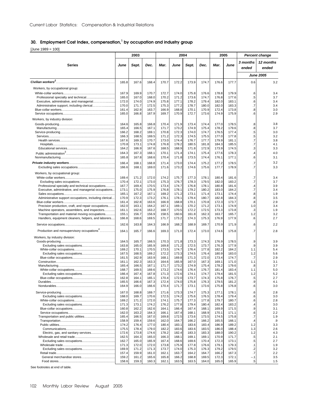#### 30. Employment Cost Index, compensation,<sup>1</sup> by occupation and industry group

 $[June 1989 = 100]$ 

|                                                        |                | 2003           |                |                |                | 2004           |                |                | 2005           |                            | Percent change   |
|--------------------------------------------------------|----------------|----------------|----------------|----------------|----------------|----------------|----------------|----------------|----------------|----------------------------|------------------|
|                                                        |                |                |                |                |                |                |                |                |                | 3 months                   | 12 months        |
| <b>Series</b>                                          | June           | Sept.          | Dec.           | Mar.           | June           | Sept.          | Dec.           | Mar.           | June           | ended                      | ended            |
|                                                        |                |                |                |                |                |                |                |                |                |                            | <b>June 2005</b> |
|                                                        | 165.8          | 167.6          | 168.4          | 170.7          | 172.2          | 173.9          | 174.7          | 176.6          | 177.7          | 0.6                        | 3.2              |
| Workers, by occupational group:                        |                |                |                |                |                |                |                |                |                |                            |                  |
|                                                        | 167.9          | 169.9          | 170.7          | 172.7          | 174.0          | 175.8          | 176.6          | 178.8          | 179.9          | .6                         | 3.4              |
|                                                        | 165.0          | 167.0          | 168.0          | 170.2          | 171.2          | 173.6          | 174.7          | 176.8          | 177.6          | $.5\,$                     | 3.7              |
| Executive, adminitrative, and managerial               | 172.0          | 174.0          | 174.9          | 175.8          | 177.1          | 178.2          | 179.4          | 182.0          | 183.1          | $.6\,$                     | 3.4              |
|                                                        | 170.0          | 171.7          | 172.5          | 175.3          | 177.2          | 178.7          | 180.0          | 182.0          | 183.3          | $\overline{.7}$            | 3.4              |
|                                                        | 161.4          | 162.9          | 163.7          | 166.9          | 168.8          | 170.1          | 170.9          | 172.4          | 173.8          | $\boldsymbol{.8}$          | 3.0              |
|                                                        | 165.0          | 166.8          | 167.9          | 169.7          | 170.9          | 172.7          | 173.6          | 174.9          | 175.9          | 6.6                        | 2.9              |
| Workers, by industry division:                         |                |                |                |                |                |                |                |                |                |                            |                  |
|                                                        | 164.6<br>165.4 | 165.8<br>166.5 | 166.8<br>167.1 | 170.4<br>171.7 | 171.9<br>173.2 | 173.4<br>174.9 | 174.4<br>175.4 | 177.0<br>178.2 | 178.5<br>179.6 | .8<br>$\boldsymbol{.8}$    | 3.8<br>3.7       |
|                                                        | 166.2          | 168.2          | 169.1          | 170.8          | 172.3          | 174.0          | 174.7          | 176.5          | 177.4          | .5                         | 3.0              |
|                                                        | 166.3          | 168.5          | 169.5          | 171.2          | 172.3          | 174.5          | 175.5          | 177.0          | 177.8          | $.5\,$                     | 3.2              |
|                                                        | 167.6          | 169.3          | 170.7          | 173.0          | 174.4          | 176.7          | 177.7          | 179.9          | 181.1          | $\cdot$                    | 3.8              |
|                                                        | 170.8          | 173.1          | 174.8          | 176.8          | 178.2          | 180.5          | 181.8          | 184.3          | 185.5          | .7                         | 4.1              |
|                                                        | 164.2          | 166.9          | 167.6          | 168.5          | 168.9          | 171.8          | 172.9          | 173.9          | 174.5          | $\cdot$                    | 3.3              |
|                                                        | 164.3          | 167.3          | 168.1          | 170.1          | 171.4          | 174.1          | 175.4          | 177.6          | 178.3          | $\mathcal{A}$              | 4.0              |
|                                                        | 165.8          | 167.8          | 168.6          | 170.4          | 171.8          | 173.5          | 174.4          | 176.1          | 177.1          | .6                         | 3.1              |
|                                                        | 166.4          | 168.1          | 168.8          | 171.4          | 173.0          | 174.4          | 175.2          | 177.2          | 178.5          | .7                         | 3.2              |
|                                                        | 166.6          | 168.1          | 169.0          | 171.6          | 173.2          | 174.6          | 175.6          | 177.7          | 178.9          | .7                         | 3.3              |
| Workers, by occupational group:                        |                |                |                |                |                |                |                |                |                |                            |                  |
|                                                        | 169.4          | 171.2          | 172.0          | 174.2          | 175.7          | 177.3          | 178.1          | 180.4          | 181.6          | .7                         | 3.4              |
|                                                        | 170.4          | 172.1          | 173.0          | 175.3          | 176.7          | 178.3          | 179.5          | 182.0          | 183.2          | $\cdot$ 7                  | 3.7              |
| Professional specialty and technical occupations       | 167.7          | 169.4          | 170.5          | 173.4          | 174.7<br>178.1 | 176.8          | 178.1<br>180.2 | 180.8          | 181.6          | $\cdot$<br>$\overline{.7}$ | 3.9<br>3.4       |
| Executive, adminitrative, and managerial occupations   | 173.1<br>165.1 | 175.0<br>167.2 | 175.9<br>167.1 | 176.8<br>169.2 | 171.2          | 179.2<br>173.1 | 171.4          | 183.0<br>173.1 | 184.2<br>174.4 | $\boldsymbol{.8}$          | 1.9              |
| Administrative support occupations, including clerical | 170.9          | 172.3          | 173.2          | 176.1          | 178.1          | 179.4          | 180.7          | 182.8          | 184.3          | $\boldsymbol{.8}$          | 3.5              |
|                                                        | 161.4          | 162.8          | 163.6          | 166.9          | 168.8          | 170.1          | 170.8          | 172.3          | 173.7          | $\boldsymbol{.8}$          | 2.9              |
| Precision production, craft, and repair occupations    | 162.0          | 163.1          | 164.2          | 167.1          | 169.1          | 170.2          | 171.2          | 173.1          | 174.9          | 1.0                        | 3.4              |
| Machine operators, assemblers, and inspectors          | 161.1          | 162.6          | 163.2          | 168.7          | 170.5          | 172.2          | 172.5          | 173.3          | 173.8          | $\cdot$ 3                  | 1.9              |
| Transportation and material moving occupations         | 155.1          | 156.7          | 156.9          | 158.5          | 160.6          | 161.8          | 162.3          | 163.7          | 165.7          | 1.2                        | 3.2              |
| Handlers, equipment cleaners, helpers, and laborers    | 166.8          | 168.6          | 169.5          | 171.7          | 173.2          | 174.3          | 175.3          | 176.9          | 177.9          | .6                         | 2.7              |
|                                                        | 162.6          | 163.8          | 164.3          | 166.9          | 168.2          | 168.9          | 169.7          | 170.9          | 171.9          | 6.6                        | 2.2              |
| Production and nonsupervisory occupations"             | 164.1          | 165.7          | 166.6          | 169.3          | 171.0          | 172.4          | 173.0          | 174.6          | 175.8          | .7                         | 2.8              |
| Workers, by industry division:                         |                |                |                |                |                |                |                |                |                |                            |                  |
|                                                        | 164.5          | 165.7          | 166.5          | 170.3          | 171.8          | 173.3          | 174.3          | 176.9          | 178.5          | .9<br>.9                   | 3.9              |
|                                                        | 163.8<br>169.2 | 165.0<br>170.1 | 165.9<br>170.5 | 169.8<br>173.5 | 171.2<br>174.7 | 172.5<br>176.4 | 173.7<br>177.8 | 176.3<br>182.2 | 177.9<br>184.2 | 1.1                        | 3.9<br>5.4       |
|                                                        | 167.5          | 168.5          | 169.2          | 172.2          | 173.3          | 174.5          | 176.4          | 180.9          | 183.0          | 1.2                        | 5.6              |
|                                                        | 161.5          | 162.9          | 163.9          | 168.1          | 169.8          | 171.3          | 172.0          | 173.4          | 174.7          | .7                         | 2.9              |
|                                                        | 161.1          | 162.3          | 163.3          | 164.6          | 165.9          | 167.0          | 167.3          | 169.1          | 171.0          | 1.1                        | 3.1              |
|                                                        | 165.4          | 166.5          | 167.1          | 171.7          | 173.2          | 174.9          | 175.4          | 178.2          | 179.6          | $\boldsymbol{.8}$          | 3.7              |
|                                                        | 168.7          | 169.5          | 169.6          | 173.2          | 174.6          | 176.4          | 176.7          | 181.4          | 183.4          | 1.1                        | 5.0              |
|                                                        | 166.4<br>162.8 | 167.4<br>164.1 | 167.8<br>165.1 | 171.3<br>170.4 | 172.6<br>172.0 | 174.1<br>173.7 | 174.7<br>174.3 | 179.4<br>175.8 | 181.5<br>176.7 | 1.2<br>.5                  | 5.2<br>2.7       |
|                                                        | 165.5          | 166.6          | 167.3          | 172.4          | 174.0          | 175.8          | 176.3          | 179.5          | 181.2          | .9                         | 4.1              |
|                                                        | 164.9          | 166.0          | 166.6          | 170.4          | 171.7          | 173.1          | 173.6          | 175.8          | 176.8          | .6                         | 3.0              |
|                                                        | 167.0          | 168.8          | 169.7          | 171.6          | 173.3          | 174.7          | 175.3          | 177.1          | 178.1          | .6                         | 2.8              |
|                                                        | 168.0          | 169.7          | 170.6          | 172.5          | 174.2          | 175.6          | 176.5          | 178.4          | 179.4          | $\cdot 6$                  | 3.0              |
|                                                        | 169.2          | 171.2          | 172.0          | 174.1          | 175.7          | 177.3          | 177.8          | 179.7          | 180.7          | 6.6                        | 2.8              |
|                                                        | 171.3          | 173.1          | 174.2          | 176.2          | 177.8          | 179.4          | 180.4          | 182.4          | 183.2          | $\cdot$                    | 3.0              |
|                                                        | 160.8          | 162.2          | 162.6          | 164.1          | 166.4          | 167.4          | 168.1          | 169.9          | 171.5          | .9                         | 3.1              |
|                                                        | 162.0<br>165.4 | 163.2<br>166.5 | 164.3<br>167.0 | 166.1<br>169.8 | 167.4<br>172.5 | 168.1<br>173.6 | 168.9<br>173.5 | 170.1<br>174.5 | 171.1<br>175.8 | $\cdot 6$<br>.7            | 2.2<br>1.9       |
|                                                        | 158.9          | 159.4          | 159.6          | 162.0          | 164.7          | 166.2          | 166.2          | 165.5          | 166.1          | $\cdot$ 4                  | .9               |
|                                                        | 174.2          | 176.4          | 177.0          | 180.4          | 183.1          | 183.6          | 183.4          | 186.9          | 189.2          | 1.2                        | 3.3              |
|                                                        | 175.5          | 178.4          | 179.0          | 182.2          | 183.6          | 183.6          | 183.5          | 186.0          | 188.4          | 1.3                        | 2.6              |
|                                                        | 172.6          | 173.8          | 174.6          | 178.2          | 182.4          | 183.3          | 183.3          | 188.0          | 190.2          | 1.2                        | 4.3              |
|                                                        | 162.5          | 164.3          | 165.0          | 166.3          | 168.1          | 169.1          | 169.1          | 170.9          | 171.7          | $.5\,$                     | 2.1              |
|                                                        | 162.7<br>171.3 | 165.0          | 165.9          | 167.4          | 168.6          | 169.6          | 170.4          | 172.3          | 173.1          | $.5\,$<br>$\cdot$ 1        | 2.7<br>1.9       |
|                                                        | 169.9          | 172.0<br>171.2 | 172.0<br>171.3 | 173.8<br>173.7 | 175.9<br>174.0 | 177.8<br>175.3 | 176.6<br>176.3 | 179.1<br>179.2 | 179.3<br>179.5 | $\cdot$ .2                 | 3.2              |
|                                                        | 157.4          | 159.9          | 161.0          | 162.1          | 163.7          | 164.2          | 164.7          | 166.2          | 167.3          | .7                         | 2.2              |
|                                                        | 159.2          | 161.2          | 165.6          | 165.8          | 166.2          | 168.8          | 169.5          | 172.3          | 172.1          | $-.1$                      | 3.5              |
|                                                        | 158.6          | 159.3          | 160.3          | 162.1          | 163.5          | 163.5          | 164.0          | 165.0          | 165.9          | .5                         | 1.5              |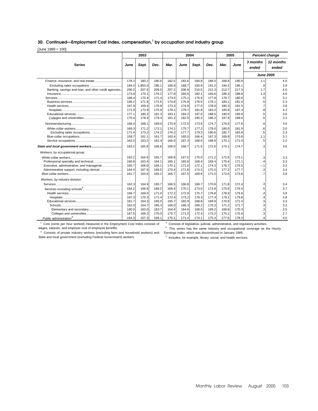#### **30. Continued–Employment Cost Index, compensation,<sup>1</sup> by occupation and industry group**

[June 1989 = 100]

|                                                       |       | 2003    |       |       | 2004  |       |       |       | 2005  | Percent change          |                    |
|-------------------------------------------------------|-------|---------|-------|-------|-------|-------|-------|-------|-------|-------------------------|--------------------|
| <b>Series</b>                                         | June  | Sept.   | Dec.  | Mar.  | June  | Sept. | Dec.  | Mar.  | June  | 3 months<br>ended       | 12 months<br>ended |
|                                                       |       |         |       |       |       |       |       |       |       | <b>June 2005</b>        |                    |
|                                                       | 178.3 | 180.2   | 180.9 | 182.5 | 183.6 | 184.8 | 186.0 | 188.9 | 190.9 | 1.1                     | 4.0                |
|                                                       | 184.0 | 1.853.0 | 186.1 | 186.6 | 188.7 | 190.9 | 191.2 | 194.3 | 196.1 | .9                      | 3.9                |
| Banking, savings and loan, and other credit agencies. | 206.3 | 207.6   | 209.0 | 207.2 | 208.9 | 210.5 | 212.3 | 213.7 | 217.3 | 1.7                     | 4.0                |
|                                                       | 173.9 | 175.1   | 176.2 | 177.8 | 180.5 | 182.1 | 183.6 | 186.3 | 188.8 | 1.3                     | 4.6                |
|                                                       | 168.4 | 170.4   | 171.4 | 173.5 | 175.1 | 176.9 | 177.9 | 179.7 | 180.6 | .5                      | 3.1                |
|                                                       | 169.2 | 171.9   | 172.6 | 174.8 | 176.9 | 178.5 | 179.1 | 180.1 | 181.0 | .5                      | 2.3                |
|                                                       | 167.9 | 169.4   | 170.8 | 173.3 | 174.8 | 177.0 | 178.0 | 180.3 | 181.5 | $\cdot$                 | 3.8                |
|                                                       | 171.9 | 173.9   | 175.9 | 178.1 | 179.7 | 181.8 | 183.2 | 185.8 | 187.3 | .8                      | 4.2                |
|                                                       | 177.1 | 180.2   | 181.3 | 183.1 | 184.2 | 187.0 | 188.5 | 190.0 | 190.9 | .5                      | 3.6                |
|                                                       | 175.4 | 178.4   | 179.4 | 181.2 | 182.5 | 185.2 | 186.2 | 187.6 | 188.6 | .5                      | 3.3                |
|                                                       | 166.4 | 168.1   | 169.0 | 170.9 | 172.5 | 173.9 | 174.7 | 176.5 | 177.6 | .6                      | 3.0                |
|                                                       | 169.3 | 171.2   | 172.1 | 174.1 | 175.7 | 177.2 | 178.0 | 180.0 | 181.0 | .6                      | 3.0                |
|                                                       | 171.4 | 173.2   | 174.2 | 176.2 | 177.7 | 179.3 | 180.6 | 182.7 | 183.6 | .5                      | 3.3                |
|                                                       | 159.7 | 161.1   | 161.7 | 163.4 | 165.5 | 166.4 | 167.3 | 168.8 | 170.6 | 1.1                     | 3.1                |
|                                                       | 162.0 | 163.2   | 162.4 | 166.0 | 167.3 | 168.0 | 168.9 | 170.1 | 171.0 | .5                      | 2.2                |
|                                                       | 163.2 | 165.9   | 166.8 | 168.0 | 168.7 | 171.5 | 172.6 | 174.1 | 174.7 | 3                       | 3.6                |
| Workers, by occupational group:                       |       |         |       |       |       |       |       |       |       |                         |                    |
|                                                       | 162.2 | 164.9   | 165.7 | 166.8 | 167.5 | 170.0 | 171.2 | 172.6 | 173.1 | .3                      | 3.3                |
|                                                       | 160.8 | 163.4   | 164.1 | 165.1 | 165.6 | 168.4 | 169.4 | 170.4 | 171.1 | .4                      | 3.3                |
| Executive, administrative, and managerial             | 165.7 | 168.0   | 169.1 | 170.1 | 171.0 | 172.1 | 174.3 | 176.7 | 176.5 | $-.1$                   | 3.2                |
| Administrative support, including clerical            | 164.4 | 167.9   | 168.5 | 170.4 | 171.8 | 174.3 | 175.5 | 177.2 | 177.7 | .3                      | 3.4                |
|                                                       | 161.7 | 163.6   | 165.2 | 166.7 | 167.5 | 169.9 | 171.0 | 172.6 | 173.8 | 7.                      | 3.8                |
| Workers, by industry division:                        |       |         |       |       |       |       |       |       |       |                         |                    |
|                                                       | 162.3 | 164.9   | 165.7 | 166.5 | 166.8 | 169.7 | 170.8 | 171.8 | 172.4 | .3                      | 3.4                |
|                                                       | 164.2 | 166.8   | 168.2 | 169.4 | 170.1 | 173.0 | 173.8 | 175.6 | 176.4 | .5                      | 3.7                |
|                                                       | 166.7 | 169.5   | 171.0 | 172.2 | 172.9 | 175.7 | 176.8 | 178.9 | 179.6 | .4                      | 3.9                |
|                                                       | 167.3 | 170.3   | 171.4 | 172.4 | 173.2 | 176.3 | 177.4 | 179.1 | 179.8 | $\mathcal{A}$           | 3.8                |
|                                                       | 161.7 | 164.3   | 165.0 | 165.7 | 165.9 | 168.8 | 169.9 | 170.9 | 171.4 | $\cdot$ 3               | 3.3                |
|                                                       | 162.0 | 164.7   | 165.3 | 166.0 | 166.3 | 169.2 | 170.3 | 171.2 | 171.7 | .3                      | 3.2                |
|                                                       | 160.0 | 163.0   | 163.7 | 164.4 | 164.6 | 168.0 | 169.2 | 169.8 | 170.3 | $\overline{\mathbf{3}}$ | 3.5                |
|                                                       | 167.5 | 169.2   | 170.0 | 170.7 | 171.0 | 172.4 | 173.2 | 175.1 | 175.6 | $\cdot$ 3               | 2.7                |
|                                                       | 164.3 | 167.3   | 168.1 | 170.1 | 171.4 | 174.1 | 175.4 | 177.6 | 178.3 | $\overline{\mathbf{A}}$ | 4.0                |

 $1$  Cost (cents per hour worked) measured in the Employment Cost Index consists of wages, salaries, and employer cost of employee benefits.<br><sup>2</sup> Consists of private industry workers (excluding farm and household workers) and Earnings index, which was discontinued in January 1989.

<sup>3</sup> Consists of legislative, judicial, administrative, and regulatory activities.

State and local government (excluding Federal Government) workers.

<sup>4</sup> This series has the same industry and occupational coverage as the Hourly

5 Includes, for example, library, social, and health services.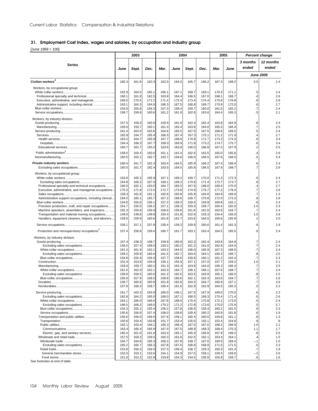# **31. Employment Cost Index, wages and salaries, by occupation and industry group**

 $[June 1989 = 100]$ 

|                                                        |                | 2003           |                |                | 2004           |                |                | 2005           |                | Percent change          |            |
|--------------------------------------------------------|----------------|----------------|----------------|----------------|----------------|----------------|----------------|----------------|----------------|-------------------------|------------|
|                                                        |                |                |                |                |                |                |                |                |                | 3 months                | 12 months  |
| <b>Series</b>                                          | June           | Sept.          | Dec.           | Mar.           | June           | Sept.          | Dec.           | Mar.           | June           | ended                   | ended      |
|                                                        |                |                |                |                |                |                |                |                |                | <b>June 2005</b>        |            |
|                                                        |                |                |                |                |                |                |                |                |                |                         |            |
|                                                        | 160.3          | 161.8          | 162.3          | 163.3          | 164.3          | 165.7          | 166.2          | 167.3          | 168.2          | 0.5                     | 2.4        |
| Workers, by occupational group:                        | 162.9          | 164.5          | 165.1          | 166.1          | 167.1          | 168.7          | 169.1          | 170.3          | 171.1          | $.5\,$                  | 2.4        |
|                                                        | 160.1          | 161.8          | 162.5          | 163.8          | 164.4          | 166.5          | 167.0          | 168.1          | 168.7          | $\cdot$                 | 2.6        |
| Executive, adminitrative, and managerial               | 169.0          | 170.5          | 171.2          | 171.4          | 172.4          | 173.4          | 174.4          | 175.9          | 176.9          | 6.6                     | 2.6        |
|                                                        | 163.1          | 164.3          | 164.9          | 166.3          | 167.5          | 168.8          | 169.7          | 170.9          | 172.0          | .6                      | 2.7        |
|                                                        | 154.8          | 155.8          | 156.3          | 157.3          | 158.4          | 159.7          | 160.0          | 161.0          | 162.2          | .7                      | 2.4        |
|                                                        | 158.7          | 159.8          | 160.6          | 161.2          | 161.9          | 162.8          | 163.6          | 164.4          | 165.3          | $.5\,$                  | 2.1        |
| Workers, by industry division:                         |                |                |                |                |                |                |                |                |                |                         |            |
|                                                        | 157.5          | 158.3          | 160.6          | 159.9          | 161.0          | 162.3          | 162.4          | 163.8          | 164.9          | .8                      | 2.4        |
|                                                        | 159.0<br>161.4 | 159.7<br>163.0 | 160.1<br>163.6 | 161.3<br>164.6 | 162.4<br>165.5 | 163.8<br>167.0 | 164.0<br>167.5 | 165.3<br>168.6 | 166.4<br>169.5 | .7<br>.5                | 2.5<br>2.4 |
|                                                        | 162.8          | 164.7          | 165.4          | 166.5          | 167.4          | 167.3          | 170.1          | 171.2          | 171.9          | $\cdot$                 | 2.7        |
|                                                        | 163.2          | 164.7          | 165.9          | 167.7          | 168.6          | 170.8          | 171.7          | 173.2          | 174.3          | .6                      | 3.4        |
|                                                        | 164.4          | 166.3          | 167.7          | 169.0          | 169.9          | 171.8          | 173.2          | 174.7          | 175.7          | .6                      | 3.4        |
|                                                        | 160.7          | 162.7          | 163.2          | 163.6          | 163.8          | 166.0          | 166.8          | 167.5          | 167.9          | $\cdot$ .2              | 2.5        |
|                                                        | 158.0          | 159.4          | 160.0          | 161.1          | 161.4          | 162.6          | 163.5          | 165.0          | 165.6          | $\cdot$                 | 2.6        |
|                                                        | 160.5          | 162.1          | 162.7          | 163.7          | 164.6          | 166.0          | 166.5          | 167.6          | 168.5          | $.5\,$                  | 2.4        |
|                                                        | 160.4          | 161.7          | 162.3          | 163.4          | 164.5          | 165.9          | 166.2          | 167.4          | 168.4          | .6                      | 2.4        |
|                                                        | 160.5          | 161.7          | 162.4          | 163.5          | 164.5          | 165.8          | 166.5          | 167.6          | 168.7          | $\cdot$ 7               | 2.6        |
| Workers, by occupational group:                        |                |                |                |                |                |                |                |                |                |                         |            |
|                                                        | 163.8          | 165.3          | 165.9          | 167.1          | 168.2          | 169.7          | 170.0          | 171.3          | 172.3          | .6                      | 2.4        |
|                                                        | 164.8          | 166.2          | 167.0          | 168.1          | 169.2          | 170.6          | 171.4          | 172.7          | 173.7          | .6                      | 2.7        |
| Professional specialty and technical occupations       | 160.5          | 162.1          | 163.0          | 164.7          | 165.5          | 167.6          | 168.0          | 169.4          | 170.0          | .4                      | 2.7        |
| Executive, adminitrative, and managerial occupations   | 170.3          | 171.8          | 172.5          | 172.7          | 173.9          | 174.9          | 175.7          | 177.2          | 178.4          | $\cdot$                 | 2.6        |
| Administrative support occupations, including clerical | 159.3<br>164.0 | 161.6<br>165.1 | 161.1<br>165.7 | 162.6<br>167.2 | 163.9<br>168.6 | 165.9<br>169.7 | 164.0<br>170.8 | 164.9<br>172.0 | 166.0<br>173.3 | .7<br>$\boldsymbol{.8}$ | 1.3<br>2.8 |
|                                                        | 154.6          | 155.6          | 156.1          | 157.2          | 158.3          | 159.5          | 159.9          | 160.8          | 162.1          | .8                      | 2.4        |
| Precision production, craft, and repair occupations    | 154.7          | 155.5          | 156.2          | 157.1          | 158.3          | 159.3          | 159.7          | 160.4          | 162.0          | 1.0                     | 2.3        |
| Machine operators, assemblers, and inspectors          | 155.3          | 156.8          | 156.9          | 158.6          | 159.8          | 161.6          | 161.6          | 162.6          | 163.7          | .7                      | 2.4        |
| Transportation and material moving occupations         | 149.0          | 149.8          | 149.8          | 150.4          | 151.8          | 152.9          | 153.3          | 154.4          | 156.0          | 1.0                     | 2.8        |
| Handlers, equipment cleaners, helpers, and laborers    | 159.0          | 159.9          | 160.6          | 161.8          | 162.7          | 163.6          | 164.5          | 165.6          | 165.9          | $\cdot$                 | 2.0        |
|                                                        | 156.1          | 157.1          | 157.8          | 158.4          | 159.3          | 159.8          | 160.6          | 161.4          | 162.3          | .6                      | 1.9        |
| Production and nonsupervisory occupations <sup>3</sup> | 157.4          | 158.8          | 159.4          | 160.7          | 161.7          | 163.1          | 163.4          | 164.5          | 165.5          | .6                      | 2.4        |
| Workers, by industry division:                         |                |                |                |                |                |                |                |                |                |                         |            |
|                                                        | 157.4          | 158.3          | 158.7          | 159.9          | 160.9          | 162.3          | 162.4          | 163.6          | 164.8          | .7                      | 2.4        |
|                                                        | 156.5          | 157.4          | 158.0          | 159.2          | 160.2          | 161.2          | 161.6          | 162.8          | 164.0          | .7                      | 2.4        |
|                                                        | 161.4<br>159.2 | 161.9<br>159.9 | 162.1<br>160.4 | 163.2<br>161.5 | 164.5<br>162.7 | 166.0<br>163.6 | 165.9<br>164.1 | 167.3<br>165.3 | 168.5<br>166.7 | $\cdot$<br>.8           | 2.4<br>2.5 |
|                                                        | 154.8          | 155.9          | 156.4          | 157.7          | 158.6          | 159.8          | 160.1          | 161.2          | 162.4          | .7                      | 2.4        |
|                                                        | 152.4          | 153.6          | 154.0          | 155.1          | 155.9          | 157.1          | 157.0          | 157.7          | 159.2          | 1.0                     | 2.1        |
|                                                        | 159.0          | 159.7          | 160.1          | 161.3          | 162.4          | 163.8          | 164.0          | 165.3          | 166.4          | .7                      | 2.5        |
|                                                        | 161.6          | 162.0          | 162.1          | 163.3          | 164.7          | 166.1          | 166.1          | 167.6          | 168.7          | .7                      | 2.4        |
|                                                        | 158.9          | 159.5          | 160.0          | 161.2          | 162.5          | 163.5          | 163.9          | 165.1          | 166.5          | 8.                      | 2.5        |
|                                                        | 156.9          | 157.9          | 158.5          | 159.8          | 160.6          | 162.1          | 162.4          | 163.6          | 164.7          | .7                      | 2.6        |
|                                                        | 159.7<br>157.8 | 160.6<br>158.3 | 160.9<br>158.7 | 161.9<br>160.4 | 162.9<br>161.6 | 164.5<br>162.8 | 164.7<br>162.9 | 165.9<br>164.5 | 167.1<br>165.3 | .7<br>.5                | 2.6<br>2.3 |
|                                                        |                |                |                |                |                |                |                |                |                | .6                      | 2.3        |
|                                                        | 161.7<br>162.8 | 163.3<br>164.2 | 163.9<br>165.0 | 165.0<br>166.0 | 166.1<br>167.1 | 167.5<br>168.5 | 167.9<br>169.3 | 169.0<br>170.4 | 170.0<br>171.4 | .6                      | 2.6        |
|                                                        | 164.1          | 166.0          | 166.6          | 167.8          | 168.9          | 170.4          | 170.8          | 172.1          | 173.0          | .5                      | 2.4        |
|                                                        | 166.5          | 168.2          | 169.0          | 170.2          | 171.2          | 172.8          | 173.6          | 175.0          | 175.9          | $.5\,$                  | 2.7        |
|                                                        | 154.3          | 155.1          | 155.4          | 156.2          | 157.8          | 158.9          | 159.4          | 160.1          | 161.5          | .9                      | 2.3        |
|                                                        | 155.6          | 156.6          | 157.4          | 158.0          | 158.8          | 159.4          | 160.2          | 160.9          | 161.8          | .6                      | 1.9        |
|                                                        | 155.6          | 156.0          | 156.5          | 157.6          | 159.1          | 160.4          | 160.5          | 159.8          | 161.1          | .8                      | 1.3        |
|                                                        | 150.6<br>162.1 | 150.4<br>163.4 | 150.8<br>164.1 | 151.7<br>165.3 | 153.4<br>166.4 | 155.0<br>167.5 | 155.1<br>167.5 | 153.4<br>168.2 | 154.6<br>169.9 | .8<br>1.0               | .8<br>2.1  |
|                                                        | 163.4          | 165.4          | 165.9          | 167.0          | 167.5          | 168.8          | 168.3          | 168.4          | 170.3          | 1.1                     | 1.7        |
|                                                        | 160.4          | 161.0          | 161.8          | 163.3          | 165.1          | 165.9          | 166.6          | 167.9          | 169.2          | .8                      | 2.5        |
|                                                        | 157.5          | 159.2          | 159.5          | 160.3          | 161.6          | 162.5          | 162.1          | 163.4          | 164.1          | .4                      | 1.5        |
|                                                        | 164.7          | 164.8          | 165.3          | 166.2          | 167.8          | 169.7          | 167.5          | 169.5          | 169.4          | $-.1$                   | 1.0        |
|                                                        | 165.2          | 165.7          | 166.3          | 167.8          | 167.6          | 168.6          | 168.9          | 171.5          | 171.5          | $\cdot$ 0               | 2.3        |
|                                                        | 153.8<br>152.0 | 156.3<br>153.1 | 156.5<br>153.6 | 157.3<br>154.1 | 158.4<br>154.9 | 158.7<br>157.5 | 159.3<br>158.1 | 160.3<br>159.3 | 161.4<br>159.0 | $\cdot$<br>$-.2$        | 1.9<br>2.6 |
|                                                        | 151.6          | 152.2          | 152.8          | 153.8          | 154.3          | 154.5          | 155.0          | 155.8          | 156.7          | .6                      | 1.6        |
|                                                        |                |                |                |                |                |                |                |                |                |                         |            |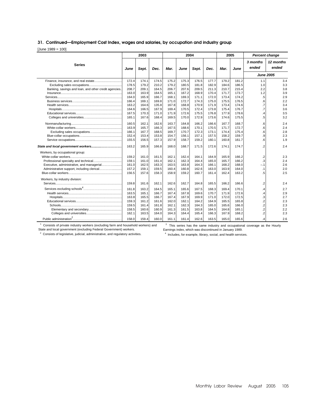#### **31. Continued–Employment Cost Index, wages and salaries, by occupation and industry group**

 $[June 1989 = 100]$ 

|                                                       |       | 2003  |       |       | 2004  |       |       |       | 2005  | Percent change       |                    |
|-------------------------------------------------------|-------|-------|-------|-------|-------|-------|-------|-------|-------|----------------------|--------------------|
| Series                                                | June  | Sept. | Dec.  | Mar.  | June  | Sept. | Dec.  | Mar.  | June  | 3 months<br>ended    | 12 months<br>ended |
|                                                       |       |       |       |       |       |       |       |       |       | <b>June 2005</b>     |                    |
|                                                       | 172.4 | 174.1 | 174.5 | 175.2 | 175.3 | 176.5 | 177.7 | 179.2 | 181.2 | 1.1                  | 3.4                |
|                                                       | 178.5 | 179.2 | 210.2 | 179.2 | 180.5 | 181.8 | 182.9 | 184.6 | 186.5 | 1.0                  | 3.3                |
| Banking, savings and loan, and other credit agencies. | 208.7 | 209.1 | 164.5 | 206.7 | 207.6 | 209.5 | 211.3 | 210.7 | 215.4 | 2.2                  | 3.8                |
|                                                       | 163.0 | 163.9 | 164.5 | 165.1 | 167.2 | 168.9 | 170.4 | 171.7 | 173.7 | 1.2                  | 3.9                |
|                                                       | 164.0 | 165.9 | 166.7 | 168.1 | 169.3 | 171.1 | 172.0 | 173.4 | 174.2 | .5                   | 2.9                |
|                                                       | 166.4 | 169.1 | 169.8 | 171.0 | 172.7 | 174.3 | 175.0 | 175.5 | 176.5 | .6                   | 2.2                |
|                                                       | 163.2 | 164.6 | 135.8 | 167.8 | 168.8 | 170.9 | 171.9 | 173.4 | 174.6 | $\overline{.7}$      | 3.4                |
|                                                       | 164.6 | 166.5 | 167.9 | 169.4 | 170.5 | 172.4 | 173.8 | 175.4 | 176.7 | $\overline{.7}$      | 3.6                |
|                                                       | 167.5 | 170.3 | 171.0 | 171.9 | 172.6 | 175.5 | 176.8 | 177.9 | 178.6 | $\cdot$ <sub>4</sub> | 3.5                |
|                                                       | 165.1 | 167.6 | 168.4 | 169.5 | 170.0 | 172.9 | 173.6 | 174.6 | 175.5 | .5                   | 3.2                |
|                                                       | 160.5 | 162.1 | 162.6 | 163.7 | 164.8 | 166.2 | 166.6 | 167.7 | 168.7 | .6                   | 2.4                |
|                                                       | 163.9 | 165.7 | 166.3 | 167.5 | 168.6 | 170.1 | 170.5 | 171.7 | 172.7 | .6                   | 2.4                |
|                                                       | 166.1 | 167.7 | 168.5 | 169.7 | 170.7 | 172.3 | 173.1 | 174.4 | 175.4 | .6                   | 2.8                |
|                                                       | 152.4 | 153.4 | 153.8 | 154.7 | 156.1 | 157.1 | 157.5 | 158.2 | 159.7 | .9                   | 2.3                |
|                                                       | 155.5 | 156.5 | 157.3 | 157.9 | 158.7 | 159.2 | 160.1 | 160.8 | 161.7 | .6                   | 1.9                |
|                                                       | 163.2 | 165.9 | 166.8 | 168.0 | 168.7 | 171.5 | 172.6 | 174.1 | 174.7 | $\overline{2}$       | 2.4                |
| Workers, by occupational group:                       |       |       |       |       |       |       |       |       |       |                      |                    |
|                                                       | 159.2 | 161.0 | 161.5 | 162.1 | 162.4 | 164.1 | 164.9 | 165.9 | 166.2 | $\cdot$              | 2.3                |
|                                                       | 159.1 | 161.0 | 161.4 | 162.1 | 162.3 | 164.4 | 165.0 | 165.7 | 166.2 | .3                   | 2.4                |
| Executive, administrative, and managerial             | 161.0 | 162.5 | 163.3 | 163.5 | 163.8 | 164.3 | 166.1 | 168.2 | 168.0 | $-.1$                | 2.6                |
|                                                       | 157.2 | 159.1 | 159.5 | 160.4 | 160.8 | 162.6 | 163.0 | 163.9 | 164.0 | $\cdot$ 1            | 2.0                |
|                                                       | 156.5 | 157.6 | 158.3 | 158.9 | 159.2 | 160.7 | 161.4 | 162.4 | 163.2 | .5                   | 2.5                |
| Workers, by industry division:                        | 159.8 | 161.6 | 162.1 | 162.6 | 162.7 | 164.8 | 165.5 | 166.2 | 166.6 | $\cdot$              | 2.4                |
|                                                       |       |       |       |       |       |       |       |       |       |                      |                    |
|                                                       | 161.8 | 163.2 | 164.5 | 165.1 | 165.6 | 167.5 | 168.3 | 169.4 | 170.1 | .4                   | 2.7                |
|                                                       | 163.5 | 165.1 | 166.7 | 167.4 | 167.8 | 169.6 | 170.7 | 171.9 | 172.6 | .4                   | 2.9                |
|                                                       | 163.8 | 165.5 | 166.7 | 167.4 | 167.9 | 169.9 | 171.0 | 172.0 | 172.5 | $\cdot$ 3            | 2.7                |
|                                                       | 159.3 | 161.2 | 161.6 | 162.0 | 162.1 | 164.2 | 164.9 | 165.5 | 165.8 | $\cdot$ .2           | 2.3                |
|                                                       | 159.5 | 161.4 | 161.8 | 162.1 | 162.3 | 164.3 | 165.0 | 165.6 | 166.0 | $\overline{2}$       | 2.3                |
|                                                       | 158.5 | 160.6 | 160.9 | 161.3 | 161.5 | 163.8 | 164.5 | 164.8 | 165.1 | $\overline{2}$       | 2.2                |
|                                                       | 162.1 | 163.5 | 164.0 | 164.3 | 164.4 | 165.4 | 166.3 | 167.9 | 168.2 | $\overline{.2}$      | 2.3                |
|                                                       | 158.0 | 159.4 | 160.0 | 161.1 | 161.4 | 162.6 | 163.5 | 165.0 | 165.6 | $\overline{A}$       | 2.6                |

 $1$  Consists of private industry workers (excluding farm and household workers) and

State and local government (excluding Federal Government) workers.

<sup>2</sup> Consists of legislative, judicial, administrative, and regulatory activities.

 $3$  This series has the same industry and occupational coverage as the Hourly Earnings index, which was discontinued in January 1989.

4 Includes, for example, library, social, and health services.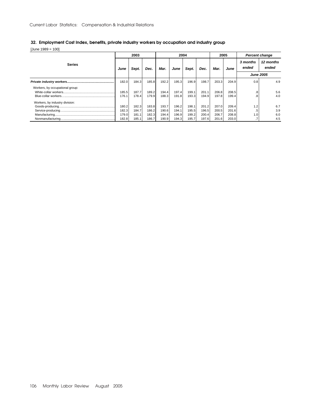# **32. Employment Cost Index, benefits, private industry workers by occupation and industry group**

 $[June 1989 = 100]$ 

|                                 |       | 2003  |       |       | 2004  |       |       | 2005  |       |                   | Percent change     |
|---------------------------------|-------|-------|-------|-------|-------|-------|-------|-------|-------|-------------------|--------------------|
| <b>Series</b>                   | June  | Sept. | Dec.  | Mar.  | June  | Sept. | Dec.  | Mar.  | June  | 3 months<br>ended | 12 months<br>ended |
|                                 |       |       |       |       |       |       |       |       |       | <b>June 2005</b>  |                    |
|                                 | 182.0 | 184.3 | 185.8 | 192.2 | 195.3 | 196.9 | 198.7 | 203.3 | 204.9 | 0.8               | 4.9                |
| Workers, by occupational group: |       |       |       |       |       |       |       |       |       |                   |                    |
|                                 | 185.5 | 187.7 | 189.2 | 194.4 | 197.4 | 199.1 | 201.1 | 206.8 | 208.5 | .8                | 5.6                |
|                                 | 176.1 | 178.4 | 179.9 | 188.3 | 191.8 | 193.3 | 194.9 | 197.8 | 199.4 |                   | 4.0                |
| Workers, by industry division:  |       |       |       |       |       |       |       |       |       |                   |                    |
|                                 | 180.2 | 182.3 | 183.8 | 193.7 | 196.2 | 198.1 | 201.2 | 207.0 | 209.4 | 1.2               | 6.7                |
|                                 | 182.3 | 184.7 | 186.2 | 190.6 | 194.1 | 195.5 | 196.5 | 200.5 | 201.6 |                   | 3.9                |
|                                 | 179.0 | 181.1 | 182.3 | 194.4 | 196.9 | 199.2 | 200.4 | 206.7 | 208.8 | 1.0               | 6.0                |
|                                 | 182.8 | 185.1 | 186.7 | 190.9 | 194.3 | 195.7 | 197.6 | 201.6 | 203.0 |                   | 4.5                |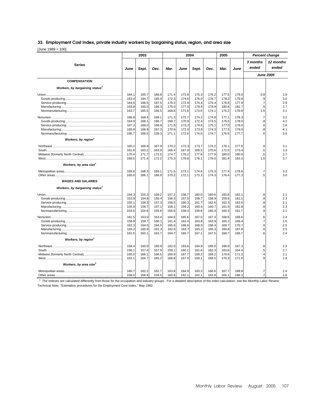# **33. Employment Cost Index, private industry workers by bargaining status, region, and area size**

[June 1989 = 100]

|                                            |       | 2003  |       |       |       | 2004  |       | 2005  |       |                   | Percent change   |
|--------------------------------------------|-------|-------|-------|-------|-------|-------|-------|-------|-------|-------------------|------------------|
|                                            |       |       |       |       |       |       |       |       |       | 3 months          | 12 months        |
| <b>Series</b>                              | June  | Sept. | Dec.  | Mar.  | June  | Sept. | Dec.  | Mar.  | June  | ended             | ended            |
|                                            |       |       |       |       |       |       |       |       |       |                   | <b>June 2005</b> |
| <b>COMPENSATION</b>                        |       |       |       |       |       |       |       |       |       |                   |                  |
| Workers, by bargaining status <sup>1</sup> |       |       |       |       |       |       |       |       |       |                   |                  |
|                                            | 164.1 | 165.7 | 166.8 | 171.4 | 173.9 | 175.3 | 176.2 | 177.5 | 179.0 | 0.8               | 2.9              |
|                                            | 163.4 | 164.7 | 165.9 | 172.3 | 174.6 | 176.0 | 176.7 | 178.2 | 179.8 | .9                | 3.0              |
|                                            | 164.6 | 166.5 | 167.5 | 170.2 | 172.9 | 174.4 | 175.4 | 176.6 | 177.9 | $\overline{.7}$   | 2.9              |
|                                            | 163.8 | 165.0 | 166.3 | 175.0 | 177.0 | 178.4 | 178.9 | 180.6 | 181.7 | .6                | 2.7              |
|                                            | 163.7 | 165.5 | 166.5 | 168.8 | 171.6 | 173.0 | 174.1 | 175.2 | 176.9 | 1.0               | 3.1              |
|                                            | 166.8 | 168.4 | 169.1 | 171.3 | 172.7 | 174.2 | 174.9 | 177.1 | 178.3 | .7                | 3.2              |
|                                            | 164.9 | 166.1 | 166.7 | 169.7 | 170.9 | 172.4 | 173.5 | 176.5 | 178.0 | $\boldsymbol{.8}$ | 4.2              |
|                                            | 167.2 | 169.0 | 169.8 | 171.6 | 173.2 | 174.6 | 175.1 | 177.0 | 178.0 | 6.6               | 2.8              |
|                                            | 165.8 | 166.9 | 167.3 | 170.6 | 172.0 | 173.8 | 174.3 | 177.5 | 179.0 | .8                | 4.1              |
|                                            | 166.7 | 168.5 | 139.3 | 171.1 | 172.6 | 174.0 | 174.7 | 176.6 | 177.7 | 6.6               | 3.0              |
| Workers, by region <sup>1</sup>            |       |       |       |       |       |       |       |       |       |                   |                  |
|                                            | 165.2 | 166.9 | 167.9 | 170.2 | 172.3 | 173.7 | 174.2 | 176.1 | 177.6 | .9                | 3.1              |
|                                            | 161.6 | 163.2 | 163.9 | 166.4 | 167.9 | 169.5 | 170.6 | 172.5 | 173.4 | .5                | 3.3              |
|                                            | 170.4 | 171.7 | 172.5 | 174.7 | 176.2 | 177.6 | 177.9 | 180.0 | 180.9 | $.5\,$            | 2.7              |
|                                            | 169.5 | 171.4 | 172.2 | 175.3 | 176.8 | 178.1 | 179.0 | 181.4 | 183.3 | 1.0               | 3.7              |
| Workers, by area size <sup>1</sup>         |       |       |       |       |       |       |       |       |       |                   |                  |
|                                            | 166.6 | 168.3 | 169.1 | 171.5 | 173.1 | 174.6 | 175.3 | 177.4 | 178.6 | .7                | 3.2              |
|                                            | 165.0 | 166.1 | 166.9 | 170.2 | 172.1 | 173.3 | 174.3 | 176.4 | 177.3 | .5                | 3.0              |
| <b>WAGES AND SALARIES</b>                  |       |       |       |       |       |       |       |       |       |                   |                  |
| Workers, by bargaining status <sup>1</sup> |       |       |       |       |       |       |       |       |       |                   |                  |
|                                            | 154.3 | 155.3 | 156.2 | 157.2 | 158.7 | 160.0 | 160.6 | 160.8 | 162.1 | .8                | 2.1              |
|                                            | 153.9 | 154.8 | 155.4 | 156.3 | 157.5 | 158.7 | 158.9 | 159.6 | 161.1 | .9                | 2.3              |
|                                            | 155.1 | 156.3 | 157.3 | 158.5 | 160.3 | 161.7 | 162.6 | 162.3 | 163.6 | 8.                | 2.1              |
|                                            | 155.9 | 156.7 | 157.1 | 158.1 | 159.2 | 160.5 | 160.7 | 161.5 | 162.8 | .8                | 2.3              |
|                                            | 153.5 | 154.6 | 155.6 | 156.6 | 158.4 | 159.6 | 160.4 | 160.3 | 161.7 | .9                | 2.1              |
|                                            | 161.5 | 163.0 | 163.4 | 164.6 | 165.6 | 167.0 | 167.3 | 168.6 | 169.6 | .6                | 2.4              |
|                                            | 158.9 | 159.7 | 160.1 | 161.4 | 162.4 | 163.8 | 163.9 | 165.2 | 166.4 | .7                | 2.5              |
|                                            | 162.3 | 164.0 | 164.5 | 165.6 | 166.6 | 168.0 | 168.4 | 169.7 | 170.7 | .6                | 2.5              |
|                                            | 160.2 | 160.9 | 161.3 | 162.6 | 163.7 | 165.2 | 165.3 | 166.8 | 167.8 | .6                | 2.5              |
|                                            | 161.5 | 163.1 | 163.7 | 164.7 | 165.7 | 167.1 | 167.5 | 168.7 | 169.7 | .6                | 2.4              |
| Workers, by region <sup>1</sup>            |       |       |       |       |       |       |       |       |       |                   |                  |
|                                            | 158.4 | 160.0 | 160.9 | 162.0 | 163.6 | 164.9 | 165.0 | 166.0 | 167.3 | $\boldsymbol{.8}$ | 2.3              |
|                                            | 156.1 | 157.4 | 157.9 | 159.1 | 160.1 | 161.6 | 162.3 | 163.6 | 164.4 | .5                | 2.7              |
|                                            | 165.0 | 166.1 | 166.5 | 166.9 | 167.7 | 169.2 | 169.2 | 170.6 | 171.3 | .4                | 2.1              |
|                                            | 163.1 | 164.7 | 165.2 | 166.8 | 167.9 | 169.1 | 169.5 | 170.3 | 171.9 | 9.                | 2.4              |
| Workers, by area size <sup>1</sup>         |       |       |       |       |       |       |       |       |       |                   |                  |
|                                            | 160.7 | 162.2 | 162.7 | 163.8 | 164.9 | 163.3 | 166.6 | 167.7 | 168.8 | .7                | 2.4              |
|                                            | 158.0 | 158.9 | 159.5 | 160.8 | 162.1 | 162.1 | 163.8 | 165.1 | 166.3 | .7                | 2.6              |

 1 The indexes are calculated differently from those for the occupation and industry groups. For a detailed description of the index calculation, see the *Monthly Labor Review*  Technical Note, "Estimation procedures for the Employment Cost Index," May 1982.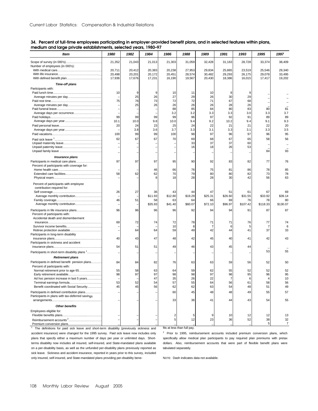|  | 34. Percent of full-time employees participating in employer-provided benefit plans, and in selected features within plans, |  |  |  |
|--|-----------------------------------------------------------------------------------------------------------------------------|--|--|--|
|  | medium and large private establishments, selected years, 1980–97                                                            |  |  |  |

| Item                                                                 | 1980   | 1982     | 1984     | 1986           | 1988     | 1989     | 1991     | 1993     | 1995           | 1997     |
|----------------------------------------------------------------------|--------|----------|----------|----------------|----------|----------|----------|----------|----------------|----------|
|                                                                      | 21,352 | 21,043   | 21,013   | 21,303         | 31,059   | 32,428   | 31,163   | 28,728   | 33,374         | 38,409   |
| Number of employees (in 000's):                                      |        |          |          |                |          |          |          |          |                |          |
|                                                                      | 20,711 | 20,412   | 20,383   | 20,238         | 27,953   | 29,834   | 25,865   | 23,519   | 25,546         | 29,340   |
|                                                                      | 20,498 | 20,201   | 20,172   | 20,451         | 28,574   | 30,482   | 29,293   | 26,175   | 29,078         | 33,495   |
| With defined benefit plan                                            | 17,936 | 17,676   | 17,231   | 16,190         | 19,567   | 20,430   | 18,386   | 16,015   | 17,417         | 19,202   |
| Time-off plans                                                       |        |          |          |                |          |          |          |          |                |          |
| Participants with:                                                   |        |          |          |                |          |          |          |          |                |          |
|                                                                      | 10     | 9        | 9        | 10             | 11       | 10       | 8        | 9        |                |          |
|                                                                      |        | 25<br>76 | 26       | 27             | 29<br>72 | 26       | 30       | 29<br>68 |                |          |
|                                                                      | 75     | 25       | 73<br>26 | 72<br>26       | 26       | 71<br>26 | 67<br>28 | 26       |                |          |
|                                                                      |        |          |          | 88             | 85       | 84       | 80       | 83       | 80             | 81       |
| Average days per occurrence                                          |        |          |          | 3.2            | 3.2      | 3.3      | 3.3      | 3.0      | 3.3            | 3.7      |
|                                                                      | 99     | 99       | 99       | 99             | 96       | 97       | 92       | 91       | 89             | 89       |
|                                                                      | 10.1   | 10.0     | 9.8      | 10.0           | 9.4      | 9.2      | 10.2     | 9.4      | 9.1            | 9.3      |
|                                                                      | 20     | 24       | 23       | 25             | 24       | 22       | 21       | 21       | 22             | 20       |
|                                                                      |        | 3.8      | 3.6      | 3.7            | 3.3      | 3.1      | 3.3      | 3.1      | 3.3            | 3.5      |
|                                                                      | 100    | 99       | 99       | 100            | 98       | 97       | 96       | 97       | 96             | 95       |
|                                                                      | 62     | 67       | 67       | 70             | 69       | 68       | 67       | 65       | 58             | 56       |
|                                                                      |        |          |          |                | 33       | 37       | 37       | 60       |                |          |
|                                                                      |        |          |          |                | 16       | 18       | 26       | 53       | 84             | 93       |
|                                                                      |        |          |          |                |          |          |          |          |                |          |
| Insurance plans                                                      |        |          |          |                |          |          |          |          |                |          |
| Participants in medical care plans                                   | 97     | 97       | 97       | 95             | 90       | 92       | 83       | 82       | 77             | 76       |
| Percent of participants with coverage for:                           |        |          | 46       | 66             | 76       | 75       | 81       | 86       | 78             | 85       |
|                                                                      | 58     | 62       | 62       | 70             | 79       | 80       | 80       | 82       | 73             | 78       |
|                                                                      |        |          | 8        | 18             | 28       | 28       | 30       | 42       | 56             | 63       |
| Percent of participants with employee                                |        |          |          |                |          |          |          |          |                |          |
| contribution required for:                                           |        |          |          |                |          |          |          |          |                |          |
|                                                                      | 26     | 27       | 36       | 43             | 44       | 47       | 51       | 61       | 67             | 69       |
| Average monthly contribution                                         |        |          | \$11.93  | \$12.80        | \$19.29  | \$25.31  | \$26.60  | \$31.55  | \$33.92        | \$39.14  |
|                                                                      | 46     | 51       | 58       | 63             | 64       | 66       | 69       | 76       | 78             | 80       |
| Average monthly contribution                                         |        |          | \$35.93  | \$41.40        | \$60.07  | \$72.10  | \$96.97  | \$107.42 | \$118.33       | \$130.07 |
| Participants in life insurance plans                                 | 96     | 96       | 96       | 96             | 92       | 94       | 94       | 91       | 87             | 87       |
| Percent of participants with:                                        |        |          |          |                |          |          |          |          |                |          |
| Accidental death and dismemberment                                   |        |          |          |                |          |          |          |          |                |          |
|                                                                      | 69     | 72       | 74       | 72             | 78       | 71       | 71       | 76       | 77             | 74       |
|                                                                      |        |          |          | 10             | 8        | 7        | 6        | 5        | 7              |          |
| Retiree protection available<br>Participants in long-term disability |        | 64       | 64       | 59             | 49       | 42       | 44       | 41       | 37             | 33       |
|                                                                      | 40     | 43       | 47       | 48             | 42       | 45       | 40       | 41       | 42             | 43       |
| Participants in sickness and accident                                |        |          |          |                |          |          |          |          |                |          |
|                                                                      | 54     | 51       | 51       | 49             | 46       | 43       | 45       | 44       |                |          |
| Participants in short-term disability plans 1                        |        |          |          |                |          |          |          |          | 53             | 55       |
| <b>Retirement plans</b>                                              |        |          |          |                |          |          |          |          |                |          |
| Participants in defined benefit pension plans                        | 84     | 84       | 82       | 76             | 63       | 63       | 59       | 56       | 52             | 50       |
| Percent of participants with:                                        |        |          |          |                |          |          |          |          |                |          |
| Normal retirement prior to age 65                                    | 55     | 58       | 63       | 64             | 59       | 62       | 55       | 52       | 52             | 52       |
| Early retirement available                                           | 98     | 97       | 97       | 98             | 98       | 97       | 98       | 95       | 96             | 95       |
| Ad hoc pension increase in last 5 years                              |        |          | 47       | 35             | 26       | 22       | 7        | 6        | $\overline{4}$ | 10       |
|                                                                      | 53     | 52       | 56       | 57             | 55       | 64       | 56       | 61       | 58             | 56       |
| Benefit coordinated with Social Security                             | 45     | 45       |          | 62             | 62       | 63       | 54       | 48       | 51             | 49       |
| Participants in defined contribution plans                           |        |          |          | 60             | 45       | 48       | 48       | 49       | 55             | 57       |
| Participants in plans with tax-deferred savings                      |        |          |          |                |          |          |          | 43       |                |          |
|                                                                      |        |          |          | 33             | 36       | 41       | 44       |          | 54             | 55       |
| Other benefits                                                       |        |          |          |                |          |          |          |          |                |          |
| Employees eligible for:                                              |        |          |          |                |          |          |          |          |                |          |
|                                                                      |        |          |          | 2              | 5        | 9        | 10       | 12       | 12             | 13       |
| Reimbursement accounts <sup>2</sup><br>Premium conversion plans      |        |          |          | 5 <sup>1</sup> | 12       | 23       | 36       | 52       | 38<br>5        | 32<br>7  |
|                                                                      |        |          |          |                |          |          |          |          |                |          |

<sup>1</sup> The definitions for paid sick leave and short-term disability (previously sickness and accident insurance) were changed for the 1995 survey. Paid sick leave now includes only plans that specify either a maximum number of days per year or unlimited days. Shortterms disability now includes all insured, self-insured, and State-mandated plans available on a per-disability basis, as well as the unfunded per-disability plans previously reported as sick leave. Sickness and accident insurance, reported in years prior to this survey, included only insured, self-insured, and State-mandated plans providing per-disability bene-

fits at less than full pay.

 $2^2$  Prior to 1995, reimbursement accounts included premium conversion plans, which specifically allow medical plan participants to pay required plan premiums with pretax dollars. Also, reimbursement accounts that were part of flexible benefit plans were tabulated separately.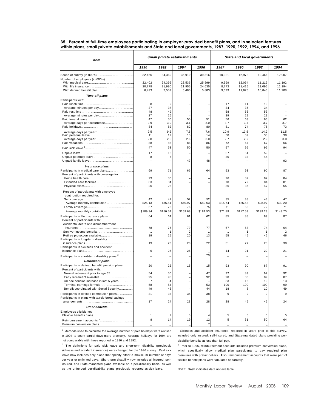| Item                                                                                                        |                      |                      | Small private establishments |                          |                |                  | <b>State and local governments</b> |                      |
|-------------------------------------------------------------------------------------------------------------|----------------------|----------------------|------------------------------|--------------------------|----------------|------------------|------------------------------------|----------------------|
|                                                                                                             | 1990                 | 1992                 | 1994                         | 1996                     | 1987           | 1990             | 1992                               | 1994                 |
| Number of employees (in 000's):                                                                             | 32,466               | 34,360               | 35,910                       | 39,816                   | 10,321         | 12,972           | 12,466                             | 12,907               |
|                                                                                                             | 22.402<br>20.778     | 24,396<br>21,990     | 23.536<br>21,955             | 25.599<br>24.635         | 9,599<br>8,773 | 12,064<br>11,415 | 11,219<br>11.095                   | 11,192<br>11,194     |
|                                                                                                             | 6,493                | 7,559                | 5,480                        | 5,883                    | 9,599          | 11,675           | 10,845                             | 11,708               |
| Time-off plans<br>Participants with:                                                                        |                      |                      |                              |                          |                |                  |                                    |                      |
|                                                                                                             | 8<br>37              | 9<br>37              |                              |                          | 17<br>34       | 11<br>36         | 10<br>34                           |                      |
|                                                                                                             | 48<br>27             | 49<br>26             |                              |                          | 58<br>29       | 56<br>29         | 53<br>29                           |                      |
|                                                                                                             | 47<br>2.9            | 50<br>3.0            | 50<br>3.1                    | 51<br>3.0                | 56<br>3.7      | 63<br>3.7        | 65<br>3.7                          | 62<br>3.7            |
|                                                                                                             | 84<br>9.5            | 82<br>9.2            | 82<br>7.5                    | 80<br>7.6                | 81<br>10.9     | 74<br>13.6       | 75<br>14.2                         | 73<br>11.5           |
|                                                                                                             | 11<br>2.8            | 12<br>2.6            | 13<br>2.6                    | 14<br>3.0                | 38<br>2.7      | 39<br>2.9        | 38<br>2.9                          | 38<br>3.0            |
|                                                                                                             | 88                   | 88                   | 88                           | 86                       | 72             | 67               | 67                                 | 66                   |
|                                                                                                             | 47<br>17             | 53<br>18             | 50                           | 50                       | 97<br>57       | 95<br>51         | 95<br>59                           | 94                   |
|                                                                                                             | 8                    | $\overline{7}$       | 47                           | 48                       | 30             | 33               | 44                                 | 93                   |
| Insurance plans<br>Participants in medical care plans                                                       | 69                   | 71                   | 66                           | 64                       | 93             | 93               | 90                                 | 87                   |
| Percent of participants with coverage for:                                                                  | 79<br>83             | 80<br>84             |                              |                          | 76<br>78       | 82<br>79         | 87<br>84                           | 84<br>81             |
|                                                                                                             | 26                   | 28                   |                              |                          | 36             | 36               | 47                                 | 55                   |
| Percent of participants with employee<br>contribution required for:                                         | 42                   | 47                   | 52                           | 52                       | 35             | 38               | 43                                 | 47                   |
| Average monthly contribution                                                                                | \$25.13              | \$36.51              | \$40.97                      | \$42.63                  | \$15.74        | \$25.53          | \$28.97                            | \$30.20              |
| Average monthly contribution                                                                                | 67<br>\$109.34       | 73<br>\$150.54       | 76<br>\$159.63               | 75<br>\$181.53           | 71<br>\$71.89  | 65<br>\$117.59   | 72<br>\$139.23                     | 71<br>\$149.70       |
| Participants in life insurance plans<br>Percent of participants with:<br>Accidental death and dismemberment | 64                   | 64                   | 61                           | 62                       | 85             | 88               | 89                                 | 87                   |
|                                                                                                             | 78<br>$\overline{1}$ | 76<br>1              | 79<br>$\overline{2}$         | 77<br>1                  | 67<br>1        | 67<br>1          | 74<br>-1                           | 64<br>$\overline{2}$ |
|                                                                                                             | 19                   | 25                   | 20                           | 13                       | 55             | 45               | 46                                 | 46                   |
| Participants in long-term disability<br>Participants in sickness and accident                               | 19                   | 23                   | 20                           | 22                       | 31             | 27               | 28                                 | 30                   |
|                                                                                                             | 6                    | 26                   | 26                           |                          | 14             | 21               | 22                                 | 21                   |
| Participants in short-term disability plans <sup>2</sup>                                                    |                      |                      |                              | 29                       |                |                  |                                    |                      |
| <b>Retirement plans</b><br>Participants in defined benefit pension plans<br>Percent of participants with:   | 20                   | 22                   | 15                           | 15                       | 93             | 90               | 87                                 | 91                   |
| Normal retirement prior to age 65                                                                           | 54<br>95             | 50<br>95             |                              | 47<br>92                 | 92<br>90       | 89<br>88         | 92<br>89                           | 92<br>87             |
| Ad hoc pension increase in last 5 years                                                                     | $\overline{7}$       | 4                    |                              |                          | 33             | 16               | 10                                 | 13<br>99             |
| Terminal earnings formula<br>Benefit coordinated with Social Security                                       | 58<br>49             | 54<br>46             |                              | 53<br>44                 | 100<br>18      | 100<br>8         | 100<br>10                          | 49                   |
| Participants in defined contribution plans<br>Participants in plans with tax-deferred savings               | 31                   | 33                   | 34                           | 38                       | 9              | 9                | 9                                  | 9                    |
| Other benefits                                                                                              | 17                   | 24                   | 23                           | 28                       | 28             | 45               | 45                                 | 24                   |
| Employees eligible for:                                                                                     |                      |                      |                              |                          |                |                  |                                    |                      |
|                                                                                                             | 1<br>8               | $\overline{2}$<br>14 | 3<br>19                      | 4<br>12                  | 5<br>5         | 5<br>31          | 5<br>50                            | 5<br>64              |
| Premium conversion plans                                                                                    |                      |                      |                              | $\overline{\mathcal{I}}$ |                |                  |                                    |                      |

**35. Percent of full-time employees participating in employer-provided benefit plans, and in selected features within plans, small private establishments and State and local governments, 1987, 1990, 1992, 1994, and 1996**

 $^1$  Methods used to calculate the average number of paid holidays were revised in 1994 to count partial days more precisely. Average holidays for 1994 are not comparable with those reported in 1990 and 1992.

Sickness and accident insurance, reported in years prior to this survey, included only insured, self-insured, and State-mandated plans providing perdisability benefits at less than full pay.

 $2$  The definitions for paid sick leave and short-term disability (previously sickness and accident insurance) were changed for the 1996 survey. Paid sick leave now includes only plans that specify either a maximum number of days per year or unlimited days. Short-term disability now includes all insured, selfinsured, and State-mandated plans available on a per-disability basis, as well as the unfunded per-disability plans previously reported as sick leave.

<sup>3</sup> Prior to 1996, reimbursement accounts included premium conversion plans, which specifically allow medical plan participants to pay required plan premiums with pretax dollars. Also, reimbursement accounts that were part of flexible benefit plans were tabulated separately.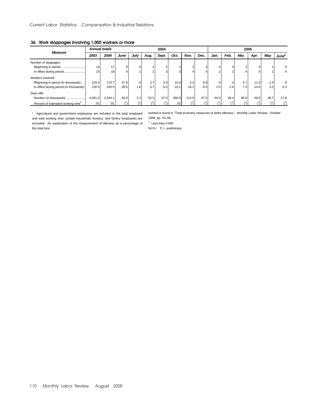| 36. Work stoppages involving 1,000 workers or more |  |  |  |  |  |  |  |
|----------------------------------------------------|--|--|--|--|--|--|--|
|----------------------------------------------------|--|--|--|--|--|--|--|

|                                         |         | <b>Annual totals</b> |      |      |      | 2004  |       |       |      |      |      | 2005           |      |      |                          |
|-----------------------------------------|---------|----------------------|------|------|------|-------|-------|-------|------|------|------|----------------|------|------|--------------------------|
| <b>Measure</b>                          | 2003    | 2004                 | June | July | Aug. | Sept. | Oct.  | Nov.  | Dec. | Jan. | Feb. | Mar.           | Apr. | May  | <b>June</b> <sup>p</sup> |
| Number of stoppages:                    |         |                      |      |      |      |       |       |       |      |      |      |                |      |      |                          |
| Beginning in period                     | 14      | 17                   | 3    |      |      |       |       |       | 3    |      |      | $\overline{ }$ | 3    |      |                          |
| In effect during period                 | 15      | 18 <sub>1</sub>      |      |      |      |       |       |       |      |      |      |                | 5    |      |                          |
| Workers involved:                       |         |                      |      |      |      |       |       |       |      |      |      |                |      |      |                          |
| Beginning in period (in thousands)      | 129.2   | 170.7                | 27.6 | 0.   | 3.7  | 4.5   | 10.0  | 3.2   | 9.8  | 0۱.  | ا 0. | 4.7            | 11.0 | 1.9  | .0                       |
| In effect during period (in thousands). | 130.5   | 316.5                | 28.6 | 1.6  | 3.7  | 6.5   | 16.1  | 16.1  | 8.5  | 2.5  | 2.6  | 7.3            | 14.0 | 3.2  | 6.3                      |
| Days idle:                              |         |                      |      |      |      |       |       |       |      |      |      |                |      |      |                          |
| Number (in thousands)                   | 4,091.2 | 3,344.1              | 94.0 | 3.2  | 52.5 | 57.0  | 300.0 | 114.9 | 97.5 | 50.0 | 49.4 | 86.0           | 48.5 | 38.7 | 57.8                     |
| Percent of estimated working time       | .01     | .01                  | (2)  |      |      |       | .01   |       |      |      |      | (2)            | (2)  |      |                          |

and total working time; private household, forestry, and fishery employees are excluded. An explanation of the measurement of idleness as a percentage of the total time

<sup>1</sup> Agricultural and government employees are included in the total employed worked is found in "Total economy measures of strike idleness," Monthly Labor Review, October 1968, pp. 54–56.

 $2$  Less than 0.005.

NOTE:  $P = preliminary$ .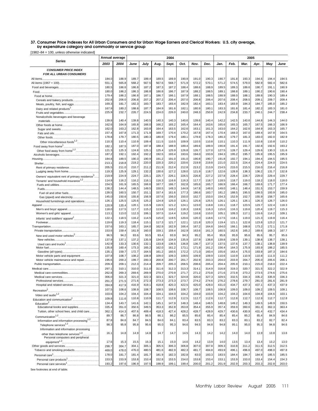#### **37. Consumer Price Indexes for All Urban Consumers and for Urban Wage Earners and Clerical Workers: U.S. city average, by expenditure category and commodity or service group**

[1982–84 = 100, unless otherwise indicated]

|                                                                                   | Annual average |                |                |                |                | 2004           |                |                |                |                |                | 2005           |                |                |                |
|-----------------------------------------------------------------------------------|----------------|----------------|----------------|----------------|----------------|----------------|----------------|----------------|----------------|----------------|----------------|----------------|----------------|----------------|----------------|
| Series                                                                            | 2003           | 2004           | June           | July           | Aug.           | Sept.          | Oct.           | Nov.           | Dec.           | Jan.           | Feb.           | Mar.           | Apr.           | May            | June           |
| <b>CONSUMER PRICE INDEX</b>                                                       |                |                |                |                |                |                |                |                |                |                |                |                |                |                |                |
| FOR ALL URBAN CONSUMERS                                                           |                |                |                |                |                |                |                |                |                |                |                |                |                |                |                |
|                                                                                   | 184.0<br>551.1 | 188.9<br>565.8 | 189.7          | 189.4<br>567.5 | 189.5          | 189.9          | 190.9          | 191.0          | 190.3<br>570.1 | 190.7<br>571.2 | 191.8          | 193.3<br>579.0 | 194.6          | 194.4<br>582.4 | 194.5          |
|                                                                                   | 180.5          | 186.6          | 568.2<br>186.8 | 187.2          | 567.6<br>187.3 | 568.7<br>187.2 | 571.9<br>188.4 | 572.2<br>188.6 | 188.9          | 189.5          | 574.5<br>189.3 | 189.6          | 582.9<br>190.7 | 191.1          | 582.6<br>190.9 |
|                                                                                   | 180.0          | 186.2          | 186.3          | 186.8          | 186.8          | 186.7          | 187.9          | 188.2          | 188.5          | 189.1          | 188.8          | 189.1          | 190.2          | 190.6          | 190.4          |
|                                                                                   | 179.4          | 186.2          | 186.8          | 187.1          | 186.7          | 186.1          | 187.9          | 188.1          | 188.5          | 188.9          | 188.0          | 188.1          | 189.8          | 190.3          | 189.4          |
|                                                                                   | 202.8          | 206.0          | 206.8          | 207.2          | 207.2          | 206.4          | 207.0          | 206.8          | 206.4          | 207.6          | 208.4          | 208.5          | 209.1          | 209.7          | 209.4          |
| Meats, poultry, fish, and eggs                                                    | 169.3          | 181.7          | 182.3          | 183.7          | 183.7          | 183.4          | 182.9          | 182.4          | 183.1          | 183.4          | 183.9          | 184.3          | 184.7          | 185.0          | 185.2          |
|                                                                                   | 167.9          | 180.2          | 188.8<br>226.7 | 187.7<br>224.5 | 184.9<br>224.0 | 181.6<br>226.0 | 182.1<br>240.0 | 180.9<br>248.3 | 180.1<br>250.8 | 183.3<br>242.9 | 181.8<br>234.8 | 181.4<br>233.7 | 182.2<br>240.1 | 183.3<br>244.7 | 181.0<br>238.4 |
| Nonalcoholic beverages and beverage                                               | 225.9          | 232.7          |                |                |                |                |                |                |                |                |                |                |                |                |                |
|                                                                                   | 139.8          | 140.4          | 139.8          | 140.5          | 140.3          | 140.3          | 140.6          | 139.6          | 140.4          | 142.2          | 142.5          | 143.6          | 144.8          | 144.3          | 144.0          |
|                                                                                   | 162.6          | 164.9          | 165.8          | 166.0          | 166.2          | 165.2          | 165.4          | 164.4          | 163.6          | 165.6          | 165.3          | 165.7          | 167.5          | 166.3          | 166.9          |
|                                                                                   | 162.0          | 163.2          | 162.8          | 163.8          | 164.4          | 163.5          | 162.6          | 163.1          | 161.3          | 163.0          | 164.2          | 162.6          | 164.9          | 163.3          | 165.7          |
|                                                                                   | 157.4          | 167.8          | 171.3<br>180.5 | 171.9<br>180.3 | 169.7<br>180.9 | 170.4<br>179.4 | 170.2<br>180.1 | 167.8<br>178.9 | 167.4<br>178.3 | 170.4<br>180.3 | 169.3<br>179.7 | 167.0<br>181.3 | 169.4<br>183.0 | 167.8<br>182.0 | 164.5<br>182.9 |
| Other miscellaneous foods <sup>1,2</sup> .                                        | 178.8<br>110.3 | 179.7<br>110.4 | 110.9          | 109.4          | 111.5          | 110.5          | 109.9          | 110.5          | 110.8          | 110.1          | 110.3          | 111.9          | 110.8          | 110.8          | 110.2          |
|                                                                                   | 182.1          | 187.5          | 187.0          | 187.8          | 188.4          | 188.9          | 189.4          | 189.6          | 189.9          | 190.8          | 191.4          | 191.7          | 192.8          | 192.6          | 193.2          |
| Other food away from home <sup>1,2</sup>                                          | 121.3          | 125.3          | 124.8          | 125.1          | 125.4          | 125.9          | 126.8          | 126.7          | 127.0          | 127.5          | 128.7          | 129.4          | 129.6          | 130.3          | 131.6          |
|                                                                                   | 187.2          | 192.1          | 192.4          | 192.2          | 192.5          | 193.4          | 193.6          | 194.0          | 193.9          | 194.3          | 195.2          | 195.7          | 195.9          | 195.5          | 195.9          |
|                                                                                   | 184.8          | 189.5          | 190.3          | 190.9          | 191.2          | 191.0          | 191.0          | 190.8          | 190.7          | 191.8          | 192.7          | 194.1          | 194.4          | 194.5          | 195.5          |
|                                                                                   | 213.1          | 218.8          | 219.2          | 220.0          | 220.3          | 220.2          | 220.6          | 219.9          | 219.8          | 221.0          | 222.5          | 224.4          | 224.4          | 224.0          | 224.5          |
|                                                                                   | 205.5          | 211.0          | 210.7          | 211.2          | 211.9          | 212.4          | 212.8          | 213.2          | 213.9          | 214.5          | 215.0          | 215.5          | 216.0          | 216.4          | 216.8          |
| Lodging away from home                                                            | 119.3          | 125.9          | 129.1          | 132.2          | 130.6          | 127.2          | 128.0          | 121.9          | 118.7          | 122.6          | 128.9          | 138.3          | 136.2          | 131.7          | 132.8          |
| Owners' equivalent rent of primary residence <sup>3</sup>                         | 219.9<br>114.8 | 224.9<br>116.2 | 224.7          | 225.1          | 225.7          | 226.1          | 226.5          | 226.8          | 227.2          | 227.8          | 228.4          | 228.7<br>119.0 | 229.0          | 229.4          | 229.7          |
| Tenants' and household insurance <sup>1,2</sup> .                                 | 154.5          | 161.9          | 116.2<br>165.5 | 116.1<br>166.6 | 116.3<br>167.7 | 116.6<br>166.7 | 116.3<br>162.8 | 117.7<br>165.6 | 118.7<br>165.7 | 118.5<br>166.9 | 118.7<br>166.4 | 166.7          | 118.2<br>169.6 | 118.0<br>171.7 | 118.0<br>177.4 |
|                                                                                   | 138.2          | 144.4          | 148.5          | 149.5          | 150.5          | 149.3          | 144.9          | 147.8          | 148.0          | 149.0          | 148.1          | 148.4          | 151.5          | 153.7          | 159.9          |
|                                                                                   | 139.5          | 160.5          | 150.7          | 151.1          | 157.4          | 161.6          | 177.3          | 186.6          | 183.7          | 181.2          | 188.5          | 195.5          | 199.5          | 193.9          | 195.0          |
|                                                                                   | 145.0          | 150.6          | 155.8          | 156.9          | 157.6          | 156.0          | 150.0          | 152.7          | 153.0          | 154.3          | 152.9          | 152.7          | 155.9          | 158.7          | 165.6          |
| Household furnishings and operations                                              | 126.1          | 125.5          | 125.6          | 125.2          | 124.8          | 125.0          | 126.1          | 125.8          | 125.5          | 126.1          | 126.1          | 126.1          | 126.3          | 126.7          | 126.0          |
|                                                                                   | 120.9<br>118.0 | 120.4<br>117.5 | 120.1<br>117.7 | 115.9<br>115.2 | 116.5<br>113.8 | 121.2<br>116.2 | 124.1<br>118.3 | 123.0<br>118.9 | 118.8<br>116.3 | 116.1<br>115.0 | 118.7<br>116.3 | 123.5<br>119.6 | 123.7<br>120.4 | 122.4<br>119.7 | 118.3<br>115.3 |
| Women's and girls' apparel                                                        | 113.1          | 113.0          | 112.3          | 106.1          | 107.5          | 114.4          | 119.2          | 116.8          | 110.0          | 105.1          | 109.3          | 117.1          | 116.6          | 114.2          | 109.1          |
|                                                                                   | 122.1          | 118.5          | 116.2          | 114.5          | 115.0          | 119.5          | 120.6          | 120.3          | 118.6          | 117.5          | 118.1          | 119.0          | 121.3          | 119.8          | 116.4          |
|                                                                                   | 119.6          | 119.3          | 118.4          | 115.1          | 117.3          | 121.7          | 122.1          | 121.8          | 120.3          | 119.4          | 121.1          | 122.8          | 123.8          | 123.2          | 121.7          |
|                                                                                   | 157.6          | 163.1          | 165.7          | 164.0          | 162.9          | 162.9          | 166.4          | 167.2          | 164.8          | 164.0          | 166.1          | 168.8          | 173.2          | 172.1          | 171.8          |
|                                                                                   | 153.6          | 159.4          | 161.9          | 160.0          | 159.1          | 159.4          | 162.9          | 163.6          | 161.3          | 160.5          | 162.6          | 165.2          | 169.6          | 168.3          | 167.7          |
| New and used motor vehicles <sup>2</sup>                                          | 96.5           | 94.2           | 93.6           | 93.5           | 93.4           | 93.9           | 94.3           | 95.2           | 95.4           | 95.8           | 95.9           | 95.6           | 95.6           | 95.7           | 95.6           |
|                                                                                   | 137.9<br>142.9 | 137.1<br>133.3 | 137.2<br>130.6 | 135.9<br>132.1 | 134.9<br>133.8 | 134.9<br>136.5 | 135.9<br>136.8 | 137.9<br>136.7 | 138.8<br>137.3 | 139.8<br>137.5 | 139.9<br>137.6 | 139.1<br>137.7 | 138.8<br>138.1 | 138.7<br>138.8 | 138.1<br>139.9 |
|                                                                                   | 135.8          | 160.4          | 173.3          | 165.2          | 162.0          | 161.2          | 173.1          | 171.9          | 161.2          | 156.4          | 164.3          | 175.9          | 193.9          | 188.2          | 185.5          |
|                                                                                   | 135.1          | 159.7          | 172.7          | 164.5          | 161.2          | 160.5          | 172.2          | 171.0          | 160.4          | 155.6          | 163.4          | 175.0          | 193.9          | 187.3          | 184.6          |
| Motor vehicle parts and equipment                                                 | 107.8          | 108.7          | 108.2          | 108.8          | 109.0          | 109.3          | 109.5          | 109.9          | 109.9          | 110.6          | 110.9          | 110.9          | 110.8          | 111.0          | 111.2          |
| Motor vehicle maintenance and repair                                              | 195.6          | 200.2          | 199.7          | 200.3          | 200.8          | 200.7          | 201.7          | 202.9          | 203.3          | 204.0          | 203.9          | 204.7          | 205.0          | 205.6          | 206.1          |
|                                                                                   | 209.3<br>297.1 | 209.1<br>310.1 | 212.3<br>310.0 | 214.4<br>311.0 | 209.7<br>311.6 | 205.3<br>312.3 | 206.5<br>313.3 | 208.6<br>314.1 | 205.4<br>314.9 | 204.4<br>316.8 | 205.9<br>319.3 | 210.1<br>320.7 | 215.0<br>321.5 | 218.0<br>322.2 | 222.4<br>322.9 |
|                                                                                   | 262.8          | 269.3          | 269.6          | 269.9          | 270.0          | 270.9          | 271.7          | 271.2          | 270.8          | 271.6          | 272.8          | 273.2          | 273.5          | 274.6          | 275.6          |
|                                                                                   | 306.0          | 321.3          | 321.0          | 322.3          | 323.1          | 323.7          | 324.8          | 326.0          | 327.3          | 329.5          | 332.5          | 334.3          | 335.2          | 335.9          | 336.3          |
|                                                                                   | 261.2          | 271.5          | 271.6          | 272.3          | 273.3          | 273.3          | 273.7          | 274.2          | 274.6          | 276.2          | 278.6          | 279.7          | 281.0          | 281.6          | 281.9          |
| Hospital and related services                                                     | 394.8          | 417.9          | 416.9          | 419.1          | 418.8          | 420.3          | 422.5          | 425.0          | 428.0          | 431.0          | 434.7          | 437.3          | 437.1          | 437.3          | 437.9          |
| Recreation <sup>2</sup>                                                           | 107.5          | 108.6          | 108.9          | 108.7          | 108.5          | 108.6          | 108.7          | 108.7          | 108.5          | 108.9          | 109.0          | 109.0          | 109.2          | 109.5          | 109.1          |
| Video and audio <sup>1,2</sup>                                                    | 103.6          | 104.2          | 104.4          | 104.4          | 104.1          | 104.0          | 104.2          | 104.0          | 103.9          | 104.2          | 104.3          | 104.6          | 104.8          | 104.6          | 103.1          |
|                                                                                   | 109.8          | 111.6          | 110.8          | 110.9          | 111.7          | 112.9          | 112.5<br>148.3 | 112.7          | 112.6          | 112.7          | 112.8          | 112.7<br>149.3 | 112.9          | 112.7<br>149.9 | 112.8          |
| Educational books and supplies                                                    | 134.4<br>335.4 | 143.7<br>351.0 | 141.6<br>350.6 | 142.1<br>349.5 | 145.1<br>353.3 | 147.9<br>352.8 | 353.8          | 148.4<br>354.4 | 148.5<br>355.9 | 148.8<br>357.4 | 149.2<br>359.9 | 360.6          | 149.5<br>361.3 | 362.3          | 150.5<br>363.4 |
| Tuition, other school fees, and child care                                        | 362.1          | 414.3          | 407.6          | 409.4          | 418.3          | 427.4          | 428.2          | 428.7          | 428.9          | 429.7          | 430.6          | 430.9          | 431.4          | 432.7          | 434.4          |
|                                                                                   | 89.7           | 86.7           | 86.8           | 86.5           | 86.1           | 86.2           | 85.5           | 85.6           | 85.4           | 85.4           | 85.4           | 85.2           | 85.4           | 84.9           | 84.6           |
|                                                                                   | 87.8           | 84.6           | 84.7           | 84.5           | 84.0           | 84.1           | 83.4           | 83.5           | 83.3           | 83.2           | 83.3           | 83.1           | 83.2           | 82.7           | 82.4           |
|                                                                                   | 98.3           | 95.8           | 95.8           | 95.6           | 95.0           | 95.3           | 94.6           | 94.5           | 94.8           | 94.8           | 95.1           | 95.0           | 95.3           | 94.8           | 94.6           |
| Information and information processing                                            |                |                |                |                |                |                |                |                |                |                |                |                |                |                |                |
| other than telephone services <sup>1,4</sup><br>Personal computers and peripheral | 16.1           | 14.8           | 14.9           | 14.8           | 14.7           | 14.7           | 14.5           | 14.3           | 14.2           | 14.2           | 14.0           | 14.0           | 13.9           | 13.8           | 13.6           |
|                                                                                   | 17.6           | 15.3           | 15.5           | 15.3           | 15.1           | 15.0           | 14.6           | 14.2           | 13.9           | 14.0           | 13.5           | 13.4           | 13.4           | 13.2           | 13.0           |
| Tobacco and smoking products                                                      | 298.7<br>469.0 | 304.7<br>478.0 | 304.1<br>476.0 | 305.1<br>480.5 | 305.5<br>481.6 | 306.3<br>482.9 | 306.8<br>482.3 | 307.0<br>481.7 | 307.8<br>484.8 | 309.3<br>493.9 | 310.8<br>496.1 | 311.2<br>496.6 | 311.5<br>497.0 | 312.5<br>498.0 | 312.5<br>497.8 |
|                                                                                   | 178.0          | 181.7          | 181.4          | 181.7          | 181.9          | 182.3          | 182.8          | 83.0           | 183.3          | 183.5          | 184.4          | 184.7          | 184.9          | 185.5          | 185.5          |
|                                                                                   | 153.5          | 153.9          | 153.8          | 153.4          | 152.8          | 153.5          | 154.0          | 153.8          | 153.4          | 153.1          | 153.9          | 153.0          | 153.4          | 154.4          | 154.3          |
|                                                                                   | 193.2          | 197.6          | 196.9          | 197.5          | 198.9          | 199.1          | 199.4          | 200.0          | 201.2          | 201.9          | 202.9          | 203.3          | 203.3          | 202.8          | 203.0          |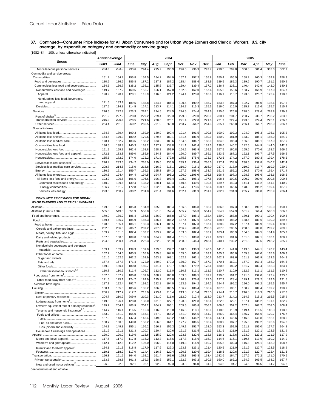**37. Continued–Consumer Price Indexes for All Urban Consumers and for Urban Wage Earners and Clerical Workers: U.S. city average, by expenditure category and commodity or service group**

 $[1982–84 = 100,$  unless otherwise indicated]

| 2003<br>2004<br>July<br>Oct.<br>Nov.<br>Dec.<br>Feb.<br>Mar.<br>June<br>June<br>Aug.<br>Sept.<br>Jan.<br>Apr.<br>May<br>283.5<br>293.9<br>293.6<br>295.2<br>295.9<br>300.8<br>301.4<br>Miscellaneous personal services<br>294.4<br>296.3<br>296.9<br>297.7<br>298.5<br>299.8<br>302.8<br>302.9<br>Commodity and service group:<br>155.8<br>154.2<br>157.2<br>155.8<br>155.4<br>158.2<br>160.3<br>158.9<br>151.2<br>154.7<br>154.5<br>154.9<br>157.1<br>156.5<br>159.8<br>180.5<br>186.6<br>186.8<br>187.2<br>187.3<br>187.2<br>188.4<br>188.6<br>188.9<br>189.5<br>189.3<br>189.6<br>190.7<br>191.1<br>190.9<br>Commodities less food and beverages<br>134.5<br>136.7<br>138.2<br>136.1<br>135.6<br>136.7<br>139.4<br>139.4<br>137.2<br>136.4<br>138.1<br>140.4<br>142.9<br>142.0<br>140.8<br>149.7<br>157.2<br>160.5<br>156.7<br>157.8<br>162.6<br>162.0<br>157.4<br>155.2<br>163.7<br>168.9<br>167.0<br>164.7<br>Nondurables less food and beverages<br>156.1<br>158.6<br>120.9<br>120.4<br>120.1<br>115.9<br>121.2<br>124.1<br>123.0<br>118.8<br>116.1<br>118.7<br>123.5<br>123.7<br>122.4<br>118.3<br>116.5<br>Nondurables less food, beverages,<br>171.5<br>183.9<br>189.5<br>185.8<br>190.6<br>185.2<br>183.3<br>192.7<br>198.6<br>197.5<br>184.4<br>184.4<br>190.2<br>187.3<br>201.0<br>114.8<br>115.4<br>117.5<br>114.5<br>114.1<br>113.7<br>114.1<br>114.7<br>115.3<br>115.5<br>116.0<br>116.0<br>115.7<br>115.6<br>115.7<br>229.8<br>216.5<br>222.8<br>223.3<br>224.1<br>224.5<br>224.5<br>224.5<br>224.6<br>224.6<br>225.6<br>226.8<br>228.0<br>228.6<br>228.8<br>221.9<br>227.9<br>228.3<br>229.2<br>229.4<br>229.3<br>229.8<br>229.0<br>228.9<br>233.7<br>233.2<br>233.8<br>230.1<br>231.7<br>233.7<br>216.3<br>220.6<br>220.5<br>221.6<br>220.8<br>220.1<br>221.4<br>222.8<br>221.8<br>221.7<br>222.4<br>223.3<br>224.4<br>225.1<br>226.0<br>254.4<br>261.3<br>260.2<br>260.5<br>261.9<br>263.8<br>263.7<br>264.2<br>264.3<br>265.1<br>265.8<br>266.1<br>266.7<br>266.9<br>266.7<br>Special indexes:<br>190.3<br>189.9<br>189.9<br>190.9<br>195.1<br>195.2<br>184.7<br>189.4<br>190.4<br>191.4<br>191.5<br>190.6<br>192.3<br>194.0<br>195.3<br>174.6<br>179.3<br>180.2<br>179.6<br>179.5<br>180.1<br>181.4<br>181.9<br>180.9<br>180.9<br>181.9<br>183.2<br>185.1<br>185.0<br>184.9<br>183.2<br>183.9<br>178.1<br>182.7<br>183.5<br>183.2<br>183.6<br>184.6<br>184.7<br>184.2<br>185.3<br>186.8<br>188.1<br>187.9<br>187.9<br>136.5<br>140.3<br>138.2<br>138.8<br>139.3<br>138.6<br>142.5<br>144.0<br>142.8<br>138.8<br>137.7<br>141.1<br>141.4<br>140.2<br>144.9<br>159.3<br>162.4<br>158.8<br>158.2<br>159.9<br>163.9<br>159.5<br>157.5<br>160.8<br>165.6<br>170.6<br>168.7<br>166.6<br>151.9<br>164.2<br>Nondurables less food and apparel<br>172.1<br>189.0<br>185.6<br>184.3<br>190.0<br>189.7<br>185.1<br>183.5<br>187.2<br>192.1<br>199.7<br>197.5<br>196.5<br>183.8<br>184.4<br>174.0<br>172.2<br>178.2<br>165.3<br>172.2<br>171.9<br>172.8<br>175.8<br>175.6<br>173.3<br>172.5<br>174.2<br>177.0<br>180.3<br>179.4<br>226.4<br>233.5<br>234.2<br>235.0<br>235.6<br>235.9<br>235.1<br>236.4<br>236.5<br>237.4<br>238.0<br>238.5<br>239.8<br>240.7<br>242.4<br>Services less rent of shelter <sup>3</sup><br>220.9<br>Services less medical care services<br>208.7<br>214.5<br>215.0<br>215.8<br>216.2<br>216.1<br>216.0<br>216.1<br>216.0<br>217.0<br>218.0<br>219.2<br>219.7<br>219.9<br>136.5<br>151.4<br>159.7<br>156.3<br>155.3<br>154.3<br>157.7<br>158.6<br>153.7<br>151.9<br>155.2<br>160.8<br>170.9<br>169.4<br>171.4<br>190.6<br>194.4<br>194.4<br>194.5<br>194.7<br>195.2<br>196.0<br>1196.0<br>195.8<br>196.4<br>197.3<br>198.3<br>198.6<br>198.6<br>198.5<br>193.2<br>196.6<br>196.6<br>197.4<br>197.8<br>198.4<br>200.7<br>200.9<br>200.8<br>200.6<br>196.6<br>196.8<br>198.2<br>198.1<br>199.5<br>140.9<br>139.6<br>139.4<br>138.2<br>138.1<br>139.4<br>140.5<br>140.6<br>139.8<br>139.7<br>140.3<br>141.1<br>141.2<br>141.1<br>140.0<br>Commodities less food and energy<br>136.7<br>161.2<br>172.8<br>165.1<br>162.5<br>162.0<br>174.2<br>173.6<br>163.4<br>158.7<br>166.6<br>178.0<br>195.2<br>189.4<br>187.0<br>223.8<br>230.2<br>230.2<br>231.4<br>231.6<br>232.1<br>231.9<br>231.9<br>232.9<br>234.3<br>235.7<br>235.9<br>236.4<br>231.0<br>236.0<br><b>CONSUMER PRICE INDEX FOR URBAN</b><br><b>WAGE EARNERS AND CLERICAL WORKERS</b><br>179.8<br>184.5<br>185.3<br>184.9<br>185.0<br>185.4<br>186.5<br>186.8<br>186.0<br>186.3<br>187.3<br>188.6<br>190.2<br>190.0<br>190.1<br>535.6<br>549.5<br>551.9<br>550.8<br>551.0<br>552.4<br>555.7<br>556.3<br>554.2<br>554.9<br>557.9<br>561.9<br>566.4<br>566.0<br>566.2<br>179.9<br>186.2<br>186.4<br>186.8<br>186.9<br>186.8<br>187.9<br>188.1<br>188.4<br>189.0<br>188.8<br>189.1<br>190.1<br>190.4<br>190.3<br>179.4<br>185.9<br>186.3<br>186.4<br>186.2<br>187.4<br>187.9<br>188.5<br>188.2<br>188.5<br>189.6<br>190.0<br>189.8<br>185.7<br>187.6<br>178.5<br>185.4<br>186.1<br>186.3<br>186.1<br>185.5<br>187.1<br>187.3<br>187.6<br>188.0<br>187.2<br>187.4<br>188.9<br>189.4<br>188.6<br>202.8<br>206.0<br>206.7<br>207.2<br>207.0<br>206.3<br>206.9<br>206.8<br>206.3<br>207.6<br>208.5<br>208.5<br>209.0<br>209.7<br>209.5<br>Cereals and bakery products<br>169.2<br>182.4<br>183.7<br>183.4<br>183.2<br>183.4<br>183.9<br>184.9<br>185.2<br>181.8<br>183.7<br>183.0<br>182.4<br>184.3<br>184.5<br>Meats, poultry, fish, and eggs<br>167.6<br>180.0<br>189.0<br>187.8<br>184.9<br>181.4<br>181.8<br>180.8<br>179.9<br>183.2<br>181.6<br>181.3<br>182.1<br>183.1<br>180.9<br>Dairy and related products <sup>1</sup><br>224.3<br>230.4<br>224.3<br>222.3<br>222.2<br>223.9<br>238.0<br>248.6<br>240.1<br>232.2<br>231.3<br>237.5<br>242.2<br>235.9<br>246.4<br>Nonalcoholic beverages and beverage<br>139.1<br>139.7<br>139.3<br>139.8<br>139.6<br>139.7<br>140.0<br>138.9<br>140.0<br>141.6<br>141.8<br>143.0<br>144.1<br>143.7<br>143.4<br>165.3<br>162.2<br>165.5<br>165.6<br>165.8<br>164.8<br>165.0<br>163.8<br>163.2<br>165.3<br>165.0<br>167.0<br>165.8<br>166.3<br>164.5<br>162.5<br>162.2<br>162.9<br>163.8<br>163.1<br>162.2<br>162.1<br>160.6<br>162.2<br>163.6<br>161.8<br>163.9<br>162.3<br>164.8<br>161.6<br>157.4<br>167.8<br>171.4<br>172.0<br>169.9<br>170.3<br>170.0<br>167.7<br>167.3<br>170.4<br>169.1<br>167.2<br>169.4<br>168.0<br>164.5<br>179.2<br>180.8<br>180.7<br>179.7<br>180.5<br>178.6<br>180.8<br>181.7<br>182.3<br>183.1<br>180.1<br>181.4<br>179.2<br>180.2<br>183.4<br>Other miscellaneous foods <sup>1,2</sup><br>109.7<br>110.5<br>110.8<br>110.9<br>111.4<br>112.0<br>111.0<br>110.3<br>111.1<br>111.3<br>110.7<br>110.9<br>112.5<br>111.1<br>111.3<br>182.0<br>187.4<br>186.8<br>187.6<br>188.2<br>188.8<br>189.3<br>189.5<br>189.7<br>190.6<br>191.2<br>191.6<br>192.0<br>192.4<br>193.0<br>Other food away from home <sup>1,2</sup><br>121.5<br>125.1<br>131.5<br>124.7<br>124.9<br>125.2<br>125.8<br>126.8<br>126.8<br>127.0<br>127.3<br>128.4<br>129.1<br>129.2<br>129.6<br>187.1<br>192.4<br>192.7<br>192.2<br>192.8<br>194.0<br>193.9<br>194.2<br>194.2<br>194.4<br>195.2<br>196.0<br>196.2<br>195.3<br>195.7<br>180.4<br>185.0<br>185.6<br>186.2<br>186.6<br>186.2<br>186.4<br>186.4<br>187.3<br>188.1<br>188.9<br>189.7<br>190.9<br>186.5<br>189.4<br>212.2<br>212.2<br>217.3<br>206.9<br>213.0<br>213.4<br>213.4<br>213.8<br>213.4<br>213.5<br>214.4<br>215.7<br>216.8<br>216.9<br>216.8<br>204.7<br>210.2<br>209.9<br>210.3<br>211.0<br>211.6<br>212.0<br>212.4<br>213.0<br>213.7<br>214.2<br>214.6<br>215.2<br>215.5<br>215.9<br>Rent of primary residence<br>132.9<br>119.8<br>126.4<br>128.8<br>133.0<br>131.6<br>127.7<br>128.3<br>121.8<br>118.6<br>122.2<br>129.1<br>137.1<br>135.2<br>131.1<br>199.7<br>204.1<br>203.9<br>204.2<br>204.7<br>205.1<br>205.5<br>205.8<br>206.1<br>206.6<br>207.2<br>207.4<br>207.7<br>208.0<br>208.4<br>Owners' equivalent rent of primary residence <sup>3</sup><br>Tenants' and household insurance <sup>1,2</sup><br>114.7<br>116.4<br>116.5<br>116.3<br>116.8<br>116.5<br>118.9<br>118.8<br>119.4<br>118.5<br>118.3<br>116.5<br>118.1<br>118.9<br>118.3<br>153.9<br>161.2<br>167.2<br>166.2<br>166.0<br>176.7<br>165.0<br>166.1<br>161.9<br>164.5<br>164.7<br>165.4<br>165.7<br>168.6<br>170.7<br>143.2<br>137.0<br>147.4<br>148.4<br>149.3<br>148.2<br>143.5<br>146.2<br>146.4<br>147.4<br>146.6<br>146.8<br>149.8<br>152.1<br>158.5<br>160.0<br>149.8<br>150.2<br>161.1<br>177.2<br>183.4<br>180.9<br>187.7<br>195.3<br>199.2<br>193.6<br>194.8<br>138.7<br>156.8<br>186.5<br>Fuel oil and other fuels<br>144.1<br>156.2<br>156.8<br>155.3<br>152.0<br>153.3<br>152.0<br>155.0<br>157.7<br>164.8<br>149.8<br>155.1<br>149.1<br>151.7<br>151.8<br>Gas (piped) and electricity<br>121.9<br>121.9<br>121.1<br>121.3<br>120.7<br>120.4<br>120.6<br>121.7<br>121.5<br>121.3<br>121.9<br>121.9<br>122.1<br>122.5<br>121.9<br>Household furnishings and operations<br>120.0<br>120.0<br>119.6<br>115.6<br>120.6<br>123.5<br>122.6<br>118.6<br>116.1<br>123.0<br>123.2<br>121.9<br>117.9<br>115.9<br>118.6<br>117.5<br>117.8<br>115.2<br>119.2<br>114.9<br>117.3<br>113.3<br>115.6<br>117.8<br>118.6<br>115.7<br>114.6<br>116.1<br>119.6<br>119.9<br>Women's and girls' apparel<br>105.3<br>112.1<br>112.8<br>112.2<br>106.0<br>106.9<br>114.0<br>119.3<br>116.9<br>110.2<br>109.3<br>116.8<br>124.1<br>113.9<br>108.7<br>124.1<br>118.8<br>122.3<br>121.4<br>120.5<br>121.9<br>122.7<br>122.5<br>118.9<br>121.3<br>117.0<br>117.6<br>123.3<br>123.1<br>121.0<br>Infants' and toddlers' apparel'<br>119.1<br>118.2<br>117.0<br>120.4<br>120.6<br>120.6<br>119.4<br>118.8<br>120.6<br>121.7<br>122.7<br>122.4<br>121.3<br>114.4<br>116.3<br>156.3<br>161.5<br>164.0<br>162.2<br>161.4<br>161.6<br>165.3<br>165.8<br>163.4<br>1632.6<br>164.7<br>167.6<br>172.2<br>171.0<br>170.6<br>153.5<br>158.8<br>161.3<br>159.3<br>158.6<br>159.1<br>162.7<br>160.9<br>160.0<br>164.9<br>169.5<br>168.2<br>167.7<br>163.2<br>162.2<br>96.0<br>92.8<br>92.1<br>92.1<br>92.2<br>92.3<br>93.3<br>94.0<br>94.3<br>94.6<br>94.7<br>94.5<br>94.5<br>94.7<br>94.8 |                                          | Annual average |  |  | 2004 |  |  | 2005 |  |  |
|----------------------------------------------------------------------------------------------------------------------------------------------------------------------------------------------------------------------------------------------------------------------------------------------------------------------------------------------------------------------------------------------------------------------------------------------------------------------------------------------------------------------------------------------------------------------------------------------------------------------------------------------------------------------------------------------------------------------------------------------------------------------------------------------------------------------------------------------------------------------------------------------------------------------------------------------------------------------------------------------------------------------------------------------------------------------------------------------------------------------------------------------------------------------------------------------------------------------------------------------------------------------------------------------------------------------------------------------------------------------------------------------------------------------------------------------------------------------------------------------------------------------------------------------------------------------------------------------------------------------------------------------------------------------------------------------------------------------------------------------------------------------------------------------------------------------------------------------------------------------------------------------------------------------------------------------------------------------------------------------------------------------------------------------------------------------------------------------------------------------------------------------------------------------------------------------------------------------------------------------------------------------------------------------------------------------------------------------------------------------------------------------------------------------------------------------------------------------------------------------------------------------------------------------------------------------------------------------------------------------------------------------------------------------------------------------------------------------------------------------------------------------------------------------------------------------------------------------------------------------------------------------------------------------------------------------------------------------------------------------------------------------------------------------------------------------------------------------------------------------------------------------------------------------------------------------------------------------------------------------------------------------------------------------------------------------------------------------------------------------------------------------------------------------------------------------------------------------------------------------------------------------------------------------------------------------------------------------------------------------------------------------------------------------------------------------------------------------------------------------------------------------------------------------------------------------------------------------------------------------------------------------------------------------------------------------------------------------------------------------------------------------------------------------------------------------------------------------------------------------------------------------------------------------------------------------------------------------------------------------------------------------------------------------------------------------------------------------------------------------------------------------------------------------------------------------------------------------------------------------------------------------------------------------------------------------------------------------------------------------------------------------------------------------------------------------------------------------------------------------------------------------------------------------------------------------------------------------------------------------------------------------------------------------------------------------------------------------------------------------------------------------------------------------------------------------------------------------------------------------------------------------------------------------------------------------------------------------------------------------------------------------------------------------------------------------------------------------------------------------------------------------------------------------------------------------------------------------------------------------------------------------------------------------------------------------------------------------------------------------------------------------------------------------------------------------------------------------------------------------------------------------------------------------------------------------------------------------------------------------------------------------------------------------------------------------------------------------------------------------------------------------------------------------------------------------------------------------------------------------------------------------------------------------------------------------------------------------------------------------------------------------------------------------------------------------------------------------------------------------------------------------------------------------------------------------------------------------------------------------------------------------------------------------------------------------------------------------------------------------------------------------------------------------------------------------------------------------------------------------------------------------------------------------------------------------------------------------------------------------------------------------------------------------------------------------------------------------------------------------------------------------------------------------------------------------------------------------------------------------------------------------------------------------------------------------------------------------------------------------------------------------------------------------------------------------------------------------------------------------------------------------------------------------------------------------------------------------------------------------------------------------------------------------------------------------------------------------------------------------------------------------------------------------------------------------------------------------------------------------------------------------------------------------------------------------------------------------------------------------------------------------------------------------------------------------------------------------------------------------------------------------------------------------------------------------------------------------------------------------------------------------------------------------------------------------------------------------------------------------------------------------------------------------------------------------------------------------------------------------------------------------------------------------------------------------------------------------------------------------------------------------------------------------------------------------------------------------------------------------------------------------------------------------------------------------------------------------------------------------------------------------------------------------------------------------------------------------------------------------------------------------------------------------------------------------------------------------------------------------------------------------------------------------------------------------------------------------------------------------------------------------------------------------------------------------------------------------------------------------------------------------------------------------------------------------------------------------------------------------------------------------------------------------------------------------------------------------------------------------------------------------------------------------------------------------------------------------------------------------------------------------------------------------------------------------------------------------------------------------------------------------------------------------------------------------------------------------------------------------------------------------------------------------------------------------------------------------------------------------------------------------------------------------------------------------------------------------------------------------------------|------------------------------------------|----------------|--|--|------|--|--|------|--|--|
|                                                                                                                                                                                                                                                                                                                                                                                                                                                                                                                                                                                                                                                                                                                                                                                                                                                                                                                                                                                                                                                                                                                                                                                                                                                                                                                                                                                                                                                                                                                                                                                                                                                                                                                                                                                                                                                                                                                                                                                                                                                                                                                                                                                                                                                                                                                                                                                                                                                                                                                                                                                                                                                                                                                                                                                                                                                                                                                                                                                                                                                                                                                                                                                                                                                                                                                                                                                                                                                                                                                                                                                                                                                                                                                                                                                                                                                                                                                                                                                                                                                                                                                                                                                                                                                                                                                                                                                                                                                                                                                                                                                                                                                                                                                                                                                                                                                                                                                                                                                                                                                                                                                                                                                                                                                                                                                                                                                                                                                                                                                                                                                                                                                                                                                                                                                                                                                                                                                                                                                                                                                                                                                                                                                                                                                                                                                                                                                                                                                                                                                                                                                                                                                                                                                                                                                                                                                                                                                                                                                                                                                                                                                                                                                                                                                                                                                                                                                                                                                                                                                                                                                                                                                                                                                                                                                                                                                                                                                                                                                                                                                                                                                                                                                                                                                                                                                                                                                                                                                                                                                                                                                                                                                                                                                                                                                                                                                                                                                                                                                                                                                                                                                                                                                                                                                                                                                                                                                                                                                                                                                                                                                                                                                                                                                                                                                                                                                                                                                                                                                                                                                                                                                                  | Series                                   |                |  |  |      |  |  |      |  |  |
|                                                                                                                                                                                                                                                                                                                                                                                                                                                                                                                                                                                                                                                                                                                                                                                                                                                                                                                                                                                                                                                                                                                                                                                                                                                                                                                                                                                                                                                                                                                                                                                                                                                                                                                                                                                                                                                                                                                                                                                                                                                                                                                                                                                                                                                                                                                                                                                                                                                                                                                                                                                                                                                                                                                                                                                                                                                                                                                                                                                                                                                                                                                                                                                                                                                                                                                                                                                                                                                                                                                                                                                                                                                                                                                                                                                                                                                                                                                                                                                                                                                                                                                                                                                                                                                                                                                                                                                                                                                                                                                                                                                                                                                                                                                                                                                                                                                                                                                                                                                                                                                                                                                                                                                                                                                                                                                                                                                                                                                                                                                                                                                                                                                                                                                                                                                                                                                                                                                                                                                                                                                                                                                                                                                                                                                                                                                                                                                                                                                                                                                                                                                                                                                                                                                                                                                                                                                                                                                                                                                                                                                                                                                                                                                                                                                                                                                                                                                                                                                                                                                                                                                                                                                                                                                                                                                                                                                                                                                                                                                                                                                                                                                                                                                                                                                                                                                                                                                                                                                                                                                                                                                                                                                                                                                                                                                                                                                                                                                                                                                                                                                                                                                                                                                                                                                                                                                                                                                                                                                                                                                                                                                                                                                                                                                                                                                                                                                                                                                                                                                                                                                                                                                                  |                                          |                |  |  |      |  |  |      |  |  |
|                                                                                                                                                                                                                                                                                                                                                                                                                                                                                                                                                                                                                                                                                                                                                                                                                                                                                                                                                                                                                                                                                                                                                                                                                                                                                                                                                                                                                                                                                                                                                                                                                                                                                                                                                                                                                                                                                                                                                                                                                                                                                                                                                                                                                                                                                                                                                                                                                                                                                                                                                                                                                                                                                                                                                                                                                                                                                                                                                                                                                                                                                                                                                                                                                                                                                                                                                                                                                                                                                                                                                                                                                                                                                                                                                                                                                                                                                                                                                                                                                                                                                                                                                                                                                                                                                                                                                                                                                                                                                                                                                                                                                                                                                                                                                                                                                                                                                                                                                                                                                                                                                                                                                                                                                                                                                                                                                                                                                                                                                                                                                                                                                                                                                                                                                                                                                                                                                                                                                                                                                                                                                                                                                                                                                                                                                                                                                                                                                                                                                                                                                                                                                                                                                                                                                                                                                                                                                                                                                                                                                                                                                                                                                                                                                                                                                                                                                                                                                                                                                                                                                                                                                                                                                                                                                                                                                                                                                                                                                                                                                                                                                                                                                                                                                                                                                                                                                                                                                                                                                                                                                                                                                                                                                                                                                                                                                                                                                                                                                                                                                                                                                                                                                                                                                                                                                                                                                                                                                                                                                                                                                                                                                                                                                                                                                                                                                                                                                                                                                                                                                                                                                                                                  |                                          |                |  |  |      |  |  |      |  |  |
|                                                                                                                                                                                                                                                                                                                                                                                                                                                                                                                                                                                                                                                                                                                                                                                                                                                                                                                                                                                                                                                                                                                                                                                                                                                                                                                                                                                                                                                                                                                                                                                                                                                                                                                                                                                                                                                                                                                                                                                                                                                                                                                                                                                                                                                                                                                                                                                                                                                                                                                                                                                                                                                                                                                                                                                                                                                                                                                                                                                                                                                                                                                                                                                                                                                                                                                                                                                                                                                                                                                                                                                                                                                                                                                                                                                                                                                                                                                                                                                                                                                                                                                                                                                                                                                                                                                                                                                                                                                                                                                                                                                                                                                                                                                                                                                                                                                                                                                                                                                                                                                                                                                                                                                                                                                                                                                                                                                                                                                                                                                                                                                                                                                                                                                                                                                                                                                                                                                                                                                                                                                                                                                                                                                                                                                                                                                                                                                                                                                                                                                                                                                                                                                                                                                                                                                                                                                                                                                                                                                                                                                                                                                                                                                                                                                                                                                                                                                                                                                                                                                                                                                                                                                                                                                                                                                                                                                                                                                                                                                                                                                                                                                                                                                                                                                                                                                                                                                                                                                                                                                                                                                                                                                                                                                                                                                                                                                                                                                                                                                                                                                                                                                                                                                                                                                                                                                                                                                                                                                                                                                                                                                                                                                                                                                                                                                                                                                                                                                                                                                                                                                                                                                                  |                                          |                |  |  |      |  |  |      |  |  |
|                                                                                                                                                                                                                                                                                                                                                                                                                                                                                                                                                                                                                                                                                                                                                                                                                                                                                                                                                                                                                                                                                                                                                                                                                                                                                                                                                                                                                                                                                                                                                                                                                                                                                                                                                                                                                                                                                                                                                                                                                                                                                                                                                                                                                                                                                                                                                                                                                                                                                                                                                                                                                                                                                                                                                                                                                                                                                                                                                                                                                                                                                                                                                                                                                                                                                                                                                                                                                                                                                                                                                                                                                                                                                                                                                                                                                                                                                                                                                                                                                                                                                                                                                                                                                                                                                                                                                                                                                                                                                                                                                                                                                                                                                                                                                                                                                                                                                                                                                                                                                                                                                                                                                                                                                                                                                                                                                                                                                                                                                                                                                                                                                                                                                                                                                                                                                                                                                                                                                                                                                                                                                                                                                                                                                                                                                                                                                                                                                                                                                                                                                                                                                                                                                                                                                                                                                                                                                                                                                                                                                                                                                                                                                                                                                                                                                                                                                                                                                                                                                                                                                                                                                                                                                                                                                                                                                                                                                                                                                                                                                                                                                                                                                                                                                                                                                                                                                                                                                                                                                                                                                                                                                                                                                                                                                                                                                                                                                                                                                                                                                                                                                                                                                                                                                                                                                                                                                                                                                                                                                                                                                                                                                                                                                                                                                                                                                                                                                                                                                                                                                                                                                                                                  |                                          |                |  |  |      |  |  |      |  |  |
|                                                                                                                                                                                                                                                                                                                                                                                                                                                                                                                                                                                                                                                                                                                                                                                                                                                                                                                                                                                                                                                                                                                                                                                                                                                                                                                                                                                                                                                                                                                                                                                                                                                                                                                                                                                                                                                                                                                                                                                                                                                                                                                                                                                                                                                                                                                                                                                                                                                                                                                                                                                                                                                                                                                                                                                                                                                                                                                                                                                                                                                                                                                                                                                                                                                                                                                                                                                                                                                                                                                                                                                                                                                                                                                                                                                                                                                                                                                                                                                                                                                                                                                                                                                                                                                                                                                                                                                                                                                                                                                                                                                                                                                                                                                                                                                                                                                                                                                                                                                                                                                                                                                                                                                                                                                                                                                                                                                                                                                                                                                                                                                                                                                                                                                                                                                                                                                                                                                                                                                                                                                                                                                                                                                                                                                                                                                                                                                                                                                                                                                                                                                                                                                                                                                                                                                                                                                                                                                                                                                                                                                                                                                                                                                                                                                                                                                                                                                                                                                                                                                                                                                                                                                                                                                                                                                                                                                                                                                                                                                                                                                                                                                                                                                                                                                                                                                                                                                                                                                                                                                                                                                                                                                                                                                                                                                                                                                                                                                                                                                                                                                                                                                                                                                                                                                                                                                                                                                                                                                                                                                                                                                                                                                                                                                                                                                                                                                                                                                                                                                                                                                                                                                                  |                                          |                |  |  |      |  |  |      |  |  |
|                                                                                                                                                                                                                                                                                                                                                                                                                                                                                                                                                                                                                                                                                                                                                                                                                                                                                                                                                                                                                                                                                                                                                                                                                                                                                                                                                                                                                                                                                                                                                                                                                                                                                                                                                                                                                                                                                                                                                                                                                                                                                                                                                                                                                                                                                                                                                                                                                                                                                                                                                                                                                                                                                                                                                                                                                                                                                                                                                                                                                                                                                                                                                                                                                                                                                                                                                                                                                                                                                                                                                                                                                                                                                                                                                                                                                                                                                                                                                                                                                                                                                                                                                                                                                                                                                                                                                                                                                                                                                                                                                                                                                                                                                                                                                                                                                                                                                                                                                                                                                                                                                                                                                                                                                                                                                                                                                                                                                                                                                                                                                                                                                                                                                                                                                                                                                                                                                                                                                                                                                                                                                                                                                                                                                                                                                                                                                                                                                                                                                                                                                                                                                                                                                                                                                                                                                                                                                                                                                                                                                                                                                                                                                                                                                                                                                                                                                                                                                                                                                                                                                                                                                                                                                                                                                                                                                                                                                                                                                                                                                                                                                                                                                                                                                                                                                                                                                                                                                                                                                                                                                                                                                                                                                                                                                                                                                                                                                                                                                                                                                                                                                                                                                                                                                                                                                                                                                                                                                                                                                                                                                                                                                                                                                                                                                                                                                                                                                                                                                                                                                                                                                                                                  |                                          |                |  |  |      |  |  |      |  |  |
|                                                                                                                                                                                                                                                                                                                                                                                                                                                                                                                                                                                                                                                                                                                                                                                                                                                                                                                                                                                                                                                                                                                                                                                                                                                                                                                                                                                                                                                                                                                                                                                                                                                                                                                                                                                                                                                                                                                                                                                                                                                                                                                                                                                                                                                                                                                                                                                                                                                                                                                                                                                                                                                                                                                                                                                                                                                                                                                                                                                                                                                                                                                                                                                                                                                                                                                                                                                                                                                                                                                                                                                                                                                                                                                                                                                                                                                                                                                                                                                                                                                                                                                                                                                                                                                                                                                                                                                                                                                                                                                                                                                                                                                                                                                                                                                                                                                                                                                                                                                                                                                                                                                                                                                                                                                                                                                                                                                                                                                                                                                                                                                                                                                                                                                                                                                                                                                                                                                                                                                                                                                                                                                                                                                                                                                                                                                                                                                                                                                                                                                                                                                                                                                                                                                                                                                                                                                                                                                                                                                                                                                                                                                                                                                                                                                                                                                                                                                                                                                                                                                                                                                                                                                                                                                                                                                                                                                                                                                                                                                                                                                                                                                                                                                                                                                                                                                                                                                                                                                                                                                                                                                                                                                                                                                                                                                                                                                                                                                                                                                                                                                                                                                                                                                                                                                                                                                                                                                                                                                                                                                                                                                                                                                                                                                                                                                                                                                                                                                                                                                                                                                                                                                                  |                                          |                |  |  |      |  |  |      |  |  |
|                                                                                                                                                                                                                                                                                                                                                                                                                                                                                                                                                                                                                                                                                                                                                                                                                                                                                                                                                                                                                                                                                                                                                                                                                                                                                                                                                                                                                                                                                                                                                                                                                                                                                                                                                                                                                                                                                                                                                                                                                                                                                                                                                                                                                                                                                                                                                                                                                                                                                                                                                                                                                                                                                                                                                                                                                                                                                                                                                                                                                                                                                                                                                                                                                                                                                                                                                                                                                                                                                                                                                                                                                                                                                                                                                                                                                                                                                                                                                                                                                                                                                                                                                                                                                                                                                                                                                                                                                                                                                                                                                                                                                                                                                                                                                                                                                                                                                                                                                                                                                                                                                                                                                                                                                                                                                                                                                                                                                                                                                                                                                                                                                                                                                                                                                                                                                                                                                                                                                                                                                                                                                                                                                                                                                                                                                                                                                                                                                                                                                                                                                                                                                                                                                                                                                                                                                                                                                                                                                                                                                                                                                                                                                                                                                                                                                                                                                                                                                                                                                                                                                                                                                                                                                                                                                                                                                                                                                                                                                                                                                                                                                                                                                                                                                                                                                                                                                                                                                                                                                                                                                                                                                                                                                                                                                                                                                                                                                                                                                                                                                                                                                                                                                                                                                                                                                                                                                                                                                                                                                                                                                                                                                                                                                                                                                                                                                                                                                                                                                                                                                                                                                                                                  |                                          |                |  |  |      |  |  |      |  |  |
|                                                                                                                                                                                                                                                                                                                                                                                                                                                                                                                                                                                                                                                                                                                                                                                                                                                                                                                                                                                                                                                                                                                                                                                                                                                                                                                                                                                                                                                                                                                                                                                                                                                                                                                                                                                                                                                                                                                                                                                                                                                                                                                                                                                                                                                                                                                                                                                                                                                                                                                                                                                                                                                                                                                                                                                                                                                                                                                                                                                                                                                                                                                                                                                                                                                                                                                                                                                                                                                                                                                                                                                                                                                                                                                                                                                                                                                                                                                                                                                                                                                                                                                                                                                                                                                                                                                                                                                                                                                                                                                                                                                                                                                                                                                                                                                                                                                                                                                                                                                                                                                                                                                                                                                                                                                                                                                                                                                                                                                                                                                                                                                                                                                                                                                                                                                                                                                                                                                                                                                                                                                                                                                                                                                                                                                                                                                                                                                                                                                                                                                                                                                                                                                                                                                                                                                                                                                                                                                                                                                                                                                                                                                                                                                                                                                                                                                                                                                                                                                                                                                                                                                                                                                                                                                                                                                                                                                                                                                                                                                                                                                                                                                                                                                                                                                                                                                                                                                                                                                                                                                                                                                                                                                                                                                                                                                                                                                                                                                                                                                                                                                                                                                                                                                                                                                                                                                                                                                                                                                                                                                                                                                                                                                                                                                                                                                                                                                                                                                                                                                                                                                                                                                                  |                                          |                |  |  |      |  |  |      |  |  |
|                                                                                                                                                                                                                                                                                                                                                                                                                                                                                                                                                                                                                                                                                                                                                                                                                                                                                                                                                                                                                                                                                                                                                                                                                                                                                                                                                                                                                                                                                                                                                                                                                                                                                                                                                                                                                                                                                                                                                                                                                                                                                                                                                                                                                                                                                                                                                                                                                                                                                                                                                                                                                                                                                                                                                                                                                                                                                                                                                                                                                                                                                                                                                                                                                                                                                                                                                                                                                                                                                                                                                                                                                                                                                                                                                                                                                                                                                                                                                                                                                                                                                                                                                                                                                                                                                                                                                                                                                                                                                                                                                                                                                                                                                                                                                                                                                                                                                                                                                                                                                                                                                                                                                                                                                                                                                                                                                                                                                                                                                                                                                                                                                                                                                                                                                                                                                                                                                                                                                                                                                                                                                                                                                                                                                                                                                                                                                                                                                                                                                                                                                                                                                                                                                                                                                                                                                                                                                                                                                                                                                                                                                                                                                                                                                                                                                                                                                                                                                                                                                                                                                                                                                                                                                                                                                                                                                                                                                                                                                                                                                                                                                                                                                                                                                                                                                                                                                                                                                                                                                                                                                                                                                                                                                                                                                                                                                                                                                                                                                                                                                                                                                                                                                                                                                                                                                                                                                                                                                                                                                                                                                                                                                                                                                                                                                                                                                                                                                                                                                                                                                                                                                                                                  |                                          |                |  |  |      |  |  |      |  |  |
|                                                                                                                                                                                                                                                                                                                                                                                                                                                                                                                                                                                                                                                                                                                                                                                                                                                                                                                                                                                                                                                                                                                                                                                                                                                                                                                                                                                                                                                                                                                                                                                                                                                                                                                                                                                                                                                                                                                                                                                                                                                                                                                                                                                                                                                                                                                                                                                                                                                                                                                                                                                                                                                                                                                                                                                                                                                                                                                                                                                                                                                                                                                                                                                                                                                                                                                                                                                                                                                                                                                                                                                                                                                                                                                                                                                                                                                                                                                                                                                                                                                                                                                                                                                                                                                                                                                                                                                                                                                                                                                                                                                                                                                                                                                                                                                                                                                                                                                                                                                                                                                                                                                                                                                                                                                                                                                                                                                                                                                                                                                                                                                                                                                                                                                                                                                                                                                                                                                                                                                                                                                                                                                                                                                                                                                                                                                                                                                                                                                                                                                                                                                                                                                                                                                                                                                                                                                                                                                                                                                                                                                                                                                                                                                                                                                                                                                                                                                                                                                                                                                                                                                                                                                                                                                                                                                                                                                                                                                                                                                                                                                                                                                                                                                                                                                                                                                                                                                                                                                                                                                                                                                                                                                                                                                                                                                                                                                                                                                                                                                                                                                                                                                                                                                                                                                                                                                                                                                                                                                                                                                                                                                                                                                                                                                                                                                                                                                                                                                                                                                                                                                                                                                                  |                                          |                |  |  |      |  |  |      |  |  |
|                                                                                                                                                                                                                                                                                                                                                                                                                                                                                                                                                                                                                                                                                                                                                                                                                                                                                                                                                                                                                                                                                                                                                                                                                                                                                                                                                                                                                                                                                                                                                                                                                                                                                                                                                                                                                                                                                                                                                                                                                                                                                                                                                                                                                                                                                                                                                                                                                                                                                                                                                                                                                                                                                                                                                                                                                                                                                                                                                                                                                                                                                                                                                                                                                                                                                                                                                                                                                                                                                                                                                                                                                                                                                                                                                                                                                                                                                                                                                                                                                                                                                                                                                                                                                                                                                                                                                                                                                                                                                                                                                                                                                                                                                                                                                                                                                                                                                                                                                                                                                                                                                                                                                                                                                                                                                                                                                                                                                                                                                                                                                                                                                                                                                                                                                                                                                                                                                                                                                                                                                                                                                                                                                                                                                                                                                                                                                                                                                                                                                                                                                                                                                                                                                                                                                                                                                                                                                                                                                                                                                                                                                                                                                                                                                                                                                                                                                                                                                                                                                                                                                                                                                                                                                                                                                                                                                                                                                                                                                                                                                                                                                                                                                                                                                                                                                                                                                                                                                                                                                                                                                                                                                                                                                                                                                                                                                                                                                                                                                                                                                                                                                                                                                                                                                                                                                                                                                                                                                                                                                                                                                                                                                                                                                                                                                                                                                                                                                                                                                                                                                                                                                                                                  |                                          |                |  |  |      |  |  |      |  |  |
|                                                                                                                                                                                                                                                                                                                                                                                                                                                                                                                                                                                                                                                                                                                                                                                                                                                                                                                                                                                                                                                                                                                                                                                                                                                                                                                                                                                                                                                                                                                                                                                                                                                                                                                                                                                                                                                                                                                                                                                                                                                                                                                                                                                                                                                                                                                                                                                                                                                                                                                                                                                                                                                                                                                                                                                                                                                                                                                                                                                                                                                                                                                                                                                                                                                                                                                                                                                                                                                                                                                                                                                                                                                                                                                                                                                                                                                                                                                                                                                                                                                                                                                                                                                                                                                                                                                                                                                                                                                                                                                                                                                                                                                                                                                                                                                                                                                                                                                                                                                                                                                                                                                                                                                                                                                                                                                                                                                                                                                                                                                                                                                                                                                                                                                                                                                                                                                                                                                                                                                                                                                                                                                                                                                                                                                                                                                                                                                                                                                                                                                                                                                                                                                                                                                                                                                                                                                                                                                                                                                                                                                                                                                                                                                                                                                                                                                                                                                                                                                                                                                                                                                                                                                                                                                                                                                                                                                                                                                                                                                                                                                                                                                                                                                                                                                                                                                                                                                                                                                                                                                                                                                                                                                                                                                                                                                                                                                                                                                                                                                                                                                                                                                                                                                                                                                                                                                                                                                                                                                                                                                                                                                                                                                                                                                                                                                                                                                                                                                                                                                                                                                                                                                                  |                                          |                |  |  |      |  |  |      |  |  |
|                                                                                                                                                                                                                                                                                                                                                                                                                                                                                                                                                                                                                                                                                                                                                                                                                                                                                                                                                                                                                                                                                                                                                                                                                                                                                                                                                                                                                                                                                                                                                                                                                                                                                                                                                                                                                                                                                                                                                                                                                                                                                                                                                                                                                                                                                                                                                                                                                                                                                                                                                                                                                                                                                                                                                                                                                                                                                                                                                                                                                                                                                                                                                                                                                                                                                                                                                                                                                                                                                                                                                                                                                                                                                                                                                                                                                                                                                                                                                                                                                                                                                                                                                                                                                                                                                                                                                                                                                                                                                                                                                                                                                                                                                                                                                                                                                                                                                                                                                                                                                                                                                                                                                                                                                                                                                                                                                                                                                                                                                                                                                                                                                                                                                                                                                                                                                                                                                                                                                                                                                                                                                                                                                                                                                                                                                                                                                                                                                                                                                                                                                                                                                                                                                                                                                                                                                                                                                                                                                                                                                                                                                                                                                                                                                                                                                                                                                                                                                                                                                                                                                                                                                                                                                                                                                                                                                                                                                                                                                                                                                                                                                                                                                                                                                                                                                                                                                                                                                                                                                                                                                                                                                                                                                                                                                                                                                                                                                                                                                                                                                                                                                                                                                                                                                                                                                                                                                                                                                                                                                                                                                                                                                                                                                                                                                                                                                                                                                                                                                                                                                                                                                                                                  |                                          |                |  |  |      |  |  |      |  |  |
|                                                                                                                                                                                                                                                                                                                                                                                                                                                                                                                                                                                                                                                                                                                                                                                                                                                                                                                                                                                                                                                                                                                                                                                                                                                                                                                                                                                                                                                                                                                                                                                                                                                                                                                                                                                                                                                                                                                                                                                                                                                                                                                                                                                                                                                                                                                                                                                                                                                                                                                                                                                                                                                                                                                                                                                                                                                                                                                                                                                                                                                                                                                                                                                                                                                                                                                                                                                                                                                                                                                                                                                                                                                                                                                                                                                                                                                                                                                                                                                                                                                                                                                                                                                                                                                                                                                                                                                                                                                                                                                                                                                                                                                                                                                                                                                                                                                                                                                                                                                                                                                                                                                                                                                                                                                                                                                                                                                                                                                                                                                                                                                                                                                                                                                                                                                                                                                                                                                                                                                                                                                                                                                                                                                                                                                                                                                                                                                                                                                                                                                                                                                                                                                                                                                                                                                                                                                                                                                                                                                                                                                                                                                                                                                                                                                                                                                                                                                                                                                                                                                                                                                                                                                                                                                                                                                                                                                                                                                                                                                                                                                                                                                                                                                                                                                                                                                                                                                                                                                                                                                                                                                                                                                                                                                                                                                                                                                                                                                                                                                                                                                                                                                                                                                                                                                                                                                                                                                                                                                                                                                                                                                                                                                                                                                                                                                                                                                                                                                                                                                                                                                                                                                                  |                                          |                |  |  |      |  |  |      |  |  |
|                                                                                                                                                                                                                                                                                                                                                                                                                                                                                                                                                                                                                                                                                                                                                                                                                                                                                                                                                                                                                                                                                                                                                                                                                                                                                                                                                                                                                                                                                                                                                                                                                                                                                                                                                                                                                                                                                                                                                                                                                                                                                                                                                                                                                                                                                                                                                                                                                                                                                                                                                                                                                                                                                                                                                                                                                                                                                                                                                                                                                                                                                                                                                                                                                                                                                                                                                                                                                                                                                                                                                                                                                                                                                                                                                                                                                                                                                                                                                                                                                                                                                                                                                                                                                                                                                                                                                                                                                                                                                                                                                                                                                                                                                                                                                                                                                                                                                                                                                                                                                                                                                                                                                                                                                                                                                                                                                                                                                                                                                                                                                                                                                                                                                                                                                                                                                                                                                                                                                                                                                                                                                                                                                                                                                                                                                                                                                                                                                                                                                                                                                                                                                                                                                                                                                                                                                                                                                                                                                                                                                                                                                                                                                                                                                                                                                                                                                                                                                                                                                                                                                                                                                                                                                                                                                                                                                                                                                                                                                                                                                                                                                                                                                                                                                                                                                                                                                                                                                                                                                                                                                                                                                                                                                                                                                                                                                                                                                                                                                                                                                                                                                                                                                                                                                                                                                                                                                                                                                                                                                                                                                                                                                                                                                                                                                                                                                                                                                                                                                                                                                                                                                                                                  |                                          |                |  |  |      |  |  |      |  |  |
|                                                                                                                                                                                                                                                                                                                                                                                                                                                                                                                                                                                                                                                                                                                                                                                                                                                                                                                                                                                                                                                                                                                                                                                                                                                                                                                                                                                                                                                                                                                                                                                                                                                                                                                                                                                                                                                                                                                                                                                                                                                                                                                                                                                                                                                                                                                                                                                                                                                                                                                                                                                                                                                                                                                                                                                                                                                                                                                                                                                                                                                                                                                                                                                                                                                                                                                                                                                                                                                                                                                                                                                                                                                                                                                                                                                                                                                                                                                                                                                                                                                                                                                                                                                                                                                                                                                                                                                                                                                                                                                                                                                                                                                                                                                                                                                                                                                                                                                                                                                                                                                                                                                                                                                                                                                                                                                                                                                                                                                                                                                                                                                                                                                                                                                                                                                                                                                                                                                                                                                                                                                                                                                                                                                                                                                                                                                                                                                                                                                                                                                                                                                                                                                                                                                                                                                                                                                                                                                                                                                                                                                                                                                                                                                                                                                                                                                                                                                                                                                                                                                                                                                                                                                                                                                                                                                                                                                                                                                                                                                                                                                                                                                                                                                                                                                                                                                                                                                                                                                                                                                                                                                                                                                                                                                                                                                                                                                                                                                                                                                                                                                                                                                                                                                                                                                                                                                                                                                                                                                                                                                                                                                                                                                                                                                                                                                                                                                                                                                                                                                                                                                                                                                                  |                                          |                |  |  |      |  |  |      |  |  |
|                                                                                                                                                                                                                                                                                                                                                                                                                                                                                                                                                                                                                                                                                                                                                                                                                                                                                                                                                                                                                                                                                                                                                                                                                                                                                                                                                                                                                                                                                                                                                                                                                                                                                                                                                                                                                                                                                                                                                                                                                                                                                                                                                                                                                                                                                                                                                                                                                                                                                                                                                                                                                                                                                                                                                                                                                                                                                                                                                                                                                                                                                                                                                                                                                                                                                                                                                                                                                                                                                                                                                                                                                                                                                                                                                                                                                                                                                                                                                                                                                                                                                                                                                                                                                                                                                                                                                                                                                                                                                                                                                                                                                                                                                                                                                                                                                                                                                                                                                                                                                                                                                                                                                                                                                                                                                                                                                                                                                                                                                                                                                                                                                                                                                                                                                                                                                                                                                                                                                                                                                                                                                                                                                                                                                                                                                                                                                                                                                                                                                                                                                                                                                                                                                                                                                                                                                                                                                                                                                                                                                                                                                                                                                                                                                                                                                                                                                                                                                                                                                                                                                                                                                                                                                                                                                                                                                                                                                                                                                                                                                                                                                                                                                                                                                                                                                                                                                                                                                                                                                                                                                                                                                                                                                                                                                                                                                                                                                                                                                                                                                                                                                                                                                                                                                                                                                                                                                                                                                                                                                                                                                                                                                                                                                                                                                                                                                                                                                                                                                                                                                                                                                                                                  |                                          |                |  |  |      |  |  |      |  |  |
|                                                                                                                                                                                                                                                                                                                                                                                                                                                                                                                                                                                                                                                                                                                                                                                                                                                                                                                                                                                                                                                                                                                                                                                                                                                                                                                                                                                                                                                                                                                                                                                                                                                                                                                                                                                                                                                                                                                                                                                                                                                                                                                                                                                                                                                                                                                                                                                                                                                                                                                                                                                                                                                                                                                                                                                                                                                                                                                                                                                                                                                                                                                                                                                                                                                                                                                                                                                                                                                                                                                                                                                                                                                                                                                                                                                                                                                                                                                                                                                                                                                                                                                                                                                                                                                                                                                                                                                                                                                                                                                                                                                                                                                                                                                                                                                                                                                                                                                                                                                                                                                                                                                                                                                                                                                                                                                                                                                                                                                                                                                                                                                                                                                                                                                                                                                                                                                                                                                                                                                                                                                                                                                                                                                                                                                                                                                                                                                                                                                                                                                                                                                                                                                                                                                                                                                                                                                                                                                                                                                                                                                                                                                                                                                                                                                                                                                                                                                                                                                                                                                                                                                                                                                                                                                                                                                                                                                                                                                                                                                                                                                                                                                                                                                                                                                                                                                                                                                                                                                                                                                                                                                                                                                                                                                                                                                                                                                                                                                                                                                                                                                                                                                                                                                                                                                                                                                                                                                                                                                                                                                                                                                                                                                                                                                                                                                                                                                                                                                                                                                                                                                                                                                                  |                                          |                |  |  |      |  |  |      |  |  |
|                                                                                                                                                                                                                                                                                                                                                                                                                                                                                                                                                                                                                                                                                                                                                                                                                                                                                                                                                                                                                                                                                                                                                                                                                                                                                                                                                                                                                                                                                                                                                                                                                                                                                                                                                                                                                                                                                                                                                                                                                                                                                                                                                                                                                                                                                                                                                                                                                                                                                                                                                                                                                                                                                                                                                                                                                                                                                                                                                                                                                                                                                                                                                                                                                                                                                                                                                                                                                                                                                                                                                                                                                                                                                                                                                                                                                                                                                                                                                                                                                                                                                                                                                                                                                                                                                                                                                                                                                                                                                                                                                                                                                                                                                                                                                                                                                                                                                                                                                                                                                                                                                                                                                                                                                                                                                                                                                                                                                                                                                                                                                                                                                                                                                                                                                                                                                                                                                                                                                                                                                                                                                                                                                                                                                                                                                                                                                                                                                                                                                                                                                                                                                                                                                                                                                                                                                                                                                                                                                                                                                                                                                                                                                                                                                                                                                                                                                                                                                                                                                                                                                                                                                                                                                                                                                                                                                                                                                                                                                                                                                                                                                                                                                                                                                                                                                                                                                                                                                                                                                                                                                                                                                                                                                                                                                                                                                                                                                                                                                                                                                                                                                                                                                                                                                                                                                                                                                                                                                                                                                                                                                                                                                                                                                                                                                                                                                                                                                                                                                                                                                                                                                                                                  |                                          |                |  |  |      |  |  |      |  |  |
|                                                                                                                                                                                                                                                                                                                                                                                                                                                                                                                                                                                                                                                                                                                                                                                                                                                                                                                                                                                                                                                                                                                                                                                                                                                                                                                                                                                                                                                                                                                                                                                                                                                                                                                                                                                                                                                                                                                                                                                                                                                                                                                                                                                                                                                                                                                                                                                                                                                                                                                                                                                                                                                                                                                                                                                                                                                                                                                                                                                                                                                                                                                                                                                                                                                                                                                                                                                                                                                                                                                                                                                                                                                                                                                                                                                                                                                                                                                                                                                                                                                                                                                                                                                                                                                                                                                                                                                                                                                                                                                                                                                                                                                                                                                                                                                                                                                                                                                                                                                                                                                                                                                                                                                                                                                                                                                                                                                                                                                                                                                                                                                                                                                                                                                                                                                                                                                                                                                                                                                                                                                                                                                                                                                                                                                                                                                                                                                                                                                                                                                                                                                                                                                                                                                                                                                                                                                                                                                                                                                                                                                                                                                                                                                                                                                                                                                                                                                                                                                                                                                                                                                                                                                                                                                                                                                                                                                                                                                                                                                                                                                                                                                                                                                                                                                                                                                                                                                                                                                                                                                                                                                                                                                                                                                                                                                                                                                                                                                                                                                                                                                                                                                                                                                                                                                                                                                                                                                                                                                                                                                                                                                                                                                                                                                                                                                                                                                                                                                                                                                                                                                                                                                                  |                                          |                |  |  |      |  |  |      |  |  |
|                                                                                                                                                                                                                                                                                                                                                                                                                                                                                                                                                                                                                                                                                                                                                                                                                                                                                                                                                                                                                                                                                                                                                                                                                                                                                                                                                                                                                                                                                                                                                                                                                                                                                                                                                                                                                                                                                                                                                                                                                                                                                                                                                                                                                                                                                                                                                                                                                                                                                                                                                                                                                                                                                                                                                                                                                                                                                                                                                                                                                                                                                                                                                                                                                                                                                                                                                                                                                                                                                                                                                                                                                                                                                                                                                                                                                                                                                                                                                                                                                                                                                                                                                                                                                                                                                                                                                                                                                                                                                                                                                                                                                                                                                                                                                                                                                                                                                                                                                                                                                                                                                                                                                                                                                                                                                                                                                                                                                                                                                                                                                                                                                                                                                                                                                                                                                                                                                                                                                                                                                                                                                                                                                                                                                                                                                                                                                                                                                                                                                                                                                                                                                                                                                                                                                                                                                                                                                                                                                                                                                                                                                                                                                                                                                                                                                                                                                                                                                                                                                                                                                                                                                                                                                                                                                                                                                                                                                                                                                                                                                                                                                                                                                                                                                                                                                                                                                                                                                                                                                                                                                                                                                                                                                                                                                                                                                                                                                                                                                                                                                                                                                                                                                                                                                                                                                                                                                                                                                                                                                                                                                                                                                                                                                                                                                                                                                                                                                                                                                                                                                                                                                                                                  |                                          |                |  |  |      |  |  |      |  |  |
|                                                                                                                                                                                                                                                                                                                                                                                                                                                                                                                                                                                                                                                                                                                                                                                                                                                                                                                                                                                                                                                                                                                                                                                                                                                                                                                                                                                                                                                                                                                                                                                                                                                                                                                                                                                                                                                                                                                                                                                                                                                                                                                                                                                                                                                                                                                                                                                                                                                                                                                                                                                                                                                                                                                                                                                                                                                                                                                                                                                                                                                                                                                                                                                                                                                                                                                                                                                                                                                                                                                                                                                                                                                                                                                                                                                                                                                                                                                                                                                                                                                                                                                                                                                                                                                                                                                                                                                                                                                                                                                                                                                                                                                                                                                                                                                                                                                                                                                                                                                                                                                                                                                                                                                                                                                                                                                                                                                                                                                                                                                                                                                                                                                                                                                                                                                                                                                                                                                                                                                                                                                                                                                                                                                                                                                                                                                                                                                                                                                                                                                                                                                                                                                                                                                                                                                                                                                                                                                                                                                                                                                                                                                                                                                                                                                                                                                                                                                                                                                                                                                                                                                                                                                                                                                                                                                                                                                                                                                                                                                                                                                                                                                                                                                                                                                                                                                                                                                                                                                                                                                                                                                                                                                                                                                                                                                                                                                                                                                                                                                                                                                                                                                                                                                                                                                                                                                                                                                                                                                                                                                                                                                                                                                                                                                                                                                                                                                                                                                                                                                                                                                                                                                                  |                                          |                |  |  |      |  |  |      |  |  |
|                                                                                                                                                                                                                                                                                                                                                                                                                                                                                                                                                                                                                                                                                                                                                                                                                                                                                                                                                                                                                                                                                                                                                                                                                                                                                                                                                                                                                                                                                                                                                                                                                                                                                                                                                                                                                                                                                                                                                                                                                                                                                                                                                                                                                                                                                                                                                                                                                                                                                                                                                                                                                                                                                                                                                                                                                                                                                                                                                                                                                                                                                                                                                                                                                                                                                                                                                                                                                                                                                                                                                                                                                                                                                                                                                                                                                                                                                                                                                                                                                                                                                                                                                                                                                                                                                                                                                                                                                                                                                                                                                                                                                                                                                                                                                                                                                                                                                                                                                                                                                                                                                                                                                                                                                                                                                                                                                                                                                                                                                                                                                                                                                                                                                                                                                                                                                                                                                                                                                                                                                                                                                                                                                                                                                                                                                                                                                                                                                                                                                                                                                                                                                                                                                                                                                                                                                                                                                                                                                                                                                                                                                                                                                                                                                                                                                                                                                                                                                                                                                                                                                                                                                                                                                                                                                                                                                                                                                                                                                                                                                                                                                                                                                                                                                                                                                                                                                                                                                                                                                                                                                                                                                                                                                                                                                                                                                                                                                                                                                                                                                                                                                                                                                                                                                                                                                                                                                                                                                                                                                                                                                                                                                                                                                                                                                                                                                                                                                                                                                                                                                                                                                                                                  |                                          |                |  |  |      |  |  |      |  |  |
|                                                                                                                                                                                                                                                                                                                                                                                                                                                                                                                                                                                                                                                                                                                                                                                                                                                                                                                                                                                                                                                                                                                                                                                                                                                                                                                                                                                                                                                                                                                                                                                                                                                                                                                                                                                                                                                                                                                                                                                                                                                                                                                                                                                                                                                                                                                                                                                                                                                                                                                                                                                                                                                                                                                                                                                                                                                                                                                                                                                                                                                                                                                                                                                                                                                                                                                                                                                                                                                                                                                                                                                                                                                                                                                                                                                                                                                                                                                                                                                                                                                                                                                                                                                                                                                                                                                                                                                                                                                                                                                                                                                                                                                                                                                                                                                                                                                                                                                                                                                                                                                                                                                                                                                                                                                                                                                                                                                                                                                                                                                                                                                                                                                                                                                                                                                                                                                                                                                                                                                                                                                                                                                                                                                                                                                                                                                                                                                                                                                                                                                                                                                                                                                                                                                                                                                                                                                                                                                                                                                                                                                                                                                                                                                                                                                                                                                                                                                                                                                                                                                                                                                                                                                                                                                                                                                                                                                                                                                                                                                                                                                                                                                                                                                                                                                                                                                                                                                                                                                                                                                                                                                                                                                                                                                                                                                                                                                                                                                                                                                                                                                                                                                                                                                                                                                                                                                                                                                                                                                                                                                                                                                                                                                                                                                                                                                                                                                                                                                                                                                                                                                                                                                                  |                                          |                |  |  |      |  |  |      |  |  |
|                                                                                                                                                                                                                                                                                                                                                                                                                                                                                                                                                                                                                                                                                                                                                                                                                                                                                                                                                                                                                                                                                                                                                                                                                                                                                                                                                                                                                                                                                                                                                                                                                                                                                                                                                                                                                                                                                                                                                                                                                                                                                                                                                                                                                                                                                                                                                                                                                                                                                                                                                                                                                                                                                                                                                                                                                                                                                                                                                                                                                                                                                                                                                                                                                                                                                                                                                                                                                                                                                                                                                                                                                                                                                                                                                                                                                                                                                                                                                                                                                                                                                                                                                                                                                                                                                                                                                                                                                                                                                                                                                                                                                                                                                                                                                                                                                                                                                                                                                                                                                                                                                                                                                                                                                                                                                                                                                                                                                                                                                                                                                                                                                                                                                                                                                                                                                                                                                                                                                                                                                                                                                                                                                                                                                                                                                                                                                                                                                                                                                                                                                                                                                                                                                                                                                                                                                                                                                                                                                                                                                                                                                                                                                                                                                                                                                                                                                                                                                                                                                                                                                                                                                                                                                                                                                                                                                                                                                                                                                                                                                                                                                                                                                                                                                                                                                                                                                                                                                                                                                                                                                                                                                                                                                                                                                                                                                                                                                                                                                                                                                                                                                                                                                                                                                                                                                                                                                                                                                                                                                                                                                                                                                                                                                                                                                                                                                                                                                                                                                                                                                                                                                                                                  |                                          |                |  |  |      |  |  |      |  |  |
|                                                                                                                                                                                                                                                                                                                                                                                                                                                                                                                                                                                                                                                                                                                                                                                                                                                                                                                                                                                                                                                                                                                                                                                                                                                                                                                                                                                                                                                                                                                                                                                                                                                                                                                                                                                                                                                                                                                                                                                                                                                                                                                                                                                                                                                                                                                                                                                                                                                                                                                                                                                                                                                                                                                                                                                                                                                                                                                                                                                                                                                                                                                                                                                                                                                                                                                                                                                                                                                                                                                                                                                                                                                                                                                                                                                                                                                                                                                                                                                                                                                                                                                                                                                                                                                                                                                                                                                                                                                                                                                                                                                                                                                                                                                                                                                                                                                                                                                                                                                                                                                                                                                                                                                                                                                                                                                                                                                                                                                                                                                                                                                                                                                                                                                                                                                                                                                                                                                                                                                                                                                                                                                                                                                                                                                                                                                                                                                                                                                                                                                                                                                                                                                                                                                                                                                                                                                                                                                                                                                                                                                                                                                                                                                                                                                                                                                                                                                                                                                                                                                                                                                                                                                                                                                                                                                                                                                                                                                                                                                                                                                                                                                                                                                                                                                                                                                                                                                                                                                                                                                                                                                                                                                                                                                                                                                                                                                                                                                                                                                                                                                                                                                                                                                                                                                                                                                                                                                                                                                                                                                                                                                                                                                                                                                                                                                                                                                                                                                                                                                                                                                                                                                                  |                                          |                |  |  |      |  |  |      |  |  |
|                                                                                                                                                                                                                                                                                                                                                                                                                                                                                                                                                                                                                                                                                                                                                                                                                                                                                                                                                                                                                                                                                                                                                                                                                                                                                                                                                                                                                                                                                                                                                                                                                                                                                                                                                                                                                                                                                                                                                                                                                                                                                                                                                                                                                                                                                                                                                                                                                                                                                                                                                                                                                                                                                                                                                                                                                                                                                                                                                                                                                                                                                                                                                                                                                                                                                                                                                                                                                                                                                                                                                                                                                                                                                                                                                                                                                                                                                                                                                                                                                                                                                                                                                                                                                                                                                                                                                                                                                                                                                                                                                                                                                                                                                                                                                                                                                                                                                                                                                                                                                                                                                                                                                                                                                                                                                                                                                                                                                                                                                                                                                                                                                                                                                                                                                                                                                                                                                                                                                                                                                                                                                                                                                                                                                                                                                                                                                                                                                                                                                                                                                                                                                                                                                                                                                                                                                                                                                                                                                                                                                                                                                                                                                                                                                                                                                                                                                                                                                                                                                                                                                                                                                                                                                                                                                                                                                                                                                                                                                                                                                                                                                                                                                                                                                                                                                                                                                                                                                                                                                                                                                                                                                                                                                                                                                                                                                                                                                                                                                                                                                                                                                                                                                                                                                                                                                                                                                                                                                                                                                                                                                                                                                                                                                                                                                                                                                                                                                                                                                                                                                                                                                                                                  |                                          |                |  |  |      |  |  |      |  |  |
|                                                                                                                                                                                                                                                                                                                                                                                                                                                                                                                                                                                                                                                                                                                                                                                                                                                                                                                                                                                                                                                                                                                                                                                                                                                                                                                                                                                                                                                                                                                                                                                                                                                                                                                                                                                                                                                                                                                                                                                                                                                                                                                                                                                                                                                                                                                                                                                                                                                                                                                                                                                                                                                                                                                                                                                                                                                                                                                                                                                                                                                                                                                                                                                                                                                                                                                                                                                                                                                                                                                                                                                                                                                                                                                                                                                                                                                                                                                                                                                                                                                                                                                                                                                                                                                                                                                                                                                                                                                                                                                                                                                                                                                                                                                                                                                                                                                                                                                                                                                                                                                                                                                                                                                                                                                                                                                                                                                                                                                                                                                                                                                                                                                                                                                                                                                                                                                                                                                                                                                                                                                                                                                                                                                                                                                                                                                                                                                                                                                                                                                                                                                                                                                                                                                                                                                                                                                                                                                                                                                                                                                                                                                                                                                                                                                                                                                                                                                                                                                                                                                                                                                                                                                                                                                                                                                                                                                                                                                                                                                                                                                                                                                                                                                                                                                                                                                                                                                                                                                                                                                                                                                                                                                                                                                                                                                                                                                                                                                                                                                                                                                                                                                                                                                                                                                                                                                                                                                                                                                                                                                                                                                                                                                                                                                                                                                                                                                                                                                                                                                                                                                                                                                                  |                                          |                |  |  |      |  |  |      |  |  |
|                                                                                                                                                                                                                                                                                                                                                                                                                                                                                                                                                                                                                                                                                                                                                                                                                                                                                                                                                                                                                                                                                                                                                                                                                                                                                                                                                                                                                                                                                                                                                                                                                                                                                                                                                                                                                                                                                                                                                                                                                                                                                                                                                                                                                                                                                                                                                                                                                                                                                                                                                                                                                                                                                                                                                                                                                                                                                                                                                                                                                                                                                                                                                                                                                                                                                                                                                                                                                                                                                                                                                                                                                                                                                                                                                                                                                                                                                                                                                                                                                                                                                                                                                                                                                                                                                                                                                                                                                                                                                                                                                                                                                                                                                                                                                                                                                                                                                                                                                                                                                                                                                                                                                                                                                                                                                                                                                                                                                                                                                                                                                                                                                                                                                                                                                                                                                                                                                                                                                                                                                                                                                                                                                                                                                                                                                                                                                                                                                                                                                                                                                                                                                                                                                                                                                                                                                                                                                                                                                                                                                                                                                                                                                                                                                                                                                                                                                                                                                                                                                                                                                                                                                                                                                                                                                                                                                                                                                                                                                                                                                                                                                                                                                                                                                                                                                                                                                                                                                                                                                                                                                                                                                                                                                                                                                                                                                                                                                                                                                                                                                                                                                                                                                                                                                                                                                                                                                                                                                                                                                                                                                                                                                                                                                                                                                                                                                                                                                                                                                                                                                                                                                                                                  |                                          |                |  |  |      |  |  |      |  |  |
|                                                                                                                                                                                                                                                                                                                                                                                                                                                                                                                                                                                                                                                                                                                                                                                                                                                                                                                                                                                                                                                                                                                                                                                                                                                                                                                                                                                                                                                                                                                                                                                                                                                                                                                                                                                                                                                                                                                                                                                                                                                                                                                                                                                                                                                                                                                                                                                                                                                                                                                                                                                                                                                                                                                                                                                                                                                                                                                                                                                                                                                                                                                                                                                                                                                                                                                                                                                                                                                                                                                                                                                                                                                                                                                                                                                                                                                                                                                                                                                                                                                                                                                                                                                                                                                                                                                                                                                                                                                                                                                                                                                                                                                                                                                                                                                                                                                                                                                                                                                                                                                                                                                                                                                                                                                                                                                                                                                                                                                                                                                                                                                                                                                                                                                                                                                                                                                                                                                                                                                                                                                                                                                                                                                                                                                                                                                                                                                                                                                                                                                                                                                                                                                                                                                                                                                                                                                                                                                                                                                                                                                                                                                                                                                                                                                                                                                                                                                                                                                                                                                                                                                                                                                                                                                                                                                                                                                                                                                                                                                                                                                                                                                                                                                                                                                                                                                                                                                                                                                                                                                                                                                                                                                                                                                                                                                                                                                                                                                                                                                                                                                                                                                                                                                                                                                                                                                                                                                                                                                                                                                                                                                                                                                                                                                                                                                                                                                                                                                                                                                                                                                                                                                                  |                                          |                |  |  |      |  |  |      |  |  |
|                                                                                                                                                                                                                                                                                                                                                                                                                                                                                                                                                                                                                                                                                                                                                                                                                                                                                                                                                                                                                                                                                                                                                                                                                                                                                                                                                                                                                                                                                                                                                                                                                                                                                                                                                                                                                                                                                                                                                                                                                                                                                                                                                                                                                                                                                                                                                                                                                                                                                                                                                                                                                                                                                                                                                                                                                                                                                                                                                                                                                                                                                                                                                                                                                                                                                                                                                                                                                                                                                                                                                                                                                                                                                                                                                                                                                                                                                                                                                                                                                                                                                                                                                                                                                                                                                                                                                                                                                                                                                                                                                                                                                                                                                                                                                                                                                                                                                                                                                                                                                                                                                                                                                                                                                                                                                                                                                                                                                                                                                                                                                                                                                                                                                                                                                                                                                                                                                                                                                                                                                                                                                                                                                                                                                                                                                                                                                                                                                                                                                                                                                                                                                                                                                                                                                                                                                                                                                                                                                                                                                                                                                                                                                                                                                                                                                                                                                                                                                                                                                                                                                                                                                                                                                                                                                                                                                                                                                                                                                                                                                                                                                                                                                                                                                                                                                                                                                                                                                                                                                                                                                                                                                                                                                                                                                                                                                                                                                                                                                                                                                                                                                                                                                                                                                                                                                                                                                                                                                                                                                                                                                                                                                                                                                                                                                                                                                                                                                                                                                                                                                                                                                                                                  |                                          |                |  |  |      |  |  |      |  |  |
|                                                                                                                                                                                                                                                                                                                                                                                                                                                                                                                                                                                                                                                                                                                                                                                                                                                                                                                                                                                                                                                                                                                                                                                                                                                                                                                                                                                                                                                                                                                                                                                                                                                                                                                                                                                                                                                                                                                                                                                                                                                                                                                                                                                                                                                                                                                                                                                                                                                                                                                                                                                                                                                                                                                                                                                                                                                                                                                                                                                                                                                                                                                                                                                                                                                                                                                                                                                                                                                                                                                                                                                                                                                                                                                                                                                                                                                                                                                                                                                                                                                                                                                                                                                                                                                                                                                                                                                                                                                                                                                                                                                                                                                                                                                                                                                                                                                                                                                                                                                                                                                                                                                                                                                                                                                                                                                                                                                                                                                                                                                                                                                                                                                                                                                                                                                                                                                                                                                                                                                                                                                                                                                                                                                                                                                                                                                                                                                                                                                                                                                                                                                                                                                                                                                                                                                                                                                                                                                                                                                                                                                                                                                                                                                                                                                                                                                                                                                                                                                                                                                                                                                                                                                                                                                                                                                                                                                                                                                                                                                                                                                                                                                                                                                                                                                                                                                                                                                                                                                                                                                                                                                                                                                                                                                                                                                                                                                                                                                                                                                                                                                                                                                                                                                                                                                                                                                                                                                                                                                                                                                                                                                                                                                                                                                                                                                                                                                                                                                                                                                                                                                                                                                                  |                                          |                |  |  |      |  |  |      |  |  |
|                                                                                                                                                                                                                                                                                                                                                                                                                                                                                                                                                                                                                                                                                                                                                                                                                                                                                                                                                                                                                                                                                                                                                                                                                                                                                                                                                                                                                                                                                                                                                                                                                                                                                                                                                                                                                                                                                                                                                                                                                                                                                                                                                                                                                                                                                                                                                                                                                                                                                                                                                                                                                                                                                                                                                                                                                                                                                                                                                                                                                                                                                                                                                                                                                                                                                                                                                                                                                                                                                                                                                                                                                                                                                                                                                                                                                                                                                                                                                                                                                                                                                                                                                                                                                                                                                                                                                                                                                                                                                                                                                                                                                                                                                                                                                                                                                                                                                                                                                                                                                                                                                                                                                                                                                                                                                                                                                                                                                                                                                                                                                                                                                                                                                                                                                                                                                                                                                                                                                                                                                                                                                                                                                                                                                                                                                                                                                                                                                                                                                                                                                                                                                                                                                                                                                                                                                                                                                                                                                                                                                                                                                                                                                                                                                                                                                                                                                                                                                                                                                                                                                                                                                                                                                                                                                                                                                                                                                                                                                                                                                                                                                                                                                                                                                                                                                                                                                                                                                                                                                                                                                                                                                                                                                                                                                                                                                                                                                                                                                                                                                                                                                                                                                                                                                                                                                                                                                                                                                                                                                                                                                                                                                                                                                                                                                                                                                                                                                                                                                                                                                                                                                                                                  |                                          |                |  |  |      |  |  |      |  |  |
|                                                                                                                                                                                                                                                                                                                                                                                                                                                                                                                                                                                                                                                                                                                                                                                                                                                                                                                                                                                                                                                                                                                                                                                                                                                                                                                                                                                                                                                                                                                                                                                                                                                                                                                                                                                                                                                                                                                                                                                                                                                                                                                                                                                                                                                                                                                                                                                                                                                                                                                                                                                                                                                                                                                                                                                                                                                                                                                                                                                                                                                                                                                                                                                                                                                                                                                                                                                                                                                                                                                                                                                                                                                                                                                                                                                                                                                                                                                                                                                                                                                                                                                                                                                                                                                                                                                                                                                                                                                                                                                                                                                                                                                                                                                                                                                                                                                                                                                                                                                                                                                                                                                                                                                                                                                                                                                                                                                                                                                                                                                                                                                                                                                                                                                                                                                                                                                                                                                                                                                                                                                                                                                                                                                                                                                                                                                                                                                                                                                                                                                                                                                                                                                                                                                                                                                                                                                                                                                                                                                                                                                                                                                                                                                                                                                                                                                                                                                                                                                                                                                                                                                                                                                                                                                                                                                                                                                                                                                                                                                                                                                                                                                                                                                                                                                                                                                                                                                                                                                                                                                                                                                                                                                                                                                                                                                                                                                                                                                                                                                                                                                                                                                                                                                                                                                                                                                                                                                                                                                                                                                                                                                                                                                                                                                                                                                                                                                                                                                                                                                                                                                                                                                                  |                                          |                |  |  |      |  |  |      |  |  |
|                                                                                                                                                                                                                                                                                                                                                                                                                                                                                                                                                                                                                                                                                                                                                                                                                                                                                                                                                                                                                                                                                                                                                                                                                                                                                                                                                                                                                                                                                                                                                                                                                                                                                                                                                                                                                                                                                                                                                                                                                                                                                                                                                                                                                                                                                                                                                                                                                                                                                                                                                                                                                                                                                                                                                                                                                                                                                                                                                                                                                                                                                                                                                                                                                                                                                                                                                                                                                                                                                                                                                                                                                                                                                                                                                                                                                                                                                                                                                                                                                                                                                                                                                                                                                                                                                                                                                                                                                                                                                                                                                                                                                                                                                                                                                                                                                                                                                                                                                                                                                                                                                                                                                                                                                                                                                                                                                                                                                                                                                                                                                                                                                                                                                                                                                                                                                                                                                                                                                                                                                                                                                                                                                                                                                                                                                                                                                                                                                                                                                                                                                                                                                                                                                                                                                                                                                                                                                                                                                                                                                                                                                                                                                                                                                                                                                                                                                                                                                                                                                                                                                                                                                                                                                                                                                                                                                                                                                                                                                                                                                                                                                                                                                                                                                                                                                                                                                                                                                                                                                                                                                                                                                                                                                                                                                                                                                                                                                                                                                                                                                                                                                                                                                                                                                                                                                                                                                                                                                                                                                                                                                                                                                                                                                                                                                                                                                                                                                                                                                                                                                                                                                                                                  |                                          |                |  |  |      |  |  |      |  |  |
|                                                                                                                                                                                                                                                                                                                                                                                                                                                                                                                                                                                                                                                                                                                                                                                                                                                                                                                                                                                                                                                                                                                                                                                                                                                                                                                                                                                                                                                                                                                                                                                                                                                                                                                                                                                                                                                                                                                                                                                                                                                                                                                                                                                                                                                                                                                                                                                                                                                                                                                                                                                                                                                                                                                                                                                                                                                                                                                                                                                                                                                                                                                                                                                                                                                                                                                                                                                                                                                                                                                                                                                                                                                                                                                                                                                                                                                                                                                                                                                                                                                                                                                                                                                                                                                                                                                                                                                                                                                                                                                                                                                                                                                                                                                                                                                                                                                                                                                                                                                                                                                                                                                                                                                                                                                                                                                                                                                                                                                                                                                                                                                                                                                                                                                                                                                                                                                                                                                                                                                                                                                                                                                                                                                                                                                                                                                                                                                                                                                                                                                                                                                                                                                                                                                                                                                                                                                                                                                                                                                                                                                                                                                                                                                                                                                                                                                                                                                                                                                                                                                                                                                                                                                                                                                                                                                                                                                                                                                                                                                                                                                                                                                                                                                                                                                                                                                                                                                                                                                                                                                                                                                                                                                                                                                                                                                                                                                                                                                                                                                                                                                                                                                                                                                                                                                                                                                                                                                                                                                                                                                                                                                                                                                                                                                                                                                                                                                                                                                                                                                                                                                                                                                                  |                                          |                |  |  |      |  |  |      |  |  |
|                                                                                                                                                                                                                                                                                                                                                                                                                                                                                                                                                                                                                                                                                                                                                                                                                                                                                                                                                                                                                                                                                                                                                                                                                                                                                                                                                                                                                                                                                                                                                                                                                                                                                                                                                                                                                                                                                                                                                                                                                                                                                                                                                                                                                                                                                                                                                                                                                                                                                                                                                                                                                                                                                                                                                                                                                                                                                                                                                                                                                                                                                                                                                                                                                                                                                                                                                                                                                                                                                                                                                                                                                                                                                                                                                                                                                                                                                                                                                                                                                                                                                                                                                                                                                                                                                                                                                                                                                                                                                                                                                                                                                                                                                                                                                                                                                                                                                                                                                                                                                                                                                                                                                                                                                                                                                                                                                                                                                                                                                                                                                                                                                                                                                                                                                                                                                                                                                                                                                                                                                                                                                                                                                                                                                                                                                                                                                                                                                                                                                                                                                                                                                                                                                                                                                                                                                                                                                                                                                                                                                                                                                                                                                                                                                                                                                                                                                                                                                                                                                                                                                                                                                                                                                                                                                                                                                                                                                                                                                                                                                                                                                                                                                                                                                                                                                                                                                                                                                                                                                                                                                                                                                                                                                                                                                                                                                                                                                                                                                                                                                                                                                                                                                                                                                                                                                                                                                                                                                                                                                                                                                                                                                                                                                                                                                                                                                                                                                                                                                                                                                                                                                                                                  |                                          |                |  |  |      |  |  |      |  |  |
|                                                                                                                                                                                                                                                                                                                                                                                                                                                                                                                                                                                                                                                                                                                                                                                                                                                                                                                                                                                                                                                                                                                                                                                                                                                                                                                                                                                                                                                                                                                                                                                                                                                                                                                                                                                                                                                                                                                                                                                                                                                                                                                                                                                                                                                                                                                                                                                                                                                                                                                                                                                                                                                                                                                                                                                                                                                                                                                                                                                                                                                                                                                                                                                                                                                                                                                                                                                                                                                                                                                                                                                                                                                                                                                                                                                                                                                                                                                                                                                                                                                                                                                                                                                                                                                                                                                                                                                                                                                                                                                                                                                                                                                                                                                                                                                                                                                                                                                                                                                                                                                                                                                                                                                                                                                                                                                                                                                                                                                                                                                                                                                                                                                                                                                                                                                                                                                                                                                                                                                                                                                                                                                                                                                                                                                                                                                                                                                                                                                                                                                                                                                                                                                                                                                                                                                                                                                                                                                                                                                                                                                                                                                                                                                                                                                                                                                                                                                                                                                                                                                                                                                                                                                                                                                                                                                                                                                                                                                                                                                                                                                                                                                                                                                                                                                                                                                                                                                                                                                                                                                                                                                                                                                                                                                                                                                                                                                                                                                                                                                                                                                                                                                                                                                                                                                                                                                                                                                                                                                                                                                                                                                                                                                                                                                                                                                                                                                                                                                                                                                                                                                                                                                                  |                                          |                |  |  |      |  |  |      |  |  |
|                                                                                                                                                                                                                                                                                                                                                                                                                                                                                                                                                                                                                                                                                                                                                                                                                                                                                                                                                                                                                                                                                                                                                                                                                                                                                                                                                                                                                                                                                                                                                                                                                                                                                                                                                                                                                                                                                                                                                                                                                                                                                                                                                                                                                                                                                                                                                                                                                                                                                                                                                                                                                                                                                                                                                                                                                                                                                                                                                                                                                                                                                                                                                                                                                                                                                                                                                                                                                                                                                                                                                                                                                                                                                                                                                                                                                                                                                                                                                                                                                                                                                                                                                                                                                                                                                                                                                                                                                                                                                                                                                                                                                                                                                                                                                                                                                                                                                                                                                                                                                                                                                                                                                                                                                                                                                                                                                                                                                                                                                                                                                                                                                                                                                                                                                                                                                                                                                                                                                                                                                                                                                                                                                                                                                                                                                                                                                                                                                                                                                                                                                                                                                                                                                                                                                                                                                                                                                                                                                                                                                                                                                                                                                                                                                                                                                                                                                                                                                                                                                                                                                                                                                                                                                                                                                                                                                                                                                                                                                                                                                                                                                                                                                                                                                                                                                                                                                                                                                                                                                                                                                                                                                                                                                                                                                                                                                                                                                                                                                                                                                                                                                                                                                                                                                                                                                                                                                                                                                                                                                                                                                                                                                                                                                                                                                                                                                                                                                                                                                                                                                                                                                                                                  |                                          |                |  |  |      |  |  |      |  |  |
|                                                                                                                                                                                                                                                                                                                                                                                                                                                                                                                                                                                                                                                                                                                                                                                                                                                                                                                                                                                                                                                                                                                                                                                                                                                                                                                                                                                                                                                                                                                                                                                                                                                                                                                                                                                                                                                                                                                                                                                                                                                                                                                                                                                                                                                                                                                                                                                                                                                                                                                                                                                                                                                                                                                                                                                                                                                                                                                                                                                                                                                                                                                                                                                                                                                                                                                                                                                                                                                                                                                                                                                                                                                                                                                                                                                                                                                                                                                                                                                                                                                                                                                                                                                                                                                                                                                                                                                                                                                                                                                                                                                                                                                                                                                                                                                                                                                                                                                                                                                                                                                                                                                                                                                                                                                                                                                                                                                                                                                                                                                                                                                                                                                                                                                                                                                                                                                                                                                                                                                                                                                                                                                                                                                                                                                                                                                                                                                                                                                                                                                                                                                                                                                                                                                                                                                                                                                                                                                                                                                                                                                                                                                                                                                                                                                                                                                                                                                                                                                                                                                                                                                                                                                                                                                                                                                                                                                                                                                                                                                                                                                                                                                                                                                                                                                                                                                                                                                                                                                                                                                                                                                                                                                                                                                                                                                                                                                                                                                                                                                                                                                                                                                                                                                                                                                                                                                                                                                                                                                                                                                                                                                                                                                                                                                                                                                                                                                                                                                                                                                                                                                                                                                                  |                                          |                |  |  |      |  |  |      |  |  |
|                                                                                                                                                                                                                                                                                                                                                                                                                                                                                                                                                                                                                                                                                                                                                                                                                                                                                                                                                                                                                                                                                                                                                                                                                                                                                                                                                                                                                                                                                                                                                                                                                                                                                                                                                                                                                                                                                                                                                                                                                                                                                                                                                                                                                                                                                                                                                                                                                                                                                                                                                                                                                                                                                                                                                                                                                                                                                                                                                                                                                                                                                                                                                                                                                                                                                                                                                                                                                                                                                                                                                                                                                                                                                                                                                                                                                                                                                                                                                                                                                                                                                                                                                                                                                                                                                                                                                                                                                                                                                                                                                                                                                                                                                                                                                                                                                                                                                                                                                                                                                                                                                                                                                                                                                                                                                                                                                                                                                                                                                                                                                                                                                                                                                                                                                                                                                                                                                                                                                                                                                                                                                                                                                                                                                                                                                                                                                                                                                                                                                                                                                                                                                                                                                                                                                                                                                                                                                                                                                                                                                                                                                                                                                                                                                                                                                                                                                                                                                                                                                                                                                                                                                                                                                                                                                                                                                                                                                                                                                                                                                                                                                                                                                                                                                                                                                                                                                                                                                                                                                                                                                                                                                                                                                                                                                                                                                                                                                                                                                                                                                                                                                                                                                                                                                                                                                                                                                                                                                                                                                                                                                                                                                                                                                                                                                                                                                                                                                                                                                                                                                                                                                                                                  |                                          |                |  |  |      |  |  |      |  |  |
|                                                                                                                                                                                                                                                                                                                                                                                                                                                                                                                                                                                                                                                                                                                                                                                                                                                                                                                                                                                                                                                                                                                                                                                                                                                                                                                                                                                                                                                                                                                                                                                                                                                                                                                                                                                                                                                                                                                                                                                                                                                                                                                                                                                                                                                                                                                                                                                                                                                                                                                                                                                                                                                                                                                                                                                                                                                                                                                                                                                                                                                                                                                                                                                                                                                                                                                                                                                                                                                                                                                                                                                                                                                                                                                                                                                                                                                                                                                                                                                                                                                                                                                                                                                                                                                                                                                                                                                                                                                                                                                                                                                                                                                                                                                                                                                                                                                                                                                                                                                                                                                                                                                                                                                                                                                                                                                                                                                                                                                                                                                                                                                                                                                                                                                                                                                                                                                                                                                                                                                                                                                                                                                                                                                                                                                                                                                                                                                                                                                                                                                                                                                                                                                                                                                                                                                                                                                                                                                                                                                                                                                                                                                                                                                                                                                                                                                                                                                                                                                                                                                                                                                                                                                                                                                                                                                                                                                                                                                                                                                                                                                                                                                                                                                                                                                                                                                                                                                                                                                                                                                                                                                                                                                                                                                                                                                                                                                                                                                                                                                                                                                                                                                                                                                                                                                                                                                                                                                                                                                                                                                                                                                                                                                                                                                                                                                                                                                                                                                                                                                                                                                                                                                                  |                                          |                |  |  |      |  |  |      |  |  |
|                                                                                                                                                                                                                                                                                                                                                                                                                                                                                                                                                                                                                                                                                                                                                                                                                                                                                                                                                                                                                                                                                                                                                                                                                                                                                                                                                                                                                                                                                                                                                                                                                                                                                                                                                                                                                                                                                                                                                                                                                                                                                                                                                                                                                                                                                                                                                                                                                                                                                                                                                                                                                                                                                                                                                                                                                                                                                                                                                                                                                                                                                                                                                                                                                                                                                                                                                                                                                                                                                                                                                                                                                                                                                                                                                                                                                                                                                                                                                                                                                                                                                                                                                                                                                                                                                                                                                                                                                                                                                                                                                                                                                                                                                                                                                                                                                                                                                                                                                                                                                                                                                                                                                                                                                                                                                                                                                                                                                                                                                                                                                                                                                                                                                                                                                                                                                                                                                                                                                                                                                                                                                                                                                                                                                                                                                                                                                                                                                                                                                                                                                                                                                                                                                                                                                                                                                                                                                                                                                                                                                                                                                                                                                                                                                                                                                                                                                                                                                                                                                                                                                                                                                                                                                                                                                                                                                                                                                                                                                                                                                                                                                                                                                                                                                                                                                                                                                                                                                                                                                                                                                                                                                                                                                                                                                                                                                                                                                                                                                                                                                                                                                                                                                                                                                                                                                                                                                                                                                                                                                                                                                                                                                                                                                                                                                                                                                                                                                                                                                                                                                                                                                                                                  |                                          |                |  |  |      |  |  |      |  |  |
|                                                                                                                                                                                                                                                                                                                                                                                                                                                                                                                                                                                                                                                                                                                                                                                                                                                                                                                                                                                                                                                                                                                                                                                                                                                                                                                                                                                                                                                                                                                                                                                                                                                                                                                                                                                                                                                                                                                                                                                                                                                                                                                                                                                                                                                                                                                                                                                                                                                                                                                                                                                                                                                                                                                                                                                                                                                                                                                                                                                                                                                                                                                                                                                                                                                                                                                                                                                                                                                                                                                                                                                                                                                                                                                                                                                                                                                                                                                                                                                                                                                                                                                                                                                                                                                                                                                                                                                                                                                                                                                                                                                                                                                                                                                                                                                                                                                                                                                                                                                                                                                                                                                                                                                                                                                                                                                                                                                                                                                                                                                                                                                                                                                                                                                                                                                                                                                                                                                                                                                                                                                                                                                                                                                                                                                                                                                                                                                                                                                                                                                                                                                                                                                                                                                                                                                                                                                                                                                                                                                                                                                                                                                                                                                                                                                                                                                                                                                                                                                                                                                                                                                                                                                                                                                                                                                                                                                                                                                                                                                                                                                                                                                                                                                                                                                                                                                                                                                                                                                                                                                                                                                                                                                                                                                                                                                                                                                                                                                                                                                                                                                                                                                                                                                                                                                                                                                                                                                                                                                                                                                                                                                                                                                                                                                                                                                                                                                                                                                                                                                                                                                                                                                                  |                                          |                |  |  |      |  |  |      |  |  |
|                                                                                                                                                                                                                                                                                                                                                                                                                                                                                                                                                                                                                                                                                                                                                                                                                                                                                                                                                                                                                                                                                                                                                                                                                                                                                                                                                                                                                                                                                                                                                                                                                                                                                                                                                                                                                                                                                                                                                                                                                                                                                                                                                                                                                                                                                                                                                                                                                                                                                                                                                                                                                                                                                                                                                                                                                                                                                                                                                                                                                                                                                                                                                                                                                                                                                                                                                                                                                                                                                                                                                                                                                                                                                                                                                                                                                                                                                                                                                                                                                                                                                                                                                                                                                                                                                                                                                                                                                                                                                                                                                                                                                                                                                                                                                                                                                                                                                                                                                                                                                                                                                                                                                                                                                                                                                                                                                                                                                                                                                                                                                                                                                                                                                                                                                                                                                                                                                                                                                                                                                                                                                                                                                                                                                                                                                                                                                                                                                                                                                                                                                                                                                                                                                                                                                                                                                                                                                                                                                                                                                                                                                                                                                                                                                                                                                                                                                                                                                                                                                                                                                                                                                                                                                                                                                                                                                                                                                                                                                                                                                                                                                                                                                                                                                                                                                                                                                                                                                                                                                                                                                                                                                                                                                                                                                                                                                                                                                                                                                                                                                                                                                                                                                                                                                                                                                                                                                                                                                                                                                                                                                                                                                                                                                                                                                                                                                                                                                                                                                                                                                                                                                                                                  |                                          |                |  |  |      |  |  |      |  |  |
|                                                                                                                                                                                                                                                                                                                                                                                                                                                                                                                                                                                                                                                                                                                                                                                                                                                                                                                                                                                                                                                                                                                                                                                                                                                                                                                                                                                                                                                                                                                                                                                                                                                                                                                                                                                                                                                                                                                                                                                                                                                                                                                                                                                                                                                                                                                                                                                                                                                                                                                                                                                                                                                                                                                                                                                                                                                                                                                                                                                                                                                                                                                                                                                                                                                                                                                                                                                                                                                                                                                                                                                                                                                                                                                                                                                                                                                                                                                                                                                                                                                                                                                                                                                                                                                                                                                                                                                                                                                                                                                                                                                                                                                                                                                                                                                                                                                                                                                                                                                                                                                                                                                                                                                                                                                                                                                                                                                                                                                                                                                                                                                                                                                                                                                                                                                                                                                                                                                                                                                                                                                                                                                                                                                                                                                                                                                                                                                                                                                                                                                                                                                                                                                                                                                                                                                                                                                                                                                                                                                                                                                                                                                                                                                                                                                                                                                                                                                                                                                                                                                                                                                                                                                                                                                                                                                                                                                                                                                                                                                                                                                                                                                                                                                                                                                                                                                                                                                                                                                                                                                                                                                                                                                                                                                                                                                                                                                                                                                                                                                                                                                                                                                                                                                                                                                                                                                                                                                                                                                                                                                                                                                                                                                                                                                                                                                                                                                                                                                                                                                                                                                                                                                                  |                                          |                |  |  |      |  |  |      |  |  |
|                                                                                                                                                                                                                                                                                                                                                                                                                                                                                                                                                                                                                                                                                                                                                                                                                                                                                                                                                                                                                                                                                                                                                                                                                                                                                                                                                                                                                                                                                                                                                                                                                                                                                                                                                                                                                                                                                                                                                                                                                                                                                                                                                                                                                                                                                                                                                                                                                                                                                                                                                                                                                                                                                                                                                                                                                                                                                                                                                                                                                                                                                                                                                                                                                                                                                                                                                                                                                                                                                                                                                                                                                                                                                                                                                                                                                                                                                                                                                                                                                                                                                                                                                                                                                                                                                                                                                                                                                                                                                                                                                                                                                                                                                                                                                                                                                                                                                                                                                                                                                                                                                                                                                                                                                                                                                                                                                                                                                                                                                                                                                                                                                                                                                                                                                                                                                                                                                                                                                                                                                                                                                                                                                                                                                                                                                                                                                                                                                                                                                                                                                                                                                                                                                                                                                                                                                                                                                                                                                                                                                                                                                                                                                                                                                                                                                                                                                                                                                                                                                                                                                                                                                                                                                                                                                                                                                                                                                                                                                                                                                                                                                                                                                                                                                                                                                                                                                                                                                                                                                                                                                                                                                                                                                                                                                                                                                                                                                                                                                                                                                                                                                                                                                                                                                                                                                                                                                                                                                                                                                                                                                                                                                                                                                                                                                                                                                                                                                                                                                                                                                                                                                                                                  |                                          |                |  |  |      |  |  |      |  |  |
|                                                                                                                                                                                                                                                                                                                                                                                                                                                                                                                                                                                                                                                                                                                                                                                                                                                                                                                                                                                                                                                                                                                                                                                                                                                                                                                                                                                                                                                                                                                                                                                                                                                                                                                                                                                                                                                                                                                                                                                                                                                                                                                                                                                                                                                                                                                                                                                                                                                                                                                                                                                                                                                                                                                                                                                                                                                                                                                                                                                                                                                                                                                                                                                                                                                                                                                                                                                                                                                                                                                                                                                                                                                                                                                                                                                                                                                                                                                                                                                                                                                                                                                                                                                                                                                                                                                                                                                                                                                                                                                                                                                                                                                                                                                                                                                                                                                                                                                                                                                                                                                                                                                                                                                                                                                                                                                                                                                                                                                                                                                                                                                                                                                                                                                                                                                                                                                                                                                                                                                                                                                                                                                                                                                                                                                                                                                                                                                                                                                                                                                                                                                                                                                                                                                                                                                                                                                                                                                                                                                                                                                                                                                                                                                                                                                                                                                                                                                                                                                                                                                                                                                                                                                                                                                                                                                                                                                                                                                                                                                                                                                                                                                                                                                                                                                                                                                                                                                                                                                                                                                                                                                                                                                                                                                                                                                                                                                                                                                                                                                                                                                                                                                                                                                                                                                                                                                                                                                                                                                                                                                                                                                                                                                                                                                                                                                                                                                                                                                                                                                                                                                                                                                                  |                                          |                |  |  |      |  |  |      |  |  |
|                                                                                                                                                                                                                                                                                                                                                                                                                                                                                                                                                                                                                                                                                                                                                                                                                                                                                                                                                                                                                                                                                                                                                                                                                                                                                                                                                                                                                                                                                                                                                                                                                                                                                                                                                                                                                                                                                                                                                                                                                                                                                                                                                                                                                                                                                                                                                                                                                                                                                                                                                                                                                                                                                                                                                                                                                                                                                                                                                                                                                                                                                                                                                                                                                                                                                                                                                                                                                                                                                                                                                                                                                                                                                                                                                                                                                                                                                                                                                                                                                                                                                                                                                                                                                                                                                                                                                                                                                                                                                                                                                                                                                                                                                                                                                                                                                                                                                                                                                                                                                                                                                                                                                                                                                                                                                                                                                                                                                                                                                                                                                                                                                                                                                                                                                                                                                                                                                                                                                                                                                                                                                                                                                                                                                                                                                                                                                                                                                                                                                                                                                                                                                                                                                                                                                                                                                                                                                                                                                                                                                                                                                                                                                                                                                                                                                                                                                                                                                                                                                                                                                                                                                                                                                                                                                                                                                                                                                                                                                                                                                                                                                                                                                                                                                                                                                                                                                                                                                                                                                                                                                                                                                                                                                                                                                                                                                                                                                                                                                                                                                                                                                                                                                                                                                                                                                                                                                                                                                                                                                                                                                                                                                                                                                                                                                                                                                                                                                                                                                                                                                                                                                                                                  |                                          |                |  |  |      |  |  |      |  |  |
|                                                                                                                                                                                                                                                                                                                                                                                                                                                                                                                                                                                                                                                                                                                                                                                                                                                                                                                                                                                                                                                                                                                                                                                                                                                                                                                                                                                                                                                                                                                                                                                                                                                                                                                                                                                                                                                                                                                                                                                                                                                                                                                                                                                                                                                                                                                                                                                                                                                                                                                                                                                                                                                                                                                                                                                                                                                                                                                                                                                                                                                                                                                                                                                                                                                                                                                                                                                                                                                                                                                                                                                                                                                                                                                                                                                                                                                                                                                                                                                                                                                                                                                                                                                                                                                                                                                                                                                                                                                                                                                                                                                                                                                                                                                                                                                                                                                                                                                                                                                                                                                                                                                                                                                                                                                                                                                                                                                                                                                                                                                                                                                                                                                                                                                                                                                                                                                                                                                                                                                                                                                                                                                                                                                                                                                                                                                                                                                                                                                                                                                                                                                                                                                                                                                                                                                                                                                                                                                                                                                                                                                                                                                                                                                                                                                                                                                                                                                                                                                                                                                                                                                                                                                                                                                                                                                                                                                                                                                                                                                                                                                                                                                                                                                                                                                                                                                                                                                                                                                                                                                                                                                                                                                                                                                                                                                                                                                                                                                                                                                                                                                                                                                                                                                                                                                                                                                                                                                                                                                                                                                                                                                                                                                                                                                                                                                                                                                                                                                                                                                                                                                                                                                                  |                                          |                |  |  |      |  |  |      |  |  |
|                                                                                                                                                                                                                                                                                                                                                                                                                                                                                                                                                                                                                                                                                                                                                                                                                                                                                                                                                                                                                                                                                                                                                                                                                                                                                                                                                                                                                                                                                                                                                                                                                                                                                                                                                                                                                                                                                                                                                                                                                                                                                                                                                                                                                                                                                                                                                                                                                                                                                                                                                                                                                                                                                                                                                                                                                                                                                                                                                                                                                                                                                                                                                                                                                                                                                                                                                                                                                                                                                                                                                                                                                                                                                                                                                                                                                                                                                                                                                                                                                                                                                                                                                                                                                                                                                                                                                                                                                                                                                                                                                                                                                                                                                                                                                                                                                                                                                                                                                                                                                                                                                                                                                                                                                                                                                                                                                                                                                                                                                                                                                                                                                                                                                                                                                                                                                                                                                                                                                                                                                                                                                                                                                                                                                                                                                                                                                                                                                                                                                                                                                                                                                                                                                                                                                                                                                                                                                                                                                                                                                                                                                                                                                                                                                                                                                                                                                                                                                                                                                                                                                                                                                                                                                                                                                                                                                                                                                                                                                                                                                                                                                                                                                                                                                                                                                                                                                                                                                                                                                                                                                                                                                                                                                                                                                                                                                                                                                                                                                                                                                                                                                                                                                                                                                                                                                                                                                                                                                                                                                                                                                                                                                                                                                                                                                                                                                                                                                                                                                                                                                                                                                                                                  |                                          |                |  |  |      |  |  |      |  |  |
|                                                                                                                                                                                                                                                                                                                                                                                                                                                                                                                                                                                                                                                                                                                                                                                                                                                                                                                                                                                                                                                                                                                                                                                                                                                                                                                                                                                                                                                                                                                                                                                                                                                                                                                                                                                                                                                                                                                                                                                                                                                                                                                                                                                                                                                                                                                                                                                                                                                                                                                                                                                                                                                                                                                                                                                                                                                                                                                                                                                                                                                                                                                                                                                                                                                                                                                                                                                                                                                                                                                                                                                                                                                                                                                                                                                                                                                                                                                                                                                                                                                                                                                                                                                                                                                                                                                                                                                                                                                                                                                                                                                                                                                                                                                                                                                                                                                                                                                                                                                                                                                                                                                                                                                                                                                                                                                                                                                                                                                                                                                                                                                                                                                                                                                                                                                                                                                                                                                                                                                                                                                                                                                                                                                                                                                                                                                                                                                                                                                                                                                                                                                                                                                                                                                                                                                                                                                                                                                                                                                                                                                                                                                                                                                                                                                                                                                                                                                                                                                                                                                                                                                                                                                                                                                                                                                                                                                                                                                                                                                                                                                                                                                                                                                                                                                                                                                                                                                                                                                                                                                                                                                                                                                                                                                                                                                                                                                                                                                                                                                                                                                                                                                                                                                                                                                                                                                                                                                                                                                                                                                                                                                                                                                                                                                                                                                                                                                                                                                                                                                                                                                                                                                                  |                                          |                |  |  |      |  |  |      |  |  |
|                                                                                                                                                                                                                                                                                                                                                                                                                                                                                                                                                                                                                                                                                                                                                                                                                                                                                                                                                                                                                                                                                                                                                                                                                                                                                                                                                                                                                                                                                                                                                                                                                                                                                                                                                                                                                                                                                                                                                                                                                                                                                                                                                                                                                                                                                                                                                                                                                                                                                                                                                                                                                                                                                                                                                                                                                                                                                                                                                                                                                                                                                                                                                                                                                                                                                                                                                                                                                                                                                                                                                                                                                                                                                                                                                                                                                                                                                                                                                                                                                                                                                                                                                                                                                                                                                                                                                                                                                                                                                                                                                                                                                                                                                                                                                                                                                                                                                                                                                                                                                                                                                                                                                                                                                                                                                                                                                                                                                                                                                                                                                                                                                                                                                                                                                                                                                                                                                                                                                                                                                                                                                                                                                                                                                                                                                                                                                                                                                                                                                                                                                                                                                                                                                                                                                                                                                                                                                                                                                                                                                                                                                                                                                                                                                                                                                                                                                                                                                                                                                                                                                                                                                                                                                                                                                                                                                                                                                                                                                                                                                                                                                                                                                                                                                                                                                                                                                                                                                                                                                                                                                                                                                                                                                                                                                                                                                                                                                                                                                                                                                                                                                                                                                                                                                                                                                                                                                                                                                                                                                                                                                                                                                                                                                                                                                                                                                                                                                                                                                                                                                                                                                                                                  |                                          |                |  |  |      |  |  |      |  |  |
|                                                                                                                                                                                                                                                                                                                                                                                                                                                                                                                                                                                                                                                                                                                                                                                                                                                                                                                                                                                                                                                                                                                                                                                                                                                                                                                                                                                                                                                                                                                                                                                                                                                                                                                                                                                                                                                                                                                                                                                                                                                                                                                                                                                                                                                                                                                                                                                                                                                                                                                                                                                                                                                                                                                                                                                                                                                                                                                                                                                                                                                                                                                                                                                                                                                                                                                                                                                                                                                                                                                                                                                                                                                                                                                                                                                                                                                                                                                                                                                                                                                                                                                                                                                                                                                                                                                                                                                                                                                                                                                                                                                                                                                                                                                                                                                                                                                                                                                                                                                                                                                                                                                                                                                                                                                                                                                                                                                                                                                                                                                                                                                                                                                                                                                                                                                                                                                                                                                                                                                                                                                                                                                                                                                                                                                                                                                                                                                                                                                                                                                                                                                                                                                                                                                                                                                                                                                                                                                                                                                                                                                                                                                                                                                                                                                                                                                                                                                                                                                                                                                                                                                                                                                                                                                                                                                                                                                                                                                                                                                                                                                                                                                                                                                                                                                                                                                                                                                                                                                                                                                                                                                                                                                                                                                                                                                                                                                                                                                                                                                                                                                                                                                                                                                                                                                                                                                                                                                                                                                                                                                                                                                                                                                                                                                                                                                                                                                                                                                                                                                                                                                                                                                                  |                                          |                |  |  |      |  |  |      |  |  |
|                                                                                                                                                                                                                                                                                                                                                                                                                                                                                                                                                                                                                                                                                                                                                                                                                                                                                                                                                                                                                                                                                                                                                                                                                                                                                                                                                                                                                                                                                                                                                                                                                                                                                                                                                                                                                                                                                                                                                                                                                                                                                                                                                                                                                                                                                                                                                                                                                                                                                                                                                                                                                                                                                                                                                                                                                                                                                                                                                                                                                                                                                                                                                                                                                                                                                                                                                                                                                                                                                                                                                                                                                                                                                                                                                                                                                                                                                                                                                                                                                                                                                                                                                                                                                                                                                                                                                                                                                                                                                                                                                                                                                                                                                                                                                                                                                                                                                                                                                                                                                                                                                                                                                                                                                                                                                                                                                                                                                                                                                                                                                                                                                                                                                                                                                                                                                                                                                                                                                                                                                                                                                                                                                                                                                                                                                                                                                                                                                                                                                                                                                                                                                                                                                                                                                                                                                                                                                                                                                                                                                                                                                                                                                                                                                                                                                                                                                                                                                                                                                                                                                                                                                                                                                                                                                                                                                                                                                                                                                                                                                                                                                                                                                                                                                                                                                                                                                                                                                                                                                                                                                                                                                                                                                                                                                                                                                                                                                                                                                                                                                                                                                                                                                                                                                                                                                                                                                                                                                                                                                                                                                                                                                                                                                                                                                                                                                                                                                                                                                                                                                                                                                                                                  |                                          |                |  |  |      |  |  |      |  |  |
|                                                                                                                                                                                                                                                                                                                                                                                                                                                                                                                                                                                                                                                                                                                                                                                                                                                                                                                                                                                                                                                                                                                                                                                                                                                                                                                                                                                                                                                                                                                                                                                                                                                                                                                                                                                                                                                                                                                                                                                                                                                                                                                                                                                                                                                                                                                                                                                                                                                                                                                                                                                                                                                                                                                                                                                                                                                                                                                                                                                                                                                                                                                                                                                                                                                                                                                                                                                                                                                                                                                                                                                                                                                                                                                                                                                                                                                                                                                                                                                                                                                                                                                                                                                                                                                                                                                                                                                                                                                                                                                                                                                                                                                                                                                                                                                                                                                                                                                                                                                                                                                                                                                                                                                                                                                                                                                                                                                                                                                                                                                                                                                                                                                                                                                                                                                                                                                                                                                                                                                                                                                                                                                                                                                                                                                                                                                                                                                                                                                                                                                                                                                                                                                                                                                                                                                                                                                                                                                                                                                                                                                                                                                                                                                                                                                                                                                                                                                                                                                                                                                                                                                                                                                                                                                                                                                                                                                                                                                                                                                                                                                                                                                                                                                                                                                                                                                                                                                                                                                                                                                                                                                                                                                                                                                                                                                                                                                                                                                                                                                                                                                                                                                                                                                                                                                                                                                                                                                                                                                                                                                                                                                                                                                                                                                                                                                                                                                                                                                                                                                                                                                                                                                                  |                                          |                |  |  |      |  |  |      |  |  |
|                                                                                                                                                                                                                                                                                                                                                                                                                                                                                                                                                                                                                                                                                                                                                                                                                                                                                                                                                                                                                                                                                                                                                                                                                                                                                                                                                                                                                                                                                                                                                                                                                                                                                                                                                                                                                                                                                                                                                                                                                                                                                                                                                                                                                                                                                                                                                                                                                                                                                                                                                                                                                                                                                                                                                                                                                                                                                                                                                                                                                                                                                                                                                                                                                                                                                                                                                                                                                                                                                                                                                                                                                                                                                                                                                                                                                                                                                                                                                                                                                                                                                                                                                                                                                                                                                                                                                                                                                                                                                                                                                                                                                                                                                                                                                                                                                                                                                                                                                                                                                                                                                                                                                                                                                                                                                                                                                                                                                                                                                                                                                                                                                                                                                                                                                                                                                                                                                                                                                                                                                                                                                                                                                                                                                                                                                                                                                                                                                                                                                                                                                                                                                                                                                                                                                                                                                                                                                                                                                                                                                                                                                                                                                                                                                                                                                                                                                                                                                                                                                                                                                                                                                                                                                                                                                                                                                                                                                                                                                                                                                                                                                                                                                                                                                                                                                                                                                                                                                                                                                                                                                                                                                                                                                                                                                                                                                                                                                                                                                                                                                                                                                                                                                                                                                                                                                                                                                                                                                                                                                                                                                                                                                                                                                                                                                                                                                                                                                                                                                                                                                                                                                                                                  |                                          |                |  |  |      |  |  |      |  |  |
|                                                                                                                                                                                                                                                                                                                                                                                                                                                                                                                                                                                                                                                                                                                                                                                                                                                                                                                                                                                                                                                                                                                                                                                                                                                                                                                                                                                                                                                                                                                                                                                                                                                                                                                                                                                                                                                                                                                                                                                                                                                                                                                                                                                                                                                                                                                                                                                                                                                                                                                                                                                                                                                                                                                                                                                                                                                                                                                                                                                                                                                                                                                                                                                                                                                                                                                                                                                                                                                                                                                                                                                                                                                                                                                                                                                                                                                                                                                                                                                                                                                                                                                                                                                                                                                                                                                                                                                                                                                                                                                                                                                                                                                                                                                                                                                                                                                                                                                                                                                                                                                                                                                                                                                                                                                                                                                                                                                                                                                                                                                                                                                                                                                                                                                                                                                                                                                                                                                                                                                                                                                                                                                                                                                                                                                                                                                                                                                                                                                                                                                                                                                                                                                                                                                                                                                                                                                                                                                                                                                                                                                                                                                                                                                                                                                                                                                                                                                                                                                                                                                                                                                                                                                                                                                                                                                                                                                                                                                                                                                                                                                                                                                                                                                                                                                                                                                                                                                                                                                                                                                                                                                                                                                                                                                                                                                                                                                                                                                                                                                                                                                                                                                                                                                                                                                                                                                                                                                                                                                                                                                                                                                                                                                                                                                                                                                                                                                                                                                                                                                                                                                                                                                                  |                                          |                |  |  |      |  |  |      |  |  |
|                                                                                                                                                                                                                                                                                                                                                                                                                                                                                                                                                                                                                                                                                                                                                                                                                                                                                                                                                                                                                                                                                                                                                                                                                                                                                                                                                                                                                                                                                                                                                                                                                                                                                                                                                                                                                                                                                                                                                                                                                                                                                                                                                                                                                                                                                                                                                                                                                                                                                                                                                                                                                                                                                                                                                                                                                                                                                                                                                                                                                                                                                                                                                                                                                                                                                                                                                                                                                                                                                                                                                                                                                                                                                                                                                                                                                                                                                                                                                                                                                                                                                                                                                                                                                                                                                                                                                                                                                                                                                                                                                                                                                                                                                                                                                                                                                                                                                                                                                                                                                                                                                                                                                                                                                                                                                                                                                                                                                                                                                                                                                                                                                                                                                                                                                                                                                                                                                                                                                                                                                                                                                                                                                                                                                                                                                                                                                                                                                                                                                                                                                                                                                                                                                                                                                                                                                                                                                                                                                                                                                                                                                                                                                                                                                                                                                                                                                                                                                                                                                                                                                                                                                                                                                                                                                                                                                                                                                                                                                                                                                                                                                                                                                                                                                                                                                                                                                                                                                                                                                                                                                                                                                                                                                                                                                                                                                                                                                                                                                                                                                                                                                                                                                                                                                                                                                                                                                                                                                                                                                                                                                                                                                                                                                                                                                                                                                                                                                                                                                                                                                                                                                                                                  |                                          |                |  |  |      |  |  |      |  |  |
|                                                                                                                                                                                                                                                                                                                                                                                                                                                                                                                                                                                                                                                                                                                                                                                                                                                                                                                                                                                                                                                                                                                                                                                                                                                                                                                                                                                                                                                                                                                                                                                                                                                                                                                                                                                                                                                                                                                                                                                                                                                                                                                                                                                                                                                                                                                                                                                                                                                                                                                                                                                                                                                                                                                                                                                                                                                                                                                                                                                                                                                                                                                                                                                                                                                                                                                                                                                                                                                                                                                                                                                                                                                                                                                                                                                                                                                                                                                                                                                                                                                                                                                                                                                                                                                                                                                                                                                                                                                                                                                                                                                                                                                                                                                                                                                                                                                                                                                                                                                                                                                                                                                                                                                                                                                                                                                                                                                                                                                                                                                                                                                                                                                                                                                                                                                                                                                                                                                                                                                                                                                                                                                                                                                                                                                                                                                                                                                                                                                                                                                                                                                                                                                                                                                                                                                                                                                                                                                                                                                                                                                                                                                                                                                                                                                                                                                                                                                                                                                                                                                                                                                                                                                                                                                                                                                                                                                                                                                                                                                                                                                                                                                                                                                                                                                                                                                                                                                                                                                                                                                                                                                                                                                                                                                                                                                                                                                                                                                                                                                                                                                                                                                                                                                                                                                                                                                                                                                                                                                                                                                                                                                                                                                                                                                                                                                                                                                                                                                                                                                                                                                                                                                                  |                                          |                |  |  |      |  |  |      |  |  |
|                                                                                                                                                                                                                                                                                                                                                                                                                                                                                                                                                                                                                                                                                                                                                                                                                                                                                                                                                                                                                                                                                                                                                                                                                                                                                                                                                                                                                                                                                                                                                                                                                                                                                                                                                                                                                                                                                                                                                                                                                                                                                                                                                                                                                                                                                                                                                                                                                                                                                                                                                                                                                                                                                                                                                                                                                                                                                                                                                                                                                                                                                                                                                                                                                                                                                                                                                                                                                                                                                                                                                                                                                                                                                                                                                                                                                                                                                                                                                                                                                                                                                                                                                                                                                                                                                                                                                                                                                                                                                                                                                                                                                                                                                                                                                                                                                                                                                                                                                                                                                                                                                                                                                                                                                                                                                                                                                                                                                                                                                                                                                                                                                                                                                                                                                                                                                                                                                                                                                                                                                                                                                                                                                                                                                                                                                                                                                                                                                                                                                                                                                                                                                                                                                                                                                                                                                                                                                                                                                                                                                                                                                                                                                                                                                                                                                                                                                                                                                                                                                                                                                                                                                                                                                                                                                                                                                                                                                                                                                                                                                                                                                                                                                                                                                                                                                                                                                                                                                                                                                                                                                                                                                                                                                                                                                                                                                                                                                                                                                                                                                                                                                                                                                                                                                                                                                                                                                                                                                                                                                                                                                                                                                                                                                                                                                                                                                                                                                                                                                                                                                                                                                                                                  | New and used motor vehicles <sup>2</sup> |                |  |  |      |  |  |      |  |  |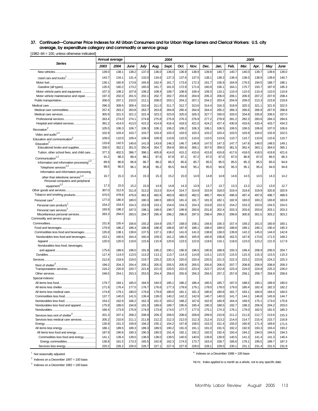#### **37. Continued–Consumer Price Indexes for All Urban Consumers and for Urban Wage Earners and Clerical Workers: U.S. city average, by expenditure category and commodity or service group**

[1982–84 = 100, unless otherwise indicated]

|                                                                                     |                | Annual average |                |                |                | 2004           |                |                |                |                |                | 2005           |                |                |                |
|-------------------------------------------------------------------------------------|----------------|----------------|----------------|----------------|----------------|----------------|----------------|----------------|----------------|----------------|----------------|----------------|----------------|----------------|----------------|
| <b>Series</b>                                                                       | 2003           | 2004           | June           | July           | Aug.           | Sept.          | Oct.           | Nov.           | Dec.           | Jan.           | Feb.           | Mar.           | Apr.           | May            | June           |
|                                                                                     | 139.0          | 138.1          | 138.2          | 137.0          | 136.0          | 136.0          | 136.9          | 138.9          | 139.8          | 140.7          | 140.7          | 140.0          | 139.7          | 139.6          | 139.0          |
|                                                                                     | 143.7          | 134.1          | 131.4          | 133.0          | 134.6          | 137.3          | 137.6          | 137.5          | 138.1          | 138.3          | 138.4          | 138.5          | 138.9          | 139.6          | 140.7          |
|                                                                                     | 136.1          | 160.9          | 173.8          | 165.6          | 162.4          | 161.7          | 173.6          | 172.3          | 161.7          | 156.9          | 164.9          | 176.5          | 194.5          | 188.7          | 186.1          |
|                                                                                     | 135.5          | 160.2          | 173.2          | 165.0          | 161.7          | 161.0          | 172.9          | 171.6          | 160.9          | 156.1          | 164.1          | 175.7          | 193.7          | 187.9          | 185.3          |
| Motor vehicle parts and equipment                                                   | 107.3          | 108.2          | 107.8          | 108.2          | 108.4          | 108.7          | 108.9          | 109.4          | 109.3          | 110.1          | 110.4          | 110.5          | 110.4          | 110.5          | 110.8          |
| Motor vehicle maintenance and repair                                                | 197.3          | 202.0          | 201.5          | 202.1          | 202.7          | 202.7          | 203.8          | 204.9          | 205.3          | 206.0          | 206.1          | 206.9          | 207.2          | 207.9          | 208.4          |
|                                                                                     | 206.0          | 207.1          | 210.0          | 212.1          | 208.0          | 203.1          | 204.2          | 207.1          | 204.2          | 203.4          | 204.9          | 209.0          | 213.3          | 215.8          | 219.8          |
|                                                                                     | 296.3          | 309.5          | 309.4          | 310.4          | 311.0          | 311.7          | 312.7          | 313.6          | 314.4          | 316.3          | 318.9          | 320.3          | 321.1          | 321.9          | 322.5          |
|                                                                                     | 257.4          | 263.2          | 263.8          | 263.7          | 263.8          | 264.8          | 265.4          | 264.9          | 264.4          | 265.2          | 266.3          | 266.6          | 266.9          | 267.9          | 268.8          |
|                                                                                     | 305.9          | 321.5          | 321.2          | 322.4          | 323.2          | 323.9          | 325.0          | 326.3          | 327.7          | 330.0          | 333.0          | 334.8          | 335.8          | 336.5          | 337.0          |
|                                                                                     | 263.4          | 274.0          | 274.1          | 274.8          | 275.8          | 275.9          | 276.3          | 276.9          | 277.2          | 278.9          | 281.2          | 282.3          | 283.6          | 284.3          | 284.6          |
| Hospital and related services                                                       | 391.2          | 414.0          | 413.0          | 415.2          | 414.9          | 416.4          | 418.5          | 421.0          | 424.2          | 427.4          | 430.9          | 433.6          | 433.4          | 433.7          | 434.3          |
|                                                                                     | 105.5          | 106.3          | 106.7          | 106.3          | 106.1          | 106.2          | 106.2          | 106.3          | 106.1          | 106.5          | 106.5          | 106.5          | 106.8          | 107.0          | 106.6          |
|                                                                                     | 102.9          | 103.4          | 103.7          | 103.7          | 103.4          | 103.3          | 103.5          | 103.3          | 103.2          | 103.4          | 103.5          | 103.9          | 104.0          | 103.9          | 102.5          |
| Education and communication <sup>2</sup>                                            | 109.0          | 110.0          | 109.4          | 109.4          | 109.9          | 110.8          | 110.5          | 110.6          | 110.5          | 110.6          | 110.7          | 110.7          | 110.8          | 110.6          | 110.7          |
|                                                                                     | 133.8          | 142.5          | 140.6          | 141.0          | 143.6          | 146.3          | 146.7          | 146.8          | 147.0          | 147.3          | 147.7          | 147.8          | 148.0          | 148.5          | 149.1          |
| Educational books and supplies                                                      | 336.5          | 352.2          | 351.5          | 350.4          | 354.7          | 354.8          | 355.6          | 356.1          | 357.6          | 359.0          | 361.5          | 362.4          | 363.1          | 364.0          | 365.1          |
| Tuition, other school fees, and child care                                          | 377.3          | 402.5          | 396.7          | 398.1          | 405.8          | 414.0          | 415.2          | 415.6          | 415.8          | 416.8          | 417.6          | 418.0          | 418.5          | 419.8          | 421.6          |
| Communication <sup>1,2</sup>                                                        | 91.2           | 88.3           | 88.4           | 88.1           | 87.6           | 87.8           | 87.1           | 87.2           | 87.0           | 87.0           | 87.0           | 86.8           | 87.0           | 86.5           | 86.3           |
| Information and information processing <sup>1,2</sup> .                             | 89.9           | 86.8           | 86.9           | 86.7           | 86.2           | 86.3           | 85.6           | 85.7           | 85.5           | 85.5           | 85.5           | 85.3           | 85.5           | 85.0           | 84.8           |
|                                                                                     | 98.5           | 96.0           | 96.1           | 95.8           | 95.2           | 95.5           | 94.8           | 95.1           | 95.0           | 94.9           | 95.3           | 95.1           | 95.4           | 94.9           | 94.8           |
| Information and information processing                                              | 16.7           |                | 15.4           | 15.3           |                |                |                | 14.9           | 14.8           | 14.8           | 14.6           | 14.5           |                | 14.3           | 14.2           |
| other than telephone services <sup>1,4</sup> .<br>Personal computers and peripheral |                | 15.3           |                |                | 15.3           | 15.2           | 15.0           |                |                |                |                |                | 14.5           |                |                |
|                                                                                     | 17.3           | 15.0           | 15.2           | 15.0           | 14.9           | 14.8           | 14.3           | 13.9           | 13.7           | 13.7           | 13.3           | 13.2           | 13.2           | 13.0           | 12.7           |
|                                                                                     | 307.0          | 312.6          | 311.8          | 313.2          | 313.5          | 314.4          | 314.7          | 314.9          | 315.9          | 318.0          | 319.4          | 319.6          | 319.9          | 320.8          | 320.9          |
| Tobacco and smoking products                                                        | 470.5          | 478.8          | 476.9          | 481.6          | 482.6          | 483.9          | 483.0          | 482.5          | 485.7          | 494.9          | 496.9          | 497.4          | 497.8          | 498.7          | 498.9          |
|                                                                                     | 177.0          | 180.4          | 180.0          | 180.3          | 180.5          | 180.9          | 181.4          | 181.7          | 181.9          | 182.1          | 182.9          | 183.0          | 183.2          | 183.8          | 183.8          |
| Personal care products <sup>1</sup>                                                 | 154.2          | 154.4          | 154.3          | 153.9          | 153.1          | 154.0          | 154.3          | 154.3          | 153.8          | 153.3          | 154.2          | 153.3          | 153.6          | 154.5          | 154.5          |
| Personal care services <sup>1</sup>                                                 | 193.9          | 198.2          | 197.5          | 198.1          | 199.5          | 199.7          | 199.9          | 200.6          | 201.8          | 202.4          | 203.3          | 203.6          | 203.6          | 203.1          | 203.3          |
| Miscellaneous personal services                                                     | 283.3          | 294.0          | 293.5          | 294.7          | 295.4          | 296.2          | 296.6          | 297.5          | 298.4          | 299.2          | 299.8          | 300.8          | 301.5          | 303.2          | 303.2          |
| Commodity and service group:                                                        |                |                |                |                |                |                |                |                |                |                |                |                |                |                |                |
|                                                                                     | 151.8          | 155.4          | 156.6          | 155.2          | 154.9          | 155.7          | 158.0          | 158.1          | 156.6          | 156.3          | 157.4          | 159.2          | 161.5          | 160.9          | 160.1          |
|                                                                                     | 179.9          | 186.2          | 186.4          | 186.8          | 186.9          | 186.8          | 187.9          | 188.1          | 188.4          | 189.0          | 188.8          | 189.1          | 190.1          | 190.4          | 190.3          |
| Commodities less food and beverages                                                 | 135.8          | 138.1          | 139.6          | 137.5          | 137.1          | 138.2          | 141.0          | 141.0          | 138.8          | 138.0          | 139.8          | 142.2          | 145.0          | 144.0          | 142.8          |
| Nondurables less food and beverages                                                 | 152.1          | 160.6          | 164.4          | 160.4          | 159.5          | 161.2          | 166.5          | 165.9          | 160.9          | 158.8          | 162.5          | 167.8          | 173.6          | 171.5          | 169.2          |
|                                                                                     | 120.0          | 120.0          | 119.6          | 115.6          | 115.9          | 120.6          | 123.5          | 122.6          | 118.6          | 116.1          | 118.6          | 123.0          | 123.2          | 121.9          | 117.9          |
| Nondurables less food, beverages,                                                   |                |                |                |                |                |                |                |                |                |                |                |                |                |                |                |
|                                                                                     | 175.6          | 189.6          | 196.0          | 191.8          | 190.2          | 190.1          | 196.9          | 196.5          | 190.8          | 188.8          | 193.3          | 199.4          | 208.9          | 206.0          | 204.7          |
|                                                                                     | 117.4          | 114.0          | 113.5          | 113.2          | 113.1          | 113.7          | 114.3          | 114.8          | 115.1          | 115.5          | 115.5          | 115.3          | 115.3          | 115.5          | 115.3          |
|                                                                                     | 212.6          | 218.6          | 219.0          | 219.7          | 220.2          | 220.3          | 220.0          | 220.4          | 220.5          | 221.5          | 222.3          | 223.2          | 223.8          | 224.2          | 225.3          |
|                                                                                     | 199.2          | 204.3          | 204.4          | 205.1          | 205.5          | 205.5          | 205.9          | 205.5          | 205.6          | 206.5          | 207.7          | 208.8          | 208.9          | 208.8          | 209.3          |
| Transporatation services                                                            | 216.2<br>248.5 | 220.9<br>254.1 | 220.7<br>253.3 | 221.6<br>253.5 | 221.0<br>254.4 | 220.5<br>256.0 | 222.0<br>255.9 | 223.4<br>256.3 | 222.7<br>256.5 | 222.8<br>257.2 | 223.4<br>257.8 | 224.0<br>258.1 | 224.8<br>258.7 | 225.3<br>258.9 | 226.0<br>258.6 |
| Special indexes:                                                                    |                |                |                |                |                |                |                |                |                |                |                |                |                |                |                |
|                                                                                     | 179.7          | 184.1          | 185.0          | 184.5          | 184.5          | 185.1          | 186.2          | 186.4          | 185.5          | 185.7          | 187.0          | 188.5          | 190.1          | 189.9          | 190.0          |
|                                                                                     | 171.9          | 176.4          | 177.5          | 176.7          | 176.6          | 177.3          | 178.6          | 179.1          | 178.0          | 178.0          | 179.0          | 180.4          | 182.4          | 182.3          | 182.2          |
|                                                                                     | 174.8          | 179.1          | 180.0          | 179.6          | 179.6          | 180.0          | 181.1          | 181.3          | 180.6          | 180.8          | 181.7          | 183.1          | 184.6          | 184.4          | 184.5          |
|                                                                                     | 137.7          | 140.0          | 141.5          | 139.4          | 139.0          | 140.2          | 142.2          | 142.9          | 140.7          | 140.0          | 141.7          | 144.1          | 146.8          | 145.9          | 144.7          |
|                                                                                     | 154.2          | 162.6          | 166.2          | 162.3          | 161.5          | 163.2          | 168.2          | 167.6          | 162.9          | 160.9          | 164.4          | 169.5          | 175.1          | 173.0          | 170.8          |
| Nondurables less food and apparel                                                   | 175.9          | 189.0          | 194.8          | 191.0          | 189.6          | 189.7          | 195.6          | 195.4          | 190.3          | 188.5          | 192.7          | 198.3          | 206.9          | 204.2          | 203.0          |
|                                                                                     | 166.4          | 173.9          | 175.9          | 174.0          | 173.6          | 174.5          | 177.7          | 177.5          | 175.1          | 174.3          | 176.1          | 179.0          | 182.5          | 181.5          | 180.3          |
| Services less rent of shelter <sup>3</sup>                                          | 201.3          | 207.4          | 208.2          | 208.9          | 209.3          | 209.5          | 208.6          | 209.8          | 209.9          | 210.8          | 211.2          | 211.6          | 212.7          | 213.6          | 215.3          |
| Services less medical care services                                                 | 205.2          | 210.6          | 211.1          | 211.8          | 212.2          | 212.3          | 212.0          | 212.3          | 212.4          | 213.2          | 214.0          | 214.7          | 215.4          | 215.7          | 216.8          |
|                                                                                     | 135.9          | 151.3          | 159.9          | 156.2          | 155.1          | 154.2          | 157.8          | 158.5          | 153.3          | 151.4          | 155.0          | 160.9          | 171.4          | 169.6          | 171.5          |
|                                                                                     | 186.1          | 189.5          | 189.3          | 189.3          | 189.5          | 190.2          | 191.0          | 191.1          | 191.0          | 191.5          | 192.2          | 192.9          | 193.3          | 193.4          | 193.2          |
| All items less food and energy<br>Commodities less food and energy                  | 187.9<br>141.1 | 190.6<br>139.4 | 190.3<br>139.0 | 190.3<br>138.0 | 190.5<br>138.0 | 191.4<br>139.5 | 192.1<br>140.5 | 192.2<br>140.6 | 192.0<br>139.9 | 192.4<br>139.9 | 193.4<br>140.5 | 194.2<br>141.3 | 194.5<br>141.4 | 194.5<br>141.3 | 194.3<br>140.4 |
|                                                                                     | 136.8          | 161.5          | 173.3          | 165.5          | 162.8          | 162.3          | 174.5          | 173.7          | 163.4          | 158.7          | 166.6          | 178.1          | 195.5          | 189.7          | 187.3          |
|                                                                                     | 220.2          | 226.2          | 226.0          | 226.7          | 227.1          | 227.4          | 227.9          | 228.0          | 228.1          | 229.0          | 230.1          | 231.1          | 231.4          | 231.5          | 231.9          |

<sup>1</sup> Not seasonally adjusted.

 $2$  Indexes on a December 1997 = 100 base.

 $3$  Indexes on a December 1982 = 100 base.

4 Indexes on a December 1988 = 100 base.

NOTE: Index applied to a month as a whole, not to any specific date.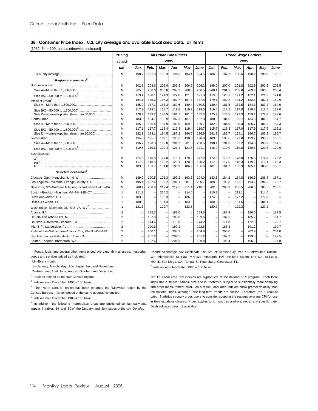#### **38. Consumer Price Index: U.S. city average and available local area data: all items**

[1982–84 = 100, unless otherwise indicated]

|                                                    | Pricing          |       |       |                              | <b>All Urban Consumers</b> |       |       |       |       | <b>Urban Wage Earners</b> |                          |       |       |
|----------------------------------------------------|------------------|-------|-------|------------------------------|----------------------------|-------|-------|-------|-------|---------------------------|--------------------------|-------|-------|
|                                                    | sched-           |       |       |                              | 2005                       |       |       |       |       | 2005                      |                          |       |       |
|                                                    | ule <sup>1</sup> | Jan.  | Feb.  | Mar.                         | Apr.                       | May   | June  | Jan.  | Feb.  | Mar.                      | Apr.                     | May   | June  |
|                                                    | M                | 190.7 | 191.8 | 193.3                        | 194.6                      | 194.4 | 194.5 | 186.3 | 187.3 | 188.6                     | 190.2                    | 190.0 | 190.1 |
| Region and area size <sup>2</sup>                  |                  |       |       |                              |                            |       |       |       |       |                           |                          |       |       |
|                                                    | M                | 202.6 | 203.6 | 206.0                        | 206.9                      | 206.2 | 206.2 | 199.0 | 200.0 | 201.8                     | 202.9                    | 202.5 | 202.5 |
|                                                    | M                | 205.0 | 206.0 | 208.6                        | 209.3                      | 208.6 | 208.5 | 200.1 | 201.1 | 202.8                     | 203.8                    | 203.5 | 203.4 |
|                                                    | M                | 119.4 | 120.1 | 121.3                        | 122.0                      | 121.6 | 121.8 | 119.6 | 120.1 | 121.2                     | 122.1                    | 121.6 | 121.8 |
|                                                    | M                | 184.1 | 185.2 | 186.3                        | 187.7                      | 187.4 | 187.8 | 179.1 | 180.2 | 181.2                     | 182.8                    | 182.4 | 182.9 |
|                                                    | M                | 185.9 | 187.1 | 188.3                        | 189.6                      | 189.4 | 189.8 | 180.4 | 181.3 | 182.5                     | 184.1                    | 183.8 | 184.0 |
|                                                    | M                | 117.3 | 118.1 | 118.7                        | 119.6                      | 119.3 | 119.6 | 116.4 | 117.2 | 117.8                     | 118.8                    | 118.5 | 119.0 |
| Size D-Nonmetropolitan (less than 50,000)          | M                | 178.2 | 179.2 | 179.9                        | 181.7                      | 181.6 | 182.3 | 175.7 | 176.5 | 177.3                     | 179.1                    | 178.8 | 179.6 |
|                                                    | M                | 183.6 | 184.7 | 185.9                        | 187.3                      | 187.3 | 187.8 | 180.5 | 181.5 | 182.7                     | 184.3                    | 184.2 | 184.7 |
|                                                    | M                | 185.2 | 186.6 | 187.9                        | 189.9                      | 189.2 | 189.7 | 182.6 | 184.0 | 185.3                     | 186.7                    | 186.8 | 187.3 |
|                                                    | M                | 117.1 | 117.7 | 118.4                        | 119.3                      | 119.4 | 119.7 | 115.7 | 116.3 | 117.0                     | 117.9                    | 117.9 | 118.2 |
| Size D-Nonmetropolitan (less than 50,000)          | M                | 182.3 | 183.1 | 184.5                        | 187.2                      | 186.6 | 186.9 | 181.9 | 182.7 | 184.1                     | 186.7                    | 186.2 | 186.7 |
|                                                    | M                | 194.5 | 195.7 | 197.1                        | 198.6                      | 198.8 | 198.0 | 189.5 | 190.5 | 192.0                     | 193.7                    | 193.9 | 193.1 |
|                                                    | M                | 196.7 | 198.3 | 199.8                        | 201.3                      | 201.5 | 200.5 | 190.1 | 191.6 | 193.2                     | 194.9                    | 195.2 | 194.1 |
|                                                    | M                | 119.5 | 119.6 | 120.4                        | 121.4                      | 121.3 | 121.1 | 118.9 | 119.0 | 119.8                     | 120.8                    | 120.8 | 120.6 |
| Size classes:                                      |                  |       |       |                              |                            |       |       |       |       |                           |                          |       |       |
|                                                    | M                | 174.3 | 175.5 | 177.0                        | 178.1                      | 178.0 | 177.9 | 172.6 | 173.7 | 175.0                     | 176.3                    | 176.3 | 176.2 |
|                                                    | M                | 117.9 | 118.5 | 119.2                        | 120.1                      | 120.0 | 120.2 | 117.0 | 117.5 | 118.3                     | 119.2                    | 119.1 | 119.3 |
|                                                    | M                | 183.0 | 183.7 | 184.8                        | 186.9                      | 186.9 | 186.9 | 181.0 | 181.7 | 182.9                     | 185.1                    | 185.0 | 185.1 |
| Selected local areas <sup>6</sup>                  |                  |       |       |                              |                            |       |       |       |       |                           |                          |       |       |
| Chicago-Gary-Kenosha, IL-IN-WI                     | M                | 189.9 | 190.5 | 191.3                        | 193.2                      | 193.3 | 194.0 | 183.5 | 184.2 | 184.8                     | 186.9                    | 186.8 | 187.1 |
| Los Angeles-Riverside-Orange County, CA            | M                | 195.4 | 197.4 | 199.2                        | 201.1                      | 201.5 | 200.7 | 188.5 | 190.3 | 192.1                     | 194.2                    | 194.6 | 193.7 |
| New York, NY-Northern NJ-Long Island, NY-NJ-CT-PA. | M                | 208.1 | 208.9 | 212.4                        | 212.5                      | 211.4 | 210.7 | 202.6 | 203.3 | 205.5                     | 206.0                    | 205.6 | 205.1 |
| Boston-Brockton-Nashua, MA-NH-ME-CT                | $\mathbf{1}$     | 211.3 |       | 214.2                        |                            | 214.6 |       | 210.3 |       | 213.1                     | $\overline{\phantom{0}}$ | 214.0 |       |
|                                                    | $\mathbf{1}$     | 183.3 |       | 186.3                        |                            | 186.8 |       | 174.5 |       | 177.2                     |                          | 177.9 |       |
|                                                    | $\mathbf{1}$     | 180.0 |       | 181.3                        |                            | 183.5 |       | 180.3 |       | 181.6                     |                          | 184.1 |       |
| Washington-Baltimore, DC-MD-VA-WV <sup>7</sup>     | $\mathbf{1}$     | 121.3 |       | 122.7                        |                            | 123.6 |       | 120.7 |       | 122.3                     |                          | 123.2 |       |
|                                                    | $\overline{2}$   |       | 185.3 | $\overline{\phantom{0}}$     | 188.0                      |       | 189.6 |       | 183.4 |                           | 186.0                    |       | 187.5 |
|                                                    | $\overline{2}$   |       | 187.8 |                              | 189.8                      |       | 189.6 |       | 182.6 |                           | 185.2                    |       | 184.7 |
| Houston-Galveston-Brazoria, TX                     | $\overline{2}$   |       | 174.6 | $\overline{\phantom{0}}$     | 175.0                      |       | 174.2 |       | 171.8 |                           | 172.8                    |       | 172.7 |
|                                                    | $\overline{2}$   |       | 190.6 | ÷                            | 193.2                      |       | 192.6 |       | 188.3 |                           | 191.2                    |       | 190.7 |
| Philadelphia-Wilmington-Atlantic City, PA-NJ-DE-MD | $\overline{2}$   |       | 200.1 | $\overline{a}$               | 203.3                      |       | 204.8 |       | 200.0 |                           | 202.9                    |       | 204.0 |
| San Francisco-Oakland-San Jose, CA                 | $\overline{2}$   |       | 201.2 |                              | 202.5                      |       | 201.2 |       | 197.3 |                           | 199.3                    |       | 197.5 |
|                                                    | $\mathfrak{p}$   |       | 197.6 | $\qquad \qquad \blacksquare$ | 201.3                      |       | 199.8 |       | 192.4 |                           | 196.2                    |       | 194.8 |

goods and services priced as indicated:

M—Every month.

1—January, March, May, July, September, and November.

2—February, April, June, August, October, and December.

 $2$  Regions defined as the four Census regions.

 $3$  Indexes on a December 1996 = 100 base.

<sup>4</sup> The "North Central" region has been renamed the "Midwest" region by the Census Bureau. It is composed of the same geographic entities.

 $5$  Indexes on a December 1986 = 100 base.

 $6$  In addition, the following metropolitan areas are published semiannually and appear in tables 34 and 39 of the January and July issues of the *CPI Detailed* 

<sup>1</sup> Foods, fuels, and several other items priced every month in all areas; most other Report: Anchorage, AK; Cincinnatti, OH–KY–IN; Kansas City, MO–KS; Milwaukee–Racine, WI; Minneapolis–St. Paul, MN–WI; Pittsburgh, PA; Port-land–Salem, OR–WA; St Louis, MO–IL; San Diego, CA; Tampa–St. Petersburg–Clearwater, FL.

 $7$  Indexes on a November 1996 = 100 base.

NOTE: Local area CPI indexes are byproducts of the national CPI program. Each local index has a smaller sample size and is, therefore, subject to substantially more sampling and other measurement error. As a result, local area indexes show greater volatility than the national index, although their long-term trends are similar. Therefore, the Bureau of Labor Statistics strongly urges users to consider adopting the national average CPI for use in their escalator clauses. Index applies to a month as a whole, not to any specific date. Dash indicates data not available.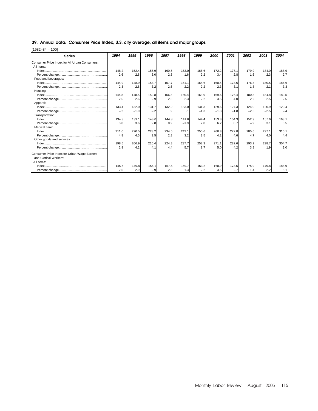# **39. Annual data: Consumer Price Index, U.S. city average, all items and major groups**

 $[1982 - 84 = 100]$ 

| <b>Series</b>                                 | 1994  | 1995   | 1996  | 1997  | 1998   | 1999   | 2000   | 2001   | 2002   | 2003   | 2004  |
|-----------------------------------------------|-------|--------|-------|-------|--------|--------|--------|--------|--------|--------|-------|
| Consumer Price Index for All Urban Consumers: |       |        |       |       |        |        |        |        |        |        |       |
| All items:                                    |       |        |       |       |        |        |        |        |        |        |       |
|                                               | 148.2 | 152.4  | 156.9 | 160.5 | 163.0  | 166.6  | 172.2  | 177.1  | 179.9  | 184.0  | 188.9 |
|                                               | 2.6   | 2.8    | 3.0   | 2.3   | 1.6    | 2.2    | 3.4    | 2.8    | 1.6    | 2.3    | 2.7   |
| Food and beverages:                           |       |        |       |       |        |        |        |        |        |        |       |
|                                               | 144.9 | 148.9  | 153.7 | 157.7 | 161.1  | 164.6  | 168.4  | 173.6  | 176.8  | 180.5  | 186.6 |
|                                               | 2.3   | 2.8    | 3.2   | 2.6   | 2.2    | 2.2    | 2.3    | 3.1    | 1.8    | 2.1    | 3.3   |
| Housing:                                      |       |        |       |       |        |        |        |        |        |        |       |
|                                               | 144.8 | 148.5  | 152.8 | 156.8 | 160.4  | 163.9  | 169.6  | 176.4  | 180.3  | 184.8  | 189.5 |
|                                               | 2.5   | 2.6    | 2.9   | 2.6   | 2.3    | 2.2    | 3.5    | 4.0    | 2.2    | 2.5    | 2.5   |
| Apparel:                                      |       |        |       |       |        |        |        |        |        |        |       |
|                                               | 133.4 | 132.0  | 131.7 | 132.9 | 133.0  | 131.3  | 129.6  | 127.3  | 124.0  | 120.9  | 120.4 |
|                                               | $-.2$ | $-1.0$ | $-.2$ | 9     | .1     | $-1.3$ | $-1.3$ | $-1.8$ | $-2.6$ | $-2.5$ | $-4$  |
| Transportation:                               |       |        |       |       |        |        |        |        |        |        |       |
|                                               | 134.3 | 139.1  | 143.0 | 144.3 | 141.6  | 144.4  | 153.3  | 154.3  | 152.9  | 157.6  | 163.1 |
|                                               | 3.0   | 3.6    | 2.8   | 0.9   | $-1.9$ | 2.0    | 6.2    | 0.7    | $-.9$  | 3.1    | 3.5   |
| Medical care:                                 |       |        |       |       |        |        |        |        |        |        |       |
|                                               | 211.0 | 220.5  | 228.2 | 234.6 | 242.1  | 250.6  | 260.8  | 272.8  | 285.6  | 297.1  | 310.1 |
|                                               | 4.8   | 4.5    | 3.5   | 2.8   | 3.2    | 3.5    | 4.1    | 4.6    | 4.7    | 4.0    | 4.4   |
| Other goods and services:                     |       |        |       |       |        |        |        |        |        |        |       |
|                                               | 198.5 | 206.9  | 215.4 | 224.8 | 237.7  | 258.3  | 271.1  | 282.6  | 293.2  | 298.7  | 304.7 |
|                                               | 2.9   | 4.2    | 4.1   | 4.4   | 5.7    | 8.7    | 5.0    | 4.2    | 3.8    | 1.9    | 2.0   |
| Consumer Price Index for Urban Wage Earners   |       |        |       |       |        |        |        |        |        |        |       |
| and Clerical Workers:                         |       |        |       |       |        |        |        |        |        |        |       |
| All items:                                    |       |        |       |       |        |        |        |        |        |        |       |
|                                               | 145.6 | 149.8  | 154.1 | 157.6 | 159.7  | 163.2  | 168.9  | 173.5  | 175.9  | 179.8  | 188.9 |
|                                               | 2.5   | 2.9    | 2.9   | 2.3   | 1.3    | 2.2    | 3.5    | 2.7    | 1.4    | 2.2    | 5.1   |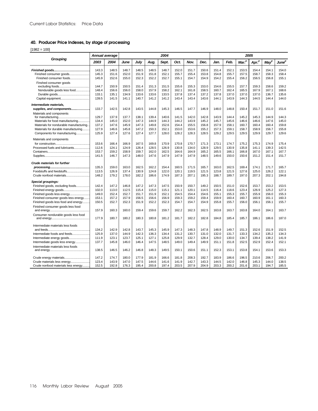# **40. Producer Price Indexes, by stage of processing**

 $[1982 = 100]$ 

|                                        |       | Annual average |       |       |       | 2004  |       |       |       |       |       | 2005              |                   |                  |                          |
|----------------------------------------|-------|----------------|-------|-------|-------|-------|-------|-------|-------|-------|-------|-------------------|-------------------|------------------|--------------------------|
| Grouping                               | 2003  | 2004           | June  | July  | Aug.  | Sept. | Oct.  | Nov.  | Dec.  | Jan.  | Feb.  | Mar. <sup>p</sup> | Apr. <sup>p</sup> | $\mathsf{Mav}^p$ | <b>June</b> <sup>p</sup> |
|                                        | 143.3 | 148.5          | 148.7 | 148.5 | 148.5 | 148.7 | 152.0 | 151.7 | 150.6 | 151.4 | 152.1 | 153.5             | 154.4             | 154.1            | 154.0                    |
| Finished consumer goods                | 145.3 | 151.6          | 152.0 | 151.9 | 151.8 | 152.1 | 155.7 | 155.4 | 153.8 | 154.8 | 155.7 | 157.5             | 158.7             | 158.3            | 158.4                    |
| Finished consumer foods                | 145.9 | 152.6          | 155.0 | 152.3 | 152.2 | 152.7 | 155.1 | 154.7 | 154.9 | 154.2 | 155.4 | 156.2             | 156.5             | 156.8            | 155.1                    |
| Finshed consumer goods                 |       |                |       |       |       |       |       |       |       |       |       |                   |                   |                  |                          |
|                                        | 144.7 | 150.9          | 150.5 | 151.4 | 151.3 | 151.5 | 155.6 | 155.3 | 153.0 | 154.6 | 155.5 | 157.7             | 159.3             | 158.6            | 159.2                    |
| Nondurable goods less food             | 148.4 | 156.6          | 156.0 | 158.0 | 157.9 | 158.2 | 162.1 | 161.8 | 158.5 | 160.7 | 162.4 | 165.5             | 167.9             | 167.1            | 168.6                    |
|                                        | 133.1 | 135.1          | 134.9 | 133.6 | 133.6 | 133.5 | 137.8 | 137.4 | 137.2 | 137.8 | 137.0 | 137.0             | 137.0             | 136.7            | 135.6                    |
| Capital equipment                      | 139.5 | 141.5          | 141.1 | 140.7 | 141.2 | 141.2 | 143.4 | 143.4 | 143.6 | 144.1 | 143.9 | 144.3             | 144.5             | 144.4            | 144.0                    |
| Intermediate materials,                |       |                |       |       |       |       |       |       |       |       |       |                   |                   |                  |                          |
| supplies, and components               | 133.7 | 142.5          | 142.8 | 143.5 | 144.8 | 145.3 | 146.5 | 147.7 | 146.9 | 148.0 | 148.8 | 150.4             | 151.7             | 151.0            | 151.6                    |
| Materials and components               | 129.7 | 137.9          | 137.7 | 138.1 | 139.4 | 140.6 | 141.5 | 142.0 | 142.8 | 143.9 | 144.4 | 145.2             | 145.3             | 144.9            | 144.3                    |
|                                        |       |                |       | 147.3 | 144.9 | 144.3 | 144.2 | 143.9 |       |       |       |                   | 146.6             |                  |                          |
| Materials for food manufacturing       | 134.4 | 145.0          | 152.0 |       |       |       |       |       | 145.2 | 145.7 | 145.6 | 146.6             |                   | 147.6            | 145.0                    |
| Materials for nondurable manufacturing | 137.2 | 147.6          | 145.9 | 147.3 | 149.8 | 152.6 | 154.4 | 155.5 | 156.8 | 157.9 | 158.1 | 160.7             | 160.4             | 160.4            | 159.8                    |
| Materials for durable manufacturing    | 127.9 | 146.6          | 145.8 | 147.2 | 150.3 | 152.1 | 153.0 | 153.6 | 155.2 | 157.3 | 159.1 | 158.7             | 158.9             | 156.7            | 155.8                    |
| Components for manufacturing           | 125.9 | 127.4          | 127.6 | 127.4 | 127.7 | 128.0 | 128.2 | 128.3 | 128.5 | 129.2 | 129.5 | 129.5             | 129.9             | 129.7            | 129.6                    |
| Materials and components               |       |                |       |       |       |       |       |       |       |       |       |                   |                   |                  |                          |
|                                        | 153.6 | 166.4          | 166.9 | 167.5 | 169.8 | 170.9 | 170.8 | 170.7 | 171.3 | 173.1 | 174.7 | 175.2             | 175.3             | 174.9            | 175.4                    |
| Processed fuels and lubricants         | 112.6 | 124.1          | 124.9 | 126.4 | 128.5 | 126.9 | 130.8 | 134.0 | 128.9 | 129.5 | 130.9 | 135.8             | 141.1             | 139.3            | 142.5                    |
|                                        | 153.7 | 159.2          | 158.9 | 159.7 | 162.0 | 162.5 | 164.6 | 164.9 | 165.2 | 165.5 | 166.1 | 166.8             | 167.0             | 167.1            | 167.7                    |
|                                        | 141.5 | 146.7          | 147.3 | 148.0 | 147.6 | 147.9 | 147.9 | 147.9 | 148.5 | 149.6 | 150.0 | 150.6             | 151.2             | 151.4            | 151.7                    |
| <b>Crude materials for further</b>     |       |                |       |       |       |       |       |       |       |       |       |                   |                   |                  |                          |
|                                        | 135.3 | 159.0          | 163.0 | 162.5 | 162.2 | 154.4 | 160.5 | 171.5 | 165.7 | 163.0 | 162.5 | 169.4             | 174.1             | 171.7            | 165.7                    |
| Foodstuffs and feedstuffs              | 113.5 | 126.9          | 137.4 | 130.9 | 124.8 | 122.0 | 120.1 | 119.5 | 121.5 | 123.8 | 121.5 | 127.6             | 125.0             | 126.2            | 122.1                    |
| Crude nonfood materials                | 148.2 | 179.2          | 178.0 | 182.2 | 186.6 | 174.9 | 187.3 | 207.1 | 195.3 | 188.7 | 189.7 | 197.0             | 207.3             | 202.1            | 194.8                    |
| Special groupings:                     |       |                |       |       |       |       |       |       |       |       |       |                   |                   |                  |                          |
| Finished goods, excluding foods        | 142.4 | 147.2          | 146.8 | 147.2 | 147.3 | 147.5 | 150.9 | 150.7 | 149.2 | 150.5 | 151.0 | 152.6             | 153.7             | 153.2            | 153.5                    |
|                                        | 102.0 | 113.0          | 112.5 | 115.4 | 115.0 | 115.1 | 121.1 | 120.1 | 114.5 | 116.4 | 118.6 | 123.4             | 126.9             | 125.2            | 127.3                    |
| Finished goods less energy             | 149.0 | 152.4          | 152.7 | 151.7 | 151.9 | 152.1 | 154.5 | 154.4 | 154.6 | 155.1 | 155.3 | 155.7             | 155.9             | 156.0            | 155.3                    |
| Finished consumer goods less energy    | 153.1 | 157.2          | 157.9 | 156.5 | 156.6 | 156.9 | 159.3 | 159.2 | 159.4 | 159.9 | 160.4 | 160.7             | 160.9             | 161.1            | 160.3                    |
| Finished goods less food and energy    | 150.5 | 152.7          | 152.3 | 151.9 | 152.2 | 152.3 | 154.7 | 154.7 | 154.9 | 155.8 | 155.7 | 156.0             | 156.1             | 156.1            | 155.7                    |
| Finished consumer goods less food      |       |                |       |       |       |       |       |       |       |       |       |                   |                   |                  |                          |
|                                        | 157.9 | 160.3          | 160.0 | 159.4 | 159.6 | 159.7 | 162.2 | 162.3 | 162.5 | 163.8 | 163.7 | 163.8             | 164.0             | 164.1            | 163.7                    |
| Consumer nondurable goods less food    |       |                |       |       |       |       |       |       |       |       |       |                   |                   |                  |                          |
|                                        | 177.9 | 180.7          | 180.2 | 180.3 | 180.8 | 181.2 | 181.7 | 182.2 | 182.8 | 184.8 | 185.4 | 185.7             | 186.1             | 186.6            | 187.0                    |
| Intermediate materials less foods      |       |                |       |       |       |       |       |       |       |       |       |                   |                   |                  |                          |
|                                        | 134.2 | 142.9          | 142.8 | 143.7 | 145.3 | 145.9 | 147.3 | 148.3 | 147.8 | 148.9 | 149.7 | 151.3             | 152.6             | 151.9            | 152.5                    |
| Intermediate foods and feeds           | 125.9 | 137.0          | 144.9 | 142.3 | 136.3 | 134.4 | 131.2 | 130.7 | 131.0 | 132.0 | 131.7 | 133.3             | 134.2             | 135.2            | 134.3                    |
| Intermediate energy goods              | 111.9 | 123.1          | 123.7 | 125.1 | 127.1 | 125.8 | 129.9 | 132.7 | 128.4 | 129.0 | 130.0 | 134.7             | 139.4             | 138.2            | 141.9                    |
| Intermediate goods less energy         | 137.7 | 145.8          | 146.0 | 146.4 | 147.5 | 148.5 | 149.0 | 149.4 | 149.9 | 151.1 | 151.8 | 152.5             | 152.9             | 152.4            | 152.1                    |
| Intermediate materials less foods      |       |                |       |       |       |       |       |       |       |       |       |                   |                   |                  |                          |
|                                        | 138.5 | 146.5          | 146.2 | 146.8 | 148.3 | 149.5 | 150.1 | 150.6 | 151.1 | 152.3 | 153.1 | 153.8             | 154.1             | 153.6            | 153.3                    |
|                                        |       |                |       |       |       |       |       |       |       |       |       |                   |                   |                  |                          |
| Crude energy materials                 | 147.2 | 174.7          | 180.0 | 177.9 | 181.9 | 166.6 | 181.8 | 208.3 | 192.7 | 183.9 | 186.6 | 196.5             | 210.6             | 206.7            | 200.2                    |
| Crude materials less energy            | 123.4 | 143.9          | 147.0 | 147.5 | 144.6 | 141.6 | 141.9 | 142.7 | 143.3 | 144.5 | 142.0 | 146.8             | 145.3             | 144.0            | 138.5                    |
| Crude nonfood materials less energy    | 152.5 | 192.8          | 176.3 | 195.4 | 200.8 | 197.4 | 203.5 | 207.9 | 204.9 | 203.3 | 200.2 | 201.6             | 203.1             | 194.7            | 185.5                    |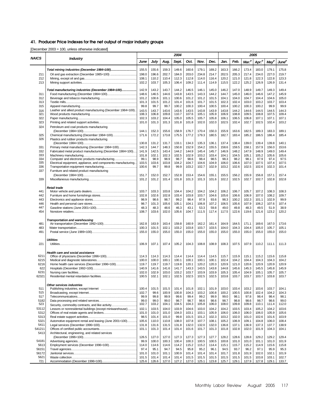# **41. Producer Price Indexes for the net output of major industry groups**

[December 2003 = 100, unless otherwise indicated]

|               |                                                               |                |                |                | 2004           |                |                |                |                |                | 2005              |                   |                  |                   |
|---------------|---------------------------------------------------------------|----------------|----------------|----------------|----------------|----------------|----------------|----------------|----------------|----------------|-------------------|-------------------|------------------|-------------------|
| <b>NAICS</b>  | <b>Industry</b>                                               | June           | July           | Aug.           | Sept.          | Oct.           | Nov.           | Dec.           | Jan.           | Feb.           | Mar. <sup>p</sup> | Apr. <sup>p</sup> | May <sup>p</sup> | June <sup>p</sup> |
|               |                                                               |                |                |                |                |                |                |                |                |                |                   |                   |                  |                   |
|               |                                                               | 155.5<br>198.0 | 155.6          | 159.3<br>202.7 | 149.6<br>184.0 | 160.6<br>203.0 | 179.1<br>234.8 | 169.2<br>214.7 | 163.3<br>202.5 | 166.2<br>205.3 | 173.4<br>217.4    | 183.0<br>234.0    | 179.1<br>227.0   | 175.8<br>219.7    |
| 211<br>212    |                                                               | 108.1          | 196.6<br>110.2 | 110.4          | 112.3          | 112.8          | 114.0          | 116.4          | 120.2          | 121.0          | 121.8             | 122.3             | 122.8            | 123.3             |
| 213           |                                                               | 102.2          | 103.7          | 105.3          | 106.4          | 109.2          | 111.4          | 114.9          | 115.5          | 122.2          | 125.2             | 126.9             | 126.9            | 131.4             |
|               |                                                               |                |                |                |                |                |                |                |                |                |                   |                   |                  |                   |
|               | Total manufacturing industries (December 1984=100)            | 142.9          | 143.2          | 143.7          | 144.2          | 146.5          | 146.1          | 145.0          | 146.2          | 147.0          | 148.9             | 149.7             | 149.3            | 149.4             |
| 311           | Food manufacturing (December 1984=100)                        | 148.6          | 146.5          | 144.6          | 143.8          | 143.5          | 143.3          | 144.2          | 144.7          | 145.0          | 146.0             | 146.6             | 147.2            | 145.9             |
| 312           |                                                               | 101.2          | 100.6          | 101.1          | 100.6          | 101.2          | 101.2          | 101.5          | 104.1          | 104.0          | 104.7             | 104.4             | 104.6            | 105.0             |
| 313<br>315    |                                                               | 101.3<br>99.8  | 101.5<br>99.7  | 101.2<br>99.7  | 101.4<br>100.2 | 101.6<br>100.3 | 101.7<br>100.4 | 101.5<br>100.5 | 102.3<br>100.4 | 102.4<br>100.2 | 103.0<br>100.3    | 103.2<br>100.2    | 103.7<br>99.9    | 103.4<br>99.9     |
| 316           | Leather and allied product manufacturing (December 1984=100)  | 143.5          | 143.7          | 143.6          | 143.6          | 143.5          | 143.8          | 143.9          | 143.8          | 144.2          | 144.6             | 144.5             | 144.5            | 144.3             |
| 321           |                                                               | 108.3          | 106.8          | 109.8          | 110.7          | 107.6          | 105.1          | 105.9          | 106.9          | 108.8          | 109.5             | 108.8             | 107.5            | 109.4             |
| 322           |                                                               | 102.3          | 103.2          | 104.4          | 105.0          | 105.5          | 105.7          | 105.8          | 106.1          | 106.5          | 106.8             | 107.1             | 107.1            | 107.1             |
| 323           |                                                               | 101.0          | 101.3          | 101.3          | 101.8          | 101.8          | 102.0          | 102.0          | 102.5          | 102.4          | 102.7             | 102.5             | 102.4            | 103.2             |
| 324           | Petroleum and coal products manufacturing                     |                |                |                |                |                |                |                |                |                |                   |                   |                  |                   |
|               |                                                               | 144.1          | 152.3          | 155.6          | 158.9          | 176.7          | 170.4          | 150.3          | 155.9          | 163.6          | 182.5             | 189.3             | 183.3            | 189.1             |
| 325           | Chemical manufacturing (December 1984=100)                    | 171.6          | 172.2          | 173.8          | 175.5          | 177.2          | 179.3          | 180.5          | 182.7          | 183.4          | 185.2             | 186.5             | 186.4            | 185.4             |
| 326           | Plastics and rubber products manufacturing                    |                |                |                |                |                |                |                |                |                |                   |                   |                  |                   |
| 331           | Primary metal manufacturing (December 1984=100)               | 130.8<br>142.3 | 131.2<br>144.7 | 131.7<br>148.3 | 133.1<br>150.8 | 134.3<br>152.9 | 135.3<br>154.2 | 136.1<br>155.5 | 137.4<br>158.6 | 138.4<br>159.5 | 139.0<br>158.1    | 139.4<br>157.9    | 139.8<br>156.0   | 140.1<br>153.6    |
| 332           | Fabricated metal product manufacturing (December 1984=100)    | 141.9          | 142.5          | 143.4          | 144.2          | 144.9          | 145.4          | 145.7          | 146.9          | 148.2          | 147.9             | 148.9             | 149.0            | 149.4             |
| 333           |                                                               | 101.8          | 102.1          | 102.3          | 102.5          | 102.9          | 103.2          | 103.4          | 104.1          | 104.5          | 105.1             | 105.2             | 105.6            | 105.6             |
| 334           | Computer and electronic products manufacturing                | 99.1           | 98.9           | 98.9           | 98.7           | 98.6           | 98.4           | 98.5           | 98.3           | 98.2           | 98.1              | 97.9              | 97.4             | 97.5              |
| 335           | Electrical equipment, appliance, and components manufacturing | 103.5          | 103.6          | 103.8          | 104.2          | 104.7          | 104.6          | 104.9          | 106.0          | 106.6          | 107.0             | 107.5             | 107.4            | 107.5             |
| 336           |                                                               | 100.6          | 99.7           | 99.8           | 99.9           | 103.2          | 102.7          | 102.9          | 103.2          | 102.6          | 102.5             | 102.6             | 102.3            | 101.4             |
| 337           | Furniture and related product manufacturing                   |                |                |                |                |                |                |                |                |                |                   |                   |                  |                   |
|               |                                                               | 151.7          | 152.0          | 152.7          | 152.8          | 153.4          | 154.6          | 155.1          | 155.5          | 156.2          | 155.9             | 156.8             | 157.1            | 157.4             |
| 339           |                                                               | 101.2          | 101.2          | 101.4          | 101.8          | 101.3          | 101.3          | 101.6          | 102.2          | 102.5          | 102.7             | 102.7             | 102.8            | 102.8             |
|               | Retail trade                                                  |                |                |                |                |                |                |                |                |                |                   |                   |                  |                   |
| 441           |                                                               | 103.7          | 103.3          | 103.8          | 104.4          | 104.2          | 104.2          | 104.2          | 106.2          | 106.7          | 105.7             | 107.2             | 108.3            | 108.3             |
| 442           |                                                               | 102.8          | 102.6          | 102.8          | 103.4          | 103.8          | 103.7          | 104.6          | 105.6          | 106.6          | 106.9             | 107.0             | 108.2            | 109.7             |
| 443           |                                                               | 98.9           | 98.6           | 98.7           | 99.2           | 98.4           | 97.9           | 93.6           | 98.3           | 100.2          | 102.3             | 101.1             | 102.9            | 99.9              |
| 446           |                                                               | 98.7           | 101.3          | 105.6          | 105.1          | 104.1          | 106.8          | 107.2          | 106.5          | 105.6          | 107.9             | 106.2             | 107.6            | 107.4             |
| 447           |                                                               | 48.3           | 48.3           | 48.6           | 46.3           | 43.1           | 53.3           | 59.8           | 49.0           | 49.8           | 48.3              | 49.5              | 51.9             | 38.9              |
| 454           |                                                               | 108.7          | 103.6          | 102.0          | 105.6          | 104.7          | 111.5          | 117.4          | 117.5          | 122.6          | 119.6             | 121.6             | 123.2            | 120.2             |
|               | Transportation and warehousing                                |                |                |                |                |                |                |                |                |                |                   |                   |                  |                   |
| 481           |                                                               | 162.8          | 163.9          | 163.4          | 159.8          | 160.9          | 162.2          | 161.4          | 164.9          | 164.5          | 171.1             | 169.6             | 167.0            | 173.6             |
| 483           |                                                               | 100.3          | 101.5          | 102.1          | 103.2          | 103.8          | 103.7          | 103.5          | 104.0          | 104.3          | 104.4             | 105.0             | 105.7            | 105.1             |
| 491           |                                                               | 155.0          | 155.0          | 155.0          | 155.0          | 155.0          | 155.0          | 155.0          | 155.0          | 155.0          | 155.0             | 155.0             | 155.0            | 155.0             |
|               |                                                               |                |                |                |                |                |                |                |                |                |                   |                   |                  |                   |
|               | <b>Utilities</b>                                              |                |                |                |                |                |                |                |                |                |                   |                   |                  |                   |
| 221           |                                                               | 106.9          | 107.1          | 107.4          | 105.2          | 104.3          | 108.8          | 108.9          | 108.3          | 107.5          | 107.9             | 110.2             | 111.1            | 111.3             |
|               | Health care and social assistance                             |                |                |                |                |                |                |                |                |                |                   |                   |                  |                   |
| 6211          |                                                               | 114.3          | 114.3          | 114.3          | 114.4          | 114.4          | 114.4          | 114.5          | 115.7          | 115.9          | 115.1             | 115.2             | 115.6            | 115.8             |
| 6215          |                                                               | 100.0          | 100.0          | 100.1          | 100.1          | 100.1          | 100.1          | 100.1          | 102.4          | 104.2          | 104.4             | 104.3             | 104.3            | 104.2             |
| 6216          | Home health care services (December 1996=100)                 | 119.7          | 119.7          | 119.7          | 119.8          | 120.1          | 120.2          | 120.3          | 120.9          | 121.0          | 120.6             | 120.9             | 120.9            | 120.9             |
| 622           |                                                               | 140.9          | 141.6          | 141.6          | 141.7          | 143.3          | 143.5          | 143.8          | 144.8          | 145.6          | 145.3             | 145.5             | 145.8            | 145.9             |
| 6231          |                                                               | 102.0          | 102.9          | 103.0          | 103.2          | 103.7          | 103.9          | 103.9          | 105.3          | 105.4          | 104.9             | 105.1             | 105.7            | 105.7             |
| 62321         |                                                               | 100.5          | 102.1          | 102.1          | 102.5          | 102.5          | 102.5          | 102.5          | 103.8          | 103.7          | 103.7             | 103.7             | 103.8            | 103.7             |
|               | Other services industries                                     |                |                |                |                |                |                |                |                |                |                   |                   |                  |                   |
| 511           |                                                               | 100.4          | 101.5          | 101.5          | 101.4          | 101.8          | 102.1          | 101.9          | 103.0          | 103.4          | 103.2             | 103.6             | 103.7            | 104.1             |
| 515           |                                                               | 102.7          | 99.6           | 100.9          | 100.8          | 104.3          | 103.2          | 100.8          | 100.2          | 100.5          | 100.8             | 102.4             | 104.2            | 104.3             |
| 517           |                                                               | 99.9           | 99.8           | 99.9           | 99.6           | 99.4           | 99.2           | 99.9           | 99.0           | 98.1           | 97.8              | 98.4              | 98.4             | 98.1              |
| 5182          |                                                               | 99.0           | 99.0           | 99.0           | 98.7           | 98.7           | 98.6           | 98.6           | 98.7           | 98.8           | 98.6              | 98.7              | 98.6             | 99.0              |
| 523           | Security, commodity contracts, and like activity              | 102.7          | 103.2          | 104.1          | 104.5          | 104.3          | 105.8          | 106.0          | 108.0          | 109.8          | 109.8             | 110.1             | 111.4            | 112.0             |
| 53112         | Lessors or nonresidental buildings (except miniwarehouse)     | 102.1          | 103.5          | 104.0          | 103.9          | 104.6          | 103.0          | 104.2          | 104.2          | 103.5          | 103.4             | 105.2             | 104.2            | 103.6             |
| 5312          |                                                               | 101.0<br>98.5  | 101.0          | 101.0          | 104.0          | 103.1          | 103.1          | 105.9          | 106.0          | 106.0          | 106.0             | 106.0             | 105.9<br>101.6   | 105.6             |
| 5313<br>5321  | Automotive equipment rental and leasing (June 2001=100)       | 105.6          | 101.4<br>110.0 | 101.0<br>110.8 | 99.8<br>108.0  | 101.5<br>107.8 | 101.2<br>107.7 | 102.3<br>108.1 | 103.2<br>105.2 | 102.0<br>106.9 | 101.0<br>109.1    | 102.6<br>104.8    | 106.0            | 103.9<br>108.4    |
| 5411          |                                                               | 131.8          | 131.6          | 131.5          | 131.8          | 132.0          | 132.0          | 132.0          | 136.8          | 137.1          | 136.9             | 137.3             | 137.7            | 138.9             |
| 541211        |                                                               | 101.1          | 101.3          | 101.4          | 101.4          | 101.6          | 101.7          | 101.3          | 101.8          | 102.8          | 102.0             | 101.9             | 104.3            | 104.1             |
| 5413          | Architectural, engineering, and related services              |                |                |                |                |                |                |                |                |                |                   |                   |                  |                   |
|               |                                                               | 126.5          | 127.0          | 127.0          | 127.3          | 127.3          | 127.3          | 127.7          | 128.2          | 128.6          | 128.8             | 129.2             | 129.2            | 129.4             |
| 54181         |                                                               | 99.9           | 100.0          | 100.3          | 100.4          | 100.3          | 100.5          | 100.5          | 100.8          | 101.0          | 101.0             | 101.1             | 101.0            | 101.9             |
| 5613          | Employment services (December 1996=100)                       | 114.0          | 114.6          | 114.6          | 114.2          | 115.2          | 115.2          | 114.4          | 115.1          | 115.7          | 115.2             | 114.9             | 115.6            | 115.8             |
| 56151         |                                                               | 97.4           | 95.1           | 94.7           | 94.5           | 95.8           | 95.2           | 96.1           | 94.5           | 93.7           | 96.2              | 97.1              | 95.9             | 95.3              |
| 56172<br>5621 |                                                               | 101.0<br>101.5 | 101.0<br>101.4 | 101.1<br>101.4 | 100.9<br>101.4 | 101.4<br>101.5 | 101.4<br>101.5 | 101.4<br>101.5 | 101.7<br>101.5 | 101.8<br>101.5 | 101.9<br>101.5    | 102.0<br>103.8    | 102.1<br>103.1   | 101.9<br>102.7    |
| 721           |                                                               | 125.6          | 126.6          | 127.0          | 127.2          | 127.0          | 125.1          | 123.8          | 125.7          | 129.1          | 127.9             | 127.8             | 129.1            | 133.7             |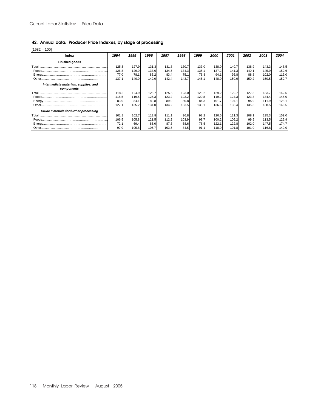# **42. Annual data: Producer Price Indexes, by stage of processing**

 $[1982 = 100]$ 

| Index                                  | 1994  | 1995  | 1996  | 1997  | 1998  | 1999  | 2000  | 2001  | 2002  | 2003  | 2004  |
|----------------------------------------|-------|-------|-------|-------|-------|-------|-------|-------|-------|-------|-------|
| <b>Finished goods</b>                  |       |       |       |       |       |       |       |       |       |       |       |
|                                        | 125.5 | 127.9 | 131.3 | 131.8 | 130.7 | 133.0 | 138.0 | 140.7 | 138.9 | 143.3 | 148.5 |
|                                        | 126.8 | 129.0 | 133.6 | 134.5 | 134.3 | 135.1 | 137.2 | 141.3 | 140.1 | 145.9 | 152.6 |
|                                        | 77.0  | 78.1  | 83.2  | 83.4  | 75.1  | 78.8  | 94.1  | 96.8  | 88.8  | 102.0 | 113.0 |
|                                        | 137.1 | 140.0 | 142.0 | 142.4 | 143.7 | 146.1 | 148.0 | 150.0 | 150.2 | 150.5 | 152.7 |
| Intermediate materials, supplies, and  |       |       |       |       |       |       |       |       |       |       |       |
| components                             |       |       |       |       |       |       |       |       |       |       |       |
|                                        | 118.5 | 124.9 | 125.7 | 125.6 | 123.0 | 123.2 | 129.2 | 129.7 | 127.8 | 133.7 | 142.5 |
|                                        | 118.5 | 119.5 | 125.3 | 123.2 | 123.2 | 120.8 | 119.2 | 124.3 | 123.3 | 134.4 | 145.0 |
|                                        | 83.0  | 84.1  | 89.8  | 89.0  | 80.8  | 84.3  | 101.7 | 104.1 | 95.9  | 111.9 | 123.1 |
|                                        | 127.1 | 135.2 | 134.0 | 134.2 | 133.5 | 133.1 | 136.6 | 136.4 | 135.8 | 138.5 | 146.5 |
| Crude materials for further processing |       |       |       |       |       |       |       |       |       |       |       |
|                                        | 101.8 | 102.7 | 113.8 | 111.1 | 96.8  | 98.2  | 120.6 | 121.3 | 108.1 | 135.3 | 159.0 |
|                                        | 106.5 | 105.8 | 121.5 | 112.2 | 103.9 | 98.7  | 100.2 | 106.2 | 99.5  | 113.5 | 126.9 |
|                                        | 72.1  | 69.4  | 85.0  | 87.3  | 68.6  | 78.5  | 122.1 | 122.8 | 102.0 | 147.5 | 174.7 |
|                                        | 97.0  | 105.8 | 105.7 | 103.5 | 84.5  | 91.1  | 118.0 | 101.8 | 101.0 | 116.8 | 149.0 |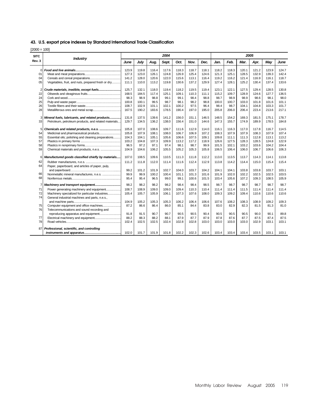# **43. U.S. export price indexes by Standard International Trade Classification**

 $[2000 = 100]$ 

| <b>SITC</b>    |                                                      |       |       |       | 2004  |       |       |       |       |       |       | 2005  |       |       |
|----------------|------------------------------------------------------|-------|-------|-------|-------|-------|-------|-------|-------|-------|-------|-------|-------|-------|
| Rev. 3         | Industry                                             | June  | July  | Aug.  | Sept. | Oct.  | Nov.  | Dec.  | Jan.  | Feb.  | Mar.  | Apr.  | May   | June  |
| $\Omega$       |                                                      | 123.9 | 119.8 | 116.4 | 117.6 | 118.3 | 118.7 | 118.1 | 118.2 | 118.3 | 120.1 | 121.2 | 123.9 | 124.7 |
| 01             |                                                      | 127.3 | 123.0 | 126.1 | 124.8 | 126.9 | 125.4 | 124.6 | 121.3 | 125.1 | 128.5 | 132.9 | 139.3 | 142.4 |
| 04             |                                                      | 141.2 | 128.0 | 120.6 | 122.0 | 115.6 | 113.1 | 116.4 | 119.2 | 116.2 | 121.4 | 116.9 | 116.1 | 118.7 |
| 05             | Vegetables, fruit, and nuts, prepared fresh or dry   | 111.1 | 110.0 | 113.2 | 119.8 | 130.6 | 137.2 | 129.9 | 127.4 | 128.1 | 125.2 | 130.4 | 137.4 | 133.6 |
| $\overline{2}$ | Crude materials, inedible, except fuels              | 125.7 | 132.1 | 118.0 | 119.4 | 118.2 | 119.5 | 119.4 | 123.1 | 122.1 | 127.5 | 129.4 | 128.5 | 130.8 |
| 22             |                                                      | 168.5 | 184.5 | 117.4 | 125.1 | 109.1 | 110.3 | 111.1 | 115.2 | 109.7 | 128.9 | 124.6 | 127.7 | 136.5 |
| 24             |                                                      | 98.3  | 98.9  | 98.8  | 99.1  | 99.1  | 98.4  | 98.8  | 98.7  | 98.9  | 98.9  | 98.6  | 98.1  | 98.0  |
| 25             |                                                      | 100.8 | 100.1 | 99.5  | 98.7  | 98.1  | 98.2  | 98.8  | 100.0 | 100.7 | 103.0 | 101.8 | 101.6 | 101.1 |
| 26             |                                                      | 108.7 | 102.9 | 101.1 | 102.1 | 100.2 | 97.5  | 96.4  | 98.4  | 98.7  | 104.1 | 104.8 | 103.3 | 101.7 |
| 28             | Metalliferous ores and metal scrap                   | 167.5 | 190.2 | 183.6 | 178.5 | 190.4 | 197.0 | 195.0 | 205.8 | 206.0 | 206.4 | 223.4 | 213.6 | 217.1 |
| 3              | Mineral fuels, lubricants, and related products      | 131.8 | 137.5 | 139.6 | 141.2 | 156.0 | 151.1 | 146.5 | 148.5 | 154.2 | 169.3 | 181.5 | 175.1 | 178.7 |
| 33             | Petroleum, petroleum products, and related materials | 129.7 | 134.5 | 136.2 | 138.0 | 156.4 | 151.0 | 144.6 | 147.3 | 155.7 | 174.9 | 189.9 | 178.5 | 184.8 |
| 5              | Chemicals and related products, n.e.s.               | 105.8 | 107.0 | 108.6 | 109.7 | 111.6 | 112.9 | 114.0 | 116.1 | 116.3 | 117.0 | 117.8 | 116.7 | 114.5 |
| 54             | Medicinal and pharmaceutical products                | 105.8 | 107.9 | 108.1 | 108.0 | 106.7 | 106.9 | 107.2 | 108.3 | 107.9 | 107.9 | 108.3 | 107.9 | 107.4 |
| 55             | Essential oils; polishing and cleaning preparations  | 104.3 | 104.1 | 105.1 | 105.6 | 106.6 | 107.5 | 109.1 | 109.8 | 111.1 | 111.3 | 112.8 | 113.1 | 113.2 |
| 57             |                                                      | 103.2 | 104.8 | 107.3 | 109.9 | 113.2 | 117.2 | 118.9 | 126.6 | 127.5 | 128.3 | 128.5 | 124.8 | 122.9 |
| 58             |                                                      | 96.5  | 97.2  | 97.1  | 97.4  | 98.1  | 98.7  | 99.9  | 101.5 | 102.1 | 103.2 | 103.6 | 104.2 | 104.4 |
| 59             | Chemical materials and products, n.e.s.              | 104.9 | 104.6 | 106.2 | 105.5 | 105.2 | 105.3 | 105.8 | 106.5 | 106.4 | 106.0 | 106.7 | 106.6 | 106.3 |
| 6              | Manufactured goods classified chiefly by materials   | 107.0 | 108.5 | 109.6 | 110.5 | 111.3 | 111.8 | 112.2 | 113.0 | 113.5 | 113.7 | 114.3 | 114.1 | 113.8 |
| 62             |                                                      | 111.2 | 111.8 | 112.0 | 111.4 | 111.6 | 112.4 | 112.9 | 113.8 | 114.2 | 114.4 | 115.0 | 115.4 | 115.4 |
| 64             | Paper, paperboard, and articles of paper, pulp,      |       |       |       |       |       |       |       |       |       |       |       |       |       |
|                |                                                      | 99.2  | 101.2 | 101.9 | 102.7 | 104.0 | 103.7 | 104.2 | 104.1 | 104.1 | 103.8 | 103.8 | 103.7 | 103.1 |
| 66             | Nonmetallic mineral manufactures, n.e.s.             | 99.9  | 99.9  | 100.2 | 100.4 | 101.1 | 101.3 | 101.6 | 101.9 | 102.0 | 102.2 | 102.5 | 102.5 | 103.5 |
| 68             |                                                      | 95.4  | 95.4  | 96.5  | 99.0  | 99.1  | 100.6 | 101.5 | 103.4 | 105.6 | 107.2 | 109.3 | 108.5 | 105.9 |
| $\overline{7}$ |                                                      | 98.2  | 98.2  | 98.2  | 98.2  | 98.4  | 98.4  | 98.5  | 98.7  | 98.7  | 98.7  | 98.7  | 98.7  | 98.7  |
| 71             | Power generating machinery and equipment             | 108.7 | 108.9 | 109.0 | 109.0 | 109.4 | 110.3 | 110.4 | 111.4 | 111.4 | 111.5 | 111.4 | 111.4 | 111.4 |
| 72             | Machinery specialized for particular industries      | 105.4 | 105.7 | 105.9 | 106.1 | 107.3 | 107.6 | 108.0 | 109.3 | 109.2 | 109.4 | 110.6 | 110.6 | 110.6 |
| 74             | General industrial machines and parts, n.e.s.,       |       |       |       |       |       |       |       |       |       |       |       |       |       |
|                |                                                      | 104.9 | 105.2 | 105.3 | 105.3 | 106.2 | 106.4 | 106.6 | 107.6 | 108.2 | 108.3 | 108.9 | 109.2 | 109.3 |
| 75             | Computer equipment and office machines               | 87.2  | 86.6  | 86.4  | 86.0  | 85.1  | 84.4  | 83.8  | 83.0  | 82.9  | 82.3  | 81.5  | 81.3  | 81.0  |
| 76             | Telecommunications and sound recording and           |       |       |       |       |       |       |       |       |       |       |       |       |       |
|                | reproducing apparatus and equipment                  | 91.8  | 91.5  | 90.7  | 90.7  | 90.5  | 90.5  | 90.4  | 90.5  | 90.5  | 90.5  | 90.0  | 90.1  | 89.8  |
| 77             |                                                      | 88.2  | 88.3  | 88.2  | 88.1  | 87.9  | 87.7  | 87.9  | 87.8  | 87.6  | 87.7  | 87.5  | 87.4  | 87.5  |
| 78             |                                                      | 102.4 | 102.5 | 102.5 | 102.4 | 102.8 | 102.8 | 103.0 | 103.0 | 103.0 | 103.0 | 102.9 | 103.1 | 103.1 |
| 87             | Professional, scientific, and controlling            |       |       |       |       |       |       |       |       |       |       |       |       |       |
|                |                                                      | 102.0 | 101.7 | 101.9 | 101.8 | 102.2 | 102.3 | 102.6 | 103.4 | 103.4 | 103.4 | 103.5 | 103.1 | 103.1 |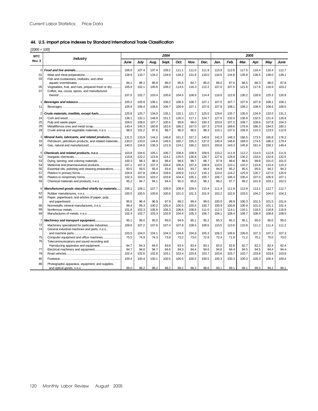# **44. U.S. import price indexes by Standard International Trade Classification**

 $[2000 = 100]$ 

| <b>SITC</b>    |                                                      |       |       |       | 2004  |       |       |       |       |       |       | 2005  |       |       |
|----------------|------------------------------------------------------|-------|-------|-------|-------|-------|-------|-------|-------|-------|-------|-------|-------|-------|
| Rev. 3         | Industry                                             | June  | July  | Aug.  | Sept. | Oct.  | Nov.  | Dec.  | Jan.  | Feb.  | Mar.  | Apr.  | Mav   | June  |
| 0              |                                                      | 106.9 | 107.4 | 107.4 | 109.2 | 111.1 | 111.0 | 111.9 | 110.9 | 112.6 | 117.5 | 116.4 | 116.4 | 112.7 |
| 01             |                                                      | 128.9 | 133.7 | 134.2 | 134.9 | 134.2 | 131.8 | 133.0 | 134.5 | 134.8 | 135.9 | 136.5 | 139.0 | 139.1 |
| 03             | Fish and crustaceans, mollusks, and other            |       |       |       |       |       |       |       |       |       |       |       |       |       |
|                |                                                      | 84.1  | 86.1  | 86.9  | 86.0  | 85.6  | 84.7  | 85.0  | 86.0  | 87.0  | 88.5  | 88.3  | 88.0  | 87.8  |
| 05             | Vegetables, fruit, and nuts, prepared fresh or dry   | 105.9 | 102.1 | 100.6 | 109.2 | 114.5 | 116.3 | 112.2 | 107.0 | 107.5 | 121.6 | 117.6 | 116.9 | 103.2 |
| 07             | Coffee, tea, cocoa, spices, and manufactures         |       |       |       |       |       |       |       |       |       |       |       |       |       |
|                |                                                      | 107.0 | 102.7 | 103.4 | 105.6 | 104.5 | 108.9 | 114.4 | 118.9 | 122.8 | 130.2 | 128.9 | 125.3 | 126.9 |
| 1              |                                                      | 105.3 | 105.9 | 106.1 | 106.2 | 106.5 | 106.7 | 107.1 | 107.5 | 107.7 | 107.8 | 107.9 | 108.1 | 108.1 |
| 11             |                                                      | 105.6 | 106.4 | 106.6 | 106.7 | 106.9 | 107.1 | 107.6 | 107.9 | 108.1 | 108.2 | 108.4 | 108.6 | 108.5 |
| $\overline{2}$ | Crude materials, inedible, except fuels              | 125.8 | 125.7 | 134.0 | 135.1 | 125.1 | 121.7 | 125.5 | 129.6 | 135.7 | 135.0 | 134.9 | 132.0 | 131.2 |
| 24             |                                                      | 136.1 | 132.1 | 148.9 | 151.1 | 126.3 | 117.1 | 124.7 | 127.0 | 132.0 | 136.9 | 132.5 | 121.9 | 126.8 |
| 25             |                                                      | 106.5 | 108.0 | 107.7 | 105.5 | 99.8  | 98.0  | 100.3 | 103.6 | 107.2 | 108.7 | 109.6 | 107.8 | 104.3 |
| 28             |                                                      | 140.4 | 145.3 | 160.8 | 162.6 | 166.2 | 167.0 | 167.3 | 170.8 | 169.6 | 176.9 | 186.3 | 184.5 | 180.1 |
| 29             | Crude animal and vegetable materials, n.e.s.         | 98.0  | 101.2 | 97.6  | 98.7  | 96.3  | 96.5  | 98.3  | 110.1 | 137.5 | 109.9 | 110.3 | 123.5 | 112.6 |
| 3              | Mineral fuels, lubricants, and related products      | 131.5 | 133.9 | 144.2 | 146.8 | 161.2 | 157.2 | 140.6 | 142.2 | 148.3 | 166.5 | 173.5 | 165.8 | 176.2 |
| 33             | Petroleum, petroleum products, and related materials | 130.0 | 133.0 | 144.8 | 149.5 | 165.7 | 155.3 | 137.0 | 140.4 | 148.6 | 169.0 | 174.5 | 166.3 | 179.4 |
| 34             |                                                      | 140.0 | 134.8 | 136.3 | 121.9 | 124.1 | 166.2 | 163.5 | 150.8 | 143.3 | 145.8 | 161.4 | 158.2 | 149.4 |
| 5              | Chemicals and related products, n.e.s.               | 103.8 | 104.6 | 105.1 | 106.7 | 108.4 | 108.9 | 109.6 | 110.2 | 111.8 | 112.2 | 114.0 | 112.8 | 111.6 |
| 52             |                                                      | 119.8 | 122.2 | 123.8 | 124.1 | 125.5 | 126.8 | 126.7 | 127.6 | 128.9 | 130.2 | 133.0 | 132.6 | 132.5 |
| 53             |                                                      | 100.3 | 98.3  | 98.4  | 98.4  | 98.5  | 98.7  | 98.7  | 97.9  | 98.6  | 98.6  | 99.8  | 101.0 | 101.0 |
| 54             | Medicinal and pharmaceutical products                | 107.1 | 107.3 | 107.3 | 106.6 | 106.4 | 107.4 | 108.9 | 110.5 | 110.1 | 110.2 | 110.8 | 110.4 | 110.3 |
| 55             | Essential oils; polishing and cleaning preparations  | 93.5  | 93.5  | 93.4  | 93.4  | 93.6  | 93.7  | 94.4  | 94.9  | 95.2  | 95.5  | 95.5  | 94.2  | 94.3  |
| 57             |                                                      | 104.6 | 107.8 | 108.4 | 109.6 | 109.9 | 113.2 | 116.1 | 123.0 | 124.2 | 125.9 | 126.7 | 127.0 | 125.9 |
| 58             |                                                      | 102.3 | 103.0 | 103.2 | 103.8 | 104.4 | 105.1 | 105.7 | 106.7 | 106.4 | 106.4 | 107.0 | 106.9 | 107.1 |
| 59             | Chemical materials and products, n.e.s.              | 95.2  | 94.7  | 94.1  | 94.4  | 95.3  | 95.8  | 96.1  | 96.2  | 97.7  | 99.2  | 101.9 | 103.1 | 102.5 |
| 6              | Manufactured goods classified chiefly by materials   | 106.1 | 106.1 | 107.7 | 108.9 | 108.9 | 109.4 | 110.4 | 111.4 | 111.8 | 112.8 | 113.1 | 112.7 | 112.7 |
| 62             |                                                      | 100.5 | 100.5 | 100.8 | 100.8 | 101.0 | 101.3 | 101.9 | 102.2 | 102.6 | 103.5 | 104.2 | 104.0 | 104.3 |
| 64             | Paper, paperboard, and articles of paper, pulp,      |       |       |       |       |       |       |       |       |       |       |       |       |       |
|                |                                                      | 95.5  | 96.4  | 96.9  | 97.9  | 99.2  | 99.4  | 99.0  | 100.0 | 99.9  | 100.3 | 101.5 | 101.5 | 101.6 |
| 66             | Nonmetallic mineral manufactures, n.e.s.             | 99.4  | 99.3  | 100.2 | 100.4 | 100.5 | 100.5 | 100.7 | 100.9 | 100.8 | 100.9 | 101.0 | 101.1 | 101.4 |
| 68             |                                                      | 101.6 | 102.3 | 105.6 | 106.3 | 106.6 | 108.6 | 111.0 | 112.1 | 114.1 | 116.1 | 118.5 | 118.8 | 116.9 |
| 69             |                                                      | 102.4 | 102.7 | 103.3 | 103.9 | 104.4 | 105.3 | 106.7 | 108.1 | 108.4 | 108.7 | 108.9 | 108.8 | 108.5 |
| $\overline{7}$ |                                                      | 95.1  | 95.0  | 95.0  | 95.0  | 94.9  | 95.1  | 95.2  | 95.3  | 95.2  | 95.1  | 95.0  | 95.0  | 95.0  |
| 72             | Machinery specialized for particular industries      | 106.6 | 107.2 | 107.6 | 107.4 | 107.8 | 108.5 | 109.5 | 110.5 | 110.6 | 110.8 | 111.2 | 111.4 | 111.2 |
| 74             | General industrial machines and parts, n.e.s.,       |       |       |       |       |       |       |       |       |       |       |       |       |       |
|                |                                                      | 103.5 | 104.0 | 104.1 | 104.3 | 104.6 | 104.9 | 105.3 | 106.2 | 106.6 | 106.8 | 107.3 | 107.2 | 107.3 |
| 75             | Computer equipment and office machines               | 75.5  | 74.9  | 74.3  | 73.9  | 73.2  | 73.0  | 72.8  | 72.4  | 71.9  | 71.2  | 70.1  | 70.0  | 70.0  |
| 76             | Telecommunications and sound recording and           |       |       |       |       |       |       |       |       |       |       |       |       |       |
|                | reproducing apparatus and equipment                  | 84.7  | 84.3  | 84.0  | 83.8  | 83.4  | 83.4  | 83.1  | 83.0  | 82.8  | 82.7  | 82.2  | 82.4  | 82.4  |
| 77             | Electrical machinery and equipment                   | 94.7  | 94.6  | 94.7  | 94.6  | 94.3  | 94.4  | 94.6  | 94.6  | 94.4  | 94.5  | 94.5  | 94.4  | 94.4  |
| 78             |                                                      | 102.4 | 102.6 | 102.8 | 103.1 | 103.4 | 103.6 | 103.7 | 103.6 | 103.7 | 103.7 | 103.8 | 103.8 | 103.8 |
| 85             |                                                      | 100.4 | 100.4 | 100.1 | 100.5 | 100.5 | 100.5 | 100.5 | 100.3 | 100.3 | 100.3 | 100.3 | 100.4 | 100.4 |
| 88             | Photographic apparatus, equipment, and supplies,     |       |       |       |       |       |       |       |       |       |       |       |       |       |
|                |                                                      | 99.0  | 98.2  | 98.2  | 98.2  | 98.2  | 98.3  | 98.6  | 99.1  | 99.1  | 99.1  | 99.3  | 99.2  | 99.1  |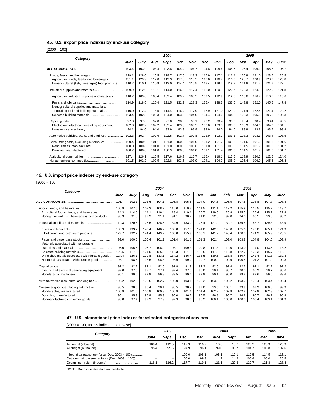# **45. U.S. export price indexes by end-use category**

 $[2000 = 100]$ 

| Category                                        |                |                |                | 2004           |                |                |                |                |                |                | 2005           |                |                |
|-------------------------------------------------|----------------|----------------|----------------|----------------|----------------|----------------|----------------|----------------|----------------|----------------|----------------|----------------|----------------|
|                                                 | June           | July           | Aug.           | Sept.          | Oct.           | Nov.           | Dec.           | Jan.           | Feb.           | Mar.           | Apr.           | May            | June           |
|                                                 | 103.4          | 103.9          | 103.4          | 103.8          | 104.4          | 104.7          | 104.8          | 105.6          | 105.7          | 106.4          | 106.9          | 106.7          | 106.7          |
| Agricultural foods, feeds, and beverages        | 129.1<br>131.1 | 128.0<br>129.9 | 116.5<br>117.0 | 118.7<br>119.3 | 117.5<br>117.8 | 118.3<br>118.5 | 116.9<br>116.6 | 117.1<br>116.7 | 116.4<br>116.0 | 120.9<br>120.7 | 121.0<br>120.9 | 123.6<br>123.7 | 125.5<br>125.8 |
| Nonagricultural (fish, beverages) food products | 110.7          | 110.1          | 110.9          | 113.0          | 114.4          | 115.5          | 118.4          | 119.7          | 119.7          | 121.8          | 121.4          | 121.7          | 122.1          |
|                                                 | 109.9          | 112.0          | 113.1          | 114.0          | 116.6          | 117.4          | 118.0          | 120.1          | 120.7          | 122.3          | 124.1          | 122.5          | 121.8          |
| Agricultural industrial supplies and materials  | 110.7          | 109.0          | 108.4          | 109.4          | 109.2          | 108.5          | 109.5          | 112.9          | 112.8          | 115.6          | 116.7          | 116.5          | 115.6          |
| Nonagricultural supplies and materials,         | 114.9          | 118.6          | 120.4          | 121.5          | 132.2          | 128.3          | 125.4          | 128.3          | 133.0          | 143.8          | 152.0          | 145.5          | 147.8          |
| excluding fuel and building materials           | 110.0<br>103.4 | 112.4<br>102.8 | 113.5<br>103.3 | 114.4<br>104.0 | 116.4<br>103.9 | 117.9<br>104.0 | 118.9<br>104.4 | 121.0<br>104.6 | 121.0<br>104.8 | 121.4<br>105.3 | 122.5<br>105.5 | 121.4<br>105.8 | 120.2<br>106.3 |
|                                                 | 97.8           | 97.8           | 97.8           | 97.8           | 98.0           | 98.1           | 98.2           | 98.4           | 98.5           | 98.4           | 98.4           | 98.4           | 98.5           |
| Electric and electrical generating equipment    | 102.0<br>94.1  | 102.2<br>94.0  | 102.2<br>94.0  | 102.4<br>93.9  | 103.3<br>93.9  | 103.5<br>93.8  | 103.6<br>93.9  | 103.8<br>94.0  | 103.5<br>94.0  | 103.9<br>93.9  | 104.0<br>93.8  | 104.0<br>93.7  | 104.1<br>93.8  |
| Automotive vehicles, parts, and engines         | 102.3          | 102.4          | 102.6          | 102.5          | 102.7          | 102.8          | 102.9          | 103.1          | 103.1          | 103.3          | 103.3          | 103.4          | 103.5          |
| Consumer goods, excluding automotive            | 100.4          | 100.9          | 101.1          | 101.0          | 100.9          | 101.0          | 101.2          | 101.7          | 101.6          | 101.6          | 101.9          | 101.8          | 101.6          |
|                                                 | 100.0<br>100.7 | 100.8<br>100.8 | 101.0<br>101.0 | 101.0<br>100.9 | 100.5<br>100.8 | 100.6<br>101.0 | 101.0<br>101.1 | 101.6<br>101.4 | 101.5<br>101.5 | 101.5<br>101.5 | 101.9<br>101.7 | 101.6<br>101.6 | 101.2<br>101.7 |
| Nonagricultural commodities                     | 127.4<br>101.5 | 126.1<br>102.2 | 115.5<br>102.5 | 117.6<br>102.8 | 116.3<br>103.6 | 116.7<br>103.9 | 115.4<br>104.1 | 116.1<br>104.9 | 115.5<br>105.0 | 119.9<br>105.4 | 120.2<br>106.0 | 122.5<br>105.5 | 124.0<br>105.4 |

# **46. U.S. import price indexes by end-use category**

 $[2000 = 100]$ 

| Category                                                                                                                   |                         |                         |                         | 2004                    |                         |                         |                         | 2005                    |                         |                         |                         |                         |                         |  |  |
|----------------------------------------------------------------------------------------------------------------------------|-------------------------|-------------------------|-------------------------|-------------------------|-------------------------|-------------------------|-------------------------|-------------------------|-------------------------|-------------------------|-------------------------|-------------------------|-------------------------|--|--|
|                                                                                                                            | June                    | Julv                    | Aug.                    | Sept.                   | Oct.                    | Nov.                    | Dec.                    | Jan.                    | Feb.                    | Mar.                    | Apr.                    | Mav                     | June                    |  |  |
|                                                                                                                            | 101.7                   | 102.1                   | 103.6                   | 104.1                   | 105.8                   | 105.5                   | 104.0                   | 104.6                   | 105.5                   | 107.8                   | 108.8                   | 107.7                   | 108.8                   |  |  |
| Foods, feeds, and beverages<br>Agricultural foods, feeds, and beverages<br>Nonagricultural (fish, beverages) food products | 106.9<br>114.3<br>90.3  | 107.5<br>114.5<br>91.8  | 107.3<br>114.1<br>92.3  | 108.7<br>116.4<br>91.4  | 110.0<br>118.4<br>91.1  | 110.3<br>119.1<br>90.7  | 111.5<br>120.7<br>91.0  | 111.1<br>119.6<br>92.0  | 112.2<br>120.8<br>92.8  | 115.9<br>125.7<br>94.0  | 115.5<br>125.4<br>93.5  | 115.7<br>125.7<br>93.3  | 113.7<br>122.8<br>93.2  |  |  |
|                                                                                                                            | 119.3                   | 120.6                   | 126.6                   | 128.5                   | 134.9                   | 133.2                   | 126.4                   | 127.9                   | 130.7                   | 139.8                   | 143.7                   | 139.3                   | 143.9                   |  |  |
| Petroleum and petroleum products                                                                                           | 130.9<br>129.7          | 133.2<br>132.7          | 143.4<br>144.4          | 146.2<br>149.2          | 160.8<br>165.8          | 157.0<br>155.9          | 141.0<br>138.1          | 142.5<br>141.2          | 148.0<br>148.4          | 165.6<br>168.3          | 173.0<br>174.3          | 165.1<br>165.9          | 174.9<br>178.5          |  |  |
| Materials associated with nondurable                                                                                       | 99.0                    | 100.0                   | 100.4                   | 101.1                   | 101.4                   | 101.1                   | 101.3                   | 102.4                   | 103.0                   | 103.8                   | 104.8                   | 104.5                   | 103.9                   |  |  |
| Unfinished metals associated with durable goods                                                                            | 106.0<br>120.5<br>124.4 | 106.5<br>117.6<br>126.1 | 107.7<br>124.0<br>129.8 | 108.0<br>125.6<br>133.1 | 108.7<br>115.3<br>134.2 | 109.3<br>111.8<br>136.4 | 109.8<br>115.6<br>138.5 | 111.3<br>117.9<br>139.6 | 112.0<br>119.8<br>138.8 | 113.0<br>122.7<br>140.4 | 114.0<br>120.3<br>142.4 | 113.6<br>115.7<br>141.3 | 113.2<br>118.1<br>139.3 |  |  |
| Nonmetals associated with durable goods                                                                                    | 98.7                    | 98.5                    | 98.5                    | 98.8                    | 98.9                    | 99.2                    | 99.7                    | 100.9                   | 100.9                   | 100.8                   | 101.2                   | 101.0                   | 100.8                   |  |  |
| Electric and electrical generating equipment                                                                               | 92.2<br>97.0<br>90.1    | 92.2<br>97.5<br>90.0    | 92.1<br>97.7<br>89.9    | 92.0<br>97.4<br>89.8    | 91.8<br>97.4<br>89.5    | 91.9<br>97.5<br>89.6    | 92.2<br>98.0<br>89.9    | 92.5<br>98.4<br>90.1    | 92.4<br>98.7<br>90.0    | 92.3<br>98.8<br>89.8    | 92.1<br>98.9<br>89.6    | 92.2<br>98.7<br>89.6    | 92.2<br>98.6<br>89.6    |  |  |
| Automotive vehicles, parts, and engines                                                                                    | 102.2                   | 102.3                   | 102.5                   | 102.7                   | 103.0                   | 103.1                   | 103.2                   | 103.2                   | 103.2                   | 103.2                   | 103.4                   | 103.4                   | 103.4                   |  |  |
| Consumer goods, excluding automotive                                                                                       | 98.5<br>100.9<br>96.1   | 98.5<br>101.0<br>95.9   | 98.4<br>100.9<br>95.9   | 98.4<br>100.8<br>95.9   | 98.5<br>100.9<br>96.0   | 98.7<br>101.1<br>96.2   | 99.0<br>101.4<br>96.5   | 99.6<br>102.2<br>96.8   | 100.1<br>102.8<br>96.7  | 99.9<br>102.8<br>96.8   | 99.9<br>102.9<br>96.7   | 100.0<br>102.8<br>96.7  | 99.9<br>102.7<br>96.8   |  |  |
| Nonmanufactured consumer goods                                                                                             | 96.8                    | 97.4                    | 97.9                    | 97.9                    | 97.9                    | 98.0                    | 98.2                    | 100.1                   | 105.0                   | 100.3                   | 100.4                   | 103.1                   | 101.9                   |  |  |

# **47. U.S. international price Indexes for selected categories of services**

[2000 = 100, unless indicated otherwise]

| Category                                         |                          | 2003  |       |       | 2004  |       |       | 2005  |       |  |
|--------------------------------------------------|--------------------------|-------|-------|-------|-------|-------|-------|-------|-------|--|
|                                                  | June                     | Sept. | Dec.  | Mar.  | June  | Sept. | Dec.  | Mar.  | June  |  |
|                                                  | 109.4                    | 112.5 | 112.9 | 116.2 | 116.6 | 118.7 | 125.2 | 126.3 | 125.9 |  |
|                                                  | 95.4                     | 95.5  | 94.9  | 96.1  | 99.0  | 100.7 | 104.7 | 103.8 | 107.6 |  |
| Inbound air passenger fares (Dec. $2003 = 100$ ) | $\overline{\phantom{0}}$ | -     | 100.0 | 105.1 | 106.1 | 110.1 | 112.5 | 114.5 | 116.1 |  |
| Outbound air passenger fares (Dec. 2003 = 100))  | -                        | -     | 100.0 | 99.3  | 114.2 | 114.2 | 105.4 | 105.0 | 120.5 |  |
|                                                  | 116.1                    | 116.2 | 117.7 | 119.1 | 121.1 | 120.3 | 122.7 | 121.3 | 128.4 |  |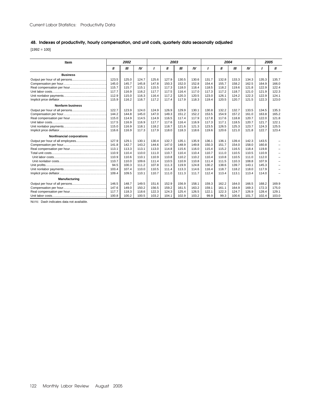# **48. Indexes of productivity, hourly compensation, and unit costs, quarterly data seasonally adjusted**

 $[1992 = 100]$ 

| Item                             | 2002  |       |       | 2003  |       |              |       | 2004  |       | 2005  |       |       |       |
|----------------------------------|-------|-------|-------|-------|-------|--------------|-------|-------|-------|-------|-------|-------|-------|
|                                  | ш     | Ш     | IV    |       | Ш     | $\mathbf{H}$ | IV    |       | Ш     | Ш     | IV    |       | Ш     |
| <b>Business</b>                  |       |       |       |       |       |              |       |       |       |       |       |       |       |
|                                  | 123.5 | 125.0 | 124.7 | 125.6 | 127.9 | 130.5        | 130.6 | 131.7 | 132.8 | 133.3 | 134.3 | 135.3 | 135.7 |
|                                  | 145.0 | 145.7 | 145.8 | 147.8 | 150.3 | 152.0        | 152.8 | 154.4 | 155.7 | 158.2 | 162.5 | 164.9 | 166.0 |
|                                  | 115.7 | 115.7 | 115.1 | 115.5 | 117.3 | 118.0        | 118.4 | 118.5 | 118.2 | 119.6 | 121.8 | 122.9 | 122.4 |
|                                  | 117.7 | 116.9 | 116.2 | 117.7 | 117.5 | 116.4        | 117.0 | 117.3 | 117.2 | 118.7 | 121.0 | 121.9 | 122.3 |
|                                  | 112.9 | 115.0 | 116.3 | 116.4 | 117.2 | 120.3        | 120.5 | 123.0 | 126.1 | 124.2 | 122.3 | 122.9 | 124.1 |
|                                  | 115.9 | 116.2 | 116.7 | 117.2 | 117.4 | 117.9        | 118.3 | 119.4 | 120.5 | 120.7 | 121.5 | 122.3 | 123.0 |
| <b>Nonfarm business</b>          |       |       |       |       |       |              |       |       |       |       |       |       |       |
|                                  | 122.7 | 123.9 | 124.0 | 124.9 | 126.9 | 129.9        | 130.1 | 130.8 | 132.2 | 132.7 | 133.5 | 134.5 | 135.3 |
|                                  | 144.2 | 144.8 | 145.0 | 147.0 | 149.3 | 151.2        | 152.2 | 153.5 | 154.9 | 157.2 | 161.0 | 163.8 | 165.2 |
|                                  | 115.0 | 114.9 | 114.5 | 114.9 | 116.5 | 117.4        | 117.9 | 117.8 | 117.6 | 118.8 | 120.7 | 122.0 | 121.8 |
|                                  | 117.5 | 116.9 | 116.9 | 117.7 | 117.6 | 116.4        | 116.9 | 117.3 | 117.1 | 118.5 | 120.7 | 121.7 | 122.1 |
|                                  | 115.0 | 116.9 | 118.1 | 118.2 | 118.7 | 121.6        | 121.3 | 123.5 | 126.5 | 125.3 | 123.7 | 124.3 | 125.5 |
|                                  | 116.6 | 116.9 | 117.3 | 117.9 | 118.0 | 118.3        | 118.6 | 119.6 | 120.6 | 121.0 | 121.8 | 122.7 | 123.4 |
| <b>Nonfinancial corporations</b> |       |       |       |       |       |              |       |       |       |       |       |       |       |
|                                  | 127.9 | 129.1 | 130.1 | 130.4 | 132.7 | 135.1        | 135.9 | 136.1 | 136.1 | 139.4 | 142.3 | 143.5 |       |
|                                  | 141.8 | 142.7 | 143.2 | 144.6 | 147.0 | 148.9        | 149.8 | 150.3 | 151.7 | 154.0 | 158.0 | 160.8 |       |
|                                  | 113.1 | 113.3 | 113.1 | 113.0 | 114.8 | 115.6        | 116.0 | 115.4 | 115.2 | 116.5 | 118.4 | 119.8 |       |
|                                  | 110.9 | 110.4 | 110.0 | 111.0 | 110.7 | 110.4        | 110.4 | 110.7 | 111.0 | 110.5 | 110.5 | 110.9 |       |
|                                  | 110.9 | 110.6 | 110.1 | 110.9 | 110.8 | 110.2        | 110.2 | 110.4 | 110.8 | 110.5 | 111.0 | 112.0 |       |
|                                  | 110.7 | 110.0 | 109.6 | 111.4 | 110.5 | 110.9        | 110.8 | 111.4 | 111.5 | 110.3 | 108.8 | 107.9 |       |
|                                  | 94.5  | 100.3 | 111.2 | 107.8 | 111.3 | 119.9        | 124.8 | 130.2 | 138.6 | 139.7 | 143.1 | 145.3 |       |
|                                  | 103.4 | 107.4 | 110.0 | 110.5 | 111.4 | 113.3        | 114.6 | 116.4 | 118.7 | 118.2 | 118.0 | 117.9 |       |
|                                  | 109.4 | 109.5 | 110.1 | 110.7 | 111.0 | 111.3        | 111.7 | 112.4 | 113.4 | 113.1 | 113.4 | 114.0 |       |
| Manufacturing                    |       |       |       |       |       |              |       |       |       |       |       |       |       |
|                                  | 146.5 | 148.7 | 149.5 | 151.6 | 152.9 | 156.9        | 158.1 | 159.3 | 162.2 | 164.0 | 166.5 | 168.2 | 169.9 |
|                                  | 147.6 | 149.0 | 150.2 | 156.5 | 159.2 | 161.5        | 163.2 | 159.1 | 161.1 | 164.9 | 169.3 | 172.3 | 175.0 |
|                                  | 117.7 | 118.3 | 118.6 | 122.3 | 124.3 | 125.4        | 126.5 | 122.1 | 122.3 | 124.7 | 126.9 | 128.4 | 129.1 |
|                                  | 100.8 | 100.2 | 100.5 | 103.2 | 104.1 | 102.9        | 103.2 | 99.9  | 99.3  | 100.6 | 101.7 | 102.4 | 103.0 |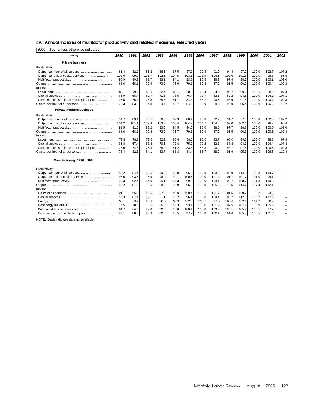# **49. Annual indexes of multifactor productivity and related measures, selected years**

[2000 = 100, unless otherwise indicated]

| Item                                      | 1990  | 1991  | 1992  | 1993  | 1994  | 1995  | 1996  | 1997  | 1998  | 1999  | 2000  | 2001  | 2002  |
|-------------------------------------------|-------|-------|-------|-------|-------|-------|-------|-------|-------|-------|-------|-------|-------|
| <b>Private business</b>                   |       |       |       |       |       |       |       |       |       |       |       |       |       |
| Productivity:                             |       |       |       |       |       |       |       |       |       |       |       |       |       |
|                                           | 81.4  | 82.7  | 86.2  | 86.5  | 87.5  | 87.7  | 90.3  | 91.9  | 94.4  | 97.2  | 100.0 | 102.7 | 107.2 |
| Output per unit of capital services       | 102.6 | 99.7  | 101.7 | 102.6 | 104.5 | 103.6 | 103.9 | 104.1 | 102.6 | 101.8 | 100.0 | 96.3  | 95.5  |
|                                           | 90.9  | 90.3  | 92.7  | 93.1  | 94.1  | 93.8  | 95.5  | 96.3  | 97.4  | 98.7  | 100.0 | 100.1 | 102.0 |
|                                           | 68.6  | 68.1  | 70.9  | 73.2  | 76.9  | 79.1  | 82.8  | 87.2  | 91.5  | 96.2  | 100.0 | 100.4 | 102.3 |
| Inputs:                                   |       |       |       |       |       |       |       |       |       |       |       |       |       |
|                                           | 80.1  | 79.1  | 80.0  | 82.4  | 86.1  | 88.5  | 90.4  | 94.0  | 96.2  | 99.0  | 100.0 | 98.6  | 97.4  |
|                                           | 66.9  | 68.4  | 69.7  | 71.3  | 73.5  | 76.4  | 79.7  | 83.8  | 89.2  | 94.5  | 100.0 | 104.2 | 107.1 |
| Combined units of labor and capital input | 75.5  | 75.4  | 76.5  | 78.6  | 81.7  | 84.3  | 86.7  | 90.5  | 93.9  | 97.5  | 100.0 | 100.4 | 100.3 |
|                                           | 79.3  | 83.0  | 84.8  | 84.4  | 83.7  | 84.6  | 86.9  | 88.3  | 92.0  | 95.4  | 100.0 | 106.6 | 112.2 |
| <b>Private nonfarm business</b>           |       |       |       |       |       |       |       |       |       |       |       |       |       |
| Productivity:                             |       |       |       |       |       |       |       |       |       |       |       |       |       |
|                                           | 81.7  | 83.1  | 86.5  | 86.9  | 87.9  | 88.4  | 90.8  | 92.2  | 94.7  | 97.3  | 100.0 | 102.6 | 107.2 |
| Output per unit of capital services       | 104.2 | 101.1 | 102.8 | 103.8 | 105.4 | 104.7 | 104.7 | 104.6 | 103.0 | 102.1 | 100.0 | 96.3  | 95.4  |
|                                           | 91.5  | 91.0  | 93.2  | 93.6  | 94.5  | 94.6  | 96.0  | 96.6  | 97.7  | 98.8  | 100.0 | 100.0 | 102.0 |
|                                           | 68.6  | 68.1  | 70.8  | 73.2  | 76.7  | 79.3  | 82.9  | 87.2  | 91.5  | 96.3  | 100.0 | 100.5 | 102.4 |
| Inputs:                                   |       |       |       |       |       |       |       |       |       |       |       |       |       |
|                                           | 79.8  | 78.7  | 79.6  | 82.2  | 85.6  | 88.0  | 90.0  | 93.7  | 96.0  | 99.0  | 100.0 | 98.8  | 97.3  |
|                                           | 65.8  | 67.4  | 68.8  | 70.6  | 72.8  | 75.7  | 79.2  | 83.3  | 88.8  | 94.3  | 100.0 | 104.4 | 107.3 |
| Combined units of labor and capital input | 75.0  | 74.8  | 75.9  | 78.2  | 81.2  | 83.8  | 86.3  | 90.2  | 93.7  | 97.5  | 100.0 | 100.5 | 100.3 |
|                                           | 78.4  | 82.3  | 84.1  | 83.7  | 83.3  | 84.4  | 86.7  | 88.2  | 91.9  | 95.3  | 100.0 | 106.6 | 112.4 |
| Manufacturing [1996 = 100]                |       |       |       |       |       |       |       |       |       |       |       |       |       |
|                                           |       |       |       |       |       |       |       |       |       |       |       |       |       |
| Productivity:                             |       |       |       |       |       |       |       |       |       |       |       |       |       |
|                                           | 82.2  | 84.1  | 88.6  | 90.2  | 93.0  | 96.5  | 100.0 | 103.8 | 108.9 | 114.0 | 118.3 | 119.7 |       |
| Output per unit of capital services       | 97.5  | 93.6  | 95.9  | 96.9  | 99.7  | 100.6 | 100.0 | 101.4 | 101.7 | 101.7 | 101.0 | 95.1  |       |
|                                           | 93.3  | 92.4  | 94.0  | 95.1  | 97.3  | 99.2  | 100.0 | 103.1 | 105.7 | 108.7 | 111.3 | 110.3 |       |
|                                           | 83.2  | 81.5  | 85.5  | 88.3  | 92.9  | 96.9  | 100.0 | 105.6 | 110.5 | 114.7 | 117.4 | 112.1 |       |
| Inputs:                                   |       |       |       |       |       |       |       |       |       |       |       |       |       |
|                                           | 101.1 | 96.9  | 96.5  | 97.8  | 99.9  | 100.4 | 100.0 | 101.7 | 101.5 | 100.7 | 99.2  | 93.6  |       |
|                                           | 85.3  | 87.1  | 89.1  | 91.1  | 93.2  | 96.4  | 100.0 | 104.1 | 108.7 | 112.8 | 116.2 | 117.9 |       |
|                                           | 93.1  | 93.2  | 93.1  | 96.6  | 99.9  | 102.3 | 100.0 | 97.5  | 100.6 | 102.9 | 104.3 | 98.9  |       |
|                                           | 77.5  | 78.5  | 83.5  | 86.5  | 90.3  | 93.1  | 100.0 | 101.9 | 107.5 | 107.9 | 106.9 | 105.5 |       |
|                                           | 84.7  | 84.6  | 92.0  | 92.9  | 96.0  | 100.4 | 100.0 | 103.9 | 103.1 | 105.4 | 106.5 | 97.7  |       |
|                                           | 89.1  | 88.3  | 90.9  | 92.8  | 95.5  | 97.7  | 100.0 | 102.4 | 104.6 | 105.5 | 105.5 | 101.6 |       |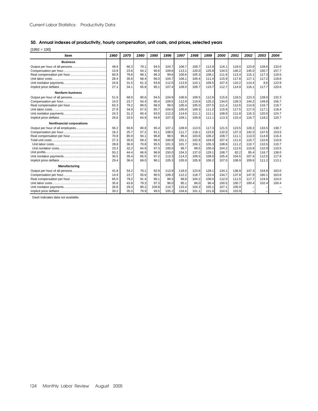# **50. Annual indexes of productivity, hourly compensation, unit costs, and prices, selected years**

 $[1992 = 100]$ 

| Item                             | 1960 | 1970 | 1980 | 1990  | 1996  | 1997  | 1998  | 1999  | 2000  | 2001  | 2002  | 2003  | 2004  |
|----------------------------------|------|------|------|-------|-------|-------|-------|-------|-------|-------|-------|-------|-------|
| <b>Business</b>                  |      |      |      |       |       |       |       |       |       |       |       |       |       |
|                                  | 48.9 | 66.3 | 79.1 | 94.5  | 104.7 | 106.7 | 109.7 | 112.9 | 116.1 | 119.0 | 123.8 | 128.6 | 133.0 |
|                                  | 13.9 | 23.6 | 54.1 | 90.6  | 109.6 | 113.1 | 120.0 | 125.8 | 134.5 | 140.2 | 145.0 | 150.7 | 157.7 |
|                                  | 60.8 | 78.8 | 89.1 | 96.3  | 99.6  | 100.6 | 105.3 | 108.1 | 111.9 | 113.4 | 115.1 | 117.3 | 119.5 |
|                                  | 28.4 | 35.6 | 68.4 | 96.0  | 104.7 | 106.1 | 109.4 | 111.4 | 115.9 | 117.8 | 117.1 | 117.2 | 118.6 |
|                                  | 24.8 | 31.5 | 61.3 | 93.8  | 112.0 | 113.9 | 110.1 | 109.5 | 107.4 | 110.2 | 114.4 | 8.6   | 123.9 |
|                                  | 27.1 | 34.1 | 65.8 | 95.1  | 107.4 | 109.0 | 109.7 | 110.7 | 112.7 | 114.9 | 116.1 | 117.7 | 120.6 |
| <b>Nonfarm business</b>          |      |      |      |       |       |       |       |       |       |       |       |       |       |
|                                  | 51.9 | 68.0 | 80.6 | 94.5  | 104.9 | 106.6 | 109.5 | 112.6 | 115.6 | 118.5 | 123.3 | 128.0 | 132.3 |
|                                  | 14.5 | 23.7 | 54.4 | 90.4  | 109.5 | 112.9 | 119.6 | 125.2 | 134.0 | 139.3 | 144.2 | 149.9 | 156.7 |
|                                  | 63.3 | 79.2 | 89.5 | 96.0  | 99.5  | 100.4 | 105.0 | 107.5 | 111.4 | 112.6 | 114.8 | 116.7 | 118.7 |
|                                  | 27.9 | 34.9 | 67.5 | 95.7  | 104.5 | 105.9 | 109.3 | 111.2 | 115.9 | 117.5 | 117.0 | 117.1 | 118.4 |
|                                  | 24.3 | 31.2 | 60.4 | 93.5  | 112.2 | 114.6 | 111.1 | 111.1 | 108.9 | 111.8 | 116.3 | 120.0 | 124.7 |
|                                  | 26.6 | 33.5 | 64.9 | 94.9  | 107.3 | 109.1 | 109.9 | 111.1 | 113.3 | 115.4 | 116.7 | 118.2 | 120.7 |
| <b>Nonfinancial corporations</b> |      |      |      |       |       |       |       |       |       |       |       |       |       |
|                                  | 56.2 | 69.8 | 80.8 | 95.4  | 107.1 | 109.9 | 113.5 | 117.3 | 121.5 | 123.5 | 128.2 | 133.5 | 138.7 |
|                                  | 16.2 | 25.7 | 57.2 | 91.1  | 108.5 | 111.7 | 118.1 | 123.6 | 132.0 | 137.3 | 142.0 | 147.6 | 153.5 |
|                                  | 70.8 | 85.9 | 94.1 | 96.8  | 98.5  | 99.4  | 103.6 | 106.2 | 109.7 | 111.1 | 113.0 | 114.8 | 116.4 |
|                                  | 27.3 | 35.6 | 69.2 | 96.0  | 100.9 | 101.1 | 102.9 | 104.0 | 107.4 | 111.6 | 110.7 | 110.6 | 110.6 |
|                                  | 28.8 | 36.9 | 70.8 | 95.5  | 101.3 | 101.7 | 104.1 | 105.3 | 108.6 | 111.2 | 110.7 | 110.5 | 110.7 |
|                                  | 23.3 | 32.2 | 64.9 | 97.3  | 100.0 | 99.7  | 99.5  | 100.4 | 104.2 | 112.6 | 110.8 | 110.9 | 110.5 |
|                                  | 50.2 | 44.4 | 66.9 | 96.9  | 150.0 | 154.3 | 137.0 | 129.1 | 108.7 | 82.2  | 95.4  | 116.7 | 138.0 |
|                                  | 30.5 | 35.4 | 65.5 | 97.2  | 113.3 | 114.3 | 109.5 | 108.0 | 105.4 | 104.5 | 107.4 | 112.5 | 117.8 |
|                                  | 29.4 | 36.4 | 69.0 | 96.1  | 105.3 | 105.9 | 105.9 | 106.2 | 107.5 | 108.9 | 109.6 | 111.2 | 113.1 |
| Manufacturing                    |      |      |      |       |       |       |       |       |       |       |       |       |       |
|                                  | 41.8 | 54.2 | 70.1 | 92.9  | 113.9 | 118.0 | 123.6 | 128.1 | 134.1 | 136.9 | 147.3 | 154.8 | 163.0 |
|                                  | 14.9 | 23.7 | 55.6 | 90.5  | 109.3 | 112.2 | 118.7 | 123.4 | 134.7 | 137.8 | 147.9 | 160.1 | 163.6 |
|                                  | 65.0 | 79.2 | 91.4 | 96.1  | 99.3  | 99.8  | 104.2 | 106.0 | 112.0 | 111.5 | 117.7 | 124.6 | 124.0 |
|                                  | 35.6 | 43.8 | 79.3 | 97.3  | 96.0  | 95.1  | 96.0  | 96.4  | 100.5 | 100.7 | 100.4 | 102.4 | 100.4 |
|                                  | 26.8 | 29.3 | 80.2 | 100.8 | 110.7 | 110.4 | 104.2 | 105.1 | 107.1 | 105.9 |       |       |       |
|                                  | 30.2 | 35.0 | 79.9 | 99.5  | 105.2 | 104.6 | 101.1 | 101.8 | 104.6 | 103.9 |       |       |       |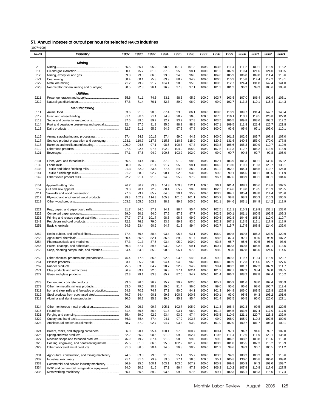|  |  |  |  |  | 51. Annual indexes of output per hour for selected NAICS industries |  |  |
|--|--|--|--|--|---------------------------------------------------------------------|--|--|
|--|--|--|--|--|---------------------------------------------------------------------|--|--|

[1997=100]

| <b>NAICS</b> | <b>Industry</b>                                                                  | 1987         | 1990         | 1992         | 1994           | 1995           | 1996           | 1997           | 1998           | 1999           | 2000           | 2001           | 2002           | 2003           |
|--------------|----------------------------------------------------------------------------------|--------------|--------------|--------------|----------------|----------------|----------------|----------------|----------------|----------------|----------------|----------------|----------------|----------------|
|              |                                                                                  |              |              |              |                |                |                |                |                |                |                |                |                |                |
| 21           | Mining                                                                           | 85.5         | 85.1         | 95.0         | 98.5           | 101.7          | 101.3          | 100.0          | 103.6          | 111.4          | 111.2          | 109.1          | 113.9          | 116.2          |
| 211          |                                                                                  | 80.1         | 75.7         | 81.6         | 87.5           | 95.3           | 98.1           | 100.0          | 101.2          | 107.9          | 119.4          | 121.6          | 124.0          | 130.5          |
| 212          |                                                                                  | 69.8         | 79.3         | 86.8         | 93.0           | 94.0           | 96.0           | 100.0          | 104.6          | 105.9          | 106.8          | 109.0          | 111.4          | 113.6          |
| 2121         |                                                                                  | 58.4         | 68.1         | 75.3         | 83.9           | 88.2           | 94.9           | 100.0          | 106.5          | 110.3          | 115.8          | 114.4          | 112.2          | 113.1          |
| 2122         |                                                                                  | 71.2         | 79.9         | 91.7         | 104.1          | 98.5           | 95.3           | 100.0          | 109.5          | 112.7          | 124.4          | 131.8          | 142.4          | 141.0          |
| 2123         | Nonmetallic mineral mining and quarrying                                         | 88.5         | 92.3         | 96.1         | 96.9           | 97.3           | 97.1           | 100.0          | 101.3          | 101.2          | 96.2           | 99.3           | 103.6          | 108.6          |
|              | <b>Utilities</b>                                                                 |              |              |              |                |                |                |                |                |                |                |                |                |                |
| 2211         | Power generation and supply                                                      | 65.6         | 71.1         | 74.5         | 83.1           | 88.5           | 95.2           | 100.0          | 103.7          | 103.5          | 107.0          | 106.4          | 102.9          | 105.1          |
| 2212         |                                                                                  | 67.8         | 71.4         | 76.1         | 82.3           | 89.0           | 96.0           | 100.0          | 99.0           | 102.7          | 113.2          | 110.1          | 115.4          | 114.3          |
|              | Manufacturing                                                                    |              |              |              |                |                |                |                |                |                |                |                |                |                |
| 3111         |                                                                                  | 83.6         | 91.5         | 90.5         | 87.4           | 93.8           | 86.1           | 100.0          | 109.0          | 110.9          | 109.7          | 131.4          | 142.7          | 140.4          |
| 3112         |                                                                                  | 81.1         | 88.6         | 91.1         | 94.3           | 98.7           | 90.0           | 100.0          | 107.5          | 116.1          | 113.1          | 119.5          | 123.8          | 122.0          |
| 3113<br>3114 | Sugar and confectionery products<br>Fruit and vegetable preserving and specialty | 87.6<br>92.4 | 89.5<br>87.6 | 89.2<br>91.9 | 92.7<br>95.5   | 93.2<br>98.3   | 97.8<br>98.8   | 100.0<br>100.0 | 103.5<br>107.1 | 106.5<br>109.5 | 109.8<br>111.8 | 108.6<br>121.4 | 108.2<br>126.7 | 112.2<br>121.8 |
| 3115         |                                                                                  | 82.7         | 91.1         | 95.2         | 94.9           | 97.6           | 97.8           | 100.0          | 100.0          | 93.6           | 95.9           | 97.1           | 105.0          | 110.1          |
|              |                                                                                  |              |              |              |                |                |                |                |                |                |                |                |                |                |
| 3116         | Animal slaughtering and processing                                               | 97.4         | 94.3         | 101.8        | 97.4           | 99.0           | 94.2           | 100.0          | 100.0          | 101.2          | 102.6          | 103.7          | 107.8          | 107.0          |
| 3117         | Seafood product preparation and packaging                                        | 123.1        | 119.7        | 117.8        | 115.5          | 110.3          | 118.0          | 100.0          | 120.2          | 131.6          | 140.5          | 153.0          | 170.0          | 177.8          |
| 3118         | Bakeries and tortilla manufacturing                                              | 100.9        | 94.5         | 97.1         | 98.6           | 100.7          | 97.3           | 100.0          | 103.8          | 108.6          | 108.3          | 109.9          | 110.7          | 110.9          |
| 3119<br>3121 |                                                                                  | 97.5<br>77.1 | 92.4<br>87.6 | 97.6<br>94.9 | 102.2<br>100.5 | 104.0<br>103.2 | 105.0<br>102.0 | 100.0<br>100.0 | 107.8<br>99.0  | 111.3<br>90.7  | 112.7<br>90.8  | 106.2<br>92.7  | 113.6<br>99.8  | 118.9<br>105.0 |
|              |                                                                                  |              |              |              |                |                |                |                |                |                |                |                |                |                |
| 3131         |                                                                                  | 66.5         | 74.4         | 80.2         | 87.2           | 91.9           | 98.9           | 100.0          | 102.1          | 103.9          | 101.3          | 109.1          | 133.5          | 150.2          |
| 3132         |                                                                                  | 68.0         | 75.3         | 81.4         | 91.7           | 95.5           | 98.1           | 100.0          | 104.2          | 110.0          | 110.1          | 110.3          | 125.7          | 136.1          |
| 3133         | Textile and fabric finishing mills                                               | 91.3         | 82.0         | 83.5         | 87.6           | 84.3           | 85.0           | 100.0          | 101.2          | 102.2          | 104.4          | 108.5          | 119.7          | 124.8          |
| 3141         |                                                                                  | 91.2         | 88.0         | 92.7         | 90.1           | 92.3           | 93.8           | 100.0          | 99.3           | 99.1           | 104.5          | 103.1          | 103.5          | 111.9          |
| 3149         |                                                                                  | 92.2         | 91.4         | 91.8         | 94.5           | 95.9           | 97.2           | 100.0          | 96.7           | 107.6          | 108.9          | 103.1          | 105.1          | 104.6          |
| 3151         |                                                                                  | 76.2         | 86.2         | 93.3         | 104.3          | 109.3          | 122.1          | 100.0          | 96.1           | 101.4          | 108.9          | 105.6          | 114.8          | 107.5          |
| 3152         |                                                                                  | 69.8         | 70.1         | 72.9         | 80.4           | 85.2           | 90.6           | 100.0          | 102.3          | 114.6          | 119.8          | 119.5          | 110.9          | 123.5          |
| 3211         | Sawmills and wood preservation                                                   | 77.6         | 79.4         | 85.7         | 84.6           | 90.4           | 95.9           | 100.0          | 100.3          | 104.7          | 105.4          | 108.8          | 114.4          | 120.6          |
| 3212         | Plywood and engineered wood products                                             | 99.8         | 102.9        | 114.3        | 105.3          | 101.5          | 101.1          | 100.0          | 105.2          | 98.8           | 98.9           | 105.3          | 110.3          | 106.5          |
| 3219         |                                                                                  | 103.2        | 105.5        | 103.2        | 98.2           | 99.8           | 100.5          | 100.0          | 101.1          | 104.6          | 103.1          | 104.9          | 114.2          | 112.9          |
| 3221         | Pulp, paper, and paperboard mills                                                | 81.7         | 84.0         | 87.9         | 94.1           | 98.4           | 95.4           | 100.0          | 102.5          | 111.1          | 116.3          | 119.9          | 133.1          | 138.0          |
| 3222         |                                                                                  | 89.0         | 90.1         | 94.0         | 97.5           | 97.2           | 97.7           | 100.0          | 102.5          | 100.1          | 101.1          | 100.5          | 105.5          | 109.3          |
| 3231         | Printing and related support activities                                          | 97.7         | 97.6         | 101.7        | 98.6           | 98.8           | 99.9           | 100.0          | 100.6          | 102.8          | 104.6          | 105.3          | 110.0          | 110.7          |
| 3241         |                                                                                  | 72.1         | 76.1         | 79.0         | 83.8           | 89.9           | 93.5           | 100.0          | 102.2          | 107.1          | 113.5          | 112.1          | 117.9          | 118.9          |
| 3251         |                                                                                  | 94.6         | 93.4         | 90.2         | 94.7           | 91.3           | 89.4           | 100.0          | 102.7          | 115.7          | 117.5          | 108.8          | 124.0          | 132.0          |
| 3252         |                                                                                  | 77.4         | 76.4         | 80.4         | 93.4           | 95.4           | 93.1           | 100.0          | 106.0          | 109.8          | 109.8          | 106.2          | 123.0          | 120.9          |
| 3253         |                                                                                  | 80.4         | 85.8         | 82.1         | 86.8           | 89.9           | 91.7           | 100.0          | 98.8           | 87.4           | 92.1           | 90.0           | 98.9           | 107.2          |
| 3254         | Pharmaceuticals and medicines                                                    | 87.3         | 91.3         | 87.5         | 93.4           | 95.9           | 100.0          | 100.0          | 93.8           | 95.7           | 95.6           | 99.5           | 96.0           | 98.6           |
| 3255         |                                                                                  | 89.3         | 87.1         | 89.6         | 93.9           | 92.3           | 99.1           | 100.0          | 100.1          | 100.3          | 100.8          | 105.6          | 109.1          | 113.5          |
| 3256         | Soap, cleaning compounds, and toiletries                                         | 84.4         | 84.8         | 85.0         | 90.8           | 96.1           | 97.3           | 100.0          | 98.0           | 93.0           | 102.8          | 106.0          | 124.5          | 114.6          |
| 3259         | Other chemical products and preparations                                         | 75.4         |              | 85.8         | 92.3           | 93.5           | 94.0           | 100.0          | 99.2           | 109.3          | 119.7          | 110.4          | 118.9          | 122.7          |
| 3261         |                                                                                  | 83.1         | 77.8<br>85.2 | 90.8         | 94.4           | 94.5           | 96.6           | 100.0          | 104.2          | 109.9          | 112.3          | 114.6          | 122.7          | 127.6          |
| 3262         |                                                                                  | 75.5         | 83.5         | 84.7         | 90.7           | 92.9           | 94.2           | 100.0          | 99.4           | 100.2          | 101.7          | 102.3          | 107.9          | 111.7          |
| 3271         |                                                                                  | 86.9         | 89.4         | 92.0         | 96.3           | 97.4           | 102.4          | 100.0          | 101.2          | 102.7          | 102.9          | 98.4           | 99.8           | 103.5          |
| 3272         |                                                                                  | 82.3         | 79.1         | 83.8         | 85.7           | 87.5           | 94.7           | 100.0          | 101.4          | 106.7          | 108.2          | 102.8          | 107.4          | 115.2          |
|              |                                                                                  |              |              |              |                |                |                |                |                |                |                |                |                |                |
| 3273<br>3279 | Cement and concrete products<br>Other nonmetallic mineral products               | 93.6<br>83.0 | 96.6<br>79.5 | 96.2<br>90.3 | 95.7<br>89.6   | 99.7<br>91.4   | 102.0<br>96.0  | 100.0<br>100.0 | 105.1<br>99.0  | 105.9<br>95.6  | 101.6<br>96.6  | 98.0<br>98.6   | 102.4<br>106.7 | 106.9<br>112.4 |
| 3311         | Iron and steel mills and ferroalloy production                                   | 64.8         | 70.2         | 74.7         | 87.1           | 90.0           | 94.1           | 100.0          | 101.3          | 104.8          | 106.0          | 108.5          | 123.8          | 125.8          |
| 3312         | Steel products from purchased steel                                              | 79.7         | 84.4         | 90.1         | 99.5           | 100.6          | 100.5          | 100.0          | 100.1          | 93.0           | 95.5           | 94.3           | 105.2          | 101.6          |
| 3313         | Alumina and aluminum production                                                  | 90.5         | 90.7         | 95.8         | 99.6           | 95.9           | 95.4           | 100.0          | 101.4          | 103.5          | 96.5           | 96.0           | 125.0          | 127.1          |
|              |                                                                                  |              |              |              |                |                |                |                |                |                |                |                |                |                |
| 3314         | Other nonferrous metal production                                                | 96.8         | 96.3         | 99.7         | 105.1          | 102.7          | 105.9          | 100.0          | 111.3          | 108.4          | 102.3          | 99.5           | 108.5          | 120.5          |
| 3315<br>3321 |                                                                                  | 81.4<br>85.4 | 86.5<br>89.0 | 86.4<br>92.2 | 91.8<br>93.4   | 93.1<br>93.9   | 96.0<br>97.4   | 100.0<br>100.0 | 101.2<br>103.5 | 104.5<br>110.9 | 103.6<br>121.1 | 107.4<br>120.7 | 117.0<br>125.3 | 117.5          |
| 3322         |                                                                                  | 86.3         | 85.4         | 87.4         | 94.1           | 97.2           | 103.8          | 100.0          | 99.9           | 108.0          | 105.9          | 110.3          | 107.5          | 132.9<br>109.0 |
| 3323         | Architectural and structural metals                                              | 88.7         | 87.9         | 92.7         | 94.7           | 93.3           | 93.9           | 100.0          | 101.0          | 102.0          | 100.7          | 101.7          | 106.3          | 109.1          |
|              |                                                                                  |              |              |              |                |                |                |                |                |                |                |                |                |                |
| 3324         | Boilers, tanks, and shipping containers                                          | 86.0         | 90.1         | 95.4         | 100.1          | 97.3           | 100.7          | 100.0          | 100.4          | 97.1           | 94.7           | 94.6           | 99.7           | 102.0          |
| 3326         |                                                                                  | 82.2         | 85.2         | 90.8         | 91.0           | 99.0           | 102.4          | 100.0          | 110.6          | 111.4          | 112.6          | 111.9          | 129.1          | 138.8          |
| 3327         | Machine shops and threaded products                                              | 76.9         | 79.2         | 87.4         | 91.6           | 98.3           | 99.8           | 100.0<br>100.0 | 99.6<br>100.9  | 104.2          | 108.2          | 108.8          | 115.6          | 115.8          |
| 3328<br>3329 | Coating, engraving, and heat treating metals<br>Other fabricated metal products  | 75.5<br>91.0 | 81.3<br>86.5 | 86.6<br>90.4 | 95.8<br>94.5   | 102.2<br>96.3  | 101.7<br>98.2  | 100.0          | 101.9          | 101.0<br>99.6  | 105.5<br>99.9  | 107.3<br>96.7  | 115.2<br>106.5 | 116.9<br>111.2 |
|              |                                                                                  |              |              |              |                |                |                |                |                |                |                |                |                |                |
| 3331         | Agriculture, construction, and mining machinery                                  | 74.6         | 83.3         | 79.0         | 91.0           | 95.4           | 95.7           | 100.0          | 103.3          | 94.3           | 100.3          | 100.3          | 103.7          | 116.6          |
| 3332         |                                                                                  | 75.1         | 81.6         | 79.9         | 89.5           | 97.1           | 98.5           | 100.0          | 95.1           | 105.8          | 130.0          | 105.8          | 106.0          | 109.0          |
| 3333         | Commercial and service industry machinery                                        | 86.9         | 95.6         | 100.1        | 103.1          | 103.6          | 107.2          | 100.0          | 105.9          | 109.8          | 100.9          | 94.3           | 102.0          | 109.7          |
| 3334         | HVAC and commercial refrigeration equipment                                      | 84.0         | 90.6         | 91.5         | 97.1           | 96.4           | 97.2           | 100.0          | 106.2          | 110.2          | 107.9          | 110.8          | 117.6          | 127.5          |
| 3335         |                                                                                  | 85.1         | 86.5         | 89.2         | 93.5           | 99.2           | 97.5           | 100.0          | 99.1           | 100.3          | 106.1          | 103.3          | 115.6          | 117.4          |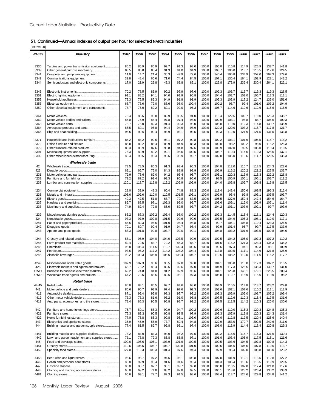# **51. Continued–Annual indexes of output per hour for selected NAICS industries**

[1997=100]

| <b>NAICS</b> | <b>Industry</b>                                                             | 1987          | 1990          | 1992           | 1994           | 1995           | 1996           | 1997           | 1998           | 1999           | 2000           | 2001           | 2002           | 2003           |
|--------------|-----------------------------------------------------------------------------|---------------|---------------|----------------|----------------|----------------|----------------|----------------|----------------|----------------|----------------|----------------|----------------|----------------|
|              |                                                                             |               |               |                |                |                |                |                |                |                |                |                |                |                |
| 3336         | Turbine and power transmission equipment                                    | 80.2          | 85.9          | 80.9           | 92.7           | 91.3           | 98.0           | 100.0          | 105.0          | 110.8          | 114.9          | 126.9          | 132.7          | 141.8          |
| 3339         | Other general purpose machinery                                             | 83.5          | 86.8          | 85.4           | 91.3           | 94.0           | 94.9           | 100.0          | 103.7          | 106.0          | 113.7          | 110.5          | 117.6          | 124.5          |
| 3341         | Computer and peripheral equipment                                           | 11.0          | 14.7          | 21.4           | 35.3           | 49.9           | 72.6           | 100.0          | 140.4          | 195.8          | 234.9          | 252.0          | 297.3          | 379.6          |
| 3342<br>3344 | Communications equipment<br>Semiconductors and electronic components        | 39.8<br>17.0  | 48.4<br>21.9  | 60.6<br>29.8   | 71.0<br>43.3   | 74.4<br>63.8   | 84.5<br>83.1   | 100.0<br>100.0 | 107.1<br>125.8 | 135.4<br>173.9 | 164.1<br>232.4 | 152.9<br>230.4 | 128.1<br>264.1 | 142.2<br>322.1 |
|              |                                                                             |               |               |                |                |                |                |                |                |                |                |                |                |                |
| 3345         |                                                                             | 70.2          | 78.5          | 85.9           | 90.2           | 97.9           | 97.6           | 100.0          | 102.3          | 106.7          | 116.7          | 119.3          | 119.3          | 128.5          |
| 3351         |                                                                             | 91.1          | 88.2          | 94.1           | 94.0           | 91.9           | 95.8           | 100.0          | 104.4          | 102.7          | 102.0          | 106.7          | 112.3          | 113.1          |
| 3352         |                                                                             | 73.3          | 76.5          | 82.3           | 94.9           | 91.8           | 91.9           | 100.0          | 105.3          | 103.9          | 117.2          | 124.7          | 136.0          | 151.6          |
| 3353<br>3359 | Other electrical equipment and components                                   | 68.7<br>78.7  | 73.6<br>76.0  | 79.0<br>82.2   | 88.6<br>89.1   | 98.0<br>92.0   | 100.4<br>96.3  | 100.0<br>100.0 | 100.2<br>105.7 | 98.7<br>114.6  | 99.4<br>119.6  | 101.0<br>112.9 | 103.2<br>115.6 | 104.9<br>116.9 |
|              |                                                                             |               |               |                |                |                |                |                |                |                |                |                |                |                |
| 3361         |                                                                             | 75.4          | 85.6          | 90.8           | 89.9           | 88.5           | 91.0           | 100.0          | 113.4          | 122.6          | 109.7          | 110.0          | 126.3          | 138.7          |
| 3362<br>3363 | Motor vehicle bodies and trailers                                           | 85.0<br>78.7  | 75.9<br>76.0  | 88.4<br>82.3   | 97.8<br>91.4   | 97.4<br>92.3   | 98.5<br>93.0   | 100.0<br>100.0 | 102.9<br>105.0 | 103.1<br>110.0 | 98.8<br>112.3  | 88.7<br>114.8  | 105.5<br>130.7 | 109.3<br>135.9 |
| 3364         | Aerospace products and parts                                                | 86.5          | 89.1          | 96.8           | 94.4           | 94.9           | 98.9           | 100.0          | 120.2          | 120.0          | 103.2          | 116.7          | 117.8          | 121.7          |
| 3366         |                                                                             | 95.5          | 99.6          | 99.4           | 98.9           | 93.1           | 93.5           | 100.0          | 99.3           | 112.0          | 121.9          | 121.5          | 131.0          | 133.8          |
|              |                                                                             |               |               |                |                |                |                |                |                |                |                |                |                |                |
| 3371<br>3372 | Household and institutional furniture                                       | 85.2<br>85.8  | 88.2<br>82.2  | 92.5<br>86.4   | 94.1<br>83.9   | 97.2<br>84.9   | 99.8<br>86.3   | 100.0<br>100.0 | 102.2<br>100.0 | 103.1<br>98.2  | 101.9<br>100.2 | 105.5<br>98.0  | 115.7<br>115.2 | 118.2<br>125.3 |
| 3379         | Other furniture-related products                                            | 86.3          | 88.9          | 87.6           | 93.8           | 94.8           | 97.6           | 100.0          | 106.9          | 102.0          | 99.5           | 105.0          | 110.4          | 110.5          |
| 3391         | Medical equipment and supplies                                              | 76.3          | 82.9          | 89.2           | 92.1           | 96.6           | 100.5          | 100.0          | 108.7          | 110.4          | 114.6          | 119.3          | 128.6          | 137.1          |
| 3399         | Other miscellaneous manufacturing                                           | 85.4          | 90.5          | 90.3           | 93.6           | 95.9           | 99.7           | 100.0          | 102.0          | 105.0          | 113.6          | 111.7          | 129.5          | 135.3          |
|              | Wholesale trade                                                             |               |               |                |                |                |                |                |                |                |                |                |                |                |
| 42           |                                                                             | 73.5          | 78.5          | 86.3           | 91.3           | 93.4           | 96.3           | 100.0          | 104.8          | 112.0          | 115.7          | 118.5          | 124.3          | 128.6          |
| 423<br>4231  |                                                                             | 62.1<br>72.9  | 66.7<br>76.6  | 75.0<br>82.0   | 84.3<br>94.2   | 88.8<br>93.4   | 93.9<br>95.7   | 100.0<br>100.0 | 105.9<br>105.1 | 116.2<br>120.3 | 120.2<br>113.9 | 121.2<br>115.3 | 127.5<br>122.2 | 133.7<br>128.8 |
| 4232         |                                                                             | 79.2          | 87.2          | 91.4           | 93.3           | 96.8           | 96.6           | 100.0          | 98.5           | 100.9          | 106.1          | 106.1          | 101.7          | 111.2          |
| 4233         | Lumber and construction supplies                                            | 120.1         | 118.7         | 119.8          | 112.2          | 102.9          | 102.9          | 100.0          | 104.0          | 105.8          | 102.7          | 109.8          | 116.8          | 126.5          |
|              |                                                                             |               |               |                |                |                |                |                |                |                |                |                |                |                |
| 4234<br>4235 |                                                                             | 28.0<br>105.6 | 33.9<br>102.6 | 48.3<br>110.0  | 60.4<br>110.5  | 74.8<br>101.5  | 88.3<br>103.1  | 100.0<br>100.0 | 118.4<br>102.9 | 143.4<br>96.4  | 150.6<br>99.8  | 169.5<br>103.1 | 196.3<br>103.5 | 212.4<br>103.7 |
| 4236         |                                                                             | 40.3          | 47.5          | 51.8           | 68.7           | 79.8           | 87.5           | 100.0          | 105.5          | 127.9          | 152.4          | 147.4          | 154.6          | 164.7          |
| 4237         |                                                                             | 82.7          | 88.5          | 97.1           | 102.3          | 99.0           | 99.7           | 100.0          | 103.6          | 109.1          | 112.0          | 102.9          | 107.1          | 111.4          |
| 4238         |                                                                             | 74.9          | 82.4          | 79.8           | 85.0           | 89.5           | 93.7           | 100.0          | 104.2          | 101.1          | 103.9          | 102.1          | 99.7           | 103.9          |
| 4239         | Miscellaneous durable goods                                                 | 86.2          | 87.3          | 109.2          | 103.4          | 98.0           | 100.2          | 100.0          | 102.3          | 114.5          | 118.4          | 118.1          | 124.4          | 120.3          |
| 424          |                                                                             | 93.3          | 97.9          | 102.8          | 101.5          | 99.6           | 99.0           | 100.0          | 103.5          | 104.9          | 106.3          | 108.1          | 112.0          | 117.1          |
| 4241         |                                                                             | 86.5          | 82.3          | 96.5           | 101.0          | 96.4           | 94.8           | 100.0          | 99.7           | 104.1          | 105.8          | 110.4          | 123.3          | 126.6          |
| 4242<br>4243 |                                                                             | 70.1<br>88.3  | 80.7<br>101.8 | 90.4<br>99.8   | 91.9<br>103.7  | 94.7<br>92.0   | 98.4<br>99.1   | 100.0<br>100.0 | 99.9<br>104.8  | 101.4<br>103.2 | 95.7<br>101.6  | 99.7<br>103.5  | 117.5<br>109.8 | 133.9<br>104.0 |
|              |                                                                             |               |               |                |                |                |                |                |                |                |                |                |                |                |
| 4244         |                                                                             | 88.1          | 95.9          | 104.0          | 104.0          | 103.5          | 99.9           | 100.0          | 102.5          | 104.2          | 106.0          | 107.3          | 107.2          | 110.2          |
| 4245         |                                                                             | 82.4          | 79.5          | 83.7           | 79.2           | 86.3           | 88.7           | 100.0          | 101.5          | 116.2          | 121.3          | 123.4          | 134.3          | 134.2          |
| 4246<br>4247 |                                                                             | 95.8<br>93.5  | 106.4<br>96.2 | 111.5<br>117.2 | 110.7<br>114.2 | 102.4<br>108.2 | 100.5<br>104.4 | 100.0<br>100.0 | 99.6<br>113.8  | 97.4<br>109.5  | 94.1<br>111.1  | 92.3<br>114.6  | 98.1<br>121.8  | 100.9<br>125.9 |
| 4248         |                                                                             | 99.2          | 109.3         | 105.9          | 106.6          | 103.4          | 104.7          | 100.0          | 110.6          | 108.2          | 112.0          | 111.6          | 116.2          | 117.7          |
|              |                                                                             |               |               |                |                |                |                |                |                |                |                |                |                |                |
| 4249<br>425  | Miscellaneous nondurable goods<br>Electronic markets and agents and brokers | 107.9<br>65.7 | 107.3<br>73.2 | 93.6<br>83.4   | 93.5<br>89.6   | 97.0<br>92.6   | 99.0<br>97.0   | 100.0<br>100.0 | 104.1<br>104.9 | 105.8<br>117.3 | 113.0<br>126.5 | 112.3<br>135.4 | 107.2<br>139.7 | 115.5<br>131.0 |
| 42511        | Business to business electronic markets                                     | 69.2          | 74.8          | 84.0           | 91.2           | 92.9           | 96.6           | 100.0          | 104.1          | 125.8          | 146.1          | 179.1          | 226.5          | 300.4          |
| 42512        | Wholesale trade agents and brokers                                          | 64.2          | 72.6          | 83.5           | 89.6           | 93.1           | 97.3           | 100.0          | 105.0          | 112.7          | 116.9          | 115.6          | 110.9          | 98.2           |
|              | <b>Retail trade</b>                                                         |               |               |                |                |                |                |                |                |                |                |                |                |                |
| 44-45        |                                                                             | 80.8          | 83.1          | 86.5           | 92.7           | 94.6           | 98.0           | 100.0          | 104.9          | 110.5          | 114.8          | 118.7          | 123.2          | 129.8          |
| 441          | Motor vehicle and parts dealers                                             | 85.6          | 90.7          | 93.9           | 97.4           | 97.6           | 99.3           | 100.0          | 103.6          | 107.1          | 107.6          | 110.2          | 111.1          | 112.9          |
| 4411<br>4412 |                                                                             | 87.1<br>73.3  | 92.4<br>73.3  | 95.8<br>81.6   | 98.3<br>93.2   | 97.7<br>91.0   | 99.2<br>98.8   | 100.0<br>100.0 | 103.3<br>107.5 | 106.9<br>112.6 | 106.0<br>110.3 | 108.7<br>115.4 | 107.2<br>117.5 | 106.4<br>131.6 |
| 4413         | Auto parts, accessories, and tire stores                                    | 78.4          | 86.3          | 90.5           | 95.8           | 98.7           | 99.2           | 100.0          | 107.5          | 111.5          | 114.2          | 110.3          | 120.0          | 130.0          |
|              |                                                                             |               |               |                |                |                |                |                |                |                |                |                |                |                |
| 442          | Furniture and home furnishings stores                                       | 76.7          | 80.1          | 88.3           | 90.9           | 94.7           | 100.2          | 100.0          | 102.6          | 110.0          | 116.3          | 120.3          | 124.8          | 135.3          |
| 4421<br>4422 |                                                                             | 76.3<br>77.0  | 83.3<br>75.8  | 90.5<br>85.3   | 90.8<br>90.8   | 93.5<br>96.1   | 97.9<br>103.0  | 100.0<br>100.0 | 103.3<br>102.0 | 107.9<br>112.8 | 113.8<br>119.5 | 120.3<br>120.4 | 124.3<br>125.6 | 131.4<br>140.4 |
| 443          | Electronics and appliance stores                                            | 36.9          | 45.9          | 56.9           | 77.7           | 89.4           | 94.8           | 100.0          | 122.9          | 153.0          | 179.7          | 202.5          | 242.6          | 311.0          |
| 444          | Building material and garden supply stores                                  | 77.4          | 81.5          | 82.7           | 92.8           | 93.1           | 97.4           | 100.0          | 108.0          | 113.9          | 114.4          | 116.4          | 120.8          | 129.3          |
| 4441         | Building material and supplies dealers                                      | 78.2          | 83.0          | 83.3           | 94.0           | 94.2           | 97.5           | 100.0          | 109.2          | 115.6          |                | 116.3          | 121.6          | 130.4          |
| 4442         | Lawn and garden equipment and supplies stores                               | 73.1          | 73.8          | 79.3           | 85.8           | 86.8           | 97.1           | 100.0          | 101.0          | 103.4          | 115.7<br>105.9 | 117.5          | 115.1          | 121.6          |
| 445          |                                                                             | 109.6         | 106.6         | 106.1          | 103.9          | 101.9          | 100.5          | 100.0          | 100.5          | 103.6          | 104.5          | 107.8          | 109.8          | 114.3          |
| 4451         |                                                                             | 110.6         | 106.5         | 106.7          | 104.7          | 102.8          | 101.0          | 100.0          | 100.5          | 104.6          | 104.5          | 107.8          | 110.5          | 113.7          |
| 4452         |                                                                             | 127.0         | 119.3         | 106.3          | 101.4          | 97.6           | 94.4           | 100.0          | 97.9           | 95.4           | 102.0          | 108.8          | 108.0          | 123.2          |
| 4453         |                                                                             | 95.6          | 98.7          | 97.2           | 94.5           | 95.1           | 103.8          | 100.0          | 107.0          | 101.9          | 112.1          | 113.5          | 112.8          | 127.2          |
| 446          | Health and personal care stores                                             | 85.8          | 92.9          | 90.4           | 91.6           | 91.6           | 96.4           | 100.0          | 104.3          | 105.4          | 110.6          | 113.5          | 119.9          | 129.5          |
| 447          |                                                                             | 83.0          | 83.7          | 87.7           | 96.1           | 99.7           | 99.8           | 100.0          | 106.8          | 110.5          | 107.0          | 112.4          | 121.8          | 117.6          |
| 448<br>4481  | Clothing and clothing accessories stores                                    | 65.8<br>66.6  | 69.2<br>69.1  | 74.8<br>77.7   | 83.2<br>82.3   | 92.8<br>91.5   | 99.5<br>98.6   | 100.0<br>100.0 | 106.1<br>108.4 | 113.6<br>113.7 | 123.2<br>124.6 | 126.4<br>129.8 | 130.2<br>134.8 | 138.9<br>141.2 |
|              |                                                                             |               |               |                |                |                |                |                |                |                |                |                |                |                |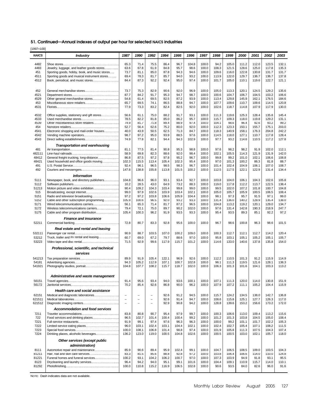# **51. Continued–Annual indexes of output per hour for selected NAICS industries**

[1997=100]

| <b>NAICS</b>    | Industry                                            | 1987                     | 1990                     | 1992                     | 1994           | 1995           | 1996           | 1997           | 1998          | 1999           | 2000           | 2001           | 2002           | 2003           |
|-----------------|-----------------------------------------------------|--------------------------|--------------------------|--------------------------|----------------|----------------|----------------|----------------|---------------|----------------|----------------|----------------|----------------|----------------|
|                 |                                                     |                          |                          |                          |                |                |                |                |               |                |                |                |                |                |
| 4482            |                                                     | 65.3                     | 71.4                     | 75.5                     | 86.4           | 96.7           | 104.8          | 100.0          | 94.2          | 105.0          | 111.2          | 112.0          | 123.5          | 132.1          |
| 4483            | Jewelry, luggage, and leather goods stores          | 63.6                     | 67.8                     | 61.9                     | 84.8           | 95.7           | 98.6           | 100.0          | 108.3         | 121.5          | 128.6          | 125.0          | 117.8          | 135.3          |
| 451             | Sporting goods, hobby, book, and music stores       | 73.7                     | 81.1<br>78.3             | 85.0                     | 87.8<br>85.7   | 94.3           | 94.6<br>93.2   | 100.0<br>100.0 | 109.6         | 116.0          | 122.8          | 130.8<br>136.7 | 131.7<br>136.7 | 131.7<br>137.8 |
| 4511            | Sporting goods and musical instrument stores        | 69.4                     |                          | 81.7<br>92.2             |                | 94.0           |                |                | 113.9         | 122.0          | 129.7          |                | 122.7          | 121.1          |
| 4512            | Book, periodical, and music stores                  | 84.4                     | 87.3                     |                          | 92.4           | 95.0           | 97.4           | 100.0          | 101.7         | 105.0          | 110.1          | 119.6          |                |                |
| 452             |                                                     | 73.7                     | 75.3                     | 82.9                     | 90.6           | 92.0           | 96.9           | 100.0          | 105.0         | 113.3          | 120.1          | 124.5          | 129.2          | 135.6          |
| 4521            |                                                     | 87.7                     | 84.2                     | 91.7                     | 95.3           | 94.7           | 98.7           | 100.0          | 100.6         | 104.7          | 106.7          | 104.5          | 103.2          | 106.6          |
| 4529            | Other general merchandise stores                    | 54.8                     | 61.4                     | 69.5                     | 82.5           | 87.2           | 93.9           | 100.0          | 113.4         | 129.8          | 145.9          | 162.1          | 176.5          | 184.6          |
| 453             |                                                     | 65.7                     | 69.5                     | 74.1                     | 86.5           | 88.8           | 94.7           | 100.0          | 107.7         | 109.6          | 110.7          | 109.6          | 114.5          | 120.8          |
| 4531            |                                                     | 77.9                     | 73.3                     | 83.2                     | 82.4           | 82.5           | 92.0           | 100.0          | 102.6         | 118.7          | 114.8          | 107.9          | 117.9          | 130.0          |
| 4532            | Office supplies, stationery and gift stores         | 56.6                     | 61.1                     | 75.0                     | 88.2           | 91.7           | 93.1           | 100.0          | 111.3         | 119.6          | 125.3          | 128.4          | 135.8          | 145.4          |
| 4533            |                                                     | 78.5                     | 82.2                     | 81.8                     | 85.0           | 86.2           | 95.7           | 100.0          | 115.7         | 109.3          | 118.0          | 119.8          | 129.2          | 131.1          |
| 4539            | Other miscellaneous store retailers                 | 74.9                     | 81.7                     | 71.8                     | 89.4           | 88.9           | 97.4           | 100.0          | 104.1         | 98.6           | 96.4           | 92.6           | 93.2           | 99.2           |
| 454             |                                                     | 52.7                     | 56.4                     | 62.6                     | 75.2           | 80.0           | 92.0           | 100.0          | 112.3         | 123.3          | 150.1          | 155.7          | 175.1          | 203.0          |
| 4541            | Electronic shopping and mail-order houses           | 40.0                     | 43.9                     | 50.5                     | 62.5           | 71.3           | 84.7           | 100.0          | 118.3         | 140.9          | 158.1          | 176.3          | 204.8          | 242.2          |
| 4542            |                                                     | 98.7                     | 97.2                     | 95.0                     | 93.9           | 88.5           | 97.6           | 100.0          | 114.5         | 118.0          | 127.1          | 110.7          | 117.8          | 128.4          |
| 4543            | Direct selling establishments                       | 74.9                     | 77.8                     | 82.1                     | 94.4           | 94.3           | 102.9          | 100.0          | 97.7          | 93.2           | 114.6          | 110.5          | 117.2          | 127.8          |
| 481             | <b>Transportation and warehousing</b>               |                          |                          |                          |                | 95.3           |                |                | 97.6          | 98.2           |                | 91.9           | 102.0          |                |
|                 |                                                     | 81.1                     | 77.5                     | 81.4                     | 90.8           | 92.0           | 98.8           | 100.0<br>100.0 | 102.1         |                | 98.2           |                |                | 112.1<br>142.0 |
| 482111<br>48412 |                                                     | 58.9<br>86.8             | 69.8<br>87.5             | 82.3<br>97.2             | 88.6<br>97.8   | 95.2           | 98.4<br>96.7   | 100.0          | 99.8          | 105.5<br>99.2  | 114.3<br>101.0 | 121.9<br>102.1 | 131.9<br>106.6 | 108.8          |
| 48421           | General freight trucking, long-distance             | 102.3                    | 115.5                    | 113.4                    | 105.4          | 102.3          | 95.4           | 100.0          | 97.0          | 101.3          | 100.2          | 86.3           | 81.8           | 88.7           |
| 491             | Used household and office goods moving              | 92.4                     | 96.1                     | 96.5                     | 98.5           | 98.3           | 96.7           | 100.0          | 101.4         | 102.4          | 104.9          | 106.1          | 107.0          | 108.7          |
| 492             |                                                     | 147.8                    | 138.8                    | 155.8                    | 113.8          | 101.5          | 100.2          | 100.0          | 112.5         | 117.5          | 122.1          | 122.9          | 131.4          | 134.4          |
|                 |                                                     |                          |                          |                          |                |                |                |                |               |                |                |                |                |                |
|                 | Information                                         |                          |                          |                          |                |                |                |                |               |                |                |                |                |                |
| 5111            | Newspaper, book, and directory publishers           | 104.8                    | 96.6                     | 96.0                     | 93.1           | 93.4           | 92.7           | 100.0          | 103.8         | 104.0          | 106.1          | 104.3          | 102.6          | 105.8          |
| 5112<br>51213   |                                                     | 10.2<br>90.4             | 28.5<br>109.2            | 43.0<br>104.3            | 64.9<br>103.4  | 73.2<br>99.8   | 88.3<br>99.0   | 100.0<br>100.0 | 119.0<br>99.5 | 117.8<br>102.0 | 112.2<br>107.2 | 113.7<br>101.8 | 122.5<br>100.7 | 138.4<br>104.8 |
| 515             | Motion picture and video exhibition                 | 99.0                     | 97.9                     | 102.6                    | 103.9          | 103.4          | 102.1          | 100.0          | 105.0         | 105.7          | 105.9          | 100.5          | 106.5          | 108.4          |
| 5151            | Radio and television broadcasting                   | 97.2                     | 97.2                     | 103.8                    | 106.6          | 105.9          | 104.4          | 100.0          | 98.1          | 97.3           | 95.7           | 91.5           | 97.1           | 99.0           |
| 5152            | Cable and other subscription programming            | 105.9                    | 100.6                    | 96.5                     | 92.0           | 93.2           | 93.3           | 100.0          | 131.4         | 136.0          | 140.2          | 128.9          | 135.4          | 138.0          |
| 5171            | Wired telecommunications carriers                   | 56.1                     | 65.3                     | 71.4                     | 81.7           | 87.2           | 96.5           | 100.0          | 104.8         | 113.2          | 119.2          | 120.1          | 129.0          | 134.7          |
| 5172            | Wireless telecommunications carriers                | 79.4                     | 72.1                     | 75.0                     | 89.7           | 90.2           | 102.0          | 100.0          | 97.6          | 131.4          | 142.8          | 190.3          | 218.9          | 247.7          |
| 5175            | Cable and other program distribution                | 105.4                    | 100.3                    | 96.2                     | 91.9           | 93.5           | 93.3           | 100.0          | 95.4          | 93.5           | 89.3           | 85.1           | 92.2           | 97.2           |
|                 | <b>Finance and insurance</b>                        |                          |                          |                          |                |                |                |                |               |                |                |                |                |                |
| 52211           |                                                     | 72.8                     | 80.7                     | 83.3                     | 92.8           | 95.6           | 100.0          | 100.0          | 96.7          | 98.6           | 100.8          | 96.3           | 98.6           | 101.5          |
|                 | Real estate and rental and leasing                  |                          |                          |                          |                |                |                |                |               |                |                |                |                |                |
| 532111          |                                                     | 90.9                     | 88.7                     | 103.5                    | 107.0          | 100.2          | 109.0          | 100.0          | 100.3         | 112.7          | 112.1          | 112.7          | 114.2          | 120.4          |
| 53212           | Truck, trailer and RV rental and leasing            | 60.7                     | 69.0                     | 67.2                     | 79.7           | 88.6           | 97.0           | 100.0          | 95.8          | 103.1          | 105.1          | 105.2          | 105.1          | 105.7          |
| 53223           |                                                     | 71.5                     | 92.9                     | 99.6                     | 117.9          | 115.7          | 101.2          | 100.0          | 114.6         | 133.0          | 140.6          | 137.8          | 135.8          | 154.0          |
|                 |                                                     |                          |                          |                          |                |                |                |                |               |                |                |                |                |                |
|                 | Professional, scientific, and technical<br>services |                          |                          |                          |                |                |                |                |               |                |                |                |                |                |
|                 |                                                     |                          |                          |                          |                |                |                |                |               |                |                |                |                |                |
| 541213          |                                                     | 89.9                     | 91.9                     | 105.4                    | 122.1          | 96.9           | 92.6           | 100.0          | 112.2         | 110.5          | 101.3          | 91.2           | 115.9          | 114.9          |
| 54181<br>541921 |                                                     | 94.3                     | 105.2<br>107.7           | 112.9<br>108.2           | 107.1<br>115.7 | 100.7<br>118.7 | 102.8<br>102.0 | 100.0<br>100.0 | 96.1<br>106.3 | 111.3<br>101.3 | 119.5<br>101.6 | 121.6<br>104.1 | 128.1<br>103.3 | 138.3<br>113.2 |
|                 | Photography studios, portrait                       | 104.8                    |                          |                          |                |                |                |                |               |                |                |                |                |                |
|                 | Administrative and waste management                 |                          |                          |                          |                |                |                |                |               |                |                |                |                |                |
| 56151           |                                                     | 91.4                     | 95.6                     | 93.4                     | 94.0           | 93.6           | 100.1          | 100.0          | 107.1         | 111.3          | 120.0          | 114.0          | 130.8          | 151.9          |
| 56172           |                                                     | 70.2                     | 85.4                     | 92.6                     | 86.8           | 90.0           | 96.2           | 100.0          | 107.9         | 107.2          | 111.1          | 105.2          | 104.4          | 115.9          |
|                 | Health care and social assistance                   |                          |                          |                          |                |                |                |                |               |                |                |                |                |                |
| 62151           | Medical and diagnostic laboratories                 | $\equiv$                 | $\overline{\phantom{0}}$ | $\overline{\phantom{0}}$ | 92.6           | 91.2           | 94.5           | 100.0          | 115.7         | 124.2          | 134.5          | 138.0          | 142.7          | 136.8          |
| 621511          |                                                     | $\equiv$                 | $\overline{\phantom{0}}$ | $\overline{\phantom{a}}$ | 92.6           | 91.4           | 94.7           | 100.0          | 108.6         | 115.8          | 125.1          | 127.7          | 126.3          | 117.0          |
| 621512          |                                                     | $\overline{\phantom{m}}$ | $\overline{\phantom{0}}$ |                          | 92.9           | 90.8           | 94.2           | 100.0          | 128.8         | 139.6          | 153.2          | 156.6          | 173.2          | 172.0          |
|                 | Accommodation and food services                     |                          |                          |                          |                |                |                |                |               |                |                |                |                |                |
| 7211            |                                                     | 83.8                     | 80.8                     | 90.7                     | 95.4           | 97.9           | 99.7           | 100.0          | 100.3         | 106.6          | 113.0          | 109.4          | 113.2          | 115.6          |
| 722             | Food services and drinking places                   | 96.5                     | 102.7                    | 101.4                    | 100.4          | 100.4          | 99.2           | 100.0          | 101.2         | 101.3          | 103.8          | 104.5          | 105.0          | 108.4          |
| 7221            |                                                     | 91.9                     | 99.1                     | 97.4                     | 97.6           | 96.3           | 96.3           | 100.0          | 100.0         | 99.2           | 101.1          | 101.7          | 102.2          | 105.3          |
| 7222            | Limited-service eating places                       | 96.0                     | 103.1                    | 102.4                    | 103.1          | 104.4          | 102.1          | 100.0          | 102.4         | 102.7          | 105.4          | 107.1          | 108.2          | 111.5          |
| 7223            |                                                     | 100.0                    | 108.1                    | 106.8                    | 101.4          | 98.8           | 97.4           | 100.0          | 101.9         | 105.8          | 111.3          | 107.5          | 104.3          | 107.4          |
| 7224            | Drinking places, alcoholic beverages                | 136.2                    | 123.0                    | 119.0                    | 100.5          | 104.8          | 102.6          | 100.0          | 100.5         | 100.5          | 103.0          | 102.1          | 105.7          | 118.0          |
|                 | Other services (except public                       |                          |                          |                          |                |                |                |                |               |                |                |                |                |                |
|                 | administration)                                     |                          |                          |                          |                |                |                |                |               |                |                |                |                |                |
| 8111            | Automotive repair and maintenance                   | 85.9                     | 90.6                     | 89.4                     | 95.9           | 102.4          | 99.1           | 100.0          | 104.7         | 106.5          | 108.5          | 109.0          | 103.5          | 104.3          |
| 81211           | Hair, nail and skin care services                   | 83.3                     | 81.5                     | 85.6                     | 88.8           | 92.8           | 97.2           | 100.0          | 103.8         | 106.4          | 106.6          | 114.0          | 110.0          | 124.8          |
| 81221           | Funeral homes and funeral services                  | 100.2                    | 93.1                     | 104.2                    | 106.2          | 100.7          | 97.0           | 100.0          | 107.3         | 103.9          | 94.9           | 91.8           | 93.1           | 95.5           |
| 8123            | Drycleaning and laundry services                    | 96.4                     | 94.2                     | 94.0                     | 95.1           | 99.1           | 101.6          | 100.0          | 104.4         | 109.1          | 110.9          | 115.7          | 114.0          | 110.1          |
| 81292           |                                                     | 100.0                    | 110.8                    | 115.2                    | 116.9          | 106.5          | 102.8          | 100.0          | 90.6          | 93.5           | 84.0           | 82.6           | 96.0           | 91.6           |
|                 |                                                     |                          |                          |                          |                |                |                |                |               |                |                |                |                |                |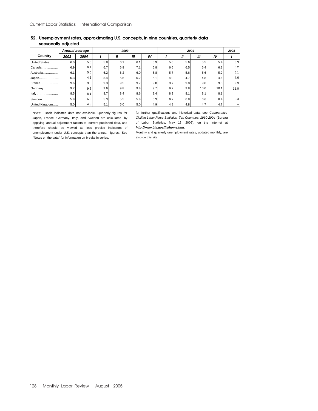## **52. Unemployment rates, approximating U.S. concepts, in nine countries, quarterly data seasonally adjusted**

|                |      | Annual average |     |     | 2003 |     |     | 2005 |      |      |      |
|----------------|------|----------------|-----|-----|------|-----|-----|------|------|------|------|
| Country        | 2003 | 2004           |     | н   | Ш    | IV  |     | Ш    | Ш    | IV   |      |
| United States  | 6.0  | 5.5            | 5.8 | 6.1 | 6.1  | 5.9 | 5.6 | 5.6  | 5.5  | 5.4  | 5.3  |
| Canada         | 6.9  | 6.4            | 6.7 | 6.9 | 7.1  | 6.8 | 6.6 | 6.5  | 6.4  | 6.3  | 6.2  |
| Australia      | 6.1  | 5.5            | 6.2 | 6.2 | 6.0  | 5.8 | 5.7 | 5.6  | 5.6  | 5.2  | 5.1  |
| Japan1         | 5.3  | 4.8            | 5.4 | 5.5 | 5.2  | 5.1 | 4.9 | 4.7  | 4.8  | 4.6  | 4.6  |
| France!        | 9.6  | 9.8            | 9.3 | 9.5 | 9.7  | 9.8 | 9.7 | 9.8  | 9.8  | 9.8  | 9.9  |
| Germany        | 9.7  | 9.8            | 9.6 | 9.8 | 9.8  | 9.7 | 9.7 | 9.8  | 10.0 | 10.1 | 11.0 |
| Italy!         | 8.5  | 8.1            | 8.7 | 8.4 | 8.6  | 8.4 | 8.3 | 8.1  | 8.1  | 8.1  |      |
| Sweden         | 5.8  | 6.6            | 5.3 | 5.5 | 5.8  | 6.3 | 6.7 | 6.8  | 6.6  | 6.4  | 6.3  |
| United Kingdom | 5.0  | 4.8            | 5.1 | 5.0 | 5.0  | 4.9 | 4.8 | 4.8  | 4.7  | 4.7  |      |

NOTE: Dash indicates data not available. Quarterly figures for Japan, France, Germany, Italy, and Sweden are calculated by applying annual adjustment factors to current published data, and therefore should be viewed as less precise indicators of unemployment under U.S. concepts than the annual figures. See "Notes on the data" for information on breaks in series.

for further qualifications and historical data, see *Comparative Civilian Labor Force Statistics, Ten Countries, 1960-2004* (Bureau of Labor Statistics, May 13, 2005), on the Internet at *h*t*tp://www.bls.gov/fls/home.htm*.

Monthly and quarterly unemployment rates, updated monthly, are also on this site.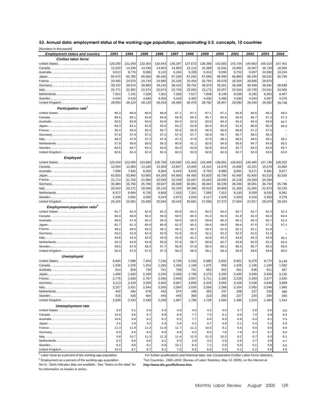| <b>INDITIONELS III THOUSAIRS</b>         |         |         |         |         |         |         |         |         |         |         |         |                          |
|------------------------------------------|---------|---------|---------|---------|---------|---------|---------|---------|---------|---------|---------|--------------------------|
| <b>Employment status and country</b>     | 1993    | 1994    | 1995    | 1996    | 1997    | 1998    | 1999    | 2000    | 2001    | 2002    | 2003    | 2004                     |
| Civilian labor force                     |         |         |         |         |         |         |         |         |         |         |         |                          |
|                                          |         |         |         |         |         |         |         |         |         |         |         |                          |
|                                          | 129,200 | 131,056 | 132,304 | 133,943 | 136,297 | 137,673 | 139,368 | 142,583 | 143,734 | 144,863 | 146,510 | 147,401                  |
|                                          | 14,233  | 14,336  | 14,439  | 14.604  | 14,863  | 15,115  | 15,389  | 15,632  | 15,892  | 16,367  | 16,729  | 16,956                   |
|                                          | 8,613   | 8,770   | 8,995   | 9,115   | 9,204   | 9,339   | 9,414   | 9,590   | 9,752   | 9,907   | 10,092  | 10,244                   |
|                                          | 65,470  | 65,780  | 65,990  | 66,450  | 67,200  | 67,240  | 67,090  | 66,990  | 66,860  | 66,240  | 66,010  | 65,760                   |
|                                          | 24,490  | 24,676  | 24,743  | 24,985  | 25,109  | 25,434  | 25,764  | 26,078  | 26,354  | 26,686  | 26,870  |                          |
|                                          | 39,102  | 39,074  | 38,980  | 39,142  | 39,415  | 39,754  | 39,375  | 39,301  | 39,456  | 39,499  | 39,591  | 39,698                   |
|                                          |         |         |         |         |         |         |         |         |         |         |         |                          |
|                                          | 22,771  | 22,592  | 22,574  | 22,674  | 22,749  | 23,000  | 23,172  | 23,357  | 23,520  | 23,728  | 24,021  | 24,065                   |
|                                          | 7,014   | 7,152   | 7,208   | 7,301   | 7,536   | 7,617   | 7,848   | 8,149   | 8,338   | 8,285   | 8,353   | 8,457                    |
|                                          | 4,444   | 4,418   | 4,460   | 4,459   | 4,418   | 4,402   | 4,430   | 4,489   | 4,530   | 4,544   | 4,567   | 4,576                    |
|                                          | 28,094  | 28,124  | 28,135  | 28,243  | 28,406  | 28,478  | 28,782  | 28,957  | 29,090  | 29,340  | 29,562  | 29,748                   |
| Participation rate <sup>1</sup>          |         |         |         |         |         |         |         |         |         |         |         |                          |
|                                          |         |         |         |         |         |         |         |         |         |         |         |                          |
|                                          | 66.3    | 66.6    | 66.6    | 66.8    | 67.1    | 67.1    | 67.1    | 67.1    | 66.8    | 66.6    | 66.2    | 66.0                     |
|                                          | 65.5    | 65.1    | 64.8    | 64.6    | 64.9    | 65.3    | 65.7    | 65.8    | 65.9    | 66.7    | 67.3    | 67.3                     |
|                                          | 63.5    | 63.9    | 64.5    | 64.6    | 64.3    | 64.3    | 64.0    | 64.4    | 64.4    | 64.4    | 64.6    | 64.7                     |
|                                          | 63.3    | 63.1    | 62.9    | 63.0    | 63.2    | 62.8    | 62.4    | 62.0    | 61.6    | 60.8    | 60.3    | 60.0                     |
|                                          | 55.4    | 55.6    | 55.4    | 55.7    | 55.6    | 55.9    | 56.3    | 56.6    | 56.9    | 57.2    | 57.4    | $\overline{\phantom{0}}$ |
|                                          | 57.8    | 57.4    | 57.1    | 57.1    | 57.3    | 57.7    | 56.9    | 56.7    | 56.7    | 56.5    | 56.4    | $\overline{\phantom{a}}$ |
|                                          |         |         |         |         |         |         |         |         |         |         |         |                          |
|                                          | 48.3    | 47.6    | 47.3    | 47.3    | 47.3    | 47.6    | 47.9    | 48.1    | 48.2    | 48.5    | 49.1    | 49.1                     |
|                                          | 57.9    | 58.6    | 58.8    | 59.2    | 60.8    | 61.1    | 62.6    | 64.5    | 65.6    | 64.7    | 64.9    | 65.5                     |
|                                          | 64.5    | 63.7    | 64.1    | 64.0    | 63.3    | 62.8    | 62.8    | 63.8    | 63.7    | 64.0    | 64.0    | 63.7                     |
|                                          | 62.6    | 62.4    | 62.4    | 62.4    | 62.5    | 62.5    | 62.8    | 62.9    | 62.7    | 62.9    | 63.0    | 63.0                     |
|                                          |         |         |         |         |         |         |         |         |         |         |         |                          |
| <b>Employed</b>                          |         |         |         |         |         |         |         |         |         |         |         |                          |
|                                          | 120,259 | 123,060 | 124,900 | 126,708 | 129,558 | 131,463 | 133,488 | 136,891 | 136,933 | 136,485 | 137,736 | 139,252                  |
|                                          | 12,694  | 12,960  | 13,185  | 13,309  | 13,607  | 13,946  | 14,314  | 14,676  | 14,866  | 15,221  | 15,579  | 15,864                   |
|                                          | 7,699   | 7,942   | 8,256   | 8,364   | 8,444   | 8,618   | 8,762   | 8,989   | 9,091   | 9,271   | 9,481   | 9,677                    |
|                                          | 63,820  | 63,860  | 63,900  | 64,200  | 64,900  | 64,450  | 63,920  | 63,790  | 63,460  | 62,650  | 62,510  | 62,630                   |
|                                          | 21,714  | 21,750  | 21,956  | 22,039  | 22,169  | 22,597  | 23,053  | 23,693  | 24,128  | 24,293  | 24,293  |                          |
|                                          | 35,989  | 35,756  | 35,780  | 35,637  | 35,508  | 36,061  | 36,042  | 36,236  | 36,346  | 36,061  | 35,754  | 35,796                   |
|                                          |         |         |         |         |         |         |         |         |         |         |         |                          |
|                                          | 20,543  | 20,171  | 20,030  | 20,120  | 20,165  | 20,366  | 20,613  | 20,969  | 21,356  | 21,665  | 21,973  | 22.105                   |
|                                          | 6,572   | 6,664   | 6,730   | 6,858   | 7,163   | 7,321   | 7,595   | 7,912   | 8,130   | 8,059   | 8,035   | 8,061                    |
|                                          | 4,028   | 3,992   | 4,056   | 4,019   | 3,973   | 4,034   | 4,117   | 4,229   | 4,303   | 4,310   | 4,303   | 4,276                    |
|                                          | 25,165  | 25,691  | 25,696  | 25,945  | 26,418  | 26,691  | 27,056  | 27,373  | 27,604  | 27,817  | 28,079  | 28,334                   |
| Employment-population ratio <sup>2</sup> |         |         |         |         |         |         |         |         |         |         |         |                          |
|                                          |         |         |         |         |         |         |         |         |         |         |         |                          |
|                                          | 61.7    | 62.5    | 62.9    | 63.2    | 63.8    | 64.1    | 64.3    | 64.4    | 63.7    | 62.7    | 62.3    | 62.3                     |
|                                          | 58.4    | 58.9    | 59.2    | 59.0    | 59.5    | 60.3    | 61.2    | 61.9    | 61.9    | 62.4    | 63.0    | 63.4                     |
|                                          | 56.8    | 57.8    | 59.2    | 59.3    | 59.0    | 59.3    | 59.6    | 60.3    | 60.1    | 60.3    | 60.7    | 61.2                     |
|                                          | 61.7    | 61.3    | 60.9    | 60.9    | 61.0    | 60.2    | 59.4    | 59.0    | 58.4    | 57.5    | 57.1    | 57.1                     |
|                                          | 49.2    | 49.0    | 49.2    | 49.1    | 49.1    | 49.7    | 50.4    | 51.5    | 52.1    | 52.1    | 51.9    |                          |
|                                          | 53.2    | 52.6    | 52.4    | 52.0    | 51.6    | 52.3    | 52.1    | 52.2    | 52.2    | 51.6    | 51.0    | $\overline{\phantom{a}}$ |
|                                          |         |         |         |         |         |         |         |         |         |         |         |                          |
|                                          | 43.6    | 42.5    | 42.0    | 42.0    | 41.9    | 42.2    | 42.6    | 43.2    | 43.8    | 44.3    | 44.9    | 45.1                     |
|                                          | 54.3    | 54.6    | 54.9    | 55.6    | 57.8    | 58.7    | 60.6    | 62.7    | 63.9    | 62.9    | 62.4    | 62.4                     |
|                                          | 58.5    | 57.6    | 58.3    | 57.7    | 56.9    | 57.6    | 58.4    | 60.1    | 60.5    | 60.7    | 60.3    | 59.5                     |
|                                          | 56.0    | 57.0    | 57.0    | 57.3    | 58.2    | 58.5    | 59.1    | 59.4    | 59.5    | 59.6    | 59.8    | 60.0                     |
|                                          |         |         |         |         |         |         |         |         |         |         |         |                          |
| Unemployed                               |         |         |         |         |         |         |         |         |         |         |         |                          |
|                                          | 8,940   | 7,996   | 7,404   | 7,236   | 6,739   | 6,210   | 5,880   | 5,692   | 6,801   | 8,378   | 8,774   | 8,149                    |
|                                          | 1,538   | 1,376   | 1,254   | 1,295   | 1,256   | 1,169   | 1,075   | 956     | 1,026   | 1,146   | 1,150   | 1,092                    |
|                                          | 914     | 829     | 739     | 751     | 759     | 721     | 652     | 602     | 661     | 636     | 611     | 567                      |
|                                          | 1,660   | 1,920   | 2,100   | 2,250   | 2,300   | 2,790   | 3,170   | 3,200   | 3,400   | 3,590   | 3,500   | 3,130                    |
|                                          | 2,776   | 2,926   | 2,787   | 2,946   | 2,940   | 2,837   | 2,711   | 2,385   | 2,226   | 2,393   | 2,577   | 2,630                    |
|                                          | 3,113   | 3,318   | 3,200   | 3,505   | 3,907   | 3,693   | 3,333   | 3,065   | 3,109   | 3,438   | 3,838   | 3,899                    |
|                                          | 2,227   | 2,421   | 2,544   | 2,555   | 2,584   | 2,634   | 2,559   | 2,388   | 2,164   | 2,062   | 2,048   |                          |
|                                          |         |         |         |         |         |         |         |         |         |         |         | 1,960                    |
|                                          | 442     | 489     | 478     | 443     | 374     | 296     | 253     | 237     | 208     | 227     | 318     | 396                      |
|                                          | 416     | 426     | 404     | 440     | 445     | 368     | 313     | 260     | 227     | 234     | 264     | 300                      |
|                                          | 2,930   | 2,433   | 2,439   | 2,298   | 1,987   | 1,788   | 1,726   | 1,584   | 1,486   | 1,524   | 1,484   | 1,414                    |
| Unemployment rate                        |         |         |         |         |         |         |         |         |         |         |         |                          |
|                                          |         |         |         |         |         |         |         |         |         |         |         |                          |
|                                          | 6.9     | 6.1     | 5.6     | 5.4     | 4.9     | 4.5     | 4.2     | 4.0     | 4.7     | 5.8     | 6.0     | 5.5                      |
|                                          | 10.8    | 9.6     | 8.7     | 8.9     | 8.4     | 7.7     | 7.0     | 6.1     | 6.5     | 7.0     | 6.9     | 6.4                      |
|                                          | 10.6    | 9.4     | 8.2     | 8.2     | 8.3     | 7.7     | 6.9     | 6.3     | 6.8     | 6.4     | 6.1     | 5.5                      |
|                                          | 2.5     | 2.9     | 3.2     | 3.4     | 3.4     | 4.1     | 4.7     | 4.8     | 5.1     | 5.4     | 5.3     | 4.8                      |
|                                          | 11.3    | 11.9    | 11.3    | 11.8    | 11.7    | 11.2    | 10.5    | 9.1     | 8.4     | 9.0     | 9.6     | 9.8                      |
|                                          | 8.0     | 8.5     | 8.2     | 9.0     | 9.9     | 9.3     | 8.5     | 7.8     | 7.9     | 8.7     | 9.7     | 9.8                      |
|                                          | 9.8     | 10.7    | 11.3    | 11.3    | 11.4    | 11.5    | 11.0    | 10.2    | 9.2     | 8.7     | 8.5     | 8.1                      |
|                                          |         |         |         |         |         |         |         |         |         |         |         |                          |
|                                          | 6.3     | 6.8     | 6.6     | 6.1     | 5.0     | 3.9     | 3.2     | 2.9     | 2.5     | 2.7     | 3.8     | 4.7                      |
|                                          | 9.4     | 9.6     | 9.1     | 9.9     | 10.1    | 8.4     | 7.1     | 5.8     | 5.0     | 5.1     | 5.8     | 6.6                      |
|                                          | 10.4    | 8.7     | 8.7     | 8.1     | 7.0     | 6.3     | 6.0     | 5.5     | 5.1     | 5.2     | 5.0     | 4.8                      |

**53. Annual data: employment status of the working-age population, approximating U.S. concepts, 10 countries** [Numbers in thousands]

 $1$  Labor force as a percent of the working-age population.

For further qualifications and historical data, see *Comparative Civilian Labor Force Statistics*,

 $2$  Employment as a percent of the working-age population.

'Ten Countries, 1960-2004 (Bureau of Labor Statistics, May 13, 2005), on the Internet at

NOTE: Dash indicates data not available. See "Notes on the data" for *http://www.bls.gov/fls/home.htm.* for information on breaks in series.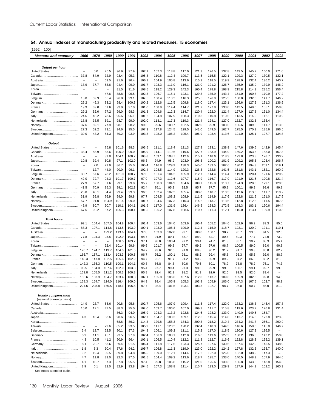# **54. Annual indexes of manufacturing productivity and related measures, 15 economies**

 $[1992 = 100]$ 

| <b>Measure and economy</b> | 1960                      | 1970                                 | 1980                             | 1990           | 1991           | 1993           | 1994           | 1995           | 1996           | 1997           | 1998           | 1999           | 2000           | 2001           | 2002           | 2003                     |
|----------------------------|---------------------------|--------------------------------------|----------------------------------|----------------|----------------|----------------|----------------|----------------|----------------|----------------|----------------|----------------|----------------|----------------|----------------|--------------------------|
|                            |                           |                                      |                                  |                |                |                |                |                |                |                |                |                |                |                |                |                          |
| Output per hour            |                           |                                      |                                  |                |                |                |                |                |                |                |                |                |                |                |                |                          |
| United States              | $\equiv$                  | 0.0                                  | 70.5                             | 96.9           | 97.9           | 102.1          | 107.3          | 113.8          | 117.0          | 121.3          | 126.5          | 132.8          | 143.5          | 145.2          | 160.0          | 171.0                    |
|                            | 37.8                      | 54.9                                 | 72.9                             | 93.4           | 95.3           | 105.8          | 110.8          | 112.4          | 109.7          | 113.5          | 115.5          | 122.1          | 129.3          | 127.0          | 130.5          | 132.1                    |
| Australia                  | $\qquad \qquad =$         | $\overline{\phantom{m}}$             | 69.5                             | 91.6           | 96.4           | 106.1          | 104.9          | 105.8          | 113.6          | 115.2          | 118.5          | 119.9          | 128.0          | 132.4          | 136.2          | 140.7                    |
|                            | 13.9<br>$\qquad \qquad -$ | 37.7                                 | 63.6                             | 94.4<br>81.5   | 99.0<br>91.6   | 101.7<br>108.5 | 103.3<br>118.2 | 111.0<br>129.3 | 116.1<br>142.3 | 121.0<br>160.4 | 121.2<br>178.8 | 126.7<br>198.9 | 135.9<br>215.8 | 135.9<br>214.3 | 139.9<br>235.2 | 146.2<br>256.4           |
|                            | $\equiv$                  | $\overline{\phantom{m}}$<br>$\equiv$ | 47.6                             | 88.8           | 96.5           | 102.8          | 106.7          | 115.1          | 123.1          | 129.3          | 135.9          | 143.4          | 151.0          | 160.8          | 170.9          | 177.2                    |
|                            | 18.0                      | 32.9                                 | 65.4                             | 96.8           | 99.1           | 102.5          | 108.4          | 113.2          | 116.3          | 125.5          | 126.9          | 125.5          | 130.8          | 132.6          | 141.7          | 146.2                    |
| Denmark                    | 25.2                      | 46.3                                 | 83.2                             | 98.4           | 100.3          | 100.2          | 112.6          | 112.5          | 109.8          | 118.0          | 117.4          | 123.1          | 126.6          | 127.2          | 131.3          | 136.9                    |
|                            | 19.9                      | 39.0                                 | 61.6                             | 93.9           | 97.0           | 101.0          | 108.9          | 114.4          | 114.7          | 121.7          | 127.9          | 133.0          | 142.5          | 148.0          | 155.1          | 158.0                    |
| Germany                    | 29.2                      | 52.0                                 | 77.2                             | 99.0           | 98.3           | 101.8          | 109.6          | 112.3          | 114.7          | 120.4          | 122.0          | 121.4          | 127.0          | 127.8          | 131.0          | 134.4                    |
|                            | 24.6                      | 46.2                                 | 78.6                             | 96.6           | 96.1           | 101.2          | 104.8          | 107.9          | 108.3          | 110.3          | 110.8          | 110.6          | 113.5          | 114.0          | 112.1          | 110.9                    |
| Netherlands                | 18.8                      | 38.5                                 | 69.1                             | 98.7           | 99.0           | 102.0          | 113.1          | 117.3          | 119.3          | 121.4          | 124.1          | 127.0          | 132.7          | 132.5          | 135.4          | $\overline{\phantom{m}}$ |
| Norway                     | 37.6                      | 59.1                                 | 77.9                             | 98.1           | 98.2           | 99.6           | 99.6           | 100.7          | 102.5          | 102.0          | 99.9           | 103.6          | 106.6          | 109.8          | 111.7          | 113.5                    |
| Sweden                     | 27.3                      | 52.2                                 | 73.1                             | 94.6           | 95.5           | 107.3          | 117.8          | 124.5          | 129.5          | 141.0          | 149.5          | 162.7          | 175.5          | 170.3          | 185.6          | 196.5                    |
| United Kingdom             | 30.0                      | 43.2                                 | 54.3                             | 89.2           | 93.9           | 103.8          | 108.0          | 106.2          | 105.4          | 106.9          | 108.4          | 113.6          | 121.0          | 125.1          | 127.7          | 134.8                    |
| Output                     |                           |                                      |                                  |                |                |                |                |                |                |                |                |                |                |                |                |                          |
| United States              | $\qquad \qquad$           | $\overline{\phantom{0}}$             | 75.8                             | 101.6          | 98.3           | 103.5          | 111.1          | 118.4          | 121.3          | 127.9          | 133.1          | 138.9          | 147.6          | 139.6          | 142.9          | 145.4                    |
|                            | 33.4                      | 58.9                                 | 83.6                             | 106.0          | 99.0           | 105.9          | 114.1          | 119.6          | 119.6          | 127.7          | 133.9          | 144.9          | 159.2          | 153.6          | 158.0          | 157.3                    |
| Australia                  | $\equiv$                  | $\overline{\phantom{0}}$             | 89.8                             | 104.1          | 100.7          | 103.8          | 109.1          | 108.7          | 112.6          | 115.1          | 118.6          | 118.3          | 123.8          | 123.8          | 128.7          | 130.2                    |
|                            | 10.8                      | 39.4                                 | 60.8                             | 97.1           | 102.0          | 96.3           | 94.9           | 98.9           | 103.0          | 106.5          | 100.2          | 101.9          | 109.2          | 105.5          | 103.4          | 106.7                    |
|                            | $\equiv$                  | 7.0                                  | 29.9                             | 86.7           | 95.0           | 105.4          | 116.8          | 129.9          | 138.3          | 145.0          | 133.5          | 162.6          | 190.2          | 194.3          | 209.1          | 219.1                    |
|                            | ۳                         | 12.7                                 | 44.0                             | 90.0           | 96.1           | 102.4          | 108.5          | 114.9          | 120.3          | 128.3          | 132.6          | 141.5          | 151.8          | 143.1          | 152.1          | 160.9                    |
| Belgium                    | 30.7                      | 57.6                                 | 78.2                             | 101.0          | 100.7          | 97.0           | 101.4          | 104.2          | 105.9          | 112.7          | 114.4          | 114.4          | 119.9          | 120.4          | 121.6          | 120.9                    |
| Denmark                    | 42.0                      | 72.7                                 | 94.3                             | 101.7          | 100.7          | 97.0           | 107.3          | 112.6          | 107.7          | 115.9          | 116.7          | 117.9          | 121.9          | 121.6          | 120.8          | 121.4                    |
|                            | 27.9<br>41.5              | 57.7<br>70.9                         | 81.6<br>85.3                     | 99.1<br>99.1   | 99.8<br>102.3  | 95.7<br>92.4   | 100.3<br>95.1  | 104.9<br>95.2  | 104.6<br>92.5  | 109.7<br>95.7  | 115.0<br>97.7  | 118.7<br>95.8  | 124.3<br>100.1 | 128.0<br>99.9  | 129.1<br>99.6  | 128.5<br>99.8            |
| Germany                    | 23.0                      | 48.1                                 | 84.4                             | 99.4           | 99.3           | 96.5           | 102.4          | 107.2          | 105.4          | 108.8          | 110.7          | 110.3          | 113.6          | 113.0          | 111.7          | 110.2                    |
| Netherlands                | 31.9                      | 59.8                                 | 76.9                             | 99.0           | 99.8           | 97.7           | 104.5          | 108.2          | 108.9          | 111.6          | 114.9          | 117.6          | 122.8          | 121.9          | 121.0          | 117.6                    |
| Norway                     | 57.7                      | 91.0                                 | 104.9                            | 101.4          | 99.0           | 101.7          | 104.6          | 107.3          | 110.3          | 114.2          | 113.7          | 113.6          | 112.8          | 112.3          | 111.5          | 107.3                    |
|                            | 45.9                      | 80.7                                 | 90.7                             | 110.1          | 104.1          | 101.9          | 117.0          | 131.9          | 136.4          | 146.5          | 158.3          | 172.5          | 188.3          | 183.1          | 190.6          | 194.4                    |
| United Kingdom             | 67.5                      | 90.2                                 | 87.2                             | 105.3          | 100.1          | 101.5          | 106.2          | 107.8          | 108.6          | 110.7          | 111.3          | 112.1          | 115.0          | 113.4          | 109.9          | 110.3                    |
|                            |                           |                                      |                                  |                |                |                |                |                |                |                |                |                |                |                |                |                          |
| <b>Total hours</b>         |                           |                                      |                                  |                |                |                |                |                |                |                |                |                |                |                |                |                          |
| United States              | 92.1<br>88.3              | 104.4<br>107.1                       | 107.5<br>114.6                   | 104.8<br>113.5 | 100.4<br>103.9 | 101.4<br>100.1 | 103.6<br>103.0 | 104.0<br>106.4 | 103.6<br>109.0 | 105.4<br>112.4 | 105.2<br>115.9 | 104.6<br>118.7 | 102.9<br>123.1 | 96.2<br>120.9  | 89.3<br>121.1  | 85.0<br>119.1            |
| Australia                  |                           | $\overline{\phantom{0}}$             | 129.2                            | 113.6          | 104.4          | 97.8           | 103.9          | 102.8          | 99.1           | 100.0          | 100.1          | 98.7           | 96.7           | 93.5           | 94.5           | 92.5                     |
|                            | 77.8                      | 104.3                                | 95.5                             | 102.9          | 103.1          | 94.7           | 91.9           | 89.1           | 88.7           | 88.0           | 82.7           | 80.4           | 80.3           | 77.7           | 74.0           | 73.0                     |
|                            | $\overline{\phantom{0}}$  | $\overline{\phantom{0}}$             | $\overline{\phantom{a}}$         | 106.5          | 103.7          | 97.1           | 98.8           | 100.4          | 97.2           | 90.4           | 74.7           | 81.8           | 88.1           | 90.7           | 88.9           | 85.4                     |
|                            | $\overline{\phantom{m}}$  | $\overline{\phantom{0}}$             | 92.4                             | 101.4          | 99.6           | 99.6           | 101.7          | 99.8           | 97.7           | 99.2           | 97.6           | 98.7           | 100.5          | 89.0           | 89.0           | 90.8                     |
|                            | 170.7                     | 174.7                                | 119.7                            | 104.3          | 101.5          | 94.7           | 93.6           | 92.0           | 91.0           | 89.8           | 90.2           | 91.2           | 91.7           | 90.8           | 85.8           | 82.7                     |
| Denmark                    | 166.7                     | 157.1                                | 113.4                            | 103.3          | 100.5          | 96.7           | 95.2           | 100.1          | 98.1           | 98.2           | 99.4           | 95.8           | 96.3           | 95.6           | 92.0           | 88.7                     |
|                            | 140.3                     | 147.8                                | 132.5                            | 105.6          | 102.9          | 94.7           | 92.1           | 91.7           | 91.2           | 90.2           | 89.9           | 89.2           | 87.2           | 86.5           | 83.2           | 81.3                     |
| Germany                    | 142.3                     | 136.3                                | 110.5                            | 100.1          | 104.1          | 90.8           | 86.8           | 84.8           | 80.6           | 79.5           | 80.1           | 78.9           | 78.8           | 78.2           | 76.1           | 74.3                     |
| Netherlands                | 93.5<br>169.8             | 104.0<br>155.5                       | 107.4<br>111.2                   | 102.9<br>100.3 | 103.3<br>100.8 | 95.4<br>95.8   | 97.7<br>92.4   | 99.4<br>92.3   | 97.3<br>91.2   | 98.6<br>91.9   | 99.9<br>92.6   | 99.8<br>92.6   | 100.1<br>92.5  | 99.1<br>92.0   | 99.7<br>89.4   | 99.3<br>$\equiv$         |
| Norway                     | 153.6                     | 153.9                                | 134.7                            | 103.4          | 100.8          | 102.1          | 105.0          | 106.6          | 107.6          | 112.0          | 113.7          | 109.6          | 105.9          | 102.3          | 99.8           | 94.5                     |
|                            | 168.3                     | 154.7                                | 124.0                            | 116.4          | 109.0          | 94.9           | 99.4           | 105.9          | 105.3          | 103.9          | 105.9          | 106.0          | 107.3          | 107.5          | 102.7          | 98.9                     |
| United Kingdom             | 224.6                     | 208.8                                | 160.5                            | 118.1          | 106.6          | 97.7           | 98.4           | 101.5          | 103.1          | 103.5          | 102.7          | 98.7           | 95.0           | 90.7           | 86.0           | 81.9                     |
|                            |                           |                                      |                                  |                |                |                |                |                |                |                |                |                |                |                |                |                          |
| <b>Hourly compensation</b> |                           |                                      |                                  |                |                |                |                |                |                |                |                |                |                |                |                |                          |
| (national currency basis)  |                           |                                      |                                  |                |                |                |                |                |                |                |                |                |                |                |                |                          |
| United States              | 14.9<br>10.0              | 23.7                                 | 55.6                             | 90.8<br>88.3   | 95.6<br>95.0   | 102.7<br>102.0 | 105.6<br>103.7 | 107.9<br>106.0 | 109.4<br>107.0 | 111.5<br>109.3 | 117.4          | 122.0          | 133.2          | 136.3          | 145.4<br>126.8 | 157.8                    |
| Australia                  | $\overline{\phantom{a}}$  | 17.1<br>$\overline{\phantom{a}}$     | 47.5<br>$\overline{\phantom{0}}$ | 86.3           | 94.0           | 105.9          | 104.3          | 113.2          | 122.8          | 124.6          | 111.7<br>128.2 | 115.8<br>133.0 | 119.6<br>140.0 | 123.7<br>149.5 | 154.7          | 131.4<br>$\equiv$        |
|                            | 4.3                       | 16.4                                 | 58.6                             | 90.6           | 96.5           | 102.7          | 104.7          | 108.3          | 109.1          | 112.6          | 115.4          | 114.8          | 113.7          | 114.6          | 122.8          | 123.8                    |
|                            | $\overline{\phantom{0}}$  | $\overline{\phantom{m}}$             | $\overline{\phantom{m}}$         | 68.6           | 86.2           | 114.3          | 129.8          | 158.3          | 184.3          | 200.3          | 218.2          | 219.4          | 234.2          | 241.7          | 266.1          | 290.9                    |
| Taiwan                     | $\overline{\phantom{0}}$  | $\overline{\phantom{0}}$             | 29.6                             | 85.2           | 93.5           | 105.9          | 111.1          | 120.2          | 128.2          | 132.4          | 140.3          | 144.3          | 146.6          | 150.0          | 145.8          | 146.7                    |
|                            | 5.4                       | 13.7                                 | 52.5                             | 90.1           | 97.3           | 104.8          | 106.1          | 109.2          | 111.1          | 115.2          | 117.0          | 118.5          | 120.6          | 127.2          | 136.5          | $\overline{\phantom{a}}$ |
| Denmark                    | 3.9                       | 11.1                                 | 45.1                             | 93.5           | 97.9           | 102.4          | 106.0          | 108.1          | 112.8          | 116.6          | 119.6          | 127.3          | 130.2          | 136.5          | 143.2          | 150.0                    |
|                            | 4.3                       | 10.5                                 | 41.2                             | 90.9           | 96.4           | 103.1          | 106.5          | 110.4          | 112.2          | 111.8          | 112.7          | 116.6          | 122.8          | 128.3          | 135.2          | 139.1                    |
| Germany                    | 8.1                       | 20.7                                 | 53.6                             | 89.4           | 91.5           | 106.4          | 111.8          | 117.6          | 123.3          | 125.7          | 127.6          | 130.6          | 137.4          | 142.0          | 145.5          | 148.9                    |
|                            | 1.8                       | 5.3                                  | 30.4                             | 87.6           | 94.2           | 105.7          | 106.8          | 111.3          | 119.0          | 123.0          | 122.2          | 124.2          | 127.8          | 132.5          | 135.7          | 140.0                    |
| Netherlands                | 6.2                       | 19.4                                 | 60.5                             | 89.8           | 94.8           | 104.5          | 109.0          | 112.1          | 114.4          | 117.2          | 122.0          | 126.0          | 132.0          | 138.2          | 147.3          | $\overline{\phantom{a}}$ |
| Norway                     | 4.7<br>4.1                | 11.8                                 | 39.0<br>37.3                     | 92.3<br>87.8   | 97.5<br>95.5   | 101.5          | 104.4<br>99.8  | 109.2<br>106.8 | 113.6<br>115.2 | 118.7          | 125.7          | 133.0<br>130.3 | 140.5          | 148.9<br>143.8 | 157.9          | 164.6<br>154.3           |
| United Kingdom             | 2.9                       | 10.7<br>6.1                          | 32.0                             | 82.9           | 93.8           | 97.4<br>104.5  | 107.3          | 108.8          | 111.4          | 121.0<br>115.7 | 125.6<br>123.0 | 129.9          | 136.8<br>137.6 | 144.3          | 148.8<br>152.2 | 160.3                    |
|                            |                           |                                      |                                  |                |                |                |                |                |                |                |                |                |                |                |                |                          |

See notes at end of table.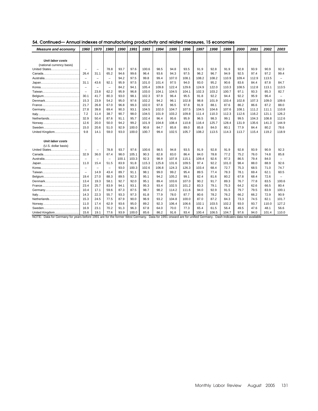|                            |                          |          | $V1$ indicated    |       | יש שי | <u>oaacnvny</u> |       | <b>SUSTAINS</b> |       |       | $\sim$ | -------- |       |       |       |                          |
|----------------------------|--------------------------|----------|-------------------|-------|-------|-----------------|-------|-----------------|-------|-------|--------|----------|-------|-------|-------|--------------------------|
| <b>Measure and economy</b> | 1960                     | 1970     | 1980              | 1990  | 1991  | 1993            | 1994  | 1995            | 1996  | 1997  | 1998   | 1999     | 2000  | 2001  | 2002  | 2003                     |
|                            |                          |          |                   |       |       |                 |       |                 |       |       |        |          |       |       |       |                          |
| Unit labor costs           |                          |          |                   |       |       |                 |       |                 |       |       |        |          |       |       |       |                          |
| (national currency basis)  |                          |          |                   |       |       |                 |       |                 |       |       |        |          |       |       |       |                          |
| United States              |                          |          | 78.8              | 93.7  | 97.6  | 100.6           | 98.5  | 94.8            | 93.5  | 91.9  | 92.8   | 91.9     | 92.8  | 93.9  | 90.9  | 92.3                     |
|                            | 26.4                     | 31.1     | 65.2              | 94.6  | 99.6  | 96.4            | 93.6  | 94.3            | 97.5  | 96.2  | 96.7   | 94.9     | 92.5  | 97.4  | 97.2  | 99.4                     |
|                            | $\overline{\phantom{0}}$ | i.       | $\equiv$          | 94.2  | 97.5  | 99.8            | 99.4  | 107.0           | 108.1 | 108.2 | 108.2  | 110.9    | 109.4 | 112.9 | 113.5 | $\equiv$                 |
|                            | 31.1                     | 43.6     | 92.1              | 95.9  | 97.5  | 101.0           | 101.4 | 97.5            | 94.0  | 93.0  | 95.2   | 90.6     | 83.6  | 84.4  | 87.8  | 84.7                     |
|                            | $\overline{\phantom{m}}$ |          | $\qquad \qquad -$ | 84.2  | 94.1  | 105.4           | 109.8 | 122.4           | 129.6 | 124.9 | 122.0  | 110.3    | 108.5 | 112.8 | 113.1 | 113.5                    |
|                            | $\equiv$                 | 23.8     | 62.2              | 95.9  | 96.8  | 103.0           | 104.1 | 104.5           | 104.1 | 102.3 | 103.2  | 100.7    | 97.1  | 93.3  | 85.3  | 82.7                     |
|                            | 30.1                     | 41.7     | 80.3              | 93.0  | 98.1  | 102.3           | 97.9  | 96.4            | 95.5  | 91.8  | 92.2   | 94.4     | 92.2  | 95.9  | 96.4  |                          |
| Denmark                    | 15.3                     | 23.9     | 54.2              | 95.0  | 97.6  | 102.2           | 94.2  | 96.1            | 102.8 | 98.8  | 101.9  | 103.4    | 102.8 | 107.3 | 109.0 | 109.6                    |
| France                     | 21.7                     | 26.8     | 67.0              | 96.8  | 99.3  | 102.0           | 97.8  | 96.5            | 97.8  | 91.9  | 88.1   | 87.6     | 86.2  | 86.6  | 87.2  | 88.0                     |
| Germany                    | 27.8                     | 39.8     | 69.4              | 90.3  | 93.1  | 104.5           | 102.0 | 104.7           | 107.5 | 104.5 | 104.6  | 107.6    | 108.1 | 111.2 | 111.1 | 110.8                    |
|                            | 7.2                      | 11.4     | 38.7              | 90.7  | 98.0  | 104.5           | 101.9 | 103.2           | 109.8 | 111.4 | 110.3  | 112.3    | 112.6 | 116.2 | 121.1 | 126.2                    |
| Netherlands                | 32.9                     | 50.4     | 87.6              | 91.1  | 95.7  | 102.4           | 96.4  | 95.6            | 95.9  | 96.5  | 98.3   | 99.1     | 99.5  | 104.3 | 108.8 | 112.6                    |
| Norway                     | 12.6                     | 20.0     | 50.0              | 94.2  | 99.2  | 101.9           | 104.8 | 108.4           | 110.8 | 116.4 | 125.7  | 128.4    | 131.9 | 135.6 | 141.3 | 144.9                    |
| Sweden                     | 15.0                     | 20.6     | 51.0              | 92.9  | 100.0 | 90.8            | 84.7  | 85.8            | 89.0  | 85.8  | 84.0   | 80.1     | 77.9  | 84.4  | 80.2  | 78.6                     |
| United Kingdom             | 9.8                      | 14.1     | 59.0              | 93.0  | 100.0 | 100.7           | 99.4  | 102.5           | 105.7 | 108.2 | 113.5  | 114.3    | 113.7 | 115.4 | 119.2 | 118.9                    |
|                            |                          |          |                   |       |       |                 |       |                 |       |       |        |          |       |       |       |                          |
| Unit labor costs           |                          |          |                   |       |       |                 |       |                 |       |       |        |          |       |       |       |                          |
| (U.S. dollar basis)        |                          |          |                   |       |       |                 |       |                 |       |       |        |          |       |       |       |                          |
| United States              |                          | $\equiv$ | 78.8              | 93.7  | 97.6  | 100.6           | 98.5  | 94.8            | 93.5  | 91.9  | 92.8   | 91.9     | 92.8  | 93.9  | 90.9  | 92.3                     |
|                            | 32.9                     | 36.0     | 67.4              | 98.0  | 105.1 | 90.3            | 82.8  | 83.0            | 86.4  | 84.0  | 78.8   | 77.2     | 75.2  | 76.0  | 74.8  | 85.8                     |
| Australia                  | $\equiv$                 | $\sim$   | $\qquad \qquad =$ | 100.1 | 103.3 | 92.3            | 98.9  | 107.8           | 115.1 | 109.4 | 92.6   | 97.3     | 86.5  | 79.4  | 84.0  | $\overline{\phantom{0}}$ |
|                            | 11.0                     | 15.4     | 51.5              | 83.9  | 91.8  | 115.3           | 125.8 | 131.6           | 109.5 | 97.4  | 92.2   | 101.0    | 98.4  | 88.0  | 88.9  | 92.6                     |
|                            | $\sim$                   |          | $\equiv$          | 93.0  | 100.3 | 102.6           | 106.8 | 124.3           | 126.3 | 103.4 | 68.4   | 72.7     | 75.3  | 68.5  | 71.0  | 74.7                     |
| Taiwan                     | $\overline{\phantom{m}}$ | 14.9     | 43.4              | 89.7  | 91.1  | 98.1            | 99.0  | 99.2            | 95.4  | 89.5  | 77.4   | 78.3     | 78.1  | 69.4  | 62.1  | 60.5                     |
|                            | 19.4                     | 27.0     | 88.3              | 89.5  | 92.3  | 95.1            | 94.2  | 105.2           | 99.1  | 82.4  | 81.6   | 80.2     | 67.8  | 68.4  | 72.6  | $\qquad \qquad =$        |
| Denmark                    | 13.4                     | 19.3     | 58.1              | 92.7  | 92.0  | 95.1            | 89.4  | 103.6           | 107.0 | 90.2  | 91.7   | 89.3     | 76.7  | 77.8  | 83.5  | 100.6                    |
| France                     | 23.4                     | 25.7     | 83.9              | 94.1  | 93.1  | 95.3            | 93.4  | 102.5           | 101.2 | 83.3  | 79.1   | 75.3     | 64.2  | 62.6  | 66.5  | 80.4                     |
| Germany                    | 10.4                     | 17.1     | 59.6              | 87.3  | 87.5  | 98.7            | 98.2  | 114.2           | 111.6 | 94.0  | 92.9   | 91.5     | 79.7  | 79.5  | 83.9  | 100.1                    |
|                            | 14.3                     | 22.3     | 55.7              | 93.3  | 97.3  | 81.8            | 77.9  | 78.0            | 87.7  | 80.6  | 78.2   | 76.2     | 66.2  | 66.2  | 72.9  | 90.9                     |
| Netherlands                | 15.3                     | 24.5     | 77.5              | 87.9  | 90.0  | 96.9            | 93.2  | 104.8           | 100.0 | 87.0  | 87.2   | 84.3     | 73.3  | 74.5  | 82.1  | 101.7                    |
|                            | 11.0                     | 17.4     | 62.9              | 93.6  | 95.0  | 89.2            | 92.3  | 106.4           | 106.6 | 102.1 | 103.5  | 102.2    | 93.0  | 93.7  | 110.0 | 127.2                    |
|                            | 16.9                     | 23.1     | 70.2              | 91.3  | 96.3  | 67.8            | 64.0  | 70.0            | 77.3  | 65.4  | 61.5   | 56.4     | 49.5  | 47.6  | 48.1  | 56.6                     |
| United Kingdom             | 15.6                     | 19.1     | 77.6              | 93.9  | 100.0 | 85.6            | 86.2  | 91.6            | 93.4  | 100.4 | 106.5  | 104.7    | 97.6  | 94.0  | 101.4 | 110.0                    |

NOTE: Data for Germany for years before 1991 are for the former West Germany. Data for 1991 onward are for unified Germany. Dash indicates data not available

# **54. Continued– Annual indexes of manufacturing productivity and related measures, 15 economies**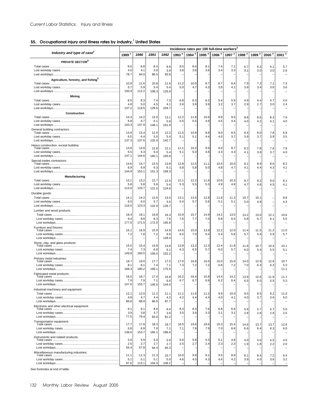### **55. Occupational injury and illness rates by industry,<sup>1</sup> United States**

|                                                 |              |              |              |              |            |            |            | Incidence rates per 100 full-time workers <sup>3</sup> |                   |                   |                   |                   |             |
|-------------------------------------------------|--------------|--------------|--------------|--------------|------------|------------|------------|--------------------------------------------------------|-------------------|-------------------|-------------------|-------------------|-------------|
| Industry and type of case <sup>2</sup>          | 1989         | 1990         | 1991         | 1992         | 1993 $4$   | 1994 $4$   | 1995 $4$   | 1996 <sup>4</sup>                                      | 1997 <sup>+</sup> | 1998 <sup>4</sup> | 1999 <sup>4</sup> | 2000 <sup>4</sup> | 2001 4      |
| PRIVATE SECTOR <sup>5</sup>                     |              |              |              |              |            |            |            |                                                        |                   |                   |                   |                   |             |
|                                                 | 8.6          | 8.8          | 8.4          | 8.9          | 8.5        | 8.4        | 8.1        | 7.4                                                    | 7.1               | 6.7               | 6.3               | 6.1               | 5.7         |
|                                                 | 4.0<br>78.7  | 4.1<br>84.0  | 3.9<br>86.5  | 3.9<br>93.8  | 3.8        | 3.8        | 3.6        | 3.4                                                    | 3.3               | 3.1               | 3.0               | 3.0               | 2.8         |
|                                                 |              |              |              |              |            |            |            |                                                        |                   |                   |                   |                   |             |
| Agriculture, forestry, and fishing <sup>5</sup> | 10.9         | 11.6         | 10.8         | 11.6         | 11.2       | 10.0       | 9.7        | 8.7                                                    | 8.4               | 7.9               | 7.3               | 7.1               | 7.3         |
|                                                 | 5.7          | 5.9          | 5.4          | 5.4          | 5.0        | 4.7        | 4.3        | 3.9                                                    | 4.1               | 3.9               | 3.4               | 3.6               | 3.6         |
|                                                 | 100.9        | 112.2        | 108.3        | 126.9        |            |            |            |                                                        |                   |                   |                   |                   |             |
| Mining                                          |              |              |              |              |            |            |            |                                                        |                   |                   |                   |                   |             |
|                                                 | 8.5<br>4.8   | 8.3<br>5.0   | 7.4<br>4.5   | 7.3<br>4.1   | 6.8<br>3.9 | 6.3<br>3.9 | 6.2<br>3.9 | 5.4<br>3.2                                             | 5.9<br>3.7        | 4.9<br>2.9        | 4.4<br>2.7        | 4.7<br>3.0        | 4.0<br>2.4  |
|                                                 | 137.2        | 119.5        | 129.6        | 204.7        |            |            |            |                                                        |                   |                   |                   |                   |             |
| Construction                                    |              |              |              |              |            |            |            |                                                        |                   |                   |                   |                   |             |
|                                                 | 14.3         | 14.2         | 13.0         | 13.1         | 12.2       | 11.8       | 10.6       | 9.9                                                    | 9.5               | 8.8               | 8.6               | 8.3               | 7.9         |
|                                                 | 6.8<br>143.3 | 6.7<br>147.9 | 6.1<br>148.1 | 5.8<br>161.9 | 5.5        | 5.5        | 4.9        | 4.5                                                    | 4.4               | 4.0               | 4.2               | 4.1               | 4.0         |
| General building contractors:                   |              |              |              |              |            |            |            |                                                        |                   |                   |                   |                   |             |
|                                                 | 13.9         | 13.4         | 12.0         | 12.2         | 11.5       | 10.9       | 9.8        | 9.0                                                    | 8.5               | 8.4               | 8.0               | 7.8               | 6.9         |
|                                                 | 6.5<br>137.3 | 6.4<br>137.6 | 5.5<br>132.0 | 5.4<br>142.7 | 5.1        | 5.1        | 4.4        | 4.0                                                    | 3.7               | 3.9               | 3.7               | 3.9               | 3.5         |
| Heavy construction, except building:            |              |              |              |              |            |            |            |                                                        |                   |                   |                   |                   |             |
|                                                 | 13.8         | 13.8         | 12.8         | 12.1         | 11.1       | 10.2       | 9.9        | 9.0                                                    | 8.7               | 8.2               | 7.8               | 7.6               | 7.8         |
|                                                 | 6.5<br>147.1 | 6.3<br>144.6 | 6.0<br>160.1 | 5.4<br>165.8 | 5.1        | 5.0        | 4.8        | 4.3                                                    | 4.3               | 4.1               | 3.8               | 3.7               | 4.0         |
| Special trades contractors:                     |              |              |              |              |            |            |            |                                                        |                   |                   |                   |                   |             |
|                                                 | 14.6         | 14.7         | 13.5         | 13.8         | 12.8       | 12.5       | 11.1       | 10.4                                                   | 10.0              | 9.1               | 8.9               | 8.6               | 8.2         |
|                                                 | 6.9<br>144.9 | 6.9<br>153.1 | 6.3<br>151.3 | 6.1<br>168.3 | 5.8        | 5.8        | 5.0        | 4.8                                                    | 4.7               | 4.1               | 4.4               | 4.3               | 4.1         |
| Manufacturing                                   |              |              |              |              |            |            |            |                                                        |                   |                   |                   |                   |             |
|                                                 | 13.1         | 13.2         | 12.7         | 12.5         | 12.1       | 12.2       | 11.6       | 10.6                                                   | 10.3              | 9.7               | 9.2               | 9.0               | 8.1         |
|                                                 | 5.8          | 5.8          | 5.6          | 5.4          | 5.3        | 5.5        | 5.3        | 4.9                                                    | 4.8               | 4.7               | 4.6               | 4.5               | 4.1         |
|                                                 | 113.0        | 120.7        | 121.5        | 124.6        |            |            |            |                                                        |                   |                   |                   |                   |             |
| Durable goods:                                  | 14.1         | 14.2         | 13.6         | 13.4         | 13.1       | 13.5       | 12.8       | 11.6                                                   | 11.3              | 10.7              | 10.1              |                   | 8.8         |
|                                                 | 6.0          | 6.0          | 5.7          | 5.5          | 5.4        | 5.7        | 5.6        | 5.1                                                    | 5.1               | 5.0               | 4.8               |                   | 4.3         |
|                                                 | 116.5        | 123.3        | 122.9        | 126.7        |            |            |            |                                                        |                   |                   |                   |                   |             |
| Lumber and wood products:                       |              |              |              |              |            |            |            |                                                        |                   |                   |                   |                   |             |
|                                                 | 18.4         | 18.1         | 16.8         | 16.3         | 15.9       | 15.7       | 14.9       | 14.2                                                   | 13.5              | 13.2              | 13.0              | 12.1              | 10.6        |
|                                                 | 9.4<br>177.5 | 8.8<br>172.5 | 8.3<br>172.0 | 7.6<br>165.8 | 7.6        | 7.7        | 7.0        | 6.8                                                    | 6.5               | 6.8               | 6.7               | 6.1               | 5.5         |
| Furniture and fixtures:                         |              |              |              |              |            |            |            |                                                        |                   |                   |                   |                   |             |
|                                                 | 16.1         | 16.9         | 15.9         | 14.8         | 14.6       | 15.0       | 13.9       | 12.2                                                   | 12.0              | 11.4              | 11.5              | 11.2              | 11.0        |
|                                                 | 7.2          | 7.8          | 7.2          | 6.6<br>128.4 | 6.5        | 7.0        | 6.4        | 5.4                                                    | 5.8               | 5.7               | 5.9               | 5.9               | 5.7         |
| Stone, clay, and glass products:                |              |              |              |              |            |            |            |                                                        |                   |                   |                   |                   |             |
|                                                 | 15.5         | 15.4         | 14.8         | 13.6         | 13.8       | 13.2       | 12.3       | 12.4                                                   | 11.8              | 11.8              | 10.7              | 10.4              | 10.1        |
|                                                 | 7.4<br>149.8 | 7.3<br>160.5 | 6.8<br>156.0 | 6.1<br>152.2 | 6.3        | 6.5        | 5.7        | 6.0                                                    | 5.7               | 6.0               | 5.4               | 5.5               | 5.1         |
| Primary metal industries:                       |              |              |              |              |            |            |            |                                                        |                   |                   |                   |                   |             |
|                                                 | 18.7         | 19.0         | 17.7         | 17.5         | 17.0       | 16.8       | 16.5       | 15.0                                                   | 15.0              | 14.0              | 12.9              | 12.6              | 10.7        |
|                                                 | 8.1<br>168.3 | 8.1<br>180.2 | 7.4<br>169.1 | 7.1<br>175.5 | 7.3        | 7.2        | 7.2        | 6.8                                                    | 7.2               | 7.0               | 6.3               | 6.3               | 5.3<br>11.1 |
| Fabricated metal products:                      |              |              |              |              |            |            |            |                                                        |                   |                   |                   |                   |             |
|                                                 | 18.5<br>7.9  | 18.7         | 17.4         | 16.8         | 16.2       | 16.4       | 15.8       | 14.4                                                   | 14.2              | 13.9              | 12.6              | 11.9              | 11.1        |
|                                                 | 147.6        | 7.9<br>155.7 | 7.1<br>146.6 | 6.6<br>144.0 | 6.7        | 6.7        | 6.9        | 6.2                                                    | 6.4               | 6.5               | 6.0               | 5.5               | 5.3         |
| Industrial machinery and equipment:             |              |              |              |              |            |            |            |                                                        |                   |                   |                   |                   |             |
|                                                 | 12.1         | 12.0         | 11.2         | 11.1         | 11.1       | 11.6       | 11.2       | 9.9                                                    | 10.0              | 9.5               | 8.5               | 8.2               | 11.0        |
|                                                 | 4.8          | 4.7          | 4.4          | 4.2          | 4.2        | 4.4        | 4.4        | 4.0                                                    | 4.1               | 4.0               | 3.7               | 3.6               | 6.0         |
| Electronic and other electrical equipment:      | 86.8         | 88.9         | 86.6         | 87.7         |            |            |            |                                                        |                   |                   |                   |                   |             |
|                                                 | 9.1          | 9.1          | 8.6          | 8.4          | 8.3        | 8.3        | 7.6        | 6.8                                                    | 6.6               | 5.9               | 5.7               | 5.7               | 5.0         |
|                                                 | 3.9          | 3.8          | 3.7          | 3.6          | 3.5        | 3.6        | 3.3        | 3.1                                                    | 3.1               | 2.8               | 2.8               | 2.9               | 2.5         |
|                                                 | 77.5         | 79.4         | 83.0         | 81.2         |            |            |            |                                                        |                   |                   |                   |                   |             |
| Transportation equipment:                       | 17.7         | 17.8         | 18.3         | 18.7         | 18.5       | 19.6       | 18.6       | 16.3                                                   | 15.4              | 14.6              | 13.7              | 13.7              | 12.6        |
|                                                 | 6.8          | 6.9          | 7.0          | 7.1          | 7.1        | 7.8        | 7.9        | 7.0                                                    | 6.6               | 6.6               | 6.4               | 6.3               | 6.0         |
|                                                 | 138.6        | 153.7        | 166.1        | 186.6        |            |            |            |                                                        |                   |                   |                   |                   |             |
| Instruments and related products:               | 5.6          | 5.9          | 6.0          | 5.9          | 5.6        | 5.9        | 5.3        | 5.1                                                    | 4.8               | 4.0               | 4.0               | 4.5               | 4.0         |
|                                                 | 2.5          | 2.7          | 2.7          | 2.7          | 2.5        | 2.7        | 2.4        | 2.3                                                    | 2.3               | 1.9               | 1.8               | 2.2               | 2.0         |
|                                                 | 55.4         | 57.8         | 64.4         | 65.3         |            |            |            |                                                        |                   |                   |                   |                   |             |
| Miscellaneous manufacturing industries:         | 11.1         | 11.3         | 11.3         | 10.7         | 10.0       | 9.9        | 9.1        | 9.5                                                    | 8.9               | 8.1               | 8.4               | 7.2               | 6.4         |
|                                                 | 5.1          | 5.1          | 5.1          | 5.0          | 4.6        | 4.5        | 4.3        | 4.4                                                    | 4.2               | 3.9               | 4.0               | 3.6               | 3.2         |
|                                                 | 97.6         | 113.1        | 104.0        | 108.2        |            |            |            |                                                        |                   |                   |                   |                   |             |

See footnotes at end of table.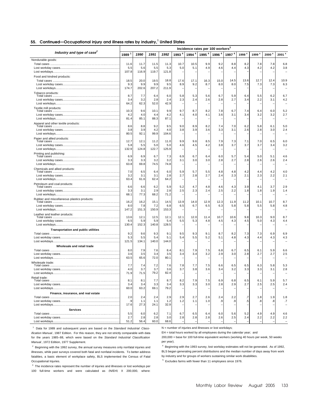#### **55. Continued–Occupational injury and illness rates by industry,<sup>1</sup> United States**

|                                             |              |              |              |              |                                 |                   |                   | Incidence rates per 100 workers <sup>3</sup> |                   |                   |                   |                   |                                |
|---------------------------------------------|--------------|--------------|--------------|--------------|---------------------------------|-------------------|-------------------|----------------------------------------------|-------------------|-------------------|-------------------|-------------------|--------------------------------|
| Industry and type of case <sup>2</sup>      | 1989         | 1990         | 1991         | 1992         | 1993 <sup>4</sup>               | 1994 <sup>4</sup> | 1995 <sup>4</sup> | 1996 $4$                                     | 1997 <sup>4</sup> | 1998 <sup>4</sup> | 1999 <sup>4</sup> | 2000 <sup>4</sup> | 2001 <sup>4</sup>              |
| Nondurable goods:                           |              |              |              |              |                                 |                   |                   |                                              |                   |                   |                   |                   |                                |
|                                             | 11.6<br>5.5  | 11.7<br>5.6  | 11.5<br>5.5  | 11.3<br>5.3  | 10.7<br>5.0                     | 10.5<br>5.1       | 9.9<br>4.9        | 9.2<br>4.6                                   | 8.8<br>4.4        | 8.2<br>4.3        | 7.8<br>4.2        | 7.8<br>4.2        | 6.8<br>3.8                     |
|                                             | 107.8        | 116.9        | 119.7        | 121.8        |                                 |                   |                   |                                              |                   |                   |                   |                   |                                |
| Food and kindred products:                  |              |              |              |              |                                 |                   |                   |                                              |                   |                   |                   |                   |                                |
|                                             | 18.5         | 20.0         | 19.5         | 18.8         | 17.6                            | 17.1              | 16.3              | 15.0                                         | 14.5              | 13.6              | 12.7              | 12.4              | 10.9                           |
|                                             | 9.3<br>174.7 | 9.9<br>202.6 | 9.9<br>207.2 | 9.5<br>211.9 | 8.9                             | 9.2               | 8.7               | 8.0                                          | 8.0               | 7.5               | 7.3               | 7.3               | 6.3                            |
| Tobacco products:                           |              |              |              |              |                                 |                   |                   |                                              |                   |                   |                   |                   |                                |
|                                             | 8.7          | 7.7          | 6.4          | 6.0          | 5.8                             | 5.3               | 5.6               | 6.7                                          | 5.9               | 6.4               | 5.5               | 6.2               | 6.7                            |
|                                             | 3.4<br>64.2  | 3.2<br>62.3  | 2.8<br>52.0  | 2.4<br>42.9  | 2.3                             | 2.4               | 2.6               | 2.8                                          | 2.7               | 3.4               | 2.2               | 3.1               | 4.2                            |
| Textile mill products:                      |              |              |              |              |                                 |                   |                   |                                              |                   |                   |                   |                   |                                |
|                                             | 10.3         | 9.6          | 10.1         | 9.9<br>4.2   | 9.7                             | 8.7               | 8.2               | 7.8                                          | 6.7               | 7.4               | 6.4               | 6.0               | 5.2<br>2.7                     |
|                                             | 4.2<br>81.4  | 4.0<br>85.1  | 4.4<br>88.3  | 87.1         | 4.1                             | 4.0               | 4.1               | 3.6                                          | 3.1               | 3.4               | 3.2               | 3.2               |                                |
| Apparel and other textile products:         |              |              |              |              |                                 |                   |                   |                                              |                   |                   |                   |                   |                                |
|                                             | 8.6          | 8.8          | 9.2          | 9.5          | 9.0                             | 8.9               | 8.2               | 7.4                                          | 7.0               | 6.2               | 5.8               | 6.1               | 5.0                            |
|                                             | 3.8<br>80.5  | 3.9<br>92.1  | 4.2<br>99.9  | 4.0<br>104.6 | 3.8                             | 3.9               | 3.6               | 3.3                                          | 3.1               | 2.6               | 2.8               | 3.0               | 2.4                            |
| Paper and allied products:                  |              |              |              |              |                                 |                   |                   |                                              |                   |                   |                   |                   |                                |
|                                             | 12.7<br>5.8  | 12.1<br>5.5  | 11.2<br>5.0  | 11.0<br>5.0  | 9.9<br>4.6                      | 9.6               | 8.5<br>4.2        | 7.9                                          | 7.3<br>3.7        | 7.1<br>3.7        | 7.0               | 6.5               | 6.0                            |
|                                             | 132.9        | 124.8        | 122.7        | 125.9        | $\overline{\phantom{a}}$        | 4.5               |                   | 3.8                                          |                   |                   | 3.7               | 3.4               | 3.2                            |
| Printing and publishing:                    |              |              |              |              |                                 |                   |                   |                                              |                   |                   |                   |                   |                                |
|                                             | 6.9<br>3.3   | 6.9<br>3.3   | 6.7<br>3.2   | 7.3<br>3.2   | 6.9<br>3.1                      | 6.7<br>3.0        | 6.4<br>3.0        | 6.0<br>2.8                                   | 5.7<br>2.7        | 5.4<br>2.8        | 5.0<br>2.6        | 5.1<br>2.6        | 4.6<br>2.4                     |
|                                             | 63.8         | 69.8         | 74.5         | 74.8         |                                 |                   |                   |                                              |                   |                   |                   |                   |                                |
| Chemicals and allied products:              |              |              |              |              |                                 |                   |                   |                                              |                   |                   |                   |                   |                                |
|                                             | 7.0<br>3.2   | 6.5<br>3.1   | 6.4<br>3.1   | 6.0<br>2.8   | 5.9<br>2.7                      | 5.7<br>2.8        | 5.5<br>2.7        | 4.8<br>2.4                                   | 4.8<br>2.3        | 4.2<br>2.1        | 4.4<br>2.3        | 4.2<br>2.2        | 4.0<br>2.1                     |
|                                             | 63.4         | 61.6         | 62.4         | 64.2         |                                 |                   |                   |                                              |                   |                   |                   |                   |                                |
| Petroleum and coal products:                |              |              |              |              |                                 |                   |                   |                                              |                   |                   |                   |                   |                                |
|                                             | 6.6<br>3.3   | 6.6<br>3.1   | 6.2<br>2.9   | 5.9<br>2.8   | 5.2<br>2.5                      | 4.7<br>2.3        | 4.8<br>2.4        | 4.6<br>2.5                                   | 4.3<br>2.2        | 3.9<br>1.8        | 4.1<br>1.8        | 3.7<br>1.9        | 2.9<br>1.4                     |
|                                             | 68.1         | 77.3         | 68.2         | 71.2         |                                 |                   |                   |                                              |                   |                   |                   |                   |                                |
| Rubber and miscellaneous plastics products: |              |              |              |              |                                 |                   |                   |                                              |                   |                   |                   |                   |                                |
|                                             | 16.2<br>8.0  | 16.2<br>7.8  | 15.1<br>7.2  | 14.5<br>6.8  | 13.9<br>6.5                     | 14.0<br>6.7       | 12.9<br>6.5       | 12.3<br>6.3                                  | 11.9<br>5.8       | 11.2<br>5.8       | 10.1<br>5.5       | 10.7<br>5.8       | 8.7<br>4.8                     |
|                                             | 147.2        | 151.3        | 150.9        | 153.3        |                                 |                   |                   |                                              |                   |                   |                   |                   |                                |
| Leather and leather products:               | 13.6         | 12.1         |              | 12.1         | 12.1                            | 12.0              | 11.4              | 10.7                                         | 10.6              | 9.8               | 10.3              | 9.0               | 8.7                            |
|                                             | 6.5          | 5.9          | 12.5<br>5.9  | 5.4          | 5.5                             | 5.3               | 4.8               | 4.5                                          | 4.3               | 4.5               | 5.0               | 4.3               | 4.4                            |
|                                             | 130.4        | 152.3        | 140.8        | 128.5        |                                 |                   |                   |                                              |                   |                   |                   |                   |                                |
| <b>Transportation and public utilities</b>  |              |              |              |              |                                 |                   |                   |                                              |                   |                   |                   |                   |                                |
|                                             | 9.2<br>5.3   | 9.6<br>5.5   | 9.3<br>5.4   | 9.1<br>5.1   | 9.5<br>5.4                      | 9.3<br>5.5        | 9.1<br>5.2        | 8.7<br>5.1                                   | 8.2<br>4.8        | 7.3<br>4.3        | 7.3<br>4.4        | 6.9<br>4.3        | 6.9<br>4.3                     |
|                                             | 121.5        | 134.1        | 140.0        | 144.0        |                                 |                   |                   |                                              |                   |                   |                   |                   |                                |
| Wholesale and retail trade                  |              |              |              |              |                                 |                   |                   |                                              |                   |                   |                   |                   |                                |
|                                             | 8.0          | 7.9          | 7.6          | 8.4          | 8.1                             | 7.9               | 7.5               | 6.8                                          | 6.7               | 6.5               | 6.1               | 5.9               | 6.6                            |
|                                             | 3.6<br>63.5  | 3.5<br>65.6  | 3.4<br>72.0  | 3.5<br>80.1  | 3.4<br>۰                        | 3.4               | 3.2               | 2.9                                          | 3.0               | 2.8               | 2.7               | 2.7               | 2.5                            |
| Wholesale trade:                            |              |              |              |              |                                 |                   |                   |                                              |                   |                   |                   |                   |                                |
|                                             | 7.7          | 7.4<br>3.7   | 7.2          | 7.6          | 7.8<br>3.7                      | 7.7<br>3.8        | 7.5               | 6.6                                          | 6.5               | 6.5               | 6.3               | 5.8               | 5.3<br>2.8                     |
|                                             | 4.0<br>71.9  | 71.5         | 3.7<br>79.2  | 3.6<br>82.4  |                                 |                   | 3.6               | 3.4                                          | 3.2               | 3.3               | 3.3               | 3.1               |                                |
| Retail trade:                               |              |              |              |              |                                 |                   |                   |                                              |                   |                   |                   |                   |                                |
|                                             | 8.1<br>3.4   | 8.1<br>3.4   | 7.7<br>3.3   | 8.7<br>3.4   | 8.2<br>3.3                      | 7.9<br>3.3        | 7.5<br>3.0        | 6.9<br>2.8                                   | 6.8<br>2.9        | 6.5<br>2.7        | 6.1<br>2.5        | 5.9<br>2.5        | 5.7<br>2.4                     |
|                                             | 60.0         | 63.2         | 69.1         | 79.2         |                                 |                   |                   |                                              |                   |                   |                   |                   |                                |
| Finance, insurance, and real estate         |              |              |              |              |                                 |                   |                   |                                              |                   |                   |                   |                   |                                |
|                                             | 2.0          | 2.4          | 2.4          | 2.9          | 2.9                             | 2.7               | 2.6               | 2.4                                          | 2.2               | .7                | 1.8               | 1.9               | 1.8                            |
|                                             | .9<br>17.6   | 1.1<br>27.3  | 1.1<br>24.1  | 1.2<br>32.9  | 1.2<br>$\overline{\phantom{a}}$ | 1.1               | 1.0               | .9                                           | .9                | .5                | .8                | .8                | .7<br>$\overline{\phantom{a}}$ |
| <b>Services</b>                             |              |              |              |              |                                 |                   |                   |                                              |                   |                   |                   |                   |                                |
|                                             | 5.5          | 6.0          | 6.2          | 7.1          | 6.7                             | 6.5               | 6.4               | 6.0                                          | 5.6               | 5.2               | 4.9               | 4.9               | 4.6                            |
|                                             | 2.7          | 2.8<br>56.4  | 2.8<br>60.0  | 3.0<br>68.6  | 2.8                             | 2.8               | 2.8               | 2.6                                          | 2.5               | 2.4               | 2.2               | 2.2               | 2.2                            |
|                                             | 51.2         |              |              |              |                                 |                   |                   |                                              |                   |                   |                   |                   |                                |

<sup>1</sup> Data for 1989 and subsequent years are based on the *Standard Industrial Classification Manual* , 1987 Edition. For this reason, they are not strictly comparable with data for the years 1985–88, which were based on the *Standard Industrial Classification Manual* , 1972 Edition, 1977 Supplement.

N = number of injuries and illnesses or lost workdays;

EH = total hours worked by all employees during the calendar year; and

200,000 = base for 100 full-time equivalent workers (working 40 hours per week, 50 weeks per year).

 $2$  Beginning with the 1992 survey, the annual survey measures only nonfatal injuries and illnesses, while past surveys covered both fatal and nonfatal incidents. To better address fatalities, a basic element of workplace safety, BLS implemented the Census of Fatal 4 Beginning with the 1993 survey, lost workday estimates will not be generated. As of 1992, BLS began generating percent distributions and the median number of days away from work by industry and for groups of workers sustaining similar work disabilities.

<sup>5</sup> Excludes farms with fewer than 11 employees since 1976.

<sup>3</sup> The incidence rates represent the number of injuries and illnesses or lost workdays per 100 full-time workers and were calculated as (N/EH) X 200,000, where:

Occupational Injuries.